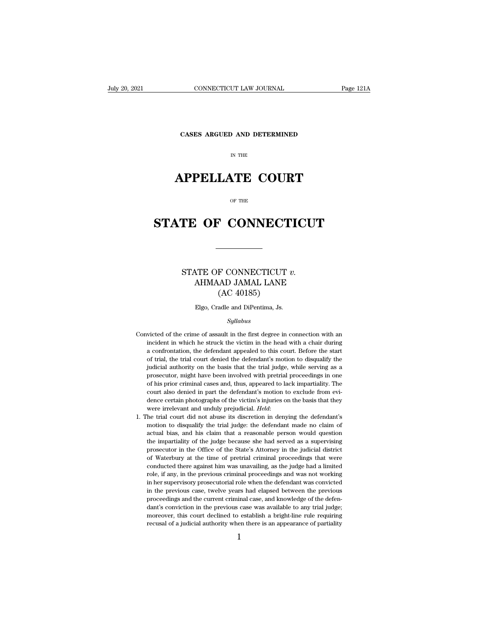**CONNECTICUT LAW JOURNAL**<br>**CASES ARGUED AND DETERMINED** 

# CONNECTICUT LAW JOURNAL<br>
CASES ARGUED AND DETERMINED<br>
IN THE<br> **APPELLATE COURT**<br>
OF THE

# CASES ARGUED AND DETERMINED<br>
IN THE<br> **STATE OF CONNECTICUT**

### **STATE OF CONNECTICUT**<br>
STATE OF CONNECTICUT *v.*<br>
AHMAAD JAMAL LANE<br>
(AC 40185) CONNECTICUT<br>
NTE OF CONNECTICUT v.<br>
AHMAAD JAMAL LANE<br>
(AC 40185) F CONNECTICUT<br>
AD JAMAL LANE<br>
(AC 40185)<br>
adle and DiPentima, Js. STATE OF CONNECTICUT  $v$ .<br>AHMAAD JAMAL LANE<br>(AC 40185)<br>Elgo, Cradle and DiPentima, Js.

### *Syllabus*

- $(AC 40185)$ <br>Elgo, Cradle and DiPentima, Js.<br>Syllabus<br>Convicted of the crime of assault in the first degree in connection with an<br>incident in which he struck the victim in the head with a chair during Elgo, Cradle and DiPentima, Js.<br>Syllabus<br>victed of the crime of assault in the first degree in connection with an<br>incident in which he struck the victim in the head with a chair during<br>a confrontation, the defendant appeal Elgo, Cradle and DiPentima, Js.<br>
Syllabus<br>
victed of the crime of assault in the first degree in connection with an<br>
incident in which he struck the victim in the head with a chair during<br>
a confrontation, the defendant ap Syllabus<br>
since the trial, the trial, the trial, the trial, the trial, the defendant appealed to this court. Before the start<br>
of trial, the trial court denied the defendant's motion to disqualify the<br>
judicial authority o syllabus<br>simulation of the crime of assault in the first degree in connection with an<br>incident in which he struck the victim in the head with a chair during<br>a confrontation, the defendant appealed to this court. Before the victed of the crime of assault in the first degree in connection with an incident in which he struck the victim in the head with a chair during a confrontation, the defendant appealed to this court. Before the start of tri incident in which he struck the victim in the head with a chair during<br>a confrontation, the defendant appealed to this court. Before the start<br>of trial, the trial court denied the defendant's motion to disqualify the<br>judic incident in which he struck the victim in the head with a chair during a confrontation, the defendant appealed to this court. Before the start of trial, the trial court denied the defendant's motion to disqualify the judi of trial, the trial court denied the defendant's motion to disqualify the judicial authority on the basis that the trial judge, while serving as a prosecutor, might have been involved with pretrial proceedings in one of hi were irrelevant and unduly prejudicial. Held:<br> *Here involved* with pretrial proceedings in one<br>
of his prior criminal cases and, thus, appeared to lack impartiality. The<br>
court also denied in part the defendant's motion t of his prior criminal cases and, thus, appeared to lack impartiality. The court also denied in part the defendant's motion to exclude from evidence certain photographs of the victim's injuries on the basis that they were i
- court also denied in part the defendant's motion to exclude from evi-<br>dence certain photographs of the victim's injuries on the basis that they<br>were irrelevant and unduly prejudicial. *Held*:<br>the trial court did not abuse dence certain photographs of the victim's injuries on the basis that they were irrelevant and unduly prejudicial. *Held*:<br>the trial court did not abuse its discretion in denying the defendant's motion to disqualify the tri 1. The trial court did not abuse its discretion in denying the defendant's motion to disqualify the trial judge: the defendant made no claim of actual bias, and his claim that a reasonable person would question the imparti he trial court did not abuse its discretion in denying the defendant's motion to disqualify the trial judge: the defendant made no claim of actual bias, and his claim that a reasonable person would question the impartialit motion to disqualify the trial judge: the defendant made no claim of actual bias, and his claim that a reasonable person would question the impartiality of the judge because she had served as a supervising prosecutor in th actual bias, and his claim that a reasonable person would question<br>the impartiality of the judge because she had served as a supervising<br>prosecutor in the Office of the State's Attorney in the judicial district<br>of Waterbur the impartiality of the judge because she had served as a supervising prosecutor in the Office of the State's Attorney in the judicial district of Waterbury at the time of pretrial criminal proceedings that were conducted prosecutor in the Office of the State's Attorney in the judicial district of Waterbury at the time of pretrial criminal proceedings that were conducted there against him was unavailing, as the judge had a limited role, if of Waterbury at the time of pretrial criminal proceedings that were conducted there against him was unavailing, as the judge had a limited role, if any, in the previous criminal proceedings and was not working in her supe conducted there against him was unavailing, as the judge had a limited role, if any, in the previous criminal proceedings and was not working in her supervisory prosecutorial role when the defendant was convicted in the pr role, if any, in the previous criminal proceedings and was not working<br>in her supervisory prosecutorial role when the defendant was convicted<br>in the previous case, twelve years had elapsed between the previous<br>proceedings From the supervisory prosecutorial role when the defendant was convicted<br>in the previous case, twelve years had elapsed between the previous<br>proceedings and the current criminal case, and knowledge of the defen-<br>dant's co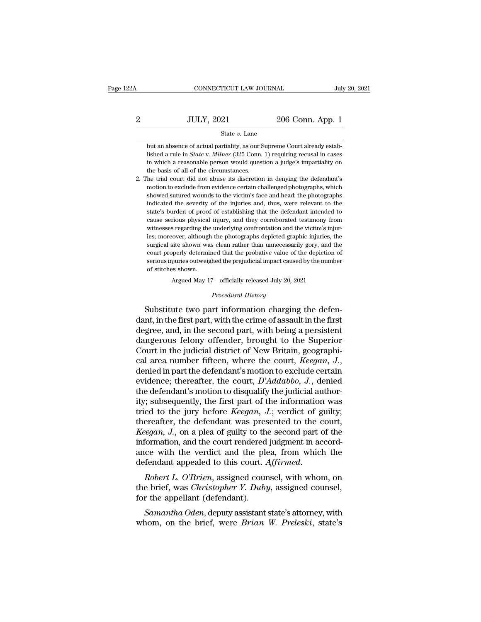### $\begin{tabular}{l l l l} \multicolumn{2}{c}{\text{CONNECTICUT LAW JOURNAL}} & July 20, 2021 \\ \cline{2-2} \multicolumn{2}{c}{\text{JULY, 2021}} & 206 \text{ Conn. App. 1} \\ & State $v$. Lane} \end{tabular}$ State *v.* Lane

Fig. 2021 206 Conn. App. 1<br>
State v. Lane<br>
but an absence of actual partiality, as our Supreme Court already estab-<br>
lished a rule in *State* v. *Milner* (325 Conn. 1) requiring recusal in cases JULY, 2021 206 Conn. App. 1<br>
State *v*. Lane<br>
but an absence of actual partiality, as our Supreme Court already established a rule in *State* v. *Milner* (325 Conn. 1) requiring recusal in cases<br>
in which a reasonable pers **in the ULV, 2021** 206 Conn. App. 1<br>
State v. Lane<br>
but an absence of actual partiality, as our Supreme Court already established a rule in *State* v. *Milner* (325 Conn. 1) requiring recusal in cases<br>
in which a reasonab State  $v$ . Lane<br>but an absence of actual partiality, as our S<br>lished a rule in *State v. Milner* (325 Conn.<br>in which a reasonable person would quest<br>the basis of all of the circumstances.<br>he trial court did not abuse its 2. The trial court already established a rule in *State v. Milner* (325 Conn. 1) requiring recusal in cases<br>in which a reasonable person would question a judge's impartiality on<br>the basis of all of the circumstances.<br>2. T but an absence of actual partiality, as our Supreme Court already established a rule in *State* v. *Milner* (325 Conn. 1) requiring recusal in cases in which a reasonable person would question a judge's impartiality on the

showed sutured wounds to the victimization in denying recusal in cases<br>in which a reasonable person would question a judge's impartiality on<br>the basis of all of the circumstances.<br>he trial court did not abuse its discreti in which a reasonable person would question a judge's impartiality on<br>the basis of all of the circumstances.<br>he trial court did not abuse its discretion in denying the defendant's<br>motion to exclude from evidence certain ch In the basis of all of the circumstances.<br>The basis of all of the circumstances.<br>The trial court did not abuse its discretion in denying the defendant's<br>motion to exclude from evidence certain challenged photographs, which the trial court did not abuse its discretion in denying the defendant's<br>motion to exclude from evidence certain challenged photographs, which<br>showed sutured wounds to the victim's face and head: the photographs<br>indicated t 2. The trial court did not abuse its discretion in denying the defendant's motion to exclude from evidence certain challenged photographs, which showed sutured wounds to the victim's face and head: the photographs indicate showed sutured wounds to the victim's face and head: the photographs indicated the severity of the injuries and, thus, were relevant to the state's burden of proof of establishing that the defendant intended to cause serio indicated the severity of the injuries and, thus, were relevant to the state's burden of proof of establishing that the defendant intended to cause serious physical injury, and they corroborated testimony from witnesses re state's burden of proof of establishing that the defendant intended to cause serious physical injury, and they corroborated testimony from witnesses regarding the underlying confrontation and the victim's injuries; moreove sexists of cause serious physical injury, and they corroborated testimony from witnesses regarding the underlying confrontation and the victim's injuries; moreover, although the photographs depicted graphic injuries, the s witnesses regarding the underlying confrontation and the victim's injuries; moreover, although the photographs depicted graphic injuries, the surgical site shown was clean rather than unnecessarily gory, and the court prop % surgical site shown was clean rather than unnecessarily gory, and the court properly determined that the probative value of the depiction of serious injuries outweighed the prejudicial impact caused by the number of sti surgical sue shown was clean rather than unnecessarily gory, and the court properly determined that the probative value of the depiction of serious injuries outweighed the prejudicial impact caused by the number of stitche

Argued May 17—officially released July 20, 2021<br>*Procedural History*<br>Substitute two part information charging the defendant, in the first part, with the crime of assault in the first<br>degree of stiches shown.<br>Argued May 17—officially released July 20, 2021<br>*Procedural History*<br>Substitute two part information charging the defen-<br>dant, in the of stitches shown.<br>Argued May 17—officially released July 20, 2021<br>*Procedural History*<br>Substitute two part information charging the defen-<br>dant, in the first part, with the crime of assault in the first<br>degree, and, in th Argued May 17—officially released July 20, 2021<br> *Procedural History*<br>
Substitute two part information charging the defen-<br>
dant, in the first part, with the crime of assault in the first<br>
degree, and, in the second part, *Procedural History*<br>
Substitute two part information charging the defen-<br>
dant, in the first part, with the crime of assault in the first<br>
degree, and, in the second part, with being a persistent<br>
dangerous felony offende Froceaural History<br>dant, in the first part, with the crime of assault in the first<br>degree, and, in the second part, with being a persistent<br>dangerous felony offender, brought to the Superior<br>Court in the judicial district dant, in the first part, with the crime of assault in the first<br>degree, and, in the second part, with being a persistent<br>dangerous felony offender, brought to the Superior<br>Court in the judicial district of New Britain, geo degree, and, in the second part, with being a persistent<br>dangerous felony offender, brought to the Superior<br>Court in the judicial district of New Britain, geographi-<br>cal area number fifteen, where the court, *Keegan*, *J.* dangerous felony offender, brought to the Superior<br>Court in the judicial district of New Britain, geographi-<br>cal area number fifteen, where the court, *Keegan, J.*,<br>denied in part the defendant's motion to exclude certain<br> Court in the judicial district of New Britain, geographical area number fifteen, where the court, *Keegan, J.*, denied in part the defendant's motion to exclude certain evidence; thereafter, the court,  $D'Addabbo$ ,  $J$ ., deni cal area number fifteen, where the court, *Keegan, J.*,<br>denied in part the defendant's motion to exclude certain<br>evidence; thereafter, the court,  $D'Addabbo$ , J., denied<br>the defendant's motion to disqualify the judicial autho denied in part the defendant's motion to exclude certain<br>evidence; thereafter, the court, *D'Addabbo*, *J*., denied<br>the defendant's motion to disqualify the judicial author-<br>ity; subsequently, the first part of the informa evidence; thereafter, the court,  $D'Addabbo$ ,  $J$ ., denied<br>the defendant's motion to disqualify the judicial author-<br>ity; subsequently, the first part of the information was<br>tried to the jury before *Keegan*,  $J$ .; verdict of the defendant's motion to disqualify the judicial authority; subsequently, the first part of the information was tried to the jury before *Keegan*,  $J$ ; verdict of guilty; thereafter, the defendant was presented to the co ity; subsequently, the first part of the information was<br>tried to the jury before *Keegan*, *J*.; verdict of guilty;<br>thereafter, the defendant was presented to the court,<br>*Keegan*, *J*., on a plea of guilty to the second p thereatter, the defendant was presented to the court,<br>*Keegan*, *J*., on a plea of guilty to the second part of the<br>information, and the court rendered judgment in accord-<br>ance with the verdict and the plea, from which the *formation*, and the court rendered<br>information, and the court rendered<br>ance with the verdict and the ple-<br>defendant appealed to this court. A<br>*Robert L. O'Brien*, assigned cour-<br>the brief, was *Christopher Y. Duby*<br>for th

ce with the verdict and the plea, from which the<br>fendant appealed to this court. *Affirmed.*<br>*Robert L. O'Brien*, assigned counsel, with whom, on<br>e brief, was *Christopher Y. Duby*, assigned counsel,<br>r the appellant (defen defendant appealed to this court. Affirmed.<br>
Robert L. O'Brien, assigned counsel, with whom, on<br>
the brief, was *Christopher Y. Duby*, assigned counsel,<br>
for the appellant (defendant).<br>
Samantha Oden, deputy assistant stat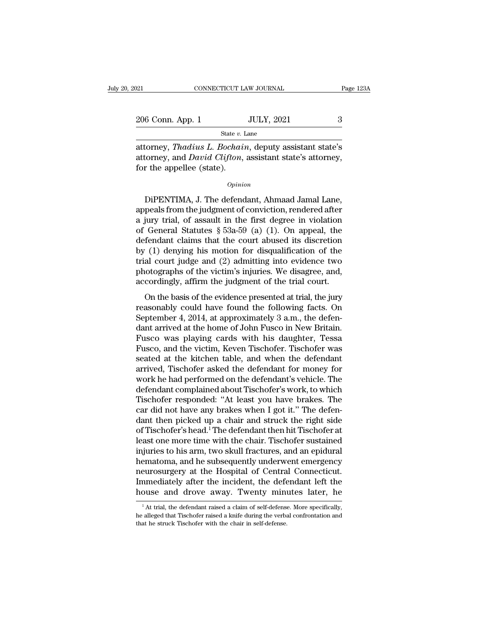$\begin{array}{r|l} \text{206 Conn. App. 1} & \text{GONNETICUT LAW JOURNAL} & \text{Page 123A} \\\\ \hline & \text{206 Conn. App. 1} & \text{JULY, 2021} & 3 \\ \hline & \text{State $v$. Lane} & \end{array}$ 

State *v.* Lane

Page 123A<br> **EXECUTE 2006 Conn. App. 1** JULY, 2021 3<br>
State v. Lane<br> **EXECUTE:** Attorney, *Thadius L. Bochain*, deputy assistant state's<br>
attorney, and *David Clifton*, assistant state's attorney,<br>
for the appellee (state) 206 Conn. App. 1 JULY, 2021 3<br>
State *v*. Lane<br>
attorney, *Thadius L. Bochain*, deputy assistant state's attorney, and *David Clifton*, assistant state's attorney, for the appellee (state).  $\begin{array}{c} \textcolor{red}{206\text{ Conn. App. 1}} \ \textcolor{red}{ \textcolor{red}{\text{State }v.1}} \ \textcolor{red}{\text{State }v.1}} \ \textcolor{red}{\text{state }v.1}} \ \textcolor{red}{\text{attorney, }} \textcolor{red}{\textit{Thadius L. Bochai}} \ \textcolor{red}{\text{attorney, and } David Clifton,}} \ \textcolor{red}{\text{for the applelle (state).}} \ \textcolor{red}{\textcolor{red}{\text{Opinic}}} \ \textcolor{red}{\textcolor{red}{\text{Opinic}}} \end{array}$  $\frac{S_{\text{safe } b. \text{ Lame}}}{S_{\text{top}}}\$   $\frac{S_{\text{safe } b. \text{ Lame}}}{S_{\text{top}}}\$   $\frac{S_{\text{top}}}{S_{\text{top}}}\$  and  $David Clifton$ , assistant state's attorney,<br>r the appellee (state).<br> $\frac{Opinion}{S_{\text{top}}}\$ <br>DiPENTIMA, J. The defendant, Ahmaad Jamal Lane,<br>peals fro

### *Opinion*

attorney, *Thadius L. Bochain*, deputy assistant state's<br>attorney, and *David Clifton*, assistant state's attorney,<br>for the appellee (state).<br> $opinion$ <br>DiPENTIMA, J. The defendant, Ahmaad Jamal Lane,<br>appeals from the judgment attorney, and *David Clifton*, assistant state's attorney,<br>for the appellee (state).<br> $opinion$ <br>DiPENTIMA, J. The defendant, Ahmaad Jamal Lane,<br>appeals from the judgment of conviction, rendered after<br>a jury trial, of assault in opinion<br>
opinion<br>
DiPENTIMA, J. The defendant, Ahmaad Jamal Lane,<br>
appeals from the judgment of conviction, rendered after<br>
a jury trial, of assault in the first degree in violation<br>
of General Statutes § 53a-59 (a) (1). *Opinion*<br>DiPENTIMA, J. The defendant, Ahmaad Jamal Lane,<br>appeals from the judgment of conviction, rendered after<br>a jury trial, of assault in the first degree in violation<br>of General Statutes § 53a-59 (a) (1). On appeal, DiPENTIMA, J. The defendant, Ahmaad Jamal Lane,<br>appeals from the judgment of conviction, rendered after<br>a jury trial, of assault in the first degree in violation<br>of General Statutes § 53a-59 (a) (1). On appeal, the<br>defend DiPENTIMA, J. The defendant, Ahmaad Jamal Lane,<br>appeals from the judgment of conviction, rendered after<br>a jury trial, of assault in the first degree in violation<br>of General Statutes § 53a-59 (a) (1). On appeal, the<br>defenda appeals from the judgment of conviction, rendered after<br>a jury trial, of assault in the first degree in violation<br>of General Statutes  $\S$  53a-59 (a) (1). On appeal, the<br>defendant claims that the court abused its discretio a jury trial, of assault in the first degree in violation<br>of General Statutes  $\S$  53a-59 (a) (1). On appeal, the<br>defendant claims that the court abused its discretion<br>by (1) denying his motion for disqualification of the<br> Fendant claims that the court abused its discretion<br>
(1) denying his motion for disqualification of the<br>
al court judge and (2) admitting into evidence two<br>
otographs of the victim's injuries. We disagree, and,<br>
cordingly by (1) denying his motion for disqualification of the<br>trial court judge and (2) admitting into evidence two<br>photographs of the victim's injuries. We disagree, and,<br>accordingly, affirm the judgment of the trial court.<br>On th

 $\mathbf{B}_{\mathbf{y}}$  (1) deriying his modern for disquantization of the trial court judge and (2) admitting into evidence two photographs of the victim's injuries. We disagree, and, accordingly, affirm the judgment of the trial photographs of the victim's injuries. We disagree, and, accordingly, affirm the judgment of the trial court.<br>On the basis of the evidence presented at trial, the jury reasonably could have found the following facts. On Se photographs of the vietnit's hijartes. We disagree, and,<br>accordingly, affirm the judgment of the trial court.<br>On the basis of the evidence presented at trial, the jury<br>reasonably could have found the following facts. On<br>Se on the basis of the evidence presented at trial, the jury<br>reasonably could have found the following facts. On<br>September 4, 2014, at approximately 3 a.m., the defen-<br>dant arrived at the home of John Fusco in New Britain.<br>Fu On the basis of the evidence presented at trial, the jury<br>reasonably could have found the following facts. On<br>September 4, 2014, at approximately 3 a.m., the defen-<br>dant arrived at the home of John Fusco in New Britain.<br>Fu reasonably could have found the following facts. On<br>September 4, 2014, at approximately 3 a.m., the defen-<br>dant arrived at the home of John Fusco in New Britain.<br>Fusco was playing cards with his daughter, Tessa<br>Fusco, and September 4, 2014, at approximately 3 a.m., the defendant arrived at the home of John Fusco in New Britain.<br>Fusco was playing cards with his daughter, Tessa<br>Fusco, and the victim, Keven Tischofer. Tischofer was<br>seated at t dant arrived at the home of John Fusco in New Britain.<br>Fusco was playing cards with his daughter, Tessa<br>Fusco, and the victim, Keven Tischofer. Tischofer was<br>seated at the kitchen table, and when the defendant<br>arrived, Tis Fusco was playing cards with his daughter, Tessa<br>Fusco, and the victim, Keven Tischofer. Tischofer was<br>seated at the kitchen table, and when the defendant<br>arrived, Tischofer asked the defendant for money for<br>work he had pe Fusco, and the victim, Keven Tischofer. Tischofer was<br>seated at the kitchen table, and when the defendant<br>arrived, Tischofer asked the defendant for money for<br>work he had performed on the defendant's vehicle. The<br>defendant seated at the kitchen table, and when the defendant<br>arrived, Tischofer asked the defendant for money for<br>work he had performed on the defendant's vehicle. The<br>defendant complained about Tischofer's work, to which<br>Tischofer arrived, Tischofer asked the defendant for money for<br>work he had performed on the defendant's vehicle. The<br>defendant complained about Tischofer's work, to which<br>Tischofer responded: "At least you have brakes. The<br>car did n work he had performed on the defendant's vehicle. The<br>defendant complained about Tischofer's work, to which<br>Tischofer responded: "At least you have brakes. The<br>car did not have any brakes when I got it." The defen-<br>dant th defendant complained about Tischofer's work, to which<br>Tischofer responded: "At least you have brakes. The<br>car did not have any brakes when I got it." The defen-<br>dant then picked up a chair and struck the right side<br>of Tisc Tischofer responded: "At least you have brakes. The<br>car did not have any brakes when I got it." The defen-<br>dant then picked up a chair and struck the right side<br>of Tischofer's head.<sup>1</sup> The defendant then hit Tischofer at<br>l car did not have any brakes when I got it." The defendant then picked up a chair and struck the right side of Tischofer's head.<sup>1</sup> The defendant then hit Tischofer at least one more time with the chair. Tischofer sustained dant then picked up a chair and struck the right side<br>of Tischofer's head.<sup>1</sup> The defendant then hit Tischofer at<br>least one more time with the chair. Tischofer sustained<br>injuries to his arm, two skull fractures, and an epi of Tischofer's head.<sup>1</sup> The defendant then hit Tischofer at least one more time with the chair. Tischofer sustained injuries to his arm, two skull fractures, and an epidural hematoma, and he subsequently underwent emergenc eurosurgery at the Hospital of Central Connecticut.<br>
inmediately after the incident, the defendant left the<br>
ouse and drove away. Twenty minutes later, he<br>
<sup>1</sup>At trial, the defendant raised a claim of self-defense. More sp neurosurgery at the Hospital of Central Connecticut.<br>Immediately after the incident, the defendant left the<br>house and drove away. Twenty minutes later, he<br><sup>1</sup>At trial, the defendant raised a claim of self-defense. More spe

Immediately after the incident, the defe<br>house and drove away. Twenty minu<br><sup>1</sup>At trial, the defendant raised a claim of self-defense<br>he alleged that Tischofer raised a knife during the verba<br>that he struck Tischofer with t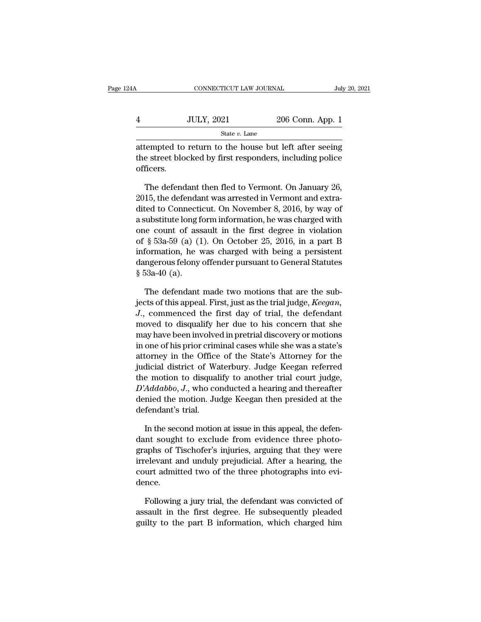| 24A | CONNECTICUT LAW JOURNAL |                  | July 20, 2021 |
|-----|-------------------------|------------------|---------------|
|     | <b>JULY, 2021</b>       | 206 Conn. App. 1 |               |
|     | State $v$ . Lane        |                  |               |

 $\begin{tabular}{ll} \multicolumn{2}{l}{{\text{conv6}}} & \multicolumn{2}{l}{\text{conv6}} & \multicolumn{2}{l}{\text{conv6}} & \multicolumn{2}{l}{\text{July 20, 2021}}\\ \multicolumn{2}{l}{\text{3}} & \multicolumn{2}{l}{\text{State }v$} & \multicolumn{2}{l}{\text{206 Conn. App. 1}}\\ \multicolumn{2}{l}{\text{State }v$} & \multicolumn{2}{l}{\text{State }v$} & \text{Lane} \\ \end{tabular}$  $\frac{1}{206}$   $\frac{1}{206}$   $\frac{1}{206}$   $\frac{1}{206}$   $\frac{1}{206}$   $\frac{1}{206}$   $\frac{1}{206}$   $\frac{1}{206}$   $\frac{1}{206}$   $\frac{1}{206}$   $\frac{1}{206}$   $\frac{1}{206}$   $\frac{1}{206}$   $\frac{1}{206}$   $\frac{1}{206}$   $\frac{1}{206}$   $\frac{1}{206}$   $\frac{1}{206}$   $\frac{1$ officers. State v. Lane<br>
State v. Lane<br>
tempted to return to the house but left after seeing<br>
e street blocked by first responders, including police<br>
ficers.<br>
The defendant then fled to Vermont. On January 26,<br>
15, the defendant wa

<sup>2015</sup> state *v*. Lane<br>
2016 attempted to return to the house but left after seeing<br>
2015, the defendant then fled to Vermont. On January 26,<br>
2015, the defendant was arrested in Vermont and extra-<br>
2015, the defendant wa attempted to return to the house but left after seeing<br>the street blocked by first responders, including police<br>officers.<br>The defendant then fled to Vermont. On January 26,<br>2015, the defendant was arrested in Vermont and e the street blocked by first responders, including police<br>officers.<br>The defendant then fled to Vermont. On January 26,<br>2015, the defendant was arrested in Vermont and extra-<br>dited to Connecticut. On November 8, 2016, by wa officers.<br>
The defendant then fled to Vermont. On January 26,<br>
2015, the defendant was arrested in Vermont and extra-<br>
dited to Connecticut. On November 8, 2016, by way of<br>
a substitute long form information, he was charg The defendant then fled to Vermont. On January 26,<br>2015, the defendant was arrested in Vermont and extra-<br>dited to Connecticut. On November 8, 2016, by way of<br>a substitute long form information, he was charged with<br>one cou The defendant then fied to vermont. On January 26,<br>2015, the defendant was arrested in Vermont and extra-<br>dited to Connecticut. On November 8, 2016, by way of<br>a substitute long form information, he was charged with<br>one co 2015, the derendant was arrested in vermont and extra-<br>dited to Connecticut. On November 8, 2016, by way of<br>a substitute long form information, he was charged with<br>one count of assault in the first degree in violation<br>of dited to Connecti<br>a substitute long f<br>one count of ass<br>of § 53a-59 (a) (1<br>information, he v<br>dangerous felony<br>§ 53a-40 (a).<br>The defendant Eq. of assault in the first degree in violation  $\S$  53a-59 (a) (1). On October 25, 2016, in a part B formation, he was charged with being a persistent ngerous felony offender pursuant to General Statutes 53a-40 (a).<br>The d of § 53a-59 (a) (1). On October 25, 2016, in a part B<br>information, he was charged with being a persistent<br>dangerous felony offender pursuant to General Statutes<br>§ 53a-40 (a).<br>The defendant made two motions that are the sub

information, he was charged with being a persistent<br>dangerous felony offender pursuant to General Statutes<br>§ 53a-40 (a).<br>The defendant made two motions that are the sub-<br>jects of this appeal. First, just as the trial judge dangerous felony offender pursuant to General Statutes<br>
§ 53a-40 (a).<br>
The defendant made two motions that are the sub-<br>
jects of this appeal. First, just as the trial judge, *Keegan*,<br> *J.*, commenced the first day of tr § 53a-40 (a).<br>The defendant made two motions that are the sub-<br>jects of this appeal. First, just as the trial judge, *Keegan*,<br>J., commenced the first day of trial, the defendant<br>moved to disqualify her due to his concern The defendant made two motions that are the sub-<br>jects of this appeal. First, just as the trial judge, *Keegan*,<br>J., commenced the first day of trial, the defendant<br>moved to disqualify her due to his concern that she<br>may h The detendant made two motions that are the sub-<br>jects of this appeal. First, just as the trial judge, *Keegan*,<br>J., commenced the first day of trial, the defendant<br>moved to disqualify her due to his concern that she<br>may h jects of this appeal. First, just as the trial judge, *Reegan*,<br>*J.*, commenced the first day of trial, the defendant<br>moved to disqualify her due to his concern that she<br>may have been involved in pretrial discovery or moti J., commenced the first day of trial, the defendant<br>moved to disqualify her due to his concern that she<br>may have been involved in pretrial discovery or motions<br>in one of his prior criminal cases while she was a state's<br>at moved to disquality her due to his concern that she<br>may have been involved in pretrial discovery or motions<br>in one of his prior criminal cases while she was a state's<br>attorney in the Office of the State's Attorney for the<br> may nave been involved in pretrial discovery or motions<br>in one of his prior criminal cases while she was a state's<br>attorney in the Office of the State's Attorney for the<br>judicial district of Waterbury. Judge Keegan referre in one of nis prior crimattorney in the Office<br>judicial district of Wathe motion to disqual<br> $D'Addabbo, J.,$  who codenied the motion. Ju<br>defendant's trial.<br>In the second motion dicial district of Waterbury. Judge Keegan referred<br>
e motion to disqualify to another trial court judge,<br>
Addabbo, J., who conducted a hearing and thereafter<br>
mied the motion. Judge Keegan then presided at the<br>
fendant's the motion to disqualify to another trial court judge,  $D'Addabbo$ ,  $J$ , who conducted a hearing and thereafter denied the motion. Judge Keegan then presided at the defendant's trial.<br>In the second motion at issue in this app

 $D'Addabbo, J.,$  who conducted a hearing and thereafter<br>denied the motion. Judge Keegan then presided at the<br>defendant's trial.<br>In the second motion at issue in this appeal, the defen-<br>dant sought to exclude from evidence three denied the motion. Judge Keegan then presided at the<br>defendant's trial.<br>In the second motion at issue in this appeal, the defen-<br>dant sought to exclude from evidence three photo-<br>graphs of Tischofer's injuries, arguing tha defendant's trial.<br>In the second motion at issue in this appeal, the defendant sought to exclude from evidence three photographs of Tischofer's injuries, arguing that they were<br>irrelevant and unduly prejudicial. After a he dence. In the sought to exclude from evidence three photo-<br>aphs of Tischofer's injuries, arguing that they were<br>elevant and unduly prejudicial. After a hearing, the<br>urt admitted two of the three photographs into evi-<br>nce.<br>Followi graphs of Tischofer's injuries, arguing that they were<br>irrelevant and unduly prejudicial. After a hearing, the<br>court admitted two of the three photographs into evi-<br>dence.<br>Following a jury trial, the defendant was convicte

irrelevant and unduly prejudicial. After a hearing, the court admitted two of the three photographs into evidence.<br>Following a jury trial, the defendant was convicted of assault in the first degree. He subsequently pleaded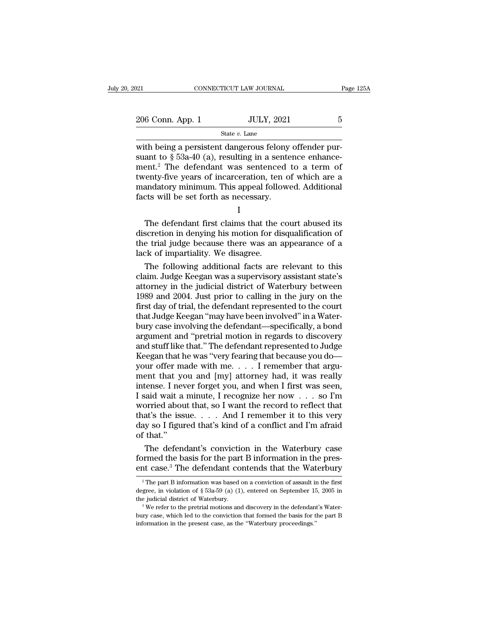State *v.* Lane

METRICUT LAW JOURNAL<br>
206 Conn. App. 1 JULY, 2021 5<br>
31 State v. Lane<br>
206 Conn. App. 1 JULY, 2021 5<br>
32 State v. Lane<br>
200 State v. Lane<br>
200 State v. Lane<br>
200 State v. Lane<br>
200 State v. Lane<br>
200 State v. Lane<br>
200 St 206 Conn. App. 1 JULY, 2021 5<br>State v. Lane<br>with being a persistent dangerous felony offender pursuant to § 53a-40 (a), resulting in a sentence enhance-<br>ment.<sup>2</sup> The defendant was sentenced to a term of<br>twenty-five years 206 Conn. App. 1 JULY, 2021 5<br>
State v. Lane<br>
with being a persistent dangerous felony offender pursuant to § 53a-40 (a), resulting in a sentence enhance-<br>
ment.<sup>2</sup> The defendant was sentenced to a term of<br>
twenty-five ye 206 Conn. App. 1 JULY, 2021 5<br>
State v. Lane<br>
with being a persistent dangerous felony offender pursuant to § 53a-40 (a), resulting in a sentence enhance-<br>
ment.<sup>2</sup> The defendant was sentenced to a term of<br>
twenty-five ye State v. Lane<br>
with being a persistent dangerous felony offender pursuant to § 53a-40 (a), resulting in a sentence enhance-<br>
ment.<sup>2</sup> The defendant was sentenced to a term of<br>
twenty-five years of incarceration, ten of wh with being a persistent dangerous felony offender pursuant to  $\S$  53a-40 (a), resulting in a sentence enhancement.<sup>2</sup> The defendant was sentenced to a term of twenty-five years of incarceration, ten of which are a mandato and to  $\frac{1}{8}$  os  $\frac{1}{3}$  and  $\frac{1}{10}$ . The defendant was sentenced to a term of enty-five years of incarceration, ten of which are a andatory minimum. This appeal followed. Additional cts will be set forth as neces

|--|

ment. The defendant was sentenced to a term of<br>twenty-five years of incarceration, ten of which are a<br>mandatory minimum. This appeal followed. Additional<br>facts will be set forth as necessary.<br>I<br>The defendant first claims t twenty-five years of incarceration, ten of which are a<br>mandatory minimum. This appeal followed. Additional<br>facts will be set forth as necessary.<br>I<br>The defendant first claims that the court abused its<br>discretion in denying manuatory nummunt. This appear fold<br>facts will be set forth as necessary.<br>I<br>The defendant first claims that the discretion in denying his motion for di<br>the trial judge because there was an a<br>lack of impartiality. We disagr I<br>
The defendant first claims that the court abused its<br>
scretion in denying his motion for disqualification of<br>
e trial judge because there was an appearance of a<br>
ck of impartiality. We disagree.<br>
The following additiona The defendant first claims that the court abused its<br>discretion in denying his motion for disqualification of<br>the trial judge because there was an appearance of a<br>lack of impartiality. We disagree.<br>The following additional

The defendant first claims that the court abused its<br>discretion in denying his motion for disqualification of<br>the trial judge because there was an appearance of a<br>lack of impartiality. We disagree.<br>The following additional discretion in denying his motion for disqualification of<br>the trial judge because there was an appearance of a<br>lack of impartiality. We disagree.<br>The following additional facts are relevant to this<br>claim. Judge Keegan was a the trial judge because there was an appearance of a<br>lack of impartiality. We disagree.<br>The following additional facts are relevant to this<br>claim. Judge Keegan was a supervisory assistant state's<br>attorney in the judicial d lack of impartiality. We disagree.<br>The following additional facts are relevant to this<br>claim. Judge Keegan was a supervisory assistant state's<br>attorney in the judicial district of Waterbury between<br>1989 and 2004. Just prio The following additional facts are relevant to this<br>claim. Judge Keegan was a supervisory assistant state's<br>attorney in the judicial district of Waterbury between<br>1989 and 2004. Just prior to calling in the jury on the<br>fir claim. Judge Keegan was a supervisory assistant state's<br>attorney in the judicial district of Waterbury between<br>1989 and 2004. Just prior to calling in the jury on the<br>first day of trial, the defendant represented to the co attorney in the judicial district of Waterbury between<br>1989 and 2004. Just prior to calling in the jury on the<br>first day of trial, the defendant represented to the court<br>that Judge Keegan "may have been involved" in a Wate 1989 and 2004. Just prior to calling in the jury on the<br>first day of trial, the defendant represented to the court<br>that Judge Keegan "may have been involved" in a Water-<br>bury case involving the defendant—specifically, a b first day of trial, the defendant represented to the court<br>that Judge Keegan "may have been involved" in a Water-<br>bury case involving the defendant—specifically, a bond<br>argument and "pretrial motion in regards to discovery that Judge Keegan "may have been involved" in a Water-<br>bury case involving the defendant—specifically, a bond<br>argument and "pretrial motion in regards to discovery<br>and stuff like that." The defendant represented to Judge<br>K bury case involving the defendant—specifically, a bond<br>argument and "pretrial motion in regards to discovery<br>and stuff like that." The defendant represented to Judge<br>Keegan that he was "very fearing that because you do—<br>yo argument and "pretrial motion in regards to discovery<br>and stuff like that." The defendant represented to Judge<br>Keegan that he was "very fearing that because you do—<br>your offer made with me. . . . I remember that argu-<br>ment and stuff like that." The defendant represented to Judge<br>Keegan that he was "very fearing that because you do—<br>your offer made with me. . . . I remember that argu-<br>ment that you and [my] attorney had, it was really<br>intens Keegan that he was "very fearing that because you do—your offer made with me. . . . I remember that argument that you and [my] attorney had, it was really intense. I never forget you, and when I first was seen, I said wai your offer made with me. . . . I remember that argument that you and [my] attorney had, it was really intense. I never forget you, and when I first was seen, I said wait a minute, I recognize her now . . . so I'm worried ment that you<br>intense. I nev<br>I said wait a<br>worried abou<br>that's the iss<br>day so I figuu<br>of that.''<br>The defen tense. I never forget you, and when I first was seen,<br>said wait a minute, I recognize her now . . . so I'm<br>prried about that, so I want the record to reflect that<br>at's the issue. . . . And I remember it to this very<br>y so I said wait a minute, I recognize her now  $\dots$  so I'm<br>worried about that, so I want the record to reflect that<br>that's the issue.  $\dots$  And I remember it to this very<br>day so I figured that's kind of a conflict and I'm afrai worried about that, so I want the record to reflect that<br>that's the issue.... And I remember it to this very<br>day so I figured that's kind of a conflict and I'm afraid<br>of that."<br>The defendant's conviction in the Waterbury

The defendant's conviction in the Waterbury case<br>prmed the basis for the part B information in the pres-<br>at case.<sup>3</sup> The defendant contends that the Waterbury<br><sup>2</sup> The part B information was based on a conviction of assaul The defendant's conviction in the Waterbury case<br>formed the basis for the part B information in the pres-<br>ent case.<sup>3</sup> The defendant contends that the Waterbury<br> $\frac{1}{2}$  The part B information was based on a conviction o

formed the basis for the part B information in the present case.<sup>3</sup> The defendant contends that the Waterbury  $\frac{1}{2}$  The part B information was based on a conviction of assault in the first degree, in violation of  $\S$ 

<sup>&</sup>lt;sup>2</sup> The Referred The Convertion strict the Waterbury<br><sup>2</sup> The part B information was based on a conviction of assault in the first<br>degree, in violation of § 53a-59 (a) (1), entered on September 15, 2005 in<br>the judicial dis <sup>2</sup> The part B information was based on a conviction of assault in degree, in violation of  $\S$  53a-59 (a) (1), entered on September 15 the judicial district of Waterbury.<br><sup>3</sup> We refer to the pretrial motions and discovery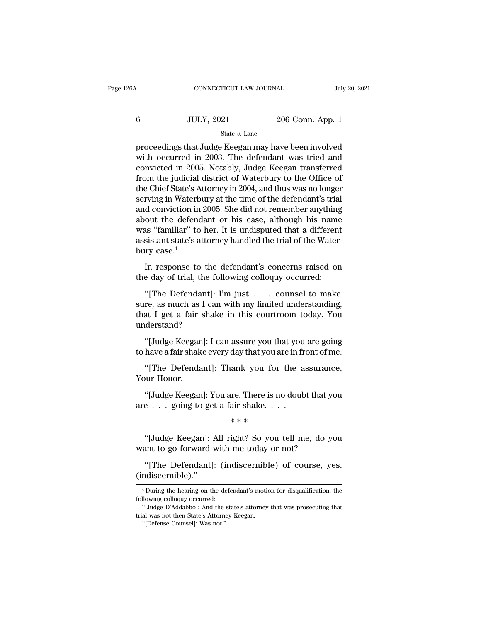| 6A | CONNECTICUT LAW JOURNAL |                  | July 20, 2021 |
|----|-------------------------|------------------|---------------|
|    | <b>JULY, 2021</b>       | 206 Conn. App. 1 |               |
|    | State $v$ . Lane        |                  |               |

FROMMETICUT LAW JOURNAL July 20, 2021<br>
State v. Lane<br>
Proceedings that Judge Keegan may have been involved<br>
with occurred in 2003. The defendant was tried and<br>
approached in 2005. Notebly, Judge Keegan transformed  $\noindent\hfill\text{JULY, 2021}\quad\hfill\text{206 Conn. App. 1}\n\hfill\text{State }v.\text{ Lane}\n\text{proceedings that Judge Keegan may have been involved with occurred in 2003. The defendant was tried and convinced in 2005. Notably, Judge Keegan transferred from the indicial district of Waterbury to the Offica of the system.}$  $\frac{\text{G}}{\text{State } v. \text{ Lane}}$ <br>  $\frac{\text{State } v. \text{ Lane}}{\text{proceedings that Judge Keegan may have been involved}}$ <br>
with occurred in 2003. The defendant was tried and convicted in 2005. Notably, Judge Keegan transferred<br>
from the judicial district of Waterbury to the Office of<br>
t  $f_{\text{state } v. \text{ Lane}}$ <br>  $\frac{\text{State } v. \text{ Lane}}{\text{proceedings that Judge Keegan may have been involved}}$ <br>
with occurred in 2003. The defendant was tried and<br>
convicted in 2005. Notably, Judge Keegan transferred<br>
from the judicial district of Waterbury to the Office of<br>
the C State  $v$ . Lane<br>proceedings that Judge Keegan may have been involved<br>with occurred in 2003. The defendant was tried and<br>convicted in 2005. Notably, Judge Keegan transferred<br>from the judicial district of Waterbury to the O state v. Lane<br>proceedings that Judge Keegan may have been involved<br>with occurred in 2003. The defendant was tried and<br>convicted in 2005. Notably, Judge Keegan transferred<br>from the judicial district of Waterbury to the Off proceedings that Judge Keegan may have been involved<br>with occurred in 2003. The defendant was tried and<br>convicted in 2005. Notably, Judge Keegan transferred<br>from the judicial district of Waterbury to the Office of<br>the Chie with occurred in 2003. The defendant was tried and<br>convicted in 2005. Notably, Judge Keegan transferred<br>from the judicial district of Waterbury to the Office of<br>the Chief State's Attorney in 2004, and thus was no longer<br>se convicted in 2005. Notably, Judge Keegan transferred<br>from the judicial district of Waterbury to the Office of<br>the Chief State's Attorney in 2004, and thus was no longer<br>serving in Waterbury at the time of the defendant's t from the judicial district of Waterbury to the Office of<br>the Chief State's Attorney in 2004, and thus was no longer<br>serving in Waterbury at the time of the defendant's trial<br>and conviction in 2005. She did not remember any the Chief State's A<br>serving in Waterb<br>and conviction in<br>about the defenc<br>was "familiar" to<br>assistant state's a<br>bury case.<sup>4</sup><br>In response to If the defendant of the defendant of the defendant of the defendant of the defendant or his case, although his name as "familiar" to her. It is undisputed that a different sistant state's attorney handled the trial of the about the defendant or his case, although his name<br>was "familiar" to her. It is undisputed that a different<br>assistant state's attorney handled the trial of the Water-<br>bury case.<sup>4</sup><br>In response to the defendant's concerns as "familiar" to her. It is undisputed that a different<br>sistant state's attorney handled the trial of the Water-<br>rry case.<sup>4</sup><br>In response to the defendant's concerns raised on<br>e day of trial, the following colloquy occurre

assistant state's attorney nandled the trial of the Water-<br>bury case.<sup>4</sup><br>In response to the defendant's concerns raised on<br>the day of trial, the following colloquy occurred:<br>"[The Defendant]: I'm just . . . counsel to make bury case."<br>In response to the defendant's concerns raised on<br>the day of trial, the following colloquy occurred:<br>"[The Defendant]: I'm just . . . counsel to make<br>sure, as much as I can with my limited understanding,<br>that I understand? e day of trial, the following colloquy occurred:<br>"[The Defendant]: I'm just . . . counsel to make<br>re, as much as I can with my limited understanding,<br>at I get a fair shake in this courtroom today. You<br>derstand?<br>"[Judge Kee "[The Defendant]: I'm just . . . counsel to make<br>sure, as much as I can with my limited understanding,<br>that I get a fair shake in this courtroom today. You<br>understand?<br>"[Judge Keegan]: I can assure you that you are going<br>t re, as much as I can with my limited understanding,<br>at I get a fair shake in this courtroom today. You<br>derstand?<br>"[Judge Keegan]: I can assure you that you are going<br>have a fair shake every day that you are in front of me.

that I get a fair :<br>understand?<br>"[Judge Keegan<br>to have a fair shak<br>"[The Defenda<br>Your Honor.<br>"[Judge Keegan "[Judge Keegan]: I can assure you that you are going<br>have a fair shake every day that you are in front of me.<br>"[The Defendant]: Thank you for the assurance,<br>uur Honor.<br>"[Judge Keegan]: You are. There is no doubt that you<br>e

"[Judge Keegan]: I can assure you that you<br>to have a fair shake every day that you are in fr<br>"[The Defendant]: Thank you for the a<br>Your Honor.<br>"[Judge Keegan]: You are. There is no doub<br>are  $\dots$  going to get a fair shake. ank you for<br>re. There is no<br>air shake. . .<br>\* \* \*<br>ight? So you

%)<br>
"[Judge Keegan]: You are. There is no doubt that you<br>
e . . . going to get a fair shake. . . .<br>
\*\*\*<br>
"[Judge Keegan]: All right? So you tell me, do you<br>
ant to go forward with me today or not? "[Judge Keegan]: You are. There is no doubt that y<br>are . . . going to get a fair shake. . . .<br>\*\*\*<br>"[Judge Keegan]: All right? So you tell me, do y<br>want to go forward with me today or not?<br>"[The Defendant]: (indiscernible)

e . . . going to get a fair shake. . . .<br>
\* \* \*<br>
"[Judge Keegan]: All right? So you tell me, do you<br>
ant to go forward with me today or not?<br>
"[The Defendant]: (indiscernible) of course, yes,<br>
"Miscernible)."

(indiscernible).'' ant to go forward with me today or not?<br>
"[The Defendant]: (indiscernible) of course, yes,<br>
mdiscernible)."<br>
"During the hearing on the defendant's motion for disqualification, the<br>
llowing colloquy occurred: "[The Defendant]: (in<br>
(indiscernible)."<br>
"During the hearing on the def<br>
following colloquy occurred:<br>
"[Judge D'Addabbo]: And the s "[The Defendant]: (indiscernible) of course, yes,<br>ndiscernible)."<br>"During the hearing on the defendant's motion for disqualification, the<br>llowing colloquy occurred:<br>"[Judge D'Addabbo]: And the state's attorney that was pro

<sup>(</sup>indiscernible)."<br>
<sup>4</sup> During the hearing on the defendant's motic<br>
following colloquy occurred:<br>
"[Judge D'Addabbo]: And the state's attorney<br>
trial was not then State's Attorney Keegan.<br>"[Defense Counsel]: Was not." <sup>4</sup> During the hearing on the defluoring colloquy occurred:<br>''[Judge D'Addabbo]: And the al was not then State's Attorne<br>''[Defense Counsel]: Was not.''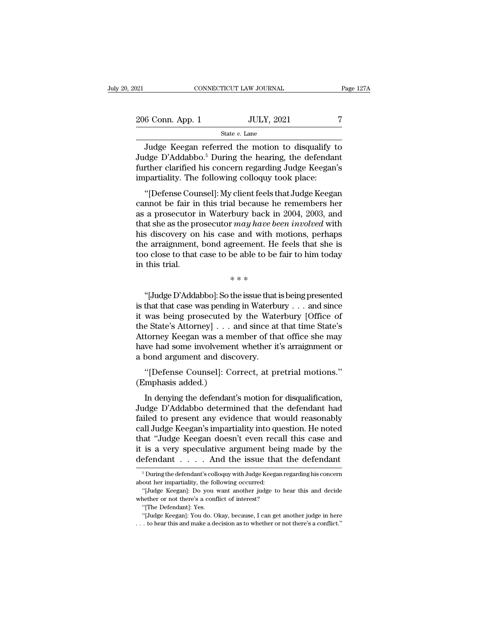| :021             | CONNECTICUT LAW JOURNAL | Page 127A |
|------------------|-------------------------|-----------|
| 206 Conn. App. 1 | <b>JULY, 2021</b>       | 7         |
|                  | State $v$ . Lane        |           |

CONNECTICUT LAW JOURNAL Page 127A<br>
6 Conn. App. 1 JULY, 2021 7<br>
State v. Lane<br>
Judge Keegan referred the motion to disqualify to<br>
dge D'Addabbo.<sup>5</sup> During the hearing, the defendant<br>
ther clerified bis concern regarding Ju  $\frac{206 \text{ Conn. App. 1}}{\text{State } v. \text{ Lane}}$ <br>State v. Lane<br>Judge Keegan referred the motion to disqualify to<br>Judge D'Addabbo.<sup>5</sup> During the hearing, the defendant<br>further clarified his concern regarding Judge Keegan's<br>impartiality. The Further clarified his concern regarding Judge ( $\frac{1}{\sqrt{2}}$  and  $\frac{1}{\sqrt{2}}$  and  $\frac{1}{\sqrt{2}}$  and  $\frac{1}{\sqrt{2}}$  and  $\frac{1}{\sqrt{2}}$  and  $\frac{1}{\sqrt{2}}$  are  $\frac{1}{\sqrt{2}}$  and  $\frac{1}{\sqrt{2}}$  are  $\frac{1}{\sqrt{2}}$  and  $\frac{1}{\sqrt{2}}$  are  $\frac{$  $\begin{array}{r} \text{206 Conn. App. 1} \text{354} \text{364} \text{575} \end{array}$   $\begin{array}{r} \text{364} \\ \text{374} \text{485} \end{array}$   $\begin{array}{r} \text{384} \\ \text{384} \text{485} \end{array}$   $\begin{array}{r} \text{384} \\ \text{494} \text{485} \end{array}$   $\begin{array}{r} \text{404} \\ \text{505} \end{array}$   $\begin{array}{r} \text{501} \\ \text{510} \text{485} \$ State v. Lane<br>
Judge Keegan referred the motion to disqualify to<br>
dge D'Addabbo.<sup>5</sup> During the hearing, the defendant<br>
orther clarified his concern regarding Judge Keegan's<br>
partiality. The following colloquy took place:<br> Judge Keegan referred the motion to disqualify to<br>Judge D'Addabbo.<sup>5</sup> During the hearing, the defendant<br>further clarified his concern regarding Judge Keegan's<br>impartiality. The following colloquy took place:<br>"[Defense Cou

Judge D'Addabbo.<sup>5</sup> During the hearing, the defendant further clarified his concern regarding Judge Keegan's impartiality. The following colloquy took place:<br>
"[Defense Counsel]: My client feels that Judge Keegan cannot b Further clarified his concern regarding Judge Keegan's<br>impartiality. The following colloquy took place:<br>"[Defense Counsel]: My client feels that Judge Keegan<br>cannot be fair in this trial because he remembers her<br>as a prose impartiality. The following colloquy took place:<br>
"[Defense Counsel]: My client feels that Judge Keegan<br>
cannot be fair in this trial because he remembers her<br>
as a prosecutor in Waterbury back in 2004, 2003, and<br>
that she "[Defense Counsel]: My client feels that Judge Keegan<br>cannot be fair in this trial because he remembers her<br>as a prosecutor in Waterbury back in 2004, 2003, and<br>that she as the prosecutor *may have been involved* with<br>his "[Defense Counsel]: My client feels that Judge Keegan cannot be fair in this trial because he remembers her as a prosecutor in Waterbury back in 2004, 2003, and that she as the prosecutor  $may \ have\ been\ involved$  with his discovery on h cannot be fair in<br>as a prosecutor<br>that she as the pr<br>his discovery on<br>the arraignment,<br>too close to that<br>in this trial.  $x \cdot may$  have been  $x \cdot may$  have been  $y \cdot \text{base}$  the system of  $x \cdot * * *$ <br>the issue that is So discovery on his case and with motions, perhaps<br>
e arraignment, bond agreement. He feels that she is<br>
co close to that case to be able to be fair to him today<br>
this trial.<br>
\*\*\*<br>
"[Judge D'Addabbo]: So the issue that is

the arraignment, bond agreement. He feels that she is<br>too close to that case to be able to be fair to him today<br>in this trial.<br> $***$ <br>"[Judge D'Addabbo]: So the issue that is being presented<br>is that that case was pending in W too close to that case to be able to be fair to him today<br>in this trial.<br>\*\*\*<br>"[Judge D'Addabbo]: So the issue that is being presented<br>is that that case was pending in Waterbury . . . and since<br>it was being prosecuted by th \*\*\*<br>"[Judge D'Addabbo]: So the issue that is being presented<br>is that that case was pending in Waterbury . . . and since<br>it was being prosecuted by the Waterbury [Office of<br>the State's Attorney] . . . and since at that time  $**$ <br>
"[Judge D'Addabbo]: So the issue that is being presented<br>
is that that case was pending in Waterbury . . . and since<br>
it was being prosecuted by the Waterbury [Office of<br>
the State's Attorney] . . . and since at that "[Judge D'Addabbo]: So the issue that is being presented<br>is that that case was pending in Waterbury . . . and since<br>it was being prosecuted by the Waterbury [Office of<br>the State's Attorney] . . . and since at that time St "[Judge D'Addabbo]: So the issue that<br>is that that case was pending in Waterbu<br>it was being prosecuted by the Water<br>the State's Attorney] . . . and since at<br>Attorney Keegan was a member of tha<br>have had some involvement whe The Was being prosecuted by the Waterbury  $\ldots$  and since was being prosecuted by the Waterbury [Office of e State's Attorney]  $\ldots$  and since at that time State's torney Keegan was a member of that office she may we had It was being prosecuted b<br>the State's Attorney] . . . a<br>Attorney Keegan was a me<br>have had some involvement<br>a bond argument and disco<br>"[Defense Counsel]: Co:<br>(Emphasis added.)<br>In denying the defendant' torney Keegan was a member of that office she may<br>we had some involvement whether it's arraignment or<br>bond argument and discovery.<br>"[Defense Counsel]: Correct, at pretrial motions."<br>mphasis added.)<br>In denying the defendant

have had some involvement whether it's arraignment or<br>a bond argument and discovery.<br>"[Defense Counsel]: Correct, at pretrial motions."<br>(Emphasis added.)<br>In denying the defendant's motion for disqualification,<br>Judge D'Adda a bond argument and discovery.<br>
"[Defense Counsel]: Correct, at pretrial motions."<br>
(Emphasis added.)<br>
In denying the defendant's motion for disqualification,<br>
Judge D'Addabbo determined that the defendant had<br>
failed to p "[Defense Counsel]: Correct, at pretrial motions."<br>(Emphasis added.)<br>In denying the defendant's motion for disqualification,<br>Judge D'Addabbo determined that the defendant had<br>failed to present any evidence that would reaso (Emphasis added.)<br>
In denying the defendant's motion for disqualification,<br>
Judge D'Addabbo determined that the defendant had<br>
failed to present any evidence that would reasonably<br>
call Judge Keegan's impartiality into que In denying the defendant's motion for disqualification,<br>Judge D'Addabbo determined that the defendant had<br>failed to present any evidence that would reasonably<br>call Judge Keegan's impartiality into question. He noted<br>that In denying the defendant's motion for disqualification,<br>Judge D'Addabbo determined that the defendant had<br>failed to present any evidence that would reasonably<br>call Judge Keegan's impartiality into question. He noted<br>that all Judge Keegan's impartiality into question. He noted<br>iat "Judge Keegan doesn't even recall this case and<br>is a very speculative argument being made by the<br>efendant . . . . . And the issue that the defendant<br> $\frac{5}{5}$  Du that "Judge Keegan doesn't even rec:<br>it is a very speculative argument bei<br>defendant . . . . And the issue that<br> $\frac{1}{100}$ <br> $\frac{1}{100}$ <br> $\frac{1}{100}$  the following occurred:<br>"[Judge Keegan]: Do you want another judge to is a very speculative argument being made by the efendant  $\ldots$ . And the issue that the defendant  $^5$ During the defendant's colloquy with Judge Keegan regarding his concern out her impartiality, the following occurred: "

defendant . . . . And the issue that<br>
<sup>5</sup> During the defendant's colloquy with Judge Keegan a<br>
about her impartiality, the following occurred:<br>
"[Judge Keegan]: Do you want another judge to b<br>
whether or not there's a conf <sup>5</sup> During the defendant's collo<br>
<sup>5</sup> During the defendant's collo<br>
"[Judge Keegan]: Do you v<br>
nether or not there's a confl<br>
"[The Defendant]: Yes.<br>"[Judge Keegan]: You do. Ol  $\,^5$  During the defendant's colloquy with Judge Keegan regarding his concern<br>out her impartiality, the following occurred:<br>"[Judge Keegan]: Do you want another judge to hear this and decide<br>ether or not there's a confli % about her impartiality, the following occurred:<br>
"[Judge Keegan]: Do you want another judge to hear this and decide<br>
whether or not there's a conflict of interest?<br>
"[The Defendant]: Yes.<br>
"[Judge Keegan]: You do. Okay,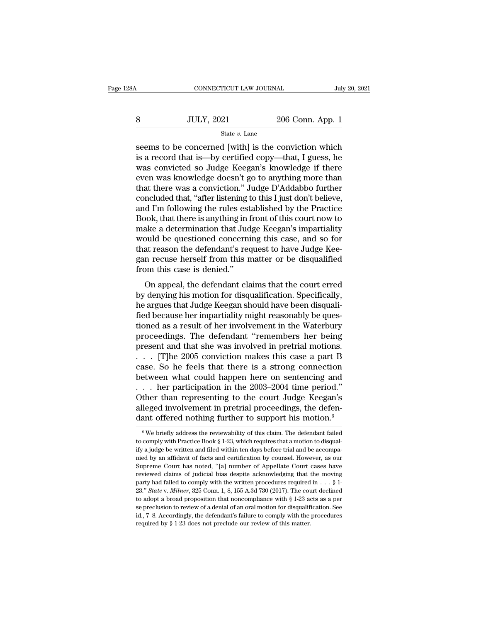| 8Α | CONNECTICUT LAW JOURNAL |                  | July 20, 2021 |
|----|-------------------------|------------------|---------------|
|    | <b>JULY, 2021</b>       | 206 Conn. App. 1 |               |
|    | State $v$ . Lane        |                  |               |

 $\begin{array}{lll}\n & \text{COMRECTICUT LAW JOURNAL} & \text{July 20, 2021} \\
8 & \text{JULY, 2021} & \text{206 Conn. App. 1} \\
 \hline\n & \text{State } v. \text{ Lane} \\
 \text{seems to be concerned [with] is the conviction which} \\
 \text{is a record that is—by certified copy—that, I guess, he} \\
 \text{was convinced so Judge Koosov's knowledge, if there} \end{array}$  $\n \begin{array}{ll}\n 3 & \text{JULY, } 2021 & \text{206 Conn. App. 1} \\
 \hline\n \text{State } v. \text{ Lane} \\
 \text{seems to be concerned [with] is the conviction which} \\
 \text{is a record that is—by certified copy—that, I guess, he} \\
 \text{was convicted so Judge Keegan's knowledge if there} \\
 \text{even was knowledge doesn't go to anything more than} \\
 \end{array}$ WE SET AND STRING SUPPLE 2006 Conn. App. 1<br>
State v. Lane<br>
Seems to be concerned [with] is the conviction which<br>
is a record that is—by certified copy—that, I guess, he<br>
was convicted so Judge Keegan's knowledge if there<br> Sumplem was knowledge doesn't go to anything to the series of the series of that is a record that is —by certified copy—that, I guess, he was convicted so Judge Keegan's knowledge if there even was knowledge doesn't go to State v. Lane<br>
State v. Lane<br>
State v. Lane<br>
State v. Lane<br>
State v. Lane<br>
State v. Lane<br>
State v. Lane<br>
State v. Lane<br>
State v. Lane<br>
State conviction.'' Judge D'Addabbo further<br>
even was knowledge doesn't go to anything state v. Lane<br>seems to be concerned [with] is the conviction which<br>is a record that is—by certified copy—that, I guess, he<br>was convicted so Judge Keegan's knowledge if there<br>even was knowledge doesn't go to anything more seems to be concerned [with] is the conviction which<br>is a record that is—by certified copy—that, I guess, he<br>was convicted so Judge Keegan's knowledge if there<br>even was knowledge doesn't go to anything more than<br>that there is a record that is—by certified copy—that, I guess, he<br>was convicted so Judge Keegan's knowledge if there<br>even was knowledge doesn't go to anything more than<br>that there was a conviction." Judge D'Addabbo further<br>concluded was convicted so Judge Keegan's knowledge if there<br>even was knowledge doesn't go to anything more than<br>that there was a conviction." Judge D'Addabbo further<br>concluded that, "after listening to this I just don't believe,<br>an even was knowledge doesn't go to anything more than<br>that there was a conviction." Judge D'Addabbo further<br>concluded that, "after listening to this I just don't believe,<br>and I'm following the rules established by the Practi that there was a conviction." Judge D'Addabbo further concluded that, "after listening to this I just don't believe, and I'm following the rules established by the Practice Book, that there is anything in front of this cou concluded that, "after listening to this I just don't believe,<br>and I'm following the rules established by the Practice<br>Book, that there is anything in front of this court now to<br>make a determination that Judge Keegan's imp and I'm following the rules est<br>Book, that there is anything in 1<br>make a determination that Jud<br>would be questioned concerni<br>that reason the defendant's rec<br>gan recuse herself from this n<br>from this case is denied."<br>On appe For a determination that Judge Keegan's impartiality<br>alse a determination that Judge Keegan's impartiality<br>ould be questioned concerning this case, and so for<br>at reason the defendant's request to have Judge Kee-<br>n recuse h make a determination that sudge Reegar's impartanty<br>would be questioned concerning this case, and so for<br>that reason the defendant's request to have Judge Kee-<br>gan recuse herself from this matter or be disqualified<br>from th

would be questioned concerning this case, and so for<br>that reason the defendant's request to have Judge Kee-<br>gan recuse herself from this matter or be disqualified<br>from this case is denied."<br>On appeal, the defendant claims field reason the detendant sincle is to have stuge rec-<br>gan recuse herself from this matter or be disqualified<br>from this case is denied."<br>On appeal, the defendant claims that the court erred<br>by denying his motion for disqu gan recuse nersen nont ans matter or be usquanned<br>from this case is denied."<br>On appeal, the defendant claims that the court erred<br>by denying his motion for disqualification. Specifically,<br>he argues that Judge Keegan should From this case is defied.<br>
On appeal, the defendant claims that the court erred<br>
by denying his motion for disqualification. Specifically,<br>
he argues that Judge Keegan should have been disquali-<br>
fied because her impartial On appeal, the defendant claims that the court erred<br>by denying his motion for disqualification. Specifically,<br>he argues that Judge Keegan should have been disquali-<br>fied because her impartiality might reasonably be ques-<br> by denying his motion for disqualification. Specifically,<br>he argues that Judge Keegan should have been disquali-<br>fied because her impartiality might reasonably be ques-<br>tioned as a result of her involvement in the Waterbur he argues that Judge Keegan should have been disquali-<br>fied because her impartiality might reasonably be ques-<br>tioned as a result of her involvement in the Waterbury<br>proceedings. The defendant "remembers her being<br>present fied because her impartiality might reasonably be questioned as a result of her involvement in the Waterbury<br>proceedings. The defendant "remembers her being<br>present and that she was involved in pretrial motions.<br>. . . . [T tioned as a result of her involvement in the Waterbury<br>proceedings. The defendant "remembers her being<br>present and that she was involved in pretrial motions.<br> $\ldots$  [T]he 2005 conviction makes this case a part B<br>case. So h proceedings. The defendant "remembers her being<br>present and that she was involved in pretrial motions.<br>... [T]he 2005 conviction makes this case a part B<br>case. So he feels that there is a strong connection<br>between what co present and that she was involved in pretrial motions.<br>  $\ldots$  [T]he 2005 conviction makes this case a part B<br>
case. So he feels that there is a strong connection<br>
between what could happen here on sentencing and<br>  $\ldots$  he . . . [T]he 2005 conviction makes this case a part B case. So he feels that there is a strong connection between what could happen here on sentencing and . . . her participation in the 2003–2004 time period." Other than r ... her participation in the 2003–2004 time period."<br>Other than representing to the court Judge Keegan's<br>alleged involvement in pretrial proceedings, the defen-<br>dant offered nothing further to support his motion.<sup>6</sup><br> $\frac{1$ Other than representing to the court Judge Keegan's alleged involvement in pretrial proceedings, the defendant offered nothing further to support his motion.<sup>6</sup><br><sup>6</sup> We briefly address the reviewability of this claim. The

alleged involvement in pretrial proceedings, the defendant offered nothing further to support his motion.<sup>6</sup><br><sup>6</sup>We briefly address the reviewability of this claim. The defendant failed to comply with Practice Book § 1-23, dant offered nothing further to support his motion.<sup>6</sup><br>
<sup>6</sup> We briefly address the reviewability of this claim. The defendant failed<br>
to comply with Practice Book § 1-23, which requires that a motion to disqual-<br>
ify a ju We briefly address the reviewability of this claim. The defendant failed to comply with Practice Book § 1-23, which requires that a motion to disquality a judge be written and filed within ten days before trial and be acc <sup>6</sup> We briefly address the reviewability of this claim. The defendant failed to comply with Practice Book § 1-23, which requires that a motion to disquality a judge be written and filed within ten days before trial and be to comply with Practice Book § 1-23, which requires that a motion to disquality a judge be written and filed within ten days before trial and be accompanied by an affidavit of facts and certification by counsel. However, ify a judge be written and filed within ten days before trial and be accompa-<br>nied by an affidavit of facts and certification by counsel. However, as our<br>Supreme Court has noted, "[a] number of Appellate Court cases have<br> nied by an affidavit of facts and certification by counsel. However, as our Supreme Court has noted, "[a] number of Appellate Court cases have reviewed claims of judicial bias despite acknowledging that the moving party h Supreme Court has noted, "[a] number of Appellate Court cases have<br>reviewed claims of judicial bias despite acknowledging that the moving<br>party had failed to comply with the written procedures required in . . . § 1-<br>23." reviewed claims of judicial bias despite acknowledging that the moving party had failed to comply with the written procedures required in . . . § 1-23." *State v. Milner*, 325 Conn. 1, 8, 155 A.3d 730 (2017). The court de party had failed to comply with the written procedures required in  $\dots$  § 1-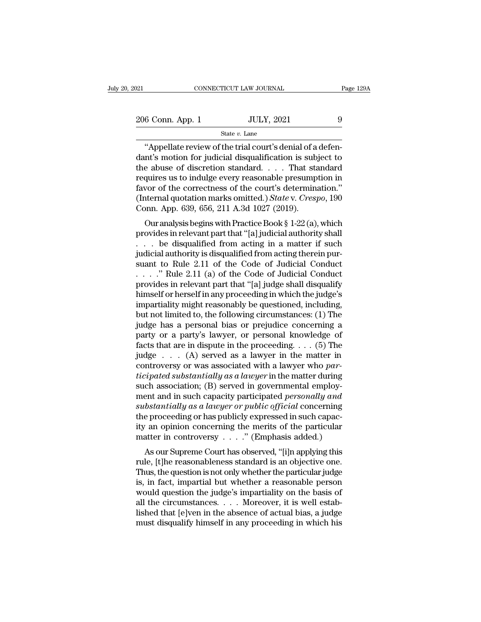State *v.* Lane

CONNECTICUT LAW JOURNAL<br>
6 Conn. App. 1 JULY, 2021 9<br>
State v. Lane<br>
"Appellate review of the trial court's denial of a defen-<br>
nt's motion for judicial disqualification is subject to 206 Conn. App. 1 JULY, 2021 9<br>
State v. Lane<br>
"Appellate review of the trial court's denial of a defendant's motion for judicial disqualification is subject to the abuse of discretion standard. . . . That standard require 206 Conn. App. 1 JULY, 2021 9<br>
State v. Lane<br>
"Appellate review of the trial court's denial of a defendant's motion for judicial disqualification is subject to the abuse of discretion standard. . . . That standard require 206 Conn. App. 1 UULY, 2021 9<br>
State v. Lane<br>
"Appellate review of the trial court's denial of a defendant's motion for judicial disqualification is subject to<br>
the abuse of discretion standard. . . . That standard<br>
requi State v. Lane<br>
"Appellate review of the trial court's denial of a defendant's motion for judicial disqualification is subject to<br>
the abuse of discretion standard. . . . That standard<br>
requires us to indulge every reasona <sup>State *v*. Lane<br>
"Appellate review of the trial court's denial of a defendant's motion for judicial disqualification is subject to<br>
the abuse of discretion standard. . . . That standard<br>
requires us to indulge every reaso</sup> "Appellate review of the trial court's denial of a<br>dant's motion for judicial disqualification is sub,<br>the abuse of discretion standard.... That sta<br>requires us to indulge every reasonable presump<br>favor of the correctness In s motion for judicial disqualification is subject to<br>e abuse of discretion standard. . . . That standard<br>quires us to indulge every reasonable presumption in<br>vor of the correctness of the court's determination."<br>ternal the abuse of discretion standard.  $\cdot \cdot \cdot$  That standard<br>requires us to indulge every reasonable presumption in<br>favor of the correctness of the court's determination."<br>(Internal quotation marks omitted.) *State* v. *Cresp* 

requires us to multige every reasonable presumption in<br>favor of the correctness of the court's determination."<br>(Internal quotation marks omitted.) State v. Crespo, 190<br>Conn. App. 639, 656, 211 A.3d 1027 (2019).<br>Our analys From the correctness of the court's determination.<br>
(Internal quotation marks omitted.) State v. Crespo, 190<br>
Conn. App. 639, 656, 211 A.3d 1027 (2019).<br>
Our analysis begins with Practice Book § 1-22 (a), which<br>
provides (internal quotation marks omitted.) state v. Crespo, 150<br>Conn. App. 639, 656, 211 A.3d 1027 (2019).<br>Our analysis begins with Practice Book § 1-22 (a), which<br>provides in relevant part that "[a] judicial authority shall<br> $\ld$ Confi. App. 059, 050, 211 A.5d 1027 (2019).<br>
Our analysis begins with Practice Book § 1-22 (a), which<br>
provides in relevant part that "[a] judicial authority shall<br>
. . . be disqualified from acting in a matter if such<br>
j Our analysis begins with Practice Book § 1-22 (a), which<br>provides in relevant part that "[a] judicial authority shall<br>... be disqualified from acting in a matter if such<br>judicial authority is disqualified from acting ther provides in relevant part that "[a] judicial authority shall<br>  $\dots$  be disqualified from acting in a matter if such<br>
judicial authority is disqualified from acting therein pur-<br>
suant to Rule 2.11 of the Code of Judicial C ... be disqualified from acting in a matter if such<br>judicial authority is disqualified from acting therein pur-<br>suant to Rule 2.11 of the Code of Judicial Conduct<br> $\ldots$ ..." Rule 2.11 (a) of the Code of Judicial Conduct<br>pr judicial authority is disqualified from acting therein pursuant to Rule 2.11 of the Code of Judicial Conduct<br>
. . . . " Rule 2.11 (a) of the Code of Judicial Conduct<br>
provides in relevant part that "[a] judge shall disqual suant to Rule 2.11 of the Code of Judicial Conduct<br>  $\ldots$   $\ldots$  " Rule 2.11 (a) of the Code of Judicial Conduct<br>
provides in relevant part that "[a] judge shall disqualify<br>
himself or herself in any proceeding in which th ...." Rule 2.11 (a) of the Code of Judicial Conduct<br>provides in relevant part that "[a] judge shall disqualify<br>himself or herself in any proceeding in which the judge's<br>impartiality might reasonably be questioned, includi provides in relevant part that "[a] judge shall disqualify<br>himself or herself in any proceeding in which the judge's<br>impartiality might reasonably be questioned, including,<br>but not limited to, the following circumstances: himself or herself in any proceeding in which the judge's<br>impartiality might reasonably be questioned, including,<br>but not limited to, the following circumstances: (1) The<br>judge has a personal bias or prejudice concerning impartiality might reasonably be questioned, including,<br>but not limited to, the following circumstances: (1) The<br>judge has a personal bias or prejudice concerning a<br>party or a party's lawyer, or personal knowledge of<br>fact but not limited to, the following circumstances: (1) The<br>judge has a personal bias or prejudice concerning a<br>party or a party's lawyer, or personal knowledge of<br>facts that are in dispute in the proceeding. . . . (5) The<br>ju judge has a personal bias or prejudice concerning a<br>party or a party's lawyer, or personal knowledge of<br>facts that are in dispute in the proceeding. . . . (5) The<br>judge . . . . (A) served as a lawyer in the matter in<br>cont party or a party's lawyer, or personal knowledge of<br>facts that are in dispute in the proceeding. . . . (5) The<br>judge . . . . (A) served as a lawyer in the matter in<br>controversy or was associated with a lawyer who *par-<br>ti* facts that are in dispute in the proceeding.  $\ldots$  (5) The judge  $\ldots$  (A) served as a lawyer in the matter in controversy or was associated with a lawyer who *participated substantially as a lawyer* in the matter during judge  $\ldots$  (A) served as a lawyer in the matter in controversy or was associated with a lawyer who *participated substantially as a lawyer* in the matter during such association; (B) served in governmental employment and controversy or was associated with a lawyer who *participated substantially as a lawyer* in the matter during such association; (B) served in governmental employment and in such capacity participated *personally and sub ticipated substantially as a lawyer* in the matter during<br>such association; (B) served in governmental employ-<br>ment and in such capacity participated *personally and*<br>substantially as a lawyer or public official concerni Let association, (B) served in governmental employ-<br>
and in such capacity participated *personally and*<br>
bstantially as a lawyer or public official concerning<br>
e proceeding or has publicly expressed in such capac-<br>
an opi rule, and in such capacity participated *personally and*<br>substantially as a lawyer or public official concerning<br>the proceeding or has publicly expressed in such capac-<br>ity an opinion concerning the merits of the particula

substituting as a targer or paotic official concerning<br>the proceeding or has publicly expressed in such capacity an opinion concerning the merits of the particular<br>matter in controversy  $\dots$ ." (Emphasis added.)<br>As our Sup the proceeding or has publicly expressed in such capacity an opinion concerning the merits of the particular<br>matter in controversy  $\ldots$ ." (Emphasis added.)<br>As our Supreme Court has observed, "[i]n applying this<br>rule, [t] We all optimol concerning the merits of the particular<br>matter in controversy  $\ldots$ ." (Emphasis added.)<br>As our Supreme Court has observed, "[i]n applying this<br>rule, [t]he reasonableness standard is an objective one.<br>Thus, As our Supreme Court has observed, "[i]n applying this<br>rule, [t]he reasonableness standard is an objective one.<br>Thus, the question is not only whether the particular judge<br>is, in fact, impartial but whether a reasonable p As our Supreme Court has observed, "[i]n applying this<br>rule, [t]he reasonableness standard is an objective one.<br>Thus, the question is not only whether the particular judge<br>is, in fact, impartial but whether a reasonable pe rule, [t]he reasonableness standard is an objective one.<br>Thus, the question is not only whether the particular judge<br>is, in fact, impartial but whether a reasonable person<br>would question the judge's impartiality on the bas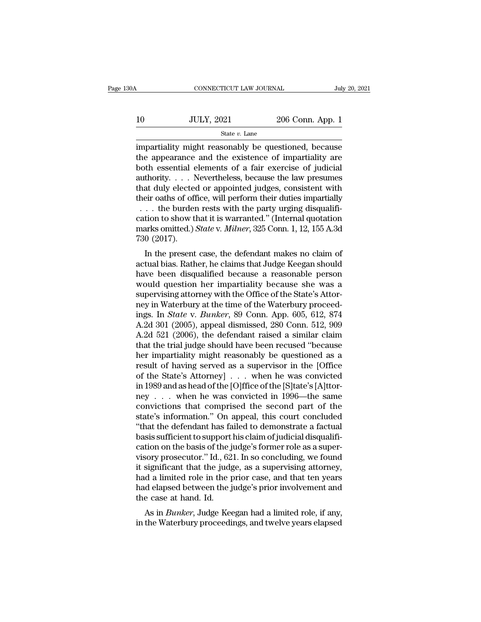|    | CONNECTICUT LAW JOURNAL |                  | July 20, 2021 |
|----|-------------------------|------------------|---------------|
| 10 | <b>JULY, 2021</b>       | 206 Conn. App. 1 |               |
|    | State $v$ . Lane        |                  |               |

CONNECTICUT LAW JOURNAL July 20, 2021<br>
10 JULY, 2021 206 Conn. App. 1<br>
State v. Lane<br>
impartiality might reasonably be questioned, because<br>
the appearance and the existence of impartiality are<br>
both ossential elements of 10 JULY, 2021 206 Conn. App. 1<br>
State v. Lane<br>
impartiality might reasonably be questioned, because<br>
the appearance and the existence of impartiality are<br>
both essential elements of a fair exercise of judicial<br>
authority 10 JULY, 2021 206 Conn. App. 1<br>
State v. Lane<br>
impartiality might reasonably be questioned, because<br>
the appearance and the existence of impartiality are<br>
both essential elements of a fair exercise of judicial<br>
authority. 10 JULY, 2021 206 Conn. App. 1<br>
state v. Lane<br>
impartiality might reasonably be questioned, because<br>
the appearance and the existence of impartiality are<br>
both essential elements of a fair exercise of judicial<br>
authority. State v. Lane<br>
impartiality might reasonably be questioned, because<br>
the appearance and the existence of impartiality are<br>
both essential elements of a fair exercise of judicial<br>
authority.... Nevertheless, because the la State v. Lane<br>
impartiality might reasonably be questioned, because<br>
the appearance and the existence of impartiality are<br>
both essential elements of a fair exercise of judicial<br>
authority.... Nevertheless, because the la mpartiality might reasonably be questioned, because<br>he appearance and the existence of impartiality are<br>ooth essential elements of a fair exercise of judicial<br>uthority....Nevertheless, because the law presumes<br>hat duly el the appearance and the existence of impartiality are<br>both essential elements of a fair exercise of judicial<br>authority....Nevertheless, because the law presumes<br>that duly elected or appointed judges, consistent with<br>their both essential elements of a fair exercise of judicial authority. . . . Nevertheless, because the law presumes that duly elected or appointed judges, consistent with their oaths of office, will perform their duties imparti authority. . . . . Number that duly elected<br>their oaths of off<br>cation to show the burder<br>cation to show the marks omitted.)<br>730 (2017).<br>In the present at duly elected of appointed judges, consistent with<br>eir oaths of office, will perform their duties impartially<br>... the burden rests with the party urging disqualifi-<br>tion to show that it is warranted." (Internal quotatio action to show that it is warranted." (Internal quotation to show that it is warranted." (Internal quotation marks omitted.) State v. *Milner*, 325 Conn. 1, 12, 155 A.3d 730 (2017).<br>In the present case, the defendant make

 $\ldots$  the burden rests whit the party drying disquantication to show that it is warranted." (Internal quotation marks omitted.) State v. Milner, 325 Conn. 1, 12, 155 A.3d 730 (2017).<br>In the present case, the defendant mak cation to show that it is warranted. (Internal quotation<br>marks omitted.) *State* v. *Milner*, 325 Conn. 1, 12, 155 A.3d<br>730 (2017).<br>In the present case, the defendant makes no claim of<br>actual bias. Rather, he claims that J Fraction at the present case, the defendant makes no claim of<br>actual bias. Rather, he claims that Judge Keegan should<br>have been disqualified because a reasonable person<br>would question her impartiality because she was a<br>su In the present case, the defendant makes no claim of<br>actual bias. Rather, he claims that Judge Keegan should<br>have been disqualified because a reasonable person<br>would question her impartiality because she was a<br>supervising In the present case, the defendant makes no claim of<br>actual bias. Rather, he claims that Judge Keegan should<br>have been disqualified because a reasonable person<br>would question her impartiality because she was a<br>supervising actual bias. Rather, he claims that Judge Keegan should<br>have been disqualified because a reasonable person<br>would question her impartiality because she was a<br>supervising attorney with the Office of the State's Attor-<br>ney in have been disqualified because a reasonable person<br>would question her impartiality because she was a<br>supervising attorney with the Office of the State's Attor-<br>ney in Waterbury at the time of the Waterbury proceed-<br>ings. I would question her impartiality because she was a<br>supervising attorney with the Office of the State's Attor-<br>ney in Waterbury at the time of the Waterbury proceed-<br>ings. In *State* v. *Bunker*, 89 Conn. App. 605, 612, 874<br> supervising attorney with the Office of the State's Attor-<br>ney in Waterbury at the time of the Waterbury proceed-<br>ings. In *State* v. *Bunker*, 89 Conn. App. 605, 612, 874<br>A.2d 301 (2005), appeal dismissed, 280 Conn. 512, ney in Waterbury at the time of the Waterbury proceed-<br>ings. In *State* v. *Bunker*, 89 Conn. App. 605, 612, 874<br>A.2d 301 (2005), appeal dismissed, 280 Conn. 512, 909<br>A.2d 521 (2006), the defendant raised a similar claim<br>t ings. In *State* v. *Bunker*, 89 Conn. App. 605, 612, 874<br>A.2d 301 (2005), appeal dismissed, 280 Conn. 512, 909<br>A.2d 521 (2006), the defendant raised a similar claim<br>that the trial judge should have been recused "because<br>h A.2d 301 (2005), appeal dismissed, 280 Conn. 512, 909<br>A.2d 521 (2006), the defendant raised a similar claim<br>that the trial judge should have been recused "because<br>her impartiality might reasonably be questioned as a<br>resul A.2d 521 (2006), the defendant raised a similar claim<br>that the trial judge should have been recused "because<br>her impartiality might reasonably be questioned as a<br>result of having served as a supervisor in the [Office<br>of t that the trial judge should have been recused "because<br>her impartiality might reasonably be questioned as a<br>result of having served as a supervisor in the [Office<br>of the State's Attorney . . . when he was convicted<br>in 1989 her impartiality might reasonably be questioned as a<br>result of having served as a supervisor in the [Office<br>of the State's Attorney] . . . when he was convicted<br>in 1989 and as head of the [O]ffice of the [S]tate's [A]ttorresult of having served as a supervisor in the [Office of the State's Attorney] . . . when he was convicted in 1989 and as head of the [O]ffice of the [S]tate's [A]ttorney . . . when he was convicted in 1996—the same convi of the State's Attorney] . . . when he was convicted<br>in 1989 and as head of the [O]ffice of the [S]tate's [A]ttor-<br>ney . . . when he was convicted in 1996—the same<br>convictions that comprised the second part of the<br>state's in 1989 and as head of the [O]ffice of the [S]tate's [A]ttorney . . . when he was convicted in 1996—the same convictions that comprised the second part of the state's information." On appeal, this court concluded "that th ney . . . when he was convicted in 1996—the same<br>convictions that comprised the second part of the<br>state's information." On appeal, this court concluded<br>"that the defendant has failed to demonstrate a factual<br>basis suffici convictions that comprised the second part of the<br>state's information." On appeal, this court concluded<br>"that the defendant has failed to demonstrate a factual<br>basis sufficient to support his claim of judicial disqualifi-<br> state's information." On appeal, this court concluded<br>"that the defendant has failed to demonstrate a factual<br>basis sufficient to support his claim of judicial disqualifi-<br>cation on the basis of the judge's former role as "that the defendant has failed to demonstrate a factual<br>basis sufficient to support his claim of judicial disqualifi-<br>cation on the basis of the judge's former role as a super-<br>visory prosecutor." Id., 621. In so concludin basis sufficient to support<br>cation on the basis of the j<br>visory prosecutor." Id., 62<br>it significant that the judg<br>had a limited role in the p<br>had elapsed between the j<br>the case at hand. Id.<br>As in *Bunker*, Judge Kee Franker of the basis of the judge S former fole as a super-<br>sory prosecutor." Id., 621. In so concluding, we found<br>significant that the judge, as a supervising attorney,<br>d a limited role in the prior case, and that ten yea visory prosecutor. The Water Hill, 021. In so concluding, we found<br>it significant that the judge, as a supervising attorney,<br>had a limited role in the prior case, and that ten years<br>had elapsed between the judge's prior in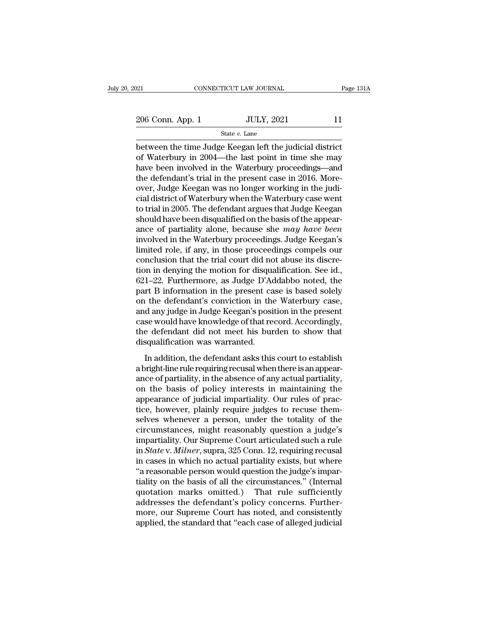State *v.* Lane

between the time Judge Keegan left the judicial district<br>between the time Judge Keegan left the judicial district<br>of Waterbury in 2004—the last point in time she may<br>between been involved in the Waterbury proceedings and 206 Conn. App. 1 JULY, 2021 11<br>
State v. Lane<br>
between the time Judge Keegan left the judicial district<br>
of Waterbury in 2004—the last point in time she may<br>
have been involved in the Waterbury proceedings—and<br>
the defend 206 Conn. App. 1 JULY, 2021 11<br>
State v. Lane<br>
between the time Judge Keegan left the judicial district<br>
of Waterbury in 2004—the last point in time she may<br>
have been involved in the Waterbury proceedings—and<br>
the defend 206 Conn. App. 1 State  $v$ . Lane<br>
State  $v$ . Lane<br>
between the time Judge Keegan left the judicial district<br>
of Waterbury in 2004—the last point in time she may<br>
have been involved in the Waterbury proceedings—and<br>
the de State v. Lane<br>
State v. Lane<br>
between the time Judge Keegan left the judicial district<br>
of Waterbury in 2004—the last point in time she may<br>
have been involved in the Waterbury proceedings—and<br>
the defendant's trial in th state  $v$ . Lane<br>between the time Judge Keegan left the judicial district<br>of Waterbury in 2004—the last point in time she may<br>have been involved in the Waterbury proceedings—and<br>the defendant's trial in the present case in between the time Judge Keegan left the judicial district<br>of Waterbury in 2004—the last point in time she may<br>have been involved in the Waterbury proceedings—and<br>the defendant's trial in the present case in 2016. More-<br>over of Waterbury in 2004—the last point in time she may<br>have been involved in the Waterbury proceedings—and<br>the defendant's trial in the present case in 2016. More-<br>over, Judge Keegan was no longer working in the judi-<br>cial di have been involved in the Waterbury proceedings—and<br>the defendant's trial in the present case in 2016. More-<br>over, Judge Keegan was no longer working in the judi-<br>cial district of Waterbury when the Waterbury case went<br>to the defendant's trial in the present case in 2016. More-<br>over, Judge Keegan was no longer working in the judi-<br>cial district of Waterbury when the Waterbury case went<br>to trial in 2005. The defendant argues that Judge Keega over, Judge Keegan was no longer working in the judicial district of Waterbury when the Waterbury case went<br>to trial in 2005. The defendant argues that Judge Keegan<br>should have been disqualified on the basis of the appearcial district of Waterbury when the Waterbury case went<br>to trial in 2005. The defendant argues that Judge Keegan<br>should have been disqualified on the basis of the appear-<br>ance of partiality alone, because she *may have be* to trial in 2005. The defendant argues that Judge Keegan<br>should have been disqualified on the basis of the appear-<br>ance of partiality alone, because she *may have been*<br>involved in the Waterbury proceedings. Judge Keegan's should have been disqualified on the basis of the appearance of partiality alone, because she *may have been* involved in the Waterbury proceedings. Judge Keegan's limited role, if any, in those proceedings compels our con ance of partiality alone, because she *may have been*<br>involved in the Waterbury proceedings. Judge Keegan's<br>limited role, if any, in those proceedings compels our<br>conclusion that the trial court did not abuse its discre-<br> involved in the Waterbury proceedings. Judge Keegan's<br>limited role, if any, in those proceedings compels our<br>conclusion that the trial court did not abuse its discre-<br>tion in denying the motion for disqualification. See id limited role, if any, in those proceedings compels our conclusion that the trial court did not abuse its discretion in denying the motion for disqualification. See id., 621–22. Furthermore, as Judge D'Addabbo noted, the pa conclusion that the trial court did not abuse its discretion in denying the motion for disqualification. See id., 621–22. Furthermore, as Judge D'Addabbo noted, the part B information in the present case is based solely on tion in denying the motion for disqualification. See id., 621–22. Furthermore, as Judge D'Addabbo noted, the part B information in the present case is based solely on the defendant's conviction in the Waterbury case, and a 621–22. Furthermore, as Judge D'Accent B information in the present ca<br>on the defendant's conviction in the<br>and any judge in Judge Keegan's posicase would have knowledge of that re<br>the defendant did not meet his bur<br>disqua In a different asks this conviction in the Waterbury case,<br>In the defendant's conviction in the Waterbury case,<br>se would have knowledge of that record. Accordingly,<br>e defendant did not meet his burden to show that<br>squalifi and any judge in Judge Keegan's position in the waterbary case,<br>and any judge in Judge Keegan's position in the present<br>case would have knowledge of that record. Accordingly,<br>the defendant did not meet his burden to show t

and any judge in addge reegants position in the present<br>case would have knowledge of that record. Accordingly,<br>the defendant did not meet his burden to show that<br>disqualification was warranted.<br>In addition, the defendant a Ease would have alwowedge of all record. Recordingly,<br>the defendant did not meet his burden to show that<br>disqualification was warranted.<br>In addition, the defendant asks this court to establish<br>a bright-line rule requiring are detendant did not need its butden to show didended<br>disqualification was warranted.<br>In addition, the defendant asks this court to establish<br>a bright-line rule requiring recusal when there is an appearance of partiality, In addition, the defendant asks this court to establish<br>a bright-line rule requiring recusal when there is an appear-<br>ance of partiality, in the absence of any actual partiality,<br>on the basis of policy interests in maintai In addition, the defendant asks this court to establish<br>a bright-line rule requiring recusal when there is an appear-<br>ance of partiality, in the absence of any actual partiality,<br>on the basis of policy interests in maintai a bright-line rule requiring recusal when there is an appearance of partiality, in the absence of any actual partiality, on the basis of policy interests in maintaining the appearance of judicial impartiality. Our rules of ance of partiality, in the absence of any actual partiality,<br>on the basis of policy interests in maintaining the<br>appearance of judicial impartiality. Our rules of prac-<br>tice, however, plainly require judges to recuse themon the basis of policy interests in maintaining the<br>appearance of judicial impartiality. Our rules of prac-<br>tice, however, plainly require judges to recuse them-<br>selves whenever a person, under the totality of the<br>circumst appearance of judicial impartiality. Our rules of practice, however, plainly require judges to recuse themselves whenever a person, under the totality of the circumstances, might reasonably question a judge's impartiality. tice, however, plainly require judges to recuse themselves whenever a person, under the totality of the circumstances, might reasonably question a judge's impartiality. Our Supreme Court articulated such a rule in *State* selves whenever a person, under the totality of the circumstances, might reasonably question a judge's impartiality. Our Supreme Court articulated such a rule in *State* v. *Milner*, supra, 325 Conn. 12, requiring recusal circumstances, might reasonably question a judge's<br>impartiality. Our Supreme Court articulated such a rule<br>in *State* v. *Milner*, supra, 325 Conn. 12, requiring recusal<br>in cases in which no actual partiality exists, but w impartiality. Our Supreme Court articulated such a rule<br>in *State* v. *Milner*, supra, 325 Conn. 12, requiring recusal<br>in cases in which no actual partiality exists, but where<br>"a reasonable person would question the judge' in *State* v. *Milner*, supra, 325 Conn. 12, requiring recusal<br>in cases in which no actual partiality exists, but where<br>"a reasonable person would question the judge's impar-<br>tiality on the basis of all the circumstances." in cases in which no actual partiality exists, but where<br>"a reasonable person would question the judge's impar-<br>tiality on the basis of all the circumstances." (Internal<br>quotation marks omitted.) That rule sufficiently<br>add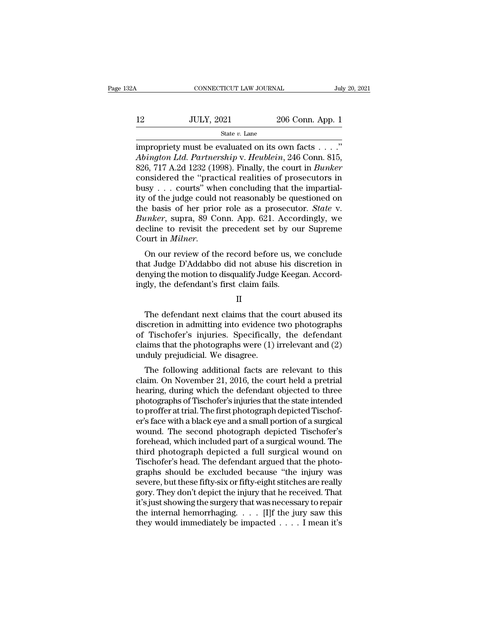| Α  | CONNECTICUT LAW JOURNAL |                  | July 20, 2021 |
|----|-------------------------|------------------|---------------|
| 12 | <b>JULY, 2021</b>       | 206 Conn. App. 1 |               |
|    | State $v$ . Lane        |                  |               |

CONNECTICUT LAW JOURNAL July 20, 2<br>
ILLY, 2021 206 Conn. App. 1<br>
State v. Lane<br>
impropriety must be evaluated on its own facts . . . ."<br>
Abington Ltd. Partnership v. Heublein, 246 Conn. 815,<br>
826, 717, A 2d 1222 (1008). F *Abington Ltd. Partnership* v. *Heublein*, 246 Conn. 815, 206, 717 A.2d 1232 (1998). Finally, the court in *Bunker* considered the "prectical realities of prosecutors in 12 JULY, 2021 206 Conn. App. 1<br>
<sup>State v.</sup> Lane<br>
impropriety must be evaluated on its own facts . . . ."<br> *Abington Ltd. Partnership v. Heublein*, 246 Conn. 815,<br>
826, 717 A.2d 1232 (1998). Finally, the court in *Bunker*<br> 12 JULY, 2021 206 Conn. App. 1<br>
State v. Lane<br>
impropriety must be evaluated on its own facts . . . ."<br>
Abington Ltd. Partnership v. Heublein, 246 Conn. 815,<br>
826, 717 A.2d 1232 (1998). Finally, the court in *Bunker*<br>
con 12 JULY, 2021 206 Conn. App. 1<br>
State v. Lane<br>
impropriety must be evaluated on its own facts . . . ."<br>
Abington Ltd. Partnership v. Heublein, 246 Conn. 815,<br>
826, 717 A.2d 1232 (1998). Finally, the court in *Bunker*<br>
con state v. Lane<br>
impropriety must be evaluated on its own facts . . . ."<br>
Abington Ltd. Partnership v. Heublein, 246 Conn. 815,<br>
826, 717 A.2d 1232 (1998). Finally, the court in *Bunker*<br>
considered the "practical realities impropriety must be evaluated on its own facts . . . ."<br>Abington Ltd. Partnership v. Heublein, 246 Conn. 815,<br>826, 717 A.2d 1232 (1998). Finally, the court in *Bunker*<br>considered the "practical realities of prosecutors in<br> *Abington Ltd. Partnership v. Heublein*, 246 Conn. 815, 826, 717 A.2d 1232 (1998). Finally, the court in *Bunker* considered the "practical realities of prosecutors in busy . . . courts" when concluding that the impartiali 826, 717 A.2d 1232 (1998). Finally, the court in *Bunker* considered the "practical realities of prosecutors in busy . . . courts" when concluding that the impartiality of the judge could not reasonably be questioned on t considered the "practical realities of prosecutors in<br>busy . . . courts" when concluding that the impartial-<br>ity of the judge could not reasonably be questioned on<br>the basis of her prior role as a prosecutor. *State* v.<br>*B* the basis of her prior role as a prosecutor. *State v.*<br>Bunker, supra, 89 Conn. App. 621. Accordingly, we<br>decline to revisit the precedent set by our Supreme<br>Court in *Milner*.<br>On our review of the record before us, we con

dure basis of her prior fole as a prosecutor. State v.<br>Bunker, supra, 89 Conn. App. 621. Accordingly, we<br>decline to revisit the precedent set by our Supreme<br>Court in *Milner*.<br>On our review of the record before us, we conc *Hanker*, supra, 69 Com. App. 621. Accordecline to revisit the precedent set by ou<br>Court in *Milner*.<br>On our review of the record before us, we that Judge D'Addabbo did not abuse his d<br>denying the motion to disqualify Judg On our review of the record before us, we conclude<br>at Judge D'Addabbo did not abuse his discretion in<br>nying the motion to disqualify Judge Keegan. Accord-<br>gly, the defendant's first claim fails.<br>II<br>The defendant next claim

II

that Judge D'Addabbo did not abuse his discretion in<br>denying the motion to disqualify Judge Keegan. Accord-<br>ingly, the defendant's first claim fails.<br> $II$ <br>The defendant next claims that the court abused its<br>discretion in a denying the motion to disqualify Judge Keegan. Accord-<br>ingly, the defendant's first claim fails.<br>II<br>The defendant next claims that the court abused its<br>discretion in admitting into evidence two photographs<br>of Tischofer's i ingly, the defendant's first claim fails.<br>
II<br>
The defendant next claims that the court abused its<br>
discretion in admitting into evidence two photographs<br>
of Tischofer's injuries. Specifically, the defendant<br>
claims that t II<br>II<br>The defendant next claims that the<br>discretion in admitting into evidence<br>of Tischofer's injuries. Specifically<br>claims that the photographs were (1) i<br>unduly prejudicial. We disagree.<br>The following additional facts ar The defendant next claims that the court abused its<br>scretion in admitting into evidence two photographs<br>Tischofer's injuries. Specifically, the defendant<br>aims that the photographs were (1) irrelevant and (2)<br>duly prejudici The detendant hext claims that the court abused its<br>discretion in admitting into evidence two photographs<br>of Tischofer's injuries. Specifically, the defendant<br>claims that the photographs were (1) irrelevant and (2)<br>unduly

described in admitting into evidence two photographs<br>of Tischofer's injuries. Specifically, the defendant<br>claims that the photographs were (1) irrelevant and (2)<br>unduly prejudicial. We disagree.<br>The following additional fa of Tischofer's Injuries. Specifically, the defendant<br>claims that the photographs were (1) irrelevant and (2)<br>unduly prejudicial. We disagree.<br>The following additional facts are relevant to this<br>claim. On November 21, 2016, trains that the photographs were  $(1)$  firelevant and  $(2)$ <br>unduly prejudicial. We disagree.<br>The following additional facts are relevant to this<br>claim. On November 21, 2016, the court held a pretrial<br>hearing, during which The following additional facts are relevant to this<br>claim. On November 21, 2016, the court held a pretrial<br>hearing, during which the defendant objected to three<br>photographs of Tischofer's injuries that the state intended<br>t The following additional facts are relevant to this<br>claim. On November 21, 2016, the court held a pretrial<br>hearing, during which the defendant objected to three<br>photographs of Tischofer's injuries that the state intended<br>t claim. On November 21, 2016, the court held a pretrial<br>hearing, during which the defendant objected to three<br>photographs of Tischofer's injuries that the state intended<br>to proffer at trial. The first photograph depicted Ti hearing, during which the defendant objected to three<br>photographs of Tischofer's injuries that the state intended<br>to proffer at trial. The first photograph depicted Tischof-<br>er's face with a black eye and a small portion o photographs of Tischofer's injuries that the state intended<br>to proffer at trial. The first photograph depicted Tischof-<br>er's face with a black eye and a small portion of a surgical<br>wound. The second photograph depicted Tis to proffer at trial. The first photograph depicted Tischof-<br>er's face with a black eye and a small portion of a surgical<br>wound. The second photograph depicted Tischofer's<br>forehead, which included part of a surgical wound. er's face with a black eye and a small portion of a surgical<br>wound. The second photograph depicted Tischofer's<br>forehead, which included part of a surgical wound. The<br>third photograph depicted a full surgical wound on<br>Tisch wound. The second photograph depicted Tischofer's<br>forehead, which included part of a surgical wound. The<br>third photograph depicted a full surgical wound on<br>Tischofer's head. The defendant argued that the photo-<br>graphs shou forehead, which included part of a surgical wound. The<br>third photograph depicted a full surgical wound on<br>Tischofer's head. The defendant argued that the photo-<br>graphs should be excluded because "the injury was<br>severe, but third photograph depicted a full surgical wound on<br>Tischofer's head. The defendant argued that the photo-<br>graphs should be excluded because "the injury was<br>severe, but these fifty-six or fifty-eight stitches are really<br>go Tischofer's head. The defendant argued that the photographs should be excluded because "the injury was severe, but these fifty-six or fifty-eight stitches are really gory. They don't depict the injury that he received. Th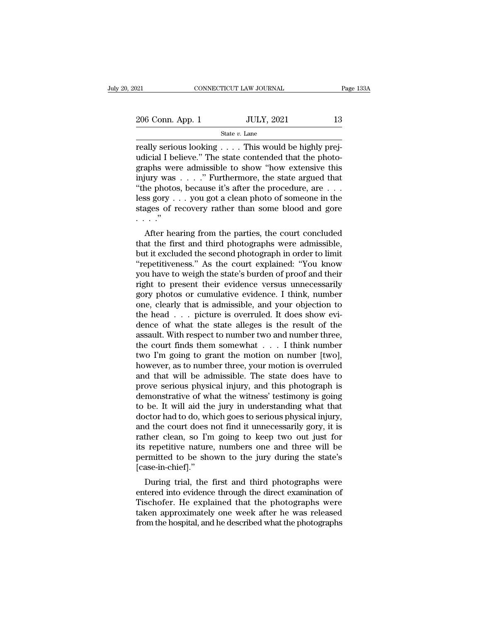State *v.* Lane

 $\begin{array}{r|l} \text{206 Conn. App. 1} & \text{JULY, 2021} & \text{13} \ \hline & \text{State } v. \text{ Lane} \ \hline \end{array}$ really serious looking . . . . This would be highly prej-<br>udicial I believe." The state contended that the photographs were admissible to show "bow ex 206 Conn. App. 1 JULY, 2021 13<br>
State v. Lane<br>
Teally serious looking . . . . This would be highly prej-<br>
udicial I believe." The state contended that the photo-<br>
graphs were admissible to show "how extensive this<br>
injury 206 Conn. App. 1 ULY, 2021 13<br>
State v. Lane<br>
really serious looking . . . . This would be highly prejudicial I believe." The state contended that the photo-<br>
graphs were admissible to show "how extensive this<br>
injury was 206 Conn. App. 1 State v. Lane<br>
State v. Lane<br>
really serious looking . . . . This would be highly prejudicial I believe." The state contended that the photo-<br>
graphs were admissible to show "how extensive this<br>
injury wa State v. Lane<br>
The photos state v. Lane<br>
The photos, because it's after the photos, because it's after the procedure, are . . .<br>
This would be highly prejudicial I believe." The state contended that the photo-<br>
graphs wer State v. Lane<br>
really serious looking . . . . This would be highly prej-<br>
udicial I believe." The state contended that the photo-<br>
graphs were admissible to show "how extensive this<br>
injury was . . . ." Furthermore, the s really serious looking . . . . This would be highly prejudicial I believe." The state contended that the photographs were admissible to show "how extensive this injury was . . . ." Furthermore, the state argued that "the udicial I be<br>graphs wer<br>injury was<br>"the photos<br>less gory .<br>stages of r<br>...."<br>After hea After hearing from the parties, the court concluded at the first and third photographs were admissible difference are  $\ldots$  is gory  $\ldots$  you got a clean photo of someone in the ages of recovery rather than some blood and the photos, because it's after the procedure, are  $\dots$  less gory  $\dots$  you got a clean photo of someone in the stages of recovery rather than some blood and gore  $\dots$ .<br>"<br>After hearing from the parties, the court concluded

the photos, because it s after the procedure, are  $\ldots$  less gory  $\ldots$  you got a clean photo of someone in the stages of recovery rather than some blood and gore  $\ldots$ .<br>After hearing from the parties, the court concluded These gory . . . you got a clear photo or someone in the stages of recovery rather than some blood and gore . . . ."<br>
After hearing from the parties, the court concluded<br>
that the first and third photographs were admissibl Stages of recovery rather than some blood and gore<br>  $\cdots$ ."<br>
After hearing from the parties, the court concluded<br>
that the first and third photographs were admissible,<br>
but it excluded the second photograph in order to li Figure 1.1 After hearing from the parties, the court concluded<br>that the first and third photographs were admissible,<br>but it excluded the second photograph in order to limit<br>"repetitiveness." As the court explained: "You k After hearing from the parties, the court concluded<br>that the first and third photographs were admissible,<br>but it excluded the second photograph in order to limit<br>"repetitiveness." As the court explained: "You know<br>you have that the first and third photographs were admissible,<br>but it excluded the second photograph in order to limit<br>"repetitiveness." As the court explained: "You know<br>you have to weigh the state's burden of proof and their<br>righ but it excluded the second photograph in order to limit<br>"repetitiveness." As the court explained: "You know<br>you have to weigh the state's burden of proof and their<br>right to present their evidence versus unnecessarily<br>gory "repetitiveness." As the court explained: "You know<br>you have to weigh the state's burden of proof and their<br>right to present their evidence versus unnecessarily<br>gory photos or cumulative evidence. I think, number<br>one, cle you have to weigh the state's burden of proof and their<br>right to present their evidence versus unnecessarily<br>gory photos or cumulative evidence. I think, number<br>one, clearly that is admissible, and your objection to<br>the he right to present their evidence versus unnecessarily<br>gory photos or cumulative evidence. I think, number<br>one, clearly that is admissible, and your objection to<br>the head . . . picture is overruled. It does show evi-<br>dence gory photos or cumulative evidence. I think, number<br>one, clearly that is admissible, and your objection to<br>the head . . . picture is overruled. It does show evi-<br>dence of what the state alleges is the result of the<br>assault one, clearly that is admissible, and your objection to<br>the head . . . picture is overruled. It does show evi-<br>dence of what the state alleges is the result of the<br>assault. With respect to number two and number three,<br>the c the head  $\ldots$  picture is overruled. It does show evidence of what the state alleges is the result of the assault. With respect to number two and number three, the court finds them somewhat  $\ldots$  I think number two I'm go dence of what the state alleges is the result of the<br>assault. With respect to number two and number three,<br>the court finds them somewhat . . . I think number<br>two I'm going to grant the motion on number [two],<br>however, as t assault. With respect to number two and number three,<br>the court finds them somewhat  $\ldots$  I think number<br>two I'm going to grant the motion on number [two],<br>however, as to number three, your motion is overruled<br>and that wi the court finds them somewhat  $\ldots$  I think number<br>two I'm going to grant the motion on number [two],<br>however, as to number three, your motion is overruled<br>and that will be admissible. The state does have to<br>prove serious two I'm going to grant the motion on number [two],<br>however, as to number three, your motion is overruled<br>and that will be admissible. The state does have to<br>prove serious physical injury, and this photograph is<br>demonstrati however, as to number three, your motion is overruled<br>and that will be admissible. The state does have to<br>prove serious physical injury, and this photograph is<br>demonstrative of what the witness' testimony is going<br>to be. I and that will be admissible. The state does have to<br>prove serious physical injury, and this photograph is<br>demonstrative of what the witness' testimony is going<br>to be. It will aid the jury in understanding what that<br>doctor prove serious physical injury, and this photograph is<br>demonstrative of what the witness' testimony is going<br>to be. It will aid the jury in understanding what that<br>doctor had to do, which goes to serious physical injury,<br>an demonstrative of what the witness' testimony is going<br>to be. It will aid the jury in understanding what that<br>doctor had to do, which goes to serious physical injury,<br>and the court does not find it unnecessarily gory, it is [case-in-chief].'' Exercise in a to do, which goes to serious physical hijury,<br>
d the court does not find it unnecessarily gory, it is<br>
ther clean, so I'm going to keep two out just for<br>
repetitive nature, numbers one and three will be<br>
rmit and the court does not find it different directlessarily gory, it is<br>rather clean, so I'm going to keep two out just for<br>its repetitive nature, numbers one and three will be<br>permitted to be shown to the jury during the sta

Framer Crean, so Tiff going to keep two out just for<br>its repetitive nature, numbers one and three will be<br>permitted to be shown to the jury during the state's<br>[case-in-chief]."<br>During trial, the first and third photographs the permitted to be shown to the jury during the state's<br>[case-in-chief]."<br>During trial, the first and third photographs were<br>entered into evidence through the direct examination of<br>Tischofer. He explained that the photogr from the hospital, and he described what the photographs were<br>entered into evidence through the direct examination of<br>Tischofer. He explained that the photographs were<br>taken approximately one week after he was released<br>fro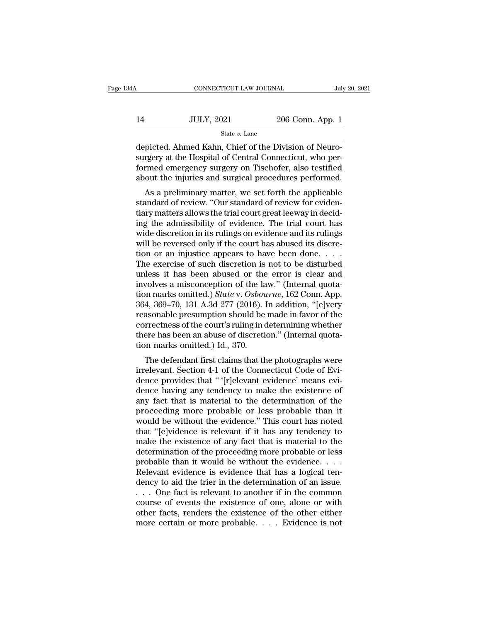| 34A | CONNECTICUT LAW JOURNAL |                  | July 20, 2021 |
|-----|-------------------------|------------------|---------------|
| 14  | <b>JULY, 2021</b>       | 206 Conn. App. 1 |               |
|     | State $v$ . Lane        |                  |               |

CONNECTICUT LAW JOURNAL Jul<br>14 JULY, 2021 206 Conn. App. 1<br>14 State v. Lane<br>19 depicted. Ahmed Kahn, Chief of the Division of Neuro-<br>19 surgery at the Hospital of Central Connecticut, who per- $\n \begin{array}{ll}\n 14 & \text{JULY, } 2021 & \text{206 Conn. App. 1} \\
 \hline\n \text{State } v. \text{ Lane} \\
 \text{depicted. Ahmed Kahn, Chief of the Division of Neuro-surgery at the Hospital of Central Connecticut, who performed emergency surgery on Tischofer, also testified about the injuries and surgical procedures performed.\n$  $\begin{tabular}{ll} \bf 14 & \tt JULY, 2021 & \tt 206 Conn. App. 1 \end{tabular} \end{tabular} \begin{tabular}{l} State $v$. Lane \\ \bf depicted. Ahmed Kahn, Chief of the Division of Neuro-surgery at the Hospital of Central Connecticut, who performed emergency surgery on Tischofer, also testified about the injuries and surgical procedures performed. \end{tabular}$  $\frac{14}{\text{State }v. \text{ Lane}}$ <br>  $\frac{1}{\text{etepicted. Ahmed Kahn, Chief of the Division of Neuro-  
surgery at the Hospital of Central Connecticut, who performed emergency surgery on Tischofer, also testified  
about the injuries and surgical procedures performed. As a preliminary matter, we set forth the applicable$ State  $v$ . Lane<br>
picted. Ahmed Kahn, Chief of the Division of Neuro-<br>
rgery at the Hospital of Central Connecticut, who per-<br>
rmed emergency surgery on Tischofer, also testified<br>
out the injuries and surgical procedures p depicted. Ahmed Kahn, Chief of the Division of Neuro-<br>surgery at the Hospital of Central Connecticut, who per-<br>formed emergency surgery on Tischofer, also testified<br>about the injuries and surgical procedures performed.<br>As

depicted. Antited Kaint, Citler of the Division of Neuro-<br>surgery at the Hospital of Central Connecticut, who per-<br>formed emergency surgery on Tischofer, also testified<br>about the injuries and surgical procedures performed. surgery at the nospital of central conflecticut, who per-<br>formed emergency surgery on Tischofer, also testified<br>about the injuries and surgical procedures performed.<br>As a preliminary matter, we set forth the applicable<br>sta Formed emergency surgery on Tischorer, also testined<br>about the injuries and surgical procedures performed.<br>As a preliminary matter, we set forth the applicable<br>standard of review. "Our standard of review for eviden-<br>tiary about the hijuries and surgical procedures performed.<br>As a preliminary matter, we set forth the applicable<br>standard of review. "Our standard of review for eviden-<br>tiary matters allows the trial court great leeway in decid-As a preliminary matter, we set forth the applicable<br>standard of review. "Our standard of review for eviden-<br>tiary matters allows the trial court great leeway in decid-<br>ing the admissibility of evidence. The trial court h standard of review. "Our standard of review for evidentiary matters allows the trial court great leeway in deciding the admissibility of evidence. The trial court has wide discretion in its rulings on evidence and its ruli tiary matters allows the trial court great leeway in decid-<br>ing the admissibility of evidence. The trial court has<br>wide discretion in its rulings on evidence and its rulings<br>will be reversed only if the court has abused it ing the admissibility of evidence. The trial court has<br>wide discretion in its rulings on evidence and its rulings<br>will be reversed only if the court has abused its discre-<br>tion or an injustice appears to have been done... wide discretion in its rulings on evidence and its rulings<br>will be reversed only if the court has abused its discre-<br>tion or an injustice appears to have been done. . . . .<br>The exercise of such discretion is not to be dist will be reversed only if the court has abused its discretion or an injustice appears to have been done. . . . The exercise of such discretion is not to be disturbed unless it has been abused or the error is clear and invo tion or an injustice appears to have been done. . . . The exercise of such discretion is not to be disturbed<br>unless it has been abused or the error is clear and<br>involves a misconception of the law." (Internal quota-<br>tion The exercise of such discretion is not to be disturbed<br>unless it has been abused or the error is clear and<br>involves a misconception of the law." (Internal quota-<br>tion marks omitted.) *State* v. Osbourne, 162 Conn. App.<br>36 unless it has been abused or the error is clear and<br>involves a misconception of the law." (Internal quota-<br>tion marks omitted.) *State* v. Osbourne, 162 Conn. App.<br>364, 369–70, 131 A.3d 277 (2016). In addition, "[e]very<br>re involves a misconception of the lation marks omitted.) *State* v. Osbou<br>364, 369–70, 131 A.3d 277 (2016). I<br>reasonable presumption should be<br>correctness of the court's ruling in c<br>there has been an abuse of discreti<br>tion m  $\mu$ , 369–70, 131 A.3d 277 (2016). In addition, "[e]very<br>4, 369–70, 131 A.3d 277 (2016). In addition, "[e]very<br>asonable presumption should be made in favor of the<br>rrectness of the court's ruling in determining whether<br>ere So4, 309–70, 131 A.3d 277 (2010). In addition, [ejvery]<br>reasonable presumption should be made in favor of the<br>correctness of the court's ruling in determining whether<br>there has been an abuse of discretion." (Internal quota

reasonable presumption should be made in favor of the<br>correctness of the court's ruling in determining whether<br>there has been an abuse of discretion." (Internal quota-<br>tion marks omitted.) Id., 370.<br>The defendant first cla correctness of the court s rumig in determining whether<br>there has been an abuse of discretion." (Internal quota-<br>tion marks omitted.) Id., 370.<br>The defendant first claims that the photographs were<br>irrelevant. Section 4-1 o there has been an abuse of uscretion. (Internal quotation marks omitted.) Id., 370.<br>The defendant first claims that the photographs were<br>irrelevant. Section 4-1 of the Connecticut Code of Evi-<br>dence provides that " '[r]ele The defendant first claims that the photographs were<br>irrelevant. Section 4-1 of the Connecticut Code of Evi-<br>dence provides that " '[r]elevant evidence' means evi-<br>dence having any tendency to make the existence of<br>any fac The defendant first claims that the photographs were<br>irrelevant. Section 4-1 of the Connecticut Code of Evi-<br>dence provides that " (r]elevant evidence' means evi-<br>dence having any tendency to make the existence of<br>any fact irrelevant. Section 4-1 of the Connecticut Code of Evidence provides that " '[r]elevant evidence' means evidence having any tendency to make the existence of any fact that is material to the determination of the proceeding dence provides that " '[r]elevant evidence' means evidence having any tendency to make the existence of any fact that is material to the determination of the proceeding more probable or less probable than it would be witho dence having any tendency to make the existence of<br>any fact that is material to the determination of the<br>proceeding more probable or less probable than it<br>would be without the evidence." This court has noted<br>that "[e]viden any fact that is material to the determination of the proceeding more probable or less probable than it would be without the evidence." This court has noted that "[e]vidence is relevant if it has any tendency to make the e proceeding more probable or less probable than it<br>would be without the evidence." This court has noted<br>that "[e]vidence is relevant if it has any tendency to<br>make the existence of any fact that is material to the<br>determin would be without the evidence." This court has noted<br>that "[e]vidence is relevant if it has any tendency to<br>make the existence of any fact that is material to the<br>determination of the proceeding more probable or less<br>prob that "[e]vidence is relevant if it has any tendency to make the existence of any fact that is material to the determination of the proceeding more probable or less probable than it would be without the evidence.... Releva make the existence of any fact that is material to the<br>determination of the proceeding more probable or less<br>probable than it would be without the evidence....<br>Relevant evidence is evidence that has a logical ten-<br>dency t determination of the proceeding more probable or less<br>probable than it would be without the evidence. . . .<br>Relevant evidence is evidence that has a logical ten-<br>dency to aid the trier in the determination of an issue.<br>. . probable than it would be without the evidence. . . . Relevant evidence is evidence that has a logical tendency to aid the trier in the determination of an issue.<br>. . . One fact is relevant to another if in the common cou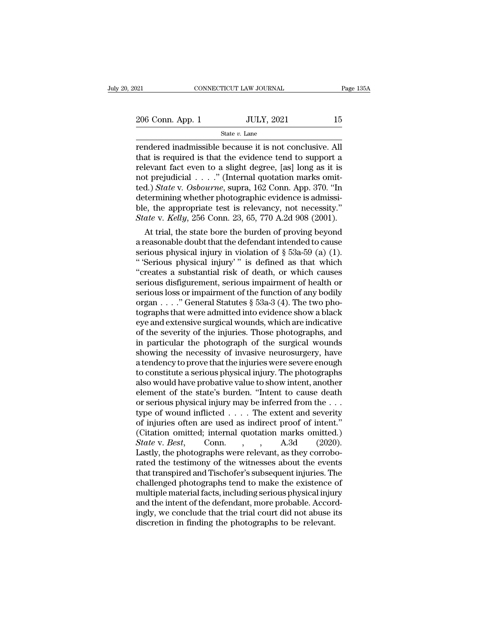State *v.* Lane

rendered inadmissible because it is not conclusive. All<br>
rendered inadmissible because it is not conclusive. All<br>
that is required is that the evidence tend to support a<br>
relayant fact ayou to a slight dogree [as] long as 206 Conn. App. 1 JULY, 2021 15<br>
State v. Lane<br>
Tendered inadmissible because it is not conclusive. All<br>
that is required is that the evidence tend to support a<br>
relevant fact even to a slight degree, [as] long as it is<br>
n 206 Conn. App. 1 JULY, 2021 15<br>
State v. Lane<br>
rendered inadmissible because it is not conclusive. All<br>
that is required is that the evidence tend to support a<br>
relevant fact even to a slight degree, [as] long as it is<br>
n 206 Conn. App. 1 <br>
State v. Lane<br>
State v. Lane<br>
rendered inadmissible because it is not conclusive. All<br>
that is required is that the evidence tend to support a<br>
relevant fact even to a slight degree, [as] long as it is<br> State *v*. Lane<br>
Fendered inadmissible because it is not conclusive. All<br>
that is required is that the evidence tend to support a<br>
relevant fact even to a slight degree, [as] long as it is<br>
not prejudicial . . . ." (Intern state *v*. Lane<br>
rendered inadmissible because it is not conclusive. All<br>
that is required is that the evidence tend to support a<br>
relevant fact even to a slight degree, [as] long as it is<br>
not prejudicial . . . . " (Inte rendered inadmissible because it is not conclusive. All<br>that is required is that the evidence tend to support a<br>relevant fact even to a slight degree, [as] long as it is<br>not prejudicial  $\ldots$ ." (Internal quotation marks o that is required is that the evidence tend to support a relevant fact even to a slight degree, [as] long as it is not prejudicial . . . ." (Internal quotation marks omitted.) *State* v. *Osbourne*, supra, 162 Conn. App. 37 devant ract even to a slight degree, [as] long as it is<br>t prejudicial . . . ." (Internal quotation marks omit-<br>d.) *State* v. *Osbourne*, supra, 162 Conn. App. 370. "In<br>termining whether photographic evidence is admissi-<br> not prejudicial  $\ldots$  (internal quotation marks omitted.) State v. Osbourne, supra, 162 Conn. App. 370. "In determining whether photographic evidence is admissible, the appropriate test is relevancy, not necessity."<br>State

ted.) *state* v. *Osoourne*, supra, 162 Conn. App. 370. In<br>determining whether photographic evidence is admissi-<br>ble, the appropriate test is relevancy, not necessity."<br>*State* v. *Kelly*, 256 Conn. 23, 65, 770 A.2d 908 ( determining whether photographic evidence is admissible, the appropriate test is relevancy, not necessity."<br> *State* v. *Kelly*, 256 Conn. 23, 65, 770 A.2d 908 (2001).<br>
At trial, the state bore the burden of proving beyon ble, the appropriate test is relevancy, not necessity.<br>
State v. Kelly, 256 Conn. 23, 65, 770 A.2d 908 (2001).<br>
At trial, the state bore the burden of proving beyond<br>
a reasonable doubt that the defendant intended to caus state v. Ketty, 256 Conn. 23, 65, 770 A.2d 908 (2001).<br>
At trial, the state bore the burden of proving beyond<br>
a reasonable doubt that the defendant intended to cause<br>
serious physical injury in violation of § 53a-59 (a) At trial, the state bore the burden of proving beyond<br>a reasonable doubt that the defendant intended to cause<br>serious physical injury in violation of  $\S$  53a-59 (a) (1).<br>"Serious physical injury" is defined as that which<br> a reasonable doubt that the defendant intended to cause<br>serious physical injury in violation of  $\S$  53a-59 (a) (1).<br>"Serious physical injury" is defined as that which<br>"creates a substantial risk of death, or which causes<br> serious physical injury in violation of  $\S$  53a-59 (a) (1).<br>
"Serious physical injury'" is defined as that which<br>
"creates a substantial risk of death, or which causes<br>
serious disfigurement, serious impairment of health " 'Serious physical injury' " is defined as that which<br>"creates a substantial risk of death, or which causes<br>serious disfigurement, serious impairment of health or<br>serious loss or impairment of the function of any bodily<br> "creates a substantial risk of death, or which causes<br>serious disfigurement, serious impairment of health or<br>serious loss or impairment of the function of any bodily<br>organ . . . . "General Statutes  $\S$  53a-3 (4). The two serious disfigurement, serious impairment of health or<br>serious loss or impairment of the function of any bodily<br>organ  $\ldots$ ." General Statutes § 53a-3 (4). The two pho-<br>tographs that were admitted into evidence show a bla serious loss or impairment of the function of any bodily<br>organ  $\dots$ ." General Statutes § 53a-3 (4). The two pho-<br>tographs that were admitted into evidence show a black<br>eye and extensive surgical wounds, which are indicati organ . . . . " General Statutes § 53a-3 (4). The two photographs that were admitted into evidence show a black<br>eye and extensive surgical wounds, which are indicative<br>of the severity of the injuries. Those photographs, an tographs that were admitted into evidence show a black<br>eye and extensive surgical wounds, which are indicative<br>of the severity of the injuries. Those photographs, and<br>in particular the photograph of the surgical wounds<br>sho eye and extensive surgical wounds, which are indicative<br>of the severity of the injuries. Those photographs, and<br>in particular the photograph of the surgical wounds<br>showing the necessity of invasive neurosurgery, have<br>a ten of the severity of the injuries. Those photographs, and<br>in particular the photograph of the surgical wounds<br>showing the necessity of invasive neurosurgery, have<br>a tendency to prove that the injuries were severe enough<br>to c in particular the photograph of the surgical wounds<br>showing the necessity of invasive neurosurgery, have<br>a tendency to prove that the injuries were severe enough<br>to constitute a serious physical injury. The photographs<br>als showing the necessity of invasive neurosurgery, have<br>a tendency to prove that the injuries were severe enough<br>to constitute a serious physical injury. The photographs<br>also would have probative value to show intent, another a tendency to prove that the injuries were severe enough<br>to constitute a serious physical injury. The photographs<br>also would have probative value to show intent, another<br>element of the state's burden. "Intent to cause dea to constitute a serious physical injury. The photographs<br>also would have probative value to show intent, another<br>element of the state's burden. "Intent to cause death<br>or serious physical injury may be inferred from the  $\d$ also would have probative value to show intent, another<br>element of the state's burden. "Intent to cause death<br>or serious physical injury may be inferred from the . . .<br>type of wound inflicted . . . . The extent and severit element of the state's burden. "Intent to cause death<br>or serious physical injury may be inferred from the ...<br>type of wound inflicted .... The extent and severity<br>of injuries often are used as indirect proof of intent."<br>( or serious physical injury may be inferred from the . . .<br>type of wound inflicted . . . . The extent and severity<br>of injuries often are used as indirect proof of intent."<br>(Citation omitted; internal quotation marks omitte type of wound inflicted . . . . The extent and severity<br>of injuries often are used as indirect proof of intent."<br>(Citation omitted; internal quotation marks omitted.)<br> $State$  v.  $Best$ , Conn. , , A.3d (2020).<br>Lastly, the photogr of injuries often are used as indirect proof of intent."<br>(Citation omitted; internal quotation marks omitted.)<br>State v. Best, Conn., , A.3d (2020).<br>Lastly, the photographs were relevant, as they corrobo-<br>rated the testimon (Citation omitted; internal quotation marks omitted.)<br> *State* v. *Best*, Conn., , , A.3d (2020).<br>
Lastly, the photographs were relevant, as they corrobo-<br>
rated the testimony of the witnesses about the events<br>
that trans State v. Best, Conn., , A.3d (2020).<br>Lastly, the photographs were relevant, as they corrobo-<br>rated the testimony of the witnesses about the events<br>that transpired and Tischofer's subsequent injuries. The<br>challenged photogr Lastly, the photographs were relevant, as they corroborated the testimony of the witnesses about the events that transpired and Tischofer's subsequent injuries. The challenged photographs tend to make the existence of mult rated the testimony of the witnesses about the even<br>that transpired and Tischofer's subsequent injuries. The<br>challenged photographs tend to make the existence of<br>multiple material facts, including serious physical injur<br>an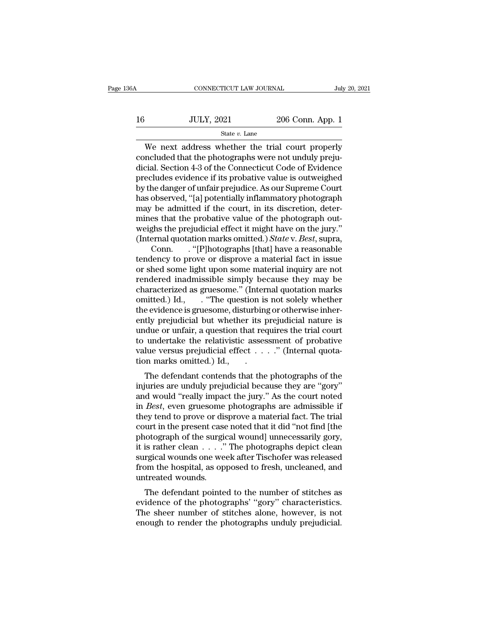| 136A | CONNECTICUT LAW JOURNAL |                  | July 20, 2021 |
|------|-------------------------|------------------|---------------|
| 16   | <b>JULY, 2021</b>       | 206 Conn. App. 1 |               |
|      | State $v$ . Lane        |                  |               |

CONNECTICUT LAW JOURNAL July 20, 2021<br>JULY, 2021 206 Conn. App. 1<br>State v. Lane<br>We next address whether the trial court properly<br>ncluded that the photographs were not unduly preju-<br>airl Soction 4.3 of the Connecticut Code 16 JULY, 2021 206 Conn. App. 1<br>
State v. Lane<br>
We next address whether the trial court properly<br>
concluded that the photographs were not unduly preju-<br>
dicial. Section 4-3 of the Connecticut Code of Evidence<br>
procludes avi 16 JULY, 2021 206 Conn. App. 1<br>  $\frac{\text{State } v. \text{ Lane}}{\text{We next address whether the trial court properly concluded that the photographs were not unduly prejudical. Section 4-3 of the Connecticut Code of Evidence precludes evidence if its probability value is outweighted by the danger of unfair projudico. As our Sunromo Court.$ precludes evidence if its probative value is outweighed By the danger of unfair prejudice. As our Supreme Court of the danger of unfair prejudice. As our Supreme Court<br>has observed, "[a] potentially prejudice of Evidence<br>precludes evidence if its probative value is outweighed<br> state  $v$ . Lane<br>
We next address whether the trial court properly<br>
concluded that the photographs were not unduly preju-<br>
dicial. Section 4-3 of the Connecticut Code of Evidence<br>
precludes evidence if its probative value We next address whether the trial court properly<br>concluded that the photographs were not unduly preju-<br>dicial. Section 4-3 of the Connecticut Code of Evidence<br>precludes evidence if its probative value is outweighed<br>by the concluded that the photographs were not unduly prejudicial. Section 4-3 of the Connecticut Code of Evidence<br>precludes evidence if its probative value is outweighed<br>by the danger of unfair prejudice. As our Supreme Court<br>ha dicial. Section 4-3 of the Connecticut Code of Evidence<br>precludes evidence if its probative value is outweighed<br>by the danger of unfair prejudice. As our Supreme Court<br>has observed, "[a] potentially inflammatory photograph precludes evidence if its probative value is outweighed<br>by the danger of unfair prejudice. As our Supreme Court<br>has observed, "[a] potentially inflammatory photograph<br>may be admitted if the court, in its discretion, deterhe danger of unfair prejudice. As our Supreme Court<br>observed, "[a] potentially inflammatory photograph<br>be admitted if the court, in its discretion, deter-<br>es that the probative value of the photograph out-<br>ghs the prejudic has observed, "[a] potentially inflammatory photograph<br>may be admitted if the court, in its discretion, deter-<br>mines that the probative value of the photograph out-<br>weighs the prejudicial effect it might have on the jury.

may be admitted if the court, in its discretion, determines that the probative value of the photograph out-<br>weighs the prejudicial effect it might have on the jury."<br>(Internal quotation marks omitted.) *State* v. *Best*, mines that the probative value of the photograph out-<br>weighs the prejudicial effect it might have on the jury."<br>(Internal quotation marks omitted.) *State* v. *Best*, supra,<br>Conn. . . "[P]hotographs [that] have a reasonab weighs the prejudicial effect it might have on the jury."<br>
(Internal quotation marks omitted.) *State* v. *Best*, supra,<br>
Conn. . . "[P]hotographs [that] have a reasonable<br>
tendency to prove or disprove a material fact in (Internal quotation marks omitted.) *State* v. *Best*, supra,<br>Conn. . . "[P]hotographs [that] have a reasonable<br>tendency to prove or disprove a material fact in issue<br>or shed some light upon some material inquiry are not<br>r Conn. . "[P]hotographs [that] have a reasonable<br>tendency to prove or disprove a material fact in issue<br>or shed some light upon some material inquiry are not<br>rendered inadmissible simply because they may be<br>characterized a tendency to prove or disprove a material fact in issue<br>or shed some light upon some material inquiry are not<br>rendered inadmissible simply because they may be<br>characterized as gruesome." (Internal quotation marks<br>omitted.) or shed some light upon some material inquiry are not<br>rendered inadmissible simply because they may be<br>characterized as gruesome." (Internal quotation marks<br>omitted.) Id., . . . "The question is not solely whether<br>the evid to undertake the relativistic assessment of probative characterized as gruesome." (Internal quotation marks<br>omitted.) Id., . . "The question is not solely whether<br>the evidence is gruesome, disturbing or otherwise inher-<br>ently prejudicial but whether its prejudicial nature is<br> omitted.) Id., . . "The question is<br>the evidence is gruesome, disturbinently prejudicial but whether its p<br>undue or unfair, a question that rectorular to undertake the relativistic asses<br>value versus prejudicial effect . . E evidence is gruesome, disturbing or other wise inter-<br>tly prejudicial but whether its prejudicial nature is<br>due or unfair, a question that requires the trial court<br>undertake the relativistic assessment of probative<br>lue ently prejudicial but whether its prejudicial rature is<br>undue or unfair, a question that requires the trial court<br>to undertake the relativistic assessment of probative<br>value versus prejudicial effect  $\dots$ ." (Internal quot

and would evaluate the relativistic assessment of probative<br>value versus prejudicial effect  $\dots$ ." (Internal quota-<br>tion marks omitted.) Id.,<br>The defendant contends that the photographs of the<br>injuries are unduly prejudic to undertake the relativistic assessment of probative<br>value versus prejudicial effect . . . . ." (Internal quota-<br>tion marks omitted.) Id.,<br>The defendant contends that the photographs of the<br>injuries are unduly prejudicial value versus prejudicial effect  $\ldots$  . (Internal quotation marks omitted.) Id.,<br>The defendant contends that the photographs of the<br>injuries are unduly prejudicial because they are "gory"<br>and would "really impact the jury The defendant contends that the photographs of the<br>injuries are unduly prejudicial because they are "gory"<br>and would "really impact the jury." As the court noted<br>in *Best*, even gruesome photographs are admissible if<br>they The defendant contends that the photographs of the injuries are unduly prejudicial because they are "gory" and would "really impact the jury." As the court noted in *Best*, even gruesome photographs are admissible if they injuries are unduly prejudicial because they are "gory"<br>and would "really impact the jury." As the court noted<br>in *Best*, even gruesome photographs are admissible if<br>they tend to prove or disprove a material fact. The tria and would "really impact the jury." As the court noted<br>in *Best*, even gruesome photographs are admissible if<br>they tend to prove or disprove a material fact. The trial<br>court in the present case noted that it did "not find in *Best*, even gruesome photographs are admissible if<br>they tend to prove or disprove a material fact. The trial<br>court in the present case noted that it did "not find [the<br>photograph of the surgical wound] unnecessarily go they tend to prove or disprove a material fact. The trial<br>court in the present case noted that it did "not find [the<br>photograph of the surgical wound] unnecessarily gory,<br>it is rather clean  $\dots$ ." The photographs depict c of the surgical wound in the present case noted that it that not intu [the lootograph of the surgical wounds one week after Tischofer was released om the hospital, as opposed to fresh, uncleaned, and treated wounds.<br>The d photograph of the surgical wound diffused and<br>surgical wounds one week after Tischofer was released<br>from the hospital, as opposed to fresh, uncleaned, and<br>untreated wounds.<br>The defendant pointed to the number of stitches a

It is rather clean  $\ldots$ . The photographs depict clean<br>surgical wounds one week after Tischofer was released<br>from the hospital, as opposed to fresh, uncleaned, and<br>untreated wounds.<br>The defendant pointed to the number of surgical wounds one week after Tischoler was released<br>from the hospital, as opposed to fresh, uncleaned, and<br>untreated wounds.<br>The defendant pointed to the number of stitches as<br>evidence of the photographs' "gory" characte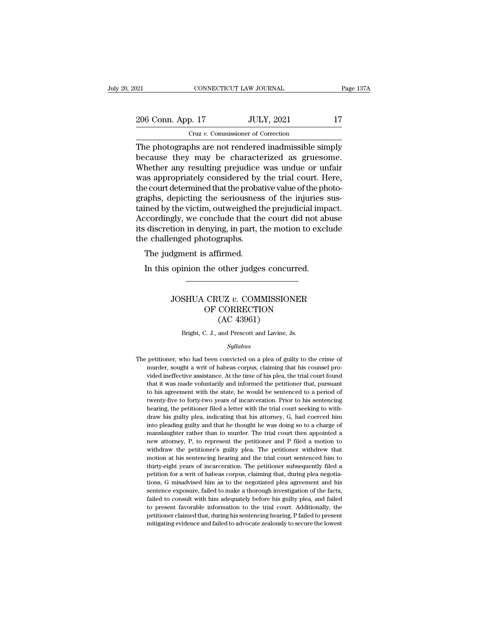| 121 |                   | CONNECTICUT LAW JOURNAL                              | Page 137A |
|-----|-------------------|------------------------------------------------------|-----------|
|     |                   |                                                      |           |
|     | 206 Conn. App. 17 | <b>JULY, 2021</b>                                    | 17        |
|     |                   | Cruz v. Commissioner of Correction                   |           |
|     |                   | The photographs are not rendered inadmissible simply |           |

CONNECTICUT LAW JOURNAL Page 137A<br>
206 Conn. App. 17 JULY, 2021 17<br>
Cruz v. Commissioner of Correction<br>
The photographs are not rendered inadmissible simply<br>
because they may be characterized as gruesome.<br>
Whether any resu 206 Conn. App. 17 JULY, 2021 17<br>
Cruz v. Commissioner of Correction<br>
The photographs are not rendered inadmissible simply<br>
because they may be characterized as gruesome.<br>
Whether any resulting prejudice was undue or unfair 206 Conn. App. 17 JULY, 2021 17<br>
Cruz v. Commissioner of Correction<br>
The photographs are not rendered inadmissible simply<br>
because they may be characterized as gruesome.<br>
Whether any resulting prejudice was undue or unfai 206 Conn. App. 17 JULY, 2021 17<br>
Cruz v. Commissioner of Correction<br>
The photographs are not rendered inadmissible simply<br>
because they may be characterized as gruesome.<br>
Whether any resulting prejudice was undue or unfai The photographs are not rendered inadmissible simply<br>because they may be characterized as gruesome.<br>Whether any resulting prejudice was undue or unfair<br>was appropriately considered by the trial court. Here,<br>the court dete  $Cruz v$ . Commissioner of Correction<br>The photographs are not rendered inadmissible simply<br>because they may be characterized as gruesome.<br>Whether any resulting prejudice was undue or unfair<br>was appropriately considered by the The photographs are not rendered inadmissible simply<br>because they may be characterized as gruesome.<br>Whether any resulting prejudice was undue or unfair<br>was appropriately considered by the trial court. Here,<br>the court deter because they may be characterized as gruesome.<br>Whether any resulting prejudice was undue or unfair<br>was appropriately considered by the trial court. Here,<br>the court determined that the probative value of the photo-<br>graphs, Whether any resulting prejudice was undue or unfair<br>was appropriately considered by the trial court. Here,<br>the court determined that the probative value of the photo-<br>graphs, depicting the seriousness of the injuries sus-<br> was appropriately considered by<br>the court determined that the probat<br>graphs, depicting the seriousness<br>tained by the victim, outweighed tl<br>Accordingly, we conclude that the<br>its discretion in denying, in part, t<br>the challen aphs, depicting the seriousness<br>aphs, depicting the seriousness<br>ined by the victim, outweighed the<br>cordingly, we conclude that the<br>discretion in denying, in part, t<br>e challenged photographs.<br>The judgment is affirmed.<br>In th In the victim, outweighed the prejudicial impercordingly, we conclude that the court did not abequence of discretion in denying, in part, the motion to excless challenged photographs.<br>The judgment is affirmed.<br>In this opin

### Propriese photographs.<br>
19 Jament is affirmed.<br>
19 JOSHUA CRUZ *v.* COMMISSIONER<br>
19 JOSHUA CRUZ *v.* COMMISSIONER<br>
19 CAC 43961) For a saffirmed.<br>
The other judges concurred.<br>
CRUZ v. COMMISSIONER<br>
OF CORRECTION<br>
(AC 43961) other judges concu<br>
UZ v. COMMISSIO<br>
CORRECTION<br>
(AC 43961)<br>
and Prescott and Lavine, JOSHUA CRUZ v. COMMISSIONER<br>OF CORRECTION<br>(AC 43961)<br>Bright, C. J., and Prescott and Lavine, Js.

### *Syllabus*

 $(AC 43961)$ <br>Bright, C. J., and Prescott and Lavine, Js.<br>Syllabus<br>The petitioner, who had been convicted on a plea of guilty to the crime of<br>murder, sought a writ of habeas corpus, claiming that his counsel pro-Fight, C. J., and Prescott and Lavine, Js.<br>Syllabus<br>petitioner, who had been convicted on a plea of guilty to the crime of<br>murder, sought a writ of habeas corpus, claiming that his counsel pro-<br>vided ineffective assistance Bright, C. J., and Prescott and Lavine, Js.<br>Syllabus<br>petitioner, who had been convicted on a plea of guilty to the crime of<br>murder, sought a writ of habeas corpus, claiming that his counsel pro-<br>vided ineffective assistanc Syllabus<br>
Syllabus<br>
petitioner, who had been convicted on a plea of guilty to the crime of<br>
murder, sought a writ of habeas corpus, claiming that his counsel pro-<br>
vided ineffective assistance. At the time of his plea, the Syllabus<br>
Syllabus<br>
petitioner, who had been convicted on a plea of guilty to the crime of<br>
murder, sought a writ of habeas corpus, claiming that his counsel pro-<br>
vided ineffective assistance. At the time of his plea, the petitioner, who had been convicted on a plea of guilty to the crime of murder, sought a writ of habeas corpus, claiming that his counsel provided ineffective assistance. At the time of his plea, the trial court found that petitioner, sought a writ of habeas corpus, claiming that his counsel pro-<br>murder, sought a writ of habeas corpus, claiming that his counsel pro-<br>vided ineffective assistance. At the time of his plea, the trial court found wided ineffective assistance. At the time of his plea, the trial court found that it was made voluntarily and informed the petitioner that, pursuant to his agreement with the state, he would be sentenced to a period of twe That it was made voluntarily and informed the petitioner that, pursuant that it was made voluntarily and informed the petitioner that, pursuant to his agreement with the state, he would be sentenced to a period of twenty-f and the state with the state, he would be sentenced to a period of twenty-five to forty-two years of incarceration. Prior to his sentencing hearing, the petitioner filed a letter with the trial court seeking to with-<br>draw twenty-five to forty-two years of incarceration. Prior to his sentencing hearing, the petitioner filed a letter with the trial court seeking to with-<br>draw his guilty plea, indicating that his attorney, G, had coerced him<br>i whearing, the petitioner filed a letter with the trial court seeking to with-<br>draw his guilty plea, indicating that his attorney, G, had coerced him<br>tho pleading guilty and that he thought he was doing so to a charge of<br>ma many in epity plea, indicating that his attorney, G, had coerced him into pleading guilty and that he thought he was doing so to a charge of manslaughter rather than to murder. The trial court then appointed a new attorney into pleading guilty and that he thought he was doing so to a charge of manslaughter rather than to murder. The trial court then appointed a new attorney, P, to represent the petitioner and P filed a motion to withdraw the manslaughter rather than to murder. The trial court then appointed a<br>new attorney, P, to represent the petitioner and P filed a motion to<br>withdraw the petitioner's guilty plea. The petitioner withdrew that<br>motion at his se new attorney, P, to represent the petitioner and P filed a motion to withdraw the petitioner's guilty plea. The petitioner withdrew that motion at his sentencing hearing and the trial court sentenced him to thirty-eight ye withdraw the petitioner's guilty plea. The petitioner withdrew that motion at his sentencing hearing and the trial court sentenced him to thirty-eight years of incarceration. The petitioner subsequently filed a petition fo motion at his sentencing hearing and the trial court sentenced him to thirty-eight years of incarceration. The petitioner subsequently filed a petition for a writ of habeas corpus, claiming that, during plea negotiations, thirty-eight years of incarceration. The petitioner subsequently filed a petition for a writ of habeas corpus, claiming that, during plea negotiations, G misadvised him as to the negotiated plea agreement and his sentence petition for a writ of habeas corpus, claiming that, during plea negotiations, G misadvised him as to the negotiated plea agreement and his sentence exposure, failed to make a thorough investigation of the facts, failed to tions, G misadvised him as to the negotiated plea agreement and his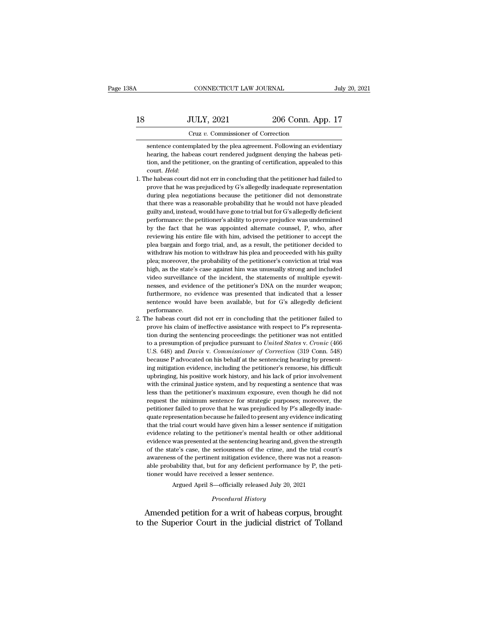# 18 CONNECTICUT LAW JOURNAL July 20, 2021<br>18 JULY, 2021 206 Conn. App. 17<br>Cruz v. Commissioner of Correction CONNECTICUT LAW JOURNAL<br>JULY, 2021 206 Conn. Ap<br>Cruz *v.* Commissioner of Correction<br>mplated by the plea agreement. Following an evic

SULY, 2021 206 Conn. App. 17<br>
Cruz v. Commissioner of Correction<br>
Sentence contemplated by the plea agreement. Following an evidentiary<br>
hearing, the habeas court rendered judgment denying the habeas peti-JULY, 2021 206 Conn. App. 17<br>Cruz v. Commissioner of Correction<br>sentence contemplated by the plea agreement. Following an evidentiary<br>hearing, the habeas court rendered judgment denying the habeas peti-<br>tion, and the petit JULY, 2021 206 Conn. App. 17<br>Cruz v. Commissioner of Correction<br>sentence contemplated by the plea agreement. Following an evidentiary<br>hearing, the habeas court rendered judgment denying the habeas petition, and the petitio Cruz v. Commissioner of Correction<br>sentence contemplated by the plea agreement. Following an evidentiary<br>hearing, the habeas court rendered judgment denying the habeas peti-<br>tion, and the petitioner, on the granting of cer sentence contemplated by the plea agreement. Following an evidentiary<br>hearing, the habeas court rendered judgment denying the habeas peti-<br>tion, and the petitioner, on the granting of certification, appealed to this<br>court.

- bearing, the habeas court rendered judgment denying the habeas petition, and the petitioner, on the granting of certification, appealed to this court. *Held*:<br>court. *Held*:<br>he habeas court did not err in concluding that t trian, and the petitioner, on the granting of certification, appealed to this court. *Held*:<br>
he habeas court did not err in concluding that the petitioner had failed to<br>
prove that he was prejudiced by G's allegedly inad guilty and, instead, would have gone to trial but for G's allegedly deficient and the habeas court did not err in concluding that the petitioner had failed to prove that he was prejudiced by G's allegedly inadequate repres be habeas court did not err in concluding that the petitioner had failed to prove that he was prejudiced by G's allegedly inadequate representation during plea negotiations because the petitioner did not demonstrate that t by the fact that he was prejudiced by G's allegedly inadequate representation during plea negotiations because the petitioner did not demonstrate that there was a reasonable probability that he would not have pleaded guilt during plea negotiations because the petitioner did not demonstrate that there was a reasonable probability that he would not have pleaded guilty and, instead, would have gone to trial but for G's allegedly deficient perfo that there was a reasonable probability that he would not have pleaded guilty and, instead, would have gone to trial but for G's allegedly deficient performance: the petitioner's ability to prove prejudice was undermined b guilty and, instead, would have gone to trial but for G's allegedly deficient performance: the petitioner's ability to prove prejudice was undermined by the fact that he was appointed alternate counsel, P, who, after revie plan; maximum exercy and performance: the petitioner's ability to prove prejudice was undermined by the fact that he was appointed alternate counsel, P, who, after reviewing his entire file with him, advised the petitioner by the fact that he was appointed alternate counsel, P, who, after reviewing his entire file with him, advised the petitioner to accept the plea bargain and forgo trial, and, as a result, the petitioner decided to withdraw by the reviewing his entire file with him, advised the petitioner to accept the petitioner and forgo trial, and, as a result, the petitioner decided to withdraw his motion to withdraw his plea and proceeded with his guilty plea bargain and forgo trial, and, as a result, the petitioner decided to withdraw his motion to withdraw his plea and proceeded with his guilty plea; moreover, the probability of the petitioner's conviction at trial was h prea stagant and rung of withdraw his plea and proceeded with his guilty withdraw his motion to withdraw his plea and proceeded with his guilty plea; moreover, the probability of the petitioner's conviction at trial was hi mean are over, the probability of the petitioner's conviction at trial was<br>high, as the state's case against him was unusually strong and included<br>video surveillance of the incident, the statements of multiple eyewit-<br>ness performance. video surveillance of the incident, the statements of multiple eyewit-<br>nesses, and evidence of the petitioner's DNA on the murder weapon;<br>furthermore, no evidence was presented that indicated that a lesser<br>sentence would nesses, and evidence of the petitioner's DNA on the murder weapon; furthermore, no evidence was presented that indicated that a lesser sentence would have been available, but for G's allegedly deficient performance.<br>He hab
- furthermore, no evidence was presented that indicated that a lesser<br>sentence would have been available, but for G's allegedly deficient<br>performance.<br>he habeas court did not err in concluding that the petitioner failed to<br> sentence would have been available, but for G's allegedly deficient<br>performance.<br>he habeas court did not err in concluding that the petitioner failed to<br>prove his claim of ineffective assistance with respect to P's represe performance.<br>
performance.<br>
he habeas court did not err in concluding that the petitioner failed to<br>
prove his claim of ineffective assistance with respect to P's representa-<br>
tion during the sentencing proceedings: the pe be habeas court did not err in concluding that the petitioner failed to prove his claim of ineffective assistance with respect to P's representation during the sentencing proceedings: the petitioner was not entitled to a p ing mitigation evidence, including the petitioner's representation during the sentencing proceedings: the petitioner was not entitled to a presumption of prejudice pursuant to *United States v. Cronic* (466 U.S. 648) and tion during the sentencing proceedings: the petitioner was not entitled to a presumption of prejudice pursuant to *United States v. Cronic* (466 U.S. 648) and *Davis v. Commissioner of Correction* (319 Conn. 548) because P to a presumption of prejudice pursuant to *United States v. Cronic* (466 U.S. 648) and *Davis v. Commissioner of Correction* (319 Conn. 548) because P advocated on his behalf at the sentencing hearing by presenting mitiga U.S. 648) and *Davis* v. *Commissioner of Correction* (319 Conn. 548)<br>U.S. 648) and *Davis* v. *Commissioner of Correction* (319 Conn. 548)<br>because P advocated on his behalf at the sentencing hearing by present-<br>ing mitiga because P advocated on his behalf at the sentencing hearing by presenting mitigation evidence, including the petitioner's remorse, his difficult upbringing, his positive work history, and his lack of prior involvement wit ing mitigation evidence, including the petitioner's remorse, his difficult upbringing, his positive work history, and his lack of prior involvement with the criminal justice system, and by requesting a sentence that was l  $\mu$ g maginary is positive work history, and his lack of prior involvement with the criminal justice system, and by requesting a sentence that was less than the petitioner's maximum exposure, even though he did not reques that the criminal justice system, and by requesting a sentence that was<br>less than the petitioner's maximum exposure, even though he did not<br>request the minimum sentence for strategic purposes; moreover, the<br>petitioner fail what are criminal justice system, and sy requesting a schooling less than the petitioner's maximum exposure, even though he did not request the minimum sentence for strategic purposes; moreover, the petitioner failed to pr request the minimum sentence for strategic purposes; moreover, the petitioner failed to prove that he was prejudiced by P's allegedly inadequate representation because he failed to present any evidence indicating that the between the state's case, the was prejudiced by P's allegedly inade-<br>quate representation because he failed to present any evidence indicating<br>that the trial court would have given him a lesser sentence if mitigation<br>evide quation and the pertion because he failed to present any evidence indicating quate representation because he failed to present any evidence indicating that the trial court would have given him a lesser sentence if mitigati probability that, but for any local performance in matter in the trial court would have given him a lesser sentence if mitigation evidence relating to the petitioner's mental health or other additional evidence was present and are and court would have given find a lesser servicioner selection<br>evidence relating to the petitioner's mental health<br>evidence was presented at the sentencing hearing an<br>of the state's case, the seriousness of the cri was presented at the sentencing hearing and, given the strengther's case, the seriousness of the crime, and the trial couss of the pertinent mitigation evidence, there was not a reasofielity that, but for any deficient per awareness of the pertinent mitigation evidence, there was not a reasonable probability that, but for any deficient performance by P, the petitioner would have received a lesser sentence.<br>Argued April 8—officially released of the state's case, the seriousness of the crime, and the trial court's<br>awareness of the pertinent mitigation evidence, there was not a reason-<br>able probability that, but for any deficient performance by P, the peti-<br>tion awareness of the pertinent intigation evidence, there was not a reason-<br>able probability that, but for any deficient performance by P, the peti-<br>tioner would have received a lesser sentence.<br>Argued April 8—officially relea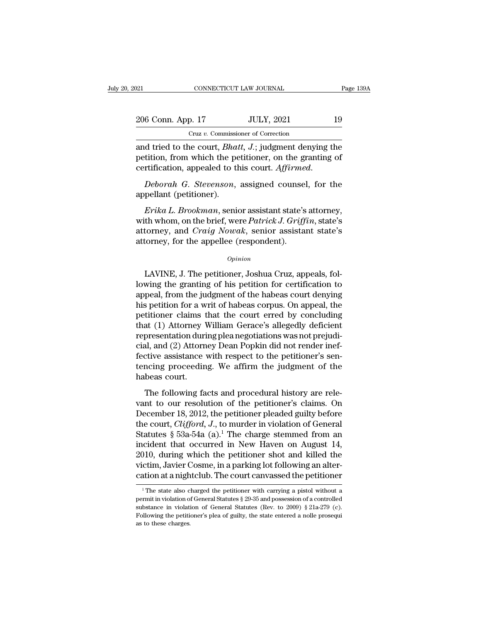| :021              | CONNECTICUT LAW JOURNAL                                                                                                                                                             | Page 139A |
|-------------------|-------------------------------------------------------------------------------------------------------------------------------------------------------------------------------------|-----------|
| 206 Conn. App. 17 | <b>JULY, 2021</b>                                                                                                                                                                   | 19        |
|                   | Cruz v. Commissioner of Correction                                                                                                                                                  |           |
|                   | and tried to the court, <i>Bhatt</i> , <i>J</i> .; judgment denying the<br>petition, from which the petitioner, on the granting of<br>corrification appealed to this court Affirmed |           |

206 Conn. App. 17 JULY, 2021 19<br>Cruz v. Commissioner of Correction<br>and tried to the court, *Bhatt*, *J*.; judgment denying the<br>petition, from which the petitioner, on the granting of<br>certification, appealed to this court. comm. App. 17 JULY, 2021 19<br>
Cruz v. Commissioner of Correction<br>
and tried to the court, *Bhatt*, *J*.; judgment denying the<br>
petition, from which the petitioner, on the granting of<br>
certification, appealed to this court. Cruz v. Commission<br>and tried to the court, *Bhai*<br>petition, from which the pertification, appealed to the<br>*Deborah G. Stevenson*,<br>appellant (petitioner).<br>*Erika L. Brookman*, senion *Erika L. Brookman*, *Bhatt, J.*; judgment denying the<br> *Erition*, from which the petitioner, on the granting of<br> *Erika G. Stevenson*, assigned counsel, for the<br> *Erika L. Brookman*, senior assistant state's attorney,<br> *E* 

petition, from which the petitioner, on the granting of<br>certification, appealed to this court. Affirmed.<br>Deborah G. Stevenson, assigned counsel, for the<br>appellant (petitioner).<br>*Erika L. Brookman*, senior assistant state's certification, appealed to this court. *Affirmed.*<br> *Deborah G. Stevenson*, assigned counsel, for the<br>
appellant (petitioner).<br> *Erika L. Brookman*, senior assistant state's attorney,<br>
with whom, on the brief, were *Patric* Deborah G. Stevenson, assigned counsel<br>appellant (petitioner).<br>Erika L. Brookman, senior assistant state's<br>with whom, on the brief, were Patrick J. Griff<br>attorney, and Craig Nowak, senior assista<br>attorney, for the appellee Erika L. Brookman, senior assistant state's attorney,<br>with whom, on the brief, were Patrick J. Griffin, state's<br>attorney, and Craig Nowak, senior assistant state's<br>attorney, for the appellee (respondent).<br> $o_{pinion}$ <br>LAVINE, J

### *Opinion*

with whom, on the brief, were *Patrick J. Griffin*, state's<br>attorney, and *Craig Nowak*, senior assistant state's<br>attorney, for the appellee (respondent).<br> $o_{pinion}$ <br>LAVINE, J. The petitioner, Joshua Cruz, appeals, fol-<br>lowi attorney, and *Crarg Nowak*, senior assistant state's<br>attorney, for the appellee (respondent).<br>*Opinion*<br>LAVINE, J. The petitioner, Joshua Cruz, appeals, fol-<br>lowing the granting of his petition for certification to<br>appeal attorney, for the appellee (respondent).<br>  $\omega_{pinion}$ <br>
LAVINE, J. The petitioner, Joshua Cruz, appeals, fol-<br>
lowing the granting of his petition for certification to<br>
appeal, from the judgment of the habeas court denying<br>
hi **EXECUTE:** Comparison Commission Charlotter Commission Charlotter Court engineers appeal, from the judgment of the habeas court denying this petition for a writ of habeas corpus. On appeal, the petitioner claims that the c LAVINE, J. The petitioner, Joshua Cruz, appeals, fol-<br>lowing the granting of his petition for certification to<br>appeal, from the judgment of the habeas court denying<br>his petition for a writ of habeas corpus. On appeal, the LAVINE, J. The petitioner, Joshua Cruz, appeals, following the granting of his petition for certification to appeal, from the judgment of the habeas court denying his petition for a writ of habeas corpus. On appeal, the pe lowing the granting of his petition for certification to<br>appeal, from the judgment of the habeas court denying<br>his petition for a writ of habeas corpus. On appeal, the<br>petitioner claims that the court erred by concluding<br>t appeal, from the judgment of the habeas court denying<br>his petition for a writ of habeas corpus. On appeal, the<br>petitioner' claims that the court-erred by concluding<br>that (1) Attorney William Gerace's allegedly deficient<br>re his petition for a writ of habeas corpus. On appeal, the petitioner claims that the court erred by concluding that (1) Attorney William Gerace's allegedly deficient representation during plea negotiations was not prejudici petitioner claims t<br>that (1) Attorney V<br>representation duri<br>cial, and (2) Attorn<br>fective assistance<br>tencing proceedin<br>habeas court.<br>The following fa The following facts and procedural history are rele-<br>presentation during plea negotiations was not prejudi-<br>al, and (2) Attorney Dean Popkin did not render inef-<br>ctive assistance with respect to the petitioner's sen-<br>noing representation atting pretings attaches was nevepregated<br>cial, and (2) Attorney Dean Popkin did not render inef-<br>fective assistance with respect to the petitioner's sen-<br>tencing proceeding. We affirm the judgment of the<br>ha

decriptive assistance with respect to the petitioner's sentencing proceeding. We affirm the judgment of the habeas court.<br>The following facts and procedural history are relevant to our resolution of the petitioner's claim tencing proceeding. We affirm the judgment of the<br>habeas court.<br>The following facts and procedural history are rele-<br>vant to our resolution of the petitioner's claims. On<br>December 18, 2012, the petitioner pleaded guilty be The following facts and procedural history are relevant to our resolution of the petitioner's claims. On<br>December 18, 2012, the petitioner pleaded guilty before<br>the court, *Clifford*, *J*., to murder in violation of Gener The following facts and procedural history are relevant to our resolution of the petitioner's claims. On December 18, 2012, the petitioner pleaded guilty before the court, *Clifford*, *J*., to murder in violation of Gener The following facts and procedural history are relevant to our resolution of the petitioner's claims. On December 18, 2012, the petitioner pleaded guilty before the court, *Clifford*, *J*., to murder in violation of Gener vant to our resolution of the petitioner's claims. On<br>December 18, 2012, the petitioner pleaded guilty before<br>the court, *Clifford*, *J*., to murder in violation of General<br>Statutes § 53a-54a (a).<sup>1</sup> The charge stemmed fr December 18, 2012, the petitioner pleaded guilty before<br>the court, *Clifford*, *J*., to murder in violation of General<br>Statutes § 53a-54a (a).<sup>1</sup> The charge stemmed from an<br>incident that occurred in New Haven on August 14 1 10.10 Intervalso charged the petitioner shot and killed the ctim, Javier Cosme, in a parking lot following an alteration at a nightclub. The court canvassed the petitioner <sup>1</sup> The state also charged the petitioner with c 2010, during which the petitioner shot and killed the victim, Javier Cosme, in a parking lot following an alter-<br>cation at a nightclub. The court canvassed the petitioner<br><sup>1</sup>The state also charged the petitioner with carr

victim, Javier Cosme, in a parking lot following an alter-<br>cation at a nightclub. The court canvassed the petitioner<br> $\frac{1}{1}$ The state also charged the petitioner with carrying a pistol without a<br>permit in violation of G Following the petitioner's pleased the petitioner's cation at a nightclub. The court canvassed the petitioner'<br><sup>1</sup> The state also charged the petitioner with carrying a pistol without a permit in violation of General Stat <sup>1</sup> The state also charged the petitioner with carrying a pistol without a permit in violation of General Statutes § 29-35 and possession of a controlled substance in violation of General Statutes (Rev. to 2009) § 21a-279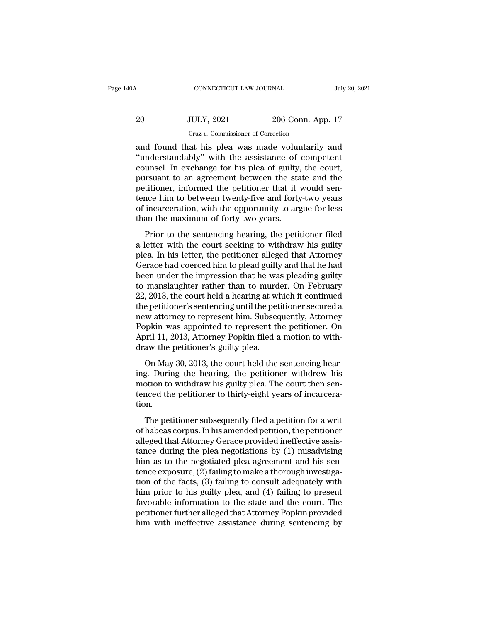| 0A | CONNECTICUT LAW JOURNAL                          |                   | July 20, 2021 |
|----|--------------------------------------------------|-------------------|---------------|
| 20 | <b>JULY, 2021</b>                                | 206 Conn. App. 17 |               |
|    | Cruz v. Commissioner of Correction               |                   |               |
|    | and found that his plea was made voluntarily and |                   |               |

CONNECTICUT LAW JOURNAL July 20, 2021<br>
20 JULY, 2021 206 Conn. App. 17<br>
Cruz v. Commissioner of Correction<br>
and found that his plea was made voluntarily and<br>
"understandably" with the assistance of competent<br>
counsel. In e 20 JULY, 2021 206 Conn. App. 17<br>
Cruz v. Commissioner of Correction<br>
and found that his plea was made voluntarily and<br>
"understandably" with the assistance of competent<br>
counsel. In exchange for his plea of guilty, the cou 20 JULY, 2021 206 Conn. App. 17<br>  $Cruz v.$  Commissioner of Correction<br>
and found that his plea was made voluntarily and<br>
"understandably" with the assistance of competent<br>
counsel. In exchange for his plea of guilty, the cou 20 JULY, 2021 206 Conn. App. 17<br>  $Cruz\ v.$  Commissioner of Correction<br>
and found that his plea was made voluntarily and<br>
"understandably" with the assistance of competent<br>
counsel. In exchange for his plea of guilty, the co Formulation and found that his plea was made voluntarily and "understandably" with the assistance of competent counsel. In exchange for his plea of guilty, the court, pursuant to an agreement between the state and the pet Cruz v. Commissioner of Correction<br>
and found that his plea was made voluntarily and<br>
"understandably" with the assistance of competent<br>
counsel. In exchange for his plea of guilty, the court,<br>
pursuant to an agreement be and found that his plea was made voluntarily and<br>"understandably" with the assistance of competent<br>counsel. In exchange for his plea of guilty, the court,<br>pursuant to an agreement between the state and the<br>petitioner, info "understandably" with the assistance of<br>counsel. In exchange for his plea of guilty,<br>pursuant to an agreement between the sta<br>petitioner, informed the petitioner that it<br>tence him to between twenty-five and forty<br>of incarc Frior to the sentencing hearing, the court,<br>arsuant to an agreement between the state and the<br>titioner, informed the petitioner that it would sen-<br>nce him to between twenty-five and forty-two years<br>incarceration, with the pursuant to an agreement between the state and the<br>petitioner, informed the petitioner that it would sen-<br>tence him to between twenty-five and forty-two years<br>of incarceration, with the opportunity to argue for less<br>than t

permaner, missince are permaner and it would self-<br>tence him to between twenty-five and forty-two years<br>of incarceration, with the opportunity to argue for less<br>than the maximum of forty-two years.<br>Prior to the sentencing Find the maximum of forty-two years of incarceration, with the opportunity to argue for less<br>than the maximum of forty-two years.<br>Prior to the sentencing hearing, the petitioner filed<br>a letter with the court seeking to wit between the maximum of forty-two years.<br>
Prior to the sentencing hearing, the petitioner filed<br>
a letter with the court seeking to withdraw his guilty<br>
plea. In his letter, the petitioner alleged that Attorney<br>
Gerace had Prior to the sentencing hearing, the petitioner filed<br>a letter with the court seeking to withdraw his guilty<br>plea. In his letter, the petitioner alleged that Attorney<br>Gerace had coerced him to plead guilty and that he had<br> Prior to the sentencing hearing, the petitioner filed<br>a letter with the court seeking to withdraw his guilty<br>plea. In his letter, the petitioner alleged that Attorney<br>Gerace had coerced him to plead guilty and that he had<br> a letter with the court seeking to withdraw his guilty<br>plea. In his letter, the petitioner alleged that Attorney<br>Gerace had coerced him to plead guilty and that he had<br>been under the impression that he was pleading guilty<br> plea. In his letter, the petitioner alleged that Attorney<br>Gerace had coerced him to plead guilty and that he had<br>been under the impression that he was pleading guilty<br>to manslaughter rather than to murder. On February<br>22, Gerace had coerced him to plead guilty and that he had<br>been under the impression that he was pleading guilty<br>to manslaughter rather than to murder. On February<br>22, 2013, the court held a hearing at which it continued<br>the p been under the impression that he was pleading guilty<br>to manslaughter rather than to murder. On February<br>22, 2013, the court held a hearing at which it continued<br>the petitioner's sentencing until the petitioner secured a<br>n to manslaughter rather than to murd<br>22, 2013, the court held a hearing at withe petitioner's sentencing until the pet<br>new attorney to represent him. Subsed<br>Popkin was appointed to represent th<br>April 11, 2013, Attorney Popk be petitioner's sentencing until the petitioner secured a<br>e petitioner's sentencing until the petitioner secured a<br>w attorney to represent him. Subsequently, Attorney<br>ppkin was appointed to represent the petitioner. On<br>pr Incorporate a scheening and the petitioner secured a<br>new attorney to represent him. Subsequently, Attorney<br>Popkin was appointed to represent the petitioner. On<br>April 11, 2013, Attorney Popkin filed a motion to with-<br>draw t

motion was appointed to represent the petitioner. On<br>April 11, 2013, Attorney Popkin filed a motion to with-<br>draw the petitioner's guilty plea.<br>On May 30, 2013, the court held the sentencing hear-<br>ing. During the hearing, Fight was appointed to represent the petitioner. On<br>April 11, 2013, Attorney Popkin filed a motion to with-<br>draw the petitioner's guilty plea.<br>On May 30, 2013, the court held the sentencing hear-<br>ing. During the hearing, t tion. On May 30, 2013, the court held the sentencing hear-<br>g. During the hearing, the petitioner withdrew his<br>otion to withdraw his guilty plea. The court then sen-<br>nced the petitioner to thirty-eight years of incarcera-<br>on.<br>The of hay so, 2015, are coard held are schemeng nearing.<br>
Ing. During the hearing, the petitioner withdrew his<br>
motion to withdraw his guilty plea. The court then sen-<br>
tenced the petitioner to thirty-eight years of incarcera

may. Dating the heating, the pendable while whis<br>motion to withdraw his guilty plea. The court then sen-<br>tenced the petitioner to thirty-eight years of incarcera-<br>tion.<br>The petitioner subsequently filed a petition for a wr tenced the petitioner to thirty-eight years of incarcera-<br>tion.<br>The petitioner subsequently filed a petition for a writ<br>of habeas corpus. In his amended petition, the petitioner<br>alleged that Attorney Gerace provided ineff The petitioner subsequently filed a petition for a writ<br>of habeas corpus. In his amended petition, the petitioner<br>alleged that Attorney Gerace provided ineffective assis-<br>tance during the plea negotiations by (1) misadvis The petitioner subsequently filed a petition for a writ<br>of habeas corpus. In his amended petition, the petitioner<br>alleged that Attorney Gerace provided ineffective assis-<br>tance during the plea negotiations by (1) misadvis The petitioner subsequently filed a petition for a writ<br>of habeas corpus. In his amended petition, the petitioner<br>alleged that Attorney Gerace provided ineffective assis-<br>tance during the plea negotiations by (1) misadvisi of habeas corpus. In his amended petition, the petitioner<br>alleged that Attorney Gerace provided ineffective assis-<br>tance during the plea negotiations by (1) misadvising<br>him as to the negotiated plea agreement and his sen-<br> alleged that Attorney Gerace provided ineffective assistance during the plea negotiations by (1) misadvising<br>him as to the negotiated plea agreement and his sentence exposure, (2) failing to make a thorough investigation o tance during the plea negotiations by  $(1)$  misadvising<br>him as to the negotiated plea agreement and his sen-<br>tence exposure,  $(2)$  failing to make a thorough investiga-<br>tion of the facts,  $(3)$  failing to consult adequate him as to the negotiated plea agreement and his sentence exposure, (2) failing to make a thorough investigation of the facts, (3) failing to consult adequately with him prior to his guilty plea, and (4) failing to present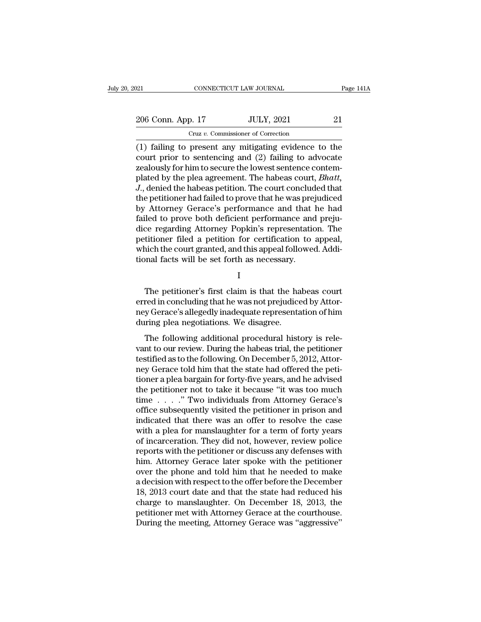21 CONNECTICUT LAW JOURNAL Page 141A<br>
206 Conn. App. 17 JULY, 2021 21<br>
Cruz v. Commissioner of Correction Cruz *v.* Commissioner of Correction

(1) failing to present any mitigating evidence to the<br>
(1) failing to present any mitigating evidence to the<br>
tourt prior to sentencing and (2) failing to advocate<br>
(2) failing to advocate<br>
transference of the lowest sente 206 Conn. App. 17 JULY, 2021 21<br>
Cruz v. Commissioner of Correction<br>
(1) failing to present any mitigating evidence to the<br>
court prior to sentencing and (2) failing to advocate<br>
zealously for him to secure the lowest sent 206 Conn. App. 17 JULY, 2021 21<br>
Cruz v. Commissioner of Correction<br>
(1) failing to present any mitigating evidence to the<br>
court prior to sentencing and (2) failing to advocate<br>
zealously for him to secure the lowest sen 206 Conn. App. 17 JULY, 2021 21<br>
Cruz v. Commissioner of Correction<br>
(1) failing to present any mitigating evidence to the<br>
court prior to sentencing and (2) failing to advocate<br>
zealously for him to secure the lowest sent *Cruz v. Commissioner of Correction*<br>
(1) failing to present any mitigating evidence to the<br>
court prior to sentencing and (2) failing to advocate<br>
zealously for him to secure the lowest sentence contem-<br>
plated by the ple Cruz v. Commissioner of Correction<br>
(1) failing to present any mitigating evidence to the<br>
court prior to sentencing and (2) failing to advocate<br>
zealously for him to secure the lowest sentence contem-<br>
plated by the plea (1) failing to present any mitigating evidence to the<br>court prior to sentencing and (2) failing to advocate<br>zealously for him to secure the lowest sentence contem-<br>plated by the plea agreement. The habeas court, *Bhatt*,<br> court prior to sentencing and (2) failing to advocate<br>zealously for him to secure the lowest sentence contem-<br>plated by the plea agreement. The habeas court, *Bhatt*,<br>*J.*, denied the habeas petition. The court concluded t zealously for him to secure the lowest sentence contem-<br>plated by the plea agreement. The habeas court, *Bhatt*,<br>*J.*, denied the habeas petition. The court concluded that<br>the petitioner had failed to prove that he was pre plated by the plea agreement. The habeas court, *Bhatt*,<br>J., denied the habeas petition. The court concluded that<br>the petitioner had failed to prove that he was prejudiced<br>by Attorney Gerace's performance and that he had<br>f J., denied the habeas petition. The court concluded that<br>the petitioner had failed to prove that he was prejudiced<br>by Attorney Gerace's performance and that he had<br>failed to prove both deficient performance and preju-<br>dice the petitioner had failed to prove that he was pre<br>by Attorney Gerace's performance and that<br>failed to prove both deficient performance and<br>dice regarding Attorney Popkin's representation<br>petitioner filed a petition for ce ce regarding Attorney Popkin's representation. The<br>titioner filed a petition for certification to appeal,<br>nich the court granted, and this appeal followed. Addi-<br>nnal facts will be set forth as necessary.<br>I<br>The petitioner'

I

petitioner filed a petition for certification to appeal,<br>which the court granted, and this appeal followed. Addi-<br>tional facts will be set forth as necessary.<br>I<br>The petitioner's first claim is that the habeas court<br>erred i which the court granted, and this appeal followed. Additional facts will be set forth as necessary.<br>
I<br>
The petitioner's first claim is that the habeas court<br>
erred in concluding that he was not prejudiced by Attor-<br>
ney G tional facts will be set forth as necessary.<br>
I<br>
The petitioner's first claim is that the ha<br>
erred in concluding that he was not prejudice<br>
ney Gerace's allegedly inadequate representa<br>
during plea negotiations. We disagr I<br>The petitioner's first claim is that the habeas court<br>red in concluding that he was not prejudiced by Attor-<br>y Gerace's allegedly inadequate representation of him<br>ring plea negotiations. We disagree.<br>The following additi The petitioner's first claim is that the habeas court<br>erred in concluding that he was not prejudiced by Attor-<br>ney Gerace's allegedly inadequate representation of him<br>during plea negotiations. We disagree.<br>The following ad

The peaksoner 5 first claim is and are hascels court<br>erred in concluding that he was not prejudiced by Attor-<br>ney Gerace's allegedly inadequate representation of him<br>during plea negotiations. We disagree.<br>The following add ney Gerace's allegedly inadequate representation of him<br>during plea negotiations. We disagree.<br>The following additional procedural history is rele-<br>vant to our review. During the habeas trial, the petitioner<br>testified as t they derace sancgeary matequate representation of film<br>during plea negotiations. We disagree.<br>The following additional procedural history is rele-<br>vant to our review. During the habeas trial, the petitioner<br>testified as to The following additional procedural history is relevant to our review. During the habeas trial, the petitioner testified as to the following. On December 5, 2012, Attor-<br>ney Gerace told him that the state had offered the The following additional procedural history is relevant to our review. During the habeas trial, the petitioner testified as to the following. On December 5, 2012, Attorney Gerace told him that the state had offered the pe vant to our review. During the habeas trial, the petitioner<br>testified as to the following. On December 5, 2012, Attor-<br>ney Gerace told him that the state had offered the peti-<br>tioner a plea bargain for forty-five years, a testified as to the following. On December 5, 2012, Attorney Gerace told him that the state had offered the petitioner a plea bargain for forty-five years, and he advised the petitioner not to take it because "it was too m ney Gerace told him that the state had offered the petitioner a plea bargain for forty-five years, and he advised<br>the petitioner not to take it because "it was too much<br>time . . . . . " Two individuals from Attorney Gerace tioner a plea bargain for forty-five years, and he advised<br>the petitioner not to take it because "it was too much<br>time  $\ldots$ ..." Two individuals from Attorney Gerace's<br>office subsequently visited the petitioner in prison the petitioner not to take it because "it was too much<br>time  $\ldots$  ." Two individuals from Attorney Gerace's<br>office subsequently visited the petitioner in prison and<br>indicated that there was an offer to resolve the case<br>wi time  $\ldots$  ." Two individuals from Attorney Gerace's<br>office subsequently visited the petitioner in prison and<br>indicated that there was an offer to resolve the case<br>with a plea for manslaughter for a term of forty years<br>of office subsequently visited the petitioner in prison and<br>indicated that there was an offer to resolve the case<br>with a plea for manslaughter for a term of forty years<br>of incarceration. They did not, however, review police<br>r indicated that there was an offer to resolve the case<br>with a plea for manslaughter for a term of forty years<br>of incarceration. They did not, however, review police<br>reports with the petitioner or discuss any defenses with<br>h with a plea for manslaughter for a term of forty years<br>of incarceration. They did not, however, review police<br>reports with the petitioner or discuss any defenses with<br>him. Attorney Gerace later spoke with the petitioner<br>ov of incarceration. They did not, however, review police<br>reports with the petitioner or discuss any defenses with<br>him. Attorney Gerace later spoke with the petitioner<br>over the phone and told him that he needed to make<br>a deci reports with the petitioner or discuss any defenses with<br>him. Attorney Gerace later spoke with the petitioner<br>over the phone and told him that he needed to make<br>a decision with respect to the offer before the December<br>18, him. Attorney Gerace later spoke with the petitioner<br>over the phone and told him that he needed to make<br>a decision with respect to the offer before the December<br>18, 2013 court date and that the state had reduced his<br>charge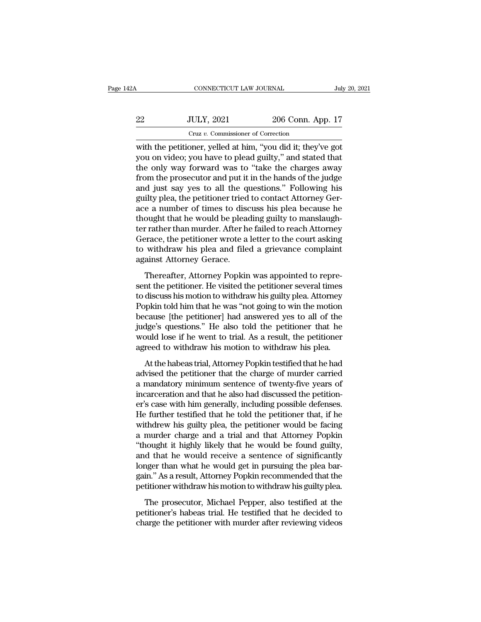| 2A | CONNECTICUT LAW JOURNAL                                   |                   | July 20, 2021 |
|----|-----------------------------------------------------------|-------------------|---------------|
| 22 | <b>JULY, 2021</b>                                         | 206 Conn. App. 17 |               |
|    | Cruz v. Commissioner of Correction                        |                   |               |
|    | with the petitioner velled at him "you did it they've got |                   |               |

CONNECTICUT LAW JOURNAL July 20, 2021<br>
22 JULY, 2021 206 Conn. App. 17<br>
Cruz v. Commissioner of Correction<br>
with the petitioner, yelled at him, "you did it; they've got<br>
you on video; you have to plead guilty," and stated 22 JULY, 2021 206 Conn. App. 17<br>
Cruz v. Commissioner of Correction<br>
with the petitioner, yelled at him, "you did it; they've got<br>
you on video; you have to plead guilty," and stated that<br>
the only way forward was to "take 22 JULY, 2021 206 Conn. App. 17<br>
Cruz v. Commissioner of Correction<br>
with the petitioner, yelled at him, "you did it; they've got<br>
you on video; you have to plead guilty," and stated that<br>
the only way forward was to "tak From the petitioner of Correction<br>
The prosecutor  $\frac{C_{\text{trz}}}{T}$  and  $\frac{C_{\text{trz}}}{T}$  is the proton with the petitioner, yelled at him, "you did it; they've got you on video; you have to plead guilty," and stated that t Cruz v. Commissioner of Correction<br>with the petitioner, yelled at him, "you did it; they've got<br>you on video; you have to plead guilty," and stated that<br>the only way forward was to "take the charges away<br>from the prosecuto Gruz v. Commissioner of Correction<br>with the petitioner, yelled at him, "you did it; they've got<br>you on video; you have to plead guilty," and stated that<br>the only way forward was to "take the charges away<br>from the prosecuto with the petitioner, yelled at him, "you did it; they've got<br>you on video; you have to plead guilty," and stated that<br>the only way forward was to "take the charges away<br>from the prosecutor and put it in the hands of the ju you on video; you have to plead guilty," and stated that<br>the only way forward was to "take the charges away<br>from the prosecutor and put it in the hands of the judge<br>and just say yes to all the questions." Following his<br>gui the only way forward was to "take the charges away<br>from the prosecutor and put it in the hands of the judge<br>and just say yes to all the questions." Following his<br>guilty plea, the petitioner tried to contact Attorney Ger-<br>a from the prosecutor and put it in the hands of the judge<br>and just say yes to all the questions." Following his<br>guilty plea, the petitioner tried to contact Attorney Ger-<br>ace a number of times to discuss his plea because he and just say yes to all the questions." Following his guilty plea, the petitioner tried to contact Attorney Gerace a number of times to discuss his plea because he thought that he would be pleading guilty to manslaughter r guilty plea, the petitioner tried<br>ace a number of times to disc<br>thought that he would be plead<br>ter rather than murder. After h<br>Gerace, the petitioner wrote a<br>to withdraw his plea and file<br>against Attorney Gerace.<br>Thereafte For a nannotr or ames to discuss his pical seculate net<br>ought that he would be pleading guilty to manslaugh-<br>rather than murder. After he failed to reach Attorney<br>erace, the petitioner wrote a letter to the court asking<br>wi shought that he would be prediding gainly to manifolder.<br>The petitioner wise a letter to the court asking<br>to withdraw his plea and filed a grievance complaint<br>against Attorney Gerace.<br>Thereafter, Attorney Popkin was appoin

Erace, the petitioner wrote a letter to the court asking<br>to withdraw his plea and filed a grievance complaint<br>against Attorney Gerace.<br>Thereafter, Attorney Popkin was appointed to repre-<br>sent the petitioner. He visited the Foundative, the pentioner wrote a retter to the estimating<br>to withdraw his plea and filed a grievance complaint<br>against Attorney Gerace.<br>Thereafter, Attorney Popkin was appointed to repre-<br>sent the petitioner. He visited t because the petitioner and the analysis appointed to represent the petitioner. He visited the petitioner several times<br>to discuss his motion to withdraw his guilty plea. Attorney<br>Popkin told him that he was "not going to w Thereafter, Attorney Popkin was appointed to represent the petitioner. He visited the petitioner several times<br>to discuss his motion to withdraw his guilty plea. Attorney<br>Popkin told him that he was "not going to win the m Thereafter, Attorney Popkin was appointed to represent the petitioner. He visited the petitioner several times to discuss his motion to withdraw his guilty plea. Attorney Popkin told him that he was "not going to win the m sent the petitioner. He visited the petitioner several times<br>to discuss his motion to withdraw his guilty plea. Attorney<br>Popkin told him that he was "not going to win the motion<br>because [the petitioner] had answered yes to discuss his motion to whatelet mis guity pred. Helonicy<br>pkin told him that he was "not going to win the motion<br>cause [the petitioner] had answered yes to all of the<br>dge's questions." He also told the petitioner that he<br>bul Formational rank and the charge of murder included because [the petitioner] had answered yes to all of the judge's questions." He also told the petitioner that he would lose if he went to trial. As a result, the petitioner

because (are perfactor) had also vector yes to an of the judge's questions." He also told the petitioner that he would lose if he went to trial. As a result, the petitioner agreed to withdraw his motion to withdraw his ple would lose if he went to trial. As a result, the petitioner<br>agreed to withdraw his motion to withdraw his plea.<br>At the habeas trial, Attorney Popkin testified that he had<br>advised the petitioner that the charge of murder ca read fost in the weak to tradition to withdraw his plea.<br>At the habeas trial, Attorney Popkin testified that he had<br>advised the petitioner that the charge of murder carried<br>a mandatory minimum sentence of twenty-five years At the habeas trial, Attorney Popkin testified that he had<br>advised the petitioner that the charge of murder carried<br>a mandatory minimum sentence of twenty-five years of<br>incarceration and that he also had discussed the peti At the habeas trial, Attorney Popkin testified that he had<br>advised the petitioner that the charge of murder carried<br>a mandatory minimum sentence of twenty-five years of<br>incarceration and that he also had discussed the peti advised the petitioner that the charge of murder carried<br>a mandatory minimum sentence of twenty-five years of<br>incarceration and that he also had discussed the petition-<br>er's case with him generally, including possible defe a mandatory minimum sentence of twenty-five years of incarceration and that he also had discussed the petition-<br>er's case with him generally, including possible defenses.<br>He further testified that he told the petitioner th incarceration and that he also had discussed the petition-<br>er's case with him generally, including possible defenses.<br>He further testified that he told the petitioner that, if he<br>withdrew his guilty plea, the petitioner wo er's case with him generally, including possible defenses.<br>He further testified that he told the petitioner that, if he withdrew his guilty plea, the petitioner would be facing<br>a murder charge and a trial and that Attorney He further testified that he told the petitioner that, if he withdrew his guilty plea, the petitioner would be facing a murder charge and a trial and that Attorney Popkin "thought it highly likely that he would be found gu withdrew his guilty plea, the petitioner would be facing<br>a murder charge and a trial and that Attorney Popkin<br>"thought it highly likely that he would be found guilty,<br>and that he would receive a sentence of significantly<br>l The prosecutor, Michael Pepper, also testified at the distinction of that he would receive a sentence of significantly ager than what he would get in pursuing the plea bar-<br>in." As a result, Attorney Popkin recommended tha alodgin it rightly intery that it would be found gainty, and that he would receive a sentence of significantly longer than what he would get in pursuing the plea bargain." As a result, Attorney Popkin recommended that the and that it would receive a sentence of significantly, longer than what he would get in pursuing the plea bargain." As a result, Attorney Popkin recommended that the petitioner withdraw his motion to withdraw his guilty pl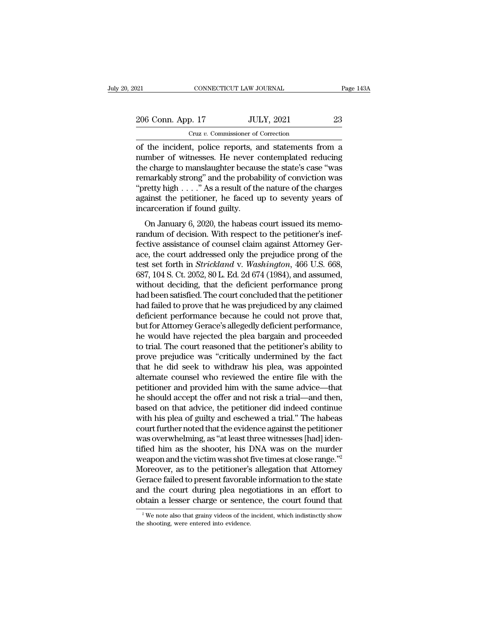| )21               | CONNECTICUT LAW JOURNAL            |                                                      | Page 143A |
|-------------------|------------------------------------|------------------------------------------------------|-----------|
| 206 Conn. App. 17 |                                    | <b>JULY, 2021</b>                                    | 23        |
|                   | Cruz v. Commissioner of Correction |                                                      |           |
|                   |                                    | of the incident police reports and statements from a |           |

CONNECTICUT LAW JOURNAL Page 143A<br>
206 Conn. App. 17 JULY, 2021 23<br>
Cruz v. Commissioner of Correction<br>
of the incident, police reports, and statements from a<br>
number of witnesses. He never contemplated reducing<br>
the charg 206 Conn. App. 17 JULY, 2021 23<br>
Cruz v. Commissioner of Correction<br>
of the incident, police reports, and statements from a<br>
number of witnesses. He never contemplated reducing<br>
the charge to manslaughter because the state 206 Conn. App. 17 JULY, 2021 23<br>
Cruz v. Commissioner of Correction<br>
of the incident, police reports, and statements from a<br>
number of witnesses. He never contemplated reducing<br>
the charge to manslaughter because the stat 206 Conn. App. 17 JULY, 2021 23<br>
Cruz v. Commissioner of Correction<br>
of the incident, police reports, and statements from a<br>
number of witnesses. He never contemplated reducing<br>
the charge to manslaughter because the stat Cruz v. Commissioner of Correction<br>
of the incident, police reports, and statements from a<br>
number of witnesses. He never contemplated reducing<br>
the charge to manslaughter because the state's case "was<br>
remarkably strong" Cruz v. Commissioner of Correction<br>
of the incident, police reports, and statements from a<br>
number of witnesses. He never contemplated reducing<br>
the charge to manslaughter because the state's case "was<br>
remarkably strong" of the incident, police reports, a<br>number of witnesses. He never c<br>the charge to manslaughter becaus<br>remarkably strong" and the probal<br>"pretty high . . . ." As a result of th<br>against the petitioner, he faced u<br>incarceratio note of whitesses. The never contemplated reducing<br>e charge to manslaughter because the state's case "was<br>markably strong" and the probability of conviction was<br>retty high . . . ." As a result of the nature of the charges<br> randum of decision. With respect to the periudical was<br>fremarkably strong" and the probability of conviction was<br>"pretty high . . . ." As a result of the nature of the charges<br>against the petitioner, he faced up to seventy

"fective high  $\ldots$ ." As a result of the nature of the charges<br>
"pretty high  $\ldots$ ." As a result of the nature of the charges<br>
against the petitioner, he faced up to seventy years of<br>
incarceration if found guilty.<br>
On Ja pretty high  $\ldots$  as a result of the haddle of the charges<br>against the petitioner, he faced up to seventy years of<br>incarceration if found guilty.<br>On January 6, 2020, the habeas court issued its memo-<br>randum of decision. W incarceration if found guilty.<br>
On January 6, 2020, the habeas court issued its memo-<br>
randum of decision. With respect to the petitioner's inef-<br>
fective assistance of counsel claim against Attorney Ger-<br>
ace, the court a on January 6, 2020, the habeas court issued its memo-<br>randum of decision. With respect to the petitioner's inef-<br>fective assistance of counsel claim against Attorney Ger-<br>ace, the court addressed only the prejudice prong o On January 6, 2020, the habeas court issued its memo-<br>randum of decision. With respect to the petitioner's inef-<br>fective assistance of counsel claim against Attorney Ger-<br>ace, the court addressed only the prejudice prong o randum of decision. With respect to the petitioner's ineffective assistance of counsel claim against Attorney Gerace, the court addressed only the prejudice prong of the test set forth in *Strickland* v. *Washington*, 466 fective assistance of counsel claim against Attorney Gerace, the court addressed only the prejudice prong of the test set forth in *Strickland v. Washington*, 466 U.S. 668, 687, 104 S. Ct. 2052, 80 L. Ed. 2d 674 (1984), an ace, the court addressed only the prejudice prong of the<br>test set forth in *Strickland* v. *Washington*, 466 U.S. 668,<br>687, 104 S. Ct. 2052, 80 L. Ed. 2d 674 (1984), and assumed,<br>without deciding, that the deficient perfor test set forth in *Strickland* v. *Washington*, 466 U.S. 668, 687, 104 S. Ct. 2052, 80 L. Ed. 2d 674 (1984), and assumed, without deciding, that the deficient performance prong had been satisfied. The court concluded that 687, 104 S. Ct. 2052, 80 L. Ed. 2d 674 (1984), and assumed,<br>without deciding, that the deficient performance prong<br>had been satisfied. The court concluded that the petitioner<br>had failed to prove that he was prejudiced by a without deciding, that the deficient performance prong<br>had been satisfied. The court concluded that the petitioner<br>had failed to prove that he was prejudiced by any claimed<br>deficient performance because he could not prove had been satisfied. The court concluded that the petitioner<br>had failed to prove that he was prejudiced by any claimed<br>deficient performance because he could not prove that,<br>but for Attorney Gerace's allegedly deficient per had failed to prove that he was prejudiced by any claimed<br>deficient performance because he could not prove that,<br>but for Attorney Gerace's allegedly deficient performance,<br>he would have rejected the plea bargain and procee deficient performance because he could not prove that,<br>but for Attorney Gerace's allegedly deficient performance,<br>he would have rejected the plea bargain and proceeded<br>to trial. The court reasoned that the petitioner's abi but for Attorney Gerace's allegedly deficient performance,<br>he would have rejected the plea bargain and proceeded<br>to trial. The court reasoned that the petitioner's ability to<br>prove prejudice was "critically undermined by t he would have rejected the plea bargain and proceeded<br>to trial. The court reasoned that the petitioner's ability to<br>prove prejudice was "critically undermined by the fact<br>that he did seek to withdraw his plea, was appointe to trial. The court reasoned that the petitioner's ability to<br>prove prejudice was "critically undermined by the fact<br>that he did seek to withdraw his plea, was appointed<br>alternate counsel who reviewed the entire file with prove prejudice was "critically undermined by the fact<br>that he did seek to withdraw his plea, was appointed<br>alternate counsel who reviewed the entire file with the<br>petitioner and provided him with the same advice—that<br>he s that he did seek to withdraw his plea, was appointed<br>alternate counsel who reviewed the entire file with the<br>petitioner and provided him with the same advice—that<br>he should accept the offer and not risk a trial—and then,<br>b alternate counsel who reviewed the entire file with the petitioner and provided him with the same advice—that he should accept the offer and not risk a trial—and then, based on that advice, the petitioner did indeed contin petitioner and provided him with the same advice—that<br>he should accept the offer and not risk a trial—and then,<br>based on that advice, the petitioner did indeed continue<br>with his plea of guilty and eschewed a trial." The ha he should accept the offer and not risk a trial—and then,<br>based on that advice, the petitioner did indeed continue<br>with his plea of guilty and eschewed a trial." The habeas<br>court further noted that the evidence against the based on that advice, the petitioner did indeed continue<br>with his plea of guilty and eschewed a trial." The habeas<br>court further noted that the evidence against the petitioner<br>was overwhelming, as "at least three witnesses with his plea of guilty and eschewed a trial." The habeas<br>court further noted that the evidence against the petitioner<br>was overwhelming, as "at least three witnesses [had] iden-<br>tified him as the shooter, his DNA was on th court further noted that the evidence against the petitioner<br>was overwhelming, as "at least three witnesses [had] iden-<br>tified him as the shooter, his DNA was on the murder<br>weapon and the victim was shot five times at clos was overwhelming, as "at least three witnesses [had] identified him as the shooter, his DNA was on the murder weapon and the victim was shot five times at close range."<sup>2</sup> Moreover, as to the petitioner's allegation that Moreover, as to the petitioner's allegation that Attorney Gerace failed to present favorable information to the state and the court during plea negotiations in an effort to obtain a lesser charge or sentence, the court fo obtain a lesser charge or sentence, the court found that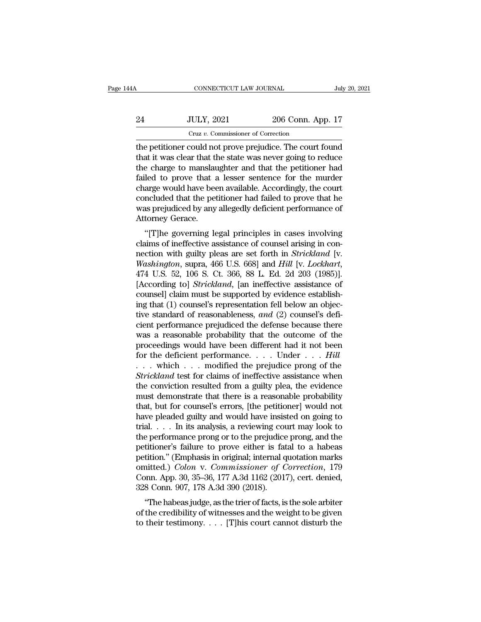| l4A | CONNECTICUT LAW JOURNAL                                                                                                 |                                                        | July 20, 2021 |
|-----|-------------------------------------------------------------------------------------------------------------------------|--------------------------------------------------------|---------------|
|     |                                                                                                                         |                                                        |               |
| 24  | <b>JULY, 2021</b>                                                                                                       | 206 Conn. App. 17                                      |               |
|     | Cruz v. Commissioner of Correction                                                                                      |                                                        |               |
|     | the petitioner could not prove prejudice. The court found<br>that it was clear that the state was never going to reduce | the charge to manglaughter and that the netitioner had |               |

24 JULY, 2021 206 Conn. App. 17<br>  $Cruz v.$  Commissioner of Correction<br>
the petitioner could not prove prejudice. The court found<br>
that it was clear that the state was never going to reduce<br>
the charge to manslaughter and tha 24 JULY, 2021 206 Conn. App. 17<br>  $Cruz v.$  Commissioner of Correction<br>
the petitioner could not prove prejudice. The court found<br>
that it was clear that the state was never going to reduce<br>
the charge to manslaughter and tha  $f_{\text{c}} = \frac{1}{24}$   $\frac{1}{2021}$   $\frac{206 \text{ Conn. App. 17}}{206 \text{ Conn. App. 18}}$ <br>
the petitioner could not prove prejudice. The court found<br>
that it was clear that the state was never going to reduce<br>
the charge to manslaughter and tha Cruz v. Commissioner of Correction<br>the petitioner could not prove prejudice. The court found<br>that it was clear that the state was never going to reduce<br>the charge to manslaughter and that the petitioner had<br>failed to prove Cruz v. Commissioner of Correction<br>the petitioner could not prove prejudice. The court found<br>that it was clear that the state was never going to reduce<br>the charge to manslaughter and that the petitioner had<br>failed to prove the petitioner could not prove prejudice. The court found<br>that it was clear that the state was never going to reduce<br>the charge to manslaughter and that the petitioner had<br>failed to prove that a lesser sentence for the mur that it was clear that the<br>the charge to manslau<br>failed to prove that a<br>charge would have bee<br>concluded that the pet<br>was prejudiced by any<br>Attorney Gerace.<br>"[T]he governing le e charge to manistadgmer and that the petrioner had<br>led to prove that a lesser sentence for the murder<br>arge would have been available. Accordingly, the court<br>ncluded that the petitioner had failed to prove that he<br>as preju failed to prove that a lesser sentence for the murder charge would have been available. Accordingly, the court concluded that the petitioner had failed to prove that he was prejudiced by any allegedly deficient performanc

charge would have been available. Accordingly, the court<br>concluded that the petitioner had failed to prove that he<br>was prejudiced by any allegedly deficient performance of<br>Attorney Gerace.<br>"[T]he governing legal principles *Washington, supra, 466 U.S. 668]* and *Hill* [v. *Lockhart, 474 U.S. 52, 106 S. Ct. 366, 88 L. Ed. 2d 203 (1985)].*<br>[According to *Strickland Lockhart, 474 U.S. 52, 106 S. Ct. 366, 88 L. Ed. 2d 203 (1985)].*<br>[According to "[T]he governing legal principles in cases involving<br>claims of ineffective assistance of counsel arising in con-<br>nection with guilty pleas are set forth in *Strickland* [v.<br>*Washington*, supra, 466 U.S. 668] and *Hill* [v. "[T]he governing legal principles in cases involving<br>claims of ineffective assistance of counsel arising in con-<br>nection with guilty pleas are set forth in *Strickland* [v.<br>Washington, supra, 466 U.S. 668] and *Hill* [v. claims of ineffective assistance of counsel arising in connection with guilty pleas are set forth in *Strickland* [v. *Washington*, supra, 466 U.S. 668] and *Hill* [v. *Lockhart*, 474 U.S. 52, 106 S. Ct. 366, 88 L. Ed. 2d nection with guilty pleas are set forth in *Strickland* [v. *Washington*, supra, 466 U.S. 668] and *Hill* [v. *Lockhart*, 474 U.S. 52, 106 S. Ct. 366, 88 L. Ed. 2d 203 (1985)]. [According to] *Strickland*, [an ineffective Washington, supra, 466 U.S. 668] and *Hill* [v. *Lockhart*, 474 U.S. 52, 106 S. Ct. 366, 88 L. Ed. 2d 203 (1985)].<br>[According to] *Strickland*, [an ineffective assistance of counsel] claim must be supported by evidence est 474 U.S. 52, 106 S. Ct. 366, 88 L. Ed. 2d 203 (1985)].<br>[According to] *Strickland*, [an ineffective assistance of counsel] claim must be supported by evidence establishing that (1) counsel's representation fell below an o [According to] *Strickland*, [an ineffective assistance of counsel] claim must be supported by evidence establishing that (1) counsel's representation fell below an objective standard of reasonableness, *and* (2) counsel' counsel] claim must be supported by evidence establishing that (1) counsel's representation fell below an objective standard of reasonableness, and (2) counsel's deficient performance prejudiced the defense because there w ing that (1) counsel's representation fell below an objective standard of reasonableness, and (2) counsel's deficient performance prejudiced the defense because there was a reasonable probability that the outcome of the p tive standard of reasonableness, *and* (2) counsel's deficient performance prejudiced the defense because there was a reasonable probability that the outcome of the proceedings would have been different had it not been for cient performance prejudiced the defense because there was a reasonable probability that the outcome of the proceedings would have been different had it not been for the deficient performance.... Under ...  $Hill$ <br>... which was a reasonable probability that the outcome of the<br>proceedings would have been different had it not been<br>for the deficient performance.....Under....*Hill*<br>...which ...modified the prejudice prong of the<br>*Strickland* tes proceedings would have been different had it not been<br>for the deficient performance. . . . Under . . . *Hill*<br>. . . which . . . modified the prejudice prong of the<br>*Strickland* test for claims of ineffective assistance wh for the deficient performance. . . . Under . . . *Hill*<br>. . . which . . . modified the prejudice prong of the<br>*Strickland* test for claims of ineffective assistance when<br>the conviction resulted from a guilty plea, the evi . . . which . . . modified the prejudice prong of the *Strickland* test for claims of ineffective assistance when the conviction resulted from a guilty plea, the evidence must demonstrate that there is a reasonable probab Strickland test for claims of ineffective assistance when<br>the conviction resulted from a guilty plea, the evidence<br>must demonstrate that there is a reasonable probability<br>that, but for counsel's errors, [the petitioner] wo the conviction resulted from a guilty plea, the evidence<br>must demonstrate that there is a reasonable probability<br>that, but for counsel's errors, [the petitioner] would not<br>have pleaded guilty and would have insisted on go must demonstrate that there is a reasonable probability<br>that, but for counsel's errors, [the petitioner] would not<br>have pleaded guilty and would have insisted on going to<br>trial.... In its analysis, a reviewing court may l that, but for counsel's errors, [the petitioner] would not<br>have pleaded guilty and would have insisted on going to<br>trial.... In its analysis, a reviewing court may look to<br>the performance prong or to the prejudice prong, have pleaded guilty and would have insisted on going to<br>trial. . . . In its analysis, a reviewing court may look to<br>the performance prong or to the prejudice prong, and the<br>petitioner's failure to prove either is fatal to trial. . . . In its analysis, a reviewing couplement of the prejudice performance prong or to the prejudice pertition." (Emphasis in original; internal q omitted.) *Colon* v. *Commissioner of C* Conn. App. 30, 35–36, 177 A Experimentation of the prejudice prong, and the<br>
titioner's failure to prove either is fatal to a habeas<br>
tition." (Emphasis in original; internal quotation marks<br>
aitted.) *Colon v. Commissioner of Correction*, 179<br>
pnn. peutioner's rande to prove entier is radar to a nabeas<br>petition." (Emphasis in original; internal quotation marks<br>omitted.) *Colon* v. *Commissioner of Correction*, 179<br>Conn. App. 30, 35–36, 177 A.3d 1162 (2017), cert. de peution. (Emphasis in original, internal quotation marks<br>omitted.) *Colon v. Commissioner of Correction*, 179<br>Conn. App. 30, 35–36, 177 A.3d 1162 (2017), cert. denied,<br>328 Conn. 907, 178 A.3d 390 (2018).<br>"The habeas judge,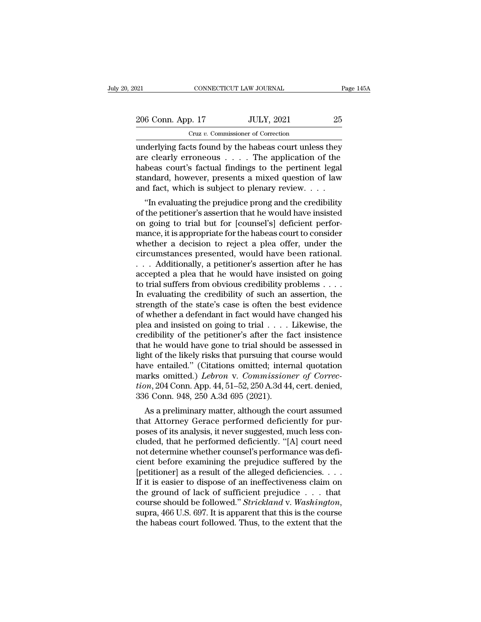# 206 Conn. App. 17 JULY, 2021 25<br>
206 Conn. App. 17 JULY, 2021 25<br>
25 Cruz *v.* Commissioner of Correction

CONNECTICUT LAW JOURNAL Page 145A<br>
206 Conn. App. 17 JULY, 2021 25<br>
Cruz v. Commissioner of Correction<br>
underlying facts found by the habeas court unless they<br>
are clearly erroneous . . . . The application of the<br>
habeas c 206 Conn. App. 17 JULY, 2021 25<br>
Cruz v. Commissioner of Correction<br>
underlying facts found by the habeas court unless they<br>
are clearly erroneous . . . . The application of the<br>
habeas court's factual findings to the pert 206 Conn. App. 17 JULY, 2021 25<br>
Cruz v. Commissioner of Correction<br>
underlying facts found by the habeas court unless they<br>
are clearly erroneous . . . . The application of the<br>
habeas court's factual findings to the per 206 Conn. App. 17 JULY, 2021 25<br>
Cruz v. Commissioner of Correction<br>
underlying facts found by the habeas court unless they<br>
are clearly erroneous . . . . The application of the<br>
habeas court's factual findings to the pert Cruz v. Commissioner of Correction<br>
underlying facts found by the habeas court unless they<br>
are clearly erroneous . . . . The application of the<br>
habeas court's factual findings to the pertinent legal<br>
standard, however, derlying facts found by the habeas court unless they<br>
e clearly erroneous  $\ldots$ . The application of the<br>
beas court's factual findings to the pertinent legal<br>
andard, however, presents a mixed question of law<br>
d fact, whi underlying facts found by the habeas court unless they<br>are clearly erroneous  $\dots$ . The application of the<br>habeas court's factual findings to the pertinent legal<br>standard, however, presents a mixed question of law<br>and fact

are clearly errolleous  $\ldots$  . The application of the habeas court's factual findings to the pertinent legal standard, however, presents a mixed question of law and fact, which is subject to plenary review.  $\ldots$  "In eval mappeas court's ractuar midnigs to the pertinent legarithm<br>standard, however, presents a mixed question of law<br>and fact, which is subject to plenary review....<br>"In evaluating the prejudice prong and the credibility<br>of the standard, nowever, presents a nixed question of raw<br>and fact, which is subject to plenary review.  $\dots$ <br>"In evaluating the prejudice prong and the credibility<br>of the petitioner's assertion that he would have insisted<br>on go and fact, which is subject to plenary review.  $\ldots$ <br>
"In evaluating the prejudice prong and the credibility<br>
of the petitioner's assertion that he would have insisted<br>
on going to trial but for [counsel's] deficient perfo "In evaluating the prejudice prong and the credibility<br>of the petitioner's assertion that he would have insisted<br>on going to trial but for [counsel's] deficient perfor-<br>mance, it is appropriate for the habeas court to con of the petitioner's assertion that he would have insisted<br>on going to trial but for [counsel's] deficient perfor-<br>mance, it is appropriate for the habeas court to consider<br>whether a decision to reject a plea offer, under t on going to trial but for [counsel's] deficient perfor-<br>mance, it is appropriate for the habeas court to consider<br>whether a decision to reject a plea offer, under the<br>circumstances presented, would have been rational.<br> $\ld$ mance, it is appropriate for the habeas court to consider<br>whether a decision to reject a plea offer, under the<br>circumstances presented, would have been rational.<br> $\ldots$  Additionally, a petitioner's assertion after he has<br>a whether a decision to reject a plea offer, under the circumstances presented, would have been rational.<br>  $\ldots$  Additionally, a petitioner's assertion after he has accepted a plea that he would have insisted on going to tr circumstances presented, would have been rational.<br>
. . . Additionally, a petitioner's assertion after he has<br>
accepted a plea that he would have insisted on going<br>
to trial suffers from obvious credibility problems . . . . . . Additionally, a petitioner's assertion after he has accepted a plea that he would have insisted on going to trial suffers from obvious credibility problems . . . . In evaluating the credibility of such an assertion, accepted a plea that he would have insisted on going<br>to trial suffers from obvious credibility problems . . . .<br>In evaluating the credibility of such an assertion, the<br>strength of the state's case is often the best eviden to trial suffers from obvious credibility problems . . . .<br>In evaluating the credibility of such an assertion, the<br>strength of the state's case is often the best evidence<br>of whether a defendant in fact would have changed In evaluating the credibility of such an assertion, the<br>strength of the state's case is often the best evidence<br>of whether a defendant in fact would have changed his<br>plea and insisted on going to trial  $\dots$ . Likewise, the strength of the state's case is often the best evidence<br>of whether a defendant in fact would have changed his<br>plea and insisted on going to trial  $\dots$ . Likewise, the<br>credibility of the petitioner's after the fact insisten of whether a defendant in fact would have changed his<br>plea and insisted on going to trial . . . . Likewise, the<br>credibility of the petitioner's after the fact insistence<br>that he would have gone to trial should be assessed plea and insisted on going to trial . . . . Likewise, the credibility of the petitioner's after the fact insistence that he would have gone to trial should be assessed in light of the likely risks that pursuing that course credibility of the petitioner's after the faith that he would have gone to trial should b<br>light of the likely risks that pursuing that<br>have entailed." (Citations omitted; inter<br>marks omitted.) *Lebron* v. Commission<br>tion, at he would have gone to that should be assessed in<br>the of the likely risks that pursuing that course would<br>we entailed." (Citations omitted; internal quotation<br>arks omitted.) *Lebron* v. *Commissioner of Correc-*<br> $m$ , 204 that Attorney Hasts and pursuing that Course would<br>have entailed." (Citations omitted; internal quotation<br>marks omitted.) *Lebron* v. *Commissioner of Correc-<br>tion*, 204 Conn. App. 44, 51–52, 250 A.3d 44, cert. denied,<br>336

raise entaned. (Chations onlitted, internal quotation<br>marks omitted.) *Lebron v. Commissioner of Correc-<br>tion*, 204 Conn. App. 44, 51–52, 250 A.3d 44, cert. denied,<br>336 Conn. 948, 250 A.3d 695 (2021).<br>As a preliminary matt marks onlined.) Leoron v. Commissioner of Correction, 204 Conn. App. 44, 51–52, 250 A.3d 44, cert. denied, 336 Conn. 948, 250 A.3d 695 (2021).<br>As a preliminary matter, although the court assumed that Attorney Gerace perfo Front, 204 Colin. App. 44, 51–52, 250 A.5d 44, Cert. denied,<br>336 Conn. 948, 250 A.3d 695 (2021).<br>As a preliminary matter, although the court assumed<br>that Attorney Gerace performed deficiently for pur-<br>poses of its analysi 350 Coluit. 948, 250 A.5d 095 (2021).<br>
As a preliminary matter, although the court assumed<br>
that Attorney Gerace performed deficiently for pur-<br>
poses of its analysis, it never suggested, much less con-<br>
cluded, that he p As a preliminary matter, although the court assumed<br>that Attorney Gerace performed deficiently for pur-<br>poses of its analysis, it never suggested, much less con-<br>cluded, that he performed deficiently. "[A] court need<br>not that Attorney Gerace performed deficiently for purposes of its analysis, it never suggested, much less concluded, that he performed deficiently. "[A] court need not determine whether counsel's performance was deficient bef poses of its analysis, it never suggested, much less concluded, that he performed deficiently. "[A] court need<br>not determine whether counsel's performance was defi-<br>cient before examining the prejudice suffered by the<br>[pe cluded, that he performed deficiently. "[A] court need<br>not determine whether counsel's performance was defi-<br>cient before examining the prejudice suffered by the<br>[petitioner] as a result of the alleged deficiencies. . . .<br> cient before examining the prejudice suffered by the [petitioner] as a result of the alleged deficiencies. . . . If it is easier to dispose of an ineffectiveness claim on the ground of lack of sufficient prejudice . . . t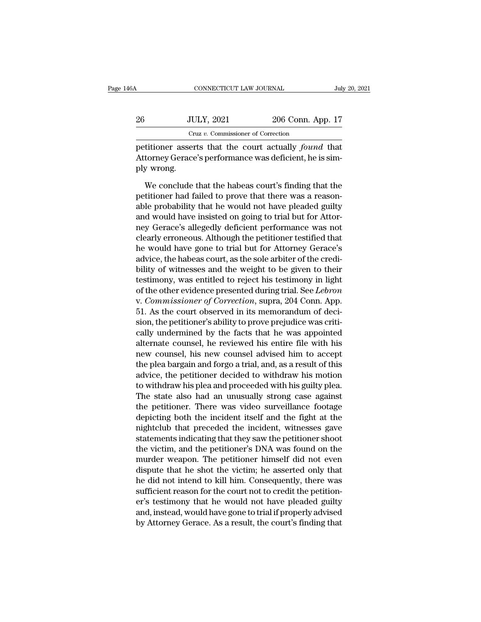|     | Cruz v. Commissioner of Correction |                   |               |
|-----|------------------------------------|-------------------|---------------|
| 26  | <b>JULY, 2021</b>                  | 206 Conn. App. 17 |               |
| 46A | CONNECTICUT LAW JOURNAL            |                   | July 20, 2021 |

26 JULY, 2021 206 Conn. App. 17<br>Cruz v. Commissioner of Correction<br>petitioner asserts that the court actually *found* that<br>Attorney Gerace's performance was deficient, he is sim-<br>ply wrong. 26 JU<br>
Cr<br>
petitioner asser<br>
Attorney Gerace<br>
ply wrong.<br>
We conclude  $U_{\text{UL}}$  (Cruz v. Commissioner of Correction<br>titioner asserts that the court actually *found* that<br>torney Gerace's performance was deficient, he is sim-<br>y wrong.<br>We conclude that the habeas court's finding that the<br>titio

Cruz v. Commissioner of Correction<br>petitioner asserts that the court actually *found* that<br>Attorney Gerace's performance was deficient, he is sim-<br>ply wrong.<br>We conclude that the habeas court's finding that the<br>petitioner petitioner asserts that the court actually *found* that<br>Attorney Gerace's performance was deficient, he is sim-<br>ply wrong.<br>We conclude that the habeas court's finding that the<br>petitioner had failed to prove that there was Attorney Gerace's performance was deficient, he is simply wrong.<br>We conclude that the habeas court's finding that the<br>petitioner had failed to prove that there was a reason-<br>able probability that he would not have pleaded ply wrong.<br>We conclude that the habeas court's finding that the<br>petitioner had failed to prove that there was a reason-<br>able probability that he would not have pleaded guilty<br>and would have insisted on going to trial but f We conclude that the habeas court's finding that the<br>petitioner had failed to prove that there was a reason-<br>able probability that he would not have pleaded guilty<br>and would have insisted on going to trial but for Attor-<br>n We conclude that the habeas court's finding that the<br>petitioner had failed to prove that there was a reason-<br>able probability that he would not have pleaded guilty<br>and would have insisted on going to trial but for Attor-<br>n petitioner had failed to prove that there was a reasonable probability that he would not have pleaded guilty and would have insisted on going to trial but for Attor-<br>ney Gerace's allegedly deficient performance was not cle able probability that he would not have pleaded guilty<br>and would have insisted on going to trial but for Attor-<br>ney Gerace's allegedly deficient performance was not<br>clearly erroneous. Although the petitioner testified that and would have insisted on going to trial but for Attor-<br>ney Gerace's allegedly deficient performance was not<br>clearly erroneous. Although the petitioner testified that<br>he would have gone to trial but for Attorney Gerace's<br> ney Gerace's allegedly deficient performance was not<br>clearly erroneous. Although the petitioner testified that<br>he would have gone to trial but for Attorney Gerace's<br>advice, the habeas court, as the sole arbiter of the cred clearly erroneous. Although the petitioner testified that<br>he would have gone to trial but for Attorney Gerace's<br>advice, the habeas court, as the sole arbiter of the credi-<br>bility of witnesses and the weight to be given to he would have gone to trial but for Attorney Gerace's<br>advice, the habeas court, as the sole arbiter of the credi-<br>bility of witnesses and the weight to be given to their<br>testimony, was entitled to reject his testimony in l advice, the habeas court, as the sole arbiter of the credi-<br>bility of witnesses and the weight to be given to their<br>testimony, was entitled to reject his testimony in light<br>of the other evidence presented during trial. See bility of witnesses and the weight to be given to their<br>testimony, was entitled to reject his testimony in light<br>of the other evidence presented during trial. See *Lebron*<br>v. *Commissioner of Correction*, supra, 204 Conn. testimony, was entitled to reject his testimony in light<br>of the other evidence presented during trial. See *Lebron*<br>v. Commissioner of Correction, supra, 204 Conn. App.<br>51. As the court observed in its memorandum of deci-<br> of the other evidence presented during trial. See *Lebron*<br>v. *Commissioner of Correction*, supra, 204 Conn. App.<br>51. As the court observed in its memorandum of deci-<br>sion, the petitioner's ability to prove prejudice was c v. Commissioner of Correction, supra, 204 Conn. App.<br>51. As the court observed in its memorandum of deci-<br>sion, the petitioner's ability to prove prejudice was criti-<br>cally undermined by the facts that he was appointed<br>alt 51. As the court observed in its memorandum of decision, the petitioner's ability to prove prejudice was critically undermined by the facts that he was appointed alternate counsel, he reviewed his entire file with his new sion, the petitioner's ability to prove prejudice was critically undermined by the facts that he was appointed<br>alternate counsel, he reviewed his entire file with his<br>new counsel, his new counsel advised him to accept<br>the cally undermined by the facts that he was appointed<br>alternate counsel, he reviewed his entire file with his<br>new counsel, his new counsel advised him to accept<br>the plea bargain and forgo a trial, and, as a result of this<br>ad alternate counsel, he reviewed his entire file with his<br>new counsel, his new counsel advised him to accept<br>the plea bargain and forgo a trial, and, as a result of this<br>advice, the petitioner decided to withdraw his motion<br> new counsel, his new counsel advised him to accept<br>the plea bargain and forgo a trial, and, as a result of this<br>advice, the petitioner decided to withdraw his motion<br>to withdraw his plea and proceeded with his guilty plea. the plea bargain and forgo a trial, and, as a result of this<br>advice, the petitioner decided to withdraw his motion<br>to withdraw his plea and proceeded with his guilty plea.<br>The state also had an unusually strong case agains advice, the petitioner decided to withdraw his motion<br>to withdraw his plea and proceeded with his guilty plea.<br>The state also had an unusually strong case against<br>the petitioner. There was video surveillance footage<br>depict to withdraw his plea and proceeded with his guilty plea.<br>The state also had an unusually strong case against<br>the petitioner. There was video surveillance footage<br>depicting both the incident itself and the fight at the<br>nigh The state also had an unusually strong case against<br>the petitioner. There was video surveillance footage<br>depicting both the incident itself and the fight at the<br>nightclub that preceded the incident, witnesses gave<br>statemen the petitioner. There was video surveillance footage<br>depicting both the incident itself and the fight at the<br>nightclub that preceded the incident, witnesses gave<br>statements indicating that they saw the petitioner shoot<br>the depicting both the incident itself and the fight at the<br>nightclub that preceded the incident, witnesses gave<br>statements indicating that they saw the petitioner shoot<br>the victim, and the petitioner's DNA was found on the<br>mu mightclub that preceded the incident, witnesses gave<br>statements indicating that they saw the petitioner shoot<br>the victim, and the petitioner's DNA was found on the<br>murder weapon. The petitioner himself did not even<br>dispute statements indicating that they saw the petitioner shoot<br>the victim, and the petitioner's DNA was found on the<br>murder weapon. The petitioner himself did not even<br>dispute that he shot the victim; he asserted only that<br>he di the victim, and the petitioner's DNA was found on the<br>murder weapon. The petitioner himself did not even<br>dispute that he shot the victim; he asserted only that<br>he did not intend to kill him. Consequently, there was<br>suffici murder weapon. The petitioner himself did not even<br>dispute that he shot the victim; he asserted only that<br>he did not intend to kill him. Consequently, there was<br>sufficient reason for the court not to credit the petition-<br>e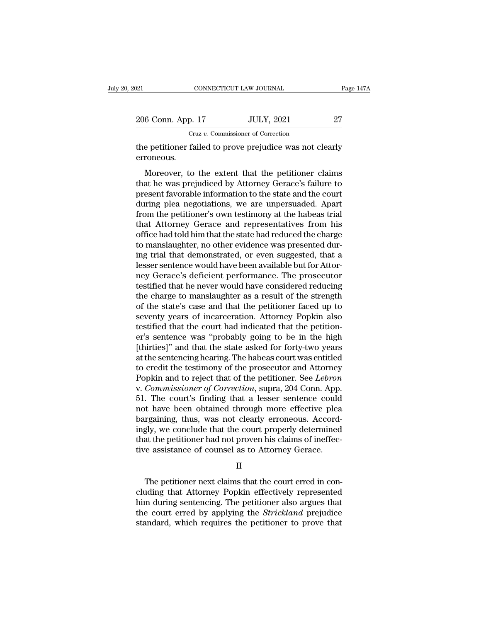| 021               | CONNECTICUT LAW JOURNAL                                  | Page 147A |
|-------------------|----------------------------------------------------------|-----------|
| 206 Conn. App. 17 | <b>JULY, 2021</b>                                        | 27        |
|                   | Cruz v. Commissioner of Correction                       |           |
| erroneous.        | the petitioner failed to prove prejudice was not clearly |           |

6 Conn. App. 17 JULY, 2021 27<br>
Cruz v. Commissioner of Correction<br>
e petitioner failed to prove prejudice was not clearly<br>
roneous.<br>
Moreover, to the extent that the petitioner claims<br>
at he was prejudiced by Attorney Gera 206 Conn. App. 17 JULY, 2021 27<br>
Cruz v. Commissioner of Correction<br>
the petitioner failed to prove prejudice was not clearly<br>
erroneous.<br>
Moreover, to the extent that the petitioner claims<br>
that he was prejudiced by Atto Cruz v. Commissioner of Correction<br>the petitioner failed to prove prejudice was not clearly<br>erroneous.<br>Moreover, to the extent that the petitioner claims<br>that he was prejudiced by Attorney Gerace's failure to<br>present favor the petitioner failed to prove prejudice was not clearly<br>erroneous.<br>Moreover, to the extent that the petitioner claims<br>that he was prejudiced by Attorney Gerace's failure to<br>present favorable information to the state and t from the petitioner failed to prove prejudice was not crearly<br>erroneous.<br>Moreover, to the extent that the petitioner claims<br>that he was prejudiced by Attorney Gerace's failure to<br>present favorable information to the state Moreover, to the extent that the petitioner claims<br>that he was prejudiced by Attorney Gerace's failure to<br>present favorable information to the state and the court<br>during plea negotiations, we are unpersuaded. Apart<br>from th Moreover, to the extent that the petitioner claims<br>that he was prejudiced by Attorney Gerace's failure to<br>present favorable information to the state and the court<br>during plea negotiations, we are unpersuaded. Apart<br>from th that he was prejudiced by Attorney Gerace's failure to<br>present favorable information to the state and the court<br>during plea negotiations, we are unpersuaded. Apart<br>from the petitioner's own testimony at the habeas trial<br>th present favorable information to the state and the court<br>during plea negotiations, we are unpersuaded. Apart<br>from the petitioner's own testimony at the habeas trial<br>that Attorney Gerace and representatives from his<br>office during plea negotiations, we are unpersuaded. Apart<br>from the petitioner's own testimony at the habeas trial<br>that Attorney Gerace and representatives from his<br>office had told him that the state had reduced the charge<br>to man from the petitioner's own testimony at the habeas trial<br>that Attorney Gerace and representatives from his<br>office had told him that the state had reduced the charge<br>to manslaughter, no other evidence was presented dur-<br>ing that Attorney Gerace and representatives from his<br>office had told him that the state had reduced the charge<br>to manslaughter, no other evidence was presented dur-<br>ing trial that demonstrated, or even suggested, that a<br>lesse office had told him that the state had reduced the charge<br>to manslaughter, no other evidence was presented dur-<br>ing trial that demonstrated, or even suggested, that a<br>lesser sentence would have been available but for Attor to manslaughter, no other evidence was presented during trial that demonstrated, or even suggested, that a lesser sentence would have been available but for Attorney Gerace's deficient performance. The prosecutor testified ing trial that demonstrated, or even suggested, that a<br>lesser sentence would have been available but for Attor-<br>ney Gerace's deficient performance. The prosecutor<br>testified that he never would have considered reducing<br>the lesser sentence would have been available but for Attorney Gerace's deficient performance. The prosecutor testified that he never would have considered reducing the charge to manslaughter as a result of the strength of the ney Gerace's deficient performance. The prosecutor<br>testified that he never would have considered reducing<br>the charge to manslaughter as a result of the strength<br>of the state's case and that the petitioner faced up to<br>seven testified that he never would have considered reducing<br>the charge to manslaughter as a result of the strength<br>of the state's case and that the petitioner faced up to<br>seventy years of incarceration. Attorney Popkin also<br>tes the charge to manslaughter as a result of the strength<br>of the state's case and that the petitioner faced up to<br>seventy years of incarceration. Attorney Popkin also<br>testified that the court had indicated that the petition-<br> of the state's case and that the petitioner faced up to<br>seventy years of incarceration. Attorney Popkin also<br>testified that the court had indicated that the petition-<br>er's sentence was "probably going to be in the high<br>[th seventy years of incarceration. Attorney Popkin also<br>testified that the court had indicated that the petition-<br>er's sentence was "probably going to be in the high<br>[thirties]" and that the state asked for forty-two years<br>at testified that the court had indicated that the petition-<br>er's sentence was "probably going to be in the high<br>[thirties]" and that the state asked for forty-two years<br>at the sentencing hearing. The habeas court was entitle er's sentence was "probably going to be in the high<br>[thirties]" and that the state asked for forty-two years<br>at the sentencing hearing. The habeas court was entitled<br>to credit the testimony of the prosecutor and Attorney<br>P [thirties]" and that the state asked for forty-two years<br>at the sentencing hearing. The habeas court was entitled<br>to credit the testimony of the prosecutor and Attorney<br>Popkin and to reject that of the petitioner. See *Leb* at the sentencing hearing. The habeas court was entitled<br>to credit the testimony of the prosecutor and Attorney<br>Popkin and to reject that of the petitioner. See *Lebron*<br>v. Commissioner of Correction, supra, 204 Conn. App. to credit the testimony of the prosecutor and Attorney<br>Popkin and to reject that of the petitioner. See *Lebron*<br>v. Commissioner of Correction, supra, 204 Conn. App.<br>51. The court's finding that a lesser sentence could<br>not Popkin and to reject that of the petitioner. See *Lebron* v. *Commissioner of Correction*, supra, 204 Conn. App.<br>51. The court's finding that a lesser sentence could not have been obtained through more effective plea<br>barga v. Commissioner of Correction, supra, 204 Conn. App.<br>51. The court's finding that a lesser sentence could<br>not have been obtained through more effective plea<br>bargaining, thus, was not clearly erroneous. Accord-<br>ingly, we co rgaining, thus, was not clearly erroneous. Accord-<br>gly, we conclude that the court properly determined<br>at the petitioner had not proven his claims of ineffec-<br>re assistance of counsel as to Attorney Gerace.<br>II<br>The petition

II

ingly, we conclude that the court properly determined<br>that the petitioner had not proven his claims of ineffec-<br>tive assistance of counsel as to Attorney Gerace.<br>II<br>The petitioner next claims that the court erred in con-<br>c that the petitioner had not proven his claims of ineffec-<br>tive assistance of counsel as to Attorney Gerace.<br>II<br>The petitioner next claims that the court erred in con-<br>cluding that Attorney Popkin effectively represented<br>hi tive assistance of counsel as to Attorney Gerace.<br>
II<br>
The petitioner next claims that the court erred in concluding that Attorney Popkin effectively represented<br>
him during sentencing. The petitioner also argues that<br>
the II<br>The petitioner next claims that the court erred in concluding that Attorney Popkin effectively represented<br>him during sentencing. The petitioner also argues that<br>the court erred by applying the *Strickland* prejudice<br>st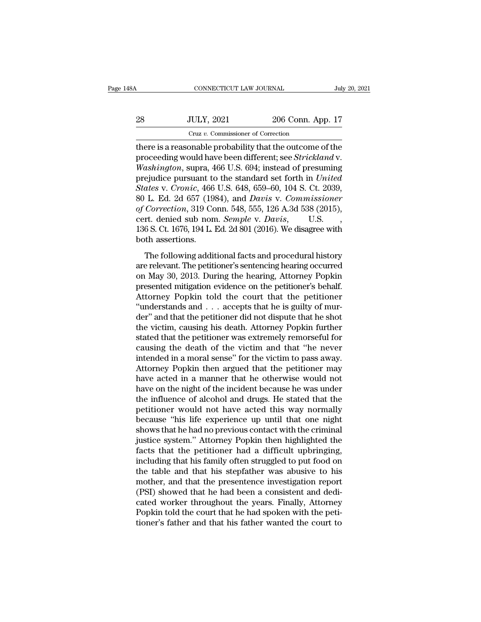|    | CONNECTICUT LAW JOURNAL                                   |                   | July 20, 2021 |
|----|-----------------------------------------------------------|-------------------|---------------|
|    |                                                           |                   |               |
| 28 | <b>JULY, 2021</b>                                         | 206 Conn. App. 17 |               |
|    | Cruz v. Commissioner of Correction                        |                   |               |
|    | there is a reasonable probability that the outcome of the |                   |               |

CONNECTICUT LAW JOURNAL July 20, 2021<br>
28 JULY, 2021 206 Conn. App. 17<br>
Cruz v. Commissioner of Correction<br>
there is a reasonable probability that the outcome of the<br>
proceeding would have been different; see *Strickland* proceeding would have been different; see *Strickland* v.<br>
proceeding would have been different; see *Strickland* v.<br>
washington, supra, 466 U.S. 694; instead of presuming<br>
projudice pursuant to the standard set forth in *Washington*, 2021 206 Conn. App. 17<br> *Cruz v. Commissioner of Correction*<br> **there is a reasonable probability that the outcome of the**<br>
proceeding would have been different; see *Strickland* v.<br> *Washington*, supra, 466 U Press, 28 JULY, 2021 206 Conn. App. 17<br>
Cruz v. Commissioner of Correction<br>
there is a reasonable probability that the outcome of the<br>
proceeding would have been different; see *Strickland* v.<br> *Washington*, supra, 466 U.S *States* v. *Cruz v. Commissioner of Correction*<br>
there is a reasonable probability that the outcome of the<br>
proceeding would have been different; see *Strickland* v.<br> *Washington*, supra, 466 U.S. 694; instead of presumin Cruz *v*. Commissioner of Correction<br>there is a reasonable probability that the outcome of the<br>proceeding would have been different; see *Strickland* v.<br>Washington, supra, 466 U.S. 694; instead of presuming<br>prejudice pursu there is a reasonable probability that the outcome of the<br>proceeding would have been different; see *Strickland* v.<br>*Washington*, supra, 466 U.S. 694; instead of presuming<br>prejudice pursuant to the standard set forth in *U* proceeding would have been different; see *Strickland* v.<br>Washington, supra, 466 U.S. 694; instead of presuming<br>prejudice pursuant to the standard set forth in *United*<br>States v. Cronic, 466 U.S. 648, 659–60, 104 S. Ct. 20 Washington, supra, 466 U.S. 694; instead of presuming<br>prejudice pursuant to the standard set forth in *United*<br>States v. Cronic, 466 U.S. 648, 659–60, 104 S. Ct. 2039,<br>80 L. Ed. 2d 657 (1984), and *Davis v. Commissioner*<br>o prejudice pursuant to<br>States v. Cronic, 466<br>80 L. Ed. 2d 657 (19)<br>of Correction, 319 Cc<br>cert. denied sub non<br>136 S. Ct. 1676, 194 L. l<br>both assertions.<br>The following addit L. Ed. 2d 657 (1984), and *Davis v. Commissioner*<br>Correction, 319 Conn. 548, 555, 126 A.3d 538 (2015),<br>rt. denied sub nom. *Semple v. Davis*, U.S.<br>6 S. Ct. 1676, 194 L. Ed. 2d 801 (2016). We disagree with<br>th assertions.<br>T of Correction, 319 Conn. 548, 555, 126 A.3d 538 (2015),<br>of Correction, 319 Conn. 548, 555, 126 A.3d 538 (2015),<br>cert. denied sub nom. *Semple* v. *Davis*, U.S.<br>136 S. Ct. 1676, 194 L. Ed. 2d 801 (2016). We disagree with<br>b

on May 30, 2013. During the hearing, Attorney Popkin<br>present. denied sub nom. *Semple v. Davis*, U.S. , 136 S. Ct. 1676, 194 L. Ed. 2d 801 (2016). We disagree with<br>both assertions.<br>The following additional facts and proce 136 S. Ct. 1676, 194 L. Ed. 2d 801 (2016). We disagree with<br>both assertions.<br>The following additional facts and procedural history<br>are relevant. The petitioner's sentencing hearing occurred<br>on May 30, 2013. During the hea Foo E. e., 1919, 1914, 1919, 1920). We disagree with<br>both assertions.<br>The following additional facts and procedural history<br>are relevant. The petitioner's sentencing hearing occurred<br>on May 30, 2013. During the hearing, At both assertions.<br>
The following additional facts and procedural history<br>
are relevant. The petitioner's sentencing hearing occurred<br>
on May 30, 2013. During the hearing, Attorney Popkin<br>
presented mitigation evidence on th The following additional facts and procedural history<br>are relevant. The petitioner's sentencing hearing occurred<br>on May 30, 2013. During the hearing, Attorney Popkin<br>presented mitigation evidence on the petitioner's behalf are relevant. The petitioner's sentencing hearing occurred<br>on May 30, 2013. During the hearing, Attorney Popkin<br>presented mitigation evidence on the petitioner's behalf.<br>Attorney Popkin told the court that the petitioner<br>" on May 30, 2013. During the hearing, Attorney Popkin<br>presented mitigation evidence on the petitioner's behalf.<br>Attorney Popkin told the court that the petitioner<br>"understands and . . . accepts that he is guilty of mur-<br>der presented mitigation evidence on the petitioner's behalf.<br>Attorney Popkin told the court that the petitioner<br>"understands and . . . accepts that he is guilty of mur-<br>der" and that the petitioner did not dispute that he sho Attorney Popkin told the court that the petitioner<br>"understands and . . . accepts that he is guilty of mur-<br>der" and that the petitioner did not dispute that he shot<br>the victim, causing his death. Attorney Popkin further<br>s "understands and  $\ldots$  accepts that he is guilty of murder" and that the petitioner did not dispute that he shot<br>the victim, causing his death. Attorney Popkin further<br>stated that the petitioner was extremely remorseful f der" and that the petitioner did not dispute that he shot<br>the victim, causing his death. Attorney Popkin further<br>stated that the petitioner was extremely remorseful for<br>causing the death of the victim and that "he never<br>in the victim, causing his death. Attorney Popkin further<br>stated that the petitioner was extremely remorseful for<br>causing the death of the victim and that "he never<br>intended in a moral sense" for the victim to pass away.<br>Atto stated that the petitioner was extremely remorseful for<br>causing the death of the victim and that "he never<br>intended in a moral sense" for the victim to pass away.<br>Attorney Popkin then argued that the petitioner may<br>have ac causing the death of the victim and that "he never<br>intended in a moral sense" for the victim to pass away.<br>Attorney Popkin then argued that the petitioner may<br>have acted in a manner that he otherwise would not<br>have on the intended in a moral sense" for the victim to pass away.<br>Attorney Popkin then argued that the petitioner may<br>have acted in a manner that he otherwise would not<br>have on the night of the incident because he was under<br>the infl Attorney Popkin then argued that the petitioner may<br>have acted in a manner that he otherwise would not<br>have on the night of the incident because he was under<br>the influence of alcohol and drugs. He stated that the<br>petitione have acted in a manner that he otherwise would not<br>have on the night of the incident because he was under<br>the influence of alcohol and drugs. He stated that the<br>petitioner would not have acted this way normally<br>because "hi have on the night of the incident because he was under<br>the influence of alcohol and drugs. He stated that the<br>petitioner would not have acted this way normally<br>because "his life experience up until that one night<br>shows tha the influence of alcohol and drugs. He stated that the petitioner would not have acted this way normally because "his life experience up until that one night shows that he had no previous contact with the criminal justice petitioner would not have acted this way normally<br>because "his life experience up until that one night<br>shows that he had no previous contact with the criminal<br>justice system." Attorney Popkin then highlighted the<br>facts tha because "his life experience up until that one night<br>shows that he had no previous contact with the criminal<br>justice system." Attorney Popkin then highlighted the<br>facts that the petitioner had a difficult upbringing,<br>inclu shows that he had no previous contact with the criminal justice system." Attorney Popkin then highlighted the facts that the petitioner had a difficult upbringing, including that his family often struggled to put food on t justice system." Attorney Popkin then highlighted the<br>facts that the petitioner had a difficult upbringing,<br>including that his family often struggled to put food on<br>the table and that his stepfather was abusive to his<br>moth facts that the petitioner had a difficult upbringing, including that his family often struggled to put food on the table and that his stepfather was abusive to his mother, and that the presentence investigation report (PSI including that his family often struggled to put food on<br>the table and that his stepfather was abusive to his<br>mother, and that the presentence investigation report<br>(PSI) showed that he had been a consistent and dedi-<br>cated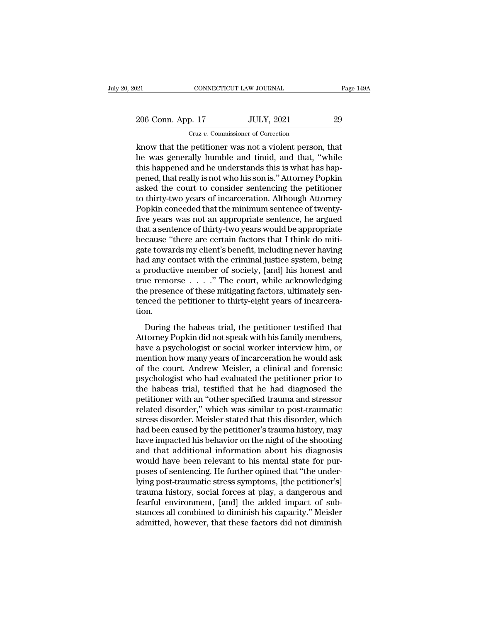21 CONNECTICUT LAW JOURNAL Page 149A<br>
206 Conn. App. 17 JULY, 2021 29<br>
Cruz v. Commissioner of Correction Cruz *v.* Commissioner of Correction

Equal to connect the performance of the person of the person of the person, that<br>the was generally humble and timid, and that, "while<br>this happened and be understands this is what has been 206 Conn. App. 17 JULY, 2021 29<br>
Cruz v. Commissioner of Correction<br>
know that the petitioner was not a violent person, that<br>
he was generally humble and timid, and that, "while<br>
this happened and he understands this is wh 206 Conn. App. 17 JULY, 2021 29<br>
Cruz v. Commissioner of Correction<br>
know that the petitioner was not a violent person, that<br>
he was generally humble and timid, and that, "while<br>
this happened and he understands this is w 206 Conn. App. 17 JULY, 2021 29<br>
Cruz v. Commissioner of Correction<br>
know that the petitioner was not a violent person, that<br>
he was generally humble and timid, and that, "while<br>
this happened and he understands this is wh Cruz v. Commissioner of Correction<br>
know that the petitioner was not a violent person, that<br>
he was generally humble and timid, and that, "while<br>
this happened and he understands this is what has hap-<br>
pened, that really Cruz v. Commissioner of Correction<br>
know that the petitioner was not a violent person, that<br>
he was generally humble and timid, and that, "while<br>
this happened and he understands this is what has hap-<br>
pened, that really i know that the petitioner was not a violent person, that<br>he was generally humble and timid, and that, "while<br>this happened and he understands this is what has hap-<br>pened, that really is not who his son is." Attorney Popkin<br> he was generally humble and timid, and that, "while<br>this happened and he understands this is what has hap-<br>pened, that really is not who his son is." Attorney Popkin<br>asked the court to consider sentencing the petitioner<br>to this happened and he understands this is what has happened, that really is not who his son is." Attorney Popkin<br>asked the court to consider sentencing the petitioner<br>to thirty-two years of incarceration. Although Attorney<br> pened, that really is not who his son is." Attorney Popkin<br>asked the court to consider sentencing the petitioner<br>to thirty-two years of incarceration. Although Attorney<br>Popkin conceded that the minimum sentence of twenty-<br> asked the court to consider sentencing the petitioner<br>to thirty-two years of incarceration. Although Attorney<br>Popkin conceded that the minimum sentence of twenty-<br>five years was not an appropriate sentence, he argued<br>that to thirty-two years of incarceration. Although Attorney<br>Popkin conceded that the minimum sentence of twenty-<br>five years was not an appropriate sentence, he argued<br>that a sentence of thirty-two years would be appropriate<br>be Popkin conceded that the minimum sentence of twenty-<br>five years was not an appropriate sentence, he argued<br>that a sentence of thirty-two years would be appropriate<br>because "there are certain factors that I think do miti-<br>g five years was not an appropriate sentence, he argued<br>that a sentence of thirty-two years would be appropriate<br>because "there are certain factors that I think do miti-<br>gate towards my client's benefit, including never havi that a sentence of thirty-two years would be appropriate<br>because "there are certain factors that I think do mitigate<br>towards my client's benefit, including never having<br>had any contact with the criminal justice system, bei because "there are certain factors that I think do mitigate towards my client's benefit, including never having had any contact with the criminal justice system, being a productive member of society, [and] his honest and t tion. Example of society, [and] his honest and<br>productive member of society, [and] his honest and<br>are remorse . . . . " The court, while acknowledging<br>e presence of these mitigating factors, ultimately sen-<br>nced the petitioner t  $\alpha$  productive included of decreed, (and I allowedd ging<br>true remorse  $\dots$ ." The court, while acknowledging<br>the presence of these mitigating factors, ultimately sen-<br>tenced the petitioner to thirty-eight years of incarce

the presence of these mitigating factors, ultimately sentenced the petitioner to thirty-eight years of incarceration.<br>
During the habeas trial, the petitioner testified that<br>
Attorney Popkin did not speak with his family mention dependence of alles many and the petitioner testified that<br>tenced the petitioner to thirty-eight years of incarcera-<br>tion.<br>During the habeas trial, the petitioner testified that<br>Attorney Popkin did not speak with h of the court of the babeas trial, the petitioner testified that<br>Attorney Popkin did not speak with his family members,<br>have a psychologist or social worker interview him, or<br>mention how many years of incarceration he would During the habeas trial, the petitioner testified that<br>Attorney Popkin did not speak with his family members,<br>have a psychologist or social worker interview him, or<br>mention how many years of incarceration he would ask<br>of t During the habeas trial, the petitioner testified that<br>Attorney Popkin did not speak with his family members,<br>have a psychologist or social worker interview him, or<br>mention how many years of incarceration he would ask<br>of t Attorney Popkin did not speak with his family members,<br>have a psychologist or social worker interview him, or<br>mention how many years of incarceration he would ask<br>of the court. Andrew Meisler, a clinical and forensic<br>psych have a psychologist or social worker interview him, or<br>mention how many years of incarceration he would ask<br>of the court. Andrew Meisler, a clinical and forensic<br>psychologist who had evaluated the petitioner prior to<br>the h mention how many years of incarceration he would ask<br>of the court. Andrew Meisler, a clinical and forensic<br>psychologist who had evaluated the petitioner prior to<br>the habeas trial, testified that he had diagnosed the<br>petiti of the court. Andrew Meisler, a clinical and forensic<br>psychologist who had evaluated the petitioner prior to<br>the habeas trial, testified that he had diagnosed the<br>petitioner with an "other specified trauma and stressor<br>rel psychologist who had evaluated the petitioner prior to<br>the habeas trial, testified that he had diagnosed the<br>petitioner with an "other specified trauma and stressor<br>related disorder," which was similar to post-traumatic<br>st the habeas trial, testified that he had diagnosed the<br>petitioner with an "other specified trauma and stressor<br>related disorder," which was similar to post-traumatic<br>stress disorder. Meisler stated that this disorder, which petitioner with an "other specified trauma and stressor related disorder," which was similar to post-traumatic stress disorder. Meisler stated that this disorder, which had been caused by the petitioner's trauma history, m related disorder," which was similar to post-traumatic<br>stress disorder. Meisler stated that this disorder, which<br>had been caused by the petitioner's trauma history, may<br>have impacted his behavior on the night of the shooti stress disorder. Meisler stated that this disorder, which<br>had been caused by the petitioner's trauma history, may<br>have impacted his behavior on the night of the shooting<br>and that additional information about his diagnosis<br> had been caused by the petitioner's trauma history, may<br>have impacted his behavior on the night of the shooting<br>and that additional information about his diagnosis<br>would have been relevant to his mental state for pur-<br>pose have impacted his behavior on the night of the shooting<br>and that additional information about his diagnosis<br>would have been relevant to his mental state for pur-<br>poses of sentencing. He further opined that "the under-<br>lyin and that additional information about his diagnosis<br>would have been relevant to his mental state for pur-<br>poses of sentencing. He further opined that "the under-<br>lying post-traumatic stress symptoms, [the petitioner's]<br>tra would have been relevant to his mental state for purposes of sentencing. He further opined that "the underlying post-traumatic stress symptoms, [the petitioner's] trauma history, social forces at play, a dangerous and fear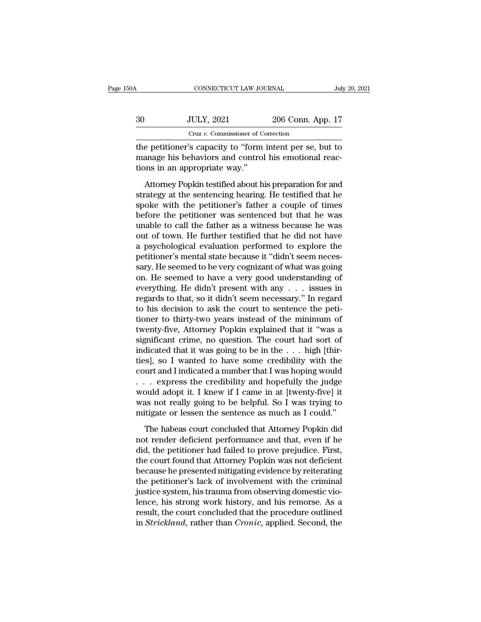| .50A | CONNECTICUT LAW JOURNAL                                                                                                                          |                   | July 20, 2021 |
|------|--------------------------------------------------------------------------------------------------------------------------------------------------|-------------------|---------------|
| 30   | <b>JULY, 2021</b>                                                                                                                                | 206 Conn. App. 17 |               |
|      | Cruz v. Commissioner of Correction                                                                                                               |                   |               |
|      | the petitioner's capacity to "form intent per se, but to<br>manage his behaviors and control his emotional reac-<br>tiona in an annuanviate way" |                   |               |

30 JULY, 2021 206 Conn. App. 17<br>Cruz v. Commissioner of Correction<br>the petitioner's capacity to "form intent per se, but to<br>manage his behaviors and control his emotional reac-<br>tions in an appropriate way." 30 JULY, 2021<br>Cruz v. Commissioner of C<br>the petitioner's capacity to "form<br>manage his behaviors and control<br>tions in an appropriate way."<br>Attorney Popkin testified about h  $JULY, 2021$  200 Conn. App. 17<br>
Cruz v. Commissioner of Correction<br>
e petitioner's capacity to "form intent per se, but to<br>
anage his behaviors and control his emotional reac-<br>
ons in an appropriate way."<br>
Attorney Popkin

Cruz  $v$ . Commissioner of Correction<br>the petitioner's capacity to "form intent per se, but to<br>manage his behaviors and control his emotional reac-<br>tions in an appropriate way."<br>Attorney Popkin testified about his preparat the petitioner's capacity to "form intent per se, but to<br>manage his behaviors and control his emotional reac-<br>tions in an appropriate way."<br>Attorney Popkin testified about his preparation for and<br>strategy at the sentencing and perfective transferred but the perfections in an appropriate way."<br>
Attorney Popkin testified about his preparation for and<br>
strategy at the sentencing hearing. He testified that he<br>
spoke with the petitioner's father manage the senatrices and senselved its since<br>tions in an appropriate way."<br>Attorney Popkin testified about his preparation for and<br>strategy at the sentencing hearing. He testified that he<br>spoke with the petitioner's fathe Attorney Popkin testified about his preparation for and<br>strategy at the sentencing hearing. He testified that he<br>spoke with the petitioner's father a couple of times<br>before the petitioner was sentenced but that he was<br>unab Attorney Popkin testified about his preparation for and<br>strategy at the sentencing hearing. He testified that he<br>spoke with the petitioner's father a couple of times<br>before the petitioner was sentenced but that he was<br>unab strategy at the sentencing hearing. He testified that he spoke with the petitioner's father a couple of times<br>before the petitioner was sentenced but that he was<br>unable to call the father as a witness because he was<br>out of spoke with the petitioner's father a couple of times<br>before the petitioner was sentenced but that he was<br>unable to call the father as a witness because he was<br>out of town. He further testified that he did not have<br>a psycho before the petitioner was sentenced but that he was<br>unable to call the father as a witness because he was<br>out of town. He further testified that he did not have<br>a psychological evaluation performed to explore the<br>petitione unable to call the father as a witness because he was<br>out of town. He further testified that he did not have<br>a psychological evaluation performed to explore the<br>petitioner's mental state because it "didn't seem neces-<br>sary out of town. He further testified that he did not have<br>a psychological evaluation performed to explore the<br>petitioner's mental state because it "didn't seem neces-<br>sary. He seemed to be very cognizant of what was going<br>on. a psychological evaluation performed to explore the<br>petitioner's mental state because it "didn't seem neces-<br>sary. He seemed to be very cognizant of what was going<br>on. He seemed to have a very good understanding of<br>everyth petitioner's mental state because it "didn't seem necessary. He seemed to be very cognizant of what was going<br>on. He seemed to have a very good understanding of<br>everything. He didn't present with any . . . issues in<br>regard sary. He seemed to be very cognizant of what was going<br>on. He seemed to have a very good understanding of<br>everything. He didn't present with any  $\ldots$  issues in<br>regards to that, so it didn't seem necessary." In regard<br>to on. He seemed to have a very good understanding of<br>everything. He didn't present with any . . . issues in<br>regards to that, so it didn't seem necessary." In regard<br>to his decision to ask the court to sentence the peti-<br>tio everything. He didn't present with any . . . issues in<br>regards to that, so it didn't seem necessary." In regard<br>to his decision to ask the court to sentence the peti-<br>tioner to thirty-two years instead of the minimum of<br>tw regards to that, so it didn't seem necessary." In regard<br>to his decision to ask the court to sentence the peti-<br>tioner to thirty-two years instead of the minimum of<br>twenty-five, Attorney Popkin explained that it "was a<br>sig to his decision to ask the court to sentence the petitioner to thirty-two years instead of the minimum of twenty-five, Attorney Popkin explained that it "was a significant crime, no question. The court had sort of indicat tioner to thirty-two years instead of the minimum of<br>twenty-five, Attorney Popkin explained that it "was a<br>significant crime, no question. The court had sort of<br>indicated that it was going to be in the  $\dots$  high [thir-<br>ti twenty-five, Attorney Popkin explained that it "was a significant crime, no question. The court had sort of indicated that it was going to be in the  $\ldots$  high [thir-<br>ties], so I wanted to have some credibility with the c significant crime, no question. The court had sort of indicated that it was going to be in the . . . high [thir-<br>ties], so I wanted to have some credibility with the court and I indicated a number that I was hoping would<br> indicated that it was going to be in the  $\ldots$  high [thir-<br>ties], so I wanted to have some credibility with the<br>court and I indicated a number that I was hoping would<br> $\ldots$  express the credibility and hopefully the judge<br> Indicated a number that I was hoping would<br>
. express the credibility and hopefully the judge<br>
build adopt it. I knew if I came in at [twenty-five] it<br>
as not really going to be helpful. So I was trying to<br>
titigate or les ... express the credibility and hopefully the judge<br>would adopt it. I knew if I came in at [twenty-five] it<br>was not really going to be helpful. So I was trying to<br>mitigate or lessen the sentence as much as I could."<br>The h

would adopt it. I knew if I came in at [twenty-five] it<br>was not really going to be helpful. So I was trying to<br>mitigate or lessen the sentence as much as I could."<br>The habeas court concluded that Attorney Popkin did<br>not re was not really going to be helpful. So I was trying to<br>mitigate or lessen the sentence as much as I could."<br>The habeas court concluded that Attorney Popkin did<br>not render deficient performance and that, even if he<br>did, the mitigate or lessen the sentence as much as I could."<br>The habeas court concluded that Attorney Popkin did<br>not render deficient performance and that, even if he<br>did, the petitioner had failed to prove prejudice. First,<br>the c The habeas court concluded that Attorney Popkin did<br>not render deficient performance and that, even if he<br>did, the petitioner had failed to prove prejudice. First,<br>the court found that Attorney Popkin was not deficient<br>bec The habeas court concluded that Attorney Popkin did<br>not render deficient performance and that, even if he<br>did, the petitioner had failed to prove prejudice. First,<br>the court found that Attorney Popkin was not deficient<br>bec not render deficient performance and that, even if he<br>did, the petitioner had failed to prove prejudice. First,<br>the court found that Attorney Popkin was not deficient<br>because he presented mitigating evidence by reiterating did, the petitioner had failed to prove prejudice. First,<br>the court found that Attorney Popkin was not deficient<br>because he presented mitigating evidence by reiterating<br>the petitioner's lack of involvement with the crimina the court found that Attorney Popkin was not deficient<br>because he presented mitigating evidence by reiterating<br>the petitioner's lack of involvement with the criminal<br>justice system, his trauma from observing domestic vio-<br>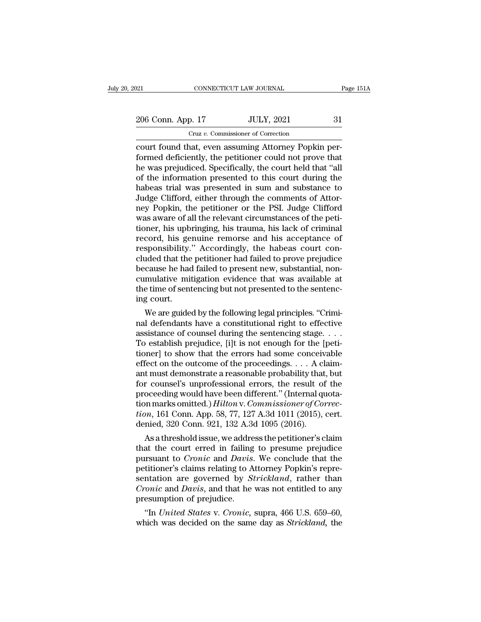| 021               | CONNECTICUT LAW JOURNAL                             | Page 151A |
|-------------------|-----------------------------------------------------|-----------|
| 206 Conn. App. 17 | <b>JULY, 2021</b>                                   | 31        |
|                   | Cruz v. Commissioner of Correction                  |           |
|                   | court found that even assuming Attorney Ponkin per- |           |

connectricut LAW JOURNAL<br>
206 Conn. App. 17 JULY, 2021 31<br>
Cruz v. Commissioner of Correction<br>
Court found that, even assuming Attorney Popkin per-<br>
formed deficiently, the petitioner could not prove that Formed deficiently, the petitioner could not prove that<br>the was prejudiced. Specifically, the court held that "all<br>of the information prosented to this court during the<br>of the information prosented to this court during the  $\frac{206 \text{ Conn. App. 17}}{\text{Curz } v. \text{ Commissioner of Correction}}$ <br>
court found that, even assuming Attorney Popkin performed deficiently, the petitioner could not prove that<br>
the was prejudiced. Specifically, the court held that "all<br>
of the informat 206 Conn. App. 17 JULY, 2021 31<br>
Cruz v. Commissioner of Correction<br>
court found that, even assuming Attorney Popkin per-<br>
formed deficiently, the petitioner could not prove that<br>
the was prejudiced. Specifically, the cou Cruz v. Commissioner of Correction<br>
Cruz v. Commissioner of Correction<br>
formed deficiently, the petitioner could not prove that<br>
he was prejudiced. Specifically, the court held that "all<br>
of the information presented to th  $Cruz v$ . Commissioner of Correction<br>court found that, even assuming Attorney Popkin per-<br>formed deficiently, the petitioner could not prove that<br>he was prejudiced. Specifically, the court held that "all<br>of the information court found that, even assuming Attorney Popkin per-<br>formed deficiently, the petitioner could not prove that<br>he was prejudiced. Specifically, the court held that "all<br>of the information presented to this court during the<br>h formed deficiently, the petitioner could not prove that<br>he was prejudiced. Specifically, the court held that "all<br>of the information presented to this court during the<br>habeas trial was presented in sum and substance to<br>Jud the was prejudiced. Specifically, the court held that "all<br>of the information presented to this court during the<br>habeas trial was presented in sum and substance to<br>Judge Clifford, either through the comments of Attor-<br>ney of the information presented to this court during the<br>habeas trial was presented in sum and substance to<br>Judge Clifford, either through the comments of Attor-<br>ney Popkin, the petitioner or the PSI. Judge Clifford<br>was aware habeas trial was presented in sum and substance to Judge Clifford, either through the comments of Attorney Popkin, the petitioner or the PSI. Judge Clifford was aware of all the relevant circumstances of the petitioner, hi Judge Clifford, either through the comments of Attor-<br>ney Popkin, the petitioner or the PSI. Judge Clifford<br>was aware of all the relevant circumstances of the peti-<br>tioner, his upbringing, his trauma, his lack of criminal<br> ney Popkin, the petitioner or the PSI. Judge Clifford<br>was aware of all the relevant circumstances of the peti-<br>tioner, his upbringing, his trauma, his lack of criminal<br>record, his genuine remorse and his acceptance of<br>resp was aware of all the relevant circumstances of the petitioner, his upbringing, his trauma, his lack of criminal record, his genuine remorse and his acceptance of responsibility." Accordingly, the habeas court concluded tha tioner, his upbringing, his trauma, his lack of criminal record, his genuine remorse and his acceptance of responsibility." Accordingly, the habeas court concluded that the petitioner had failed to prove prejudice because record, his ge<br>responsibility.<br>cluded that the<br>because he had<br>cumulative mit<br>the time of sent<br>ing court.<br>We are guide sponsibility. Accordingly, the nabeas court con-<br>ided that the petitioner had failed to prove prejudice<br>cause he had failed to present new, substantial, non-<br>mulative mitigation evidence that was available at<br>e time of sen cluded that the petitioner had failed to prove prejudice<br>because he had failed to present new, substantial, non-<br>cumulative mitigation evidence that was available at<br>the time of sentencing but not presented to the sentenc-

because he had failed to present new, substantial, non-<br>cumulative mitigation evidence that was available at<br>the time of sentencing but not presented to the sentenc-<br>ing court.<br>We are guided by the following legal principl cumulative mitigation evidence that was available at<br>the time of sentencing but not presented to the sentenc-<br>ing court.<br>We are guided by the following legal principles. "Crimi-<br>nal defendants have a constitutional right the time or sentencing out not presented to the sentenc-<br>ing court.<br>We are guided by the following legal principles. "Crimi-<br>nal defendants have a constitutional right to effective<br>assistance of counsel during the sentenc Ing court.<br>We are guided by the following legal principles. "Crimi-<br>nal defendants have a constitutional right to effective<br>assistance of counsel during the sentencing stage. . . .<br>To establish prejudice, [i]t is not enou We are guided by the following legal principles. "Crimi-<br>nal defendants have a constitutional right to effective<br>assistance of counsel during the sentencing stage.  $\dots$ <br>To establish prejudice, [i]t is not enough for the [ mal defendants have a constitutional right to effective<br>assistance of counsel during the sentencing stage.  $\dots$ <br>To establish prejudice, [i]t is not enough for the [peti-<br>tioner] to show that the errors had some conceivabl assistance of counsel during the sentencing stage....<br>To establish prejudice, [i]t is not enough for the [petitioner] to show that the errors had some conceivable<br>effect on the outcome of the proceedings.... A claim-<br>ant To establish prejudice, [i]t is not enough for the [petitioner] to show that the errors had some conceivable effect on the outcome of the proceedings. . . . A claimant must demonstrate a reasonable probability that, but fo tioner] to show that the errors had some conceivable<br>effect on the outcome of the proceedings. . . . A claim-<br>ant must demonstrate a reasonable probability that, but<br>for counsel's unprofessional errors, the result of the<br>p effect on the outcome of the proceedings. . . . A cl<br>ant must demonstrate a reasonable probability that<br>for counsel's unprofessional errors, the result of<br>proceeding would have been different." (Internal qu<br>tion marks omi t must demonstrate a reasonable probability that, but<br>r counsel's unprofessional errors, the result of the<br>oceeding would have been different." (Internal quota-<br>n marks omitted.) *Hilton* v. Commissioner of Correc-<br> $m$ , 16 for counsers unprofessional errors, the result of the<br>proceeding would have been different." (Internal quota-<br>tion, 161 Conn. App. 58, 77, 127 A.3d 1011 (2015), cert.<br>denied, 320 Conn. 921, 132 A.3d 1095 (2016).<br>As a thre

proceeding would nave been different." (internal quotation marks omitted.) *Hilton v. Commissioner of Correction*, 161 Conn. App. 58, 77, 127 A.3d 1011 (2015), cert.<br>denied, 320 Conn. 921, 132 A.3d 1095 (2016).<br>As a thresh tion, 161 Conn. App. 58, 77, 127 A.3d 1011 (2015), cert.<br>
denied, 320 Conn. 921, 132 A.3d 1095 (2016).<br>
As a threshold issue, we address the petitioner's claim<br>
that the court erred in failing to presume prejudice<br>
pursuan tion, 161 Conn. App. 58, 77, 127 A.3d 1011 (2015), cert.<br>denied, 320 Conn. 921, 132 A.3d 1095 (2016).<br>As a threshold issue, we address the petitioner's claim<br>that the court erred in failing to presume prejudice<br>pursuant to denied, 320 Conn. 921, 132 A.3d 1095 (2016).<br> *As a threshold issue, we address the petitioner's claim*<br>
that the court erred in failing to presume prejudice<br>
pursuant to *Cronic* and *Davis*. We conclude that the<br>
petitio As a threshold issue, we addre<br>that the court erred in failing<br>pursuant to *Cronic* and *Davis*.<br>petitioner's claims relating to A<br>sentation are governed by  $S_i$ <br>*Cronic* and *Davis*, and that he<br>presumption of prejudice. at the court erred in failing to presume prejudice<br>
in Figure 3. We conclude that the<br>
titioner's claims relating to Attorney Popkin's repre-<br>
intation are governed by *Strickland*, rather than<br>
onic and *Davis*, and that pursuant to Cronce and Davis. we conclude that the<br>petitioner's claims relating to Attorney Popkin's repre-<br>sentation are governed by *Strickland*, rather than<br>*Cronic* and Davis, and that he was not entitled to any<br>presum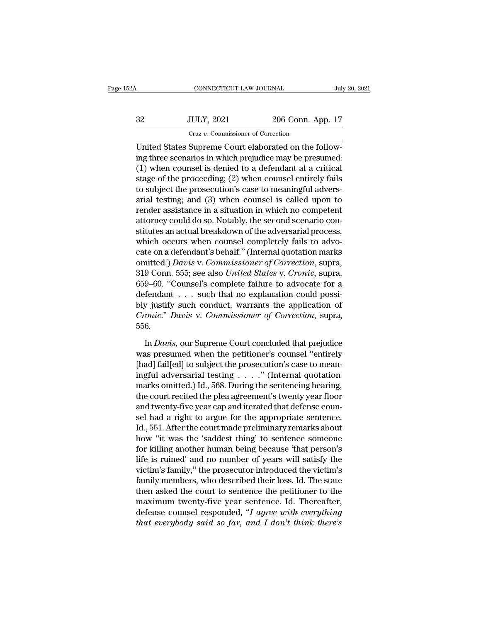# CONNECTICUT LAW JOURNAL July 20, 2021<br>32 JULY, 2021 206 Conn. App. 17<br>Cruz v. Commissioner of Correction CONNECTICUT LAW JOURNAL<br>JULY, 2021 206 Conn. Ap<br>Cruz v. Commissioner of Correction<br>Sumreme Court elaborated on the fo

CONNECTICUT LAW JOURNAL<br>
UNITED STATES SUPREMENT CRIP CONTRACT CRIP CRIP CONTRACT CRIP CONTRACT CONTRACT CONTRACT CONTRACT CONTRACT CONTRACT CONTRACT CONTRACT CONTRACT CONTRACT CONTRACT CONTRACT CONTRACT CONTRACT CONTRACT 32 JULY, 2021 206 Conn. App. 17<br>
Cruz v. Commissioner of Correction<br>
United States Supreme Court elaborated on the following three scenarios in which prejudice may be presumed:<br>
(1) when counsel is denied to a defendant a  $32$  JULY, 2021 206 Conn. App. 17<br>
Cruz v. Commissioner of Correction<br>
United States Supreme Court elaborated on the following three scenarios in which prejudice may be presumed:<br>
(1) when counsel is denied to a defendant  $32$  JULY, 2021 206 Conn. App. 17<br>
Cruz v. Commissioner of Correction<br>
United States Supreme Court elaborated on the following three scenarios in which prejudice may be presumed:<br>
(1) when counsel is denied to a defendant Cruz v. Commissioner of Correction<br>
United States Supreme Court elaborated on the follow-<br>
ing three scenarios in which prejudice may be presumed:<br>
(1) when counsel is denied to a defendant at a critical<br>
stage of the pro United States Supreme Court elaborated on the following three scenarios in which prejudice may be presumed:<br>
(1) when counsel is denied to a defendant at a critical<br>
stage of the proceeding; (2) when counsel entirely fail United States Supreme Court elaborated on the following three scenarios in which prejudice may be presumed:<br>(1) when counsel is denied to a defendant at a critical<br>stage of the proceeding; (2) when counsel entirely fails<br>t ing three scenarios in which prejudice may be presumed:<br>(1) when counsel is denied to a defendant at a critical<br>stage of the proceeding; (2) when counsel entirely fails<br>to subject the prosecution's case to meaningful adver (1) when counsel is denied to a defendant at a critical<br>stage of the proceeding; (2) when counsel entirely fails<br>to subject the prosecution's case to meaningful advers-<br>arial testing; and (3) when counsel is called upon t stage of the proceeding; (2) when counsel entirely fails<br>to subject the prosecution's case to meaningful advers-<br>arial testing; and (3) when counsel is called upon to<br>render assistance in a situation in which no competent to subject the prosecution's case to meaningful adversarial testing; and (3) when counsel is called upon to render assistance in a situation in which no competent attorney could do so. Notably, the second scenario constit arial testing; and (3) when counsel is called upon to<br>render assistance in a situation in which no competent<br>attorney could do so. Notably, the second scenario con-<br>stitutes an actual breakdown of the adversarial process,<br> render assistance in a situation in which no competent<br>attorney could do so. Notably, the second scenario con-<br>stitutes an actual breakdown of the adversarial process,<br>which occurs when counsel completely fails to advo-<br>ca attorney could do so. Notably, the second scenario constitutes an actual breakdown of the adversarial process,<br>which occurs when counsel completely fails to advocate on a defendant's behalf." (Internal quotation marks<br>omit stitutes an actual breakdown of the adversarial process,<br>which occurs when counsel completely fails to advo-<br>cate on a defendant's behalf." (Internal quotation marks<br>omitted.) *Davis* v. Commissioner of Correction, supra,<br> which occurs when counsel completely fails to advo-<br>cate on a defendant's behalf." (Internal quotation marks<br>omitted.) *Davis v. Commissioner of Correction*, supra,<br>319 Conn. 555; see also *United States v. Cronic*, supra, cate on a defendant's behalf." (Internal quotation marks<br>
comitted.) *Davis* v. *Commissioner of Correction*, supra,<br>
319 Conn. 555; see also *United States* v. *Cronic*, supra,<br>
659–60. "Counsel's complete failure to advo 556. 9–60. "Counsel's complete failure to advocate for a<br>fendant . . . such that no explanation could possi-<br>y justify such conduct, warrants the application of<br>onic." *Davis* v. *Commissioner of Correction*, supra,<br>6.<br>In *Davi* defendant . . . such that no explanation could possi-<br>bly justify such conduct, warrants the application of<br>Cronic." Davis v. Commissioner of Correction, supra,<br>556.<br>In Davis, our Supreme Court concluded that prejudice<br>was

bly justify such conduct, warrants the application of *Cronic." Davis* v. *Commissioner of Correction*, supra, 556.<br>In *Davis*, our Supreme Court concluded that prejudice was presumed when the petitioner's counsel "entirel *Cronic." Davis* v. *Commissioner of Correction*, supra,<br>556.<br>In *Davis*, our Supreme Court concluded that prejudice<br>was presumed when the petitioner's counsel "entirely<br>[had] fail[ed] to subject the prosecution's case to 556.<br>In *Davis*, our Supreme Court concluded that prejudice<br>was presumed when the petitioner's counsel "entirely<br>[had] fail[ed] to subject the prosecution's case to mean-<br>ingful adversarial testing  $\dots$ ." (Internal quotat In *Davis*, our Supreme Court concluded that prejudice<br>was presumed when the petitioner's counsel "entirely<br>[had] fail[ed] to subject the prosecution's case to mean-<br>ingful adversarial testing  $\ldots$ ." (Internal quotation<br> In *Davis*, our Supreme Court concluded that prejudice<br>was presumed when the petitioner's counsel "entirely<br>[had] fail[ed] to subject the prosecution's case to mean-<br>ingful adversarial testing  $\ldots$ ." (Internal quotation<br> was presumed when the petitioner's counsel "entirely<br>[had] fail[ed] to subject the prosecution's case to mean-<br>ingful adversarial testing  $\ldots$ ." (Internal quotation<br>marks omitted.) Id., 568. During the sentencing hearing [had] fail[ed] to subject the prosecution's case to mean-<br>ingful adversarial testing  $\ldots$ ." (Internal quotation<br>marks omitted.) Id., 568. During the sentencing hearing,<br>the court recited the plea agreement's twenty year ingful adversarial testing . . . . . " (Internal quotation<br>marks omitted.) Id., 568. During the sentencing hearing,<br>the court recited the plea agreement's twenty year floor<br>and twenty-five year cap and iterated that defens marks omitted.) Id., 568. During the sentencing hearing,<br>the court recited the plea agreement's twenty year floor<br>and twenty-five year cap and iterated that defense coun-<br>sel had a right to argue for the appropriate senten the court recited the plea agreement's twenty year floor<br>and twenty-five year cap and iterated that defense coun-<br>sel had a right to argue for the appropriate sentence.<br>Id., 551. After the court made preliminary remarks ab and twenty-five year cap and iterated that defense counsel had a right to argue for the appropriate sentence.<br>Id., 551. After the court made preliminary remarks about<br>how "it was the 'saddest thing' to sentence someone<br>for sel had a right to argue for the appropriate sentence.<br>Id., 551. After the court made preliminary remarks about<br>how "it was the 'saddest thing' to sentence someone<br>for killing another human being because 'that person's<br>lif Id., 551. After the court made preliminary remarks about<br>how "it was the 'saddest thing' to sentence someone<br>for killing another human being because 'that person's<br>life is ruined' and no number of years will satisfy the<br>vi how "it was the 'saddest thing' to sentence someone<br>for killing another human being because 'that person's<br>life is ruined' and no number of years will satisfy the<br>victim's family," the prosecutor introduced the victim's<br>f for killing another human being because 'that person's<br>life is ruined' and no number of years will satisfy the<br>victim's family," the prosecutor introduced the victim's<br>family members, who described their loss. Id. The stat life is ruined' and no number of years will satisfy the victim's family," the prosecutor introduced the victim's family members, who described their loss. Id. The state then asked the court to sentence the petitioner to th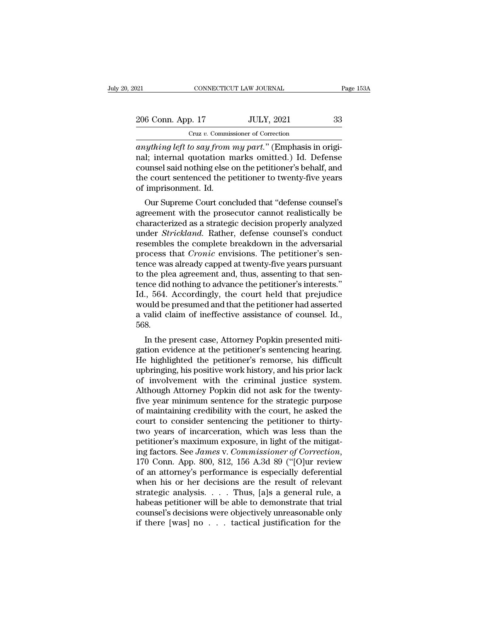# 206 Conn. App. 17 JULY, 2021 233<br>
206 Conn. App. 17 JULY, 2021 33 Cruz *v.* Commissioner of Correction

<sup>20</sup> and <sup>201</sup> connectricut taw Journal<br><sup>20</sup> anything left to say from my part.'' (Emphasis in original; internal quotation marks omitted.) Id. Defense 206 Conn. App. 17 JULY, 2021 33<br>
Cruz v. Commissioner of Correction<br>
anything left to say from my part." (Emphasis in original; internal quotation marks omitted.) Id. Defense<br>
counsel said nothing else on the petitioner's 206 Conn. App. 17 JULY, 2021 33<br>
Cruz v. Commissioner of Correction<br>
anything left to say from my part." (Emphasis in original; internal quotation marks omitted.) Id. Defense<br>
counsel said nothing else on the petitioner's 206 Conn. App. 17 JULY, 2021 33<br>
Cruz v. Commissioner of Correction<br>
anything left to say from my part." (Emphasis in original; internal quotation marks omitted.) Id. Defense<br>
counsel said nothing else on the petitioner's Cruz v. Commis<br>
anything left to say from<br>
ral; internal quotation n<br>
counsel said nothing else of<br>
the court sentenced the p<br>
of imprisonment. Id.<br>
Our Supreme Court cone bything left to say from my part." (Emphasis in origi-<br>l; internal quotation marks omitted.) Id. Defense<br>unsel said nothing else on the petitioner's behalf, and<br>e court sentenced the petitioner to twenty-five years<br>impriso anguaring left to say from my part. (Emphasis in original; internal quotation marks omitted.) Id. Defense<br>counsel said nothing else on the petitioner's behalf, and<br>the court sentenced the petitioner to twenty-five years<br>of

raal, internal quotation marks omitted.) Id. Defense<br>counsel said nothing else on the petitioner's behalf, and<br>the court sentenced the petitioner to twenty-five years<br>of imprisonment. Id.<br>Our Supreme Court concluded that " results and nothing eise on the petitioner is benan, and<br>the court sentenced the petitioner to twenty-five years<br>of imprisonment. Id.<br>Our Supreme Court concluded that "defense counsel's<br>agreement with the prosecutor cannot resembles the complete breakdown in the adversariance we also already support our Supreme Court concluded that "defense counsel's agreement with the prosecutor cannot realistically be characterized as a strategic decision or miprisonment. id.<br>
Our Supreme Court concluded that "defense counsel's<br>
agreement with the prosecutor cannot realistically be<br>
characterized as a strategic decision properly analyzed<br>
under *Strickland*. Rather, defense Our Supreme Court concluded that "defense counsel's<br>agreement with the prosecutor cannot realistically be<br>characterized as a strategic decision properly analyzed<br>under *Strickland*. Rather, defense counsel's conduct<br>resemb agreement with the prosecutor cannot realistically be characterized as a strategic decision properly analyzed under *Strickland*. Rather, defense counsel's conduct resembles the complete breakdown in the adversarial proces characterized as a strategic decision properly analyzed<br>under *Strickland*. Rather, defense counsel's conduct<br>resembles the complete breakdown in the adversarial<br>process that *Cronic* envisions. The petitioner's sen-<br>tence under *Strickland*. Rather, defense counsel's conduct<br>resembles the complete breakdown in the adversarial<br>process that *Cronic* envisions. The petitioner's sen-<br>tence was already capped at twenty-five years pursuant<br>to the resembles the complete breakdown in the adversarial<br>process that *Cronic* envisions. The petitioner's sen-<br>tence was already capped at twenty-five years pursuant<br>to the plea agreement and, thus, assenting to that sen-<br>tenc process that *Cronic* envisions. The petitioner's sentence was already capped at twenty-five years pursuant to the plea agreement and, thus, assenting to that sentence did nothing to advance the petitioner's interests."<br>Id 568. In the plea agreement and, thus, asseming to that sensince did nothing to advance the petitioner's interests."<br>
In 564. Accordingly, the court held that prejudice<br>
bould be presumed and that the petitioner had asserted<br>
va rence at nothing to advance the petitioner's interests.<br>Id., 564. Accordingly, the court held that prejudice<br>would be presumed and that the petitioner had asserted<br>a valid claim of ineffective assistance of counsel. Id.,<br>5

He highlighted the petitioner's remorse, his difficult upbringing, his positive work history, and his prior lack<br>the highlighted the petitioner's remorse, his difficult upbringing, his positive work history, and his prior would be presulted and that the petitioner had asserted<br>a valid claim of ineffective assistance of counsel. Id.,<br>568.<br>In the present case, Attorney Popkin presented miti-<br>gation evidence at the petitioner's sentencing hear a vand claim of menective assistance of counser. 1d.,<br>568.<br>In the present case, Attorney Popkin presented miti-<br>gation evidence at the petitioner's sentencing hearing.<br>He highlighted the petitioner's remorse, his difficult In the present case, Attorney Popkin presented mitigation evidence at the petitioner's sentencing hearing.<br>He highlighted the petitioner's remorse, his difficult<br>upbringing, his positive work history, and his prior lack<br>of In the present case, Attorney Popkin presented mitigation evidence at the petitioner's sentencing hearing.<br>He highlighted the petitioner's remorse, his difficult<br>upbringing, his positive work history, and his prior lack<br>of gation evidence at the petitioner's sentencing hearing.<br>He highlighted the petitioner's remorse, his difficult<br>upbringing, his positive work history, and his prior lack<br>of involvement with the criminal justice system.<br>Alth He highlighted the petitioner's remorse, his difficult<br>upbringing, his positive work history, and his prior lack<br>of involvement with the criminal justice system.<br>Although Attorney Popkin did not ask for the twenty-<br>five ye upbringing, his positive work history, and his prior lack<br>of involvement with the criminal justice system.<br>Although Attorney Popkin did not ask for the twenty-<br>five year minimum sentence for the strategic purpose<br>of mainta of involvement with the criminal justice system.<br>Although Attorney Popkin did not ask for the twenty-<br>five year minimum sentence for the strategic purpose<br>of maintaining credibility with the court, he asked the<br>court to co Although Attorney Popkin did not ask for the twenty-<br>five year minimum sentence for the strategic purpose<br>of maintaining credibility with the court, he asked the<br>court to consider sentencing the petitioner to thirty-<br>two y of maintaining credibility with the court, he asked the<br>court to consider sentencing the petitioner to thirty-<br>two years of incarceration, which was less than the<br>petitioner's maximum exposure, in light of the mitigat-<br>ing court to consider sentencing the petitioner to thirty-<br>two years of incarceration, which was less than the<br>petitioner's maximum exposure, in light of the mitigat-<br>ing factors. See *James* v. *Commissioner of Correction*,<br>1 two years of incarceration, which was less than the<br>petitioner's maximum exposure, in light of the mitigat-<br>ing factors. See *James* v. *Commissioner of Correction*,<br>170 Conn. App. 800, 812, 156 A.3d 89 ("[O]ur review<br>of petitioner's maximum exposure, in light of the mitigat-<br>ing factors. See *James* v. *Commissioner of Correction*,<br>170 Conn. App. 800, 812, 156 A.3d 89 ("[O]ur review<br>of an attorney's performance is especially deferential<br>w ing factors. See *James* v. *Commissioner of Correction*,<br>170 Conn. App. 800, 812, 156 A.3d 89 ("[O]ur review<br>of an attorney's performance is especially deferential<br>when his or her decisions are the result of relevant<br>str 170 Conn. App. 800, 812, 156 A.3d 89 ("[O]ur review of an attorney's performance is especially deferential when his or her decisions are the result of relevant strategic analysis. . . . Thus, [a]s a general rule, a habeas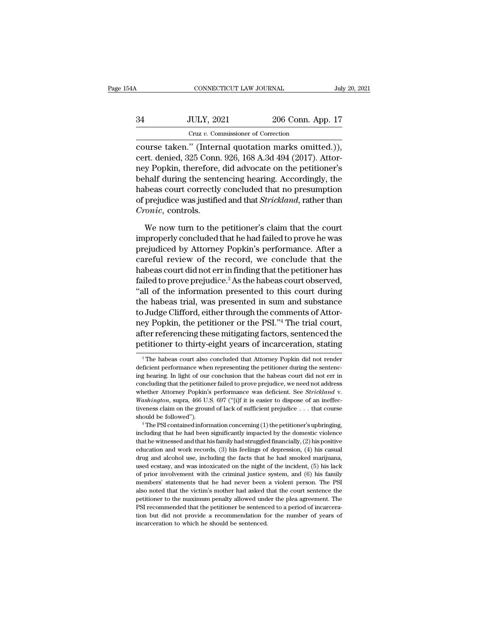|    | CONNECTICUT LAW JOURNAL                            |                   | July 20, 2021 |
|----|----------------------------------------------------|-------------------|---------------|
| 34 | <b>JULY, 2021</b>                                  | 206 Conn. App. 17 |               |
|    | Cruz v. Commissioner of Correction                 |                   |               |
|    | course taken " (Internal quotation marks omitted)) |                   |               |

connectricut LAW JOURNAL July 20, 2<br>
34 JULY, 2021 206 Conn. App. 17<br>
Cruz v. Commissioner of Correction<br>
course taken.'' (Internal quotation marks omitted.)),<br>
cert. denied, 325 Conn. 926, 168 A.3d 494 (2017). Attor-34 JULY, 2021 206 Conn. App. 17<br>
Cruz v. Commissioner of Correction<br>
course taken." (Internal quotation marks omitted.)),<br>
cert. denied, 325 Conn. 926, 168 A.3d 494 (2017). Attor-<br>
ney Popkin, therefore, did advocate on th 34 JULY, 2021 206 Conn. App. 17<br>
Cruz v. Commissioner of Correction<br>
course taken." (Internal quotation marks omitted.)),<br>
cert. denied, 325 Conn. 926, 168 A.3d 494 (2017). Attor-<br>
ney Popkin, therefore, did advocate on th  $\frac{34}{100}$  JULY, 2021 206 Conn. App. 17<br>  $\frac{34}{100}$  Cruz v. Commissioner of Correction<br>
course taken." (Internal quotation marks omitted.)),<br>
cert. denied, 325 Conn. 926, 168 A.3d 494 (2017). Attor-<br>
ney Popkin, there Cruz v. Commissioner of Correction<br>
course taken." (Internal quotation marks omitted.)),<br>
cert. denied, 325 Conn. 926, 168 A.3d 494 (2017). Attor-<br>
ney Popkin, therefore, did advocate on the petitioner's<br>
behalf during the course taken." (Internal quotation marks omitted.)),<br>cert. denied, 325 Conn. 926, 168 A.3d 494 (2017). Attor-<br>ney Popkin, therefore, did advocate on the petitioner's<br>behalf during the sentencing hearing. Accordingly, the<br>h course taken." (Intern<br>cert. denied, 325 Conn<br>ney Popkin, therefore,<br>behalf during the sent<br>habeas court correctly<br>of prejudice was justific<br>*Cronic*, controls.<br>We now turn to the y Popkin, therefore, did advocate on the petitioner's<br>half during the sentencing hearing. Accordingly, the<br>beas court correctly concluded that no presumption<br>prejudice was justified and that *Strickland*, rather than<br>*onic* behalf during the sentencing hearing. Accordingly, the<br>habeas court correctly concluded that no presumption<br>of prejudice was justified and that *Strickland*, rather than<br>*Cronic*, controls.<br>We now turn to the petitioner's

habeas court correctly concluded that no presumption<br>of prejudice was justified and that *Strickland*, rather than<br>*Cronic*, controls.<br>We now turn to the petitioner's claim that the court<br>improperly concluded that he had f of prejudice was justified and that *Strickland*, rather than<br> *Cronic*, controls.<br>
We now turn to the petitioner's claim that the court<br>
improperly concluded that he had failed to prove he was<br>
prejudiced by Attorney Popk *Cronic*, controls.<br>
We now turn to the petitioner's claim that the court<br>
improperly concluded that he had failed to prove he was<br>
prejudiced by Attorney Popkin's performance. After a<br>
careful review of the record, we con We now turn to the petitioner's claim that the court<br>improperly concluded that he had failed to prove he was<br>prejudiced by Attorney Popkin's performance. After a<br>careful review of the record, we conclude that the<br>habeas co We now turn to the petitioner's claim that the court<br>
improperly concluded that he had failed to prove he was<br>
prejudiced by Attorney Popkin's performance. After a<br>
careful review of the record, we conclude that the<br>
habea improperly concluded that he had failed to prove he was<br>prejudiced by Attorney Popkin's performance. After a<br>careful review of the record, we conclude that the<br>habeas court did not err in finding that the petitioner has<br>fa prejudiced by Attorney Popkin's performance. After a<br>careful review of the record, we conclude that the<br>habeas court did not err in finding that the petitioner has<br>failed to prove prejudice.<sup>3</sup> As the habeas court observed careful review of the record, we conclude that the<br>habeas court did not err in finding that the petitioner has<br>failed to prove prejudice.<sup>3</sup> As the habeas court observed,<br>"all of the information presented to this court dur habeas court did not err in finding that the petitioner has<br>failed to prove prejudice.<sup>3</sup> As the habeas court observed,<br>"all of the information presented to this court during<br>the habeas trial, was presented in sum and subs failed to prove prejudice.<sup>3</sup> As the habeas court observed,<br>"all of the information presented to this court during<br>the habeas trial, was presented in sum and substance<br>to Judge Clifford, either through the comments of Atto to Judge Clifford, either through the comments of Attorney Popkin, the petitioner or the PSI."<sup>4</sup> The trial court, after referencing these mitigating factors, sentenced the petitioner to thirty-eight years of incarceratio ney Popkin, the petitioner or the PSI."<sup>4</sup> The trial court, after referencing these mitigating factors, sentenced the petitioner to thirty-eight years of incarceration, stating <sup>3</sup> The habeas court also concluded that Atto

after referencing these mitigating factors, sentenced the<br>petitioner to thirty-eight years of incarceration, stating<br><sup>3</sup>The habeas court also concluded that Attorney Popkin did not render<br>deficient performance when represe petitioner to thirty-eight years of incarceration, stating<br>
<sup>3</sup> The habeas court also concluded that Attorney Popkin did not render<br>
deficient performance when representing the petitioner during the sentenc-<br>
ing hearing. whether Attorney Popkin's pears of incarceration, stating<br>
<sup>3</sup> The habeas court also concluded that Attorney Popkin did not render<br>
deficient performance when representing the petitioner during the sentenc-<br>
ing hearing. I deficient performance when representing the petitioner during the sentencing hearing. In light of our conclusion that the habeas court did not err in concluding that the petitioner failed to prove prejudice, we need not a ing hearing. In light of our conclusion that the habeas court did not err in concluding that the petitioner failed to prove prejudice, we need not address whether Attorney Popkin's performance was deficient. See *Strickla* whether Attorney Popkin's performance was deficient. See *Strickland* v.<br>Washington, supra, 466 U.S. 697 ("[i]f it is easier to dispose of an ineffec-<br>tiveness claim on the ground of lack of sufficient prejudice . . . tha

Washington, supra, 466 U.S. 697 ("[i]f it is easier to dispose of an ineffectiveness claim on the ground of lack of sufficient prejudice  $\ldots$  that course should be followed").<br>
"The PSI contained information concerning ( interests claim on the ground of lack of sufficient prejudice . . . that course should be followed").<br>
"The PSI contained information concerning (1) the petitioner's upbringing, including that he had been significantly im should be followed").<br>  $^4$  The PSI contained information concerning (1) the petitioner's upbringing,<br>
including that he had been significantly impacted by the domestic violence<br>
that he witnessed and that his family had <sup>4</sup> The PSI contained information concerning (1) the petitioner's upbringing, including that he had been significantly impacted by the domestic violence that he witnessed and that his family had struggled financially, (2) including that he had been significantly impacted by the domestic violence<br>that he witnessed and that his family had struggled financially, (2) his positive<br>education and work records, (3) his feelings of depression, (4) h members' statements that he had never been a violent person. (4) his positive education and work records, (3) his feelings of depression, (4) his casual drug and alcohol use, including the facts that he had smoked marijua also noted that the victim's mother had asked that the court sentence the periodic and drug and alcohol use, including the facts that he had smoked marijuana, used ecstasy, and was intoxicated on the night of the incident, drug and alcohol use, including the facts that he had smoked marijuana, used ecstasy, and was intoxicated on the night of the incident, (5) his lack of prior involvement with the criminal justice system, and (6) his family drug and alcohol use, including the facts that he had smoked marijuana, used ecstasy, and was intoxicated on the night of the incident, (5) his lack of prior involvement with the criminal justice system, and (6) his famil of prior involvement with the criminal justice system, and (6) his family members' statements that he had never been a violent person. The PSI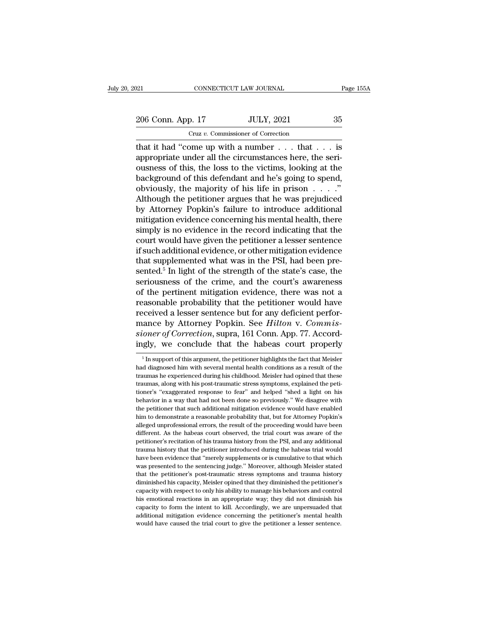206 Conn. App. 17 JULY, 2021 235<br>
206 Conn. App. 17 JULY, 2021 35

CONNECTICUT LAW JOURNAL<br>
206 Conn. App. 17 JULY, 2021 35<br>
Cruz *v*. Commissioner of Correction<br>
that it had "come up with a number . . . that . . . is<br>
appropriate under all the circumstances here, the seri-<br>
ousness of th The CONNECTICUT LAW JOURNAL Page 155A<br>
206 Conn. App. 17 JULY, 2021 35<br>
Cruz v. Commissioner of Correction<br>
that it had "come up with a number . . . that . . . is<br>
appropriate under all the circumstances here, the seri-206 Conn. App. 17 JULY, 2021 35<br>
Cruz v. Commissioner of Correction<br>
that it had "come up with a number . . . that . . . is<br>
appropriate under all the circumstances here, the seri-<br>
ousness of this, the loss to the victim 206 Conn. App. 17 JULY, 2021 35<br>
Cruz v. Commissioner of Correction<br>
that it had "come up with a number . . . that . . . is<br>
appropriate under all the circumstances here, the seri-<br>
ousness of this, the loss to the victim Cruz v. Commissioner of Correction<br>
that it had "come up with a number . . . that . . . is<br>
appropriate under all the circumstances here, the seri-<br>
ousness of this, the loss to the victims, looking at the<br>
background of Critz *v*. Commissioner of Correction<br>that it had "come up with a number . . . that . . . is<br>appropriate under all the circumstances here, the seri-<br>ousness of this, the loss to the victims, looking at the<br>background of t that it had "come up with a number  $\dots$  that  $\dots$  is<br>appropriate under all the circumstances here, the seri-<br>ousness of this, the loss to the victims, looking at the<br>background of this defendant and he's going to spend,<br>o appropriate under all the circumstances here, the seri-<br>ousness of this, the loss to the victims, looking at the<br>background of this defendant and he's going to spend,<br>obviously, the majority of his life in prison . . . . . ousness of this, the loss to the victims, looking at the background of this defendant and he's going to spend, obviously, the majority of his life in prison  $\ldots$ ."<br>Although the petitioner argues that he was prejudiced by background of this defendant and he's going to spend,<br>obviously, the majority of his life in prison  $\ldots$ ."<br>Although the petitioner argues that he was prejudiced<br>by Attorney Popkin's failure to introduce additional<br>mitiga obviously, the majority of his life in prison  $\ldots$ ."<br>Although the petitioner argues that he was prejudiced<br>by Attorney Popkin's failure to introduce additional<br>mitigation evidence concerning his mental health, there<br>simp Although the petitioner argues that he was prejudiced<br>by Attorney Popkin's failure to introduce additional<br>mitigation evidence concerning his mental health, there<br>simply is no evidence in the record indicating that the<br>cou by Attorney Popkin's failure to introduce additional<br>mitigation evidence concerning his mental health, there<br>simply is no evidence in the record indicating that the<br>court would have given the petitioner a lesser sentence<br>i mitigation evidence concerning his mental health, there<br>simply is no evidence in the record indicating that the<br>court would have given the petitioner a lesser sentence<br>if such additional evidence, or other mitigation evide simply is no evidence in the record indicating that the<br>court would have given the petitioner a lesser sentence<br>if such additional evidence, or other mitigation evidence<br>that supplemented what was in the PSI, had been precourt would have given the petitioner a lesser sentence<br>if such additional evidence, or other mitigation evidence<br>that supplemented what was in the PSI, had been pre-<br>sented.<sup>5</sup> In light of the strength of the state's case if such additional evidence, or other mitigation evidence<br>that supplemented what was in the PSI, had been pre-<br>sented.<sup>5</sup> In light of the strength of the state's case, the<br>seriousness of the crime, and the court's awarene that supplemented what was in the PSI, had been pre-<br>sented.<sup>5</sup> In light of the strength of the state's case, the<br>seriousness of the crime, and the court's awareness<br>of the pertinent mitigation evidence, there was not a<br>re sented.<sup>5</sup> In light of the strength of the state's case, the seriousness of the crime, and the court's awareness of the pertinent mitigation evidence, there was not a reasonable probability that the petitioner would have r seriousness of the crime, and the court's awareness<br>of the pertinent mitigation evidence, there was not a<br>reasonable probability that the petitioner would have<br>received a lesser sentence but for any deficient perfor-<br>mance received a lesser sentence but for any deficient performance by Attorney Popkin. See *Hilton* v. *Commissioner of Correction*, supra, 161 Conn. App. 77. Accordingly, we conclude that the habeas court properly  $\frac{1}{10}$  I mance by Attorney Popkin. See *Hilton* v. Commissioner of Correction, supra, 161 Conn. App. 77. Accordingly, we conclude that the habeas court properly  $\frac{1}{\pi}$  In support of this argument, the petitioner highlights the

sioner of Correction, supra, 161 Conn. App. 77. Accordingly, we conclude that the habeas court properly<br>
<sup>5</sup> In support of this argument, the petitioner highlights the fact that Meisler<br>
had diagnosed him with several ment ingly, we conclude that the habeas court properly<br>  $\frac{1}{100}$  in support of this argument, the petitioner highlights the fact that Meisler<br>
had diagnosed him with several mental health conditions as a result of the<br>
trau The sum of this argument, the petitioner highlights the fact that Meisler<br>
In support of this argument, the petitioner highlights the fact that Meisler<br>
had diagnosed him with several mental health conditions as a result  $^\circ$  In support of this argument, the petitioner highlights the fact that Meisler had diagnosed him with several mental health conditions as a result of the traumas he experienced during his childhood. Meisler had opined In a diagnosed him with several mental health conditions as a result of the traumas he experienced during his childhood. Meisler had opined that these traumas, along with his post-traumatic stress symptoms, explained the p have many be experienced during his childhood. Meisler had opined that these traumas he experienced during his childhood. Meisler had opined the petitioner's "exaggerated response to fear" and helped "shed a light on his b alleged unprofessional errors, the result of the rise of the relationer's "exaggerated response to fear" and helped "shed a light on his behavior in a way that had not been done so previously." We disagree with the petitio different. As the habeas court observed, the trial court was aware of the petitioner's "exaggerated response to fear" and helped "shed a light on his behavior in a way that had not been done so previously." We disagree wit behavior in a way that had not been done so previously." We disagree with<br>the petitioner that such additional mitigation evidence would have enabled<br>him to demonstrate a reasonable probability that, but for Attorney Popkin be petitioner that such additional mitigation evidence would have enabled him to demonstrate a reasonable probability that, but for Attorney Popkin's alleged unprofessional errors, the result of the proceeding would have b him to demonstrate a reasonable probability that, but for Attorney Popkin's alleged unprofessional errors, the result of the proceeding would have been different. As the habeas court observed, the trial court was aware of alleged unprofessional errors, the result of the proceeding would have been different. As the habeas court observed, the trial court was aware of the petitioner's recitation of his trauma history from the PSI, and any addi different. As the habeas court observed, the trial court was aware of the petitioner's recitation of his trauma history from the PSI, and any additional trauma history that the petitioner introduced during the habeas trial entitioner's recitation of his trauma history from the PSI, and any additional trauma history that the petitioner introduced during the habeas trial would have been evidence that "merely supplements or is cumulative to tha Frauma history that the petitioner introduced during the habeas trial would<br>have been evidence that "merely supplements or is cumulative to that which<br>was presented to the sentencing judge." Moreover, although Meisler stat have been evidence that "merely supplements or is cumulative to that which was presented to the sentencing judge." Moreover, although Meisler stated that the petitioner's post-traumatic stress symptoms and trauma history d was presented to the sentencing Judge." Moreover, although Meisler stated that the petitioner's post-traumatic stress symptoms and trauma history diminished his capacity, Meisler opined that they diminished the petitioner' and that the petitioner's post-traumatic stress symptoms and trauma history diminished his capacity, Meisler opined that they diminished the petitioner's capacity with respect to only his ability to manage his behaviors an that the petitioner's post-traumatic stress symptoms and trauma history<br>diminished his capacity, Meisler opined that they diminished the petitioner's<br>capacity with respect to only his ability to manage his behaviors and co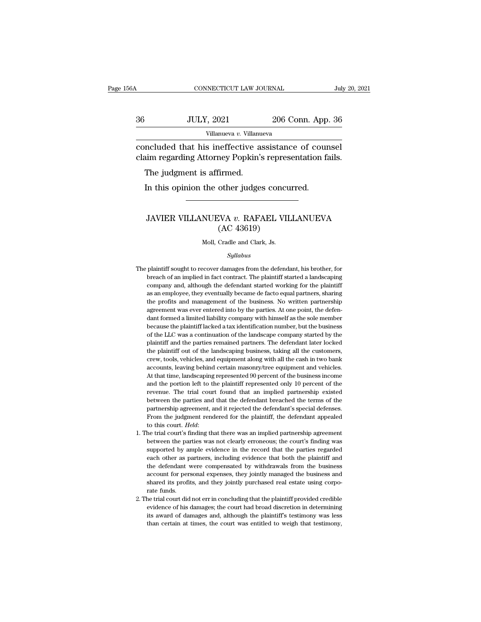### CONNECTICUT LAW JOURNAL July 20, 2021<br>36 JULY, 2021 206 Conn. App. 36<br>Villanueva v. Villanueva Villanueva *v.* Villanueva connecticut LAW JOURNAL July 20, 20<br>
36 JULY, 2021 206 Conn. App. 36<br>
Villanueva v. Villanueva<br>
concluded that his ineffective assistance of counsel<br>
claim regarding Attorney Popkin's representation fails. 36 JULY, 2021 206 Conn. App. 36<br>Villanueva v. Villanueva<br>Concluded that his ineffective assistance of counsel<br>claim regarding Attorney Popkin's representation fails.<br>The judgment is affirmed. JULY, 2021<br>
Villanueva v. Villanu<br>
Included that his ineffective as<br>
in regarding Attorney Popkin's<br>
The judgment is affirmed.<br>
In this opinion the other judge:

Villanueva v. Villanueva<br>
Included that his ineffective assistance of cour<br>
in regarding Attorney Popkin's representation fa<br>
The judgment is affirmed.<br>
In this opinion the other judges concurred.

### % im regarding Attorney Popkin's representation fails.<br>The judgment is affirmed.<br>In this opinion the other judges concurred.<br>JAVIER VILLANUEVA v. RAFAEL VILLANUEVA<br>(AC 43619) firmed.<br>
other judges concu<br>
XVA v. RAFAEL VII<br>
(AC 43619)<br>
Cradle and Clark, Js. JAVIER VILLANUEVA  $v$ . RAFAEL VILLANUEVA<br>(AC 43619)<br>Moll, Cradle and Clark, Js.

### *Syllabus*

- $\rm (AC~43619)$ <br>Moll, Cradle and Clark, Js.<br> $\it Syllabus$ <br>The plaintiff sought to recover damages from the defendant, his brother, for<br>breach of an implied in fact contract. The plaintiff started a landscaping Moll, Cradle and Clark, Js.<br>Syllabus<br>plaintiff sought to recover damages from the defendant, his brother, for<br>breach of an implied in fact contract. The plaintiff started a landscaping<br>company and, although the defendant s Moll, Cradle and Clark, Js.<br>Syllabus<br>plaintiff sought to recover damages from the defendant, his brother, for<br>breach of an implied in fact contract. The plaintiff started a landscaping<br>company and, although the defendant s  $Syllabus$  plaintiff sought to recover damages from the defendant, his brother, for<br>breach of an implied in fact contract. The plaintiff started a land<br>scaping company and, although the defendant started working for the plaint Syllabus<br>plaintiff sought to recover damages from the defendant, his brother, for<br>breach of an implied in fact contract. The plaintiff started a landscaping<br>company and, although the defendant started working for the plain The plaintiff sought to recover damages from the defendant, his brother, for breach of an implied in fact contract. The plaintiff started a landscaping company and, although the defendant started working for the plaintiff peach of an implied in fact contract. The plaintiff started a landscaping company and, although the defendant started working for the plaintiff as an employee, they eventually became de facto equal partners, sharing the pr becompany and, although the defendant started working for the plaintiff company and, although the defendant started working for the plaintiff as an employee, they eventually became de facto equal partners, sharing the prof say an employee, they eventually became de facto equal partners, sharing the profits and management of the business. No written partnership agreement was ever entered into by the parties. At one point, the defendant formed as an empression and management of the business. No written partnership agreement was ever entered into by the parties. At one point, the defendant formed a limited liability company with himself as the sole member because are ement was ever entered into by the parties. At one point, the defendant formed a limited liability company with himself as the sole member because the plaintiff lacked a tax identification number, but the business of t dant formed a limited liability company with himself as the sole member<br>because the plaintiff lacked a tax identification number, but the business<br>of the LLC was a continuation of the landscape company started by the<br>plain because the plaintiff lacked a tax identification number, but the business of the LLC was a continuation of the landscape company started by the plaintiff and the parties remained partners. The defendant later locked the p of the LLC was a continuation of the landscape company started by the plaintiff and the parties remained partners. The defendant later locked the plaintiff out of the landscaping business, taking all the customers, crew, t plaintiff and the parties remained partners. The defendant later locked<br>the plaintiff out of the landscaping business, taking all the customers,<br>crew, tools, vehicles, and equipment along with all the cash in two bank<br>acco the plaintiff out of the landscaping business, taking all the customers, crew, tools, vehicles, and equipment along with all the cash in two bank accounts, leaving behind certain masonry/tree equipment and vehicles. At tha between the parties and equipment along with all the cash in two bank<br>accounts, leaving behind certain masonry/tree equipment and vehicles.<br>At that time, landscaping represented 90 percent of the business income<br>and the po accounts, leaving behind certain masonry/tree equipment and vehicles.<br>At that time, landscaping represented 90 percent of the business income<br>and the portion left to the plaintiff represented only 10 percent of the<br>revenue At that time, landscaping represented 90 percent of the business income<br>and the portion left to the plaintiff represented only 10 percent of the<br>revenue. The trial court found that an implied partnership existed<br>between th and the portion left to the plaintiff represented only 10 percent of the revenue. The trial court found that an implied partnership existed between the parties and that the defendant breached the terms of the partnership a between the parties and that the defendant breached the terms of the partnership agreement, and it rejected the defendant's special defenses.<br>From the judgment rendered for the plaintiff, the defendant appealed to this cou
- partnership agreement, and it rejected the defendant's special defenses.<br>From the judgment rendered for the plaintiff, the defendant appealed<br>to this court. *Held*:<br>the trial court's finding that there was an implied partn From the judgment rendered for the plaintiff, the defendant appealed<br>to this court. *Held*:<br>he trial court's finding that there was an implied partnership agreement<br>between the parties was not clearly erroneous; the court' to this court. *Held*:<br>to this court's finding that there was an implied partnership agreement<br>between the parties was not clearly erroneous; the court's finding was<br>supported by ample evidence in the record that the parti he trial court's finding that there was an implied partnership agreement between the parties was not clearly erroneous; the court's finding was supported by ample evidence in the record that the parties regarded each other 1. The trial court's finding that there was an implied partnership agreement between the parties was not clearly erroneous; the court's finding was supported by ample evidence in the record that the parties regarded each supported by ample evidence in the record that the parties regarded<br>each other as partners, including evidence that both the plaintiff and<br>the defendant were compensated by withdrawals from the business<br>account for persona Exported by starting evidence that both the plaintiff and<br>the defendant were compensated by withdrawals from the business<br>account for personal expenses, they jointly managed the business and<br>shared its profits, and they jo the defendant were compensated by withdrawals from the business<br>account for personal expenses, they jointly managed the business and<br>shared its profits, and they jointly purchased real estate using corpo-<br>rate funds.<br>he tr
- account for personal expenses, they jointly managed the business and shared its profits, and they jointly purchased real estate using corporate funds.<br>he trial court did not err in concluding that the plaintiff provided cr shared its profits, and they jointly purchased real estate using corporate funds.<br>he trial court did not err in concluding that the plaintiff provided credible<br>evidence of his damages; the court had broad discretion in det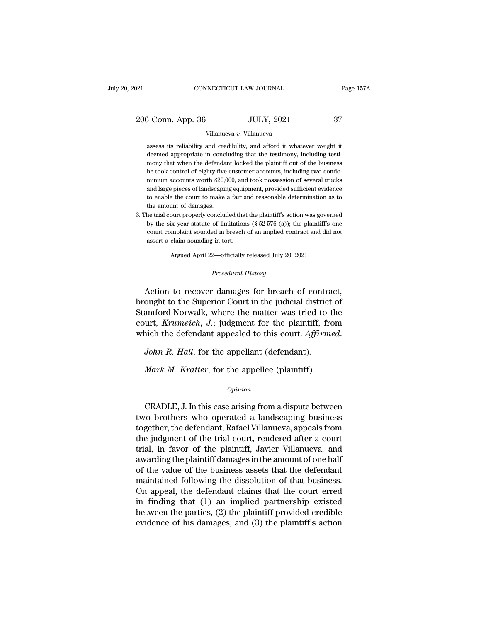| 2021                     | CONNECTICUT LAW JOURNAL | Page 157A |  |  |
|--------------------------|-------------------------|-----------|--|--|
| 206 Conn. App. 36        | <b>JULY, 2021</b>       | 37        |  |  |
| Villanueva v. Villanueva |                         |           |  |  |

<sup>3</sup> Conn. App. 36 JULY, 2021 37<br>Villanueva v. Villanueva<br>assess its reliability and credibility, and afford it whatever weight it<br>deemed appropriate in concluding that the testimony, including testi- $\begin{array}{c|c} \text{6 Conn. App. 36} & \text{JULY, 2021} & \text{37} \\ \hline \text{Villanueva } v \text{. Villanueva} \\ \hline \text{ assess its reliability and credibility, and afford it whatever weight it deemed appropriate in concluding that the testimony, including testing.} \end{array}$  $\frac{37}{2021}$   $\frac{37}{2021}$   $\frac{37}{2021}$   $\frac{37}{2021}$   $\frac{37}{2021}$   $\frac{37}{2021}$   $\frac{37}{2021}$   $\frac{37}{2021}$   $\frac{37}{2021}$   $\frac{37}{2021}$   $\frac{37}{2021}$   $\frac{37}{2021}$   $\frac{37}{2021}$   $\frac{37}{2021}$   $\frac{37}{2021}$   $\frac{37}{2021$ Villanueva  $v$ . Villanueva<br>assess its reliability and credibility, and afford it whatever weight it<br>deemed appropriate in concluding that the testimony, including testi-<br>mony that when the defendant locked the plaintiff o Villanueva v. Villanueva<br>assess its reliability and credibility, and afford it whatever weight it<br>deemed appropriate in concluding that the testimony, including testi-<br>mony that when the defendant locked the plaintiff out assess its reliability and credibility, and afford it whatever weight it<br>deemed appropriate in concluding that the testimony, including testi-<br>mony that when the defendant locked the plaintiff out of the business<br>he took c deemed appropriate in concluding that the testimony, including testimony that when the defendant locked the plaintiff out of the business he took control of eighty-five customer accounts, including two condominium accounts mony that when the defendan<br>he took control of eighty-five<br>minium accounts worth \$20,0<br>and large pieces of landscapin<br>to enable the court to make :<br>the amount of damages.<br>he trial court properly conclud % he took control of eighty-five customer accounts, including two condominium accounts worth \$20,000, and took possession of several trucks and large pieces of landscaping equipment, provided sufficient evidence to enable minium accounts worth \$20,000, and took possession of several trucks<br>and large pieces of landscaping equipment, provided sufficient evidence<br>to enable the court to make a fair and reasonable determination as to<br>the amount

and large pieces of landscaping equipment, provided sufficient evidence<br>to enable the court to make a fair and reasonable determination as to<br>the amount of damages.<br>he trial court properly concluded that the plaintiff's a to enable the court to make a fair at<br>the amount of damages.<br>he trial court properly concluded that<br>by the six year statute of limitations<br>count complaint sounded in breach<br>assert a claim sounding in tort. Argued April 22—officially released July 20, 2021<br>Argued April 22—officially released July 20, 2021<br>Argued April 22—officially released July 20, 2021 by the six year statute of limitations ( $\S$  52-576 (a)); the plaintiff's one count complaint sounded in breach of an implied contract and did not assert a claim sounding in tort.<br>Argued April 22—officially released July 2

count complaint sounded in breach of an implied contract and did not<br>assert a claim sounding in tort.<br>Argued April 22—officially released July 20, 2021<br>*Procedural History*<br>Action to recover damages for breach of contract, assert a claim sounding in tort.<br>
Argued April 22—officially released July 20, 2021<br>
Procedural History<br>
Action to recover damages for breach of contract,<br>
brought to the Superior Court in the judicial district of<br>
Stamfor Argued April 22—officially released July 20, 2021<br>
Procedural History<br>
Action to recover damages for breach of contract,<br>
brought to the Superior Court in the judicial district of<br>
Stamford-Norwalk, where the matter was tr Procedural History<br>
Action to recover damages for breach of contract,<br>
brought to the Superior Court in the judicial district of<br>
Stamford-Norwalk, where the matter was tried to the<br>
court, *Krumeich*, *J*.; judgment for t *Procedural History*<br>Action to recover damages for breach of contract,<br>brought to the Superior Court in the judicial district of<br>Stamford-Norwalk, where the matter was tried to the<br>court, *Krumeich*, *J*.; judgment for the *Mark M. Kratter*, for the appeller (plaintiff).<br>*Mark M. Hall*, for the appellant (defendant).<br>*Mark M. Kratter*, for the appellee (plaintiff).<br>*Mark M. Kratter*, for the appellee (plaintiff).

### *Opinion*

John R. Hall, for the appellant (defendant).<br>
Mark M. Kratter, for the appellee (plaintiff).<br>
opinion<br>
CRADLE, J. In this case arising from a dispute between<br>
ro brothers who operated a landscaping business John K. Hau, for the appenant (defendant).<br>
Mark M. Kratter, for the appellee (plaintiff).<br>  $\frac{opinion}{D}$ <br>
CRADLE, J. In this case arising from a dispute between<br>
two brothers who operated a landscaping business<br>
together, t Mark M. Kratter, for the appellee (plaintiff).<br>
Opinion<br>
CRADLE, J. In this case arising from a dispute between<br>
two brothers who operated a landscaping business<br>
together, the defendant, Rafael Villanueva, appeals from<br>
t opinion<br>
CRADLE, J. In this case arising from a dispute between<br>
two brothers who operated a landscaping business<br>
together, the defendant, Rafael Villanueva, appeals from<br>
the judgment of the trial court, rendered after a Opinion<br>
CRADLE, J. In this case arising from a dispute between<br>
two brothers who operated a landscaping business<br>
together, the defendant, Rafael Villanueva, appeals from<br>
the judgment of the trial court, rendered after a CRADLE, J. In this case arising from a dispute between<br>two brothers who operated a landscaping business<br>together, the defendant, Rafael Villanueva, appeals from<br>the judgment of the trial court, rendered after a court<br>trial CRADLE, J. In this case arising from a dispute between<br>two brothers who operated a landscaping business<br>together, the defendant, Rafael Villanueva, appeals from<br>the judgment of the trial court, rendered after a court<br>trial two brothers who operated a landscaping business<br>together, the defendant, Rafael Villanueva, appeals from<br>the judgment of the trial court, rendered after a court<br>trial, in favor of the plaintiff, Javier Villanueva, and<br>awa together, the defendant, Rafael Villanueva, appeals from<br>the judgment of the trial court, rendered after a court<br>trial, in favor of the plaintiff, Javier Villanueva, and<br>awarding the plaintiff damages in the amount of one the judgment of the trial court, rendered after a court<br>trial, in favor of the plaintiff, Javier Villanueva, and<br>awarding the plaintiff damages in the amount of one half<br>of the value of the business assets that the defend trial, in favor of the plaintiff, Javier Villanueva, and<br>awarding the plaintiff damages in the amount of one half<br>of the value of the business assets that the defendant<br>maintained following the dissolution of that business awarding the plaintiff damages in the amount of one half<br>of the value of the business assets that the defendant<br>maintained following the dissolution of that business.<br>On appeal, the defendant claims that the court erred<br>in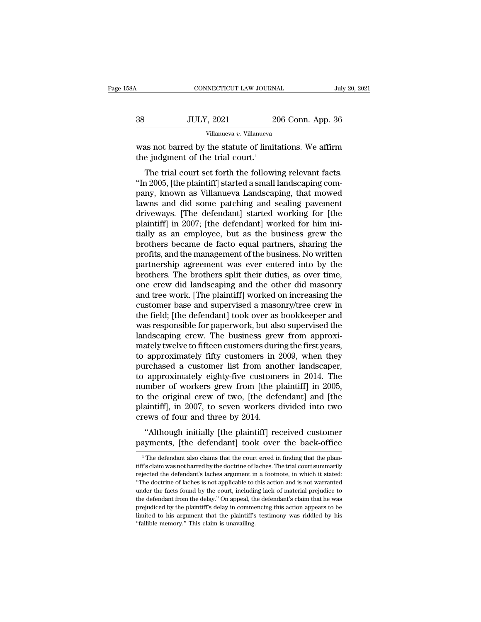| 58A | CONNECTICUT LAW JOURNAL                                                                                  |                   | July 20, 2021 |
|-----|----------------------------------------------------------------------------------------------------------|-------------------|---------------|
| 38  | <b>JULY, 2021</b>                                                                                        | 206 Conn. App. 36 |               |
|     | Villanueva v. Villanueva                                                                                 |                   |               |
|     | was not barred by the statute of limitations. We affirm<br>the judgment of the trial court. <sup>1</sup> |                   |               |
|     | The trial court set forth the following relevant facts.                                                  |                   |               |

JULY, 2021 206 Conn. App. 36<br>
Villanueva v. Villanueva<br>
as not barred by the statute of limitations. We affirm<br>
e judgment of the trial court.<sup>1</sup><br>
The trial court set forth the following relevant facts.<br>
a 2005, [the plain  $38$  JULY, 2021 206 Conn. App. 36<br>
Villanueva v. Villanueva<br>
was not barred by the statute of limitations. We affirm<br>
the judgment of the trial court.<sup>1</sup><br>
The trial court set forth the following relevant facts.<br>
"In 2005, Villanueva v. Villanueva<br>
was not barred by the statute of limitations. We affirm<br>
the judgment of the trial court.<sup>1</sup><br>
The trial court set forth the following relevant facts.<br>
"In 2005, [the plaintiff] started a small la was not barred by the statute of limitations. We affirm<br>the judgment of the trial court.<sup>1</sup><br>The trial court set forth the following relevant facts.<br>"In 2005, [the plaintiff] started a small landscaping com-<br>pany, known as was not barred by the statute of initiations. We arrive the judgment of the trial court.<sup>1</sup><br>The trial court set forth the following relevant facts.<br>"In 2005, [the plaintiff] started a small landscaping com-<br>pany, known as In 2005, [the plaintiff] started a small landscaping company, known as Villanueva Landscaping, that mowed lawns and did some patching and sealing pavement driveways. [The defendant] started working for [the plaintiff] in 2 The trial court set forth the following relevant facts.<br>
"In 2005, [the plaintiff] started a small landscaping company, known as Villanueva Landscaping, that mowed<br>
lawns and did some patching and sealing pavement<br>
drivewa "In 2005, [the plaintiff] started a small landscaping company, known as Villanueva Landscaping, that mowed lawns and did some patching and sealing pavement driveways. [The defendant] started working for [the plaintiff] in pany, known as Villanueva Landscaping, that mowed<br>lawns and did some patching and sealing pavement<br>driveways. [The defendant] started working for [the<br>plaintiff] in 2007; [the defendant] worked for him ini-<br>tially as an em lawns and did some patching and sealing pavement<br>driveways. [The defendant] started working for [the<br>plaintiff] in 2007; [the defendant] worked for him ini-<br>tially as an employee, but as the business grew the<br>brothers beca driveways. [The defendant] started working for [the plaintiff] in 2007; [the defendant] worked for him initially as an employee, but as the business grew the brothers became de facto equal partners, sharing the profits, an plaintiff] in 2007; [the defendant] worked for him initially as an employee, but as the business grew the brothers became de facto equal partners, sharing the profits, and the management of the business. No written partner tially as an employee, but as the business grew the<br>brothers became de facto equal partners, sharing the<br>profits, and the management of the business. No written<br>partnership agreement was ever entered into by the<br>brothers. brothers became de facto equal partners, sharing the<br>profits, and the management of the business. No written<br>partnership agreement was ever entered into by the<br>brothers. The brothers split their duties, as over time,<br>one c profits, and the management of the business. No written<br>partnership agreement was ever entered into by the<br>brothers. The brothers split their duties, as over time,<br>one crew did landscaping and the other did masonry<br>and tre partnership agreement was ever entered into by the<br>brothers. The brothers split their duties, as over time,<br>one crew did landscaping and the other did masonry<br>and tree work. [The plaintiff] worked on increasing the<br>custome brothers. The brothers split their duties, as over time,<br>one crew did landscaping and the other did masonry<br>and tree work. [The plaintiff] worked on increasing the<br>customer base and supervised a masonry/tree crew in<br>the fi one crew did landscaping and the other did masonry<br>and tree work. [The plaintiff] worked on increasing the<br>customer base and supervised a masonry/tree crew in<br>the field; [the defendant] took over as bookkeeper and<br>was resp and tree work. [The plaintiff] worked on increasing the<br>customer base and supervised a masonry/tree crew in<br>the field; [the defendant] took over as bookkeeper and<br>was responsible for paperwork, but also supervised the<br>land customer base and supervised a masonry/tree crew in<br>the field; [the defendant] took over as bookkeeper and<br>was responsible for paperwork, but also supervised the<br>landscaping crew. The business grew from approxi-<br>mately twe the field; [the defendant] took over as bookkeeper and<br>was responsible for paperwork, but also supervised the<br>landscaping crew. The business grew from approxi-<br>mately twelve to fifteen customers during the first years,<br>to was responsible for paperwork, but also supervised the landscaping crew. The business grew from approximately twelve to fifteen customers during the first years, to approximately fifty customers in 2009, when they purchase landscaping crew. The business grew from approximately twelve to fifteen customers during the first years,<br>to approximately fifty customers in 2009, when they<br>purchased a customer list from another landscaper,<br>to approxim mately twelve to fifteen customers during the first years,<br>to approximately fifty customers in 2009, when they<br>purchased a customer list from another landscaper,<br>to approximately eighty-five customers in 2014. The<br>number o to approximately fifty customers in 2<br>purchased a customer list from anoto<br>to approximately eighty-five custome<br>number of workers grew from [the p<br>to the original crew of two, [the defe<br>plaintiff], in 2007, to seven worker approximately eighty-five customers in 2014. The<br>
unber of workers grew from [the plaintiff] in 2005,<br>
the original crew of two, [the defendant] and [the<br>
aintiff], in 2007, to seven workers divided into two<br>
ews of four a to approximately eighty-five clastomers in 2014. The<br>number of workers grew from [the plaintiff] in 2005,<br>to the original crew of two, [the defendant] and [the<br>plaintiff], in 2007, to seven workers divided into two<br>crews o

the defendant also claims that the court erred in finding that the plain-<br>  $\frac{1}{1}$  The defendant also claims that the court erred in finding that the plain-<br>  $\frac{1}{1}$  The defendant also claims that the court erred in f

<sup>&</sup>quot;Although initially [the plaintiff] received customer<br>payments, [the defendant] took over the back-office<br> $\frac{1}{1}$  The defendant also claims that the court erred in finding that the plaintiff's claim was not barred by th "Although initially [the plaintiff] received customer<br>payments, [the defendant] took over the back-office<br><sup>1</sup>The defendant also claims that the court erred in finding that the plaintiff's claim was not barred by the doctri The doctrine of laches is not applicable to this action and is not warranted under the facts found by the doctrine of laches. The trial court summarily rejected the defendant's laches argument in a footnote, in which it st payments, [the defendant] took over the back-office<br>  $\frac{1}{1}$  The defendant also claims that the court erred in finding that the plain-<br>
tiff's claim was not barred by the doctrine of laches. The trial court summarily<br>
r <sup>1</sup> The defendant also claims that the court erred in finding that the plaintiff's claim was not barred by the doctrine of laches. The trial court summarily rejected the defendant's laches argument in a footnote, in which tiff's claim was not barred by the doctrine of laches. The trial court summarily rejected the defendant's laches argument in a footnote, in which it stated: "The doctrine of laches is not applicable to this action and is n rejected the defendant's laches argument in a footnote, in which it stated:<br>"The doctrine of laches is not applicable to this action and is not warranted<br>under the facts found by the court, including lack of material preju "The doctrine of laches is not applicable to this action and is not warranted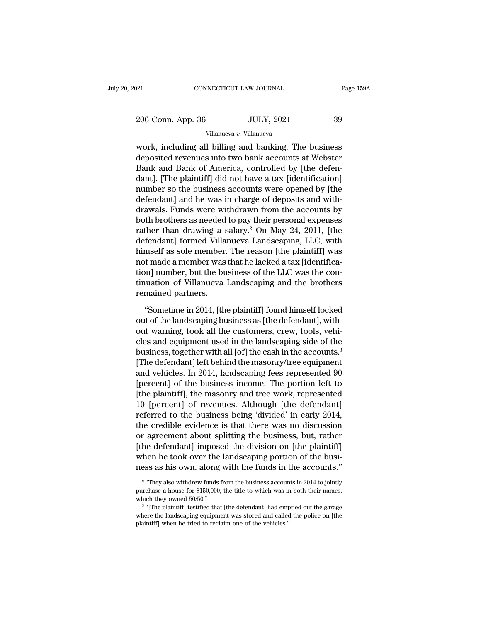Villanueva *v.* Villanueva

EXERCTIFY DELTRET CONNECTICUT LAW JOURNAL Page 159A<br>
206 Conn. App. 36 JULY, 2021 39<br>
Villanueva v. Villanueva<br>
Work, including all billing and banking. The business<br>
deposited revenues into two bank accounts at Webster<br>
P 206 Conn. App. 36 JULY, 2021 39<br>Villanueva v. Villanueva<br>Work, including all billing and banking. The business<br>deposited revenues into two bank accounts at Webster<br>Bank and Bank of America, controlled by [the defen-<br>dant]  $\frac{206 \text{ Conn. App. 36}}{\text{Villanueva } v. \text{ Villanueva}}$ <br>Work, including all billing and banking. The business<br>deposited revenues into two bank accounts at Webster<br>Bank and Bank of America, controlled by [the defen-<br>dant]. [The plaintiff] 206 Conn. App. 36 JULY, 2021 39<br>
Villanueva v. Villanueva<br>
work, including all billing and banking. The business<br>
deposited revenues into two bank accounts at Webster<br>
Bank and Bank of America, controlled by [the defen-<br> Villanueva v. Villanueva<br>
work, including all billing and banking. The business<br>
deposited revenues into two bank accounts at Webster<br>
Bank and Bank of America, controlled by [the defen-<br>
dant]. [The plaintiff] did not hav  $\overline{\text{w}}$  whalus of  $\overline{\text{w}}$  whalus of  $\overline{\text{w}}$  whalus of deposited revenues into two bank accounts at Webster Bank and Bank of America, controlled by [the defendant]. [The plaintiff] did not have a tax [identificati work, including all billing and banking. The business<br>deposited revenues into two bank accounts at Webster<br>Bank and Bank of America, controlled by [the defen-<br>dant]. [The plaintiff] did not have a tax [identification]<br>num deposited revenues into two bank accounts at Webster<br>Bank and Bank of America, controlled by [the defen-<br>dant]. [The plaintiff] did not have a tax [identification]<br>number so the business accounts were opened by [the<br>defend Bank and Bank of America, controlled by [the defen-<br>dant]. [The plaintiff] did not have a tax [identification]<br>number so the business accounts were opened by [the<br>defendant] and he was in charge of deposits and with-<br>drawa dant]. [The plaintiff] did not have a tax [identification]<br>number so the business accounts were opened by [the<br>defendant] and he was in charge of deposits and with-<br>drawals. Funds were withdrawn from the accounts by<br>both b number so the business accounts were opened by [the<br>defendant] and he was in charge of deposits and with-<br>drawals. Funds were withdrawn from the accounts by<br>both brothers as needed to pay their personal expenses<br>rather tha defendant] and he was in charge of deposits and with-<br>drawals. Funds were withdrawn from the accounts by<br>both brothers as needed to pay their personal expenses<br>rather than drawing a salary.<sup>2</sup> On May 24, 2011, [the<br>defenda drawals. Funds were withdrawn from the accounts by<br>both brothers as needed to pay their personal expenses<br>rather than drawing a salary.<sup>2</sup> On May 24, 2011, [the<br>defendant] formed Villanueva Landscaping, LLC, with<br>himself a both brothers as needed to pay their personal expenses<br>rather than drawing a salary.<sup>2</sup> On May 24, 2011, [the<br>defendant] formed Villanueva Landscaping, LLC, with<br>himself as sole member. The reason [the plaintiff] was<br>not m rather than drawing a s<br>defendant] formed Villa<br>himself as sole member.<br>not made a member was<br>tion] number, but the bu<br>tinuation of Villanueva<br>remained partners.<br>"Sometime in 2014, [th mself as sole member. The reason [the plaintiff] was<br>t made a member was that he lacked a tax [identifica-<br>on] number, but the business of the LLC was the con-<br>uation of Villanueva Landscaping and the brothers<br>mained partn not made a member was that he lacked a tax [identification] number, but the business of the LLC was the continuation of Villanueva Landscaping and the brothers<br>remained partners.<br>"Sometime in 2014, [the plaintiff] found hi

tion] number, but the business of the LLC was the continuation of Villanueva Landscaping and the brothers<br>remained partners.<br>"Sometime in 2014, [the plaintiff] found himself locked<br>out of the landscaping business as [the d tinuation of Villanueva Landscaping and the brothers<br>remained partners.<br>"Sometime in 2014, [the plaintiff] found himself locked<br>out of the landscaping business as [the defendant], with-<br>out warning, took all the customers, remained partners.<br>
"Sometime in 2014, [the plaintiff] found himself locked<br>
out of the landscaping business as [the defendant], with-<br>
out warning, took all the customers, crew, tools, vehi-<br>
cles and equipment used in t "Sometime in 2014, [the plaintiff] found himself locked<br>out of the landscaping business as [the defendant], with-<br>out warning, took all the customers, crew, tools, vehi-<br>cles and equipment used in the landscaping side of "Sometime in 2014, [the plaintiff] found himself locked<br>out of the landscaping business as [the defendant], with-<br>out warning, took all the customers, crew, tools, vehi-<br>cles and equipment used in the landscaping side of t out of the landscaping business as [the defendant], with-<br>out warning, took all the customers, crew, tools, vehi-<br>cles and equipment used in the landscaping side of the<br>business, together with all [of] the cash in the acco out warning, took all the customers, crew, tools, vehi-<br>cles and equipment used in the landscaping side of the<br>business, together with all [of] the cash in the accounts.<sup>3</sup><br>[The defendant] left behind the masonry/tree equi cles and equipment used in the landscaping side of the<br>business, together with all [of] the cash in the accounts.<sup>3</sup><br>[The defendant] left behind the masonry/tree equipment<br>and vehicles. In 2014, landscaping fees represente business, together with all [of] the cash in the accounts.<sup>3</sup><br>[The defendant] left behind the masonry/tree equipment<br>and vehicles. In 2014, landscaping fees represented 90<br>[percent] of the business income. The portion left [The defendant] left behind the masonry/tree equipment<br>and vehicles. In 2014, landscaping fees represented 90<br>[percent] of the business income. The portion left to<br>[the plaintiff], the masonry and tree work, represented<br>10 and vehicles. In 2014, landscaping fees represented 90<br>[percent] of the business income. The portion left to<br>[the plaintiff], the masonry and tree work, represented<br>10 [percent] of revenues. Although [the defendant]<br>referr [percent] of the business income. The portion left to<br>[the plaintiff], the masonry and tree work, represented<br>10 [percent] of revenues. Although [the defendant]<br>referred to the business being 'divided' in early 2014,<br>the c [the plaintiff], the masonry and tree work, represented 10 [percent] of revenues. Although [the defendant] referred to the business being 'divided' in early 2014, the credible evidence is that there was no discussion or ag 10 [percent] of revenues. Although [the defendant]<br>referred to the business being 'divided' in early 2014,<br>the credible evidence is that there was no discussion<br>or agreement about splitting the business, but, rather<br>[the % or agreement about splitting the business, but, rather [the defendant] imposed the division on [the plaintiff] when he took over the landscaping portion of the business as his own, along with the funds in the accounts." [the defendant] imposed the division on [the plaintiff]<br>when he took over the landscaping portion of the busi-<br>ness as his own, along with the funds in the accounts."<br> $\frac{2}{100}$  "They also withdrew funds from the busines

 $2\sqrt{4}$ when he took over the<br>ness as his own, along<br> $\frac{1}{2}$  "They also withdrew funds<br>purchase a house for \$150,000<br>which they owned 50/50."<br> $\frac{3}{2}$  "[The plaintiff] testified tha Solution 2. The plaintiff and the funds in the accounts."<br>
"They also withdrew funds from the business accounts in 2014 to jointly<br>
chase a house for \$150,000, the title to which was in both their names,<br>
ich they owned 50

The discounts.<br>
<sup>2</sup> "They also withdrew funds from the business accounts in 2014 to jointly<br>
purchase a house for \$150,000, the title to which was in both their names,<br>
which they owned 50/50."<br>
<sup>3</sup> "[The plaintiff] testif <sup>2</sup> "They also with<br>drew funds from the business accound purchase a house for \$150,000, the title to which was in<br>which they owned 50/50."<br> $\frac{3}{1}$  "[The plaintiff] testified that [the defendant] had emp<br>where the landsc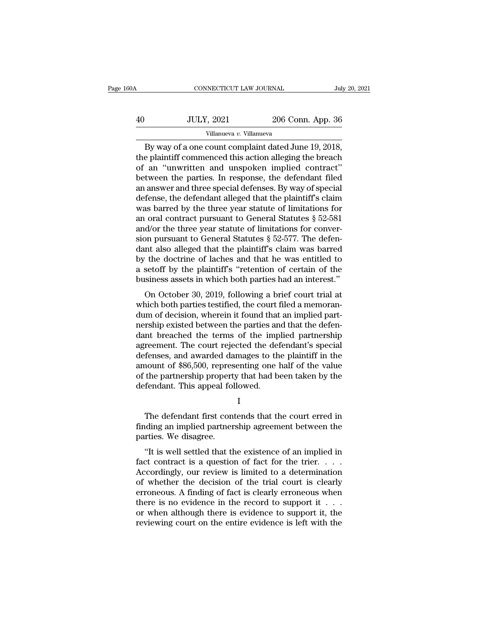| .60A | CONNECTICUT LAW JOURNAL                                                                                                                                            |                   | July 20, 2021 |
|------|--------------------------------------------------------------------------------------------------------------------------------------------------------------------|-------------------|---------------|
| 40   | <b>JULY, 2021</b>                                                                                                                                                  | 206 Conn. App. 36 |               |
|      | Villanueva v. Villanueva                                                                                                                                           |                   |               |
|      | By way of a one count complaint dated June 19, 2018,<br>the plaintiff commenced this action alleging the breach<br>of an "unwritten and ungooken implied contract" |                   |               |

10 JULY, 2021 206 Conn. App. 36<br>
Villanueva v. Villanueva<br>
By way of a one count complaint dated June 19, 2018,<br>
the plaintiff commenced this action alleging the breach<br>
of an "unwritten and unspoken implied contract"<br>
bot  $\frac{40}{2000}$  JULY, 2021 206 Conn. App. 36<br>
Villanueva v. Villanueva<br>
By way of a one count complaint dated June 19, 2018,<br>
the plaintiff commenced this action alleging the breach<br>
of an "unwritten and unspoken implied co  $\begin{array}{r} \text{JULY, 2021} \text{206 Conn. App. 36} \ \hline \text{Villanueva } v. \text{ Villanueva} \ \text{By way of a one count complaint dated June 19, 2018,} \ \text{the plaintiff commented this action alleging the breach of an "unwritten and unspoken implied contract" between the parties. In response, the defendant filed an answer and three special defenses. By way of special defense, the defendant allocated that the plaintiff's claim.} \end{array}$ By way of a one count complaint dated June 19, 2018,<br>the plaintiff commenced this action alleging the breach<br>of an "unwritten and unspoken implied contract"<br>between the parties. In response, the defendant filed<br>an answer Villanueva v. Villanueva<br>By way of a one count complaint dated June 19, 2018,<br>the plaintiff commenced this action alleging the breach<br>of an "unwritten and unspoken implied contract"<br>between the parties. In response, the d By way of a one count complaint dated June 19, 2018,<br>the plaintiff commenced this action alleging the breach<br>of an "unwritten and unspoken implied contract"<br>between the parties. In response, the defendant filed<br>an answer the plaintiff commenced this action alleging the breach<br>of an "unwritten and unspoken implied contract"<br>between the parties. In response, the defendant filed<br>an answer and three special defenses. By way of special<br>defense of an "unwritten and unspoken implied contract"<br>between the parties. In response, the defendant filed<br>an answer and three special defenses. By way of special<br>defense, the defendant alleged that the plaintiff's claim<br>was b between the parties. In response, the defendant filed<br>an answer and three special defenses. By way of special<br>defense, the defendant alleged that the plaintiff's claim<br>was barred by the three year statute of limitations fo an answer and three special defenses. By way of special defense, the defendant alleged that the plaintiff's claim was barred by the three year statute of limitations for an oral contract pursuant to General Statutes  $\S 52$ defense, the defendant alleged that the plaintiff's claim<br>was barred by the three year statute of limitations for<br>an oral contract pursuant to General Statutes  $\S 52-581$ <br>and/or the three year statute of limitations for c was barred by the three year statute of limitations for<br>an oral contract pursuant to General Statutes  $\S$  52-581<br>and/or the three year statute of limitations for conver-<br>sion pursuant to General Statutes  $\S$  52-577. The d an oral contract pursuant to General Statutes  $\S$  52-581<br>and/or the three year statute of limitations for conver-<br>sion pursuant to General Statutes  $\S$  52-577. The defen-<br>dant also alleged that the plaintiff's claim was b Following the three year statute of infinations for conver-<br>on pursuant to General Statutes § 52-577. The defen-<br>at also alleged that the plaintiff's claim was barred<br>the doctrine of laches and that he was entitled to<br>seto sion pursuant to veneral statutes  $\frac{1}{2}$  32-577. The defendant also alleged that the plaintiff's claim was barred<br>by the doctrine of laches and that he was entitled to<br>a setoff by the plaintiff's "retention of certain

dum also aneged that the plaintin's claim was barred<br>by the doctrine of laches and that he was entitled to<br>a setoff by the plaintiff's "retention of certain of the<br>business assets in which both parties had an interest."<br>On by the doctrine of facties and that the was entitled to<br>a setoff by the plaintiff's "retention of certain of the<br>business assets in which both parties had an interest."<br>On October 30, 2019, following a brief court trial at a seton by the plantin's Tetention of certain of the<br>business assets in which both parties had an interest."<br>On October 30, 2019, following a brief court trial at<br>which both parties testified, the court filed a memoran-<br>du business assets in which both parties had an interest.<br>
On October 30, 2019, following a brief court trial at<br>
which both parties testified, the court filed a memoran-<br>
dum of decision, wherein it found that an implied pa On October 30, 2019, following a brief court trial at<br>which both parties testified, the court filed a memoran-<br>dum of decision, wherein it found that an implied part-<br>nership existed between the parties and that the defenwhich both parties testified, the court filed a memorandum of decision, wherein it found that an implied part-<br>nership existed between the parties and that the defen-<br>dant breached the terms of the implied partnership<br>agre dum of decision, wherein it found that an implied part-<br>nership existed between the parties and that the defen-<br>dant breached the terms of the implied partnership<br>agreement. The court rejected the defendant's special<br>defen nership existed between the parties and<br>ant breached the terms of the imp<br>agreement. The court rejected the def<br>defenses, and awarded damages to th<br>amount of \$86,500, representing one l<br>of the partnership property that had fenses, and awarded damages to the plaintiff in the<br>nount of \$86,500, representing one half of the value<br>the partnership property that had been taken by the<br>fendant. This appeal followed.<br>I<br>The defendant first contends tha

I and the set of  $\mathbf I$ 

amount of \$86,500, representing one half of the value<br>of the partnership property that had been taken by the<br>defendant. This appeal followed.<br>I<br>The defendant first contends that the court erred in<br>finding an implied partne of the partnership propert<br>defendant. This appeal fol<br>The defendant first con<br>finding an implied partner<br>parties. We disagree.<br>"It is well settled that th It is appear followed.<br>It is defendant first contends that the court erred in<br>ding an implied partnership agreement between the<br>rties. We disagree.<br>"It is well settled that the existence of an implied in<br>contract is a ques

I<br>
The defendant first contends that the court erred in<br>
finding an implied partnership agreement between the<br>
parties. We disagree.<br>
"It is well settled that the existence of an implied in<br>
fact contract is a question of The defendant first contends that the court erred in<br>finding an implied partnership agreement between the<br>parties. We disagree.<br>"It is well settled that the existence of an implied in<br>fact contract is a question of fact fo The defendant first contends that the court effect in<br>finding an implied partnership agreement between the<br>parties. We disagree.<br>"It is well settled that the existence of an implied in<br>fact contract is a question of fact miding an implied partnersing agreement between the<br>parties. We disagree.<br>"It is well settled that the existence of an implied in<br>fact contract is a question of fact for the trier....<br>Accordingly, our review is limited to parties. We usagree.<br>
"It is well settled that the existence of an implied in fact contract is a question of fact for the trier. . . . . Accordingly, our review is limited to a determination of whether the decision of the "It is well settled that the existence of an implied in fact contract is a question of fact for the trier. . . . . Accordingly, our review is limited to a determination of whether the decision of the trial court is clearl fact contract is a question of fact for the trier. . . . Accordingly, our review is limited to a determination of whether the decision of the trial court is clearly erroneous. A finding of fact is clearly erroneous when t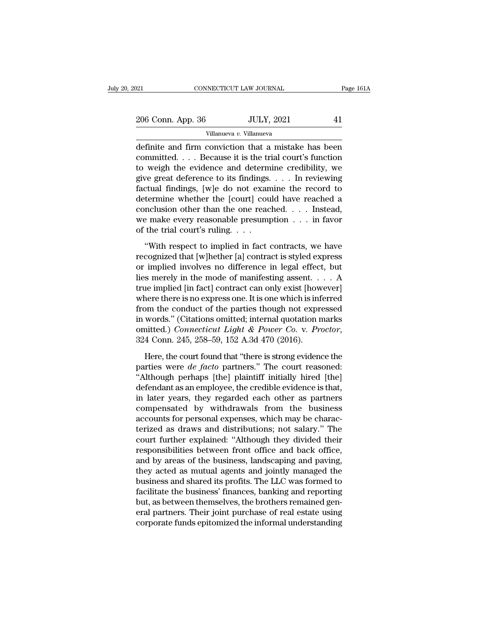$\begin{tabular}{l l l l} \hline & & & & & & \mbox{\textbf{206} C} & \multicolumn{2}{c|}{\textbf{206} Conn. App. 36} & \multicolumn{2}{c|}{\textbf{JULY, 2021}} & \multicolumn{2}{c|}{\textbf{41}} \\ & & & & & \hline & \multicolumn{2}{c|}{\textbf{Villanueva } v. \textbf{Villanueva}} \\ \hline \end{tabular}$ Villanueva *v.* Villanueva

CONNECTICUT LAW JOURNAL Page 161A<br>
206 Conn. App. 36 JULY, 2021 41<br>
Villanueva v. Villanueva<br>
definite and firm conviction that a mistake has been<br>
committed.... Because it is the trial court's function<br>
to woish the evide 206 Conn. App. 36 JULY, 2021 41<br>
Villanueva v. Villanueva<br>
definite and firm conviction that a mistake has been<br>
committed. . . . Because it is the trial court's function<br>
to weigh the evidence and determine credibility, 206 Conn. App. 36 JULY, 2021 41<br>
Villanueva v. Villanueva<br>
definite and firm conviction that a mistake has been<br>
committed. . . . Because it is the trial court's function<br>
to weigh the evidence and determine credibility, 206 Conn. App. 36 JULY, 2021 41<br>
Villanueva v. Villanueva<br>
definite and firm conviction that a mistake has been<br>
committed.... Because it is the trial court's function<br>
to weigh the evidence and determine credibility, we<br> Villanueva v. Villanueva<br>
definite and firm conviction that a mistake has been<br>
committed.... Because it is the trial court's function<br>
to weigh the evidence and determine credibility, we<br>
give great deference to its find VIMANLEVAR *V*. VIMANLEVAR<br>
definite and firm conviction that a mistake has been<br>
committed.... Because it is the trial court's function<br>
to weigh the evidence and determine credibility, we<br>
give great deference to its fi definite and firm conviction that a mistake has been<br>committed. . . . Because it is the trial court's function<br>to weigh the evidence and determine credibility, we<br>give great deference to its findings. . . . In reviewing<br>f committed.... Because it is the trial court's function<br>to weigh the evidence and determine credibility, we<br>give great deference to its findings.... In reviewing<br>factual findings, [w]e do not examine the record to<br>determin to weigh the evidence and determ<br>give great deference to its findings.<br>factual findings, [w]e do not exan<br>determine whether the [court] cou<br>conclusion other than the one reac<br>we make every reasonable presum<br>of the trial co Complete the set of the main of the respective to the main of the second to termine whether the [court] could have reached a northsion other than the one reached. . . . Instead, i.e. make every reasonable presumption . . determine whether the [court] could have reached a<br>conclusion other than the one reached.... Instead,<br>we make every reasonable presumption ... in favor<br>of the trial court's ruling....<br>"With respect to implied in fact cont

conclusion other than the one reached. . . . Instead,<br>we make every reasonable presumption . . . in favor<br>of the trial court's ruling. . . .<br>"With respect to implied in fact contracts, we have<br>recognized that [w]hether [a] Lies merely reasonable presumption . . . in favor<br>of the trial court's ruling. . . .<br>"With respect to implied in fact contracts, we have<br>recognized that [w]hether [a] contract is styled express<br>or implied involves no diffe of the trial court's ruling. . . .<br>
"With respect to implied in fact contracts, we have<br>
recognized that [w]hether [a] contract is styled express<br>
or implied involves no difference in legal effect, but<br>
lies merely in the "With respect to implied in fact contracts, we have<br>recognized that [w]hether [a] contract is styled express<br>or implied involves no difference in legal effect, but<br>lies merely in the mode of manifesting assent.  $\ldots$  A<br>tr "With respect to implied in fact contracts, we have<br>recognized that [w]hether [a] contract is styled express<br>or implied involves no difference in legal effect, but<br>lies merely in the mode of manifesting assent.  $\dots$  A<br>tru recognized that [w]hether [a] contract is styled express<br>or implied involves no difference in legal effect, but<br>lies merely in the mode of manifesting assent. . . . A<br>true implied [in fact] contract can only exist [howeve or implied involves no difference in legal effect, but<br>lies merely in the mode of manifesting assent. . . . A<br>true implied [in fact] contract can only exist [however]<br>where there is no express one. It is one which is infer here there is no express one. It is one which is inferred<br>om the conduct of the parties though not expressed<br>words." (Citations omitted; internal quotation marks<br>nitted.) *Connecticut Light & Power Co.* v. *Proctor*,<br>4 Con from the conduct of the parties though not expressed<br>in words." (Citations omitted; internal quotation marks<br>omitted.) *Connecticut Light & Power Co. v. Proctor*,<br>324 Conn. 245, 258–59, 152 A.3d 470 (2016).<br>Here, the court

in words." (Citations omitted; internal quotation marks<br>
omitted.) *Connecticut Light & Power Co. v. Proctor*,<br>
324 Conn. 245, 258–59, 152 A.3d 470 (2016).<br>
Here, the court found that "there is strong evidence the<br>
partie omitted.) *Connecticut Light & Power Co. v. Proctor*,<br>324 Conn. 245, 258–59, 152 A.3d 470 (2016).<br>Here, the court found that "there is strong evidence the<br>parties were *de facto* partners." The court reasoned:<br>"Although pe 324 Conn. 245, 258–59, 152 A.3d 470 (2016).<br>
Here, the court found that "there is strong evidence the<br>
parties were *de facto* partners." The court reasoned:<br>
"Although perhaps [the] plaintiff initially hired [the]<br>
defen Here, the court found that "there is strong evidence the<br>parties were *de facto* partners." The court reasoned:<br>"Although perhaps [the] plaintiff initially hired [the]<br>defendant as an employee, the credible evidence is th Here, the court found that "there is strong evidence the parties were  $de$  facto partners." The court reasoned: "Although perhaps [the] plaintiff initially hired [the] defendant as an employee, the credible evidence is tha parties were *de facto* partners." The court reasoned:<br>"Although perhaps [the] plaintiff initially hired [the]<br>defendant as an employee, the credible evidence is that,<br>in later years, they regarded each other as partners<br>c "Although perhaps [the] plaintiff initially hired [the]<br>defendant as an employee, the credible evidence is that,<br>in later years, they regarded each other as partners<br>compensated by withdrawals from the business<br>accounts fo defendant as an employee, the credible evidence is that,<br>in later years, they regarded each other as partners<br>compensated by withdrawals from the business<br>accounts for personal expenses, which may be charac-<br>terized as dra in later years, they regarded each other as partners<br>compensated by withdrawals from the business<br>accounts for personal expenses, which may be charac-<br>terized as draws and distributions; not salary." The<br>court further expl compensated by withdrawals from the business<br>accounts for personal expenses, which may be charac-<br>terized as draws and distributions; not salary." The<br>court further explained: "Although they divided their<br>responsibilities accounts for personal expenses, which may be characterized as draws and distributions; not salary." The court further explained: "Although they divided their responsibilities between front office and back office, and by ar terized as draws and distributions; not salary." The<br>court further explained: "Although they divided their<br>responsibilities between front office and back office,<br>and by areas of the business, landscaping and paving,<br>they a court further explained: "Although they divided their<br>responsibilities between front office and back office,<br>and by areas of the business, landscaping and paving,<br>they acted as mutual agents and jointly managed the<br>busines responsibilities between front office and back office,<br>and by areas of the business, landscaping and paving,<br>they acted as mutual agents and jointly managed the<br>business and shared its profits. The LLC was formed to<br>facili and by areas of the business, landscaping and paving,<br>they acted as mutual agents and jointly managed the<br>business and shared its profits. The LLC was formed to<br>facilitate the business' finances, banking and reporting<br>but,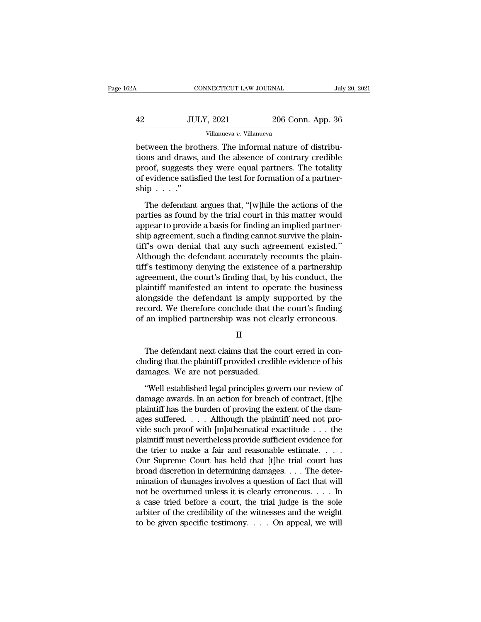| 2А | CONNECTICUT LAW JOURNAL  |                   | July 20, 2021 |
|----|--------------------------|-------------------|---------------|
| 42 | <b>JULY, 2021</b>        | 206 Conn. App. 36 |               |
|    | Villanueva v. Villanueva |                   |               |

CONNECTICUT LAW JOURNAL<br>
BETWEEN THE SUITE OF SEA THE SUITE OF SEA THE VILLANUA DETAIN DETAIN DETAIN DETAIN DETAIN DETAIN DETAIN DETAIN THE SUITE OF CONTRACT OF CONTRACT OF CONTRACT OF A LATE DETAINMENT OF SUBJECT OF A LAT THE TREAD SET AND THE 2006 CONDREVIER SET AND MULTINUM VIDEO VIDEO VIDEO VIDEO VIDEO VIDEO VIDEO SAMPLE SET A SUPER STATE SUPER STATE SUPER THE SUPER SUPER STATE OF CONTRARY CREDIBLE THE SUPER SUPER SUPER SUPER SUPER SUPER proof, suggests they were equal partners. The totality **12. ISBN 42.42** JULY, 2021 206 Conn. App. 36<br>
villanueva *v*. Villanueva<br>
between the brothers. The informal nature of distributions and draws, and the absence of contrary credible<br>
proof, suggests they were equal partne between the bro<br>tions and draws,<br>proof, suggests t<br>of evidence satis<br>ship . . . ."<br>The defendant tween the brothers. The informal nature of distribu-<br>ons and draws, and the absence of contrary credible<br>oof, suggests they were equal partners. The totality<br>evidence satisfied the test for formation of a partner-<br>ip  $\dots$ proof, suggests they were equal partners. The totality<br>proof, suggests they were equal partners. The totality<br>of evidence satisfied the test for formation of a partner-<br>ship  $\ldots$ ."<br>The defendant argues that, "[w]hile the

and a basis for the absolute of contrary creator<br>proof, suggests they were equal partners. The totality<br>of evidence satisfied the test for formation of a partner-<br>ship  $\ldots$ ."<br>The defendant argues that, "[w]hile the actio freed, suggests and, were equal parameter the count,<br>of evidence satisfied the test for formation of a partner-<br>ship  $\dots$ ."<br>The defendant argues that, "[w]hile the actions of the<br>parties as found by the trial court in thi  $\sum_{i=1}^{n}$ <br>  $\sum_{i=1}^{n}$  The defendant argues that, "[w]hile the actions of the<br>
parties as found by the trial court in this matter would<br>
appear to provide a basis for finding an implied partner-<br>
ship agreement, such The defendant argues that, "[w]hile the actions of the parties as found by the trial court in this matter would appear to provide a basis for finding an implied partner-<br>ship agreement, such a finding cannot survive the p The defendant argues that, "[w]hile the actions of the<br>parties as found by the trial court in this matter would<br>appear to provide a basis for finding an implied partner-<br>ship agreement, such a finding cannot survive the pl parties as found by the trial court in this matter would<br>appear to provide a basis for finding an implied partner-<br>ship agreement, such a finding cannot survive the plain-<br>tiff's own denial that any such agreement existed. appear to provide a basis for finding an implied partner-<br>ship agreement, such a finding cannot survive the plain-<br>tiff's own denial that any such agreement existed."<br>Although the defendant accurately recounts the plain-<br>t ship agreement, such a finding cannot survive the plain-<br>tiff's own denial that any such agreement existed."<br>Although the defendant accurately recounts the plain-<br>tiff's testimony denying the existence of a partnership<br>agr tiff's own denial that any such agreement existed."<br>Although the defendant accurately recounts the plain-<br>tiff's testimony denying the existence of a partnership<br>agreement, the court's finding that, by his conduct, the<br>pla Although the defendant accurately recounts the plain-<br>tiff's testimony denying the existence of a partnership<br>agreement, the court's finding that, by his conduct, the<br>plaintiff manifested an intent to operate the business<br> Muslim manufested an intent to operate the business<br>ongside the defendant is amply supported by the<br>cord. We therefore conclude that the court's finding<br>an implied partnership was not clearly erroneous.<br>II<br>The defendant ne

II

alongside the detendant is amply supported by the<br>record. We therefore conclude that the court's finding<br>of an implied partnership was not clearly erroneous.<br>II<br>The defendant next claims that the court erred in con-<br>cludin record. We therefore conclude that the<br>of an implied partnership was not cle<br>II<br>The defendant next claims that the co<br>cluding that the plaintiff provided credib<br>damages. We are not persuaded.<br>"Well established legal princi II<br>The defendant next claims that the court erred in con-<br>uding that the plaintiff provided credible evidence of his<br>mages. We are not persuaded.<br>"Well established legal principles govern our review of<br>mage awards. In an a

II<br>The defendant next claims that the court erred in concluding that the plaintiff provided credible evidence of his<br>damages. We are not persuaded.<br>"Well established legal principles govern our review of<br>damage awards. In The defendant next claims that the court erred in concluding that the plaintiff provided credible evidence of his damages. We are not persuaded.<br>
"Well established legal principles govern our review of damage awards. In an and the plaintiff provided credible evidence of his<br>damages. We are not persuaded.<br>"Well established legal principles govern our review of<br>damage awards. In an action for breach of contract, [t]he<br>plaintiff has the burden video such a provided.<br>
The such provided with the such that with the sum damages. We are not persuaded.<br>
"Well established legal principles govern our review of<br>
damage awards. In an action for breach of contract, [t]he<br> "Well established legal principles govern our review of<br>damage awards. In an action for breach of contract, [t]he<br>plaintiff has the burden of proving the extent of the dam-<br>ages suffered. . . . Although the plaintiff need "Well established legal principles govern our review of damage awards. In an action for breach of contract, [t]he plaintiff has the burden of proving the extent of the damages suffered. . . . Although the plaintiff need n damage awards. In an action for breach of contract, [t]he<br>plaintiff has the burden of proving the extent of the dam-<br>ages suffered. . . . Although the plaintiff need not pro-<br>vide such proof with [m]athematical exactitude plaintiff has the burden of proving the extent of the damages suffered. . . . Although the plaintiff need not provide such proof with [m]athematical exactitude . . . the plaintiff must nevertheless provide sufficient evide ages suffered. . . . Although the plaintiff need not provide such proof with [m]athematical exactitude . . . the plaintiff must nevertheless provide sufficient evidence for the trier to make a fair and reasonable estimate vide such proof with [m]athematical exactitude . . . the<br>plaintiff must nevertheless provide sufficient evidence for<br>the trier to make a fair and reasonable estimate. . . .<br>Our Supreme Court has held that [t]he trial cour plaintiff must nevertheless provide sufficient evidence for<br>the trier to make a fair and reasonable estimate. . . .<br>Our Supreme Court has held that [t]he trial court has<br>broad discretion in determining damages. . . . The the trier to make a fair and reasonable estimate. . . . Our Supreme Court has held that [t]he trial court has broad discretion in determining damages. . . . The determination of damages involves a question of fact that wi Our Supreme Court has held that [t]he trial court has<br>broad discretion in determining damages. . . . The deter-<br>mination of damages involves a question of fact that will<br>not be overturned unless it is clearly erroneous. .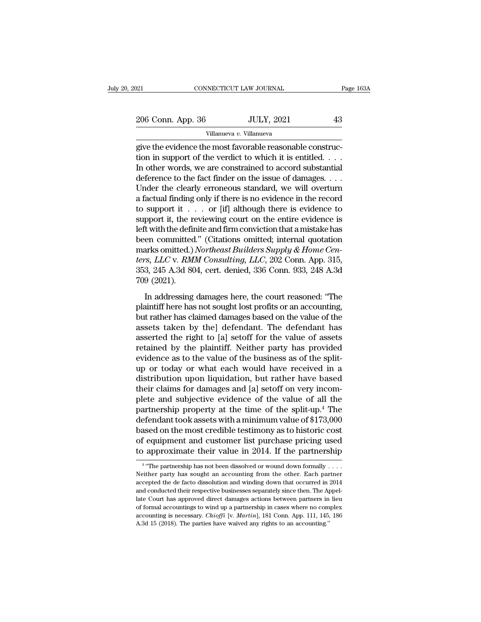Villanueva *v.* Villanueva

connecticut LAW JOURNAL<br>206 Conn. App. 36 JULY, 2021 43<br>Villanueva v. Villanueva<br>give the evidence the most favorable reasonable construc-<br>tion in support of the verdict to which it is entitled. 206 Conn. App. 36 JULY, 2021 43<br>Villanueva v. Villanueva<br>give the evidence the most favorable reasonable construction in support of the verdict to which it is entitled. . . .<br>In other words, we are constrained to accord s 206 Conn. App. 36 JULY, 2021 43<br>
Villanueva v. Villanueva<br>
give the evidence the most favorable reasonable construction in support of the verdict to which it is entitled.<br>
In other words, we are constrained to accord subs 206 Conn. App. 36 JULY, 2021 43<br>
Villanueva v. Villanueva<br>
give the evidence the most favorable reasonable construc-<br>
tion in support of the verdict to which it is entitled. . . .<br>
In other words, we are constrained to ac Villanueva v. Villanueva<br>
yillanueva<br>
give the evidence the most favorable reasonable construc-<br>
tion in support of the verdict to which it is entitled.  $\dots$ <br>
In other words, we are constrained to accord substantial<br>
defe Villanueva *v*. Villanueva<br>give the evidence the most favorable reasonable construc-<br>tion in support of the verdict to which it is entitled. . . .<br>In other words, we are constrained to accord substantial<br>deference to the give the evidence the most favorable reasonable construction in support of the verdict to which it is entitled. . . . In other words, we are constrained to accord substantial deference to the fact finder on the issue of d tion in support of the verdict to which it is entitled. . . .<br>In other words, we are constrained to accord substantial<br>deference to the fact finder on the issue of damages. . . .<br>Under the clearly erroneous standard, we w In other words, we are constrained to accord substantial<br>deference to the fact finder on the issue of damages. . . .<br>Under the clearly erroneous standard, we will overturn<br>a factual finding only if there is no evidence in deference to the fact finder on the issue of damages. . . .<br>Under the clearly erroneous standard, we will overturn<br>a factual finding only if there is no evidence in the record<br>to support it . . . . or [if] although there Under the clearly erroneous standard, we will overturn<br>a factual finding only if there is no evidence in the record<br>to support it . . . . or [if] although there is evidence to<br>support it, the reviewing court on the entire *a* factual finding only if there is no evidence in the record to support it . . . . or [if] although there is evidence to support it, the reviewing court on the entire evidence is left with the definite and firm convictio to support it . . . . or [if] although there is evidence to<br>support it, the reviewing court on the entire evidence is<br>left with the definite and firm conviction that a mistake has<br>been committed." (Citations omitted; inte support it, the realefit with the definited<br>been committed<br>marks omitted.)<br>ters, LLC v. RM<br>353, 245 A.3d 80<br>709 (2021).<br>In addressing of market definite data dimensional and antisotive has encommitted." (Citations omitted; internal quotation<br>arks omitted.) Northeast Builders Supply & Home Cen-<br>s, LLC v. RMM Consulting, LLC, 202 Conn. App. 315,<br>3, 245 A.3 been commated. (chalabra orthited, machina quotalism<br>marks omitted.) Northeast Builders Supply & Home Centers, LLC v. RMM Consulting, LLC, 202 Conn. App. 315,<br>353, 245 A.3d 804, cert. denied, 336 Conn. 933, 248 A.3d<br>709 (2

but rather states. The rather but plays a 115 me one ters, LLC v. RMM Consulting, LLC, 202 Conn. App. 315, 353, 245 A.3d 804, cert. denied, 336 Conn. 933, 248 A.3d 709 (2021).<br>In addressing damages here, the court reasoned assets, 225 v. Tallin Constanting, 225 collar apply 513, 353, 245 A.3d 804, cert. denied, 336 Conn. 933, 248 A.3d 709 (2021).<br>In addressing damages here, the court reasoned: "The plaintiff here has not sought lost profits 709 (2021).<br>
In addressing damages here, the court reasoned: "The<br>
plaintiff here has not sought lost profits or an accounting,<br>
but rather has claimed damages based on the value of the<br>
assets taken by the] defendant. Th retained by the plaintiff have controlled by the plaintiff have has not sought lost profits or an accounting,<br>but rather has claimed damages based on the value of the<br>assets taken by the] defendant. The defendant has<br>asser In addressing damages here, the court reasoned: "The plaintiff here has not sought lost profits or an accounting, but rather has claimed damages based on the value of the assets taken by the] defendant. The defendant has a plaintiff here has not sought lost profits or an accounting,<br>but rather has claimed damages based on the value of the<br>assetts taken by the] defendant. The defendant has<br>asserted the right to [a] setoff for the value of ass but rather has claimed damages based on the value of the<br>assets taken by the] defendant. The defendant has<br>asserted the right to [a] setoff for the value of assets<br>retained by the plaintiff. Neither party has provided<br>evid assets taken by the] defendant. The defendant has<br>asserted the right to [a] setoff for the value of assets<br>retained by the plaintiff. Neither party has provided<br>evidence as to the value of the business as of the split-<br>up asserted the right to [a] setoff for the value of assets<br>retained by the plaintiff. Neither party has provided<br>evidence as to the value of the business as of the split-<br>up or today or what each would have received in a<br>di retained by the plaintiff. Neither party has provided<br>evidence as to the value of the business as of the split-<br>up or today or what each would have received in a<br>distribution upon liquidation, but rather have based<br>their c evidence as to the value of the business as of the split-<br>up or today or what each would have received in a<br>distribution upon liquidation, but rather have based<br>their claims for damages and [a] setoff on very incom-<br>plete up or today or what each would have received in a<br>distribution upon liquidation, but rather have based<br>their claims for damages and [a] setoff on very incom-<br>plete and subjective evidence of the value of all the<br>partnersh distribution upon liquidation, but rather have based<br>their claims for damages and [a] setoff on very incom-<br>plete and subjective evidence of the value of all the<br>partnership property at the time of the split-up.<sup>4</sup> The<br>def their claims for damages and [a] setoff on very incomplete and subjective evidence of the value of all the partnership property at the time of the split-up.<sup>4</sup> The defendant took assets with a minimum value of \$173,000 ba Fendant took assets with a minimum value of  $$173,000$ <br>sed on the most credible testimony as to historic cost<br>equipment and customer list purchase pricing used<br>approximate their value in 2014. If the partnership<br>"The part based on the most credible testimony as to historic cost<br>of equipment and customer list purchase pricing used<br>to approximate their value in 2014. If the partnership<br> $\frac{4}{100}$  "The partnership has not been dissolved or w

 $4$  "Tho  $_2$ of equipment and customer list purchase pricing used<br>to approximate their value in 2014. If the partnership<br> $\frac{4}{1}$  "The partnership has not been dissolved or wound down formally ....<br>Neither party has sought an account to approximate their value in 2014. If the partnership<br>  $\overline{\phantom{a}^4}$  "The partnership has not been dissolved or wound down formally ....<br>
Neither party has sought an accounting from the other. Each partner<br>
accepted the Later of approximate their value in 2014. If the partnership<br>  $\frac{4}{1}$  "The partnership has not been dissolved or wound down formally . . . .<br>
Neither party has sought an accounting from the other. Each partner<br>
accepted <sup>4</sup> "The partnership has not been dissolved or wound down formally . . . . Neither party has sought an accounting from the other. Each partner accepted the de facto dissolution and winding down that occurred in 2014 and c The paracristip has not occur allowed of *wolata down loritiany*  $\cdots$ .<br>
Neither party has sought an accounting from the other. Each partner<br>
accepted the de facto dissolution and winding down that occurred in 2014<br>
and co accepted the de facto dissolution and winding down that occurred in 2014<br>and conducted their respective businesses separately since then. The Appellate Court has approved direct damages actions between partners in lieu<br>of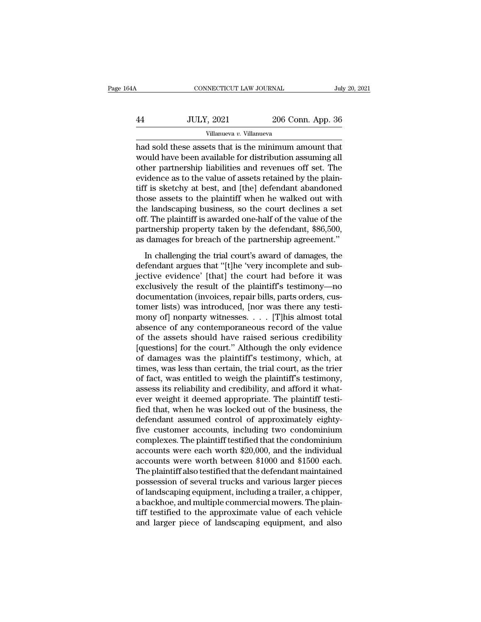| łΑ | CONNECTICUT LAW JOURNAL  |                   | July 20, 2021 |
|----|--------------------------|-------------------|---------------|
|    |                          |                   |               |
| 44 | <b>JULY, 2021</b>        | 206 Conn. App. 36 |               |
|    | Villanueva v. Villanueva |                   |               |

CONNECTICUT LAW JOURNAL July 20, 202<br>
Had Sold these assets that is the minimum amount that<br>
thad sold these assets that is the minimum amount that<br>
would have been available for distribution assuming all<br>
other partnershi  $\nu$  ULY, 2021 206 Conn. App. 36<br>
Villanueva v. Villanueva<br>
had sold these assets that is the minimum amount that<br>
would have been available for distribution assuming all<br>
other partnership liabilities and revenues off se  $\frac{1}{200}$  JULY, 2021 206 Conn. App. 36<br>
Villanueva v. Villanueva<br>
had sold these assets that is the minimum amount that<br>
would have been available for distribution assuming all<br>
other partnership liabilities and revenue  $U_L$ ,  $2021$   $206$  Conn. App. 36<br>  $Villanueva$   $v.$  Villanueva  $v.$  Villanueva<br>
had sold these assets that is the minimum amount that<br>
would have been available for distribution assuming all<br>
other partnership liabilities and r Villanueva *v.* Villanueva<br>
Millanueva *v.* Villanueva<br>
Mad sold these assets that is the minimum amount that<br>
would have been available for distribution assuming all<br>
other partnership liabilities and revenues off set. Th Villanueva v. Villanueva<br>had sold these assets that is the minimum amount that<br>would have been available for distribution assuming all<br>other partnership liabilities and revenues off set. The<br>evidence as to the value of as had sold these assets that is the minimum amount that<br>would have been available for distribution assuming all<br>other partnership liabilities and revenues off set. The<br>evidence as to the value of assets retained by the plain would have been available for distribution assuming all<br>other partnership liabilities and revenues off set. The<br>evidence as to the value of assets retained by the plain-<br>tiff is sketchy at best, and [the] defendant abandon other partnership liabilities and revenues off set. The evidence as to the value of assets retained by the plain-<br>tiff is sketchy at best, and [the] defendant abandoned<br>those assets to the plaintiff when he walked out with evidence as to the value of assets retained by the plain-<br>tiff is sketchy at best, and [the] defendant abandoned<br>those assets to the plaintiff when he walked out with<br>the landscaping business, so the court declines a set<br>o In sincerty at sesse, and particular distributed<br>ose assets to the plaintiff when he walked out with<br>e landscaping business, so the court declines a set<br>f. The plaintiff is awarded one-half of the value of the<br>rtnership pr definite that it was a set that the landscaping business, so the court declines a set off. The plaintiff is awarded one-half of the value of the partnership property taken by the defendant, \$86,500, as damages for breach o

and diff. The plaintiff is awarded one-half of the value of the<br>partnership property taken by the defendant, \$86,500,<br>as damages for breach of the partnership agreement."<br>In challenging the trial court's award of damages, on. The plantatic standard one half of are value of all<br>partnership property taken by the defendant, \$86,500,<br>as damages for breach of the partnership agreement."<br>In challenging the trial court's award of damages, the<br>defe parametistic property affect by the determinity, 400,000,<br>as damages for breach of the partnership agreement."<br>In challenging the trial court's award of damages, the<br>defendant argues that "[t]he 'very incomplete and sub-<br>j In challenging the trial court's award of damages, the<br>defendant argues that "[t]he 'very incomplete and sub-<br>jective evidence' [that] the court had before it was<br>exclusively the result of the plaintiff's testimony—no<br>doc In challenging the trial court's award of damages, the<br>defendant argues that "[t]he 'very incomplete and sub-<br>jective evidence' [that] the court had before it was<br>exclusively the result of the plaintiff's testimony—no<br>doc defendant argues that "[t]he 'very incomplete and sub-<br>jective evidence' [that] the court had before it was<br>exclusively the result of the plaintiff's testimony—no<br>documentation (invoices, repair bills, parts orders, cus-<br>t jective evidence' [that] the court had before it was<br>exclusively the result of the plaintiff's testimony—no<br>documentation (invoices, repair bills, parts orders, cus-<br>tomer lists) was introduced, [nor was there any testi-<br>m exclusively the result of the plaintiff's testimony—no<br>documentation (invoices, repair bills, parts orders, cus-<br>tomer lists) was introduced, [nor was there any testi-<br>mony of] nonparty witnesses. . . . [T]his almost tota documentation (invoices, repair bills, parts orders, customer lists) was introduced, [nor was there any testimony of] nonparty witnesses. . . . [T]his almost total absence of any contemporaneous record of the value of the tomer lists) was introduced, [nor was there any testi-<br>mony of] nonparty witnesses. . . . [T]his almost total<br>absence of any contemporaneous record of the value<br>of the assets should have raised serious credibility<br>[questi mony of] nonparty witnesses. . . . . [T]his almost total<br>absence of any contemporaneous record of the value<br>of the assets should have raised serious credibility<br>[questions] for the court." Although the only evidence<br>of da absence of any contemporaneous record of the value<br>of the assets should have raised serious credibility<br>[questions] for the court." Although the only evidence<br>of damages was the plaintiff's testimony, which, at<br>times, was of the assets should have raised serious credibility<br>[questions] for the court." Although the only evidence<br>of damages was the plaintiff's testimony, which, at<br>times, was less than certain, the trial court, as the trier<br>of [questions] for the court." Although the only evidence<br>of damages was the plaintiff's testimony, which, at<br>times, was less than certain, the trial court, as the trier<br>of fact, was entitled to weigh the plaintiff's testimon of damages was the plaintiff's testimony, which, at times, was less than certain, the trial court, as the trier of fact, was entitled to weigh the plaintiff's testimony, assess its reliability and credibility, and afford i times, was less than certain, the trial court, as the trier<br>of fact, was entitled to weigh the plaintiff's testimony,<br>assess its reliability and credibility, and afford it what-<br>ever weight it deemed appropriate. The plain of fact, was entitled to weigh the plaintiff's testimony,<br>assess its reliability and credibility, and afford it what-<br>ever weight it deemed appropriate. The plaintiff testi-<br>fied that, when he was locked out of the busines assess its reliability and credibility, and afford it what-<br>ever weight it deemed appropriate. The plaintiff testi-<br>fied that, when he was locked out of the business, the<br>defendant assumed control of approximately eighty-<br> ever weight it deemed appropriate. The plaintiff testi-<br>fied that, when he was locked out of the business, the<br>defendant assumed control of approximately eighty-<br>five customer accounts, including two condominium<br>complexes. fied that, when he was locked out of the business, the<br>defendant assumed control of approximately eighty-<br>five customer accounts, including two condominium<br>complexes. The plaintiff testified that the condominium<br>accounts w defendant assumed control of approximately eighty-<br>five customer accounts, including two condominium<br>complexes. The plaintiff testified that the condominium<br>accounts were each worth \$20,000, and the individual<br>accounts wer five customer accounts, including two condominium<br>complexes. The plaintiff testified that the condominium<br>accounts were each worth \$20,000, and the individual<br>accounts were worth between \$1000 and \$1500 each.<br>The plaintiff complexes. The plaintiff testified that the condominium<br>accounts were each worth \$20,000, and the individual<br>accounts were worth between \$1000 and \$1500 each.<br>The plaintiff also testified that the defendant maintained<br>poss accounts were each worth \$20,000, and the individual<br>accounts were worth between \$1000 and \$1500 each.<br>The plaintiff also testified that the defendant maintained<br>possession of several trucks and various larger pieces<br>of la accounts were worth between \$1000 and \$1500 each.<br>The plaintiff also testified that the defendant maintained<br>possession of several trucks and various larger pieces<br>of landscaping equipment, including a trailer, a chipper,<br>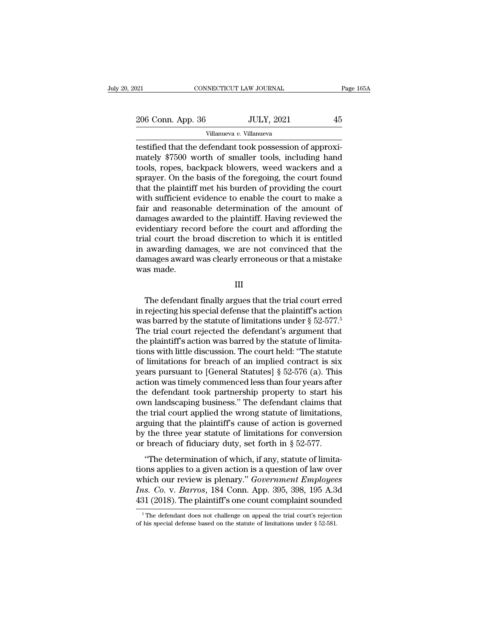$\begin{tabular}{l l l l} \hline & & & & & & \mbox{\textbf{201}} & \multicolumn{2}{c|}{\textbf{206 Conn. App. 36}} & & & & & \multicolumn{2}{c|}{\textbf{101} } \multicolumn{2}{c|}{\textbf{206 Conn. App. 36}} & & & & \multicolumn{2}{c|}{\textbf{JULY, 2021}} & & & \multicolumn{2}{c|}{\textbf{45}} & & & \multicolumn{2}{c|}{\textbf{Villanueva } v. Villanueva}} \hline \end{tabular}$ Villanueva *v.* Villanueva

The definite of the defendant took possession of approximately \$7500 worth of smaller tools, including hand took possession of approximately \$7500 worth of smaller tools, including hand took possession of approximately \$75 206 Conn. App. 36 JULY, 2021 45<br>Villanueva v. Villanueva<br>testified that the defendant took possession of approximately \$7500 worth of smaller tools, including hand<br>tools, ropes, backpack blowers, weed wackers and a<br>sprayer 206 Conn. App. 36 JULY, 2021 45<br>
Villanueva v. Villanueva<br>
testified that the defendant took possession of approximately \$7500 worth of smaller tools, including hand<br>
tools, ropes, backpack blowers, weed wackers and a<br>
sp 206 Conn. App. 36 JULY, 2021 45<br>
Villanueva v. Villanueva<br>
testified that the defendant took possession of approximately \$7500 worth of smaller tools, including hand<br>
tools, ropes, backpack blowers, weed wackers and a<br>
sp Villanueva v. Villanueva<br>
testified that the defendant took possession of approximately \$7500 worth of smaller tools, including hand<br>
tools, ropes, backpack blowers, weed wackers and a<br>
sprayer. On the basis of the forego Villanueva v. Villanueva<br>
testified that the defendant took possession of approxi-<br>
mately \$7500 worth of smaller tools, including hand<br>
tools, ropes, backpack blowers, weed wackers and a<br>
sprayer. On the basis of the for testified that the defendant took possession of approximately \$7500 worth of smaller tools, including hand<br>tools, ropes, backpack blowers, weed wackers and a<br>sprayer. On the basis of the foregoing, the court found<br>that the mately \$7500 worth of smaller tools, including hand<br>tools, ropes, backpack blowers, weed wackers and a<br>sprayer. On the basis of the foregoing, the court found<br>that the plaintiff met his burden of providing the court<br>with s tools, ropes, backpack blowers, weed wackers and a<br>sprayer. On the basis of the foregoing, the court found<br>that the plaintiff met his burden of providing the court<br>with sufficient evidence to enable the court to make a<br>fai sprayer. On the basis of the foregoing, the court found<br>that the plaintiff met his burden of providing the court<br>with sufficient evidence to enable the court to make a<br>fair and reasonable determination of the amount of<br>dam that the plaintiff met his burden of providing the court<br>with sufficient evidence to enable the court to make a<br>fair and reasonable determination of the amount of<br>damages awarded to the plaintiff. Having reviewed the<br>evide with sufficient evidence to enable the court to make a<br>fair and reasonable determination of the amount of<br>damages awarded to the plaintiff. Having reviewed the<br>evidentiary record before the court and affording the<br>trial co fair and reason<br>damages awarde<br>evidentiary recc<br>trial court the l<br>in awarding dan<br>damages award<br>was made. al court the broad discretion to which it is entitled<br>awarding damages, we are not convinced that the<br>mages award was clearly erroneous or that a mistake<br>as made.<br>III<br>The defendant finally argues that the trial court erred

III

in awarding damages, we are not convinced that the<br>damages award was clearly erroneous or that a mistake<br>was made.<br> $\hfill$ <br>III<br>The defendant finally argues that the trial court erred<br>in rejecting his special defense that th damages award was clearly erroneous or that a mistake<br>was made.<br>III<br>The defendant finally argues that the trial court erred<br>in rejecting his special defense that the plaintiff's action<br>was barred by the statute of limitati The defendant finally argues that the trial court erred<br>in rejecting his special defense that the plaintiff's action<br>was barred by the statute of limitations under  $\S 52-577$ .<sup>5</sup><br>The trial court rejected the defendant's a III<br>The defendant finally argues that the trial court erred<br>in rejecting his special defense that the plaintiff's action<br>was barred by the statute of limitations under § 52-577.<sup>5</sup><br>The trial court rejected the defendant's The defendant finally argues that the trial court erred<br>in rejecting his special defense that the plaintiff's action<br>was barred by the statute of limitations under  $\S 52-577$ .<sup>5</sup><br>The trial court rejected the defendant's a The defendant finally argues that the trial court erred<br>in rejecting his special defense that the plaintiff's action<br>was barred by the statute of limitations under  $\S 52-577$ .<sup>5</sup><br>The trial court rejected the defendant's a in rejecting his special defense that the plaintiff's action<br>was barred by the statute of limitations under  $\S 52-577$ .<sup>5</sup><br>The trial court rejected the defendant's argument that<br>the plaintiff's action was barred by the st was barred by the statute of limitations under  $\S$  52-577.<sup>5</sup><br>The trial court rejected the defendant's argument that<br>the plaintiff's action was barred by the statute of limita-<br>tions with little discussion. The court held The trial court rejected the defendant's argument that<br>the plaintiff's action was barred by the statute of limita-<br>tions with little discussion. The court held: "The statute<br>of limitations for breach of an implied contrac the plaintiff's action was barred by the statute of limitations with little discussion. The court held: "The statute of limitations for breach of an implied contract is six years pursuant to [General Statutes] § 52-576 (a) tions with little discussion. The court held: "The statute<br>of limitations for breach of an implied contract is six<br>years pursuant to [General Statutes] § 52-576 (a). This<br>action was timely commenced less than four years af of limitations for breach of an implied contract is six<br>years pursuant to [General Statutes]  $\S$  52-576 (a). This<br>action was timely commenced less than four years after<br>the defendant took partnership property to start his years pursuant to [General Statutes]  $\S$  52-576 (a). This<br>action was timely commenced less than four years after<br>the defendant took partnership property to start his<br>own landscaping business." The defendant claims that<br>th action was timely commenced less than four years after<br>the defendant took partnership property to start his<br>own landscaping business." The defendant claims that<br>the trial court applied the wrong statute of limitations,<br>arg From the determination of paracetistic property to start instant with and the trial court applied the wrong statute of limitations, guing that the plaintiff's cause of action is governed the three year statute of limitati the trial court applied the wrong statute of limitations,<br>arguing that the plaintiff's cause of action is governed<br>by the three year statute of limitations for conversion<br>or breach of fiduciary duty, set forth in § 52-577

are that court applied the wrong statute of initiations,<br>arguing that the plaintiff's cause of action is governed<br>by the three year statute of limitations for conversion<br>or breach of fiduciary duty, set forth in § 52-577.<br> *Ins.* Barrow the three year statute of limitations for conversion<br>or breach of fiduciary duty, set forth in § 52-577.<br>"The determination of which, if any, statute of limita-<br>tions applies to a given action is a question o by the three year statute of initiations for conversion<br>or breach of fiduciary duty, set forth in § 52-577.<br>"The determination of which, if any, statute of limita-<br>tions applies to a given action is a question of law over tions applies to a given action is a question of law over<br>which our review is plenary." *Government Employees*<br>*Ins. Co.* v. *Barros*, 184 Conn. App. 395, 398, 195 A.3d<br>431 (2018). The plaintiff's one count complaint soun 431 (2018). The plaintiff's one count complaint sounded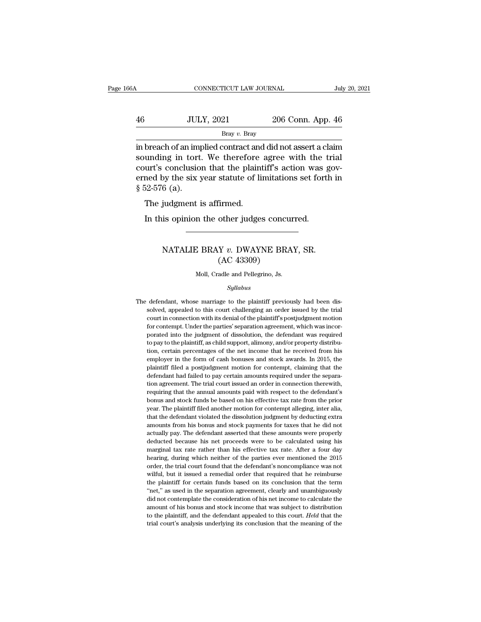# CONNECTICUT LAW JOURNAL July 20, 2021<br>46 JULY, 2021 206 Conn. App. 46<br>Bray v. Bray Bray *v.* Bray

CONNECTICUT LAW JOURNAL July 20, 2021<br>  $\frac{1}{100}$  Bray v. Bray<br>
Bray v. Bray<br>
in breach of an implied contract and did not assert a claim<br>
sounding in tort. We therefore agree with the trial<br>
sounding in tort. We therefo  $\noindent\text{JULY, } 2021$   $\noindent\text{206 Conn. App. 46}\n\hfill\text{Bray } v. \text{Bray}\n\hfill\text{Bray } v. \text{Bray}\n\hfill\text{in breach of an implied contract and did not assert a claim}\n\text{sounding in tort. We therefore agree with the trial}\n\text{count's conclusion that the plaintiff's action was governed by the six voor statuto of limitations set forth in}\n\$ 46 JULY, 2021 206 Conn. App. 46<br>Bray v. Bray<br>in breach of an implied contract and did not assert a claim<br>sounding in tort. We therefore agree with the trial<br>court's conclusion that the plaintiff's action was gov-<br>erned by 46 JULY, 2021 206 Conn. App. 46<br>Bray v. Bray<br>in breach of an implied contract and did not assert a claim<br>sounding in tort. We therefore agree with the trial<br>court's conclusion that the plaintiff's action was gov-<br>erned by Frace of an improved in breach of an improved in tort court's conclusion<br>erned by the six y § 52-576 (a).<br>The judgment i breach of an implied contract and<br>unding in tort. We therefore<br>urt's conclusion that the plaint<br>ned by the six year statute of li<br>52-576 (a).<br>The judgment is affirmed.<br>In this opinion the other judge: In the unity of the term of the plaintiff's action was peak of by the six year statute of limitations set forth is 192-576 (a).<br>The judgment is affirmed.<br>In this opinion the other judges concurred.

## 6 (a).<br>judgment is affirmed.<br>is opinion the other judges concurred.<br>NATALIE BRAY *v*. DWAYNE BRAY, SR.<br>(AC 43309) firmed.<br>
other judges concu<br>
Y v. DWAYNE BRA<br>
(AC 43309)<br>
adle and Pellegrino, Js. NATALIE BRAY v. DWAYNE BRAY, SR.<br>(AC 43309)<br>Moll, Cradle and Pellegrino, Js.

### *Syllabus*

 $\rm (AC~43309)$ <br>Moll, Cradle and Pellegrino, Js.<br> $Syllabus$ <br>The defendant, whose marriage to the plaintiff previously had been dis-<br>solved, appealed to this court challenging an order issued by the trial Moll, Cradle and Pellegrino, Js.<br>Syllabus<br>defendant, whose marriage to the plaintiff previously had been dis-<br>solved, appealed to this court challenging an order issued by the trial<br>court in connection with its denial of t Moll, Cradle and Pellegrino, Js.<br>
Syllabus<br>
defendant, whose marriage to the plaintiff previously had been dis-<br>
solved, appealed to this court challenging an order issued by the trial<br>
court in connection with its denial *Syllabus*<br>defendant, whose marriage to the plaintiff previously had been dis-<br>solved, appealed to this court challenging an order issued by the trial<br>court in connection with its denial of the plaintiff's postjudgment mot *Syltabus*<br>defendant, whose marriage to the plaintiff previously had been dis-<br>solved, appealed to this court challenging an order issued by the trial<br>court in connection with its denial of the plaintiff's postjudgment mot defendant, whose marriage to the plaintiff previously had been dissolved, appealed to this court challenging an order issued by the trial court in connection with its denial of the plaintiff's postjudgment motion for conte solved, appealed to this court challenging an order issued by the trial court in connection with its denial of the plaintiff's postjudgment motion for contempt. Under the parties' separation agreement, which was incorporat extrain connection with its denial of the plaintiff's postjudgment motion<br>for contempt. Under the parties' separation agreement, which was incor-<br>porated into the judgment of dissolution, the defendant was required<br>to pay for contempt. Under the parties' separation agreement, which was incor-<br>porated into the judgment of dissolution, the defendant was required<br>to pay to the plaintiff, as child support, alimony, and/or property distribu-<br>tio porated into the judgment of dissolution, the defendant was required to pay to the plaintiff, as child support, alimony, and/or property distribution, certain percentages of the net income that he received from his employe to pay to the plaintiff, as child support, alimony, and/or property distribution, certain percentages of the net income that he received from his employer in the form of cash bonuses and stock awards. In 2015, the plaintif requiring that the annual amounts and stock awards. In 2015, the plaintiff filed a postjudgment motion for contempt, claiming that the plaintiff filed a postjudgment motion for contempt, claiming that the defendant had fai employer in the form of cash bonuses and stock awards. In 2015, the plaintiff filed a postjudgment motion for contempt, claiming that the defendant had failed to pay certain amounts required under the separation agreement. plaintiff filed a postjudgment motion for contempt, claiming that the defendant had failed to pay certain amounts required under the separation agreement. The trial court issued an order in connection therewith, requiring prefindant had failed to pay certain mounts required under the separation agreement. The trial court issued an order in connection therewith, requiring that the annual amounts paid with respect to the defendant's bonus and amounts from the trial court issued an order in connection therewith, requiring that the annual amounts paid with respect to the defendant's bonus and stock funds be based on his effective tax rate from the prior year. The requiring that the annual amounts paid with respect to the defendant's bonus and stock funds be based on his effective tax rate from the prior year. The plaintiff filed another motion for contempt alleging, inter alia, tha becoming and stock funds be based on his effective tax rate from the prior bear. The plaintiff filed another motion for contempt alleging, inter alia, that the defendant violated the dissolution judgment by deducting extra bear. The plaintiff filed another motion for contempt alleging, inter alia, that the defendant violated the dissolution judgment by deducting extra amounts from his bonus and stock payments for taxes that he did not actual beat the defendant violated the dissolution judgment by deducting extra amounts from his bonus and stock payments for taxes that he did not actually pay. The defendant asserted that these amounts were properly deducted bec amounts from his bonus and stock payments for taxes that he did not actually pay. The defendant asserted that these amounts were properly deducted because his net proceeds were to be calculated using his marginal tax rate actually pay. The defendant asserted that these amounts were properly deducted because his net proceeds were to be calculated using his marginal tax rate rather than his effective tax rate. After a four day hearing, during deducted because his net proceeds were to be calculated using his marginal tax rate rather than his effective tax rate. After a four day hearing, during which neither of the parties ever mentioned the 2015 order, the trial marginal tax rate rather than his effective tax rate. After a four day hearing, during which neither of the parties ever mentioned the 2015 order, the trial court found that the defendant's noncompliance was not wilful, bu maring, during which neither of the parties ever mentioned the 2015<br>hearing, during which neither of the parties ever mentioned the 2015<br>order, the trial court found that the defendant's noncompliance was not<br>wilful, but i about the individual of the defendant's noncompliance was not wilful, but it issued a remedial order that required that he reimburse the plaintiff for certain funds based on its conclusion that the term "net," as used in t wilful, but it issued a remedial order that required that he reimburse<br>the plaintiff for certain funds based on its conclusion that the term<br>"net," as used in the separation agreement, clearly and unambiguously<br>did not con wilful, but it issued a remedial order that required that he reimburse<br>the plaintiff for certain funds based on its conclusion that the term<br>"net," as used in the separation agreement, clearly and unambiguously<br>did not con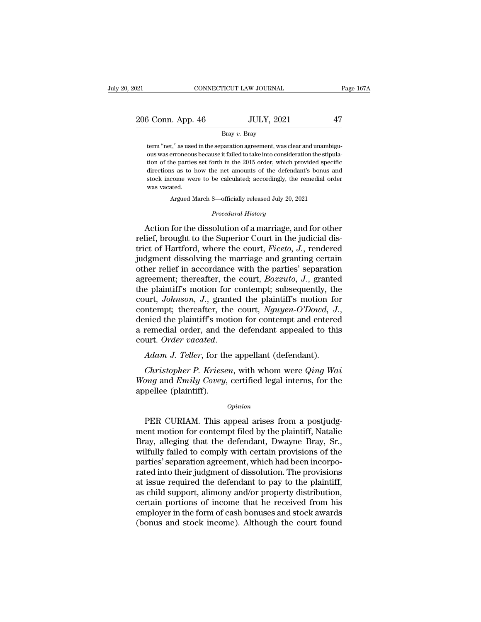21 CONNECTICUT LAW JOURNAL Page 167A<br>
206 Conn. App. 46 JULY, 2021 47<br>
Bray v. Bray

### Bray *v.* Bray

 $\begin{array}{cc} \text{5} \text{ Conn.} \text{ App. 46} & \text{JULY, 2021} & \text{47} \ \text{Bray } v. \text{ Bray} \end{array}$  $\frac{3 \text{ Conn. App. 46}}{\text{Bray } v. \text{ Bray}}$ <br>Bray  $v. \text{Bray}$ <br>term "net," as used in the separation agreement, was clear and unambiguous was erroneous because it failed to take into consideration the stipula-<br>tion of the parties set for  $\frac{3 \text{ Conn. App. 46}}{\text{Bray } v. \text{ Bray}}$   $\frac{100 \text{ LY}}{\text{temp} \cdot \text{m} \cdot \text{m} \cdot \text{m} \cdot \text{m}}$   $\frac{100 \text{ LY}}{\text{temp} \cdot \text{m} \cdot \text{m} \cdot \text{m} \cdot \text{m} \cdot \text{m}}$   $\frac{100 \text{ LY}}{\text{num} \cdot \text{m} \cdot \text{m} \cdot \text{m} \cdot \text{m} \cdot \text{m}}$   $\frac{100 \text{ LY}}{\text{num} \cdot \text{m} \cdot \text{m}$ Bray  $v$ . Bray<br>term "net," as used in the separation agreement, was clear and unambiguous was erroneous because it failed to take into consideration the stipula-<br>tion of the parties set forth in the 2015 order, which prov Bray v. Bray<br>term "net," as used in the separation agreement, was clear and unambigu-<br>ous was erroneous because it failed to take into consideration the stipula-<br>tion of the parties set forth in the 2015 order, which provi term "net," as used<br>ous was erroneous<br>tion of the parties<br>directions as to l<br>stock income were<br>was vacated.<br>Argued M erroneous because it failed to take into consideration the stipude parties set forth in the 2015 order, which provided specifies as to how the net amounts of the defendant's bonus are come were to be calculated; accordingl directions as to how the net amounts of the defendant's bonus and stock income were to be calculated; accordingly, the remedial order was vacated.<br>Argued March 8—officially released July 20, 2021<br>*Procedural History*<br>Actio Figure 1.1 The dissolution of a marriage, and for other<br>directions as to how the net amounts of the defendant's bonus and<br>stock income were to be calculated; accordingly, the remedial order<br>was vacated.<br>Argued March 8—offi

stock income were to be calculated; accordingly, the remedial order<br>was vacated.<br>Argued March 8—officially released July 20, 2021<br>*Procedural History*<br>Action for the dissolution of a marriage, and for other<br>relief, brought was vacated.<br>
Argued March 8—officially released July 20, 2021<br>
Procedural History<br>
Action for the dissolution of a marriage, and for other<br>
relief, brought to the Superior Court in the judicial dis-<br>
trict of Hartford, wh Argued March 8—officially released July 20, 2021<br> *Procedural History*<br> **Action for the dissolution of a marriage, and for other relief, brought to the Superior Court in the judicial dis-<br>
trict of Hartford, where the cour** *Procedural History*<br>Action for the dissolution of a marriage, and for other<br>relief, brought to the Superior Court in the judicial dis-<br>trict of Hartford, where the court, *Ficeto*, *J*., rendered<br>judgment dissolving the m Froceaural History<br>
Action for the dissolution of a marriage, and for other<br>
relief, brought to the Superior Court in the judicial dis-<br>
trict of Hartford, where the court, *Ficeto*, *J.*, rendered<br>
judgment dissolving the Action for the dissolution of a marriage, and for other<br>relief, brought to the Superior Court in the judicial dis-<br>trict of Hartford, where the court, *Ficeto*, *J*., rendered<br>judgment dissolving the marriage and granting relief, brought to the Superior Court in the judicial dis-<br>trict of Hartford, where the court, *Ficeto*, *J*., rendered<br>judgment dissolving the marriage and granting certain<br>other relief in accordance with the parties' sep trict of Hartford, where the court, *Ficeto*, *J.*, rendered<br>judgment dissolving the marriage and granting certain<br>other relief in accordance with the parties' separation<br>agreement; thereafter, the court, *Bozzuto*, *J.*, other relief in accordance with the parties' separation<br>agreement; thereafter, the court, *Bozzuto*, *J*., granted<br>the plaintiff's motion for contempt; subsequently, the<br>court, *Johnson*, *J.*, granted the plaintiff's moti agreement; thereafter, the court, *Bozzuto*, *J.*, granted the plaintiff's motion for contempt; subsequently, the court, *Johnson*, *J.*, granted the plaintiff's motion for contempt; thereafter, the court, *Nguyen-O'Dowd*, *Realistopher Christopher Christopher Christopher Christopher A. Adam J. Teller, and the defendant appealed to this aut. Order vacated.*<br>Adam J. Teller, for the appellant (defendant).<br>Christopher P. Kriesen, with whom were denied the plaintiff's motion for contempt and entered<br>a remedial order, and the defendant appealed to this<br>court. Order vacated.<br>Adam J. Teller, for the appellant (defendant).<br>Christopher P. Kriesen, with whom were *Qing* 

a remedial order, and the<br>
court. Order vacated.<br>
Adam J. Teller, for the<br>
Christopher P. Kriese<br>
Wong and Emily Covey,<br>
appellee (plaintiff). Addin J. Teaer, for the appenant (detendant).<br>
Christopher P. Kriesen, with whom were *Qing Wai*<br>
ong and Emily Covey, certified legal interns, for the<br>
pellee (plaintiff).<br>
Opinion<br>
PER CURIAM. This appeal arises from a p

### *Opinion*

Christopher P. Kriesen, with whom were *Qing Wai*<br>
Wong and Emily Covey, certified legal interns, for the<br>
appellee (plaintiff).<br>
Opinion<br>
PER CURIAM. This appeal arises from a postjudg-<br>
ment motion for contempt filed by Wong and *Emily Covey*, certified legal interns, for the<br>appellee (plaintiff).<br>Opinion<br>PER CURIAM. This appeal arises from a postjudg-<br>ment motion for contempt filed by the plaintiff, Natalie<br>Bray, alleging that the defend opinion<br>opinion<br>PER CURIAM. This appeal arises from a postjudg-<br>ment motion for contempt filed by the plaintiff, Natalie<br>Bray, alleging that the defendant, Dwayne Bray, Sr.,<br>wilfully failed to comply with certain provision **EXECURIAM.** This appeal arises from a postjudgment motion for contempt filed by the plaintiff, Natalie Bray, alleging that the defendant, Dwayne Bray, Sr., wilfully failed to comply with certain provisions of the parties' FER CURIAM. This appeal arises from a postjudgment motion for contempt filed by the plaintiff, Natalie<br>Bray, alleging that the defendant, Dwayne Bray, Sr.,<br>wilfully failed to comply with certain provisions of the<br>parties' PER CURIAM. This appeal arises from a postjudgment motion for contempt filed by the plaintiff, Natalie Bray, since Bray, she defendant, Dwayne Bray, Sr., wilfully failed to comply with certain provisions of the parties' se ment motion for contempt filed by the plaintiff, Natalie Bray, slleging that the defendant, Dwayne Bray, Sr., wilfully failed to comply with certain provisions of the parties' separation agreement, which had been incorpora Bray, alleging that the defendant, Dwayne Bray, Sr.,<br>wilfully failed to comply with certain provisions of the<br>parties' separation agreement, which had been incorpo-<br>rated into their judgment of dissolution. The provisions<br> wilfully failed to comply with certain provisions of the<br>parties' separation agreement, which had been incorpo-<br>rated into their judgment of dissolution. The provisions<br>at issue required the defendant to pay to the plainti parties' separation agreement, which had been incorporated into their judgment of dissolution. The provisions at issue required the defendant to pay to the plaintiff, as child support, alimony and/or property distribution,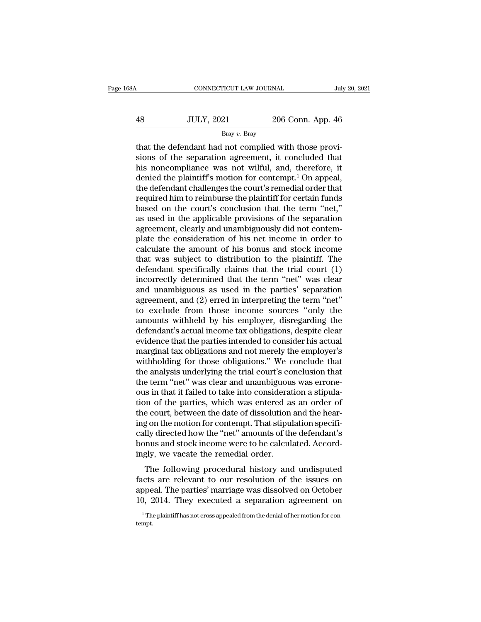| 8Α | CONNECTICUT LAW JOURNAL |                   | July 20, 2021 |  |
|----|-------------------------|-------------------|---------------|--|
| 48 | <b>JULY, 2021</b>       | 206 Conn. App. 46 |               |  |
|    | Bray v. Bray            |                   |               |  |

CONNECTICUT LAW JOURNAL<br>
48 JULY, 2021 206 Conn. App. 46<br>
<sup>Bray v. Bray</sup><br>
that the defendant had not complied with those provi-<br>
sions of the separation agreement, it concluded that<br>
his popompliance was not wiful, and the sions of the separation agreement, it concluded that  $\frac{360}{100}$  HuLY, 2021 206 Conn. App. 46<br>  $\frac{100}{100}$  Bray v. Bray<br>
that the defendant had not complied with those provisions of the separation agreement, it concluded that<br>
his noncompliance was not wilful, and, ther  $\frac{36}{100}$  JULY, 2021 206 Conn. App. 46<br>Bray v. Bray<br>that the defendant had not complied with those provisions of the separation agreement, it concluded that<br>his noncompliance was not wilful, and, therefore, it<br>denied t Bray v. Bray<br>Bray v. Bray<br>that the defendant had not complied with those provisions of the separation agreement, it concluded that<br>his noncompliance was not wilful, and, therefore, it<br>denied the plaintiff's motion for con Eray v. Bray<br>that the defendant had not complied with those provisions of the separation agreement, it concluded that<br>his noncompliance was not wilful, and, therefore, it<br>denied the plaintiff's motion for contempt.<sup>1</sup> On that the defendant had not complied with those provisions of the separation agreement, it concluded that<br>his noncompliance was not wilful, and, therefore, it<br>denied the plaintiff's motion for contempt.<sup>1</sup> On appeal,<br>the d sions of the separation agreement, it concluded that<br>his noncompliance was not wilful, and, therefore, it<br>denied the plaintiff's motion for contempt.<sup>1</sup> On appeal,<br>the defendant challenges the court's remedial order that<br>r his noncompliance was not wilful, and, therefore, it<br>denied the plaintiff's motion for contempt.<sup>1</sup> On appeal,<br>the defendant challenges the court's remedial order that<br>required him to reimburse the plaintiff for certain fu denied the plaintiff's motion for contempt.<sup>1</sup> On appeal,<br>the defendant challenges the court's remedial order that<br>required him to reimburse the plaintiff for certain funds<br>based on the court's conclusion that the term "ne the defendant challenges the court's remedial order that<br>required him to reimburse the plaintiff for certain funds<br>based on the court's conclusion that the term "net,"<br>as used in the applicable provisions of the separation required him to reimburse the plaintiff for certain funds<br>based on the court's conclusion that the term "net,"<br>as used in the applicable provisions of the separation<br>agreement, clearly and unambiguously did not contem-<br>pla based on the court's conclusion that the term "net,"<br>as used in the applicable provisions of the separation<br>agreement, clearly and unambiguously did not contem-<br>plate the consideration of his net income in order to<br>calcula as used in the applicable provisions of the separation<br>agreement, clearly and unambiguously did not contem-<br>plate the consideration of his net income in order to<br>calculate the amount of his bonus and stock income<br>that was agreement, clearly and unambiguously did not contem-<br>plate the consideration of his net income in order to<br>calculate the amount of his bonus and stock income<br>that was subject to distribution to the plaintiff. The<br>defendant plate the consideration of his net income in order to calculate the amount of his bonus and stock income that was subject to distribution to the plaintiff. The defendant specifically claims that the trial court (1) incorre calculate the amount of his bonus and stock income<br>that was subject to distribution to the plaintiff. The<br>defendant specifically claims that the trial court (1)<br>incorrectly determined that the term "net" was clear<br>and unam that was subject to distribution to the plaintiff. The<br>defendant specifically claims that the trial court (1)<br>incorrectly determined that the term "net" was clear<br>and unambiguous as used in the parties' separation<br>agreemen defendant specifically claims that the trial court (1)<br>incorrectly determined that the term "net" was clear<br>and unambiguous as used in the parties' separation<br>agreement, and (2) erred in interpreting the term "net"<br>to excl incorrectly determined that the term "net" was clear<br>and unambiguous as used in the parties' separation<br>agreement, and (2) erred in interpreting the term "net"<br>to exclude from those income sources "only the<br>amounts withhel and unambiguous as used in the parties' separation<br>agreement, and (2) erred in interpreting the term "net"<br>to exclude from those income sources "only the<br>amounts withheld by his employer, disregarding the<br>defendant's actua agreement, and (2) erred in interpreting the term "net"<br>to exclude from those income sources "only the<br>amounts withheld by his employer, disregarding the<br>defendant's actual income tax obligations, despite clear<br>evidence th to exclude from those income sources "only the<br>amounts withheld by his employer, disregarding the<br>defendant's actual income tax obligations, despite clear<br>evidence that the parties intended to consider his actual<br>marginal amounts withheld by his employer, disregarding the<br>defendant's actual income tax obligations, despite clear<br>evidence that the parties intended to consider his actual<br>marginal tax obligations and not merely the employer's<br>w defendant's actual income tax obligations, despite clear<br>evidence that the parties intended to consider his actual<br>marginal tax obligations and not merely the employer's<br>withholding for those obligations." We conclude that evidence that the parties intended to consider his actual<br>marginal tax obligations and not merely the employer's<br>withholding for those obligations." We conclude that<br>the analysis underlying the trial court's conclusion tha marginal tax obligations and not merely the employer's<br>withholding for those obligations." We conclude that<br>the analysis underlying the trial court's conclusion that<br>the term "net" was clear and unambiguous was errone-<br>ous withholding for those obligations." We conclude that<br>the analysis underlying the trial court's conclusion that<br>the term "net" was clear and unambiguous was errone-<br>ous in that it failed to take into consideration a stipula the analysis underlying the trial court's conclusion that<br>the term "net" was clear and unambiguous was errone-<br>ous in that it failed to take into consideration a stipula-<br>tion of the parties, which was entered as an order the term "net" was clear and unambiguous was errone-<br>ous in that it failed to take into consideration a stipula-<br>tion of the parties, which was entered as an order of<br>the court, between the date of dissolution and the hear ous in that it failed to take into considerat<br>tion of the parties, which was entered as<br>the court, between the date of dissolution<br>ing on the motion for contempt. That stipul<br>cally directed how the "net" amounts of th<br>bonu For the parties, which was entered as an order of<br>e court, between the date of dissolution and the hear-<br>g on the motion for contempt. That stipulation specifi-<br>lly directed how the "net" amounts of the defendant's<br>mus and fact to our, between the date of dissolution and the heat<br>ing on the motion for contempt. That stipulation specifi-<br>cally directed how the "net" amounts of the defendant's<br>bonus and stock income were to be calculated. Acco

really directed how the "net" amounts of the defendant's<br>bonus and stock income were to be calculated. Accord-<br>ingly, we vacate the remedial order.<br>The following procedural history and undisputed<br>facts are relevant to our bonus and stock income were to be calculated. Accordingly, we vacate the remedial order.<br>The following procedural history and undisputed facts are relevant to our resolution of the issues on appeal. The parties' marriage The following procedural history and undisputed facts are relevant to our resolution of the issues on appeal. The parties' marriage was dissolved on October 10, 2014. They executed a separation agreement on  $\frac{1}{1}$  The

tempt.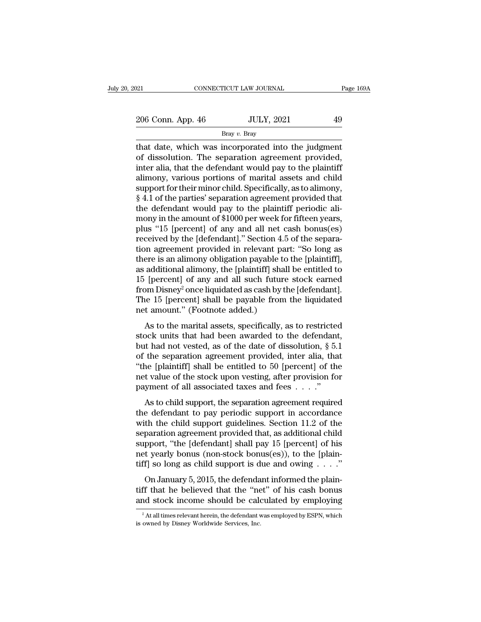Bray *v.* Bray

 $t_{\text{206}}$  Conn. App. 46 JULY, 2021  $t_{\text{206}}$  Conn. App. 46 JULY, 2021 49<br>Bray v. Bray<br>that date, which was incorporated into the judgment<br>of dissolution. The separation agreement provided,<br>inter alia, that the defende  $\frac{206}{200}$  Conn. App. 46 JULY, 2021 49<br>Bray v. Bray<br>that date, which was incorporated into the judgment<br>of dissolution. The separation agreement provided,<br>inter alia, that the defendant would pay to the plaintiff<br>alimo  $\frac{206 \text{ Conn. App. 46}}{\text{Bray } v. \text{ Bray}}$ <br>  $\frac{10 \text{ H} \cdot \text{Bray}}{\text{Bray } v. \text{ Bray}}$ <br>
that date, which was incorporated into the judgment<br>
of dissolution. The separation agreement provided,<br>
inter alia, that the defendant would pay to the 206 Conn. App. 46 Bray v. Bray<br>Bray v. Bray<br>that date, which was incorporated into the judgment<br>of dissolution. The separation agreement provided,<br>inter alia, that the defendant would pay to the plaintiff<br>alimony, various Bray v. Bray<br>Bray v. Bray<br>that date, which was incorporated into the judgment<br>of dissolution. The separation agreement provided,<br>inter alia, that the defendant would pay to the plaintiff<br>alimony, various portions of marit <sup>Bray v. Bray</sup><br>
that date, which was incorporated into the judgment<br>
of dissolution. The separation agreement provided,<br>
inter alia, that the defendant would pay to the plaintiff<br>
alimony, various portions of marital asse that date, which was incorporated into the judgment<br>of dissolution. The separation agreement provided,<br>inter alia, that the defendant would pay to the plaintiff<br>alimony, various portions of marital assets and child<br>support of dissolution. The separation agreement provided,<br>inter alia, that the defendant would pay to the plaintiff<br>alimony, various portions of marital assets and child<br>support for their minor child. Specifically, as to alimony, inter alia, that the defendant would pay to the plaintiff<br>alimony, various portions of marital assets and child<br>support for their minor child. Specifically, as to alimony,<br>§ 4.1 of the parties' separation agreement provide alimony, various portions of marital assets and child<br>support for their minor child. Specifically, as to alimony,<br>§ 4.1 of the parties' separation agreement provided that<br>the defendant would pay to the plaintiff periodic a support for their minor child. Specifically, as to alimony,<br>
§ 4.1 of the parties' separation agreement provided that<br>
the defendant would pay to the plaintiff periodic ali-<br>
mony in the amount of \$1000 per week for fiftee § 4.1 of the parties' separation agreement provided that<br>the defendant would pay to the plaintiff periodic ali-<br>mony in the amount of \$1000 per week for fifteen years,<br>plus "15 [percent] of any and all net cash bonus(es)<br>r the defendant would pay to the plaintiff periodic ali-<br>mony in the amount of \$1000 per week for fifteen years,<br>plus "15 [percent] of any and all net cash bonus(es)<br>received by the [defendant]." Section 4.5 of the separa-<br>t mony in the amount of \$1000 per week for fifteen years,<br>plus "15 [percent] of any and all net cash bonus(es)<br>received by the [defendant]." Section 4.5 of the separa-<br>tion agreement provided in relevant part: "So long as<br>th plus "15 [percent] of any and all net cash bonus(es)<br>received by the [defendant]." Section 4.5 of the separa-<br>tion agreement provided in relevant part: "So long as<br>there is an alimony obligation payable to the [plaintiff], received by the [defendant]." Section 4.5 of the separation agreement provided in relevant part: "So long as there is an alimony obligation payable to the [plaintiff], as additional alimony, the [plaintiff] shall be entitl tion agreement provided in relevant pat<br>there is an alimony obligation payable to<br>as additional alimony, the [plaintiff] shal<br>15 [percent] of any and all such future<br>from Disney<sup>2</sup> once liquidated as cash by tl<br>The 15 [per and all mony obtigation payable to the plaintiff],<br>additional alimony, the [plaintiff] shall be entitled to<br>ferreent] of any and all such future stock earned<br>om Disney<sup>2</sup> once liquidated as cash by the [defendant].<br>as 15 as additionar antiony, the [plantin] stand of third to 15 [percent] of any and all such future stock earned<br>from Disney<sup>2</sup> once liquidated as cash by the [defendant].<br>The 15 [percent] shall be payable from the liquidated<br>

Fo [percent] of any and an sach hadre stock carned<br>from Disney<sup>2</sup> once liquidated as cash by the [defendant].<br>The 15 [percent] shall be payable from the liquidated<br>net amount." (Footnote added.)<br>As to the marital assets, The 15 [percent] shall be payable from the liquidated<br>net amount." (Footnote added.)<br>As to the marital assets, specifically, as to restricted<br>stock units that had been awarded to the defendant,<br>but had not vested, as of t The 19 [percent] shall be payable from the inquidated<br>
net amount." (Footnote added.)<br>
As to the marital assets, specifically, as to restricted<br>
stock units that had been awarded to the defendant,<br>
but had not vested, as As to the marital assets, specifically, as to restricted<br>stock units that had been awarded to the defendant,<br>but had not vested, as of the date of dissolution, § 5.1<br>of the separation agreement provided, inter alia, that<br> As to the marital assets, specifically, as to restricte<br>stock units that had been awarded to the defendant<br>but had not vested, as of the date of dissolution,  $\S$  5.<br>of the separation agreement provided, inter alia, that<br>" Let the separation agreement provided, inter alia, that<br>the separation agreement provided, inter alia, that<br>ne [plaintiff] shall be entitled to 50 [percent] of the<br>t value of the stock upon vesting, after provision for<br>ym but had not vessed, as of the date of dissolution,  $\frac{1}{3}$  of<br>of the separation agreement provided, inter alia, that<br>"the [plaintiff] shall be entitled to 50 [percent] of the<br>net value of the stock upon vesting, after p

or the separation agreement provided, meet and, that<br>
"the [plaintiff] shall be entitled to 50 [percent] of the<br>
net value of the stock upon vesting, after provision for<br>
payment of all associated taxes and fees  $\ldots$ ."<br> Finally shall be childed to be percent of the<br>net value of the stock upon vesting, after provision for<br>payment of all associated taxes and fees  $\dots$ ."<br>As to child support, the separation agreement required<br>the defendant t Fract value of the stock upon vesting, their provision for<br>payment of all associated taxes and fees  $\dots$ ."<br>As to child support, the separation agreement required<br>the defendant to pay periodic support in accordance<br>with th As to child support, the separation agreement required<br>the defendant to pay periodic support in accordance<br>with the child support guidelines. Section 11.2 of the<br>separation agreement provided that, as additional child<br>sup As to child support, the separation agreement required<br>the defendant to pay periodic support in accordance<br>with the child support guidelines. Section 11.2 of the<br>separation agreement provided that, as additional child<br>sup the child support guidelines. Section 11.2 of the paration agreement provided that, as additional child pport, "the [defendant] shall pay 15 [percent] of his t yearly bonus (non-stock bonus(es)), to the [plain-f] so long separation agreement provided that, as additional child<br>support, "the [defendant] shall pay 15 [percent] of his<br>net yearly bonus (non-stock bonus(es)), to the [plain-<br>tiff] so long as child support is due and owing  $\dots$ ." support, "the [defendant] shall pay 15 [percent] of his<br>net yearly bonus (non-stock bonus(es)), to the [plain-<br>tiff] so long as child support is due and owing . . . ."<br>On January 5, 2015, the defendant informed the plain-

On January 5, 2015, the defendant informed the plain-<br>ff that he believed that the "net" of his cash bonus<br>and stock income should be calculated by employing<br> $\frac{1}{2}$  At all times relevant herein, the defendant was employ On January 5, 2015, the defenda<br>tiff that he believed that the "ne<br>and stock income should be cale<br> $\frac{1}{2}$ At all times relevant herein, the defendant v<br>is owned by Disney Worldwide Services, Inc.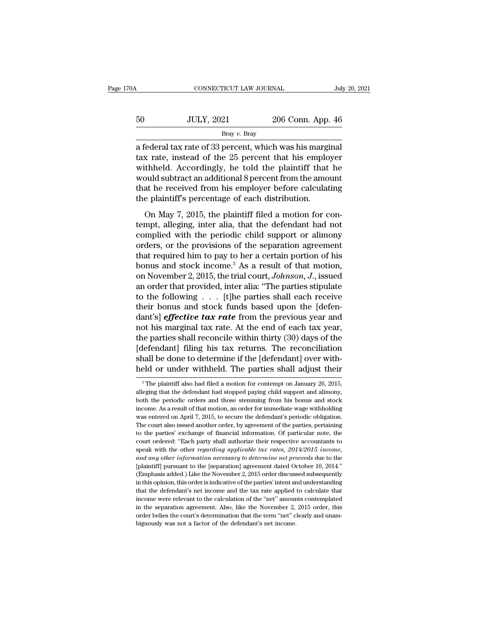| 70A | CONNECTICUT LAW JOURNAL |                   | July 20, 2021 |
|-----|-------------------------|-------------------|---------------|
| 50  | <b>JULY, 2021</b>       | 206 Conn. App. 46 |               |
|     | Bray $v$ . Bray         |                   |               |

cONNECTICUT LAW JOURNAL July 20, 20<br>
50 JULY, 2021 206 Conn. App. 46<br>
Bray v. Bray<br>
a federal tax rate of 33 percent, which was his marginal<br>
tax rate, instead of the 25 percent that his employer<br>
withhold Accordingly, he 50 JULY, 2021 206 Conn. App. 46<br>Bray v. Bray<br>a federal tax rate of 33 percent, which was his marginal<br>tax rate, instead of the 25 percent that his employer<br>withheld. Accordingly, he told the plaintiff that he<br>would subtrac  $\noindent\hfill\text{JULY, 2021} \quad\noindent\hfill\text{Bray } v. \text{Bray}$ <br>
a federal tax rate of 33 percent, which was his marginal<br>
tax rate, instead of the 25 percent that his employer<br>
withheld. Accordingly, he told the plaintiff that he<br>
would sub  $30$  JULY, 2021 206 Conn. App. 46<br>Bray v. Bray<br>a federal tax rate of 33 percent, which was his marginal<br>tax rate, instead of the 25 percent that his employer<br>withheld. Accordingly, he told the plaintiff that he<br>would subt Bray v. Bray<br>Bray v. Bray<br>a federal tax rate of 33 percent, which was his marginal<br>tax rate, instead of the 25 percent that his employer<br>withheld. Accordingly, he told the plaintiff that he<br>would subtract an additional 8  $\frac{1}{2}$  Bray v. Bray<br>a federal tax rate of 33 percent, which was his margitax rate, instead of the 25 percent that his emplo<br>withheld. Accordingly, he told the plaintiff that<br>would subtract an additional 8 percent from Exercise and take of so percent, which was has marginal<br>as rate, instead of the 25 percent that his employer<br>thheld. Accordingly, he told the plaintiff that he<br>puld subtract an additional 8 percent from the amount<br>at he re the must had a model of the distribution of the plaintiff that he would subtract an additional 8 percent from the amount that he received from his employer before calculating the plaintiff's percentage of each distribution

while the correction of the plant of the mount<br>that he received from his employer before calculating<br>the plaintiff's percentage of each distribution.<br>On May 7, 2015, the plaintiff filed a motion for con-<br>tempt, alleging, that he received from his employer before calculating<br>the plaintiff's percentage of each distribution.<br>On May 7, 2015, the plaintiff filed a motion for con-<br>tempt, alleging, inter alia, that the defendant had not<br>complied the plaintiff's percentage of each distribution.<br>
On May 7, 2015, the plaintiff filed a motion for con-<br>
tempt, alleging, inter alia, that the defendant had not<br>
complied with the periodic child support or alimony<br>
orders On May 7, 2015, the plaintiff filed a motion for con-<br>tempt, alleging, inter alia, that the defendant had not<br>complied with the periodic child support or alimony<br>orders, or the provisions of the separation agreement<br>that On May 7, 2015, the plaintiff filed a motion for con-<br>tempt, alleging, inter alia, that the defendant had not<br>complied with the periodic child support or alimony<br>orders, or the provisions of the separation agreement<br>that r tempt, alleging, inter alia, that the defendant had not complied with the periodic child support or alimony orders, or the provisions of the separation agreement that required him to pay to her a certain portion of his bo complied with the periodic child support or alimony<br>orders, or the provisions of the separation agreement<br>that required him to pay to her a certain portion of his<br>bonus and stock income.<sup>3</sup> As a result of that motion,<br>on orders, or the provisions of the separation agreement<br>that required him to pay to her a certain portion of his<br>bonus and stock income.<sup>3</sup> As a result of that motion,<br>on November 2, 2015, the trial court, *Johnson*, *J*., that required him to pay to her a certain portion of his<br>
bonus and stock income.<sup>3</sup> As a result of that motion,<br>
on November 2, 2015, the trial court, *Johnson*, *J*., issued<br>
an order that provided, inter alia: "The par bonus and stock income.<sup>3</sup> As a result of that motion,<br>on November 2, 2015, the trial court, *Johnson*, *J*., issued<br>an order that provided, inter alia: "The parties stipulate<br>to the following . . . [t]he parties shall ea on November 2, 2015, the trial court, *Johnson*, *J.*, issued<br>an order that provided, inter alia: "The parties stipulate<br>to the following  $\ldots$  [t]he parties shall each receive<br>their bonus and stock funds based upon the [ an order that provided, inter alia: "The parties stipulate<br>to the following  $\ldots$  [t]he parties shall each receive<br>their bonus and stock funds based upon the [defen-<br>dant's] *effective tax rate* from the previous year a to the following  $\ldots$  [t]he parties shall each receive<br>their bonus and stock funds based upon the [defen-<br>dant's] *effective tax rate* from the previous year and<br>not his marginal tax rate. At the end of each tax year,<br>th their bonus and stock funds based upon the [defen-<br>dant's] *effective tax rate* from the previous year and<br>not his marginal tax rate. At the end of each tax year,<br>the parties shall reconcile within thirty (30) days of t Exercise Shall reconcile within thirty (30) days of the lefendant] filing his tax returns. The reconciliation hall be done to determine if the [defendant] over with-<br>eld or under withheld. The parties shall adjust their<br><sup></sup> [defendant] filing his tax returns. The reconciliation<br>shall be done to determine if the [defendant] over with-<br>held or under withheld. The parties shall adjust their<br><sup>3</sup>The plaintiff also had filed a motion for contempt o

shall be done to determine if the [defendant] over with-<br>held or under withheld. The parties shall adjust their<br> $\frac{3}{10}$  The plaintiff also had filed a motion for contempt on January 26, 2015,<br>alleging that the defendan Final set done to determine in the parties shall adjust their<br>held or under withheld. The parties shall adjust their<br><sup>3</sup> The plaintiff also had filed a motion for contempt on January 26, 2015,<br>alleging that the defendant h The plaintiff also had filed a motion for contempt on January 26, 2015, alleging that the defendant had stopped paying child support and alimony, both the periodic orders and those stemming from his bonus and stock income. <sup>3</sup> The plaintiff also had filed a motion for contempt on January 26, 2015, alleging that the defendant had stopped paying child support and alimony, both the periodic orders and those stemming from his bonus and stock in Financial information and stopped paying child support and alimony, both the periodic orders and those stemming from his bonus and stock income. As a result of that motion, an order for immediate wage withholding was enter both the periodic orders and those stemming from his bonus and stock income. As a result of that motion, an order for immediate wage withholding was entered on April 7, 2015, to secure the defendant's periodic obligation. speak with the particle of that motion, an order for immediate wage withholding was entered on April 7, 2015, to secure the defendant's periodic obligation.<br>The court also issued another order, by agreement of the parties, *and any other information, and any other information*. The court also issued another order, by agreement of the parties, pertaining to the parties' exchange of financial information. Of particular note, the court ordered: The court also issued another order, by agreement of the parties, pertaining to the parties' exchange of financial information. Of particular note, the court ordered: "Each party shall authorize their respective accountan to the parties' exchange of financial information. Of particular note, the court ordered: "Each party shall authorize their respective accountants to speak with the other *regarding applicable tax rates,*  $2014/2015$  *incom* court ordered: "Each party shall authorize their respective accountants to speak with the other *regarding applicable tax rates,*  $2014/2015$  *income,* and any other information necessary to determine net proceeds due to th speak with the other *regarding applicable tax rates, 2014/2015 income,* and any other *information necessary to determine net proceeds* due to the [plaintiff] pursuant to the [separation] agreement dated October 10, 2014 *and any other information necessary to determine net proceeds* due to the [plaintiff] pursuant to the [separation] agreement dated October 10, 2014."<br>(Emphasis added.) Like the November 2, 2015 order discussed subsequentl [plaintiff] pursuant to the [separation] agreement dated October 10, 2014."<br>(Emphasis added.) Like the November 2, 2015 order discussed subsequently<br>in this opinion, this order is indicative of the parties' intent and unde (Emphasis added.) Like the November 2, 2015 order discussed subsequently in this opinion, this order is indicative of the parties' intent and understanding that the defendant's net income and the tax rate applied to calcu in this opinion, this order is indicative of the parties' intent and understanding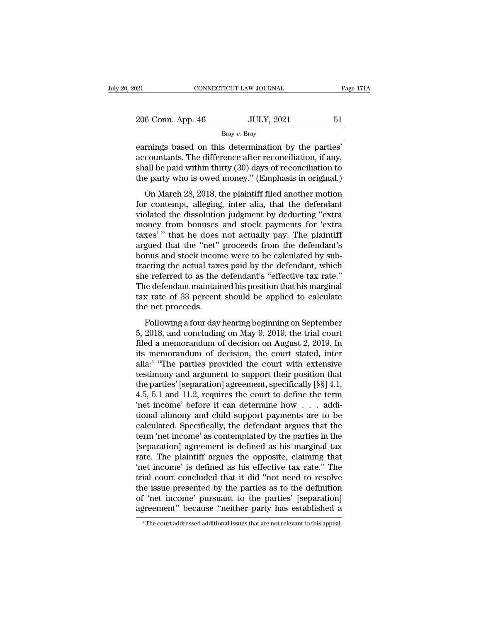| 021               | CONNECTICUT LAW JOURNAL | Page 171A |
|-------------------|-------------------------|-----------|
| 206 Conn. App. 46 | <b>JULY, 2021</b>       | 51        |
|                   | Bray $v$ . Bray         |           |

examples are connected to the set of the parties of the parties' based on this determination by the parties' accountants. The difference after reconciliation, if any, shall be paid within thirty  $(30)$  days of reconciliat 206 Conn. App. 46 JULY, 2021 51<br>Bray v. Bray<br>earnings based on this determination by the parties'<br>accountants. The difference after reconciliation, if any,<br>shall be paid within thirty (30) days of reconciliation to<br>the pa  $\frac{\text{Bray } v. \text{ Bray}}{\text{Bray } v. \text{ Bray}}$ <br>
earnings based on this determination by the parties'<br>
accountants. The difference after reconciliation, if any,<br>
shall be paid within thirty (30) days of reconciliation to<br>
the party who 206 Conn. App. 46 JULY, 2021 51<br>Bray v. Bray<br>earnings based on this determination by the parties'<br>accountants. The difference after reconciliation, if any,<br>shall be paid within thirty (30) days of reconciliation to<br>the pa Bray v. Bray<br>
rnings based on this determination by the parties'<br>
countants. The difference after reconciliation, if any,<br>
all be paid within thirty (30) days of reconciliation to<br>
e party who is owed money." (Emphasis in earnings based on this determination by the parties'<br>accountants. The difference after reconciliation, if any,<br>shall be paid within thirty (30) days of reconciliation to<br>the party who is owed money." (Emphasis in original.

edurings sased on ans determinated by the partes<br>accountants. The difference after reconciliation, if any,<br>shall be paid within thirty (30) days of reconciliation to<br>the party who is owed money." (Emphasis in original.)<br>On molecularly from the university of the paid within thirty (30) days of reconciliation to the party who is owed money." (Emphasis in original.) On March 28, 2018, the plaintiff filed another motion for contempt, alleging, i the party who is owed money." (Emphasis in original.)<br>
On March 28, 2018, the plaintiff filed another motion<br>
for contempt, alleging, inter alia, that the defendant<br>
violated the dissolution judgment by deducting "extra<br> are party who is owed money. (Emphasis in originar.)<br>
On March 28, 2018, the plaintiff filed another motion<br>
for contempt, alleging, inter alia, that the defendant<br>
violated the dissolution judgment by deducting "extra<br>
mo On March 28, 2018, the plaintiff filed another motion<br>for contempt, alleging, inter alia, that the defendant<br>violated the dissolution judgment by deducting "extra<br>money from bonuses and stock payments for 'extra<br>taxes'" th for contempt, alleging, inter alia, that the defendant<br>violated the dissolution judgment by deducting "extra<br>money from bonuses and stock payments for 'extra<br>taxes' " that he does not actually pay. The plaintiff<br>argued tha violated the dissolution judgment by deducting "extra<br>money from bonuses and stock payments for 'extra<br>taxes'" that he does not actually pay. The plaintiff<br>argued that the "net" proceeds from the defendant's<br>bonus and stoc money from bonuses and stock payments for 'extra<br>taxes'" that he does not actually pay. The plaintiff<br>argued that the "net" proceeds from the defendant's<br>bonus and stock income were to be calculated by sub-<br>tracting the ac taxes'" that he does not actually pay. The plaintiff<br>argued that the "net" proceeds from the defendant's<br>bonus and stock income were to be calculated by sub-<br>tracting the actual taxes paid by the defendant, which<br>she refer argued that the "net"<br>bonus and stock incon<br>tracting the actual taxe<br>she referred to as the<br>The defendant maintain<br>tax rate of 33 percent<br>the net proceeds.<br>Following a four day Following a four day hearing beginning on September<br>Following a four day hearing the defendant, which<br>e defendant maintained his position that his marginal<br>x rate of 33 percent should be applied to calculate<br>e net proceed Fracting are actual also paid by the defendant, which<br>she referred to as the defendant's "effective tax rate."<br>The defendant maintained his position that his marginal<br>tax rate of 33 percent should be applied to calculate<br>t

File defendant maintained his position that his marginal<br>tax rate of 33 percent should be applied to calculate<br>the net proceeds.<br>Following a four day hearing beginning on September<br>5, 2018, and concluding on May 9, 2019, t Include the net proceeds.<br>
Following a four day hearing beginning on September<br>
5, 2018, and concluding on May 9, 2019, the trial court<br>
filed a memorandum of decision on August 2, 2019. In<br>
its memorandum of decision, the alia:<sup>4</sup> "The parties provided the court with extensive t proceeds.<br>
lowing a four day hearing beginning on September<br>
8, and concluding on May 9, 2019, the trial court<br>
a memorandum of decision on August 2, 2019. In<br>
emorandum of decision, the court stated, inter<br>
"The parties Following a four day hearing beginning on September<br>5, 2018, and concluding on May 9, 2019, the trial court<br>filed a memorandum of decision on August 2, 2019. In<br>its memorandum of decision, the court stated, inter<br>alia:<sup>4</sup> Following a four day hearing beginning on September<br>5, 2018, and concluding on May 9, 2019, the trial court<br>filed a memorandum of decision on August 2, 2019. In<br>its memorandum of decision, the court stated, inter<br>alia:<sup>4</sup> 5, 2018, and concluding on May 9, 2019, the trial court<br>filed a memorandum of decision on August 2, 2019. In<br>its memorandum of decision, the court stated, inter<br>alia:<sup>4</sup> "The parties provided the court with extensive<br>test filed a memorandum of decision on August 2, 2019. In<br>its memorandum of decision, the court stated, inter<br>alia:<sup>4</sup> "The parties provided the court with extensive<br>testimony and argument to support their position that<br>the pa its memorandum of decision, the court stated, inter<br>alia:<sup>4</sup> "The parties provided the court with extensive<br>testimony and argument to support their position that<br>the parties' [separation] agreement, specifically [§§] 4.1, alia:<sup>4</sup> "The parties provided the court with extensive<br>testimony and argument to support their position that<br>the parties' [separation] agreement, specifically [§§] 4.1,<br>4.5, 5.1 and 11.2, requires the court to define the testimony and argument to support their position that<br>the parties' [separation] agreement, specifically [§§] 4.1,<br>4.5, 5.1 and 11.2, requires the court to define the term<br>'net income' before it can determine how . . . addi the parties' [separation] agreement, specifically [§§] 4.1,<br>4.5, 5.1 and 11.2, requires the court to define the term<br>'net income' before it can determine how  $\dots$  addi-<br>tional alimony and child support payments are to be<br> 4.5, 5.1 and 11.2, requires the court to define the term<br>
'net income' before it can determine how  $\ldots$  additional alimony and child support payments are to be<br>
calculated. Specifically, the defendant argues that the<br>
te 'net income' before it can determine how  $\ldots$  additional alimony and child support payments are to be calculated. Specifically, the defendant argues that the term 'net income' as contemplated by the parties in the [separ tional alimony and child support payments are to be calculated. Specifically, the defendant argues that the term 'net income' as contemplated by the parties in the [separation] agreement is defined as his marginal tax rate calculated. Specifically, the defendant argues that the<br>term 'net income' as contemplated by the parties in the<br>[separation] agreement is defined as his marginal tax<br>rate. The plaintiff argues the opposite, claiming that<br>' term 'net income' as contemplated by the parties in the [separation] agreement is defined as his marginal tax rate. The plaintiff argues the opposite, claiming that 'net income' is defined as his effective tax rate." The t [separation] agreement is defined as his marginal tax<br>rate. The plaintiff argues the opposite, claiming that<br>'net income' is defined as his effective tax rate." The<br>trial court concluded that it did "not need to resolve<br>th trial court concluded that it did "not need to resolve<br>the issue presented by the parties as to the definition<br>of 'net income' pursuant to the parties' [separation]<br>agreement" because "neither party has established a<br><sup>4</sup>Th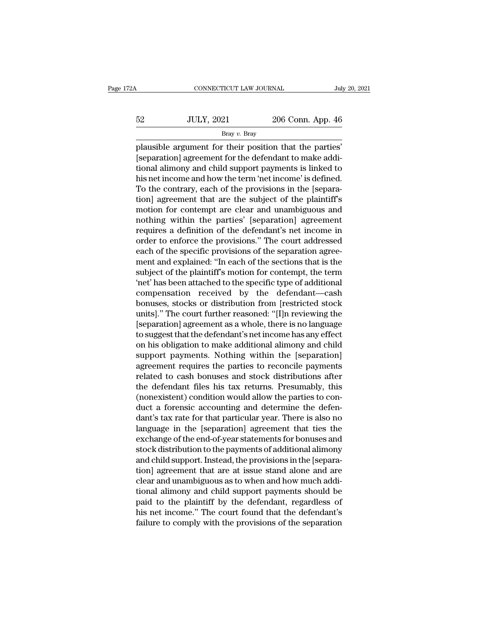|    | CONNECTICUT LAW JOURNAL |                   | July 20, 2021 |
|----|-------------------------|-------------------|---------------|
|    |                         |                   |               |
| 52 | <b>JULY, 2021</b>       | 206 Conn. App. 46 |               |
|    | Bray $v$ . Bray         |                   |               |

FREE CONNECTICUT LAW JOURNAL July 20, 2<br>
FREE SEP SERV 2021 206 Conn. App. 46<br>
Plausible argument for their position that the parties'<br>
[separation] agreement for the defendant to make additional elimony and child sumport  $52$  JULY, 2021 206 Conn. App. 46<br>Bray v. Bray<br>plausible argument for their position that the parties'<br>[separation] agreement for the defendant to make addi-<br>tional alimony and child support payments is linked to<br>his not 52 JULY, 2021 206 Conn. App. 46<br>Bray v. Bray<br>plausible argument for their position that the parties'<br>[separation] agreement for the defendant to make addi-<br>tional alimony and child support payments is linked to<br>his net in  $\frac{52}{\text{Bray }v.\text{ Bray}}$  206 Conn. App. 46<br>  $\frac{52}{\text{Bray }v.\text{ Bray}}$ <br>
plausible argument for their position that the parties'<br>
[separation] agreement for the defendant to make additional alimony and child support payments is link Bray v. Bray<br>
plausible argument for their position that the parties'<br>
[separation] agreement for the defendant to make addi-<br>
tional alimony and child support payments is linked to<br>
his net income and how the term 'net i  $\begin{array}{l} \text{big value for } \text{big position that the parties'}\\ \text{[separation] agreement for the defendant to make additional alimony and child support payments is linked to his net income and how the term 'net income' is defined.} \\ \text{To the contrary, each of the provisions in the [separation] agreement that are the subject of the plaintiff's motion for content are clear and unambiguous and nothing within the parties' [conservation] agreement.} \end{array}$ plausible argument for their position that the parties'<br>[separation] agreement for the defendant to make addi-<br>tional alimony and child support payments is linked to<br>his net income and how the term 'net income' is defined. [separation] agreement for the defendant to make additional alimony and child support payments is linked to<br>his net income and how the term 'net income' is defined.<br>To the contrary, each of the provisions in the [separa-<br>t tional alimony and child support payments is linked to<br>his net income and how the term 'net income' is defined.<br>To the contrary, each of the provisions in the [separa-<br>tion] agreement that are the subject of the plaintiff' his net income and how the term 'net income' is defined.<br>To the contrary, each of the provisions in the [separation] agreement that are the subject of the plaintiff's<br>motion for contempt are clear and unambiguous and<br>nothi To the contrary, each of the provisions in the [separation] agreement that are the subject of the plaintiff's<br>motion for contempt are clear and unambiguous and<br>nothing within the parties' [separation] agreement<br>requires a tion] agreement that are the subject of the plaintiff's<br>motion for contempt are clear and unambiguous and<br>nothing within the parties' [separation] agreement<br>requires a definition of the defendant's net income in<br>order to e motion for contempt are clear and unambiguous and<br>nothing within the parties' [separation] agreement<br>requires a definition of the defendant's net income in<br>order to enforce the provisions." The court addressed<br>each of the nothing within the parties' [separation] agreement<br>requires a definition of the defendant's net income in<br>order to enforce the provisions." The court addressed<br>each of the specific provisions of the separation agree-<br>ment requires a definition of the defendant's net income in<br>order to enforce the provisions." The court addressed<br>each of the specific provisions of the separation agree-<br>ment and explained: "In each of the sections that is the order to enforce the provisions." The court addressed<br>each of the specific provisions of the separation agree-<br>ment and explained: "In each of the sections that is the<br>subject of the plaintiff's motion for contempt, the te each of the specific provisions of the separation agreement and explained: "In each of the sections that is the subject of the plaintiff's motion for contempt, the term 'net' has been attached to the specific type of addit ment and explained: "In each of the sections that is the<br>subject of the plaintiff's motion for contempt, the term<br>'net' has been attached to the specific type of additional<br>compensation received by the defendant—cash<br>bonus subject of the plaintiff's motion for contempt, the term<br>
'net' has been attached to the specific type of additional<br>
compensation received by the defendant—cash<br>
bonuses, stocks or distribution from [restricted stock<br>
uni "het" has been attached to the specific type of additional<br>compensation - received - by - the - defendant—cash<br>bonuses, stocks or distribution from [restricted stock<br>units]." The court further reasoned: "[I]n reviewing the compensation received by the defendant—cash<br>bonuses, stocks or distribution from [restricted stock<br>units]." The court further reasoned: "[I]n reviewing the<br>[separation] agreement as a whole, there is no language<br>to suggest bonuses, stocks or distribution from [restricted stock<br>units]." The court further reasoned: "[I]n reviewing the<br>[separation] agreement as a whole, there is no language<br>to suggest that the defendant's net income has any eff units]." The court further reasoned: "[I]n reviewing the<br>[separation] agreement as a whole, there is no language<br>to suggest that the defendant's net income has any effect<br>on his obligation to make additional alimony and ch [separation] agreement as a whole, there is no language<br>to suggest that the defendant's net income has any effect<br>on his obligation to make additional alimony and child<br>support payments. Nothing within the [separation]<br>agr to suggest that the defendant's net income has any effect<br>on his obligation to make additional alimony and child<br>support payments. Nothing within the [separation]<br>agreement requires the parties to reconcile payments<br>relate on his obligation to make additional alimony and child<br>support payments. Nothing within the [separation]<br>agreement requires the parties to reconcile payments<br>related to cash bonuses and stock distributions after<br>the defend support payments. Nothing within the [separation]<br>agreement requires the parties to reconcile payments<br>related to cash bonuses and stock distributions after<br>the defendant files his tax returns. Presumably, this<br>(nonexisten agreement requires the parties to reconcile payments<br>related to cash bonuses and stock distributions after<br>the defendant files his tax returns. Presumably, this<br>(nonexistent) condition would allow the parties to con-<br>duct related to cash bonuses and stock distributions after<br>the defendant files his tax returns. Presumably, this<br>(nonexistent) condition would allow the parties to con-<br>duct a forensic accounting and determine the defen-<br>dant's the defendant files his tax returns. Presumably, this<br>(nonexistent) condition would allow the parties to con-<br>duct a forensic accounting and determine the defen-<br>dant's tax rate for that particular year. There is also no<br>l (nonexistent) condition would allow the parties to conduct a forensic accounting and determine the defendant's tax rate for that particular year. There is also no language in the [separation] agreement that ties the exchan duct a forensic accounting and determine the defen-<br>dant's tax rate for that particular year. There is also no<br>language in the [separation] agreement that ties the<br>exchange of the end-of-year statements for bonuses and<br>sto dant's tax rate for that particular year. There is also no<br>language in the [separation] agreement that ties the<br>exchange of the end-of-year statements for bonuses and<br>stock distribution to the payments of additional alimon language in the [separation] agreement that ties the<br>exchange of the end-of-year statements for bonuses and<br>stock distribution to the payments of additional alimony<br>and child support. Instead, the provisions in the [separa exchange of the end-of-year statements for bonuses and<br>stock distribution to the payments of additional alimony<br>and child support. Instead, the provisions in the [separa-<br>tion] agreement that are at issue stand alone and a stock distribution to the payments of additional alimony<br>and child support. Instead, the provisions in the [separa-<br>tion] agreement that are at issue stand alone and are<br>clear and unambiguous as to when and how much addi-<br> and child support. Instead, the provisions in the [separation] agreement that are at issue stand alone and are clear and unambiguous as to when and how much additional alimony and child support payments should be paid to t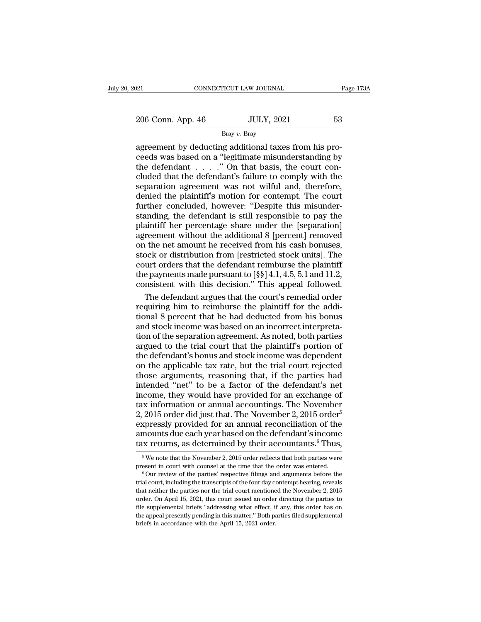Bray *v.* Bray

cONNECTICUT LAW JOURNAL<br>
206 Conn. App. 46 JULY, 2021 53<br>
Bray v. Bray<br>
agreement by deducting additional taxes from his pro-<br>
ceeds was based on a "legitimate misunderstanding by<br>
the defendant " On that basis the court c 206 Conn. App. 46 JULY, 2021 53<br>Bray v. Bray<br>agreement by deducting additional taxes from his proceeds was based on a "legitimate misunderstanding by<br>the defendant . . . . ." On that basis, the court con-<br>cluded that the 206 Conn. App. 46 JULY, 2021 53<br>  $\frac{Bray \, v. \, Bray}{Bray \, v. \, Bray}$ <br>
agreement by deducting additional taxes from his proceeds was based on a "legitimate misunderstanding by<br>
the defendant . . . ..." On that basis, the court con 206 Conn. App. 46 JULY, 2021 53<br>  $\frac{1}{\text{Bray } v. \text{Bray}}$ <br>  $\frac{1}{\text{Bray } v. \text{Bray}}$ <br>  $\frac{1}{\text{Bary } v. \text{Bray}}$ <br>  $\frac{1}{\text{Bary } v. \text{Bray}}$ <br>  $\frac{1}{\text{Bary } v. \text{Bray}}$ <br>  $\frac{1}{\text{Bary } v. \text{Bray}}$ <br>  $\frac{1}{\text{Bary } v. \text{Bray}}$ <br>  $\frac{1}{\text{Bary } v. \text{Bray}}$ <br>  $\frac{$  $\frac{B_{\text{C}}}{\text{B}}$   $\frac{B_{\text{C}}}{\text{B}}$   $\frac{B_{\text{C}}}{\text{B}}$   $\frac{B_{\text{C}}}{\text{B}}$   $\frac{B_{\text{C}}}{\text{B}}$   $\frac{B_{\text{C}}}{\text{B}}$  agreement by deducting additional taxes from his proceeds was based on a "legitimate misunderstanding by th Bray v. Bray<br>agreement by deducting additional taxes from his proceeds was based on a "legitimate misunderstanding by<br>the defendant . . . . ." On that basis, the court con-<br>cluded that the defendant's failure to comply wi agreement by deducting additional taxes from his proceeds was based on a "legitimate misunderstanding by the defendant  $\ldots$ ." On that basis, the court concluded that the defendant's failure to comply with the separation ceeds was based on a "legitimate misunderstanding by<br>the defendant  $\ldots$ " On that basis, the court con-<br>cluded that the defendant's failure to comply with the<br>separation agreement was not wilful and, therefore,<br>denied the the defendant  $\ldots$  ." On that basis, the court concluded that the defendant's failure to comply with the separation agreement was not wilful and, therefore, denied the plaintiff's motion for contempt. The court further c cluded that the defendant's failure to comply with the separation agreement was not wilful and, therefore, denied the plaintiff's motion for contempt. The court further concluded, however: "Despite this misunder-<br>standing, separation agreement was not wilful and, therefore,<br>denied the plaintiff's motion for contempt. The court<br>further concluded, however: "Despite this misunder-<br>standing, the defendant is still responsible to pay the<br>plaintif denied the plaintiff's motion for contempt. The court<br>further concluded, however: "Despite this misunder-<br>standing, the defendant is still responsible to pay the<br>plaintiff her percentage share under the [separation]<br>agree further concluded, however: "Despite this misunder-<br>standing, the defendant is still responsible to pay the<br>plaintiff her percentage share under the [separation]<br>agreement without the additional 8 [percent] removed<br>on the standing, the defendant is still responsible to pay the plaintiff her percentage share under the [separation] agreement without the additional 8 [percent] removed on the net amount he received from his cash bonuses, stock plaintiff her percentage share under the [separation]<br>agreement without the additional 8 [percent] removed<br>on the net amount he received from his cash bonuses,<br>stock or distribution from [restricted stock units]. The<br>court reement without the additional 8 [percent] removed<br>
the net amount he received from his cash bonuses,<br>
ock or distribution from [restricted stock units]. The<br>
urt orders that the defendant reimburse the plaintiff<br>
e paymen on the net amount he received from his cash bonuses,<br>stock or distribution from [restricted stock units]. The<br>court orders that the defendant reimburse the plaintiff<br>the payments made pursuant to  $[\S \S]$  4.1, 4.5, 5.1 and

stock or distribution from [restricted stock units]. The<br>court orders that the defendant reimburse the plaintiff<br>the payments made pursuant to  $[\S \S] 4.1, 4.5, 5.1$  and  $11.2$ ,<br>consistent with this decision." This appeal court orders that the defendant reimburse the plaintiff<br>the payments made pursuant to  $[\S \S]$  4.1, 4.5, 5.1 and 11.2,<br>consistent with this decision." This appeal followed.<br>The defendant argues that the court's remedial or the payments made pursuant to  $[\S \S] 4.1, 4.5, 5.1$  and  $11.2$ ,<br>consistent with this decision." This appeal followed.<br>The defendant argues that the court's remedial order<br>requiring him to reimburse the plaintiff for the a consistent with this decision." This appeal followed.<br>The defendant argues that the court's remedial order<br>requiring him to reimburse the plaintiff for the addi-<br>tional 8 percent that he had deducted from his bonus<br>and sto The defendant argues that the court's remedial order<br>requiring him to reimburse the plaintiff for the addi-<br>tional 8 percent that he had deducted from his bonus<br>and stock income was based on an incorrect interpreta-<br>tion o requiring him to reimburse the plaintiff for the additional 8 percent that he had deducted from his bonus<br>and stock income was based on an incorrect interpreta-<br>tion of the separation agreement. As noted, both parties<br>argu tional 8 percent that he had deducted from his bonus<br>and stock income was based on an incorrect interpreta-<br>tion of the separation agreement. As noted, both parties<br>argued to the trial court that the plaintiff's portion of and stock income was based on an incorrect interpretation of the separation agreement. As noted, both parties argued to the trial court that the plaintiff's portion of the defendant's bonus and stock income was dependent o tion of the separation agreement. As noted, both parties<br>argued to the trial court that the plaintiff's portion of<br>the defendant's bonus and stock income was dependent<br>on the applicable tax rate, but the trial court rejec argued to the trial court that the plaintiff's portion of<br>the defendant's bonus and stock income was dependent<br>on the applicable tax rate, but the trial court rejected<br>those arguments, reasoning that, if the parties had<br>i the defendant's bonus and stock income was dependent<br>on the applicable tax rate, but the trial court rejected<br>those arguments, reasoning that, if the parties had<br>intended "net" to be a factor of the defendant's net<br>income on the applicable tax rate, but the trial court rejected<br>those arguments, reasoning that, if the parties had<br>intended "net" to be a factor of the defendant's net<br>income, they would have provided for an exchange of<br>tax inf those arguments, reasoning that, if the parties had<br>intended "net" to be a factor of the defendant's net<br>income, they would have provided for an exchange of<br>tax information or annual accountings. The November<br>2, 2015 orde intended "net" to be a factor of the defendant's net<br>income, they would have provided for an exchange of<br>tax information or annual accountings. The November<br>2, 2015 order did just that. The November 2, 2015 order<sup>5</sup><br>expre 2, 2015 order did just that. The November 2, 2015 order<sup>5</sup> expressly provided for an annual reconciliation of the amounts due each year based on the defendant's income tax returns, as determined by their accountants.<sup>6</sup> T expressly provided for an annual reconciliation of the amounts due each year based on the defendant's income tax returns, as determined by their accountants. <sup>6</sup> Thus,<br><sup>5</sup> We note that the November 2, 2015 order reflects

tax returns, as determined by their accountants.<sup>6</sup> Thus,<br>
<sup>5</sup> We note that the November 2, 2015 order reflects that both parties were<br>
present in court with counsel at the time that the order was entered.<br>
<sup>6</sup> Our review tax returns, as determined by their accountants. Thus,<br>  $\frac{1}{100}$  we note that the November 2, 2015 order reflects that both parties were<br>
present in court with coursel at the time that the order was entered.<br>  $\frac{1}{100$ <sup>5</sup> We note that the November 2, 2015 order reflects that both parties were<br>present in court with counsel at the time that the order was entered.<br><sup>6</sup> Our review of the parties' respective filings and arguments before the<br> present in court with counsel at the time that the order was entered.<br>
<sup>6</sup> Our review of the parties' respective filings and arguments before the trial court, including the transcripts of the four day contempt hearing, rev <sup>to</sup> Our review of the parties' respective filings and arguments before the trial court, including the transcripts of the four day contempt hearing, reveals that neither the parties nor the trial court mentioned the Novem trial court, including the transcripts of the four day cuthat neither the parties nor the trial court mentione<br>order. On April 15, 2021, this court issued an order<br>file supplemental briefs "addressing what effect, i<br>the ap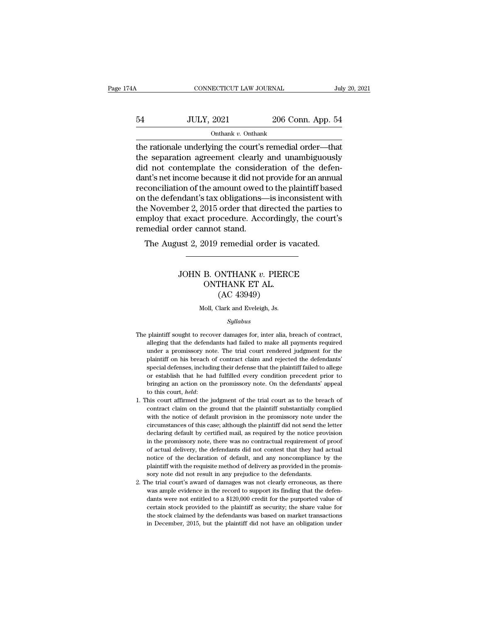# CONNECTICUT LAW JOURNAL July 20, 2021<br>54 JULY, 2021 206 Conn. App. 54<br>000 Onthank v. Onthank Onthank *v.* Onthank

the rationale underlying the court's remedial order—that<br>the rationale underlying the court's remedial order—that<br>the separation agreement clearly and unambiguously<br>did not contemplate the consideration of the defen  $\n \begin{array}{cc}\n 54 & \text{JULY, } 2021 & \text{206 Conn. App. 54}\n \hline\n \text{Onthank } v. & \text{Onthank}\n \end{array}$ the rationale underlying the court's remedial order—that<br>
the separation agreement clearly and unambiguously<br>
did not contemplate the consideration  $\frac{54}{\text{OLULY, 2021}}$  206 Conn. App. 54<br>  $\frac{54}{\text{Orthank } v \cdot \text{Onthank}}$ <br>
the rationale underlying the court's remedial order—that<br>
the separation agreement clearly and unambiguously<br>
did not contemplate the consideration of th  $\frac{54}{\text{Output}}$   $\frac{10 \text{ ULY, } 2021}{\text{Output}}$   $\frac{206 \text{ Conn. App. } 54}{\text{One rational}}$ <br>
the rationale underlying the court's remedial order—that<br>
the separation agreement clearly and unambiguously<br>
did not contemplate the consideration of th order to the contract to the amount of the amount of the separation agreement clearly and unambiguously<br>did not contemplate the consideration of the defendant's net income because it did not provide for an annual<br>reconcil onthank v. Onthank<br>the rationale underlying the court's remedial order—that<br>the separation agreement clearly and unambiguously<br>did not contemplate the consideration of the defen-<br>dant's net income because it did not provi the rationale underlying the court's remedial order—that<br>the separation agreement clearly and unambiguously<br>did not contemplate the consideration of the defen-<br>dant's net income because it did not provide for an annual<br>rec the separation agreement clearly and unambiguously<br>did not contemplate the consideration of the defen-<br>dant's net income because it did not provide for an annual<br>reconciliation of the amount owed to the plaintiff based<br>on did not contemplate the consider<br>dant's net income because it did not<br>reconciliation of the amount owed<br>on the defendant's tax obligations—<br>the November 2, 2015 order that di<br>employ that exact procedure. Acc<br>remedial order The August 2, 2019 remedial order is vacated.<br>The August 2, 2015 order that directed the parties to<br>ploy that exact procedure. Accordingly, the court's<br>medial order cannot stand.<br>The August 2, 2019 remedial order is vacate JOHN B. ONTHANK *v.* PIERCE

## Fractional Conditions<br>
2019 remedial order is very<br>
B. ONTHANK v. PIERC<br>
ONTHANK ET AL. (AC 43949) remedial order is v<br>
DNTHANK v. PIER<br>
CHANK ET AL.<br>
(AC 43949)<br>
Clark and Eveleigh, Js. JOHN B. ONTHANK  $v$ . PIERCE<br>ONTHANK ET AL.<br>(AC 43949)<br>Moll, Clark and Eveleigh, Js.

### *Syllabus*

- (AC 43949)<br>(AC 43949)<br>Moll, Clark and Eveleigh, Js.<br>Syllabus<br>The plaintiff sought to recover damages for, inter alia, breach of contract,<br>alleging that the defendants had failed to make all payments required (AC 45545)<br>
Moll, Clark and Eveleigh, Js.<br>
Syllabus<br>
plaintiff sought to recover damages for, inter alia, breach of contract,<br>
alleging that the defendants had failed to make all payments required<br>
under a promissory note. Moll, Clark and Eveleigh, Js.<br>
Syllabus<br>
plaintiff sought to recover damages for, inter alia, breach of contract,<br>
alleging that the defendants had failed to make all payments required<br>
under a promissory note. The trial c Syllabus<br>
plaintiff sought to recover damages for, inter alia, breach of contract,<br>
alleging that the defendants had failed to make all payments required<br>
under a promissory note. The trial court rendered judgment for the<br> special defenses, including that the plaintiff sought to recover damages for, inter alia, breach of contract, alleging that the defendants had failed to make all payments required under a promissory note. The trial court r plaintiff sought to recover damages for, inter alia, breach of contract, alleging that the defendants had failed to make all payments required under a promissory note. The trial court rendered judgment for the plaintiff on alleging that the defendants had failed to make all payments required under a promissory note. The trial court rendered judgment for the plaintiff on his breach of contract claim and rejected the defendants' special defens under a promissory note. The trial court rendered judgment for the plaintiff on his breach of contract claim and rejected the defendants' special defenses, including their defense that the plaintiff failed to allege or est pecial defenses, including their defense that the plaintiff failed to allege<br>or establish that he had fulfilled every condition precedent prior to<br>bringing an action on the promissory note. On the defendants' appeal<br>to th
- by extablish that he had fulfilled every condition precedent prior to bringing an action on the promissory note. On the defendants' appeal to this court, *held*:<br>his court, *held*:<br>his court affirmed the judgment of the tr bringing an action on the promissory note. On the defendants' appeal<br>to this court, *held*:<br>his court affirmed the judgment of the trial court as to the breach of<br>contract claim on the ground that the plaintiff substantial by this court, *held*:<br>to this court, *held*:<br>to this court affirmed the judgment of the trial court as to the breach of<br>contract claim on the ground that the plaintiff substantially complied<br>with the notice of default pr in the promissor of the trial court as to the breach of contract claim on the ground that the plaintiff substantially complied with the notice of default provision in the promissory note under the circumstances of this cas contract claim on the ground that the plaintiff substantially complied with the notice of default provision in the promissory note under the circumstances of this case; although the plaintiff did not send the letter declar with the notice of default provision in the promissory note under the circumstances of this case; although the plaintiff did not send the letter declaring default by certified mail, as required by the notice provision in t circumstances of this case; although the plaintiff did not send the letter declaring default by certified mail, as required by the notice provision in the promissory note, there was no contractual requirement of proof of a declaring default by certified mail, as required by the notice pro<br>in the promissory note, there was no contractual requirement of<br>of actual delivery, the defendants did not contest that they had<br>notice of the declaration in the promissory note, there was no contractual requirement of proof of actual delivery, the defendants did not contest that they had actual notice of the declaration of default, and any noncompliance by the plaintiff wit % of actual delivery, the defendants did not contest that they had actual notice of the declaration of default, and any noncompliance by the plaintiff with the requisite method of delivery as provided in the promissory no
- notice of the declaration of default, and any noncompliance by the plaintiff with the requisite method of delivery as provided in the promissory note did not result in any prejudice to the defendants. The trial court's aw plaintiff with the requisite method of delivery as provided in the promissory note did not result in any prejudice to the defendants.<br>The trial court's award of damages was not clearly erroneous, as there was ample eviden Form the did not result in any prejudice to the defendants.<br>Sory note did not result in any prejudice to the defendants.<br>he trial court's award of damages was not clearly erroneous, as there<br>was ample evidence in the recor 2. The trial court's award of damages was not clearly erroneous, as there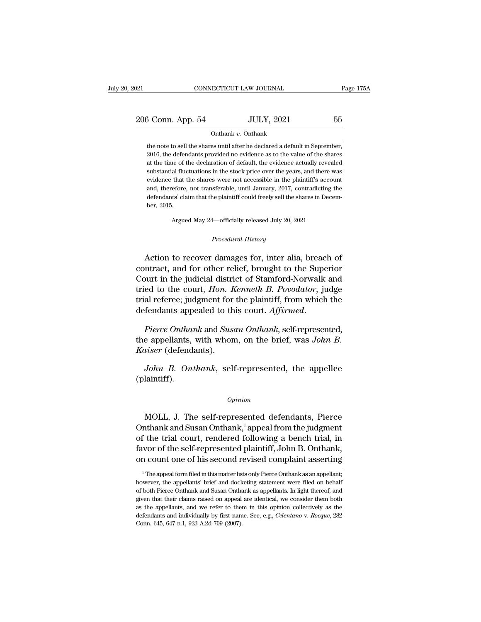| 2021              | CONNECTICUT LAW JOURNAL |                   | Page 175A |
|-------------------|-------------------------|-------------------|-----------|
| 206 Conn. App. 54 |                         | <b>JULY, 2021</b> | 55        |
|                   | Onthank v. Onthank      |                   |           |

the note to sell the shares until after he declared a default in September,<br>2016, the defendants provided no evidence as to the value of the shares  $\frac{3 \text{ Conn. App. 54}}{2010}$  Onthank v. Onthank<br>
the note to sell the shares until after he declared a default in September,<br>
2016, the defendants provided no evidence as to the value of the shares<br>
at the time of the declarat 3 Conn. App. 54 JULY, 2021 55<br>
onthank v. Onthank<br>
the note to sell the shares until after he declared a default in September,<br>
2016, the defendants provided no evidence as to the value of the shares<br>
at the time of the d Substantial fluctuations in the shares until after the declared a default in September,  $2016$ , the defendants provided no evidence as to the value of the shares at the time of the declaration of default, the evidence act Onthank v. Onthank<br>the note to sell the shares until after he declared a default in September,<br>2016, the defendants provided no evidence as to the value of the shares<br>at the time of the declaration of default, the evidence the note to sell the shares until after he declared a default in September, 2016, the defendants provided no evidence as to the value of the shares at the time of the declaration of default, the evidence actually revealed 2016, the defendants provided no evidence as to the value of the shares at the time of the declaration of default, the evidence actually revealed substantial fluctuations in the stock price over the years, and there was ev at the time of the declaration of default, the evidence actually revealed<br>substantial fluctuations in the stock price over the years, and there was<br>evidence that the shares were not accessible in the plaintiff's account<br>an evidence that the shares were not accessible in the plaintiff's account

Argued May 24—officially released July 20, 2021<br>*Procedural History*<br>Action to recover damages for, inter alia, breach of defendants' claim that the plaintiff could freely sell the shares in December, 2015.<br>
Argued May 24—officially released July 20, 2021<br>
Procedural History<br>
Action to recover damages for, inter alia, breach of ntract, and fo ber, 2015.<br>
Argued May 24—officially released July 20, 2021<br>
Procedural History<br>
Action to recover damages for, inter alia, breach of<br>
contract, and for other relief, brought to the Superior<br>
Court in the judicial district Argued May 24—officially released July 20, 2021<br>
Procedural History<br>
Action to recover damages for, inter alia, breach of<br>
contract, and for other relief, brought to the Superior<br>
Court in the judicial district of Stamford Procedural History<br>
Action to recover damages for, inter alia, breach of<br>
contract, and for other relief, brought to the Superior<br>
Court in the judicial district of Stamford-Norwalk and<br>
tried to the court, *Hon. Kenneth B* Procedural History<br>Action to recover damages for, inter alia, breach of<br>contract, and for other relief, brought to the Superior<br>Court in the judicial district of Stamford-Norwalk and<br>tried to the court, *Hon. Kenneth B. Po* Action to recover damages for, inter alia, breach of<br>contract, and for other relief, brought to the Superior<br>Court in the judicial district of Stamford-Norwalk and<br>tried to the court, *Hon. Kenneth B. Povodator*, judge<br>tri Court in the judicial district of Stamford-Norwalk and<br>tried to the court, *Hon. Kenneth B. Povodator*, judge<br>trial referee; judgment for the plaintiff, from which the<br>defendants appealed to this court. *Affirmed.*<br>Pierce

*Kaiser* (defendants). *John B. Onthank*, self-represented, the appellee values of the appellants, with whom, on the brief, was *John B.*<br>*John B. Onthank*, self-represented, the appellee laintiff).

(plaintiff).

### *Opinion*

John B. Onthank, self-represented, the appellee<br>laintiff).<br> $\begin{array}{c} 0 \text{p} \text{inion} \end{array}$ <br>MOLL, J. The self-represented defendants, Pierce<br>thank and Susan Onthank,<sup>1</sup> appeal from the judgment<br>the trial court, rendered follow *John B. Onthank*, self-represented, the appellee<br>
(plaintiff).<br>  $\begin{array}{r} \text{Option} \\ \text{MOLL, J. The self-represented defendants, Pierce} \\ \text{On thank and Susan On thank, <sup>1</sup> appeal from the judgment of the trial court, rendered following a bench trial, in four of the self {nonrecontrol objective, John B. Onthen's.} \end{array}$ (plaintiff).<br>  $\begin{array}{c}\n\text{Option} \\
\text{MOLL, J. The self-represented defendants, Pierce}\n\end{array}$ <br>
Onthank and Susan Onthank,<sup>1</sup> appeal from the judgment<br>
of the trial court, rendered following a bench trial, in<br>
favor of the self-represented plaintiff, John B. Ont opinion<br>MOLL, J. The self-represented defendants, Pierce<br>Onthank and Susan Onthank,<sup>1</sup> appeal from the judgment<br>of the trial court, rendered following a bench trial, in<br>favor of the self-represented plaintiff, John B. Ont opinion<br>
MOLL, J. The self-represented defendants, Pierce<br>
Onthank and Susan Onthank,<sup>1</sup> appeal from the judgment<br>
of the trial court, rendered following a bench trial, in<br>
favor of the self-represented plaintiff, John B. nthank and Susan Onthank," appeal from the judgment<br>
if the trial court, rendered following a bench trial, in<br>
wor of the self-represented plaintiff, John B. Onthank,<br>
in count one of his second revised complaint asserting of the trial court, rendered following a bench trial, in favor of the self-represented plaintiff, John B. Onthank, on count one of his second revised complaint asserting  $\frac{1}{1}$  The appell form filed in this matter lists

favor of the self-represented plaintiff, John B. Onthank,<br>on count one of his second revised complaint asserting<br><sup>1</sup>The appellant filed in this matter lists only Pierce Onthank as an appellant;<br>however, the appellants' bri given that their distribution performance of this second revised complaint asserting<br>
<sup>1</sup> The appeal form filed in this matter lists only Pierce Onthank as an appellant;<br>
however, the appellants' brief and docketing statem The appeal form filed in this matter lists only Pierce Ontiplant asset the appear of the appellants' brief and docketing statement were filed on behalf of both Pierce Onthank and Susan Onthank as appellants. In light there <sup>1</sup> The appeal form filed in this matter lists only Pierce Onthank as an appellant; however, the appellants' brief and docketing statement were filed on behalf of both Pierce Onthank and Susan Onthank as appellants. In li however, the appellants' brief and docketing statement were filed on behalf of both Pierce Onthank and Susan Onthank as appellants. In light thereof, and given that their claims raised on appeal are identical, we consider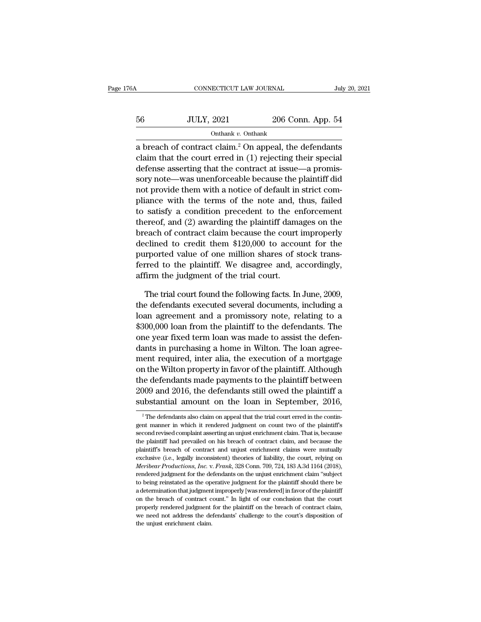| 6A | CONNECTICUT LAW JOURNAL |                   | July 20, 2021 |
|----|-------------------------|-------------------|---------------|
| 56 | <b>JULY, 2021</b>       | 206 Conn. App. 54 |               |
|    | Onthank v. Onthank      |                   |               |

CONNECTICUT LAW JOURNAL July 20, 2021<br>  $\frac{56}{\text{OLULY, 2021}}$  206 Conn. App. 54<br>
Onthank v. Onthank<br>
a breach of contract claim.<sup>2</sup> On appeal, the defendants<br>
claim that the court erred in (1) rejecting their special<br>
defe 56 JULY, 2021 206 Conn. App. 54<br>
onthank v. Onthank<br>
a breach of contract claim.<sup>2</sup> On appeal, the defendants<br>
claim that the court erred in (1) rejecting their special<br>
defense asserting that the contract at issue—a prom  $\frac{56}{200}$  JULY, 2021 206 Conn. App. 54<br>  $\frac{54}{200}$  Onthank v. Onthank<br>
a breach of contract claim.<sup>2</sup> On appeal, the defendants<br>
claim that the court erred in (1) rejecting their special<br>
defense asserting that the c 56 JULY, 2021 206 Conn. App. 54<br>
onthank v. Onthank<br>
a breach of contract claim.<sup>2</sup> On appeal, the defendants<br>
claim that the court erred in (1) rejecting their special<br>
defense asserting that the contract at issue—a prom Onthank v. Onthank<br>
a breach of contract claim.<sup>2</sup> On appeal, the defendants<br>
claim that the court erred in (1) rejecting their special<br>
defense asserting that the contract at issue—a promis-<br>
sory note—was unenforceable a breach of contract claim.<sup>2</sup> On appeal, the defendants<br>claim that the court erred in (1) rejecting their special<br>defense asserting that the contract at issue—a promis-<br>sory note—was unenforceable because the plaintiff d a breach of contract claim." On appeal, the defendants<br>claim that the court erred in (1) rejecting their special<br>defense asserting that the contract at issue—a promis-<br>sory note—was unenforceable because the plaintiff did<br> claim that the court erred in (1) rejecting their special<br>defense asserting that the contract at issue—a promis-<br>sory note—was unenforceable because the plaintiff did<br>not provide them with a notice of default in strict co derense asserting that the contract at issue—a promissory note—was unenforceable because the plaintiff did<br>not provide them with a notice of default in strict com-<br>pliance with the terms of the note and, thus, failed<br>to sa sory note—was unenforceable because the plaintiff did not provide them with a notice of default in strict compliance with the terms of the note and, thus, failed to satisfy a condition precedent to the enforcement thereof, not provide them with a notice of derault in strict com-<br>pliance with the terms of the note and, thus, failed<br>to satisfy a condition precedent to the enforcement<br>thereof, and (2) awarding the plaintiff damages on the<br>breac pliance with the terms of the note and, thus, railed<br>to satisfy a condition precedent to the enforcement<br>thereof, and (2) awarding the plaintiff damages on the<br>breach of contract claim because the court improperly<br>declined to satisfy a condition precedent to the effereed, and (2) awarding the plaintiff damabreach of contract claim because the court declined to credit them \$120,000 to accoupurported value of one million shares of s<br>ferred to each of contract claim because the court improperly<br>clined to credit them \$120,000 to account for the<br>proof value of one million shares of stock trans-<br>rred to the plaintiff. We disagree and, accordingly,<br>firm the judgment declined to credit them \$120,000 to account for the<br>purported value of one million shares of stock trans-<br>ferred to the plaintiff. We disagree and, accordingly,<br>affirm the judgment of the trial court.<br>The trial court found

purported value of one million shares of stock transferred to the plaintiff. We disagree and, accordingly,<br>affirm the judgment of the trial court.<br>The trial court found the following facts. In June, 2009,<br>the defendants ex ferred to the plaintiff. We disagree and, accordingly,<br>affirm the judgment of the trial court.<br>The trial court found the following facts. In June, 2009,<br>the defendants executed several documents, including a<br>loan agreemen affirm the judgment of the trial court.<br>The trial court found the following facts. In June, 2009,<br>the defendants executed several documents, including a<br>loan agreement and a promissory note, relating to a<br>\$300,000 loan fro The trial court found the following facts. In June, 2009, the defendants executed several documents, including a loan agreement and a promissory note, relating to a \$300,000 loan from the plaintiff to the defendants. The o The trial court round the rollowing racts. In June, 2009,<br>the defendants executed several documents, including a<br>loan agreement and a promissory note, relating to a<br>\$300,000 loan from the plaintiff to the defendants. The<br>o the defendants executed several documents, including a<br>loan agreement and a promissory note, relating to a<br>\$300,000 loan from the plaintiff to the defendants. The<br>one year fixed term loan was made to assist the defen-<br>dant to an agreement and a promissory note, relating to a<br>\$300,000 loan from the plaintiff to the defendants. The<br>one year fixed term loan was made to assist the defen-<br>dants in purchasing a home in Wilton. The loan agree-<br>ment \$300,000 Ioan from the plaintiff to the defendants. The<br>one year fixed term loan was made to assist the defen-<br>dants in purchasing a home in Wilton. The loan agree-<br>ment required, inter alia, the execution of a mortgage<br>on one year fixed term ioan was made to assist the defendants in purchasing a home in Wilton. The loan agreement required, inter alia, the execution of a mortgage on the Wilton property in favor of the plaintiff. Although the % on the Wilton property in favor of the plaintiff. Although<br>the defendants made payments to the plaintiff between<br>2009 and 2016, the defendants still owed the plaintiff a<br>substantial amount on the loan in September, 2016 the defendants made payments to the plaintiff between<br>2009 and 2016, the defendants still owed the plaintiff a<br>substantial amount on the loan in September, 2016,<br><sup>2</sup> The defendants also claim on appeal that the trial court

<sup>2009</sup> and 2016, the defendants still owed the plaintiff a<br>substantial amount on the loan in September, 2016,<br> $\frac{1}{\pi}$  The defendants also claim on appeal that the trial court erred in the contin-<br>gent manner in which it substantial amount on the loan in September, 2016,<br>
<sup>2</sup> The defendants also claim on appeal that the trial court erred in the contingent manner in which it rendered judgment on count two of the plaintiff's second revised Plantiff's The defendants also claim on appeal that the trial court erred in the contin-<br>
Plantiff's second revised complaint asserting an unjust enrichment claim. That is, because<br>
the plaintiff' had prevailed on his brea <sup>2</sup> The defendants also claim on appeal that the trial court erred in the contingent manner in which it rendered judgment on count two of the plaintiff's second revised complaint asserting an unjust enrichment claim. That *Meribear Productions, Inc. v. <i>Frank*, 328 Conn. 709, 724, 183 A.3d 1164 (2018), rendered judgment for the plaintiff's second revised complaint asserting an unjust enrichment claim. That is, because the plaintiff's bre second revised complaint asserting an unjust enrichment claim. That is, because<br>the plaintiff had prevailed on his breach of contract claim, and because the<br>plaintiff's breach of contract and unjust enrichment claims were the plaintiff had prevailed on his breach of contract claim, and because the plaintiff's breach of contract and unjust enrichment claims were mutually exclusive (i.e., legally inconsistent) theories of liability, the court plaintiff's breach of contract and unjust enrichment claims were mutually bexclusive (i.e., legally inconsistent) theories of liability, the court, relying on *Meribear Productions, Inc. v. Frank*, 328 Conn. 709, 724, 183 exclusive (i.e., legally inconsistent) theories of liability, the court, relying on *Meribear Productions, Inc.* v. *Frank*, 328 Conn. 709, 724, 183 A.3d 1164 (2018), rendered judgment for the defendants on the unjust enri *Meribear Productions, Inc.* v. *Frank*, 328 Conn. 709, 724, 183 A.3d 1164 (2018), rendered judgment for the defendants on the unjust enrichment claim "subject to being reinstated as the operative judgment for the plainti rendered judgment for the defendants on the unjust enrichment claim "subject to being reinstated as the operative judgment for the plaintiff should there be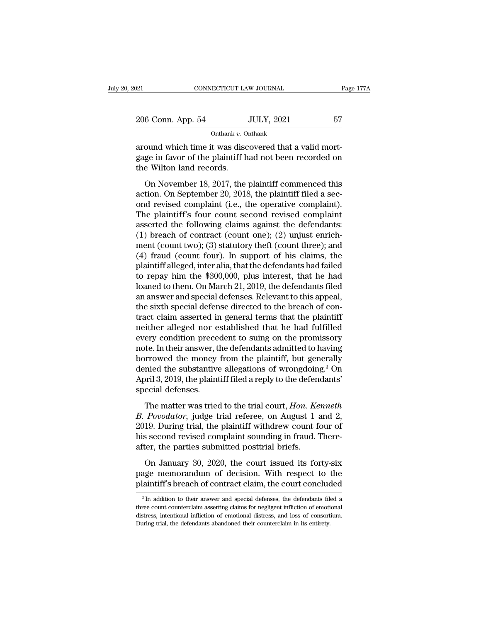| :021               | CONNECTICUT LAW JOURNAL |                   | Page 177A |  |
|--------------------|-------------------------|-------------------|-----------|--|
| 206 Conn. App. 54  |                         | <b>JULY, 2021</b> | 57        |  |
| Onthank v. Onthank |                         |                   |           |  |

connectricut LAW JOURNAL<br>
206 Conn. App. 54 JULY, 2021 57<br>
2006 Onn. App. 54 JULY, 2021 57<br>
2011 Onthank v. Onthank<br>
2011 around which time it was discovered that a valid mort-<br>
2013 and mort-<br>
2013 and the Vilton land rec 206 Conn. App. 54 JULY, 2021 57<br>
onthank v. Onthank<br>
around which time it was discovered that a valid mort-<br>
gage in favor of the plaintiff had not been recorded on<br>
the Wilton land records.  $\begin{tabular}{ll} \multicolumn{1}{l}{{\text{206 Conn. App. 54}}} \multicolumn{1}{l}{\text{Onthank }v. 0} \end{tabular}$  $\frac{6 \text{ Conn. App. 54}}{6 \text{ Ohhank } v. \text{ Onthank}}$ <br>
ound which time it was discovered that a valid mort-<br>
ge in favor of the plaintiff had not been recorded on<br>
e Wilton land records.<br>
On November 18, 2017, the plaintiff commenced this<br>

on thank  $v$ . On thank<br>around which time it was discovered that a valid mort-<br>gage in favor of the plaintiff had not been recorded on<br>the Wilton land records.<br>On November 18, 2017, the plaintiff commenced this<br>action. On around which time it was discovered that a valid mort-<br>gage in favor of the plaintiff had not been recorded on<br>the Wilton land records.<br>On November 18, 2017, the plaintiff commenced this<br>action. On September 20, 2018, the gage in favor of the plaintiff had not been recorded on<br>the Wilton land records.<br>On November 18, 2017, the plaintiff commenced this<br>action. On September 20, 2018, the plaintiff filed a sec-<br>ond revised complaint (i.e., th the Wilton land records.<br>
On November 18, 2017, the plaintiff commenced this<br>
action. On September 20, 2018, the plaintiff filed a sec-<br>
ond revised complaint (i.e., the operative complaint).<br>
The plaintiff's four count s (1) on November 18, 2017, the plaintiff commenced this action. On September 20, 2018, the plaintiff filed a second revised complaint (i.e., the operative complaint).<br>The plaintiff's four count second revised complaint ass On November 18, 2017, the plaintiff commenced this<br>action. On September 20, 2018, the plaintiff filed a sec-<br>ond revised complaint (i.e., the operative complaint).<br>The plaintiff's four count second revised complaint<br>assert action. On September 20, 2018, the plaintiff filed a second revised complaint (i.e., the operative complaint).<br>The plaintiff's four count second revised complaint asserted the following claims against the defendants:<br>(1) b ond revised complaint (i.e., the operative complaint).<br>The plaintiff's four count second revised complaint<br>asserted the following claims against the defendants:<br>(1) breach of contract (count one); (2) unjust enrich-<br>ment ( The plaintiff's four count second revised complaint<br>asserted the following claims against the defendants:<br>(1) breach of contract (count one); (2) unjust enrich-<br>ment (count two); (3) statutory theft (count three); and<br>(4) asserted the following claims against the defendants:<br>(1) breach of contract (count one); (2) unjust enrichment (count two); (3) statutory theft (count three); and<br>(4) fraud (count four). In support of his claims, the<br>plai (1) breach of contract (count one); (2) unjust enrichment (count two); (3) statutory theft (count three); and (4) fraud (count four). In support of his claims, the plaintiff alleged, inter alia, that the defendants had fa ment (count two); (3) statutory theft (count three); and<br>(4) fraud (count four). In support of his claims, the<br>plaintiff alleged, inter alia, that the defendants had failed<br>to repay him the \$300,000, plus interest, that he (4) fraud (count four). In support of his claims, the plaintiff alleged, inter alia, that the defendants had failed to repay him the  $$300,000$ , plus interest, that he had loaned to them. On March 21, 2019, the defendants plaintiff alleged, inter alia, that the defendants had failed<br>to repay him the \$300,000, plus interest, that he had<br>loaned to them. On March 21, 2019, the defendants filed<br>an answer and special defenses. Relevant to this a to repay him the \$300,000, plus interest, that he had<br>loaned to them. On March 21, 2019, the defendants filed<br>an answer and special defenses. Relevant to this appeal,<br>the sixth special defense directed to the breach of con loaned to them. On March 21, 2019, the defendants filed<br>an answer and special defenses. Relevant to this appeal,<br>the sixth special defense directed to the breach of con-<br>tract claim asserted in general terms that the plain an answer and special defenses. Relevant to this appeal,<br>the sixth special defense directed to the breach of con-<br>tract claim asserted in general terms that the plaintiff<br>neither alleged nor established that he had fulfill the sixth special defense directed to the breach of contract claim asserted in general terms that the plaintiff<br>neither alleged nor established that he had fulfilled<br>every condition precedent to suing on the promissory<br>not tract claim asserted in general terms that the plaintiff<br>neither alleged nor established that he had fulfilled<br>every condition precedent to suing on the promissory<br>note. In their answer, the defendants admitted to having<br>b neither alleged nor e<br>every condition prece<br>note. In their answer, t<br>borrowed the money<br>denied the substantive<br>April 3, 2019, the plaint<br>special defenses.<br>The matter was triec E. In their answer, the defendants admitted to having<br>prrowed the money from the plaintiff, but generally<br>mied the substantive allegations of wrongdoing.<sup>3</sup> On<br>pril 3, 2019, the plaintiff filed a reply to the defendants'<br>e *B. Porowed the money from the plaintiff, but generally denied the substantive allegations of wrongdoing.<sup>3</sup> On April 3, 2019, the plaintiff filed a reply to the defendants' special defenses.<br>The matter was tried to the tr* 

Extra are money from the planting, sale generally<br>denied the substantive allegations of wrongdoing.<sup>3</sup> On<br>April 3, 2019, the plaintiff filed a reply to the defendants'<br>special defenses.<br>The matter was tried to the trial co April 3, 2019, the plaintiff filed a reply to the defendants'<br>special defenses.<br>The matter was tried to the trial court, *Hon. Kenneth*<br>*B. Povodator*, judge trial referee, on August 1 and 2,<br>2019. During trial, the plaint special defenses.<br>
Special defenses.<br>
The matter was tried to the trial court, *Hon. Ke*<br> *B. Povodator*, judge trial referee, on August 1 a<br>
2019. During trial, the plaintiff withdrew count for<br>
this second revised compla The matter was tried to the trial court, *Hon. Kenneth*<br>Povodator, judge trial referee, on August 1 and 2,<br>19. During trial, the plaintiff withdrew count four of<br>s second revised complaint sounding in fraud. There-<br>ter, th *B. Povodator*, judge trial referee, on August 1 and 2, 2019. During trial, the plaintiff withdrew count four of his second revised complaint sounding in fraud. Thereafter, the parties submitted posttrial briefs.<br>On Januar 2019. During trial, the plaintiff withdrew count four of his second revised complaint sounding in fraud. Thereafter, the parties submitted posttrial briefs.<br>On January 30, 2020, the court issued its forty-six page memoran

On January 30, 2020, the court issued its forty-six age memorandum of decision. With respect to the laintiff's breach of contract claim, the court concluded  $\frac{3 \text{ In addition to their answer and special defenses, the defendants filed a tree count counterclaim asserting claims for neighborification of emotional.}$ On January 30, 2020, the court issued its forty-six page memorandum of decision. With respect to the plaintiff's breach of contract claim, the court concluded  $\frac{3}{\text{ln}}$  addition to their answer and special defenses, th

page memorandum of decision. With respect to the plaintiff's breach of contract claim, the court concluded  $\frac{3}{\text{ln}}$  addition to their answer and special defenses, the defendants filed a three count counterclaim asserti plaintiff's breach of contract claim, the court concludes and the defendants abandoned their answer and special defenses, the defendants film three count counterclaim asserting claims for negligent infliction of emotion di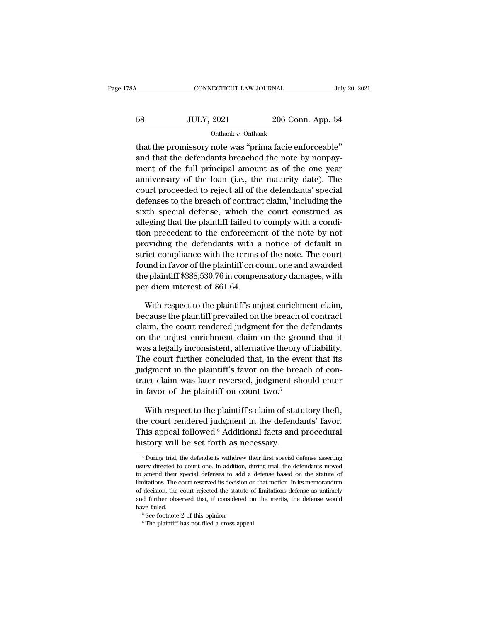| A  | CONNECTICUT LAW JOURNAL |                   | July 20, 2021 |
|----|-------------------------|-------------------|---------------|
| 58 | <b>JULY, 2021</b>       | 206 Conn. App. 54 |               |
|    | Onthank v. Onthank      |                   |               |

 $\begin{array}{c|c} \multicolumn{1}{l}{{\text{conv}{\sf{ECTCUT~Law~JOLRNAL}}}} & \multicolumn{1}{l}{\text{July 20, 2}}\\ \hline & {\text{Out}}{\text{Out}}{\text{In}}& \multicolumn{1}{l}{\text{Out}}{\text{In}}& \multicolumn{1}{l}{\text{Out}}{\text{In}}\\ \hline & {\text{In}}& \multicolumn{1}{l}{\text{In}}& \multicolumn{1}{l}{\text{In}}& \multicolumn{1}{l}{\text{In}}\\ \multicolumn{1}{l}{\text{In}}& \multicolumn{1}{l}{\text{In}}& \multicolumn{1}{l}{\text{In}}$  $\n \begin{array}{r}\n 58 \text{ } \text{JULY, } 2021 \text{ } \text{ } 206 \text{ Conn. App. 54}\n \hline\n \text{Onthank } v. \text{ Onthank }\n \end{array}$ that the promissory note was "prima facie enforceable"<br>
and that the defendants breached the note by nonpay-<br>
ment of the full principal a 58 JULY, 2021 206 Conn. App. 54<br>
onthank v. Onthank<br>
that the promissory note was "prima facie enforceable"<br>
and that the defendants breached the note by nonpay-<br>
ment of the full principal amount as of the one year<br>
anni 58 JULY, 2021 206 Conn. App. 54<br>
onthank v. Onthank<br>
that the promissory note was "prima facie enforceable"<br>
and that the defendants breached the note by nonpay-<br>
ment of the full principal amount as of the one year<br>
anni Onthank v. Onthank<br>that the promissory note was "prima facie enforceable"<br>and that the defendants breached the note by nonpay-<br>ment of the full principal amount as of the one year<br>anniversary of the loan (i.e., the maturi defination of the promissory note was "prima facie enformed that the defendants breached the note by r ment of the full principal amount as of the originary of the loan (i.e., the maturity dat court proceeded to reject all enforceable"<br>
e by nonpay-<br>
the one year<br>
y date). The<br>
lants' special<br>
including the<br>
construed as<br>
with a sondi that the promissory note was "prima racie enforceable"<br>and that the defendants breached the note by nonpay-<br>ment of the full principal amount as of the one year<br>anniversary of the loan (i.e., the maturity date). The<br>court and that the defendants breached the note by nonpayment of the full principal amount as of the one year anniversary of the loan (i.e., the maturity date). The court proceeded to reject all of the defendants' special defens ment of the full principal amount as of the one year<br>anniversary of the loan (i.e., the maturity date). The<br>court proceeded to reject all of the defendants' special<br>defenses to the breach of contract claim,<sup>4</sup> including th anniversary or the ioan (i.e., the maturity date). The<br>court proceeded to reject all of the defendants' special<br>defenses to the breach of contract claim,<sup>4</sup> including the<br>sixth special defense, which the court construed a court proceeded to reject all of the defendants' special<br>defenses to the breach of contract claim,<sup>4</sup> including the<br>sixth-special defense, which the court-construed as<br>alleging that the plaintiff failed to comply with a c derenses to the breach of contract claim, 'including the<br>sixth special defense, which the court construed as<br>alleging that the plaintiff failed to comply with a condi-<br>tion precedent to the enforcement of the note by not<br>p sixth special defense, which the court construed as<br>alleging that the plaintiff failed to comply with a condi-<br>tion precedent to the enforcement of the note by not<br>providing the defendants with a notice of default in<br>stric alleging that the plaintiff failed to<br>tion precedent to the enforceme<br>providing the defendants with a<br>strict compliance with the terms<br>found in favor of the plaintiff on c<br>the plaintiff \$388,530.76 in comper<br>per diem inter oviding the defendants with a notice of default in<br>rict compliance with the terms of the note. The court<br>und in favor of the plaintiff on count one and awarded<br>e plaintiff \$388,530.76 in compensatory damages, with<br>r diem i strict compliance with the terms of the note. The court<br>found in favor of the plaintiff on count one and awarded<br>the plaintiff \$388,530.76 in compensatory damages, with<br>per diem interest of \$61.64.<br>With respect to the plai

found in favor of the plaintiff on count one and awarded<br>the plaintiff \$388,530.76 in compensatory damages, with<br>per diem interest of \$61.64.<br>With respect to the plaintiff's unjust enrichment claim,<br>because the plaintiff p the plaintiff \$388,530.76 in compensatory damages, with<br>per diem interest of \$61.64.<br>With respect to the plaintiff's unjust enrichment claim,<br>because the plaintiff prevailed on the breach of contract<br>claim, the court rende per diem interest of \$61.64.<br>With respect to the plaintiff's unjust enrichment claim,<br>because the plaintiff prevailed on the breach of contract<br>claim, the court rendered judgment for the defendants<br>on the unjust enrichment With respect to the plaintiff's unjust enrichment claim,<br>because the plaintiff prevailed on the breach of contract<br>claim, the court rendered judgment for the defendants<br>on the unjust enrichment claim on the ground that it<br> with respect to the plaintiff sturture in the breach of contract<br>claim, the court rendered judgment for the defendants<br>on the unjust enrichment claim on the ground that it<br>was a legally inconsistent, alternative theory of because the plaintiff prevailed on the breach of contract<br>claim, the court rendered judgment for the defendants<br>on the unjust enrichment claim on the ground that it<br>was a legally inconsistent, alternative theory of liabili ciam, the court rendered judgment for the domestion.<br>The products of the produces a legally inconsistent, alternative theory of<br>The court further concluded that, in the every judgment in the plaintiff's favor on the bread<br> as a legally inconsistent, alternative theory of liability.<br>
he court further concluded that, in the event that its<br>
dgment in the plaintiff's favor on the breach of con-<br>
act claim was later reversed, judgment should ent The court further concluded that, in the event that its<br>judgment in the plaintiff's favor on the breach of con-<br>tract claim was later reversed, judgment should enter<br>in favor of the plaintiff on count two.<sup>5</sup><br>With respect

judgment in the plaintiff's favor on the breach of contract claim was later reversed, judgment should enter in favor of the plaintiff on count two.<sup>5</sup><br>With respect to the plaintiff's claim of statutory theft, the court ren tract claim was later reversed, judgment slin favor of the plaintiff on count two.<sup>5</sup><br>With respect to the plaintiff's claim of stat<br>the court rendered judgment in the defend<br>This appeal followed.<sup>6</sup> Additional facts and<br>hi with respect to the plaintin s claim of statutory then,<br>he court rendered judgment in the defendants' favor.<br>his appeal followed.<sup>6</sup> Additional facts and procedural<br>story will be set forth as necessary.<br> $\frac{4 \text{ During trial, the defendants with}}{4$ the court rendered judgment in the defendants' favor.<br>This appeal followed.<sup>6</sup> Additional facts and procedural<br>history will be set forth as necessary.<br><sup>4</sup> During trial, the defendants withdrew their first special defense a

This appeal followed.<sup>6</sup> Additional facts and procedural history will be set forth as necessary.<br> $\overline{ }$ <sup>4</sup> During trial, the defendants withdrew their first special defense asserting usury directed to count one. In addit history will be set forth as necessary.<br><sup>4</sup> During trial, the defendants withdrew their first special defense asserting<br>usury directed to count one. In addition, during trial, the defendants moved<br>to amend their special de THIStOTY WILL DE SET IOTUT AS HECESSALY.<br>
<sup>4</sup> During trial, the defendants withdrew their first special defense asserting<br>
usury directed to count one. In addition, during trial, the defendants moved<br>
to amend their specia <sup>4</sup> During trial, the defendants withdrew their first special defense asserting usury directed to count one. In addition, during trial, the defendants moved to amend their special defenses to add a defense based on the st Have failed. 5 See footnote 2 of this opinion. The court reserved its decision on of decision, the court rejected the statute of and further observed that, if considered on have failed.<br>  $\frac{5}{2}$  See footnote 2 of this o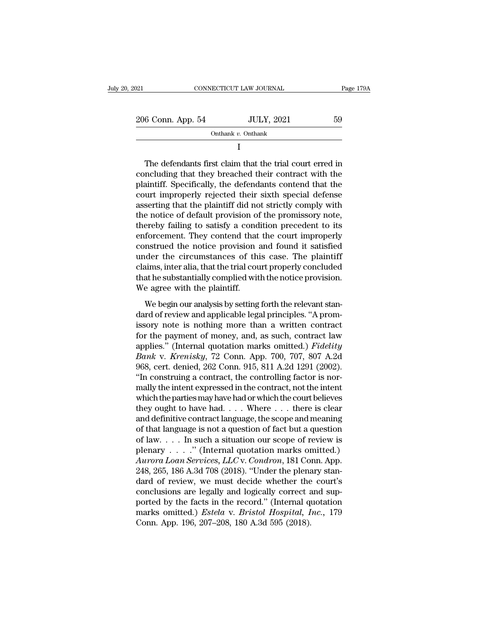| 2021              | CONNECTICUT LAW JOURNAL | Page 179A |
|-------------------|-------------------------|-----------|
| 206 Conn. App. 54 | <b>JULY, 2021</b>       | 59        |
|                   | Onthank v. Onthank      |           |

I

 $\begin{array}{r} \n 6 \text{ Conn. App. 54} \quad \text{JULY, 2021} \quad \text{59} \\
 \hline\n \text{Onthank } v. \text{ Onthank} \quad \text{T} \n \end{array}$ <br>
The defendants first claim that the trial court erred in ncluding that they breached their contract with the sintiff. Specifically, the de 206 Conn. App. 54 JULY, 2021 59<br>
Onthank v. Onthank<br>
I<br>
The defendants first claim that the trial court erred in<br>
concluding that they breached their contract with the<br>
plaintiff. Specifically, the defendants contend that 206 Conn. App. 54 JULY, 2021 59<br>  $\frac{D1}{L}$  Onthank v. Onthank<br>
I<br>
The defendants first claim that the trial court erred in<br>
concluding that they breached their contract with the<br>
plaintiff. Specifically, the defendants c Onthank  $v$ . Onthank<br>
I<br>
The defendants first claim that the trial court erred in<br>
concluding that they breached their contract with the<br>
plaintiff. Specifically, the defendants contend that the<br>
court improperly rejected I<br>
The defendants first claim that the trial court erred in<br>
concluding that they breached their contract with the<br>
plaintiff. Specifically, the defendants contend that the<br>
court improperly rejected their sixth special de The defendants first claim that the trial court erred in<br>concluding that they breached their contract with the<br>plaintiff. Specifically, the defendants contend that the<br>court improperly rejected their sixth special defense<br> The defendants first claim that the trial court erred in<br>concluding that they breached their contract with the<br>plaintiff. Specifically, the defendants contend that the<br>court improperly rejected their sixth special defense<br> concluding that they breached their contract with the plaintiff. Specifically, the defendants contend that the court improperly rejected their sixth special defense asserting that the plaintiff did not strictly comply with plaintiff. Specifically, the defendants contend that the court improperly rejected their sixth special defense<br>asserting that the plaintiff did not strictly comply with<br>the notice of default provision of the promissory not court improperly rejected their sixth special defense<br>asserting that the plaintiff did not strictly comply with<br>the notice of default provision of the promissory note,<br>thereby failing to satisfy a condition precedent to it asserting that the plaintiff did not strictly comply with<br>the notice of default provision of the promissory note,<br>thereby failing to satisfy a condition precedent to its<br>enforcement. They contend that the court improperly<br> the notice of default provision of the promissory note, thereby failing to satisfy a condition precedent to its enforcement. They contend that the court improperly construed the notice provision and found it satisfied unde thereby failing to satisfy a condenforcement. They contend that<br>construed the notice provision :<br>under the circumstances of thi<br>claims, inter alia, that the trial cou<br>that he substantially complied wit<br>We agree with the pl Example and found it satisfied<br>Instruct the notice provision and found it satisfied<br>Inder the circumstances of this case. The plaintiff<br>ims, inter alia, that the trial court properly concluded<br>at he substantially complied under the circumstances of this case. The plaintiff<br>claims, inter alia, that the trial court properly concluded<br>that he substantially complied with the notice provision.<br>We agree with the plaintiff.<br>We begin our analysis b

claims, inter alia, that the trial court properly concluded<br>that he substantially complied with the notice provision.<br>We agree with the plaintiff.<br>We begin our analysis by setting forth the relevant stan-<br>dard of review an that he substantially complied with the notice provision.<br>We agree with the plaintiff.<br>We begin our analysis by setting forth the relevant stan-<br>dard of review and applicable legal principles. "A prom-<br>issory note is noth We agree with the plaintiff.<br>
We begin our analysis by setting forth the relevant stan-<br>
dard of review and applicable legal principles. "A prom-<br>
issory note is nothing more than a written contract<br>
for the payment of mon We begin our analysis by setting forth the relevant standard of review and applicable legal principles. "A promissory note is nothing more than a written contract for the payment of money, and, as such, contract law applie We begin our analysis by setting forth the relevant standard of review and applicable legal principles. "A promissory note is nothing more than a written contract for the payment of money, and, as such, contract law applie dard of review and applicable legal principles. "A promissory note is nothing more than a written contract<br>for the payment of money, and, as such, contract law<br>applies." (Internal quotation marks omitted.) *Fidelity*<br>*Bank* issory note is nothing more than a written contract<br>for the payment of money, and, as such, contract law<br>applies." (Internal quotation marks omitted.) *Fidelity*<br>*Bank* v. *Krenisky*, 72 Conn. App. 700, 707, 807 A.2d<br>968, for the payment of money, and, as such, contract law<br>applies." (Internal quotation marks omitted.) *Fidelity*<br>*Bank v. Krenisky*, 72 Conn. App. 700, 707, 807 A.2d<br>968, cert. denied, 262 Conn. 915, 811 A.2d 1291 (2002).<br>"I applies." (Internal quotation marks omitted.) Fidelity<br>Bank v. Krenisky, 72 Conn. App. 700, 707, 807 A.2d<br>968, cert. denied, 262 Conn. 915, 811 A.2d 1291 (2002).<br>"In construing a contract, the controlling factor is nor-<br>m Bank v. Krenisky, 72 Conn. App. 700, 707, 807 A.2d<br>968, cert. denied, 262 Conn. 915, 811 A.2d 1291 (2002).<br>"In construing a contract, the controlling factor is nor-<br>mally the intent expressed in the contract, not the inte 968, cert. denied, 262 Conn. 915, 811 A.2d 1291 (2002).<br>
"In construing a contract, the controlling factor is normally the intent expressed in the contract, not the intent<br>
which the parties may have had or which the cour "In construing a contract, the controlling factor is nor-<br>mally the intent expressed in the contract, not the intent<br>which the parties may have had or which the court believes<br>they ought to have had.... Where ... there is mally the intent expressed in the contract, not the intent<br>which the parties may have had or which the court believes<br>they ought to have had.... Where ... there is clear<br>and definitive contract language, the scope and mea which the parties may have had or which the court believes<br>they ought to have had. . . . Where . . . there is clear<br>and definitive contract language, the scope and meaning<br>of that language is not a question of fact but a q they ought to have had. . . . Where . . . there is clear<br>and definitive contract language, the scope and meaning<br>of that language is not a question of fact but a question<br>of law. . . . In such a situation our scope of rev and definitive contract language, the scope and meaning<br>of that language is not a question of fact but a question<br>of law.... In such a situation our scope of review is<br>plenary ....." (Internal quotation marks omitted.)<br> $A$ of that language is not a question of fact but a question<br>of law.... In such a situation our scope of review is<br>plenary ....." (Internal quotation marks omitted.)<br>Aurora Loan Services, LLC v. Condron, 181 Conn. App.<br>248, of law.... In such a situation our scope of review is<br>plenary ....." (Internal quotation marks omitted.)<br>Aurora Loan Services, LLC v. Condron, 181 Conn. App.<br>248, 265, 186 A.3d 708 (2018). "Under the plenary stan-<br>dard of plenary . . . ." (Internal quotation marks omitted.)<br> *Aurora Loan Services, LLC* v. *Condron*, 181 Conn. App.<br>
248, 265, 186 A.3d 708 (2018). "Under the plenary stan-<br>
dard of review, we must decide whether the court's<br>
c Aurora Loan Services, LLC v. Condron, 181 Co.<br>248, 265, 186 A.3d 708 (2018). "Under the plena<br>dard of review, we must decide whether the<br>conclusions are legally and logically correct a<br>ported by the facts in the record." (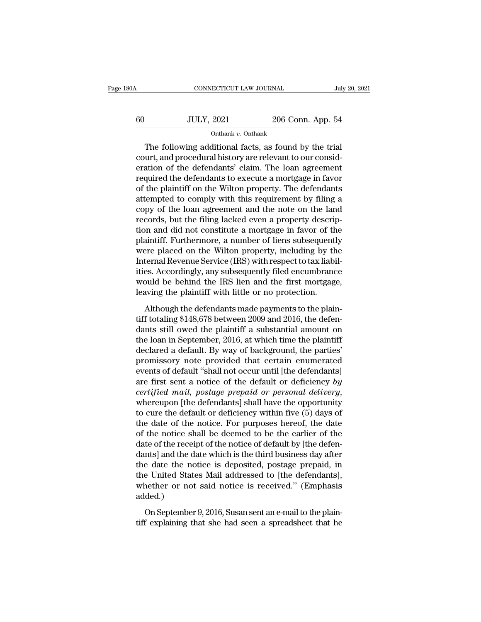| 30A | CONNECTICUT LAW JOURNAL |                   | July 20, 2021 |  |
|-----|-------------------------|-------------------|---------------|--|
| 60  | <b>JULY, 2021</b>       | 206 Conn. App. 54 |               |  |
|     | Onthank v. Onthank      |                   |               |  |

CONNECTICUT LAW JOURNAL July 20, 20<br>JULY, 2021 206 Conn. App. 54<br>Onthank v. Onthank<br>The following additional facts, as found by the trial<br>urt, and procedural history are relevant to our consid- $\begin{array}{ccc}\n 60 & \text{JULY, } 2021 & 206 & \text{Conn. App. 54}\n \hline\n \text{Onthank } v. & \text{Onthank }\n \end{array}$ The following additional facts, as found by the trial<br>
court, and procedural history are relevant to our consideration of the defendants' claim. Th For  $\frac{1}{2021}$  and  $\frac{206}{206}$  Conn. App. 54<br>  $\frac{1}{206}$  Conn. App. 54<br>
The following additional facts, as found by the trial<br>
court, and procedural history are relevant to our consideration of the defendants' claim. For all the defendants v. Onthank v. Onthank<br>
The following additional facts, as found by the trial<br>
court, and procedural history are relevant to our consideration of the defendants' claim. The loan agreement<br>
required t Onthank  $v$ . Onthank<br>
The following additional facts, as found by the trial<br>
court, and procedural history are relevant to our consid-<br>
eration of the defendants' claim. The loan agreement<br>
required the defendants to exec The following additional facts, as found by the trial<br>court, and procedural history are relevant to our consideration of the defendants' claim. The loan agreement<br>required the defendants to execute a mortgage in favor<br>of The following additional facts, as found by the trial<br>court, and procedural history are relevant to our consid-<br>eration of the defendants' claim. The loan agreement<br>required the defendants to execute a mortgage in favor<br>of court, and procedural history are relevant to our consideration of the defendants' claim. The loan agreement<br>required the defendants to execute a mortgage in favor<br>of the plaintiff on the Wilton property. The defendants<br>at eration of the defendants' claim. The loan agreement<br>required the defendants to execute a mortgage in favor<br>of the plaintiff on the Wilton property. The defendants<br>attempted to comply with this requirement by filing a<br>copy required the defendants to execute a mortgage in favor<br>of the plaintiff on the Wilton property. The defendants<br>attempted to comply with this requirement by filing a<br>copy of the loan agreement and the note on the land<br>recor of the plaintiff on the Wilton property. The defendants<br>attempted to comply with this requirement by filing a<br>copy of the loan agreement and the note on the land<br>records, but the filing lacked even a property descrip-<br>tion attempted to comply with this requirement by filing a<br>copy of the loan agreement and the note on the land<br>records, but the filing lacked even a property descrip-<br>tion and did not constitute a mortgage in favor of the<br>plain copy of the loan agreement and the note on the land<br>records, but the filing lacked even a property descrip-<br>tion and did not constitute a mortgage in favor of the<br>plaintiff. Furthermore, a number of liens subsequently<br>were records, but the filing lacked even a property description and did not constitute a mortgage in favor of the plaintiff. Furthermore, a number of liens subsequently were placed on the Wilton property, including by the Inter tion and did not constitute a mortgage in favor of th<br>plaintiff. Furthermore, a number of liens subsequentl<br>were placed on the Wilton property, including by th<br>Internal Revenue Service (IRS) with respect to tax liabi<br>ities ere placed on the Wilton property, including by the<br>ternal Revenue Service (IRS) with respect to tax liabil-<br>es. Accordingly, any subsequently filed encumbrance<br>puld be behind the IRS lien and the first mortgage,<br>aving the Internal Revenue Service (IRS) with respect to tax liabil-<br>ities. Accordingly, any subsequently filed encumbrance<br>would be behind the IRS lien and the first mortgage,<br>leaving the plaintiff with little or no protection.<br>Alt

ities. Accordingly, any subsequently filed encumbrance<br>would be behind the IRS lien and the first mortgage,<br>leaving the plaintiff with little or no protection.<br>Although the defendants made payments to the plain-<br>tiff total would be behind the IRS lien and the first mortgage,<br>leaving the plaintiff with little or no protection.<br>Although the defendants made payments to the plain-<br>tiff totaling \$148,678 between 2009 and 2016, the defen-<br>dants s leaving the plaintiff with little or no protection.<br>Although the defendants made payments to the plaintiff totaling \$148,678 between 2009 and 2016, the defendants still owed the plaintiff a substantial amount on the loan Although the defendants made payments to the plain-<br>tiff totaling \$148,678 between 2009 and 2016, the defen-<br>dants still owed the plaintiff a substantial amount on<br>the loan in September, 2016, at which time the plaintiff<br>d Although the defendants made payments to the plain-<br>tiff totaling \$148,678 between 2009 and 2016, the defen-<br>dants still owed the plaintiff a substantial amount on<br>the loan in September, 2016, at which time the plaintiff<br> tiff totaling \$148,678 between 2009 and 2016, the defen-<br>dants still owed the plaintiff a substantial amount on<br>the loan in September, 2016, at which time the plaintiff<br>declared a default. By way of background, the parties dants still owed the plaintiff a substantial amount on<br>the loan in September, 2016, at which time the plaintiff<br>declared a default. By way of background, the parties'<br>promissory note provided that certain enumerated<br>events declared a default. By way of background, the parties'<br>promissory note provided that certain enumerated<br>events of default "shall not occur until [the defendants]<br>are first sent a notice of the default or deficiency by<br>*cer* promissory note provided that certain enumerated<br>events of default "shall not occur until [the defendants]<br>are first sent a notice of the default or deficiency by<br>*certified mail, postage prepaid or personal delivery,*<br>whe events of default "shall not occur until [the defendants]<br>are first sent a notice of the default or deficiency by<br>certified mail, postage prepaid or personal delivery,<br>whereupon [the defendants] shall have the opportunity<br> are first sent a notice of the default or deficiency by<br>certified mail, postage prepaid or personal delivery,<br>whereupon [the defendants] shall have the opportunity<br>to cure the default or deficiency within five (5) days of<br> certified mail, postage prepaid or personal delivery,<br>whereupon [the defendants] shall have the opportunity<br>to cure the default or deficiency within five (5) days of<br>the date of the notice. For purposes hereof, the date<br>of whereupon [the defendants] shall have the opportunity<br>to cure the default or deficiency within five (5) days of<br>the date of the notice. For purposes hereof, the date<br>of the notice shall be deemed to be the earlier of the<br>d to cure the default or deficiency within five (5) days of<br>the date of the notice. For purposes hereof, the date<br>of the notice shall be deemed to be the earlier of the<br>date of the receipt of the notice of default by [the de the date of the notice. For purposes hereof, the date<br>of the notice shall be deemed to be the earlier of the<br>date of the receipt of the notice of default by [the defen-<br>dants] and the date which is the third business day a added.) nts] and the date which is the third business day after<br>e date the notice is deposited, postage prepaid, in<br>e United States Mail addressed to [the defendants],<br>nether or not said notice is received." (Emphasis<br>ded.)<br>On Sep the date the notice is deposited, postage prepaid, in the United States Mail addressed to [the defendants], whether or not said notice is received." (Emphasis added.)<br>On September 9, 2016, Susan sent an e-mail to the plain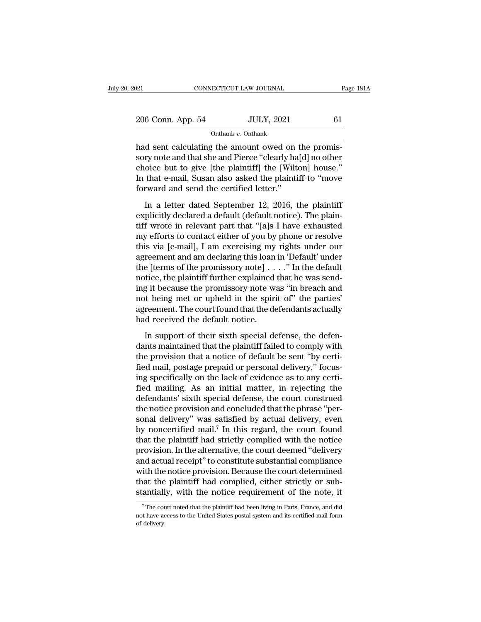| 021               | CONNECTICUT LAW JOURNAL |                   | Page 181A |  |
|-------------------|-------------------------|-------------------|-----------|--|
| 206 Conn. App. 54 |                         | <b>JULY, 2021</b> | 61        |  |
|                   | Onthank v. Onthank      |                   |           |  |

Family Connect Connect Connect Connect Connect Connect Connect Constant Continuation Continuation and Sent calculating the amount owed on the promis-<br>
Sent calculating the amount owed on the promis-<br>
Sent calculating the a 206 Conn. App. 54 JULY, 2021 61<br>
Onthank v. Onthank<br>
had sent calculating the amount owed on the promissory note and that she and Pierce "clearly ha[d] no other<br>
choice but to give [the plaintiff] the [Wilton] house."<br>
In 206 Conn. App. 54 JULY, 2021 61<br>
Onthank v. Onthank<br>
had sent calculating the amount owed on the promissory note and that she and Pierce "clearly ha[d] no other<br>
choice but to give [the plaintiff] the [Wilton] house."<br>
In 206 Conn. App. 54 JULY, 2021 61<br>
Onthank v. Onthank<br>
had sent calculating the amount owed on the promissory note and that she and Pierce "clearly ha[d] no other<br>
choice but to give [the plaintiff] the [Wilton] house."<br>
In  $\frac{1}{2}$  Onthank *v*. Onthank<br>had sent calculating the amount owed on<br>sory note and that she and Pierce "clearly ha<br>choice but to give [the plaintiff] the [Wilth<br>In that e-mail, Susan also asked the plaintif<br>forward and d sent calculating the amount owed on the promis-<br>ry note and that she and Pierce "clearly ha[d] no other<br>oice but to give [the plaintiff] the [Wilton] house."<br>that e-mail, Susan also asked the plaintiff to "move<br>rward and rata serie existinating are amount of the correct of the products orly haddle poor choice but to give [the plaintiff] the [Wilton] house."<br>In that e-mail, Susan also asked the plaintiff to "move forward and send the certif

the plaintiff ware wrote in the set of the plaintiff with the twitted with that e-mail, Susan also asked the plaintiff to "move forward and send the certified letter."<br>
In a letter dated September 12, 2016, the plaintiff e In that e-mail, Susan also asked the plaintiff to "move<br>forward and send the certified letter."<br>In a letter dated September 12, 2016, the plaintiff<br>explicitly declared a default (default notice). The plain-<br>tiff wrote in r the left of the certified letter."<br>
In a letter dated September 12, 2016, the plaintiff<br>
explicitly declared a default (default notice). The plain-<br>
tiff wrote in relevant part that "[a]s I have exhausted<br>
my efforts to co In a letter dated September 12, 2016, the plaintiff<br>explicitly declared a default (default notice). The plain-<br>tiff wrote in relevant part that "[a]s I have exhausted<br>my efforts to contact either of you by phone or resolv In a letter dated September 12, 2016, the plaintiff<br>explicitly declared a default (default notice). The plain-<br>tiff wrote in relevant part that "[a]s I have exhausted<br>my efforts to contact either of you by phone or resolv explicitly declared a default (default notice). The plain-<br>tiff wrote in relevant part that "[a]s I have exhausted<br>my efforts to contact either of you by phone or resolve<br>this via [e-mail], I am exercising my rights under tiff wrote in relevant part that "[a]s I have exhausted<br>my efforts to contact either of you by phone or resolve<br>this via [e-mail], I am exercising my rights under our<br>agreement and am declaring this loan in 'Default' under my efforts to contact either of you by phone or resolve<br>this via [e-mail], I am exercising my rights under our<br>agreement and am declaring this loan in 'Default' under<br>the [terms of the promissory note] . . . . " In the def this via [e-mail], I am exercising my rights under our<br>agreement and am declaring this loan in 'Default' under<br>the [terms of the promissory note] . . . ." In the default<br>notice, the plaintiff further explained that he was agreement and am declaring this loan<br>the [terms of the promissory note] . .<br>notice, the plaintiff further explained<br>ing it because the promissory note w<br>not being met or upheld in the spiri<br>agreement. The court found that itice, the plaintiff further explained that he was send-<br>g it because the promissory note was "in breach and<br>t being met or upheld in the spirit of" the parties'<br>reement. The court found that the defendants actually<br>d rece ing it because the promissory note was "in breach and<br>not being met or upheld in the spirit of" the parties'<br>agreement. The court found that the defendants actually<br>had received the default notice.<br>In support of their sixt

not being met or upheld in the spirit of" the parties'<br>agreement. The court found that the defendants actually<br>had received the default notice.<br>In support of their sixth special defense, the defen-<br>dants maintained that th agreement. The court found that the defendants actually<br>had received the default notice.<br>In support of their sixth special defense, the defen-<br>dants maintained that the plaintiff failed to comply with<br>the provision that a independent of their sixth special defense, the defendants maintained that the plaintiff failed to comply with the provision that a notice of default be sent "by certi-<br>fied mail, postage prepaid or personal delivery," foc In support of their sixth special defense, the defen-<br>dants maintained that the plaintiff failed to comply with<br>the provision that a notice of default be sent "by certi-<br>fied mail, postage prepaid or personal delivery," fo In support of their sixth special defense, the defen-<br>dants maintained that the plaintiff failed to comply with<br>the provision that a notice of default be sent "by certi-<br>fied mail, postage prepaid or personal delivery," fo dants maintained that the plaintiff failed to comply with<br>the provision that a notice of default be sent "by certi-<br>fied mail, postage prepaid or personal delivery," focus-<br>ing specifically on the lack of evidence as to an the provision that a notice of default be sent "by certi-<br>fied mail, postage prepaid or personal delivery," focus-<br>ing specifically on the lack of evidence as to any certi-<br>fied mailing. As an initial matter, in rejecting fied mail, postage prepaid or personal delivery," focus-<br>ing specifically on the lack of evidence as to any certi-<br>fied mailing. As an initial matter, in rejecting the<br>defendants' sixth special defense, the court construed ing specifically on the lack of evidence as to any certified mailing. As an initial matter, in rejecting the defendants' sixth special defense, the court construed the notice provision and concluded that the phrase "person fied mailing. As an initial matter, in rejecting the<br>defendants' sixth special defense, the court construed<br>the notice provision and concluded that the phrase "per-<br>sonal delivery" was satisfied by actual delivery, even<br>by defendants' sixth special defense, the court construed<br>the notice provision and concluded that the phrase "per-<br>sonal delivery" was satisfied by actual delivery, even<br>by noncertified mail.<sup>7</sup> In this regard, the court foun the notice provision and concluded that the phrase "per-<br>sonal delivery" was satisfied by actual delivery, even<br>by noncertified mail.<sup>7</sup> In this regard, the court found<br>that the plaintiff had strictly complied with the not sonal delivery" was satisfied by actual delivery, even<br>by noncertified mail.<sup>7</sup> In this regard, the court found<br>that the plaintiff had strictly complied with the notice<br>provision. In the alternative, the court deemed "deli by noncertified mail.<sup>7</sup> In this regard, the court found<br>that the plaintiff had strictly complied with the notice<br>provision. In the alternative, the court deemed "delivery<br>and actual receipt" to constitute substantial comp in the notice provision. Because the court determined<br>ith the notice provision. Because the court determined<br>antially, with the notice requirement of the note, it<br><sup>7</sup>The court noted that the plaintiff had been living in Pa with the notice provision. Because the court determined<br>that the plaintiff had complied, either strictly or sub-<br>stantially, with the notice requirement of the note, it<br><sup>7</sup>The court noted that the plaintiff had been living that the<br>stantiall<br>The count have action delivery.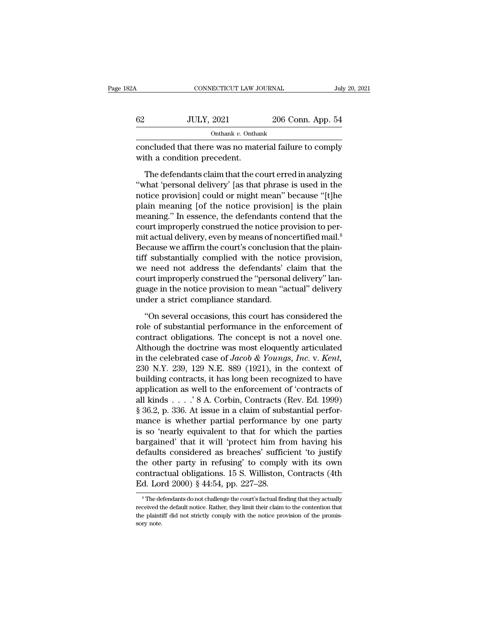| 32A | CONNECTICUT LAW JOURNAL                                                               |                   | July 20, 2021 |
|-----|---------------------------------------------------------------------------------------|-------------------|---------------|
| 62  | <b>JULY, 2021</b>                                                                     | 206 Conn. App. 54 |               |
|     | Onthank $v$ . Onthank                                                                 |                   |               |
|     | concluded that there was no material failure to comply<br>with a condition precedent. |                   |               |

 $JULY, 2021$  206 Conn. App. 54<br>
onthank v. Onthank<br>
ncluded that there was no material failure to comply<br>
th a condition precedent.<br>
The defendants claim that the court erred in analyzing<br>
that 'personal delivery' [as that  $\frac{102}{\text{Onthank } v. \text{Onthank}}$ <br>  $\frac{10111, 2021}{\text{Onthank } v. \text{Onthank}}$ <br>
concluded that there was no material failure to comply<br>
with a condition precedent.<br>
The defendants claim that the court erred in analyzing<br>
"what 'personal de onthank  $v$ . Onthank<br>
concluded that there was no material failure to comply<br>
with a condition precedent.<br>
The defendants claim that the court erred in analyzing<br>
"what 'personal delivery' [as that phrase is used in the<br> concluded that there was no material failure to comply<br>with a condition precedent.<br>The defendants claim that the court erred in analyzing<br>"what 'personal delivery' [as that phrase is used in the<br>notice provision] could or with a condition precedent.<br>
The defendants claim that the court erred in analyzing<br>
"what 'personal delivery' [as that phrase is used in the<br>
notice provision] could or might mean" because "[t]he<br>
plain meaning [of the n The defendants claim that the court erred in analyzing<br>
"what 'personal delivery' [as that phrase is used in the<br>
notice provision] could or might mean" because "[t]he<br>
plain meaning [of the notice provision] is the plain<br> The defendants claim that the court erred in analyzing<br>
"what 'personal delivery' [as that phrase is used in the<br>
notice provision] could or might mean" because "[t]he<br>
plain meaning [of the notice provision] is the plain<br> "what 'personal delivery' [as that phrase is used in the<br>notice provision] could or might mean" because "[t]he<br>plain meaning [of the notice provision] is the plain<br>meaning." In essence, the defendants contend that the<br>cour notice provision] could or might mean" because "[t]he<br>plain meaning [of the notice provision] is the plain<br>meaning." In essence, the defendants contend that the<br>court improperly construed the notice provision to per-<br>mit a plain meaning [of the notice provision] is the plain<br>meaning." In essence, the defendants contend that the<br>court improperly construed the notice provision to per-<br>mit actual delivery, even by means of noncertified mail.<sup>8</sup> meaning." In essence, the defendants contend that the<br>court improperly construed the notice provision to per-<br>mit actual delivery, even by means of noncertified mail.<sup>8</sup><br>Because we affirm the court's conclusion that the pl court improperly construed the notice provision to permit actual delivery, even by means of noncertified mail.<sup>8</sup><br>Because we affirm the court's conclusion that the plaintiff substantially complied with the notice provision mit actual delivery, even by means of nonce<br>Because we affirm the court's conclusion<br>tiff substantially complied with the noti<br>we need not address the defendants' c<br>court improperly construed the "personal<br>guage in the not f substantially complied with the notice provision,<br>
e need not address the defendants' claim that the<br>
urt improperly construed the "personal delivery" lan-<br>
age in the notice provision to mean "actual" delivery<br>
der a st role of substantial performance in the enforcement of the court improperly construed the "personal delivery" language in the notice provision to mean "actual" delivery under a strict compliance standard.<br>"On several occasi

court improperly construed the "personal delivery" language in the notice provision to mean "actual" delivery<br>under a strict compliance standard.<br>"On several occasions, this court has considered the<br>role of substantial pe guage in the notice provision to mean "actual" delivery<br>under a strict compliance standard.<br>"On several occasions, this court has considered the<br>role of substantial performance in the enforcement of<br>contract obligations. in the celebrated case of *Jacob* & *Youngs, Inc.* v. *Kent,*<br>2009 of substantial performance in the enforcement of contract obligations. The concept is not a novel one.<br>Although the doctrine was most eloquently articulate "On several occasions, this court has considered the<br>role of substantial performance in the enforcement of<br>contract obligations. The concept is not a novel one.<br>Although the doctrine was most eloquently articulated<br>in the "On several occasions, this court has considered the<br>role of substantial performance in the enforcement of<br>contract obligations. The concept is not a novel one.<br>Although the doctrine was most eloquently articulated<br>in the role of substantial performance in the enforcement of<br>contract obligations. The concept is not a novel one.<br>Although the doctrine was most eloquently articulated<br>in the celebrated case of *Jacob & Youngs*, *Inc.* v. *Kent* contract obligations. The concept is not a novel one.<br>Although the doctrine was most eloquently articulated<br>in the celebrated case of Jacob & Youngs, Inc. v. Kent,<br>230 N.Y. 239, 129 N.E. 889 (1921), in the context of<br>buil Although the doctrine was most eloquently articulated<br>in the celebrated case of *Jacob & Youngs*, *Inc.* v. *Kent*,<br>230 N.Y. 239, 129 N.E. 889 (1921), in the context of<br>building contracts, it has long been recognized to h in the celebrated case of *Jacob & Youngs*, *Inc.* v. *Kent*, 230 N.Y. 239, 129 N.E. 889 (1921), in the context of building contracts, it has long been recognized to have application as well to the enforcement of 'contrac 230 N.Y. 239, 129 N.E. 889 (1921), in the context of<br>building contracts, it has long been recognized to have<br>application as well to the enforcement of 'contracts of<br>all kinds . . . . ' 8 A. Corbin, Contracts (Rev. Ed. 199 building contracts, it has long been recognized to have<br>application as well to the enforcement of 'contracts of<br>all kinds . . . . ' 8 A. Corbin, Contracts (Rev. Ed. 1999)<br> $§ 36.2$ , p. 336. At issue in a claim of substanti application as well to the enforcement of 'contracts of<br>all kinds . . . . ' 8 A. Corbin, Contracts (Rev. Ed. 1999)<br>§ 36.2, p. 336. At issue in a claim of substantial perfor-<br>mance is whether partial performance by one par the other party in refusing' to comply with its own § 36.2, p. 336. At issue in a claim of substantial performance is whether partial performance by one party is so 'nearly equivalent to that for which the parties bargained' that it will 'protect him from having his default mance is whether partial performance<br>is so 'nearly equivalent to that for whi<br>bargained' that it will 'protect him fro<br>defaults considered as breaches' suffici<br>the other party in refusing' to comply<br>contractual obligation defaults considered as breaches' sufficient 'to justify<br>the other party in refusing' to comply with its own<br>contractual obligations. 15 S. Williston, Contracts (4th<br>Ed. Lord 2000) § 44:54, pp. 227–28.<br>Fine defendants do n the other party in refusing' to comply with its own<br>contractual obligations. 15 S. Williston, Contracts (4th<br>Ed. Lord 2000) § 44:54, pp. 227–28.<br><sup>8</sup> The defendants do not challenge the court's factual finding that they ac

contractual obligations. 15 S. Williston, Contracts (4th Ed. Lord 2000) § 44:54, pp. 227–28.<br>
<sup>8</sup> The defendants do not challenge the court's factual finding that they actually received the default notice. Rather, they li Ed. Lord 2000) § 44:54, pp. 227–28.<br>  $\overline{\phantom{a}}$   $\overline{\phantom{a}}$  The defendants do not challenge the court's fact received the default notice. Rather, they limit their the plaintiff did not strictly comply with the notice sor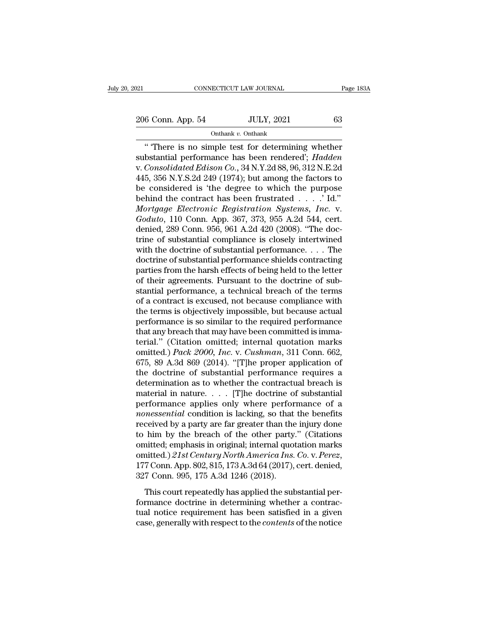### Onthank *v.* Onthank

CONNECTICUT LAW JOURNAL Page 183A<br>
6 Conn. App. 54 JULY, 2021 63<br>
Onthank v. Onthank<br>
There is no simple test for determining whether<br>
bstantial performance has been rendered'; *Hadden*<br>
Consolidated Ediscor Co. 24 N V 2d 206 Conn. App. 54 JULY, 2021 63<br>
Onthank v. Onthank<br>
"There is no simple test for determining whether<br>
substantial performance has been rendered'; *Hadden*<br>
v. Consolidated Edison Co., 34 N.Y.2d 88, 96, 312 N.E.2d<br>
445, 35 206 Conn. App. 54 JULY, 2021 63<br>
Onthank v. Onthank<br>
"There is no simple test for determining whether<br>
substantial performance has been rendered'; *Hadden*<br>
v. *Consolidated Edison Co.*, 34 N.Y.2d 88, 96, 312 N.E.2d<br>
445, 206 Conn. App. 54 JULY, 2021 63<br>
Onthank v. Onthank<br>
"There is no simple test for determining whether<br>
substantial performance has been rendered'; *Hadden*<br>
v. Consolidated Edison Co., 34 N.Y.2d 88, 96, 312 N.E.2d<br>
445, 35 Onthank v. Onthank<br>
"There is no simple test for determining whether<br>
substantial performance has been rendered'; *Hadden*<br>
v. Consolidated Edison Co., 34 N.Y.2d 88, 96, 312 N.E.2d<br>
445, 356 N.Y.S.2d 249 (1974); but among behind the contract has been frustrated . . . .' Id.'' <sup>4</sup> There is no simple test for determining whether<br>substantial performance has been rendered'; *Hadden*<br>v. *Consolidated Edison Co.*, 34 N.Y.2d 88, 96, 312 N.E.2d<br>445, 356 N.Y.S.2d 249 (1974); but among the factors to<br>be substantial performance has been rendered'; *Hadden* v. *Consolidated Edison Co.*, 34 N.Y.2d 88, 96, 312 N.E.2d 445, 356 N.Y.S.2d 249 (1974); but among the factors to be considered is 'the degree to which the purpose behin v. Consolidated Edison Co., 34 N.Y.2d 88, 96, 312 N.E.2d<br>445, 356 N.Y.S.2d 249 (1974); but among the factors to<br>be considered is 'the degree to which the purpose<br>behind the contract has been frustrated . . . . 'Id."<br>*Mortg* 445, 356 N.Y.S.2d 249 (1974); but among the factors to<br>be considered is 'the degree to which the purpose<br>behind the contract has been frustrated . . . . ' Id.''<br>*Mortgage Electronic Registration Systems*, *Inc.* v.<br>Goduto be considered is 'the degree to which the purpose<br>behind the contract has been frustrated . . . . .' Id.''<br>*Mortgage Electronic Registration Systems, Inc.* v.<br> $Goduto$ , 110 Conn. App. 367, 373, 955 A.2d 544, cert.<br>denied, 289 doctrine of substantial performance shields contracting Mortgage Electronic Registration Systems, Inc. v.<br>Goduto, 110 Conn. App. 367, 373, 955 A.2d 544, cert.<br>denied, 289 Conn. 956, 961 A.2d 420 (2008). "The doc-<br>trine of substantial compliance is closely intertwined<br>with the d  $Goduto$ , 110 Conn. App. 367, 373, 955 A.2d 544, cert.<br>denied, 289 Conn. 956, 961 A.2d 420 (2008). "The doctrine of substantial compliance is closely intertwined<br>with the doctrine of substantial performance  $\dots$ . The<br>doctrine denied, 289 Conn. 956, 961 A.2d 420 (2008). "The doctrine of substantial compliance is closely intertwined with the doctrine of substantial performance. . . . The doctrine of substantial performance shields contracting par trine of substantial compliance is closely intertwined<br>with the doctrine of substantial performance.... The<br>doctrine of substantial performance shields contracting<br>parties from the harsh effects of being held to the lette with the doctrine of substantial performance. . . . The doctrine of substantial performance shields contracting parties from the harsh effects of being held to the letter of their agreements. Pursuant to the doctrine of s doctrine of substantial performance shields contracting<br>parties from the harsh effects of being held to the letter<br>of their agreements. Pursuant to the doctrine of sub-<br>stantial performance, a technical breach of the terms parties from the harsh effects of being held to the letter<br>of their agreements. Pursuant to the doctrine of sub-<br>stantial performance, a technical breach of the terms<br>of a contract is excused, not because compliance with<br> of their agreements. Pursuant to the doctrine of substantial performance, a technical breach of the terms<br>of a contract is excused, not because compliance with<br>the terms is objectively impossible, but because actual<br>perfo stantial performance, a technical breach of the terms<br>of a contract is excused, not because compliance with<br>the terms is objectively impossible, but because actual<br>performance is so similar to the required performance<br>that of a contract is excused, not because compliance with<br>the terms is objectively impossible, but because actual<br>performance is so similar to the required performance<br>that any breach that may have been committed is imma-<br>ter the terms is objectively impossible, but because actual<br>performance is so similar to the required performance<br>that any breach that may have been committed is imma-<br>terial." (Citation omitted; internal quotation marks<br>omit performance is so similar to the required performance<br>that any breach that may have been committed is imma-<br>terial." (Citation omitted; internal quotation marks<br>omitted.) *Pack 2000*, *Inc.* v. *Cushman*, 311 Conn. 662,<br>6 that any breach that may have been committed is imma-<br>terial." (Citation omitted; internal quotation marks<br>omitted.) *Pack 2000, Inc.* v. *Cushman*, 311 Conn. 662,<br>675, 89 A.3d 869 (2014). "[T]he proper application of<br>the terial." (Citation omitted; internal quotation marks<br>omitted.) Pack 2000, Inc. v. Cushman, 311 Conn. 662,<br>675, 89 A.3d 869 (2014). "[T]he proper application of<br>the doctrine of substantial performance requires a<br>determinat *n* omitted.) *Pack 2000, Inc.* v. *Cushman*, 311 Conn. 662, 675, 89 A.3d 869 (2014). "[T]he proper application of the doctrine of substantial performance requires a determination as to whether the contractual breach is ma 675, 89 A.3d 869 (2014). "[T]he proper application of<br>the doctrine of substantial performance requires a<br>determination as to whether the contractual breach is<br>material in nature.... [T]he doctrine of substantial<br>performan the doctrine of substantial performance requires a<br>determination as to whether the contractual breach is<br>material in nature.... [T]he doctrine of substantial<br>performance applies only where performance of a<br>*nonessential* determination as to whether the contractual breach is<br>material in nature. . . . [T]he doctrine of substantial<br>performance applies only where performance of a<br>*nonessential* condition is lacking, so that the benefits<br>recei material in nature. . . . . [T]he doctrine of substantial<br>performance applies only where performance of a<br>*nonessential* condition is lacking, so that the benefits<br>received by a party are far greater than the injury done<br>t nonessential condition is lacking, so that<br>received by a party are far greater than the<br>to him by the breach of the other party<br>omitted; emphasis in original; internal quot<br>omitted.) 21st Century North America Ins.<br>177 Con this court repeated by a party and the substantial conduction<br>in by the breach of the other party." (Citations<br>initted.)  $21st$  Century North America Ins. Co. v. Perez,<br>7 Conn. App. 802, 815, 173 A.3d 64 (2017), cert. deni formated; emphasis in original; internal quotation marks<br>omitted.)  $21st Century North America Ins. Co. v. Perez,$ <br>177 Conn. App. 802, 815, 173 A.3d 64 (2017), cert. denied,<br>327 Conn. 995, 175 A.3d 1246 (2018).<br>This court repeatedly has applied the su

omitted.)  $21st Century North America Ins. Co. v. Perez, 177 Conn. App. 802, 815, 173 A.3d 64 (2017), cert. denied, 327 Conn. 995, 175 A.3d 1246 (2018). This court repeatedly has applied the substantial performance doctrine in determining whether a contractual notice requirement has been satisfied in a given case, generally with respect to the *contents* of the notice$ case, 177 Conn. App. 802, 815, 173 A.3d 64 (2017), cert. denied, 327 Conn. 995, 175 A.3d 1246 (2018).<br>This court repeatedly has applied the substantial performance doctrine in determining whether a contractual notice requi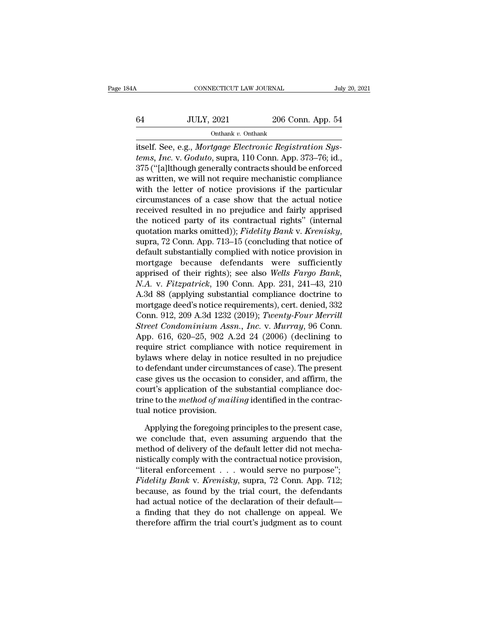# CONNECTICUT LAW JOURNAL July 20, 2021<br>64 JULY, 2021 206 Conn. App. 54<br>000 Onthank v. Onthank

Onthank *v.* Onthank

connectricut Law Journal<br>
Full Subself. See, e.g., *Mortgage Electronic Registration Sys-<br>
tems, Inc. v. Goduto, supra, 110 Conn. App. 373–76; id.,<br>
275 ("fallthough sonorally contracts should be enforced tems, Inc.* v. *Goduto*, supra, 110 Conn. App. 54<br> *tems, Inc.* v. *Goduto*, supra, 110 Conn. App. 373–76; id., 375 ("[a]]though generally contracts should be enforced  $375$  ( $\frac{375}{121}$   $\frac{375}{121}$   $\frac{375}{121}$   $\frac{375}{121}$  itself. See, e.g., *Mortgage Electronic Registration Systems, Inc.* v. *Goduto*, supra, 110 Conn. App. 373–76; id., 375 ("[a]lthough generally contracts shoul 64 JULY, 2021 206 Conn. App. 54<br>
onthank v. Onthank<br>
itself. See, e.g., *Mortgage Electronic Registration Systems, Inc.* v. *Goduto*, supra, 110 Conn. App. 373–76; id.,<br>
375 ("[a]lthough generally contracts should be enfo Onthank v. Onthank<br>
itself. See, e.g., *Mortgage Electronic Registration Systems, Inc. v. Goduto*, supra, 110 Conn. App. 373–76; id.,<br>
375 ("[a]lthough generally contracts should be enforced<br>
as written, we will not requi Comalic *L* Ondiance of the actual notice is the actual notice that the notice of a case show that the actual notice is notice in actual notice the notice of a case show that the actual notice received resulted in no prej itself. See, e.g., *Mortgage Electronic Registration Systems, Inc.* v. *Goduto*, supra, 110 Conn. App. 373–76; id., 375 ("[a]lthough generally contracts should be enforced as written, we will not require mechanistic compl tems, Inc. v. Goduto, supra, 110 Conn. App. 373–76; id.,<br>375 ("[a]lthough generally contracts should be enforced<br>as written, we will not require mechanistic compliance<br>with the letter of notice provisions if the particular 375 ("[a]lthough generally contracts should be enforced<br>as written, we will not require mechanistic compliance<br>with the letter of notice provisions if the particular<br>circumstances of a case show that the actual notice<br>rece with the letter of notice provisions if the particular<br>circumstances of a case show that the actual notice<br>received resulted in no prejudice and fairly apprised<br>the noticed party of its contractual rights" (internal<br>quota circumstances of a case show that the actual notice<br>received resulted in no prejudice and fairly apprised<br>the noticed party of its contractual rights" (internal<br>quotation marks omitted)); Fidelity Bank v. Krenisky,<br>supra, received resulted in no prejudice and fairly apprised<br>the noticed party of its contractual rights" (internal<br>quotation marks omitted)); *Fidelity Bank* v. *Krenisky*,<br>supra, 72 Conn. App. 713–15 (concluding that notice of<br> the noticed party of its contractual rights" (internal<br>quotation marks omitted)); *Fidelity Bank v. Krenisky*,<br>supra, 72 Conn. App. 713–15 (concluding that notice of<br>default substantially complied with notice provision in<br> quotation marks omitted)); *Fidelity Bank v. Krenisky*,<br>supra, 72 Conn. App. 713–15 (concluding that notice of<br>default substantially complied with notice provision in<br>mortgage because defendants were sufficiently<br>apprised supra, 72 Conn. App. 713–15 (concluding that notice of<br>default substantially complied with notice provision in<br>mortgage because defendants were sufficiently<br>apprised of their rights); see also *Wells Fargo Bank*,<br>*N.A.* v. default substantially complied with notice provision in<br>mortgage because defendants were sufficiently<br>apprised of their rights); see also *Wells Fargo Bank*,<br>*N.A. v. Fitzpatrick*, 190 Conn. App. 231, 241–43, 210<br>A.3d 88 ( mortgage because defendants were sufficiently<br>apprised of their rights); see also *Wells Fargo Bank*,<br>*N.A. v. Fitzpatrick*, 190 Conn. App. 231, 241–43, 210<br>A.3d 88 (applying substantial compliance doctrine to<br>mortgage dee apprised of their rights); see also *Wells Fargo Bank*,<br>*N.A. v. Fitzpatrick*, 190 Conn. App. 231, 241–43, 210<br>A.3d 88 (applying substantial compliance doctrine to<br>mortgage deed's notice requirements), cert. denied, 332<br>Co *N.A. v. Fitzpatrick*, 190 Conn. App. 231, 241–43, 210<br>A.3d 88 (applying substantial compliance doctrine to<br>mortgage deed's notice requirements), cert. denied, 332<br>Conn. 912, 209 A.3d 1232 (2019); *Twenty-Four Merrill*<br>*St* A.3d 88 (applying substantial compliance doctrine to<br>mortgage deed's notice requirements), cert. denied, 332<br>Conn. 912, 209 A.3d 1232 (2019); *Twenty-Four Merrill*<br>*Street Condominium Assn., Inc.* v. *Murray*, 96 Conn.<br>App mortgage deed's notice requirements), cert. denied, 332<br>Conn. 912, 209 A.3d 1232 (2019); *Twenty-Four Merrill*<br>Street Condominium Assn., Inc. v. Murray, 96 Conn.<br>App. 616, 620–25, 902 A.2d 24 (2006) (declining to<br>require s Conn. 912, 209 A.3d 1232 (2019); Twenty-Four Merrill<br>Street Condominium Assn., Inc. v. Murray, 96 Conn.<br>App. 616, 620–25, 902 A.2d 24 (2006) (declining to<br>require strict compliance with notice requirement in<br>bylaws where d Street Condominium Assn., Inc. v. Murray, 96 Conn.<br>App. 616, 620–25, 902 A.2d 24 (2006) (declining to<br>require strict compliance with notice requirement in<br>bylaws where delay in notice resulted in no prejudice<br>to defendant App. 616, 620–25, 902 A.2d 24 (2006) (declining to require strict compliance with notice requirement in bylaws where delay in notice resulted in no prejudice to defendant under circumstances of case). The present case give require strict compliance<br>bylaws where delay in not<br>to defendant under circums<br>case gives us the occasion<br>court's application of the :<br>trine to the *method of mail*<br>tual notice provision.<br>Applying the foregoing p defendant under circumstances of case). The present<br>se gives us the occasion to consider, and affirm, the<br>urt's application of the substantial compliance doc-<br>ne to the *method of mailing* identified in the contrac-<br>al not case gives us the occasion to consider, and affirm, the<br>court's application of the substantial compliance doc-<br>trine to the *method of mailing* identified in the contrac-<br>tual notice provision.<br>Applying the foregoing princ

court's application of the substantial compliance doctrine to the *method of mailing* identified in the contractual notice provision.<br>Applying the foregoing principles to the present case, we conclude that, even assuming a trine to the *method of mailing* identified in the contractual notice provision.<br>
Applying the foregoing principles to the present case,<br>
we conclude that, even assuming arguendo that the<br>
method of delivery of the default tual notice provision.<br>
Applying the foregoing principles to the present case,<br>
we conclude that, even assuming arguendo that the<br>
method of delivery of the default letter did not mecha-<br>
mistically comply with the contrac Applying the foregoing principles to the present case,<br>we conclude that, even assuming arguendo that the<br>method of delivery of the default letter did not mecha-<br>nistically comply with the contractual notice provision,<br>"lit Applying the foregoing principles to the present case,<br>we conclude that, even assuming arguendo that the<br>method of delivery of the default letter did not mecha-<br>nistically comply with the contractual notice provision,<br>"li we conclude that, even assuming arguendo that the<br>method of delivery of the default letter did not mecha-<br>nistically comply with the contractual notice provision,<br>"literal enforcement . . . would serve no purpose";<br>Fidelit method of delivery of the default letter did not mechanistically comply with the contractual notice provision, "literal enforcement  $\dots$  would serve no purpose"; *Fidelity Bank* v. *Krenisky*, supra, 72 Conn. App. 712; be mistically comply with the contractual notice provision,<br>
"literal enforcement  $\ldots$  would serve no purpose";<br>
Fidelity Bank v. Krenisky, supra, 72 Conn. App. 712;<br>
because, as found by the trial court, the defendants<br>
ha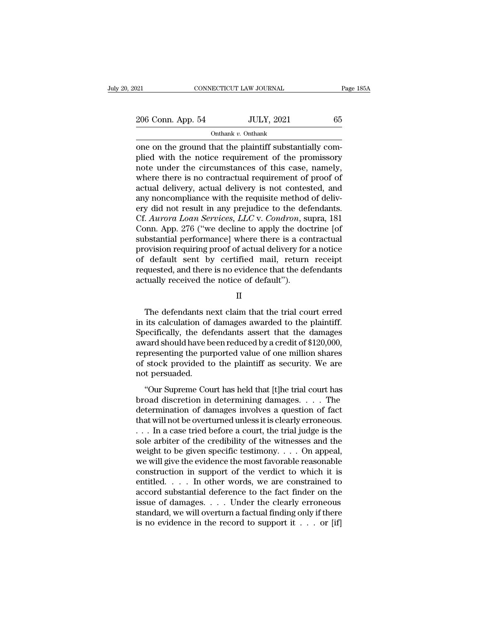206 Conn. App. 54 JULY, 2021 65<br>
206 Conn. App. 54 JULY, 2021 65

Onthank *v.* Onthank

on the ground that the plaintiff substantially complied with the notice requirement of the promissory<br>
that the plaintiff substantially complied with the notice requirement of the promissory<br>
note under the circumstances o 206 Conn. App. 54 JULY, 2021 65<br>
onthank v. Onthank<br>
one on the ground that the plaintiff substantially complied with the notice requirement of the promissory<br>
note under the circumstances of this case, namely,<br>
where the 206 Conn. App. 54 JULY, 2021 65<br>
Onthank v. Onthank<br>
one on the ground that the plaintiff substantially complied with the notice requirement of the promissory<br>
note under the circumstances of this case, namely,<br>
where the 206 Conn. App. 54 JULY, 2021 65<br>
Onthank v. Onthank<br>
one on the ground that the plaintiff substantially complied with the notice requirement of the promissory<br>
note under the circumstances of this case, namely,<br>
where the on the ground that the plaintiff substantially complied with the notice requirement of the promissory<br>plied with the notice requirement of the promissory<br>note under the circumstances of this case, namely,<br>where there is n onthank v. Onthank<br>
one on the ground that the plaintiff substantially com-<br>
plied with the notice requirement of the promissory<br>
note under the circumstances of this case, namely,<br>
where there is no contractual requireme one on the ground that the plaintiff substantially complied with the notice requirement of the promissory<br>note under the circumstances of this case, namely,<br>where there is no contractual requirement of proof of<br>actual deli plied with the notice requirement of the promissory<br>note under the circumstances of this case, namely,<br>where there is no contractual requirement of proof of<br>actual delivery, actual delivery is not contested, and<br>any noncom note under the circumstances of this case, namely,<br>where there is no contractual requirement of proof of<br>actual delivery, actual delivery is not contested, and<br>any noncompliance with the requisite method of deliv-<br>ery did where there is no contractual requirement of proof of<br>actual delivery, actual delivery is not contested, and<br>any noncompliance with the requisite method of deliv-<br>ery did not result in any prejudice to the defendants.<br>Cf. actual delivery, actual delivery is not contested, and<br>any noncompliance with the requisite method of deliv-<br>ery did not result in any prejudice to the defendants.<br>Cf. Aurora Loan Services, LLC v. Condron, supra, 181<br>Conn. any noncompliance with the requisite method of delivery did not result in any prejudice to the defendants.<br>Cf. Aurora Loan Services, LLC v. Condron, supra, 181<br>Conn. App. 276 ("we decline to apply the doctrine [of<br>substant ery did not result in any prejudice to the defendants.<br>Cf. Aurora Loan Services, LLC v. Condron, supra, 181<br>Conn. App. 276 ("we decline to apply the doctrine [of<br>substantial performance] where there is a contractual<br>provis Cf. *Aurora Loan Services*, *LLC* v. *Condron*, st<br>Conn. App. 276 ("we decline to apply the doc<br>substantial performance] where there is a con<br>provision requiring proof of actual delivery for<br>of default sent by certified ma ovision requiring proof of actual delivery for a notice<br>default sent by certified mail, return receipt<br>quested, and there is no evidence that the defendants<br>tually received the notice of default").<br>II<br>The defendants next c

II

of default sent by certified mail, return receipt<br>requested, and there is no evidence that the defendants<br>actually received the notice of default").<br>II<br>The defendants next claim that the trial court erred<br>in its calculatio requested, and there is no evidence that the defendants<br>actually received the notice of default").<br>II<br>The defendants next claim that the trial court erred<br>in its calculation of damages awarded to the plaintiff.<br>Specificall actually received the notice of default").<br>
II<br>
The defendants next claim that the trial court erred<br>
in its calculation of damages awarded to the plaintiff.<br>
Specifically, the defendants assert that the damages<br>
award sho II<br>The defendants next claim that the trial court erred<br>in its calculation of damages awarded to the plaintiff.<br>Specifically, the defendants assert that the damages<br>award should have been reduced by a credit of \$120,000,<br>r The defendants next claim that the trial court erred<br>in its calculation of damages awarded to the plaintiff.<br>Specifically, the defendants assert that the damages<br>award should have been reduced by a credit of \$120,000,<br>repr The defendants no<br>in its calculation of<br>Specifically, the de:<br>award should have b<br>representing the pur<br>of stock provided to<br>not persuaded.<br>"Our Supreme Cou The calculation of damages awarded to the plantam.<br>
ecifically, the defendants assert that the damages<br>
vard should have been reduced by a credit of \$120,000,<br>
presenting the purported value of one million shares<br>
stock pr by a state diameter of the discrete discrete discrete discrete discrete and the discrete award should have been reduced by a credit of \$120,000, representing the purported value of one million shares of stock provided to

determinative securical<br>detect of deterministic security. We are not persuaded.<br>"Our Supreme Court has held that [t]he trial court has<br>broad discretion in determining damages.... The<br>determination of damages involves a qu that will not be plaintiff as security. We are<br>not persuaded.<br>"Our Supreme Court has held that [t]he trial court has<br>broad discretion in determining damages.... The<br>determination of damages involves a question of fact<br>that of book provided to the plantari as security. We diverse not persuaded.<br>
"Our Supreme Court has held that [t]he trial court has<br>
broad discretion in determining damages.... The<br>
determination of damages involves a question "Our Supreme Court has held that [t]he trial court has<br>broad discretion in determining damages.... The<br>determination of damages involves a question of fact<br>that will not be overturned unless it is clearly erroneous.<br>... I "Our Supreme Court has held that [t]he trial court has<br>broad discretion in determining damages.... The<br>determination of damages involves a question of fact<br>that will not be overturned unless it is clearly erroneous.<br>... I broad discretion in determining damages. . . . The<br>determination of damages involves a question of fact<br>that will not be overturned unless it is clearly erroneous.<br>. . . In a case tried before a court, the trial judge is determination of damages involves a question of fact<br>that will not be overturned unless it is clearly erroneous.<br>... In a case tried before a court, the trial judge is the<br>sole arbiter of the credibility of the witnesses a that will not be overturned unless it is clearly erroneous.<br>
. . . In a case tried before a court, the trial judge is the<br>
sole arbiter of the credibility of the witnesses and the<br>
weight to be given specific testimony. . ... In a case tried before a court, the trial judge is the<br>sole arbiter of the credibility of the witnesses and the<br>weight to be given specific testimony.... On appeal,<br>we will give the evidence the most favorable reasona sole arbiter of the credibility of the witnesses and the<br>weight to be given specific testimony. . . . On appeal,<br>we will give the evidence the most favorable reasonable<br>construction in support of the verdict to which it i weight to be given specific testimony. . . . On appeal,<br>we will give the evidence the most favorable reasonable<br>construction in support of the verdict to which it is<br>entitled. . . . In other words, we are constrained to<br>a we will give the evidence the most favorable reasonable<br>construction in support of the verdict to which it is<br>entitled. . . . In other words, we are constrained to<br>accord substantial deference to the fact finder on the<br>is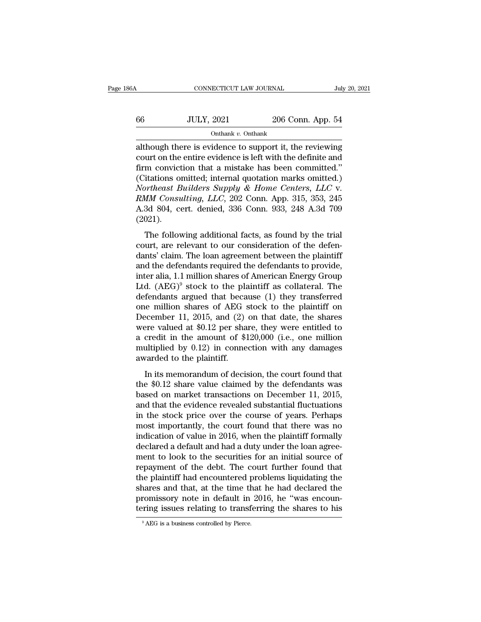# CONNECTICUT LAW JOURNAL July 20, 2021<br>66 JULY, 2021 206 Conn. App. 54<br>000 Onthank v. Onthank Onthank *v.* Onthank

CONNECTICUT LAW JOURNAL July 20, 2021<br>  $\frac{206 \text{ Conn. App. } 54}{\text{Onthank } v. \text{ Onthank}}$ <br>
although there is evidence to support it, the reviewing<br>
court on the entire evidence is left with the definite and<br>
firm conviction that a mist 66 JULY, 2021 206 Conn. App. 54<br>
onthank v. Onthank<br>
although there is evidence to support it, the reviewing<br>
court on the entire evidence is left with the definite and<br>
firm conviction that a mistake has been committed."  $f_{\text{total}} = \frac{100 \text{ UUV}}{100 \text{ m} \cdot \text{m}^2}$ <br>  $\frac{100 \text{ m} \cdot \text{m}^2}{100 \text{ m} \cdot \text{m}^2}$ <br>
although there is evidence to support it, the reviewing<br>
court on the entire evidence is left with the definite and<br>
firm conviction th (66 JULY, 2021 206 Conn. App. 54<br>
onthank v. Onthank<br>
although there is evidence to support it, the reviewing<br>
court on the entire evidence is left with the definite and<br>
firm conviction that a mistake has been committed. Onthank *v*. Onthank<br>
although there is evidence to support it, the reviewing<br>
court on the entire evidence is left with the definite and<br>
firm conviction that a mistake has been committed."<br>
(Citations omitted; internal q Onthank *v*. Onthank<br>although there is evidence to support it, the reviewing<br>court on the entire evidence is left with the definite and<br>firm conviction that a mistake has been committed."<br>(Citations omitted; internal quota although there is evidence to support it, the reviewing<br>court on the entire evidence is left with the definite and<br>firm conviction that a mistake has been committed."<br>(Citations omitted; internal quotation marks omitted.)<br> (2021). In conviction and a mistake has been committed.<br>
itations omitted; internal quotation marks omitted.)<br> *ortheast Builders Supply & Home Centers, LLC* v.<br> *MM Consulting, LLC*, 202 Conn. App. 315, 353, 245<br>
3d 804, cert. de conductions of the defendance, metrical quotation matrix of the defendant of Northeast Builders Supply & Home Centers, LLC v.<br>RMM Consulting, LLC, 202 Conn. App. 315, 353, 245<br>A.3d 804, cert. denied, 336 Conn. 933, 248 A.3

RMM Consulting, LLC, 202 Conn. App. 315, 353, 245<br>A.3d 804, cert. denied, 336 Conn. 933, 248 A.3d 709<br>(2021).<br>The following additional facts, as found by the trial<br>court, are relevant to our consideration of the defen-<br>da A.3d 804, cert. denied, 336 Conn. 933, 248 A.3d 709 (2021).<br>The following additional facts, as found by the trial<br>court, are relevant to our consideration of the defen-<br>dants' claim. The loan agreement between the plainti (2021).<br>
The following additional facts, as found by the trial<br>
court, are relevant to our consideration of the defen-<br>
dants' claim. The loan agreement between the plaintiff<br>
and the defendants required the defendants to The following additional facts, as found by the trial<br>court, are relevant to our consideration of the defen-<br>dants' claim. The loan agreement between the plaintiff<br>and the defendants required the defendants to provide,<br>in The following additional facts, as found by the trial<br>court, are relevant to our consideration of the defen-<br>dants' claim. The loan agreement between the plaintiff<br>and the defendants required the defendants to provide,<br>in court, are relevant to our consideration of the defendants' claim. The loan agreement between the plaintiff and the defendants required the defendants to provide, inter alia, 1.1 million shares of American Energy Group Lt dants' claim. The loan agreement between the plaintiff<br>and the defendants required the defendants to provide,<br>inter alia, 1.1 million shares of American Energy Group<br>Ltd. (AEG)<sup>9</sup> stock to the plaintiff as collateral. The and the defendants required the defendants to provide,<br>inter alia, 1.1 million shares of American Energy Group<br>Ltd. (AEG)<sup>9</sup> stock to the plaintiff as collateral. The<br>defendants argued that because (1) they transferred<br>on inter alia, 1.1 million shares of American Energy Group<br>Ltd.  $(AEG)^9$  stock to the plaintiff as collateral. The<br>defendants argued that because (1) they transferred<br>one million shares of AEG stock to the plaintiff on<br>Decembe Ltd.  $(AEG)^9$  stock to the plaintiff as collateral. The<br>defendants argued that because (1) they transferred<br>one million shares of AEG stock to the plaintiff on<br>December 11, 2015, and (2) on that date, the shares<br>were valued defendants argued that beca<br>one million shares of AEG :<br>December 11, 2015, and (2)<br>were valued at \$0.12 per sha<br>a credit in the amount of \$1<br>multiplied by 0.12) in conne<br>awarded to the plaintiff.<br>In its memorandum of deci Example 11, 2015, and (2) on that date, the shares<br>ere valued at \$0.12 per share, they were entitled to<br>credit in the amount of \$120,000 (i.e., one million<br>ultiplied by 0.12) in connection with any damages<br>varded to the p become at  $\pm$  1, 2010, and (2) on that date, the shares<br>were valued at \$0.12 per share, they were entitled to<br>a credit in the amount of \$120,000 (i.e., one million<br>multiplied by 0.12) in connection with any damages<br>award

a credit in the amount of \$120,000 (i.e., one million<br>multiplied by 0.12) in connection with any damages<br>awarded to the plaintiff.<br>In its memorandum of decision, the court found that<br>the \$0.12 share value claimed by the d multiplied by 0.12) in connection with any damages<br>awarded to the plaintiff.<br>In its memorandum of decision, the court found that<br>the \$0.12 share value claimed by the defendants was<br>based on market transactions on December malappear by  $\delta$ .12) in connection with any altitages<br>awarded to the plaintiff.<br>In its memorandum of decision, the court found that<br>the \$0.12 share value claimed by the defendants was<br>based on market transactions on Dece In its memorandum of decision, the court found that<br>the \$0.12 share value claimed by the defendants was<br>based on market transactions on December 11, 2015,<br>and that the evidence revealed substantial fluctuations<br>in the sto In its memorandum of decision, the court found that<br>the \$0.12 share value claimed by the defendants was<br>based on market transactions on December 11, 2015,<br>and that the evidence revealed substantial fluctuations<br>in the stoc the \$0.12 share value claimed by the defendants was<br>based on market transactions on December 11, 2015,<br>and that the evidence revealed substantial fluctuations<br>in the stock price over the course of years. Perhaps<br>most impor based on market transactions on December 11, 2015,<br>and that the evidence revealed substantial fluctuations<br>in the stock price over the course of years. Perhaps<br>most importantly, the court found that there was no<br>indication and that the evidence revealed substantial fluctuations<br>in the stock price over the course of years. Perhaps<br>most importantly, the court found that there was no<br>indication of value in 2016, when the plaintiff formally<br>decl in the stock price over the course of years. Perhaps<br>most importantly, the court found that there was no<br>indication of value in 2016, when the plaintiff formally<br>declared a default and had a duty under the loan agree-<br>men most importantly, the court found that there was no<br>indication of value in 2016, when the plaintiff formally<br>declared a default and had a duty under the loan agree-<br>ment to look to the securities for an initial source of<br>r indication of value in 2016, when the plaintiff formally<br>declared a default and had a duty under the loan agree-<br>ment to look to the securities for an initial source of<br>repayment of the debt. The court further found that<br>t declared a default and had a duty under the loan agreement to look to the securities for an initial source of repayment of the debt. The court further found that the plaintiff had encountered problems liquidating the share the plaintiff had encountered problems liquidating the shares and that, at the time that he had declared the promissory note in default in 2016, he "was encountering issues relating to transferring the shares to his  $\frac{1$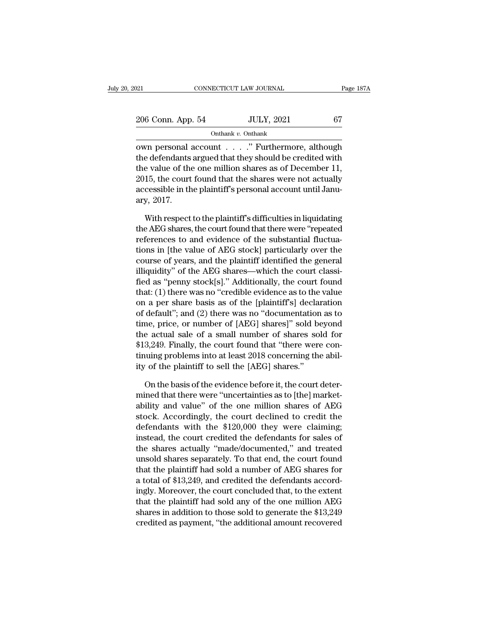| 2021              | CONNECTICUT LAW JOURNAL | Page 187A |
|-------------------|-------------------------|-----------|
| 206 Conn. App. 54 | <b>JULY, 2021</b>       | 67        |
|                   | Onthank v. Onthank      |           |

omnecticular Law Journal Page 1874<br>
206 Conn. App. 54 JULY, 2021 67<br>
Onthank v. Onthank<br>
own personal account . . . . . " Furthermore, although<br>
the defendants argued that they should be credited with<br>
the value of the one 206 Conn. App. 54 JULY, 2021 67<br>
onthank v. Onthank<br>
own personal account . . . . . " Furthermore, although<br>
the defendants argued that they should be credited with<br>
the value of the one million shares as of December 11,<br> 206 Conn. App. 54 JULY, 2021 67<br>
onthank v. Onthank<br>
own personal account . . . . . " Furthermore, although<br>
the defendants argued that they should be credited with<br>
the value of the one million shares as of December 11,<br> 206 Conn. App. 54 JULY, 2021 67<br>
Onthank v. Onthank<br>
own personal account . . . . . " Furthermore, although<br>
the defendants argued that they should be credited with<br>
the value of the one million shares as of December 11,<br> Onthank v. Onthank<br>
own personal account . . . . " Furthermore, although<br>
the defendants argued that they should be credited with<br>
the value of the one million shares as of December 11,<br>
2015, the court found that the sha own personal<br>the defendants<br>the value of the<br>2015, the court<br>accessible in th<br>ary, 2017.<br>With respect e defendants argued that they should be credited with<br>e value of the one million shares as of December 11,<br>15, the court found that the shares were not actually<br>cessible in the plaintiff's personal account until Janu-<br>y, 2 the value of the one million shares as of December 11,<br>2015, the court found that the shares were not actually<br>accessible in the plaintiff's personal account until Janu-<br>ary, 2017.<br>With respect to the plaintiff's difficult

2015, the court found that the shares were not actually<br>accessible in the plaintiff's personal account until Janu-<br>ary, 2017.<br>With respect to the plaintiff's difficulties in liquidating<br>the AEG shares, the court found that accessible in the plaintiff's personal account until January, 2017.<br>With respect to the plaintiff's difficulties in liquidating<br>the AEG shares, the court found that there were "repeated<br>references to and evidence of the su ary, 2017.<br>With respect to the plaintiff's difficulties in liquidating<br>the AEG shares, the court found that there were "repeated<br>references to and evidence of the substantial fluctua-<br>tions in [the value of AEG stock] part With respect to the plaintiff's difficulties in liquidating<br>the AEG shares, the court found that there were "repeated<br>references to and evidence of the substantial fluctua-<br>tions in [the value of AEG stock] particularly ov With respect to the plaintiff's difficulties in liquidating<br>the AEG shares, the court found that there were "repeated<br>references to and evidence of the substantial fluctua-<br>tions in [the value of AEG stock] particularly ov the AEG shares, the court found that there were "repeated<br>references to and evidence of the substantial fluctua-<br>tions in [the value of AEG stock] particularly over the<br>course of years, and the plaintiff identified the gen references to and evidence of the substantial fluctuations in [the value of AEG stock] particularly over the course of years, and the plaintiff identified the general illiquidity" of the AEG shares—which the court classifi tions in [the value of AEG stock] particularly over the<br>course of years, and the plaintiff identified the general<br>illiquidity" of the AEG shares—which the court classi-<br>fied as "penny stock[s]." Additionally, the court fou course of years, and the plaintiff identified the general<br>illiquidity" of the AEG shares—which the court classi-<br>fied as "penny stock[s]." Additionally, the court found<br>that: (1) there was no "credible evidence as to the v illiquidity" of the AEG shares—which the court classi-<br>fied as "penny stock[s]." Additionally, the court found<br>that: (1) there was no "credible evidence as to the value<br>on a per share basis as of the [plaintiff's] declara fied as "penny stock[s]." Additionally, the court found<br>that: (1) there was no "credible evidence as to the value<br>on a per share basis as of the [plaintiff's] declaration<br>of default"; and (2) there was no "documentation as that: (1) there was no "credible evidence as to the value<br>on a per share basis as of the [plaintiff's] declaration<br>of default"; and (2) there was no "documentation as to<br>time, price, or number of [AEG] shares]" sold beyond on a per share basis as of the [plaintiff's] declared of default"; and (2) there was no "documentation time, price, or number of [AEG] shares]" sold be the actual sale of a small number of shares so.<br>\$13,249. Finally, the me, price, or number of [AEG] shares]" sold beyond<br>e actual sale of a small number of shares sold for<br>3,249. Finally, the court found that "there were con-<br>uuing problems into at least 2018 concerning the abil-<br>of the plai the actual sale of a small number of shares sold for \$13,249. Finally, the court found that "there were continuing problems into at least 2018 concerning the ability of the plaintiff to sell the [AEG] shares."<br>On the basis

\$13,249. Finally, the court found that "there were continuing problems into at least 2018 concerning the ability of the plaintiff to sell the [AEG] shares."<br>On the basis of the evidence before it, the court determined that tinuing problems into at least 2018 concerning the ability of the plaintiff to sell the [AEG] shares."<br>On the basis of the evidence before it, the court deter-<br>mined that there were "uncertainties as to [the] market-<br>abil ity of the plaintiff to sell the [AEG] shares."<br>
On the basis of the evidence before it, the court deter-<br>
mined that there were "uncertainties as to [the] market-<br>
ability and value" of the one million shares of AEG<br>
stoc On the basis of the evidence before it, the court deter-<br>mined that there were "uncertainties as to [the] market-<br>ability and value" of the one million shares of AEG<br>stock. Accordingly, the court declined to credit the<br>def On the basis of the evidence before it, the court deter-<br>mined that there were "uncertainties as to [the] market-<br>ability and value" of the one million shares of AEG<br>stock. Accordingly, the court declined to credit the<br>de mined that there were "uncertainties as to [the] market-<br>ability and value" of the one million shares of AEG<br>stock. Accordingly, the court declined to credit the<br>defendants with the \$120,000 they were claiming;<br>instead, th ability and value" of the one million shares of AEG<br>stock. Accordingly, the court declined to credit the<br>defendants with the \$120,000 they were claiming;<br>instead, the court credited the defendants for sales of<br>the shares a stock. Accordingly, the court declined to credit the<br>defendants with the \$120,000 they were claiming;<br>instead, the court credited the defendants for sales of<br>the shares actually "made/documented," and treated<br>unsold shares detendants with the \$120,000 they were claiming;<br>instead, the court credited the defendants for sales of<br>the shares actually "made/documented," and treated<br>unsold shares separately. To that end, the court found<br>that the pl instead, the court credited the detendants for sales of<br>the shares actually "made/documented," and treated<br>unsold shares separately. To that end, the court found<br>that the plaintiff had sold a number of AEG shares for<br>a tot the shares actually "made/documented," and treated<br>unsold shares separately. To that end, the court found<br>that the plaintiff had sold a number of AEG shares for<br>a total of \$13,249, and credited the defendants accord-<br>ingly unsold shares separately. To that end, the court found<br>that the plaintiff had sold a number of AEG shares for<br>a total of \$13,249, and credited the defendants accord-<br>ingly. Moreover, the court concluded that, to the extent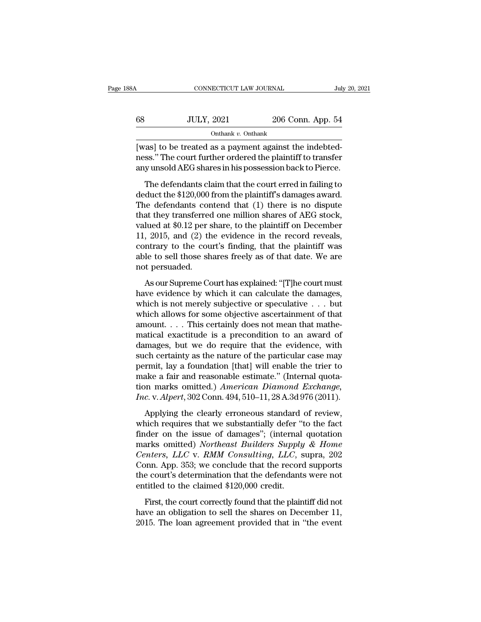| 88A | CONNECTICUT LAW JOURNAL                                                                                              |                                                      | July 20, 2021 |
|-----|----------------------------------------------------------------------------------------------------------------------|------------------------------------------------------|---------------|
|     |                                                                                                                      |                                                      |               |
| 68  | <b>JULY, 2021</b>                                                                                                    | 206 Conn. App. 54                                    |               |
|     | Onthank $v$ . Onthank                                                                                                |                                                      |               |
|     | [was] to be treated as a payment against the indebted-<br>ness." The court further ordered the plaintiff to transfer | envuncedd AFC characin his pessession haelyte Dierse |               |

ness.'' The court further ordered the plaintiff to transfer<br>any unsold AEG shares in his possession back to Pierce.  $\frac{308}{\text{OutN, 2021}}$  206 Conn. App. 54<br>  $\frac{304}{\text{OutN}}$  (was) to be treated as a payment against the indebtedness." The court further ordered the plaintiff to transfer<br>
any unsold AEG shares in his possession back to Pie JULY, 2021 206 Conn. App. 54<br>
onthank v. Onthank<br>
Tas] to be treated as a payment against the indebted-<br>
ss." The court further ordered the plaintiff to transfer<br>
y unsold AEG shares in his possession back to Pierce.<br>
The

Onthank v. Onthank<br>[was] to be treated as a payment against the indebted-<br>ness." The court further ordered the plaintiff to transfer<br>any unsold AEG shares in his possession back to Pierce.<br>The defendants claim that the co [was] to be treated as a payment against the indebtedness." The court further ordered the plaintiff to transfer<br>any unsold AEG shares in his possession back to Pierce.<br>The defendants claim that the court erred in failing that they conclude the payment eigenst are massed<br>mess." The court further ordered the plaintiff to transfer<br>any unsold AEG shares in his possession back to Pierce.<br>The defendants claim that the court erred in failing to<br> any unsold AEG shares in his possession back to Pierce.<br>The defendants claim that the court erred in failing to<br>deduct the \$120,000 from the plaintiff's damages award.<br>The defendants contend that (1) there is no dispute<br>th The defendants claim that the court erred in failing to<br>deduct the \$120,000 from the plaintiff's damages award.<br>The defendants contend that (1) there is no dispute<br>that they transferred one million shares of AEG stock,<br>va The defendants claim that the court erred in failing to<br>deduct the \$120,000 from the plaintiff's damages award.<br>The defendants contend that (1) there is no dispute<br>that they transferred one million shares of AEG stock,<br>val deduct the \$120,000 from the plaintiff's damages award.<br>The defendants contend that (1) there is no dispute<br>that they transferred one million shares of AEG stock,<br>valued at \$0.12 per share, to the plaintiff on December<br>11, The defendants cor<br>that they transferred<br>valued at \$0.12 per s<br>11, 2015, and (2) th<br>contrary to the cou<br>able to sell those sh<br>not persuaded.<br>As our Supreme Co As our Superior of the plaintiff on December<br>
2015, and (2) the evidence in the record reveals,<br>
ntrary to the court's finding, that the plaintiff was<br>
le to sell those shares freely as of that date. We are<br>
the persuaded. For state pair and the record reveals,<br>11, 2015, and (2) the evidence in the record reveals,<br>contrary to the court's finding, that the plaintiff was<br>able to sell those shares freely as of that date. We are<br>not persuaded.<br>

For all the court's finding, that the plaintiff was<br>able to sell those shares freely as of that date. We are<br>not persuaded.<br>As our Supreme Court has explained: "[T]he court must<br>have evidence by which it can calculate the able to sell those shares freely as of that date. We are<br>not persuaded.<br>As our Supreme Court has explained: "[T]he court must<br>have evidence by which it can calculate the damages,<br>which is not merely subjective or speculat and persuaded.<br>As our Supreme Court has explained: "[T]he court must<br>have evidence by which it can calculate the damages,<br>which is not merely subjective or speculative  $\dots$  but<br>which allows for some objective ascertainmen As our Supreme Court has explained: "[T]he court must<br>have evidence by which it can calculate the damages,<br>which is not merely subjective or speculative  $\dots$  but<br>which allows for some objective ascertainment of that<br>amoun As our Supreme Court has explained: "[T]he court must<br>have evidence by which it can calculate the damages,<br>which is not merely subjective or speculative  $\ldots$  but<br>which allows for some objective ascertainment of that<br>amou have evidence by which it can calculate the damages,<br>which is not merely subjective or speculative  $\ldots$  but<br>which allows for some objective ascertainment of that<br>amount.... This certainly does not mean that mathe-<br>matica which is not merely subjective or speculative  $\ldots$  but<br>which allows for some objective ascertainment of that<br>amount.  $\ldots$  This certainly does not mean that mathe-<br>matical exactitude is a precondition to an award of<br>dama which allows for some objective ascertainment of that<br>amount.... This certainly does not mean that mathe-<br>matical exactitude is a precondition to an award of<br>damages, but we do require that the evidence, with<br>such certain amount. . . . This certainly does not mean that mathe-<br>matical exactitude is a precondition to an award of<br>damages, but we do require that the evidence, with<br>such certainty as the nature of the particular case may<br>permit, matical exactitude is a precondition to an award of damages, but we do require that the evidence, with such certainty as the nature of the particular case may permit, lay a foundation [that] will enable the trier to make a radiate of the particular case may<br>ch certainty as the nature of the particular case may<br>rmit, lay a foundation [that] will enable the trier to<br>ake a fair and reasonable estimate." (Internal quota-<br>on marks omitted.) Ameri permit, lay a foundation [that] will enable the trier to<br>make a fair and reasonable estimate." (Internal quota-<br>tion marks omitted.) American Diamond Exchange,<br>Inc. v. Alpert, 302 Conn. 494, 510–11, 28 A.3d 976 (2011).<br>Ap

make a fair and reasonable estimate." (Internal quotation marks omitted.) American Diamond Exchange,<br>Inc. v. Alpert, 302 Conn. 494, 510–11, 28 A.3d 976 (2011).<br>Applying the clearly erroneous standard of review,<br>which requ marks omitted.) *American Diamond Exchange*,<br> *Inc.* v. *Alpert*, 302 Conn. 494, 510–11, 28 A.3d 976 (2011).<br>
Applying the clearly erroneous standard of review,<br>
which requires that we substantially defer "to the fact<br>
fin *Inc.* v. *Alpert*, 302 Conn. 494, 510–11, 28 A.3d 976 (2011).<br>
Applying the clearly erroneous standard of review,<br>
which requires that we substantially defer "to the fact<br>
finder on the issue of damages"; (internal quotat Applying the clearly erroneous standard of review,<br>which requires that we substantially defer "to the fact<br>finder on the issue of damages"; (internal quotation<br>marks omitted) *Northeast Builders Supply & Home*<br>*Centers, L* Applying the clearly erroneous standard of review,<br>which requires that we substantially defer "to the fact<br>finder on the issue of damages"; (internal quotation<br>marks omitted) *Northeast Builders Supply & Home*<br>*Centers*, which requires that we substantially defer "finder on the issue of damages"; (internal marks omitted) *Northeast Builders Supply Centers, LLC* v. *RMM Consulting, LLC*, s Conn. App. 353; we conclude that the record the cou First, the court correctly found that the plaintiff did not<br>enters, LLC v. RMM Consulting, LLC, supra, 202<br>pnn. App. 353; we conclude that the record supports<br>e court's determination that the defendants were not<br>titled to Centers, LLC v. RMM Consulting, LLC, supra, 202<br>Conn. App. 353; we conclude that the record supports<br>the court's determination that the defendants were not<br>entitled to the claimed \$120,000 credit.<br>First, the court correctl Conn. App. 353; we conclude that the record supports<br>the court's determination that the defendants were not<br>entitled to the claimed  $$120,000$  credit.<br>First, the court correctly found that the plaintiff did not<br>have an ob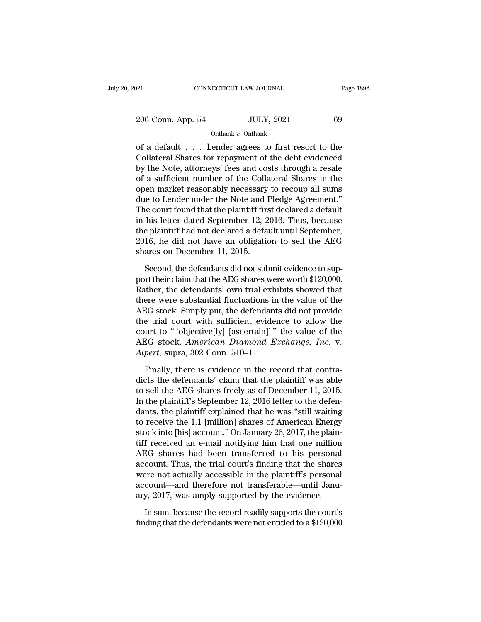| 021               | CONNECTICUT LAW JOURNAL |    | Page 189A |
|-------------------|-------------------------|----|-----------|
| 206 Conn. App. 54 | <b>JULY, 2021</b>       | 69 |           |
|                   | Onthank v. Onthank      |    |           |

 $\begin{array}{cccc}\n & \text{COMRECTICUT LAW JOURNAL} & \text{Page 189A} \\
 & \text{206 Conn. App. 54} & \text{JULY, 2021} & 69 \\
 & & \text{Onthank } v. \text{ Onthank} \\
 \text{of a default . . . Lender agrees to first resort to the\nCollateral Shares for repayment of the debt evidenced\n by the Note, at\n 2008 and a octa through a resale\n$ 206 Conn. App. 54 JULY, 2021 69<br>
Onthank v. Onthank<br>
of a default . . . Lender agrees to first resort to the<br>
Collateral Shares for repayment of the debt evidenced<br>
by the Note, attorneys' fees and costs through a resale<br> 206 Conn. App. 54 JULY, 2021 69<br>
Onthank v. Onthank<br>
of a default . . . Lender agrees to first resort to the<br>
Collateral Shares for repayment of the debt evidenced<br>
by the Note, attorneys' fees and costs through a resale<br> 206 Conn. App. 54 JULY, 2021 69<br>
onthank v. Onthank<br>
of a default . . . Lender agrees to first resort to the<br>
Collateral Shares for repayment of the debt evidenced<br>
by the Note, attorneys' fees and costs through a resale<br> Onthank  $v$ . Onthank<br>
of a default . . . Lender agrees to first resort to the<br>
Collateral Shares for repayment of the debt evidenced<br>
by the Note, attorneys' fees and costs through a resale<br>
of a sufficient number of the  $\begin{tabular}{l} \hline \textbf{total} & \textbf{constant} \end{tabular} \hline \textbf{total} & \textbf{total} \end{tabular} \begin{tabular}{l} \hline \textbf{total} & \textbf{total} \end{tabular} \hline \textbf{total} & \textbf{total} \end{tabular} \begin{tabular}{l} \hline \textbf{total} & \textbf{total} \end{tabular} \hline \textbf{total} & \textbf{total} \end{tabular} \begin{tabular}{l} \hline \textbf{total} & \textbf{total} \end{tabular} \hline \textbf{total} & \textbf{total} \end{tabular} \hline \textbf{total} & \text$ of a default . . . Lender agrees to first resort to the Collateral Shares for repayment of the debt evidenced<br>by the Note, attorneys' fees and costs through a resale<br>of a sufficient number of the Collateral Shares in the<br>o Collateral Shares for repayment of the debt evidenced<br>by the Note, attorneys' fees and costs through a resale<br>of a sufficient number of the Collateral Shares in the<br>open market reasonably necessary to recoup all sums<br>due t by the Note, attorneys' fees and costs through a resale<br>of a sufficient number of the Collateral Shares in the<br>open market reasonably necessary to recoup all sums<br>due to Lender under the Note and Pledge Agreement."<br>The cou of a sufficient number of the Collateral Shares in the<br>open market reasonably necessary to recoup all sums<br>due to Lender under the Note and Pledge Agreement."<br>The court found that the plaintiff first declared a default<br>in open market reasonably necessary<br>due to Lender under the Note and I<br>The court found that the plaintiff firs<br>in his letter dated September 12, 2<br>the plaintiff had not declared a defa<br>2016, he did not have an obligatic<br>share is a court found that the plaintiff first declared a default<br>his letter dated September 12, 2016. Thus, because<br>e plaintiff had not declared a default until September,<br>16, he did not have an obligation to sell the AEG<br>ares in his letter dated September 12, 2016. Thus, because<br>the plaintiff had not declared a default until September,<br>2016, he did not have an obligation to sell the AEG<br>shares on December 11, 2015.<br>Second, the defendants did no

the plaintiff had not declared a default until September,<br>2016, he did not have an obligation to sell the AEG<br>shares on December 11, 2015.<br>Second, the defendants did not submit evidence to sup-<br>port their claim that the AE 2016, he did not have an obligation to sell the AEG<br>shares on December 11, 2015.<br>Second, the defendants did not submit evidence to sup-<br>port their claim that the AEG shares were worth \$120,000.<br>Rather, the defendants' own shares on December 11, 2015.<br>
Second, the defendants did not submit evidence to sup-<br>
port their claim that the AEG shares were worth \$120,000.<br>
Rather, the defendants' own trial exhibits showed that<br>
there were substantia Second, the defendants did not submit evidence to support their claim that the AEG shares were worth \$120,000.<br>Rather, the defendants' own trial exhibits showed that<br>there were substantial fluctuations in the value of the Second, the defendants did not submit evidence to support their claim that the AEG shares were worth \$120,000.<br>Rather, the defendants' own trial exhibits showed that<br>there were substantial fluctuations in the value of the port their claim that the AEG shares were worth \$120,000.<br>Rather, the defendants' own trial exhibits showed that<br>there were substantial fluctuations in the value of the<br>AEG stock. Simply put, the defendants did not provide Rather, the defendants' own trial exhibited there were substantial fluctuations in AEG stock. Simply put, the defendant the trial court with sufficient evider court to "'objective[ly] [ascertain]'" AEG stock. *American Dia* EG stock. Simply put, the defendants did not provide<br>e trial court with sufficient evidence to allow the<br>urt to "objective[ly] [ascertain]" the value of the<br>EG stock. American Diamond Exchange, Inc. v.<br>pert, supra, 302 Co the trial court with sufficient evidence to allow the<br>court to "objective[ly] [ascertain]'" the value of the<br>AEG stock. *American Diamond Exchange*, *Inc.* v.<br>*Alpert*, supra, 302 Conn. 510–11.<br>Finally, there is evidence i

court to "'objective[ly] [ascertain]'" the value of the<br>AEG stock. American Diamond Exchange, Inc. v.<br>Alpert, supra, 302 Conn. 510–11.<br>Finally, there is evidence in the record that contra-<br>dicts the defendants' claim that AEG stock. *American Diamond Exchange*, *Inc.* v.<br>*Alpert*, supra, 302 Conn. 510–11.<br>Finally, there is evidence in the record that contra-<br>dicts the defendants' claim that the plaintiff was able<br>to sell the AEG shares free Alpert, supra, 302 Conn. 510–11.<br>
Finally, there is evidence in the record that contra-<br>
dicts the defendants' claim that the plaintiff was able<br>
to sell the AEG shares freely as of December 11, 2015.<br>
In the plaintiff's S Finally, there is evidence in the record that contra-<br>dicts the defendants' claim that the plaintiff was able<br>to sell the AEG shares freely as of December 11, 2015.<br>In the plaintiff's September 12, 2016 letter to the defe Finally, there is evidence in the record that contra-<br>dicts the defendants' claim that the plaintiff was able<br>to sell the AEG shares freely as of December 11, 2015.<br>In the plaintiff's September 12, 2016 letter to the defe dicts the defendants' claim that the plaintiff was able<br>to sell the AEG shares freely as of December 11, 2015.<br>In the plaintiff's September 12, 2016 letter to the defen-<br>dants, the plaintiff explained that he was "still wa to sell the AEG shares freely as of December 11, 2015.<br>In the plaintiff's September 12, 2016 letter to the defendants, the plaintiff explained that he was "still waiting<br>to receive the 1.1 [million] shares of American Ener In the plaintiff's September 12, 2016 letter to the defen-<br>dants, the plaintiff explained that he was "still waiting<br>to receive the 1.1 [million] shares of American Energy<br>stock into [his] account." On January 26, 2017, th dants, the plaintiff explained that he was "still waiting<br>to receive the 1.1 [million] shares of American Energy<br>stock into [his] account." On January 26, 2017, the plain-<br>tiff received an e-mail notifying him that one mil to receive the 1.1 [million] shares of American Energy<br>stock into [his] account." On January 26, 2017, the plain-<br>tiff received an e-mail notifying him that one million<br>AEG shares had been transferred to his personal<br>accou stock into [his] account." On January 26, 2017, the plain-<br>tiff received an e-mail notifying him that one million<br>AEG shares had been transferred to his personal<br>account. Thus, the trial court's finding that the shares<br>wer EG shares had been transferred to his personal count. Thus, the trial court's finding that the shares ere not actually accessible in the plaintiff's personal count—and therefore not transferable—until Janu-<br>y, 2017, was a account. Thus, the trial court's finding that the shares<br>were not actually accessible in the plaintiff's personal<br>account—and therefore not transferable—until Janu-<br>ary, 2017, was amply supported by the evidence.<br>In sum, b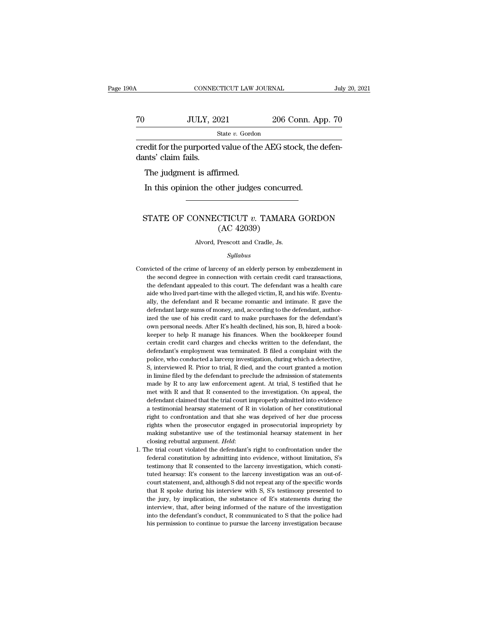### $\begin{array}{r|l} \text{CONNECTICUT LAW JOURNAL} & \text{July 20, 2021} \\ \hline \end{array}$  70 JULY, 2021 206 Conn. App. 70 State v. Gordon State *v.* Gordon connecticut LAW JOURNAL July<br>
70 JULY, 2021 206 Conn. App. 70<br>
31 State v. Gordon<br>
31 Credit for the purported value of the AEG stock, the defendants' claim fails. To JULY, 20<br>
secredit for the purported<br>
dants' claim fails.<br>
The judgment is affi JULY, 2021<br>
State v. Gordon<br>
edit for the purported value of th<br>
nts' claim fails.<br>
The judgment is affirmed.<br>
In this opinion the other judges

State v. Gordon<br>
State v. Gordon<br>
Edit for the purported value of the AEG stock, the c<br>
Ints' claim fails.<br>
The judgment is affirmed.<br>
In this opinion the other judges concurred.

## % and signals of the judgment is affirmed.<br>
In this opinion the other judges concurred.<br>
STATE OF CONNECTICUT *v*. TAMARA GORDON (AC 42039) irmed.<br>
other judges concurr<br>
CTICUT v. TAMAR<br>
(AC 42039)<br>
Prescott and Cradle, Js. STATE OF CONNECTICUT  $v$ . TAMARA GORDON (AC 42039)<br>Alvord, Prescott and Cradle, Js.

### *Syllabus*

- $\left( \text{AC } 42039 \right)$ <br>Alvord, Prescott and Cradle, Js.<br>Syllabus<br>Convicted of the crime of larceny of an elderly person by embezzlement in<br>the second degree in connection with certain credit card transactions,  $(110 - 42000)$ <br>Alvord, Prescott and Cradle, Js.<br> $Syllabus$ <br>victed of the crime of larceny of an elderly person by embezzlement in<br>the second degree in connection with certain credit card transactions,<br>the defendant appealed to Alvord, Prescott and Cradle, Js.<br>Syllabus<br>victed of the crime of larceny of an elderly person by embezzlement in<br>the second degree in connection with certain credit card transactions,<br>the defendant appealed to this court. *Syllabus*<br>victed of the crime of larceny of an elderly person by embezzlement in<br>the second degree in connection with certain credit card transactions,<br>the defendant appealed to this court. The defendant was a health care *Syllabus*<br>wicted of the crime of larceny of an elderly person by embezzlement in<br>the second degree in connection with certain credit card transactions,<br>the defendant appealed to this court. The defendant was a health care victed of the crime of larceny of an elderly person by embezzlement in<br>the second degree in connection with certain credit card transactions,<br>the defendant appealed to this court. The defendant was a health care<br>aide who l the second degree in connection with certain credit card transactions, the defendant appealed to this court. The defendant was a health care aide who lived part-time with the alleged victim, R, and his wife. Eventually, t the second degree in connection with certain credit card transactions, the defendant appealed to this court. The defendant was a health care aide who lived part-time with the alleged victim, R, and his wife. Eventually, t aide who lived part-time with the alleged victim, R, and his wife. Eventually, the defendant and R became romantic and intimate. R gave the defendant large sums of money, and, according to the defendant, authorized the use ally, the defendant and R became romantic and intimate. R gave the defendant large sums of money, and, according to the defendant, authorized the use of his credit card to make purchases for the defendant's own personal ne defendant large sums of money, and, according to the defendant, authorized the use of his credit card to make purchases for the defendant's own personal needs. After R's health declined, his son, B, hired a book-<br>keeper to ized the use of his credit card to make purchases for the defendant's own personal needs. After R's health declined, his son, B, hired a book-<br>keeper to help R manage his finances. When the bookkeeper found<br>certain credit nown personal needs. After R's health declined, his son, B, hired a book-<br>keeper to help R manage his finances. When the bookkeeper found<br>certain credit card charges and checks written to the defendant, the<br>defendant's emp in limine filed by R manage his finances. When the bookkeeper found certain credit card charges and checks written to the defendant, the defendant's employment was terminated. B filed a complaint with the police, who condu certain credit card charges and checks written to the defendant, the defendant's employment was terminated. B filed a complaint with the police, who conducted a larceny investigation, during which a detective, S, interview defendant's employment was terminated. B filed a complaint with the police, who conducted a larceny investigation, during which a detective, S, interviewed R. Prior to trial, R died, and the court granted a motion in limin police, who conducted a larceny investigation, during which a detective,<br>S, interviewed R. Prior to trial, R died, and the court granted a motion<br>in limine filed by the defendant to preclude the admission of statements<br>mad police, who conducted a larceny investigation, during which a detective, S, interviewed R. Prior to trial, R died, and the court granted a motion in limine filed by the defendant to preclude the admission of statements ma is minime filed by the defendant to preclude the admission of statements made by R to any law enforcement agent. At trial, S testified that he met with R and that R consented to the investigation. On appeal, the defendant made by R to any law enforcement agent. At trial, S testified that he met with R and that R consented to the investigation. On appeal, the defendant claimed that the trial court improperly admitted into evidence a testimo met with R and that R consented to the investigation. On appeal, the defendant claimed that the trial court improperly admitted into evidence a testimonial hearsay statement of R in violation of her constitutional right t defendant claimed that the trial court improperly admitted into evidence<br>a testimonial hearsay statement of R in violation of her constitutional<br>right to confrontation and that she was deprived of her due process<br>rights wh in the confrontation and that she was deprived of her due process<br>right to confrontation and that she was deprived of her due process<br>rights when the prosecutor engaged in prosecutorial impropriety by<br>making substantive us
- Fights when the prosecutor engaged in prosecutorial impropriety by making substantive use of the testimonial hearsay statement in her closing rebuttal argument. *Held*: the trial court violated the defendant's right to co making substantive use of the testimonial hearsay statement in her closing rebuttal argument. *Held*:<br>he trial court violated the defendant's right to confrontation under the federal constitution by admitting into evidenc closing rebuttal argument. *Held*:<br>closing rebuttal argument. *Held*:<br>federal constitution by admitting into evidence, without limitation, S's<br>testimony that R consented to the larceny investigation, which consti-<br>tuted he the trial court violated the defendant's right to confrontation under the federal constitution by admitting into evidence, without limitation, S's testimony that R consented to the larceny investigation, which constituted federal constitution by admitting into evidence, without limitation, S's<br>feetral constitution by admitting into evidence, without limitation, S's<br>testimony that R consented to the larceny investigation, which consti-<br>cour interview, that, after being informed of the nature of the investigation, which constituted hearsay: R's consent to the larceny investigation was an out-of-court statement, and, although S did not repeat any of the specifi interior and a barriery investigation was an out-of-<br>tuted hearsay: R's consent to the larceny investigation was an out-of-<br>court statement, and, although S did not repeat any of the specific words<br>that R spoke during his tuted hearsay: R's consent to the larceny investigation was an out-of-<br>court statement, and, although S did not repeat any of the specific words<br>that R spoke during his interview with S, S's testimony presented to<br>the jury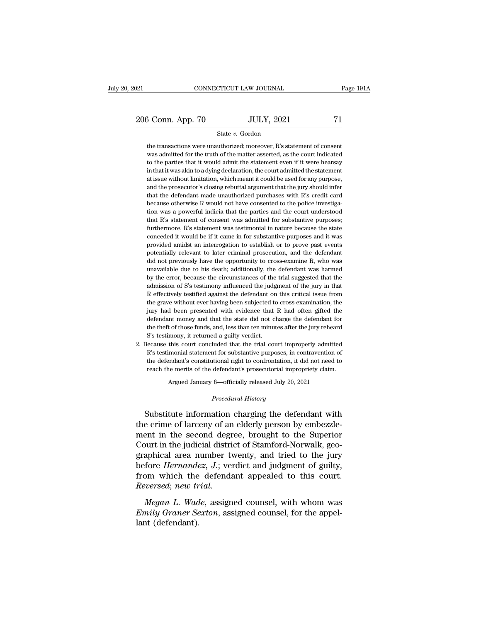21 CONNECTICUT LAW JOURNAL Page 191A<br>
206 Conn. App. 70 JULY, 2021 71<br>
State v. Gordon

### State *v.* Gordon

 $\begin{array}{r} \text{5} \text{ Conn.} \text{ App. 70} \text{ } \text{JULY, 2021} \text{ } \text{71} \text{ } \text{State } v. \text{ Gordon} \text{ the transactions were unauthorized; moreover, R's statement of consent was admitted for the truth of the matter asserted, as the court indicated.} \end{array}$  $\frac{3 \text{ Conn. App. 70}}{\text{State } v. \text{ Gordon}}$ <br>State  $v. \text{ Gordon}$ <br>the transactions were unauthorized; moreover, R's statement of consent was admitted for the truth of the matter asserted, as the court indicated to the parties that it would a  $\begin{array}{r} \text{5} \text{ Conn. App. 70} \text{ } \text{JULY, 2021} \text{ } \text{ } \text{5} \text{ } \text{5} \text{ } \text{5} \text{ } \text{5} \text{ } \text{5} \text{ } \text{5} \text{ } \text{5} \text{ } \text{5} \text{ } \text{6} \text{ } \text{6} \text{ } \text{6} \text{ } \text{6} \text{ } \text{6} \text{ } \text{6} \text{ } \text{6} \text{ } \text{6} \text{ } \text{6} \text{ } \text{6} \text{ } \text{6} \text{ } \$ State v. Gordon<br>
in the transactions were unauthorized; moreover, R's statement of consent<br>
was admitted for the truth of the matter asserted, as the court indicated<br>
to the parties that it would admit the statement even i State v. Gordon<br>the transactions were unauthorized; moreover, R's statement of consent<br>was admitted for the truth of the matter asserted, as the court indicated<br>to the parties that it would admit the statement even if it w the transactions were unauthorized; moreover, R's statement of consent<br>was admitted for the truth of the matter asserted, as the court indicated<br>to the parties that it would admit the statement even if it were hearsay<br>in t was admitted for the truth of the matter asserted, as the court indicated to the parties that it would admit the statement even if it were hearsay in that it was akin to a dying declaration, the court admitted the statemen to the parties that it would admit the statement even if it were hearsay<br>in that it was akin to a dying declaration, the court admitted the statement<br>at issue without limitation, which meant it could be used for any purpo in that it was akin to a dying declaration, the court admitted the statement at issue without limitation, which meant it could be used for any purpose, and the prosecutor's closing rebuttal argument that the jury should in at issue without limitation, which meant it could be used for any purpose, and the prosecutor's closing rebuttal argument that the jury should infer that the defendant made unauthorized purchases with R's credit card becau and the prosecutor's closing rebuttal argument that the jury should infer that the defendant made unauthorized purchases with R's credit card because otherwise R would not have consented to the police investigation was a p that the defendant made unauthorized purchases with R's credit card<br>because otherwise R would not have consented to the police investiga-<br>tion was a powerful indicia that the parties and the court understood<br>that R's state because otherwise R would not have consented to the police investigation was a powerful indicia that the parties and the court understood that R's statement of consent was admitted for substantive purposes; furthermore, R' ion was a powerful indicia that the parties and the court understood that R's statement of consent was admitted for substantive purposes; furthermore, R's statement was testimonial in nature because the state conceded it w that R's statement of consent was admitted for substantive purposes;<br>furthermore, R's statement was testimonial in nature because the state<br>conceded it would be if it came in for substantive purposes and it was<br>provided am furthermore, R's statement was testimonial in nature because the state conceded it would be if it came in for substantive purposes and it was provided amidst an interrogation to establish or to prove past events potentiall conceded it would be if it came in for substantive purposes and it was provided amidst an interrogation to establish or to prove past events potentially relevant to later criminal prosecution, and the defendant did not pre provided amidst an interrogation to establish or to prove past events potentially relevant to later criminal prosecution, and the defendant did not previously have the opportunity to cross-examine R, who was unavailable du potentially relevant to later criminal prosecution, and the defendant<br>did not previously have the opportunity to cross-examine R, who was<br>unavailable due to his death; additionally, the defendant was harmed<br>by the error, b did not previously have the opportunity to cross-examine R, who was unavailable due to his death; additionally, the defendant was harmed by the error, because the circumstances of the trial suggested that the admission of unavailable due to his death; additionally, the defendant was harmed<br>by the error, because the circumstances of the trial suggested that the<br>admission of S's testimony influenced the judgment of the jury in that<br>R effecti by the error, because the circumstances of the trial suggested that the admission of S's testimony influenced the judgment of the jury in that R effectively testified against the defendant on this critical issue from the g admission of S's testimony influenced the judgment of the jury in that R effectively testified against the defendant on this critical issue from the grave without ever having been subjected to cross-examination, the jury h R effectively testified against the defendant or<br>the grave without ever having been subjected to<br>jury had been presented with evidence that<br>defendant money and that the state did not cl<br>the theft of those funds, and, less the grave without ever having been subjected to cross-examination, the<br>jury had been presented with evidence that R had often gifted the<br>defendant money and that the state did not charge the defendant for<br>the theft of tho jury had been presented with evidence that R had often gifted the defendant money and that the state did not charge the defendant for the theft of those funds, and, less than ten minutes after the jury reheard S's testimo

defendant money and that the state did not charge the defendant for<br>the theft of those funds, and, less than ten minutes after the jury reheard<br>S's testimony, it returned a guilty verdict.<br>ecause this court concluded that the theft of those funds, and, less than ten minutes after the jury reheard<br>S's testimony, it returned a guilty verdict.<br>
iecause this court concluded that the trial court improperly admitted<br>R's testimonial statement for 2. Because this court concluded that the trial court improperly admitted R's testimonial statement for substantive purposes, in contravention of the defendant's constitutional right to confrontation, it did not need to re the defendant's constitutional right to confrontation, it did not need to<br>reach the merits of the defendant's prosecutorial impropriety claim.<br>Argued January 6—officially released July 20, 2021<br>*Procedural History*<br>Substit R's testimonial statement for substantive purposes, in contravention of<br>the defendant's constitutional right to confrontation, it did not need to<br>reach the merits of the defendant's prosecutorial impropriety claim.<br>Argued

the defendant's constitutional right to confrontation, it did not need to<br>reach the merits of the defendant's prosecutorial impropriety claim.<br>Argued January 6—officially released July 20, 2021<br>*Procedural History*<br>Substit reach the ments of the defendant s prosecutional impropriety claim.<br>Argued January 6—officially released July 20, 2021<br>Procedural History<br>Substitute information charging the defendant with<br>the crime of larceny of an elderl Argued January 6—officially released July 20, 2021<br>
Procedural History<br>
Substitute information charging the defendant with<br>
the crime of larceny of an elderly person by embezzle-<br>
ment in the second degree, brought to the *Procedural History*<br>Substitute information charging the defendant with<br>the crime of larceny of an elderly person by embezzle-<br>ment in the second degree, brought to the Superior<br>Court in the judicial district of Stamford-N Substitute information charging the defendant with<br>the crime of larceny of an elderly person by embezzle-<br>ment in the second degree, brought to the Superior<br>Court in the judicial district of Stamford-Norwalk, geo-<br>graphica Substitute information charging the defendant with<br>the crime of larceny of an elderly person by embezzle-<br>ment in the second degree, brought to the Superior<br>Court in the judicial district of Stamford-Norwalk, geo-<br>graphica *Reversedien in the second degree, brought to the Superior*<br> *Reversion Court in the judicial district of Stamford-Norwalk, geographical area number twenty, and tried to the jury<br>
<i>Defore Hernandez, J.*; verdict and judgme *Emily distribute of standard formally* geographical area number twenty, and tried to the jury before *Hernandez*, *J*.; verdict and judgment of guilty, from which the defendant appealed to this court. Reversed; new trial. before *Hernande*<br>from which the<br>*Reversed*; *new tr*<br>*Megan L. Wad*<br>*Emily Graner Se*<br>lant (defendant).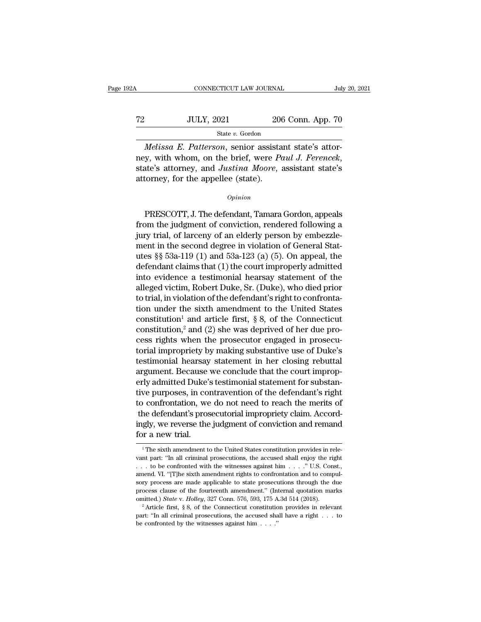# $\begin{tabular}{l l l l} \multicolumn{2}{c| l l} \multicolumn{2}{c| l} \multicolumn{2}{c| l} \multicolumn{2}{c| l} \multicolumn{2}{c| l} \multicolumn{2}{c| l} \multicolumn{2}{c| l} \multicolumn{2}{c| l} \multicolumn{2}{c| l} \multicolumn{2}{c| l} \multicolumn{2}{c| l} \multicolumn{2}{c| l} \multicolumn{2}{c| l} \multicolumn{2}{c| l} \multicolumn{2}{c| l} \multicolumn{2}{c| l} \multicolumn{2}{c| l} \multicolumn{2}{c| l} \multicolumn{2}{c| l$ State *v.* Gordon

*CONNECTICUT LAW JOURNAL* July<br> *Melissa E. Patterson*, senior assistant state's attor-<br> *Melissa E. Patterson*, senior assistant state's attor-<br> *Melissa E. Patterson*, senior assistant state's attor-<br> *Melissa E. Patters* new Table 2008 Conn. App. 70<br>
Tate *v.* Gordon<br> *Melissa E. Patterson*, senior assistant state's attor-<br>
mey, with whom, on the brief, were *Paul J. Ferencek*,<br>
state's attorney, and *Justina Moore*, assistant state's<br>
att T2 JULY, 2021 20<br>
State v. Gordon<br>
Melissa E. Patterson, senior assistancy, with whom, on the brief, were Perentiate's attorney, and Justina Moore,<br>
attorney, for the appellee (state). meassa E. Tatterson, senior assistant state's attorney, with whom, on the brief, were *Paul J. Ferencek*, ate's attorney, and *Justina Moore*, assistant state's corney, for the appellee (state).<br>
Opinion<br>
PRESCOTT, J. The

### *Opinion*

from the judgment of conviction, and allowing the set of conviction, state's attorney, for the appellee (state).<br> *Opinion*<br>
PRESCOTT, J. The defendant, Tamara Gordon, appeals<br>
from the judgment of conviction, rendered fol guide is districtly, and successive intersects attorney, for the appellee (state).<br>  $\frac{opinion}{D}$ <br>
PRESCOTT, J. The defendant, Tamara Gordon, appeals<br>
from the judgment of conviction, rendered following a<br>
jury trial, of lar opinion<br>opinion<br>Opinion<br>PRESCOTT, J. The defendant, Tamara Gordon, appeals<br>from the judgment of conviction, rendered following a<br>jury trial, of larceny of an elderly person by embezzle-<br>ment in the second degree in violati opinion<br>
PRESCOTT, J. The defendant, Tamara Gordon, appeals<br>
from the judgment of conviction, rendered following a<br>
jury trial, of larceny of an elderly person by embezzle-<br>
ment in the second degree in violation of Gener PRESCOTT, J. The defendant, Tamara Gordon, appeals<br>from the judgment of conviction, rendered following a<br>jury trial, of larceny of an elderly person by embezzle-<br>ment in the second degree in violation of General Stat-<br>utes PRESCOTT, J. The defendant, Tamara Gordon, appeals<br>from the judgment of conviction, rendered following a<br>jury trial, of larceny of an elderly person by embezzle-<br>ment in the second degree in violation of General Stat-<br>utes from the judgment of conviction, rendered following a<br>jury trial, of larceny of an elderly person by embezzle-<br>ment in the second degree in violation of General Stat-<br>utes §§ 53a-119 (1) and 53a-123 (a) (5). On appeal, the jury trial, of larceny of an elderly person by embezzle-<br>ment in the second degree in violation of General Stat-<br>utes §§ 53a-119 (1) and 53a-123 (a) (5). On appeal, the<br>defendant claims that (1) the court improperly admitt ment in the second degree in violation of General Stat-<br>utes §§ 53a-119 (1) and 53a-123 (a) (5). On appeal, the<br>defendant claims that (1) the court improperly admitted<br>into evidence a testimonial hearsay statement of the<br> utes §§ 53a-119 (1) and 53a-123 (a) (5). On appeal, the<br>defendant claims that (1) the court improperly admitted<br>into evidence a testimonial hearsay statement of the<br>alleged victim, Robert Duke, Sr. (Duke), who died prior<br> defendant claims that (1) the court improperly admitted<br>into evidence a testimonial hearsay statement of the<br>alleged victim, Robert Duke, Sr. (Duke), who died prior<br>to trial, in violation of the defendant's right to confr into evidence a testimonial hearsay statement of the alleged victim, Robert Duke, Sr. (Duke), who died prior to trial, in violation of the defendant's right to confrontation under the sixth amendment to the United States alleged victim, Robert Duke, Sr. (Duke), who died prior<br>to trial, in violation of the defendant's right to confronta-<br>tion under the sixth amendment to the United States<br>constitution<sup>1</sup> and article first, § 8, of the Conne to trial, in violation of the defendant's right to confronta-<br>tion under the sixth amendment to the United States<br>constitution<sup>1</sup> and article first,  $\S$  8, of the Connecticut<br>constitution,<sup>2</sup> and (2) she was deprived of h tion under the sixth amendment to the United States<br>constitution<sup>1</sup> and article first, § 8, of the Connecticut<br>constitution,<sup>2</sup> and (2) she was deprived of her due pro-<br>cess rights when the prosecutor engaged in prosecu-<br> constitution<sup>1</sup> and article first, § 8, of the Connecticut<br>constitution,<sup>2</sup> and (2) she was deprived of her due pro-<br>cess rights when the prosecutor engaged in prosecu-<br>torial impropriety by making substantive use of Duke constitution,<sup>2</sup> and (2) she was deprived of her due process rights when the prosecutor engaged in prosecutorial impropriety by making substantive use of Duke's testimonial hearsay statement in her closing rebuttal argumen cess rights when the prosecutor engaged in prosecutorial impropriety by making substantive use of Duke's testimonial hearsay statement in her closing rebuttal argument. Because we conclude that the court improperly admitte for ial impropriety by making substantive use of Duke's<br>testimonial hearsay statement in her closing rebuttal<br>argument. Because we conclude that the court improp-<br>erly admitted Duke's testimonial statement for substan-<br>ive testimonial hearsay statement in her closing rebuttal<br>argument. Because we conclude that the court improp-<br>erly admitted Duke's testimonial statement for substan-<br>tive purposes, in contravention of the defendant's right<br>to argument. Because<br>erly admitted Duke':<br>tive purposes, in coi<br>to confrontation, we<br>the defendant's pros<br>ingly, we reverse the<br>for a new trial. to confrontation, we do not need to reach the merits of<br>the defendant's prosecutorial impropriety claim. Accord-<br>ingly, we reverse the judgment of conviction and remand<br>for a new trial.<br> $\frac{1}{1}$  The sixth amendment to th the defendant's prosecutorial impropriety claim. Accordingly, we reverse the judgment of conviction and remand<br>for a new trial.<br> $\frac{1}{1}$  The sixth amendment to the United States constitution provides in relevant part: "I

ingly, we reverse the judgment of conviction and remand<br>for a new trial.<br> $\frac{1}{1}$  The sixth amendment to the United States constitution provides in relevant part: "In all criminal prosecutions, the accused shall enjoy th for a new trial.<br>
<sup>1</sup>The sixth amendment to the United States constitution provides in relevant part: "In all criminal prosecutions, the accused shall enjoy the right . . . . to be confronted with the witnesses against hi For a flew trial.<br>
The sixth amendment to the United States constitution provides in relevant part: "In all criminal prosecutions, the accused shall enjoy the right  $\dots$  to be confronted with the witnesses against him  $\dots$ <sup>1</sup> The sixth amendment to the United States constitution provides in relevant part: "In all criminal prosecutions, the accused shall enjoy the right  $\dots$  to be confronted with the witnesses against him  $\dots$ . " U.S. Const vant part: "In all criminal prosecutions, the accused shall enjoy the right . . . to be confronted with the witnesses against him . . . ." U.S. Const., amend. VI. "[T]he sixth amendment rights to confrontation and to comp anned. VI. "[T]he sixth amendment rights to confrontation and to compulsory process are made applicable to state prosecutions through the due process clause of the fourteenth amendment." (Internal quotation marks omitted. amend. VI. "[T]he sixth amendment rights to confrontation and to compulsory process are made applicable to state prosecutions through the due process clause of the fourteenth amendment." (Internal quotation marks omitted.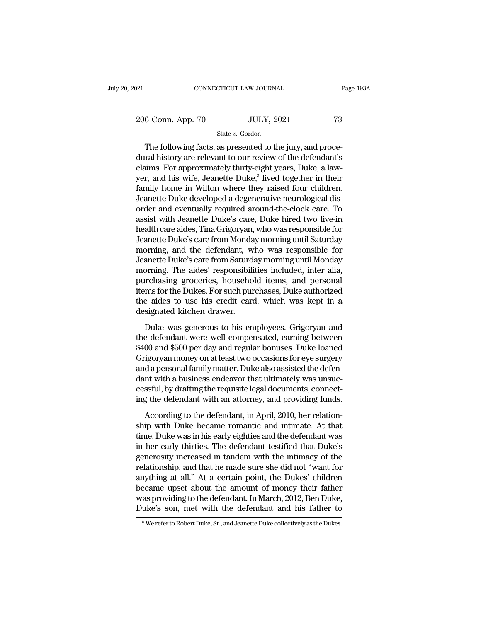21 CONNECTICUT LAW JOURNAL Page 193A<br>
206 Conn. App. 70 JULY, 2021 73<br>
State v. Gordon State *v.* Gordon

CONNECTICUT LAW JOURNAL<br>
6 Conn. App. 70 JULY, 2021 73<br>
State v. Gordon<br>
The following facts, as presented to the jury, and proce-<br>
The following facts, as presented to the jury, and proce-<br>
The following facts as presente 206 Conn. App. 70 JULY, 2021 73<br>
State v. Gordon<br>
The following facts, as presented to the jury, and procedural history are relevant to our review of the defendant's<br>
claims. For approximately thirty-eight years, Duke, a 206 Conn. App. 70 JULY, 2021 73<br>
State v. Gordon<br>
The following facts, as presented to the jury, and procedural history are relevant to our review of the defendant's<br>
claims. For approximately thirty-eight years, Duke, a 206 Conn. App. 70 JULY, 20<br>
State v. Gordon<br>
The following facts, as presented to the<br>
dural history are relevant to our review of<br>
claims. For approximately thirty-eight ye<br>
yer, and his wife, Jeanette Duke,<sup>3</sup> lived<br>
fa  $\frac{X}{X}$ , 2021<br>to the jury, and proce-<br>iew of the defendant's<br>ght years, Duke, a law-<br>lived together in their<br>tive nour children. Family home in Wilton where they raised four children.<br>Jesuite where the same in State where the selection of the defendant's<br>claims. For approximately thirty-eight years, Duke, a law-<br>yer, and his wife, Jeanette Duke,<sup>3</sup> State  $v$ . Gordon<br>The following facts, as presented to the jury, and proce-<br>dural history are relevant to our review of the defendant's<br>claims. For approximately thirty-eight years, Duke, a law-<br>yer, and his wife, Jeanett The following facts, as presented to the jury, and procedural history are relevant to our review of the defendant's claims. For approximately thirty-eight years, Duke, a lawyer, and his wife, Jeanette Duke,<sup>3</sup> lived togeth dural history are relevant to our review of the defendant's<br>claims. For approximately thirty-eight years, Duke, a law-<br>yer, and his wife, Jeanette Duke,<sup>3</sup> lived together in their<br>family home in Wilton where they raised fo claims. For approximately thirty-eight years, Duke, a law-<br>yer, and his wife, Jeanette Duke,<sup>3</sup> lived together in their<br>family home in Wilton where they raised four children.<br>Jeanette Duke developed a degenerative neurolog yer, and his wife, Jeanette Duke,<sup>3</sup> lived together in their<br>family home in Wilton where they raised four children.<br>Jeanette Duke developed a degenerative neurological dis-<br>order and eventually required around-the-clock ca family home in Wilton where they raised four children.<br>Jeanette Duke developed a degenerative neurological dis-<br>order and eventually required around-the-clock care. To<br>assist with Jeanette Duke's care, Duke hired two live-Jeanette Duke developed a degenerative neurological dis-<br>order and eventually required around-the-clock care. To<br>assist with Jeanette Duke's care, Duke hired two live-in<br>health care aides, Tina Grigoryan, who was responsib order and eventually required around-the-clock care. To<br>assist with Jeanette Duke's care, Duke hired two live-in<br>health care aides, Tina Grigoryan, who was responsible for<br>Jeanette Duke's care from Monday morning until Sat assist with Jeanette Duke's care, Duke hired two live-in<br>health care aides, Tina Grigoryan, who was responsible for<br>Jeanette Duke's care from Monday morning until Saturday<br>morning, and the defendant, who was responsible fo health care aides, Tina Grigoryan, who was responsible for<br>Jeanette Duke's care from Monday morning until Saturday<br>morning, and the defendant, who was responsible for<br>Jeanette Duke's care from Saturday morning until Monday Jeanette Duke's care from Monday morning until Saturday<br>morning, and the defendant, who was responsible for<br>Jeanette Duke's care from Saturday morning until Monday<br>morning. The aides' responsibilities included, inter alia, morning, and the defendant, w.<br>Jeanette Duke's care from Saturd:<br>morning. The aides' responsibili<br>purchasing groceries, househo.<br>items for the Dukes. For such pur<br>the aides to use his credit care<br>designated kitchen drawer. be was generous to his employees. Duke learned was generous to his employees. The aides to use his credit card, which was kept in a signated kitchen drawer.<br>Duke was generous to his employees. Grigoryan and edefendant were mortang. The dates responsionated included, matrixia,<br>purchasing groceries, household items, and personal<br>items for the Dukes. For such purchases, Duke authorized<br>the aides to use his credit card, which was kept in a<br>desig

parentisms greeches, household herns, and personal<br>items for the Dukes. For such purchases, Duke authorized<br>the aides to use his credit card, which was kept in a<br>designated kitchen drawer.<br>Duke was generous to his employee Fraction of the Dates. For stern parentales, Date dialitorized<br>the aides to use his credit card, which was kept in a<br>designated kitchen drawer.<br>Duke was generous to his employees. Grigoryan and<br>the defendant were well comp are takes to the ris create eard, which was kept in a<br>designated kitchen drawer.<br>Duke was generous to his employees. Grigoryan and<br>the defendant were well compensated, earning between<br>\$400 and \$500 per day and regular bonu Duke was generous to his employees. Grigoryan and<br>the defendant were well compensated, earning between<br>\$400 and \$500 per day and regular bonuses. Duke loaned<br>Grigoryan money on at least two occasions for eye surgery<br>and a Duke was generous to his employees. Grigoryan and<br>the defendant were well compensated, earning between<br>\$400 and \$500 per day and regular bonuses. Duke loaned<br>Grigoryan money on at least two occasions for eye surgery<br>and a the defendant were well compensated, earning between<br>\$400 and \$500 per day and regular bonuses. Duke loaned<br>Grigoryan money on at least two occasions for eye surgery<br>and a personal family matter. Duke also assisted the def For any analogonal sonasser. Same reading<br>digoryan money on at least two occasions for eye surgery<br>d a personal family matter. Duke also assisted the defen-<br>mt with a business endeavor that ultimately was unsuc-<br>ssful, by ship with a business emback and a personal family matter. Duke also assisted the defendant with a business endeavor that ultimately was unsuccessful, by drafting the requisite legal documents, connecting the defendant with

and personal ranny matter. B and also assisted are defect<br>dant with a business endeavor that ultimately was unsuc-<br>cessful, by drafting the requisite legal documents, connect-<br>ing the defendant with an attorney, and provid data which a statistic entitled of that distinctly with distinct cessful, by drafting the requisite legal documents, connecting the defendant with an attorney, and providing funds.<br>According to the defendant, in April, 201 ing the defendant with an attorney, and providing funds.<br>According to the defendant, in April, 2010, her relationship with Duke became romantic and intimate. At that<br>time, Duke was in his early eighties and the defendant w According to the defendant, in April, 2010, her relationship with Duke became romantic and intimate. At that time, Duke was in his early eighties and the defendant was in her early thirties. The defendant testified that Du According to the defendant, in April, 2010, her relationship with Duke became romantic and intimate. At that time, Duke was in his early eighties and the defendant was in her early thirties. The defendant testified that Du ship with Duke became romantic and intimate. At that<br>time, Duke was in his early eighties and the defendant was<br>in her early thirties. The defendant testified that Duke's<br>generosity increased in tandem with the intimacy of time, Duke was in his early eighties and the defendant was<br>in her early thirties. The defendant testified that Duke's<br>generosity increased in tandem with the intimacy of the<br>relationship, and that he made sure she did not in her early thirties. The defendant testified that Duke's<br>generosity increased in tandem with the intimacy of the<br>relationship, and that he made sure she did not "want for<br>anything at all." At a certain point, the Dukes' anything at all." At a certain point, the Dukes' children<br>became upset about the amount of money their father<br>was providing to the defendant. In March, 2012, Ben Duke,<br>Duke's son, met with the defendant and his father to<br>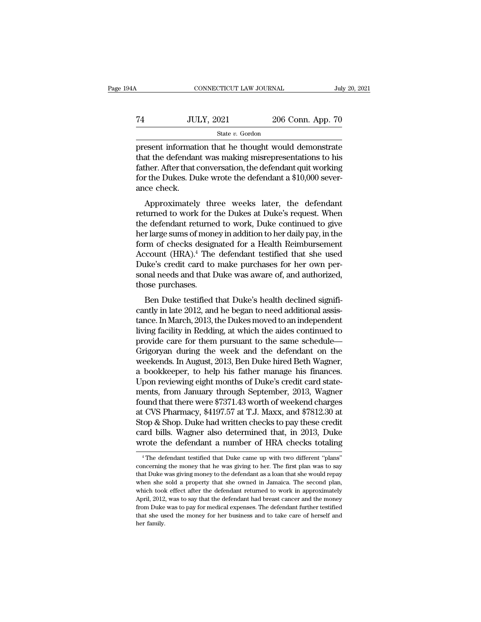# $\begin{array}{r|l} \text{CONNECTICUT LAW JOURNAL} & \text{July 20, 2021} \\ \hline \end{array}$ State *v.* Gordon

FREE CONNECTICUT LAW JOURNAL July 20, 2021<br>
TA JULY, 2021 206 Conn. App. 70<br>
State v. Gordon<br>
Present information that he thought would demonstrate<br>
that the defendant was making misrepresentations to his<br>
father After th T4 JULY, 2021 206 Conn. App. 70<br>
State v. Gordon<br>
present information that he thought would demonstrate<br>
that the defendant was making misrepresentations to his<br>
father. After that conversation, the defendant quit working Father. After that conversation, the defendant as  $\frac{306 \text{ Conn.} \text{ App. 70}}{\text{present information that he thought would demonstrate that the defendant was making misrepresentations to his father. After that conversation, the defendant quit working for the Dukes. Duke wrote the defendant a $10,000 sever-  
ence check$ For the DuLy, 2021 and 206 Conn. App. 70<br>  $\frac{3}{2}$  State v. Gordon<br>
present information that he thought would demonstrate<br>
that the defendant was making misrepresentations to his<br>
father. After that conversation, the def France of the present information<br>that the defendant<br>father. After that of<br>the Dukes. Du<br>ance check.<br>Approximately Exercise formation that he thought would demonstrate<br>at the defendant was making misrepresentations to his<br>ther. After that conversation, the defendant quit working<br>r the Dukes. Duke wrote the defendant a \$10,000 sever-<br>ce present mormation that he thought would dentonsuate<br>that the defendant was making misrepresentations to his<br>father. After that conversation, the defendant quit working<br>for the Dukes. Duke wrote the defendant a \$10,000 seve

the defendant was making misrepresentations to his<br>father. After that conversation, the defendant quit working<br>for the Dukes. Duke wrote the defendant a \$10,000 sever-<br>ance check.<br>Approximately three weeks later, the defen here is a conversation, the defendant duit working<br>for the Dukes. Duke wrote the defendant a \$10,000 sever-<br>ance check.<br>Approximately three weeks later, the defendant<br>returned to work for the Dukes at Duke's request. When<br> for the bukes. Duke whole the defendant a  $\psi$ 10,000 sever-<br>ance check.<br>Approximately three weeks later, the defendant<br>returned to work for the Dukes at Duke's request. When<br>the defendant returned to work, Duke continued Approximately three weeks later, the defendant<br>returned to work for the Dukes at Duke's request. When<br>the defendant returned to work, Duke continued to give<br>her large sums of money in addition to her daily pay, in the<br>form Approximately three weeks later, the defendant<br>returned to work for the Dukes at Duke's request. When<br>the defendant returned to work, Duke continued to give<br>her large sums of money in addition to her daily pay, in the<br>form returned to work for the Dukes at Duke's request. When<br>the defendant returned to work, Duke continued to give<br>her large sums of money in addition to her daily pay, in the<br>form of checks designated for a Health Reimbursemen the defendant returnee<br>her large sums of mone<br>form of checks desigr<br>Account (HRA).<sup>4</sup> The<br>Duke's credit card to<br>sonal needs and that L<br>those purchases.<br>Ben Duke testified t Frage sants of money in addition to her dany pay, in the<br>transferred to the defendant testified that she used<br>uke's credit card to make purchases for her own per-<br>nal needs and that Duke was aware of, and authorized,<br>ose p From or checks designated for a freader testified that she used<br>Duke's credit card to make purchases for her own per-<br>sonal needs and that Duke was aware of, and authorized,<br>those purchases.<br>Ben Duke testified that Duke's

Frecount (FRA). The detendant testined that site discursed Duke's credit card to make purchases for her own personal needs and that Duke was aware of, and authorized, those purchases.<br>Ben Duke testified that Duke's health Buke s creat card to hake parenases for her own per-<br>sonal needs and that Duke was aware of, and authorized,<br>those purchases.<br>Ben Duke testified that Duke's health declined signifi-<br>cantly in late 2012, and he began to nee sonal nects and that Duke was aware of, and authorized,<br>those purchases.<br>Ben Duke testified that Duke's health declined significantly in late 2012, and he began to need additional assis-<br>tance. In March, 2013, the Dukes mo Grigoryan during the week and the defined significantly in late 2012, and he began to need additional assistance. In March, 2013, the Dukes moved to an independent living facility in Redding, at which the aides continued t Ben Duke testified that Duke's health declined significantly in late 2012, and he began to need additional assistance. In March, 2013, the Dukes moved to an independent living facility in Redding, at which the aides contin cantly in late 2012, and he began to need additional assistance. In March, 2013, the Dukes moved to an independent<br>living facility in Redding, at which the aides continued to<br>provide care for them pursuant to the same sche tance. In March, 2013, the Dukes moved to an independent<br>living facility in Redding, at which the aides continued to<br>provide care for them pursuant to the same schedule—<br>Grigoryan during the week and the defendant on the<br>w living facility in Redding, at which the aides continued to<br>provide care for them pursuant to the same schedule—<br>Grigoryan during the week and the defendant on the<br>weekends. In August, 2013, Ben Duke hired Beth Wagner,<br>a b provide care for them pursuant to the same schedule—<br>Grigoryan during the week and the defendant on the<br>weekends. In August, 2013, Ben Duke hired Beth Wagner,<br>a bookkeeper, to help his father manage his finances.<br>Upon revi Grigoryan during the week and the defendant on the weekends. In August, 2013, Ben Duke hired Beth Wagner, a bookkeeper, to help his father manage his finances.<br>Upon reviewing eight months of Duke's credit card statements, weekends. In August, 2013, Ben Duke hired Beth Wagner,<br>a bookkeeper, to help his father manage his finances.<br>Upon reviewing eight months of Duke's credit card state-<br>ments, from January through September, 2013, Wagner<br>foun a bookkeeper, to help his father manage his finances.<br>Upon reviewing eight months of Duke's credit card statements, from January through September, 2013, Wagner<br>found that there were \$7371.43 worth of weekend charges<br>at CV Upon reviewing eight months of Duke's credit card statements, from January through September, 2013, Wagner found that there were \$7371.43 worth of weekend charges at CVS Pharmacy, \$4197.57 at T.J. Maxx, and \$7812.30 at Sto  $\mu$  CVS Pharmacy, \$4197.57 at T.J. Maxx, and \$7812.30 at top & Shop. Duke had written checks to pay these credit ard bills. Wagner also determined that, in 2013, Duke rote the defendant a number of HRA checks totaling  $\$ Stop & Shop. Duke had written checks to pay these credit card bills. Wagner also determined that, in 2013, Duke wrote the defendant a number of HRA checks totaling  $\overline{ }^4$  The defendant testified that Duke came up with

card bills. Wagner also determined that, in 2013, Duke<br>wrote the defendant a number of HRA checks totaling<br><sup>4</sup>The defendant testified that Duke came up with two different "plans"<br>concerning the money that he was giving to where the defendant a number of HRA checks totaling<br>
<sup>4</sup> The defendant testified that Duke came up with two different "plans"<br>
concerning the money that he was giving to her. The first plan was to say<br>
that Duke was giving WHOLE LIFE DEFINIZION AT HUITDET OF THAT CHECKS LOCAING<br>
<sup>4</sup> The defendant testified that Duke came up with two different "plans"<br>
concerning the money that he was giving to her. The first plan was to say<br>
that Duke was gi <sup>4</sup> The defendant testified that Duke came up with two different "plans" concerning the money that he was giving to her. The first plan was to say that Duke was giving money to the defendant as a loan that she would repay concerning the money that he was giving to her. The first plan was to say that Duke was giving money to the defendant as a loan that she would repay when she sold a property that she owned in Jamaica. The second plan, whic but that Duke was giving money to the defendant as a loan that she would repay when she sold a property that she owned in Jamaica. The second plan, which took effect after the defendant returned to work in approximately Ap that Duke was giving money to the defendant as a loan that she would repay when she sold a property that she owned in Jamaica. The second plan, which took effect after the defendant returned to work in approximately April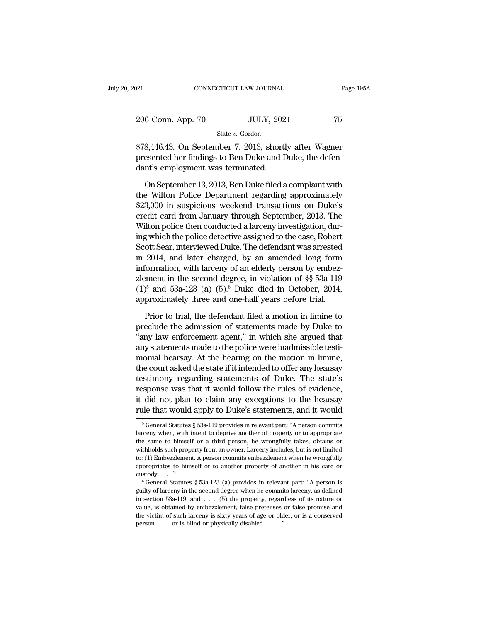| 2021              | CONNECTICUT LAW JOURNAL | Page 195A |
|-------------------|-------------------------|-----------|
| 206 Conn. App. 70 | <b>JULY, 2021</b>       | 75        |
|                   | State v. Gordon         |           |

EXERCITY DETERTION OF THE PAGE 1954<br>
206 Conn. App. 70 JULY, 2021 75<br>
378,446.43. On September 7, 2013, shortly after Wagner<br>
presented her findings to Ben Duke and Duke, the defendant's employment was terminated 206 Conn. App. 70 JULY, 2021 75<br>
State v. Gordon<br>
\$78,446.43. On September 7, 2013, shortly after Wagner<br>
presented her findings to Ben Duke and Duke, the defen-<br>
dant's employment was terminated.  $\begin{tabular}{ c c c} 206 Conn. App. 70 & JULY, 202 \\ & \rule{0pt}{3ex} \textbf{\textcolor{red}{\textbf{State }v. Gordon}}\\ \hline \textbf{\textcolor{red}{\textbf{878,446.43. On September 7, 2013, short}}\\ \textbf{\textcolor{red}{\textbf{presented her findings to Ben Duke and I}}\\ \textbf{\textcolor{red}{\textbf{dant's employment was terminated.}}\\ \textbf{\textcolor{red}{\textbf{On September 13,2013, Ben Duke filed a}}} \end{tabular}$  $\frac{\text{State } v. \text{ Gordon}}{\text{State } v. \text{ Gordon}}$ <br>  $\frac{\text{State } v. \text{ Gordon}}{\text{8,446.43. On September 7, 2013, shortly after Wagner}}$ <br>
esented her findings to Ben Duke and Duke, the defen-<br>
n's employment was terminated.<br>
On September 13, 2013, Ben Duke filed a complaint with<br>
e W

State v. Gordon<br>
\$78,446.43. On September 7, 2013, shortly after Wagner<br>
presented her findings to Ben Duke and Duke, the defen-<br>
dant's employment was terminated.<br>
On September 13, 2013, Ben Duke filed a complaint with<br> \$78,446.43. On September 7, 2013, shortly after Wagner<br>presented her findings to Ben Duke and Duke, the defen-<br>dant's employment was terminated.<br>On September 13, 2013, Ben Duke filed a complaint with<br>the Wilton Police Depa presented her findings to Ben Duke and Duke, the defendant's employment was terminated.<br>
On September 13, 2013, Ben Duke filed a complaint with<br>
the Wilton Police Department regarding approximately<br>
\$23,000 in suspicious w dant's employment was terminated.<br>
On September 13, 2013, Ben Duke filed a complaint with<br>
the Wilton Police Department regarding approximately<br>
\$23,000 in suspicious weekend transactions on Duke's<br>
credit card from Januar In the Wilton Police Department regarding approximately<br>the Wilton Police Department regarding approximately<br>\$23,000 in suspicious weekend transactions on Duke's<br>credit card from January through September, 2013. The<br>Wilton On September 13, 2013, Ben Duke filed a complaint with<br>the Wilton Police Department regarding approximately<br>\$23,000 in suspicious weekend transactions on Duke's<br>credit card from January through September, 2013. The<br>Wilton the Wilton Police Department regarding approximately<br>\$23,000 in suspicious weekend transactions on Duke's<br>credit card from January through September, 2013. The<br>Wilton police then conducted a larceny investigation, dur-<br>ing \$23,000 in suspicious weekend transactions on Duke's<br>credit card from January through September, 2013. The<br>Wilton police then conducted a larceny investigation, dur-<br>ing which the police detective assigned to the case, Ro credit card from January through September, 2013. The<br>Wilton police then conducted a larceny investigation, dur-<br>ing which the police detective assigned to the case, Robert<br>Scott Sear, interviewed Duke. The defendant was Wilton police then conducted a larceny investigation, during which the police detective assigned to the case, Robert Scott Sear, interviewed Duke. The defendant was arrested in 2014, and later charged, by an amended long ing which the police detective assigned to the case, Robert Scott Sear, interviewed Duke. The defendant was arrested in 2014, and later charged, by an amended long form information, with larceny of an elderly person by em 2014, and later charged, by an amended long form<br>formation, with larceny of an elderly person by embez-<br>ment in the second degree, in violation of §§ 53a-119<br> $^{5}$  and 53a-123 (a) (5).<sup>6</sup> Duke died in October, 2014,<br>proxi information, with larceny of an elderly person by embez-<br>zlement in the second degree, in violation of §§ 53a-119<br>(1)<sup>5</sup> and 53a-123 (a) (5).<sup>6</sup> Duke died in October, 2014,<br>approximately three and one-half years before tr

zlement in the second degree, in violation of §§ 53a-119<br>  $(1)^5$  and 53a-123  $(a)$   $(5)^6$  Duke died in October, 2014,<br>
approximately three and one-half years before trial.<br>
Prior to trial, the defendant filed a motion in l zlement in the second degree, in violation of  $\S$  53a-119 (1)<sup>5</sup> and 53a-123 (a) (5).<sup>6</sup> Duke died in October, 2014, approximately three and one-half years before trial.<br>Prior to trial, the defendant filed a motion in lim approximately three and one-half years before trial.<br>
Prior to trial, the defendant filed a motion in limine to<br>
preclude the admission of statements made by Duke to<br>
"any law enforcement agent," in which she argued that<br> Prior to trial, the defendant filed a motion in limine to<br>preclude the admission of statements made by Duke to<br>"any law enforcement agent," in which she argued that<br>any statements made to the police were inadmissible testi Prior to trial, the defendant filed a motion in limine to<br>preclude the admission of statements made by Duke to<br>"any law enforcement agent," in which she argued that<br>any statements made to the police were inadmissible testi preclude the admission of statements made by Duke to<br>"any law enforcement agent," in which she argued that<br>any statements made to the police were inadmissible testi-<br>monial hearsay. At the hearing on the motion in limine,<br> "any law enforcement agent," in which she argued that<br>any statements made to the police were inadmissible testi-<br>monial hearsay. At the hearing on the motion in limine,<br>the court asked the state if it intended to offer any any statements made to the police were inadmissible testi-<br>monial hearsay. At the hearing on the motion in limine,<br>the court asked the state if it intended to offer any hearsay<br>testimony regarding statements of Duke. The s testimony regarding statements of Duke. The state's<br>response was that it would follow the rules of evidence,<br>it did not plan to claim any exceptions to the hearsay<br>rule that would apply to Duke's statements, and it would<br> response was that it would follow the rules of evidence,<br>it did not plan to claim any exceptions to the hearsay<br>rule that would apply to Duke's statements, and it would<br> $\frac{1}{10}$ <br> $\frac{1}{10}$ <br> $\frac{1}{10}$ <br> $\frac{1}{10}$ <br> $\frac{1}{10$ 

it did not plan to claim any exceptions to the hearsay<br>rule that would apply to Duke's statements, and it would<br> $\frac{1}{100}$ <br> $\frac{1}{100}$ <br> $\frac{1}{100}$ <br> $\frac{1}{100}$ <br> $\frac{1}{100}$  scenar statutes § 53a-119 provides in relevant pa The that would apply to Duke's statements, and it would<br>
<sup>5</sup> General Statutes § 53a-119 provides in relevant part: "A person commits<br>
larceny when, with intent to deprive another of property or to appropriate<br>
the same to The trial would apply to Duke S statements, and it would<br>
<sup>5</sup> General Statutes § 53a-119 provides in relevant part: "A person commits<br>
larceny when, with intent to deprive another of property or to appropriate<br>
the same t <sup>5</sup> General Statutes § 53a-119 provides in relevant part: "A person commits larceny when, with intent to deprive another of property or to appropriate the same to himself or a third person, he wrongfully takes, obtains or larceny when, with intent to deprive another of property or to appropriate the same to himself or a third person, he wrongfully takes, obtains or withholds such property from an owner. Larceny includes, but is not limited withholds such property from an owner. Larceny includes, but is not limited to: (1) Embezzlement. A person commits embezzlement when he wrongfully appropriates to himself or to another property of another in his care or c

in section 53a-12, and . . . (5) the property of another in his care or custody. . . ."<br>  $\degree$  General Statutes § 53a-123 (a) provides in relevant part: "A person is guilty of larceny in the second degree when he commits l example of the mass of the matter of another property of another in his care or custody. . . ."<br>  $\circ$  General Statutes § 53a-123 (a) provides in relevant part: "A person is guilty of larceny in the second degree when he c the victim of sums of the substitute property of another in the case of calculations,  $\theta$  (General Statutes § 53a-123 (a) provides in relevant part: "A person is guilty of larceny in the second degree when he commits lar custody. . . ."<br>
<sup>6</sup> General Statutes § 53a-123 (a) provides in relevant part: "A person is guilty of larceny in the second degree when he commits larceny, as defined in section 53a-119, and . . . (5) the property, regard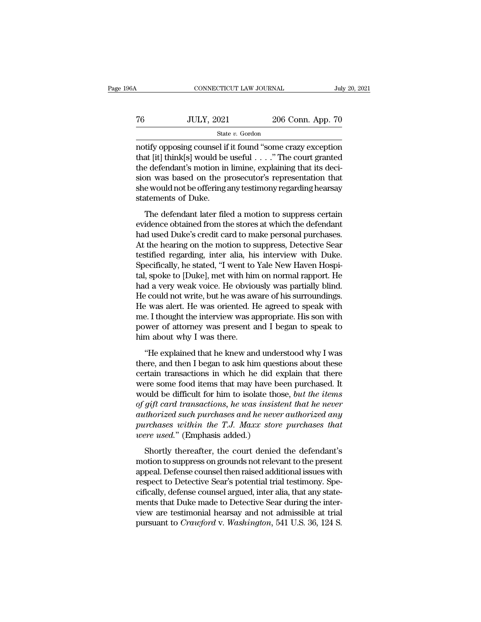| 6A | CONNECTICUT LAW JOURNAL |                   | July 20, 2021 |
|----|-------------------------|-------------------|---------------|
| 76 | <b>JULY, 2021</b>       | 206 Conn. App. 70 |               |
|    | State v. Gordon         |                   |               |

CONNECTICUT LAW JOURNAL July 20, 2021<br>
T6 JULY, 2021 206 Conn. App. 70<br>
State v. Gordon<br>
notify opposing counsel if it found "some crazy exception<br>
that [it] think[s] would be useful . . . . " The court granted<br>
the defend that [it] think[s] would be useful . . . .'' The court granted To the defendant of the deformation in limine, explaining that is decision was based on the prosecutor's representation that the defendant's motion in limine, explaining that its decision was based on the prosecutor's rep  $\begin{tabular}{ll} 76 & \text{JULY, } 2021 & \text{206 Conn. App. 70} \\ & \text{State $v$. Gordon} \\ \hline \end{tabular} \\ \begin{tabular}{ll} \hline \end{tabular} \\ \begin{tabular}{ll} \hline \end{tabular} \\ \begin{tabular}{ll} \hline \end{tabular} \\ \begin{tabular}{ll} \hline \end{tabular} \\ \begin{tabular}{ll} \hline \end{tabular} \\ \begin{tabular}{ll} \hline \end{tabular} \\ \begin{tabular}{ll} \hline \end{tabular} \\ \begin{tabular}{ll} \hline \end{tabular} \\ \begin{tabular}{ll} \hline \end{$ State v. Gordon<br>
state v. Gordon<br>
notify opposing counsel if it found "some crazy exception<br>
that [it] think[s] would be useful . . . . " The court granted<br>
the defendant's motion in limine, explaining that its deci-<br>
sio state<br>
notify opposing counsel if<br>
that [it] think[s] would be<br>
the defendant's motion in<br>
sion was based on the p<br>
she would not be offering a<br>
statements of Duke.<br>
The defendant later file any opposing courser in a round some erazy exception<br>at [it] think[s] would be useful  $\ldots$ ." The court granted<br>e defendant's motion in limine, explaining that its deci-<br>on was based on the prosecutor's representation tha the defendant's motion in limine, explaining that its decision was based on the prosecutor's representation that<br>she would not be offering any testimony regarding hearsay<br>statements of Duke.<br>The defendant later filed a mo

are detendant s modon in infinite, explaining diat its determined signal state in words based on the prosecutor's representation that she would not be offering any testimony regarding hearsay statements of Duke.<br>The defend Short was based on the prosecutor's representation that<br>she would not be offering any testimony regarding hearsay<br>statements of Duke.<br>The defendant later filed a motion to suppress certain<br>evidence obtained from the stores statements of Duke.<br>The defendant later filed a motion to suppress certain<br>evidence obtained from the stores at which the defendant<br>had used Duke's credit card to make personal purchases.<br>At the hearing on the motion to su The defendant later filed a motion to suppress certain<br>evidence obtained from the stores at which the defendant<br>had used Duke's credit card to make personal purchases.<br>At the hearing on the motion to suppress, Detective Se The defendant later filed a motion to suppress certain<br>evidence obtained from the stores at which the defendant<br>had used Duke's credit card to make personal purchases.<br>At the hearing on the motion to suppress, Detective Se evidence obtained from the stores at which the defendant<br>had used Duke's credit card to make personal purchases.<br>At the hearing on the motion to suppress, Detective Sear<br>testified regarding, inter alia, his interview with had used Duke's credit card to make personal purchases.<br>At the hearing on the motion to suppress, Detective Sear<br>testified regarding, inter alia, his interview with Duke.<br>Specifically, he stated, "I went to Yale New Haven At the hearing on the motion to suppress, Detective Sear<br>testified regarding, inter alia, his interview with Duke.<br>Specifically, he stated, "I went to Yale New Haven Hospi-<br>tal, spoke to [Duke], met with him on normal rapp testified regarding, inter alia, his interview with Duke.<br>Specifically, he stated, "I went to Yale New Haven Hospital, spoke to [Duke], met with him on normal rapport. He<br>had a very weak voice. He obviously was partially b Specifically, he stated, "I went to Yale New Haven Hospital, spoke to [Duke], met with him on normal rapport. He had a very weak voice. He obviously was partially blind. He could not write, but he was aware of his surround tal, spoke to [Duke], met with hin<br>had a very weak voice. He obviou<br>He could not write, but he was aw<br>He was alert. He was oriented. H<br>me. I thought the interview was ap<br>power of attorney was present a<br>him about why I was Explained that he knew and understood why I was ere, and then I began to speak he knew and understood why I was ere, and then I began to speak he knew and understood why I was ere, and then I began to ask him questions abo The was alert. He was oriented. He agreed to speak with<br>me. I thought the interview was appropriate. His son with<br>power of attorney was present and I began to speak to<br>him about why I was there.<br>"He explained that he knew

The was dietric in was offerned. The agreed to speak with<br>me. I thought the interview was appropriate. His son with<br>power of attorney was present and I began to speak to<br>him about why I was there.<br>"He explained that he kne power of attorney was present and I began to speak to<br>him about why I was there.<br>"He explained that he knew and understood why I was<br>there, and then I began to ask him questions about these<br>certain transactions in which h bowel of allowing was present and 1 began to speak to<br>him about why I was there.<br>"He explained that he knew and understood why I was<br>there, and then I began to ask him questions about these<br>certain transactions in which he <sup>of the</sup> explained that he knew and understood why I was there, and then I began to ask him questions about these certain transactions in which he did explain that there were some food items that may have been purchased. I "He explained that he knew and understood why I was<br>there, and then I began to ask him questions about these<br>certain transactions in which he did explain that there<br>were some food items that may have been purchased. It<br>wou there, and then I began to ask him questions about these<br>certain transactions in which he did explain that there<br>were some food items that may have been purchased. It<br>would be difficult for him to isolate those, *but the i* certain transactions in which he did exere some food items that may have be would be difficult for him to isolate tho of gift card transactions, he was insistant authorized such purchases and he never purchases within the bould be difficult for him to isolate those, *but the items*<br>gift card transactions, *he was insistent that he never*<br>tthorized such purchases and *he never* authorized any<br>prehases within the T.J. Maxx store purchases tha modal be different to that to solar different that he never of gift card transactions, he was insistent that he never authorized any purchases within the T.J. Maxx store purchases that were used." (Emphasis added.)<br>Shortl

authorized such purchases and he never authorized any<br>purchases within the T.J. Maxx store purchases that<br>were used." (Emphasis added.)<br>Shortly thereafter, the court denied the defendant's<br>motion to suppress on grounds not purchases within the T.J. Maxx store purchases that<br>purchases within the T.J. Maxx store purchases that<br>were used." (Emphasis added.)<br>Shortly thereafter, the court denied the defendant's<br>motion to suppress on grounds not r parentation was 1.5. That they parentated water<br>were used." (Emphasis added.)<br>Shortly thereafter, the court denied the defendant's<br>motion to suppress on grounds not relevant to the present<br>appeal. Defense counsel then rais Shortly thereafter, the court denied the defendant's<br>motion to suppress on grounds not relevant to the present<br>appeal. Defense counsel then raised additional issues with<br>respect to Detective Sear's potential trial testimo Shortly thereafter, the court denied the defendant's<br>motion to suppress on grounds not relevant to the present<br>appeal. Defense counsel then raised additional issues with<br>respect to Detective Sear's potential trial testimon motion to suppress on grounds not relevant to the present appeal. Defense counsel then raised additional issues with respect to Detective Sear's potential trial testimony. Specifically, defense counsel argued, inter alia,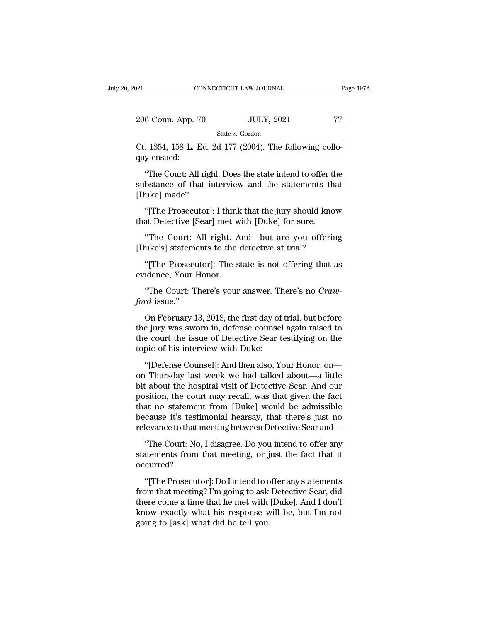| :021                                                                    | CONNECTICUT LAW JOURNAL                                   | Page 197A |
|-------------------------------------------------------------------------|-----------------------------------------------------------|-----------|
| 206 Conn. App. 70                                                       | <b>JULY, 2021</b>                                         | 77        |
|                                                                         | State v. Gordon                                           |           |
| Ct. 1354, 158 L. Ed. 2d 177 (2004). The following collo-<br>quy ensued: |                                                           |           |
|                                                                         | "The Court: All right. Does the state intend to offer the |           |

 $\frac{6 \text{ Conn. App. 70}}{\text{State } v. \text{ Gordon}}$ <br>
. 1354, 158 L. Ed. 2d 177 (2004). The following collo-<br>
y ensued:<br>
"The Court: All right. Does the state intend to offer the bstance of that interview and the statements that<br>
ukal made? 206 Conn. App. 70  $3$  JULY, 2021  $2$  TT<br>
State v. Gordon<br>
Ct. 1354, 158 L. Ed. 2d 177 (2004). The following collo-<br>
quy ensued:<br>
"The Court: All right. Does the state intend to offer the<br>
substance of that interview and t <sup>St:</sup><br>Ct. 1354, 158 L. Ed. 2d<br>quy ensued:<br>"The Court: All right. I<br>substance of that inte<br>[Duke] made?<br>"[The Prosecutor]: I . 1354, 158 L. Ed. 2d 177 (2004). The following collo-<br>y ensued:<br>"The Court: All right. Does the state intend to offer the<br>bstance of that interview and the statements that<br>uke] made?<br>"[The Prosecutor]: I think that the ju quy ensued:<br>
"The Court: All right. Does the state intend to offer tl<br>
substance of that interview and the statements th<br>
[Duke] made?<br>
"[The Prosecutor]: I think that the jury should kno<br>
that Detective [Sear] met with [D "The Court: All right. Does the state intend to offer the<br>bstance of that interview and the statements that<br>uke] made?<br>"[The Prosecutor]: I think that the jury should know<br>at Detective [Sear] met with [Duke] for sure.<br>"The

substance of that interview and the statements that<br>[Duke] made?<br>"[The Prosecutor]: I think that the jury should know<br>that Detective [Sear] met with [Duke] for sure.<br>"The Court: All right. And—but are you offering<br>[Duke's] "[The Prosecutor]: I think that the jury should know<br>at Detective [Sear] met with [Duke] for sure.<br>"The Court: All right. And—but are you offering<br>uke's] statements to the detective at trial?<br>"[The Prosecutor]: The state i "[The Prosecutor]: I think<br>that Detective [Sear] met w<br>"The Court: All right. A<br>[Duke's] statements to the of<br>"[The Prosecutor]: The si<br>evidence, Your Honor.<br>"The Court: There's your "The Court: All right. And—but are you offering<br>uke's] statements to the detective at trial?<br>"[The Prosecutor]: The state is not offering that as<br>idence, Your Honor.<br>"The Court: There's your answer. There's no *Craw-*<br>rd i

*ford* issue.''

"[The Prosecutor]: The state is not offering that as<br>idence, Your Honor.<br>"The Court: There's your answer. There's no *Craw-*<br>rd issue."<br>On February 13, 2018, the first day of trial, but before<br>e jury was sworn in, defense "[The Prosecutor]: The state is not offering that as<br>evidence, Your Honor.<br>"The Court: There's your answer. There's no *Craw-<br>ford* issue."<br>On February 13, 2018, the first day of trial, but before<br>the jury was sworn in, de evidence, Your Honor.<br>
"The Court: There's your answer. There's no *Craw-<br>
ford* issue."<br>
On February 13, 2018, the first day of trial, but before<br>
the jury was sworn in, defense counsel again raised to<br>
the court the issu "The Court: There's your answer. There's your answer. There's your answer. There's with On February 13, 2018, the first day of the jury was sworn in, defense counse the court the issue of Detective Sear topic of his interv rd issue."<br>
On February 13, 2018, the first day of trial, but before<br>
e jury was sworn in, defense counsel again raised to<br>
e court the issue of Detective Sear testifying on the<br>
pic of his interview with Duke:<br>
"[Defense On February 13, 2018, the first day of trial, but before<br>the jury was sworn in, defense counsel again raised to<br>the court the issue of Detective Sear testifying on the<br>topic of his interview with Duke:<br>"[Defense Counsel]:

the jury was sworn in, defense counsel again raised to<br>the court the issue of Detective Sear testifying on the<br>topic of his interview with Duke:<br>"[Defense Counsel]: And then also, Your Honor, on—<br>on Thursday last week we h the court the issue of Detective Sear testifying on the<br>topic of his interview with Duke:<br>"[Defense Counsel]: And then also, Your Honor, on—<br>on Thursday last week we had talked about—a little<br>bit about the hospital visit o topic of his interview with Duke:<br>
"[Defense Counsel]: And then also, Your Honor, on—<br>
on Thursday last week we had talked about—a little<br>
bit about the hospital visit of Detective Sear. And our<br>
position, the court may re "[Defense Counsel]: And then also, Your Honor, on—<br>on Thursday last week we had talked about—a little<br>bit about the hospital visit of Detective Sear. And our<br>position, the court may recall, was that given the fact<br>that no "[Defense Counsel]: And then also, Your Honor, on—<br>on Thursday last week we had talked about—a little<br>bit about the hospital visit of Detective Sear. And our<br>position, the court may recall, was that given the fact<br>that no t about the hospital visit of Detective Sear. And our sition, the court may recall, was that given the fact at no statement from [Duke] would be admissible cause it's testimonial hearsay, that there's just no levance to th position, the court may recall, was that given the fact<br>that no statement from [Duke] would be admissible<br>because it's testimonial hearsay, that there's just no<br>relevance to that meeting between Detective Sear and—<br>"The Co

occurred? cause it's testimonial hearsay, that there's just no<br>levance to that meeting between Detective Sear and—<br>"The Court: No, I disagree. Do you intend to offer any<br>attements from that meeting, or just the fact that it<br>curred?<br>

relevance to that meeting between Detective Sear and—<br>
"The Court: No, I disagree. Do you intend to offer any<br>
statements from that meeting, or just the fact that it<br>
occurred?<br>
"[The Prosecutor]: Do I intend to offer any "The Court: No, I disagree. Do you intend to offer any<br>statements from that meeting, or just the fact that it<br>occurred?<br>"[The Prosecutor]: Do I intend to offer any statements<br>from that meeting? I'm going to ask Detective S statements from that meeting, or just the fact that it<br>occurred?<br>"[The Prosecutor]: Do I intend to offer any statements<br>from that meeting? I'm going to ask Detective Sear, did<br>there come a time that he met with [Duke]. And occurred?<br>
"[The Prosecutor]: Do I intend to o<br>
from that meeting? I'm going to ask<br>
there come a time that he met with<br>
know exactly what his response w<br>
going to [ask] what did he tell you.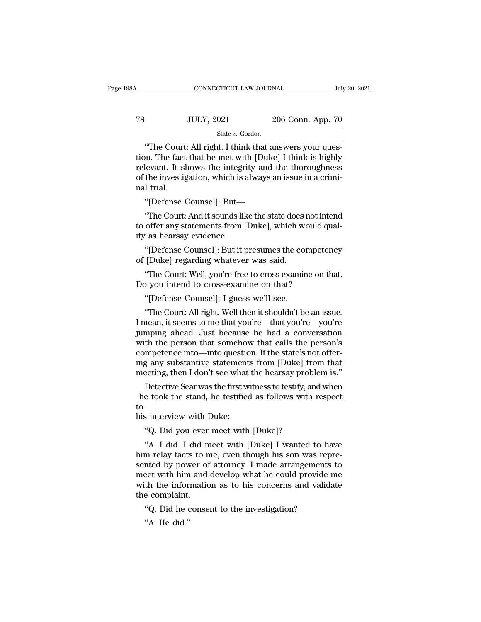# $\begin{tabular}{l l l l} \multicolumn{2}{c| l l} \multicolumn{2}{c| l} \multicolumn{2}{c| l} \multicolumn{2}{c| l} \multicolumn{2}{c| l} \multicolumn{2}{c| l} \multicolumn{2}{c| l} \multicolumn{2}{c| l} \multicolumn{2}{c| l} \multicolumn{2}{c| l} \multicolumn{2}{c| l} \multicolumn{2}{c| l} \multicolumn{2}{c| l} \multicolumn{2}{c| l} \multicolumn{2}{c| l} \multicolumn{2}{c| l} \multicolumn{2}{c| l} \multicolumn{2}{c| l} \multicolumn{2}{c| l$ State *v.* Gordon

CONNECTICUT LAW JOURNAL<br>
Jul<br>
JULY, 2021 206 Conn. App. 70<br>
State v. Gordon<br>
"The Court: All right. I think that answers your ques-<br>
Durant. The fact that he met with [Duke] I think is highly<br>
downt. It shows the integrity TR JULY, 2021 206 Conn. App. 70<br>State v. Gordon<br>"The Court: All right. I think that answers your question. The fact that he met with [Duke] I think is highly<br>relevant. It shows the integrity and the thoroughness<br>of the inv TREET THE TREAD TO STATE THE COULTY, 2021<br>
State v. Gordon<br>
The Court: All right. I think that answers your question. The fact that he met with [Duke] I think is highly<br>
relevant. It shows the integrity and the thoroughne TREET THE SUCKER ON THE STATE OF THE COUTE: All right. I think that answers your question. The fact that he met with [Duke] I think is highly relevant. It shows the integrity and the thoroughness of the investigation, whi The Court:<br>The Court<br>tion. The fact<br>relevant. It sh<br>of the investig<br>nal trial.<br>"[Defense ( "The Court: All right. I think that answers your<br>on. The fact that he met with [Duke] I think is h<br>levant. It shows the integrity and the thorough<br>the investigation, which is always an issue in a c<br>l trial.<br>"[Defense Couns on. The fact that he met with [Duke] I think is highly<br>levant. It shows the integrity and the thoroughness<br>the investigation, which is always an issue in a crimi-<br>l trial.<br>"[Defense Counsel]: But—<br>"The Court: And it sounds relevant. It shows the integrity and the thoroughness<br>of the investigation, which is always an issue in a crimi-<br>nal trial.<br>"[Defense Counsel]: But—<br>"The Court: And it sounds like the state does not intend<br>to offer any sta

of the investigation, which is a<br>mal trial.<br>"[Defense Counsel]: But—<br>"The Court: And it sounds lik<br>to offer any statements from [<br>ify as hearsay evidence.<br>"[Defense Counsel]: But it <sub>I</sub> 1 trial.<br>
"[Defense Counsel]: But—<br>
"The Court: And it sounds like the state does not intend<br>
offer any statements from [Duke], which would qual-<br>
" (Defense Counsel]: But it presumes the competency<br>
[Duke] regarding whate "[Defense Counsel]: But—<br>"The Court: And it sounds like the state does<br>to offer any statements from [Duke], which wify as hearsay evidence.<br>"[Defense Counsel]: But it presumes the co:<br>of [Duke] regarding whatever was said. "The Court: And it sounds like the state does not intend<br>offer any statements from [Duke], which would qual-<br>' as hearsay evidence.<br>"[Defense Counsel]: But it presumes the competency<br>[Duke] regarding whatever was said.<br>"Th to offer any statements from [Duke], which would quality as hearsay evidence.<br>
"[Defense Counsel]: But it presumes the compete of [Duke] regarding whatever was said.<br>
"The Court: Well, you're free to cross-examine on Do yo

The Valence of The Counsel]: But it presumes the concel (Duke] regarding whatever was said.<br>
"The Court: Well, you're free to cross-examine of you intend to cross-examine on that?<br>
"[Defense Counsel]: I guess we'll see.<br>
"

"[Defense Counsel]: But it presumes the competency<br>
[Duke] regarding whatever was said.<br>
"The Court: Well, you're free to cross-examine on that.<br>
"You intend to cross-examine on that?<br>
"[Defense Counsel]: I guess we'll see of [Duke] regarding whatever was said.<br>
"The Court: Well, you're free to cross-examine on that.<br>
Do you intend to cross-examine on that?<br>
"[Defense Counsel]: I guess we'll see.<br>
"The Court: All right. Well then it shouldn' "The Court: Well, you're free to cross-examine on that.<br>Do you intend to cross-examine on that?<br>"[Defense Counsel]: I guess we'll see.<br>"The Court: All right. Well then it shouldn't be an issue.<br>I mean, it seems to me that Do you intend to cross-examine on that?<br>
"[Defense Counsel]: I guess we'll see.<br>
"The Court: All right. Well then it shouldn't be an issue.<br>
I mean, it seems to me that you're—that you're—you're<br>
jumping ahead. Just becaus "[Defense Counsel]: I guess we'll see.<br>"The Court: All right. Well then it shouldn't be an issue.<br>I mean, it seems to me that you're—that you're—you're<br>jumping ahead. Just because he had a conversation<br>with the person that "[Derense Counsel]: I guess we'll see.<br>"The Court: All right. Well then it shouldn't be an issue.<br>I mean, it seems to me that you're—that you're—you're<br>jumping ahead. Just because he had a conversation<br>with the person that "The Court: All right. Well then it shouldn't be an issue.<br>I mean, it seems to me that you're—that you're—you're<br>jumping ahead. Just because he had a conversation<br>with the person that somehow that calls the person's<br>compet nean, it seems to me that you're—that you're—you're<br>mping ahead. Just because he had a conversation<br>th the person that somehow that calls the person's<br>mpetence into—into question. If the state's not offer-<br>g any substantiv umping ahead. Just because he had a conversation<br>vith the person that somehow that calls the person's<br>competence into—into question. If the state's not offer-<br>ng any substantive statements from [Duke] from that<br>meeting, th

to competence into—into questic<br>ing any substantive statement<br>meeting, then I don't see what<br>Detective Sear was the first w<br>he took the stand, he testified<br>to<br>his interview with Duke:<br>"Q. Did you ever meet with ing any substantive statements from [Duke] from that<br>
meeting, then I don't see what the hearsay problem is."<br>
Detective Sear was the first witness to testify, and when<br>
he took the stand, he testified as follows with resp Detective Sear was the first witness to testify, and when<br>
e took the stand, he testified as follows with respect<br>
s interview with Duke:<br>
"Q. Did you ever meet with [Duke]?<br>"A. I did. I did meet with [Duke] I wanted to ha

he took the stand, he testified as follows with respect<br>to<br>his interview with Duke:<br>"Q. Did you ever meet with [Duke]?<br>"A. I did. I did meet with [Duke] I wanted to have<br>him relay facts to me, even though his son was repre sented by power meet with [Duke]?<br>
"A. I did. I did meet with [Duke]?<br>
"A. I did. I did meet with [Duke] I wanted to have<br>
him relay facts to me, even though his son was repre-<br>
sented by power of attorney. I made arrangem his interview with Duke:<br>
"Q. Did you ever meet with [Duke]?<br>
"A. I did. I did meet with [Duke] I wanted to have<br>
him relay facts to me, even though his son was repre-<br>
sented by power of attorney. I made arrangements to<br> We concern the interest with the information as to his concerns and validate the complaint.<br>
We concern as to me, even though his son was represented by power of attorney. I made arrangements to meet with him and develop w "Q. Did you ever"<br>"A. I did. I did m<br>him relay facts to n<br>sented by power of<br>meet with him and<br>with the informatic<br>the complaint.<br>"Q. Did he conse "A. I did. I did meet with [Duke] I wanted to ham relay facts to me, even though his son was rep inted by power of attorney. I made arrangements eet with him and develop what he could provide ith the information as to his The did by pow<br>the did by pow<br>the the inforce complaint.<br>"Q. Did he did."<br>"A. He did."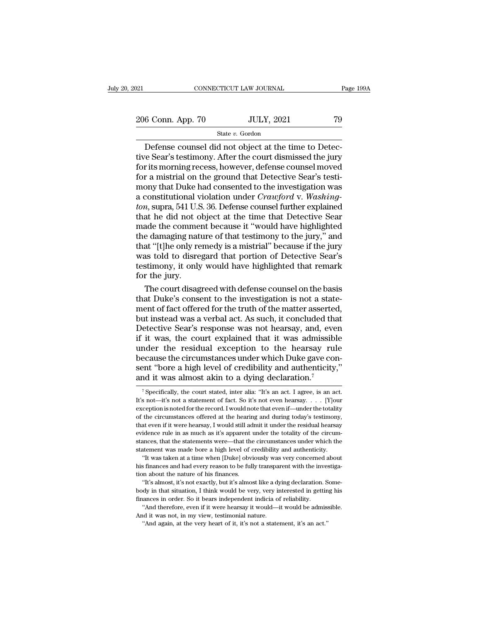### State *v.* Gordon

CONNECTICUT LAW JOURNAL<br>
6 Conn. App. 70 JULY, 2021 79<br>
State v. Gordon<br>
Defense counsel did not object at the time to Detec-<br>
The Sear's testimony. After the court dismissed the jury<br>
rits morning recess however, defense 206 Conn. App. 70 JULY, 2021 79<br>
State v. Gordon<br>
Defense counsel did not object at the time to Detective Sear's testimony. After the court dismissed the jury<br>
for its morning recess, however, defense counsel moved<br>
for a 206 Conn. App. 70 JULY, 2021 79<br>
State v. Gordon<br>
Defense counsel did not object at the time to Detective Sear's testimony. After the court dismissed the jury<br>
for its morning recess, however, defense counsel moved<br>
for a 206 Conn. App. 70 JULY, 2021 79<br>
State v. Gordon<br>
Defense counsel did not object at the time to Detective Sear's testimony. After the court dismissed the jury<br>
for its morning recess, however, defense counsel moved<br>
for a monthlying that  $\frac{1}{2}$  is that  $v$ . Gordon<br>Defense counsel did not object at the time to Detec-<br>tive Sear's testimony. After the court dismissed the jury<br>for its morning recess, however, defense counsel moved<br>for a mis <sup>State *v*. Gordon<br>Defense counsel did not object at the time to Detective Sear's testimony. After the court dismissed the jury<br>for its morning recess, however, defense counsel moved<br>for a mistrial on the ground that Detec</sup> Defense counsel did not object at the time to Detective Sear's testimony. After the court dismissed the jury for its morning recess, however, defense counsel moved for a mistrial on the ground that Detective Sear's testimo tive Sear's testimony. After the court dismissed the jury<br>for its morning recess, however, defense counsel moved<br>for a mistrial on the ground that Detective Sear's testi-<br>mony that Duke had consented to the investigation w for its morning recess, however, defense counsel moved<br>for a mistrial on the ground that Detective Sear's testi-<br>mony that Duke had consented to the investigation was<br>a constitutional violation under *Crawford* v. *Washing* for a mistrial on the ground that Detective Sear's testi-<br>mony that Duke had consented to the investigation was<br>a constitutional violation under *Crawford* v. *Washing-*<br>*ton*, supra, 541 U.S. 36. Defense counsel further e mony that Duke had consented to the investigation was<br>a constitutional violation under *Crawford v. Washing-<br>ton*, supra, 541 U.S. 36. Defense counsel further explained<br>that he did not object at the time that Detective Sea a constitutional violation under *Crawford* v. *Washing-<br>ton*, supra, 541 U.S. 36. Defense counsel further explained<br>that he did not object at the time that Detective Sear<br>made the comment because it "would have highlighte ton, supra, 541 U.S. 36. Defense counsel further explained<br>that he did not object at the time that Detective Sear<br>made the comment because it "would have highlighted<br>the damaging nature of that testimony to the jury," and<br> that he did not o<br>made the comme<br>the damaging nat<br>that "[t]he only re<br>was told to disre<br>testimony, it only<br>for the jury.<br>The court disag ade the comment because it "would have highlighted<br>e damaging nature of that testimony to the jury," and<br>at "[t]he only remedy is a mistrial" because if the jury<br>as told to disregard that portion of Detective Sear's<br>stimon the damaging nature of that testimony to the jury," and<br>that "[t]he only remedy is a mistrial" because if the jury<br>was told to disregard that portion of Detective Sear's<br>testimony, it only would have highlighted that remar

that "[t]he only remedy is a mistrial" because if the jury<br>was told to disregard that portion of Detective Sear's<br>testimony, it only would have highlighted that remark<br>for the jury.<br>The court disagreed with defense counsel was told to disregard that portion of Detective Sear's<br>testimony, it only would have highlighted that remark<br>for the jury.<br>The court disagreed with defense counsel on the basis<br>that Duke's consent to the investigation is n testimony, it only would have highlighted that remark<br>for the jury.<br>The court disagreed with defense counsel on the basis<br>that Duke's consent to the investigation is not a state-<br>ment of fact offered for the truth of the m for the jury.<br>
The court disagreed with defense counsel on the basis<br>
that Duke's consent to the investigation is not a state-<br>
ment of fact offered for the truth of the matter asserted,<br>
but instead was a verbal act. As s The court disagreed with defense counsel on the basis<br>that Duke's consent to the investigation is not a state-<br>ment of fact offered for the truth of the matter asserted,<br>but instead was a verbal act. As such, it concluded that Duke's consent to the investigation is not a statement of fact offered for the truth of the matter asserted, but instead was a verbal act. As such, it concluded that Detective Sear's response was not hearsay, and, eve ment of fact offered for the truth of the matter asserted,<br>but instead was a verbal act. As such, it concluded that<br>Detective Sear's response was not hearsay, and, even<br>if it was, the court explained that it was admissible but instead was a verbal act. As such, it concluded the Detective Sear's response was not hearsay, and, eve<br>if it was, the court explained that it was admissible<br>under the residual exception to the hearsay rul<br>because the nder the residual exception to the hearsay rule<br>ecause the circumstances under which Duke gave con-<br>ent "bore a high level of credibility and authenticity,"<br>ind it was almost akin to a dying declaration.<sup>7</sup><br><sup>7</sup>Specifically because the circumstances under which Duke gave consent "bore a high level of credibility and authenticity,"<br>and it was almost akin to a dying declaration.<sup>7</sup><br><sup>7</sup> Specifically, the court stated, inter alia: "It's an act. I

sent "bore a high level of credibility and authenticity,"<br>and it was almost akin to a dying declaration.<sup>7</sup><br><sup>7</sup> Specifically, the court stated, inter alia: "It's an act. I agree, is an act.<br>It's not—it's not a statement o sent bord a right level of electronicy and additionally,<br>and it was almost akin to a dying declaration.<sup>7</sup><br> $\frac{1}{\sqrt{2}}$  specifically, the court stated, inter alia: "It's an act. I agree, is an act.<br>It's not—it's not a sta and It was almost akin to a dying deciaration.<br>
<sup>7</sup> Specifically, the court stated, inter alia: "It's an act. I agree, is an act.<br>
It's not—it's not a statement of fact. So it's not even hearsay. . . . [Y]<br>
our exception <sup>7</sup> Specifically, the court stated, inter alia: "It's an act. I agree, is an act. It's not—it's not a statement of fact. So it's not even hearsay. . . . [Y]<br>our exception is noted for the record. I would note that even if It's not—it's not a statement of fact. So it's not even hearsay.  $\ldots$  [Y] our exception is noted for the record. I would note that even if—under the totality of the circumstances offered at the hearing and during today's exception is noted for the record. I would note that even if—uler the totality of the circumstances offered at the hearing and during today's testimony, that even if it were hearsay, I would still admit it under the residu the circumstances offered at the hearing and during today's testimony, at even if it were hearsay, I would still admit it under the residual hearsay idence rule in as much as it's apparent under the totality of the circumthat even if it were hearsay, I would still admit it under the residual hearsay evidence rule in as much as it's apparent under the totality of the circumstances, that the statements were—that the circumstances under which evidence rule in as much as it's apparent revidence rule in as much as it's apparent restances, that the statements were—that the statement was made bore a high level of c "It was taken at a time when [Duke] obvides financ

Find the statements were—that the circumstances under which the<br>annees, that the statements were—that the circumstances under which the<br>tement was made bore a high level of credibility and authenticity.<br>"It' was taken at a First was taken at a time when [Duke] obviously was very concerned<br>his finances and had every reason to be fully transparent with the inv-<br>tion about the nature of his finances.<br>"It's almost, it's not exactly, but it's alm

body in that situation, I think would be very, very interested in getting the situation about this finances and had every reason to be fully transparent with the investigation about the nature of his finances.<br>"It's almost <sup>1</sup> Therefore, and had every reason to be fully transparent with the investiga-<br>
in about the nature of his finances.<br>
"It's almost, it's not exactly, but it's almost like a dying declaration. Some-<br>
dy in that situation, tion about the nature of his finances.<br>
"It's almost, it's not exactly, but it's almost like a dying declaration. Some-<br>
body in that situation, I think would be very, very interested in getting his<br>
finances in order. So "It's almost, it's not exactly, but it's almost like a dying declaration. Some-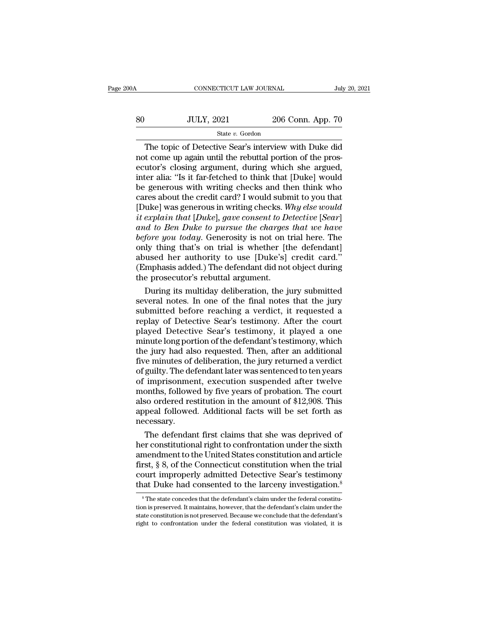| 00A | CONNECTICUT LAW JOURNAL |                   | July 20, 2021 |
|-----|-------------------------|-------------------|---------------|
| 80  | <b>JULY, 2021</b>       | 206 Conn. App. 70 |               |
|     | State v. Gordon         |                   |               |

CONNECTICUT LAW JOURNAL July 20, 2021<br>JULY, 2021 206 Conn. App. 70<br>State v. Gordon<br>The topic of Detective Sear's interview with Duke did<br>t come up again until the rebuttal portion of the pros-SO JULY, 2021 206 Conn. App. 70<br>
State v. Gordon<br>
The topic of Detective Sear's interview with Duke did<br>
not come up again until the rebuttal portion of the pros-<br>
ecutor's closing argument, during which she argued,<br>
inter So  $\frac{JULY, 2021}{\text{State } v. \text{ Gordon}}$  206 Conn. App. 70<br>  $\frac{\text{State } v. \text{ Gordon}}{\text{Tree of Detective Sear's interview with Duke did}}$ The topic of Detective Sear's interview with Duke did<br>
not come up again until the rebuttal portion of the prosecutor's closing argument, SO JULY, 2021 206 Conn. App. 70<br>
State v. Gordon<br>
The topic of Detective Sear's interview with Duke did<br>
not come up again until the rebuttal portion of the pros-<br>
ecutor's closing argument, during which she argued,<br>
inte Be generous with  $\frac{1}{2000}$  of Detective Sear's interview with Duke did<br>not come up again until the rebuttal portion of the pros-<br>ecutor's closing argument, during which she argued,<br>inter alia: "Is it far-fetched to thi State v. Gordon<br>The topic of Detective Sear's interview with Duke did<br>not come up again until the rebuttal portion of the pros-<br>ecutor's closing argument, during which she argued,<br>inter alia: "Is it far-fetched to think t The topic of Detective Sear's interview with Duke did<br>not come up again until the rebuttal portion of the pros-<br>ecutor's closing argument, during which she argued,<br>inter alia: "Is it far-fetched to think that [Duke] would<br> not come up again until the rebuttal portion of the prosecutor's closing argument, during which she argued, inter alia: "Is it far-fetched to think that [Duke] would be generous with writing checks and then think who cares *and to Ben argument, during which she argued,*<br> *and the argued inter alia:* "Is it far-fetched to think that [Duke] would<br>
be generous with writing checks and then think who<br>
cares about the credit card? I would submit t inter alia: "Is it far-fetched to think that [Duke] would<br>be generous with writing checks and then think who<br>cares about the credit card? I would submit to you that<br>[Duke] was generous in writing checks. *Why else would<br>it* be generous with writing checks and then think who<br>cares about the credit card? I would submit to you that<br>[Duke] was generous in writing checks. Why else would<br>it explain that [Duke], gave consent to Detective [Sear]<br>and cares about the credit card? I would submit to you that [Duke] was generous in writing checks. Why else would it explain that [Duke], gave consent to Detective [Sear] and to Ben Duke to pursue the charges that we have befo [Duke] was generous in writing checks. Why else would<br>it explain that [Duke], gave consent to Detective [Sear]<br>and to Ben Duke to pursue the charges that we have<br>before you today. Generosity is not on trial here. The<br>only it explain that [Duke], gave consent to De<br>and to Ben Duke to pursue the charges<br>before you today. Generosity is not on t<br>only thing that's on trial is whether [t]<br>abused her authority to use [Duke's]<br>(Emphasis added.) The id to Ben Duke to pursue the charges that we have<br>fore you today. Generosity is not on trial here. The<br>lly thing that's on trial is whether [the defendant]<br>used her authority to use [Duke's] credit card."<br>mphasis added.) T before you today. Generosity is not on trial here. The<br>only thing that's on trial is whether [the defendant]<br>abused her authority to use [Duke's] credit card."<br>(Emphasis added.) The defendant did not object during<br>the pros

only thing that's on trial is whether [the defendant]<br>abused her authority to use [Duke's] credit card."<br>(Emphasis added.) The defendant did not object during<br>the prosecutor's rebuttal argument.<br>During its multiday deliber abused her authority to use [Duke's] credit card."<br>(Emphasis added.) The defendant did not object during<br>the prosecutor's rebuttal argument.<br>During its multiday deliberation, the jury submitted<br>several notes. In one of the (Emphasis added.) The defendant did not object during<br>the prosecutor's rebuttal argument.<br>During its multiday deliberation, the jury submitted<br>several notes. In one of the final notes that the jury<br>submitted before reachin the prosecutor's rebuttal argument.<br>
During its multiday deliberation, the jury submitted<br>
several notes. In one of the final notes that the jury<br>
submitted before reaching a verdict, it requested a<br>
replay of Detective Se During its multiday deliberation, the jury submitted<br>several notes. In one of the final notes that the jury<br>submitted before reaching a verdict, it requested a<br>replay of Detective Sear's testimony. After the court<br>played D several notes. In one of the final notes that the jury<br>submitted before reaching a verdict, it requested a<br>replay of Detective Sear's testimony. After the court<br>played Detective Sear's testimony, it played a one<br>minute lon submitted before reaching a verdict, it requested a<br>replay of Detective Sear's testimony. After the court<br>played Detective Sear's testimony, it played a one<br>minute long portion of the defendant's testimony, which<br>the jury replay of Detective Sear's testimony. After the court<br>played Detective Sear's testimony, it played a one<br>minute long portion of the defendant's testimony, which<br>the jury had also requested. Then, after an additional<br>five m played Detective Sear's testimony, it played a one<br>minute long portion of the defendant's testimony, which<br>the jury had also requested. Then, after an additional<br>five minutes of deliberation, the jury returned a verdict<br>of minute long portion of the defendant's testimony, which<br>the jury had also requested. Then, after an additional<br>five minutes of deliberation, the jury returned a verdict<br>of guilty. The defendant later was sentenced to ten y the jury had also requested. Then, after an additional<br>five minutes of deliberation, the jury returned a verdict<br>of guilty. The defendant later was sentenced to ten years<br>of imprisonment, execution suspended after twelve<br>m necessary. guilty. The defendant later was sentenced to ten years<br>imprisonment, execution suspended after twelve<br>onths, followed by five years of probation. The court<br>so ordered restitution in the amount of \$12,908. This<br>peal followe of imprisonment, execution suspended after twelve<br>months, followed by five years of probation. The court<br>also ordered restitution in the amount of \$12,908. This<br>appeal followed. Additional facts will be set forth as<br>necess

months, followed by five years of probation. The court<br>also ordered restitution in the amount of \$12,908. This<br>appeal followed. Additional facts will be set forth as<br>necessary.<br>The defendant first claims that she was depri also ordered restitution in the amount of \$12,908. This<br>appeal followed. Additional facts will be set forth as<br>necessary.<br>The defendant first claims that she was deprived of<br>her constitutional right to confrontation under appeal followed. Additional facts will be set forth as<br>necessary.<br>The defendant first claims that she was deprived of<br>her constitutional right to confrontation under the sixth<br>amendment to the United States constitution an The defendant first claims that she was deprived of<br>her constitutional right to confrontation under the sixth<br>amendment to the United States constitution and article<br>first, § 8, of the Connecticut constitution when the tri mendment to the United States constitution and article rst, § 8, of the Connecticut constitution when the trial burt improperly admitted Detective Sear's testimony at Duke had consented to the larceny investigation.<sup>8</sup> Th first,  $\S$  8, of the Connecticut constitution when the trial<br>court improperly admitted Detective Sear's testimony<br>that Duke had consented to the larceny investigation.<sup>8</sup><br><sup>8</sup>The state concedes that the defendant's claim u

court improperly admitted Detective Sear's testimony<br>that Duke had consented to the larceny investigation.<sup>8</sup><br><sup>8</sup>The state concedes that the defendant's claim under the federal constitu-<br>tion is preserved. It maintains, ho that Duke had consented to the larceny investigation.<sup>8</sup><br><sup>8</sup>The state concedes that the defendant's claim under the federal constitution is preserved. It maintains, however, that the defendant's claim under the state const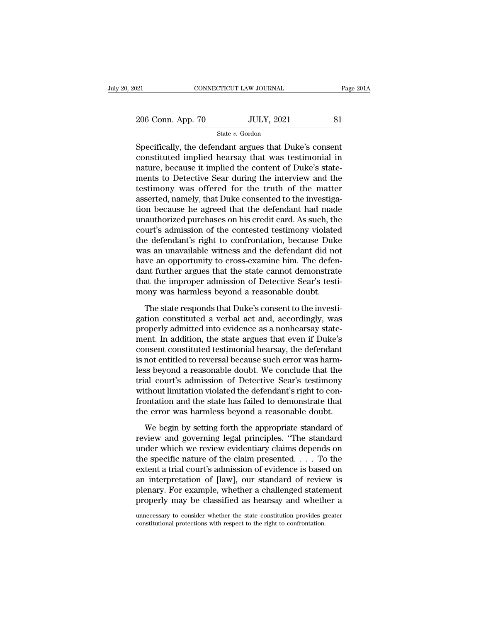21 CONNECTICUT LAW JOURNAL Page 2014<br>
206 Conn. App. 70 JULY, 2021 81<br>
State v. Gordon

State *v.* Gordon

 $\frac{1}{21}$  connectricut LAW JOURNAL Page  $201/2$ <br>  $\frac{206}{200}$  Conn. App. 70 JULY, 2021 81<br>
State v. Gordon<br>
Specifically, the defendant argues that Duke's consent<br>
constituted implied hearsay that was testimonial in 206 Conn. App. 70 JULY, 2021 81<br>
State v. Gordon<br>
Specifically, the defendant argues that Duke's consent<br>
constituted implied hearsay that was testimonial in<br>
nature, because it implied the content of Duke's state-206 Conn. App. 70 JULY, 2021 81<br>
State v. Gordon<br>
Specifically, the defendant argues that Duke's consent<br>
constituted implied hearsay that was testimonial in<br>
nature, because it implied the content of Duke's state-<br>
ments 206 Conn. App. 70 JULY, 2021 81<br>
State v. Gordon<br>
Specifically, the defendant argues that Duke's consent<br>
constituted implied hearsay that was testimonial in<br>
nature, because it implied the content of Duke's state-<br>
ments State v. Gordon<br>Specifically, the defendant argues that Duke's consent<br>constituted implied hearsay that was testimonial in<br>nature, because it implied the content of Duke's state-<br>ments to Detective Sear during the intervi Since  $v$ . Gordon<br>Specifically, the defendant argues that Duke's consent<br>constituted implied hearsay that was testimonial in<br>nature, because it implied the content of Duke's state-<br>ments to Detective Sear during the inter Specifically, the defendant argues that Duke's consent<br>constituted implied hearsay that was testimonial in<br>nature, because it implied the content of Duke's state-<br>ments to Detective Sear during the interview and the<br>testim constituted implied hearsay that was testimonial in<br>nature, because it implied the content of Duke's state-<br>ments to Detective Sear during the interview and the<br>testimony was offered for the truth of the matter<br>asserted, n nature, because it implied the content of Duke's statements to Detective Sear during the interview and the testimony was offered for the truth of the matter asserted, namely, that Duke consented to the investigation becaus ments to Detective Sear during the interview and the<br>testimony was offered for the truth of the matter<br>asserted, namely, that Duke consented to the investiga-<br>tion because he agreed that the defendant had made<br>unauthorized testimony was offered for the truth of the matter<br>asserted, namely, that Duke consented to the investiga-<br>tion because he agreed that the defendant had made<br>unauthorized purchases on his credit card. As such, the<br>court's a asserted, namely, that Duke consented to the investigation because he agreed that the defendant had made unauthorized purchases on his credit card. As such, the court's admission of the contested testimony violated the def tion because he agreed that the defendant had made<br>unauthorized purchases on his credit card. As such, the<br>court's admission of the contested testimony violated<br>the defendant's right to confrontation, because Duke<br>was an u unauthorized purchases on his credit card. As such, the court's admission of the contested testimony violated<br>the defendant's right to confrontation, because Duke<br>was an unavailable witness and the defendant did not<br>have a court's admission of the contested testimony violated<br>the defendant's right to confrontation, because Duke<br>was an unavailable witness and the defendant did no<br>have an opportunity to cross-examine him. The defen<br>dant furthe The state responds the defendant did not<br>as an unavailable witness and the defendant did not<br>we an opportunity to cross-examine him. The defen-<br>nt further argues that the state cannot demonstrate<br>at the improper admission have an opportunity to cross-examine him. The defendant further argues that the state cannot demonstrate<br>that the improper admission of Detective Sear's testi-<br>mony was harmless beyond a reasonable doubt.<br>The state respond

properly admitted into the state cannot demonstrate<br>that the improper admission of Detective Sear's testi-<br>mony was harmless beyond a reasonable doubt.<br>The state responds that Duke's consent to the investi-<br>gation constitu ment that the improper admission of Detective Sear's testi-<br>mony was harmless beyond a reasonable doubt.<br>The state responds that Duke's consent to the investi-<br>gation constituted a verbal act and, accordingly, was<br>properly compute the entity of the second of the defendant<br>mony was harmless beyond a reasonable doubt.<br>The state responds that Duke's consent to the investigation constituted a verbal act and, accordingly, was<br>properly admitted in The state responds that Duke's consent to the investigation constituted a verbal act and, accordingly, was properly admitted into evidence as a nonhearsay statement. In addition, the state argues that even if Duke's consen The state responds that Duke's consent to the investigation constituted a verbal act and, accordingly, was<br>properly admitted into evidence as a nonhearsay statement. In addition, the state argues that even if Duke's<br>consen gation constituted a verbal act and, accordingly, was<br>properly admitted into evidence as a nonhearsay statement. In addition, the state argues that even if Duke's<br>consent constituted testimonial hearsay, the defendant<br>is n properly admitted into evidence as a nonhearsay statement. In addition, the state argues that even if Duke's consent constituted testimonial hearsay, the defendant is not entitled to reversal because such error was harmles ment. In addition, the state argues that even if Duke's<br>consent constituted testimonial hearsay, the defendant<br>is not entitled to reversal because such error was harm-<br>less beyond a reasonable doubt. We conclude that the<br>t consent constituted testimonial hearsay, the defendant<br>is not entitled to reversal because such error was harm-<br>less beyond a reasonable doubt. We conclude that the<br>trial court's admission of Detective Sear's testimony<br>wit Expediance of the setting forth the conclude that the<br>solvend a reasonable doubt. We conclude that the<br>al court's admission of Detective Sear's testimony<br>thout limitation violated the defendant's right to con-<br>ontation and rese saysina a reasonable dollar the Sear's testimony<br>trial court's admission of Detective Sear's testimony<br>without limitation violated the defendant's right to con-<br>frontation and the state has failed to demonstrate that<br>

without limitation violated the defendant's right to con-<br>frontation and the state has failed to demonstrate that<br>the error was harmless beyond a reasonable doubt.<br>We begin by setting forth the appropriate standard of<br>revi frontation and the state has failed to demonstrate that<br>the error was harmless beyond a reasonable doubt.<br>We begin by setting forth the appropriate standard of<br>review and governing legal principles. "The standard<br>under wh restaurant and are state that tanted to derivative<br>the error was harmless beyond a reasonable doubt.<br>We begin by setting forth the appropriate standard of<br>review and governing legal principles. "The standard<br>under which we We begin by setting forth the appropriate standard of<br>review and governing legal principles. "The standard<br>under which we review evidentiary claims depends on<br>the specific nature of the claim presented.... To the<br>extent a We begin by setting forth the appropriate standard of<br>review and governing legal principles. "The standard<br>under which we review evidentiary claims depends on<br>the specific nature of the claim presented.  $\dots$  To the<br>extent review and governing legal principles. "The standard<br>under which we review evidentiary claims depends on<br>the specific nature of the claim presented.... To the<br>extent a trial court's admission of evidence is based on<br>an in extent a trial court's admission of evidence is based on<br>an interpretation of [law], our standard of review is<br>plenary. For example, whether a challenged statement<br>properly may be classified as hearsay and whether a<br>unnece properly may be classified as hearsay and whether a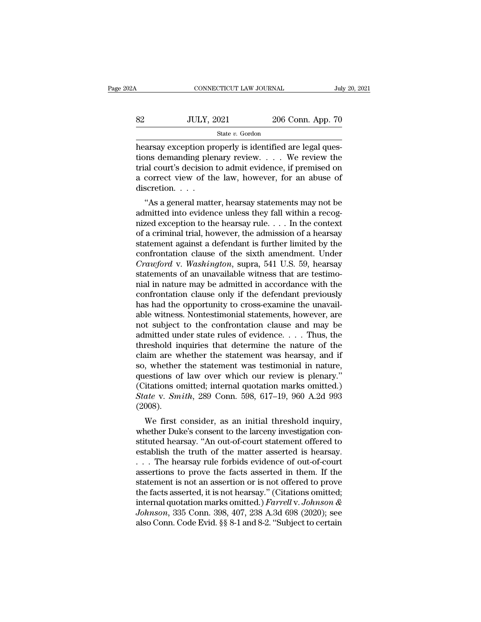| łА. | CONNECTICUT LAW JOURNAL |                   | July 20, 2021 |
|-----|-------------------------|-------------------|---------------|
|     |                         |                   |               |
| 82  | <b>JULY, 2021</b>       | 206 Conn. App. 70 |               |
|     | State v. Gordon         |                   |               |

CONNECTICUT LAW JOURNAL<br>
SUBSEX THE SUBSEX ONLY, 2021<br>
State v. Gordon<br>
Hearsay exception properly is identified are legal ques-<br>
tions demanding plenary review.... We review the<br>
trial court's docision to admit outdones i tions demanding plenary review. . . . We review the Se state v. Gordon<br>
State v. Gordon<br>
Rearsay exception properly is identified are legal questions demanding plenary review.... We review the<br>
trial court's decision to admit evidence, if premised on<br>
a correct view of the 32 JULY, 2021 206 Conn. App. 70<br>
State v. Gordon<br>
hearsay exception properly is identified are legal questions demanding plenary review. . . . We review the<br>
trial court's decision to admit evidence, if premised on<br>
a cor Mearsay exception pr<br>hearsay exception pr<br>tions demanding ple<br>trial court's decision<br>a correct view of th<br>discretion.... arsay exception properly is identified are legal ques-<br>
ons demanding plenary review.  $\ldots$  We review the<br>
al court's decision to admit evidence, if premised on<br>
correct view of the law, however, for an abuse of<br>
scretion rearsay exception property is identified are legal questions demanding plenary review.... We review the trial court's decision to admit evidence, if premised on a correct view of the law, however, for an abuse of discretio

First decision to admit evidence, if premised on<br>a correct view of the law, however, for an abuse of<br>discretion. . . .<br>"As a general matter, hearsay statements may not be<br>admitted into evidence unless they fall within a r That court states in to admitted vidence, if premised on<br>a correct view of the law, however, for an abuse of<br>discretion....<br>"As a general matter, hearsay statements may not be<br>admitted into evidence unless they fall withi a correct view of the faw, however, for an abuse of<br>discretion. . . .<br>"As a general matter, hearsay statements may not be<br>admitted into evidence unless they fall within a recog-<br>nized exception to the hearsay rule. . . . "As a general matter, hearsay statements may not be<br>admitted into evidence unless they fall within a recog-<br>nized exception to the hearsay rule.... In the context<br>of a criminal trial, however, the admission of a hearsay<br>s "As a general matter, hearsay statements may not be<br>admitted into evidence unless they fall within a recog-<br>nized exception to the hearsay rule. . . . In the context<br>of a criminal trial, however, the admission of a hearsay admitted into evidence unless they fall within a recognized exception to the hearsay rule. . . . In the context of a criminal trial, however, the admission of a hearsay statement against a defendant is further limited by mized exception to the hearsay rule. . . . In the context<br>of a criminal trial, however, the admission of a hearsay<br>statement against a defendant is further limited by the<br>confrontation clause of the sixth amendment. Under of a criminal trial, however, the admission of a hearsay<br>statement against a defendant is further limited by the<br>confrontation clause of the sixth amendment. Under<br>*Crawford* v. *Washington*, supra, 541 U.S. 59, hearsay<br>st statement against a defendant is further limited by the confrontation clause of the sixth amendment. Under *Crawford* v. *Washington*, supra, 541 U.S. 59, hearsay statements of an unavailable witness that are testimonial i confrontation clause of the sixth amendment. Under<br>Crawford v. Washington, supra, 541 U.S. 59, hearsay<br>statements of an unavailable witness that are testimo-<br>nial in nature may be admitted in accordance with the<br>confrontat Crawford v. Washington, supra, 541 U.S. 59, hearsay<br>statements of an unavailable witness that are testimo-<br>nial in nature may be admitted in accordance with the<br>confrontation clause only if the defendant previously<br>has ha statements of an unavailable witness that are testimo-<br>nial in nature may be admitted in accordance with the<br>confrontation clause only if the defendant previously<br>has had the opportunity to cross-examine the unavail-<br>able nial in nature may be admitted in accordance with the confrontation clause only if the defendant previously has had the opportunity to cross-examine the unavailable witness. Nontestimonial statements, however, are not subj confrontation clause only if the defendant previously<br>has had the opportunity to cross-examine the unavail-<br>able witness. Nontestimonial statements, however, are<br>not subject to the confrontation clause and may be<br>admitted has had the opportunity to cross-examine the unavailable witness. Nontestimonial statements, however, are not subject to the confrontation clause and may be admitted under state rules of evidence. . . . Thus, the threshold able witness. Nontestimonial statements, however, are<br>not subject to the confrontation clause and may be<br>admitted under state rules of evidence. . . . Thus, the<br>threshold inquiries that determine the nature of the<br>claim a not subject to the confrontation clause and may be admitted under state rules of evidence. . . . Thus, the threshold inquiries that determine the nature of the claim are whether the statement was hearsay, and if so, wheth admitted under state rules of evidence. . . . Thus, the<br>threshold inquiries that determine the nature of the<br>claim are whether the statement was hearsay, and if<br>so, whether the statement was testimonial in nature,<br>question (2008). in are whether the statement was hearsay, and in<br>, whether the statement was testimonial in nature,<br>estions of law over which our review is plenary."<br>itations omitted; internal quotation marks omitted.)<br>ate v. Smith, 289 C so, whether the statement was testhood in hattie,<br>questions of law over which our review is plenary."<br>(Citations omitted; internal quotation marks omitted.)<br>State v. Smith, 289 Conn. 598, 617–19, 960 A.2d 993<br>(2008).<br>We fi

questions of faw over writch our feview is plenary.<br>
(Citations omitted; internal quotation marks omitted.)<br> *State* v. *Smith*, 289 Conn. 598, 617–19, 960 A.2d 993<br>
(2008).<br>
We first consider, as an initial threshold inqu State v. Smith, 289 Conn. 598, 617–19, 960 A.2d 993<br>(2008).<br>We first consider, as an initial threshold inquiry,<br>whether Duke's consent to the larceny investigation con-<br>stituted hearsay. "An out-of-court statement offered State V. Smith, 289 Collit. 398, 017–19, 900 A.2d 995<br>(2008).<br>We first consider, as an initial threshold inquiry,<br>whether Duke's consent to the larceny investigation con-<br>stituted hearsay. "An out-of-court statement offer (2006).<br>We first consider, as an initial threshold inquiry,<br>whether Duke's consent to the larceny investigation con-<br>stituted hearsay. "An out-of-court statement offered to<br>establish the truth of the matter asserted is he We first consider, as an initial threshold inquiry,<br>whether Duke's consent to the larceny investigation con-<br>stituted hearsay. "An out-of-court statement offered to<br>establish the truth of the matter asserted is hearsay.<br>. whether Duke's consent to the larceny investigation constituted hearsay. "An out-of-court statement offered to establish the truth of the matter asserted is hearsay.<br>  $\dots$  The hearsay rule forbids evidence of out-of-court stituted hearsay. "An out-of-court statement offered to<br>establish the truth of the matter asserted is hearsay.<br>... The hearsay rule forbids evidence of out-of-court<br>assertions to prove the facts asserted in them. If the<br>st establish the truth of the matter asserted is hearsay.<br> *Johnson* is prove the facts asserted in them. If the statement is not an assertion or is not offered to prove<br>
the facts asserted, it is not hearsay." (Citations omi ... The hearsay rule forbids evidence of out-of-court assertions to prove the facts asserted in them. If the statement is not an assertion or is not offered to prove the facts asserted, it is not hearsay." (Citations omitt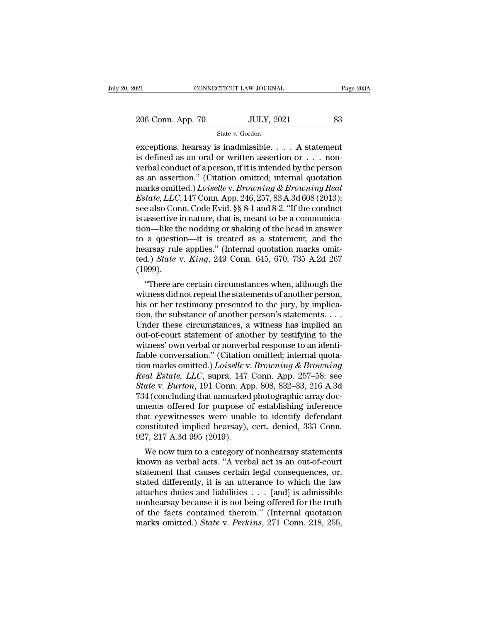### State *v.* Gordon

exceptions, hearsay is inadmissible. . . . A statement<br>
vertex of the axer of the state  $v$ . Gordon<br>
exceptions, hearsay is inadmissible. . . . A statement<br>
is defined as an oral or written assertion or . . . non-206 Conn. App. 70 JULY, 2021 83<br>
State v. Gordon<br>
exceptions, hearsay is inadmissible. . . . A statement<br>
is defined as an oral or written assertion or . . . non-<br>
verbal conduct of a person, if it is intended by the pers 206 Conn. App. 70 JULY, 2021 83<br>
State v. Gordon<br>
exceptions, hearsay is inadmissible.... A statement<br>
is defined as an oral or written assertion or ... non-<br>
verbal conduct of a person, if it is intended by the person<br>
a 206 Conn. App. 70 JULY, 2021 83<br>
State v. Gordon<br>
exceptions, hearsay is inadmissible. . . . A statement<br>
is defined as an oral or written assertion or . . . non-<br>
verbal conduct of a person, if it is intended by the pers State *v.* Gordon<br>
exceptions, hearsay is inadmissible. . . . A statement<br>
is defined as an oral or written assertion or . . . non-<br>
verbal conduct of a person, if it is intended by the person<br>
as an assertion." (Citation <sup>Extra</sup>gale *v.* Gordon<br>
exceptions, hearsay is inadmissible. . . . . A statement<br>
is defined as an oral or written assertion or . . . non-<br>
verbal conduct of a person, if it is intended by the person<br>
as an assertion." (C exceptions, hearsay is inadmissible. . . . . A statement<br>is defined as an oral or written assertion or . . . non-<br>verbal conduct of a person, if it is intended by the person<br>as an assertion." (Citation omitted; internal q is defined as an oral or written assertion or  $\ldots$  non-<br>verbal conduct of a person, if it is intended by the person<br>as an assertion." (Citation omitted; internal quotation<br>marks omitted.) *Loiselle* v. *Browning* & *Brow* verbal conduct of a person, if it is intended by the person<br>as an assertion." (Citation omitted; internal quotation<br>marks omitted.) *Loiselle* v. *Browning* & *Browning Real*<br>*Estate, LLC*, 147 Conn. App. 246, 257, 83 A.3d as an assertion." (Citation omitted; internal quotation<br>marks omitted.) *Loiselle* v. *Browning* & *Browning Real*<br>*Estate, LLC*, 147 Conn. App. 246, 257, 83 A.3d 608 (2013);<br>see also Conn. Code Evid. §§ 8-1 and 8-2. "If marks omitted.) *Loiselle* v. *Browning* & *Browning Real*<br>*Estate, LLC*, 147 Conn. App. 246, 257, 83 A.3d 608 (2013);<br>see also Conn. Code Evid. §§ 8-1 and 8-2. "If the conduct<br>is assertive in nature, that is, meant to be *Estate, LLC*, 147 Conn. App. 246, 257, 83 A.3d 608 (2013);<br>see also Conn. Code Evid. §§ 8-1 and 8-2. "If the conduct<br>is assertive in nature, that is, meant to be a communica-<br>tion—like the nodding or shaking of the head i (1999). assertive in nature, that is, meant to be a communical-<br>
on—like the nodding or shaking of the head in answer<br>
a question—it is treated as a statement, and the<br>
arsay rule applies." (Internal quotation marks omit-<br>
d.) *St* From Times the holding of shaking of the heat in answer<br>to a question—it is treated as a statement, and the<br>hearsay rule applies." (Internal quotation marks omit-<br>ted.) *State v. King*, 249 Conn. 645, 670, 735 A.2d 267<br>(1

to a question—it is treated as a statement, and the<br>hearsay rule applies." (Internal quotation marks omit-<br>ted.) *State v. King*, 249 Conn. 645, 670, 735 A.2d 267<br>(1999).<br>"There are certain circumstances when, although th ted.) *State v. King*, 249 Conn. 645, 670, 735 A.2d 267<br>(1999).<br>"There are certain circumstances when, although the<br>witness did not repeat the statements of another person,<br>his or her testimony presented to the jury, by im (1999).<br>
"There are certain circumstances when, although the<br>
witness did not repeat the statements of another person,<br>
his or her testimony presented to the jury, by implica-<br>
tion, the substance of another person's stat "There are certain circumstances when, although the<br>witness did not repeat the statements of another person,<br>his or her testimony presented to the jury, by implica-<br>tion, the substance of another person's statements....<br>U "There are certain circumstances when, although the witness did not repeat the statements of another person, his or her testimony presented to the jury, by implication, the substance of another person's statements... Unde witness did not repeat the statements of another person,<br>his or her testimony presented to the jury, by implica-<br>tion, the substance of another person's statements....<br>Under these circumstances, a witness has implied an<br>o his or her testimony presented to the jury, by implication, the substance of another person's statements. . . .<br>Under these circumstances, a witness has implied an out-of-court statement of another by testifying to the wit *Real Estate, LLC*, supra, 147 Conn. App. 257–58; see State, *Real Conceluling the twords* in the switness' own verbal or nonverbal response to an identifiable conversation." (Citation omitted; internal quotation marks omi Under these circumstances, a witness has implied an<br>out-of-court statement of another by testifying to the<br>witness' own verbal or nonverbal response to an identi-<br>fiable conversation." (Citation omitted; internal quota-<br>ti out-of-court statement of another by testifying to the<br>witness' own verbal or nonverbal response to an identi-<br>fiable conversation." (Citation omitted; internal quota-<br>tion marks omitted.) *Loiselle* v. *Browning* & *Brown* witness' own verbal or nonverbal response to an identi-<br>fiable conversation." (Citation omitted; internal quota-<br>tion marks omitted.) *Loiselle* v. *Browning* & *Browning*<br>Real Estate, LLC, supra, 147 Conn. App. 257–58; s fiable conversation." (Citation omitted; internal quotation marks omitted.) *Loiselle* v. *Browning* & *Browning*<br>*Real Estate, LLC*, supra, 147 Conn. App. 257–58; see<br>*State* v. *Burton*, 191 Conn. App. 808, 832–33, 216 A tion marks omitted.) *Loiselle* v. *Browning* & *Browning*<br>Real Estate, LLC, supra, 147 Conn. App. 257–58; see<br>State v. *Burton*, 191 Conn. App. 808, 832–33, 216 A.3d<br>734 (concluding that unmarked photographic array doc-<br>u Real Estate, LLC, supra, 147<br>State v. Burton, 191 Conn. Ap<br>734 (concluding that unmarked<br>uments offered for purpose of<br>that eyewitnesses were unabl<br>constituted implied hearsay),<br>927, 217 A.3d 995 (2019).<br>We now turn to a c die v. *Burton*, 191 Collit. App. 808, 832–33, 210 A.5d<br>4 (concluding that unmarked photographic array doc-<br>nents offered for purpose of establishing inference<br>at eyewitnesses were unable to identify defendant<br>nstituted im F34 (concluding that unitaritied photographic array documents offered for purpose of establishing inference<br>that eyewitnesses were unable to identify defendant<br>constituted implied hearsay), cert. denied, 333 Conn.<br>927, 217

that eyewitnesses were unable to identify defendant<br>constituted implied hearsay), cert. denied, 333 Conn.<br>927, 217 A.3d 995 (2019).<br>We now turn to a category of nonhearsay statements<br>known as verbal acts. "A verbal act is Final eyewitiesses were unable to identify detendant<br>constituted implied hearsay), cert. denied, 333 Conn.<br>927, 217 A.3d 995 (2019).<br>We now turn to a category of nonhearsay statements<br>known as verbal acts. "A verbal act i constructed implied nearsay), Cert. defined, 355 Confi.<br>927, 217 A.3d 995 (2019).<br>We now turn to a category of nonhearsay statements<br>known as verbal acts. "A verbal act is an out-of-court<br>statement that causes certain leg We now turn to a category of nonhearsay statements<br>known as verbal acts. "A verbal act is an out-of-court<br>statement that causes certain legal consequences, or,<br>stated differently, it is an utterance to which the law<br>attac We now turn to a category of nonhearsay statements<br>known as verbal acts. "A verbal act is an out-of-court<br>statement that causes certain legal consequences, or,<br>stated differently, it is an utterance to which the law<br>attac known as verbal acts. "A verbal act is an out-of-court<br>statement that causes certain legal consequences, or,<br>stated differently, it is an utterance to which the law<br>attaches duties and liabilities . . . [and] is admissible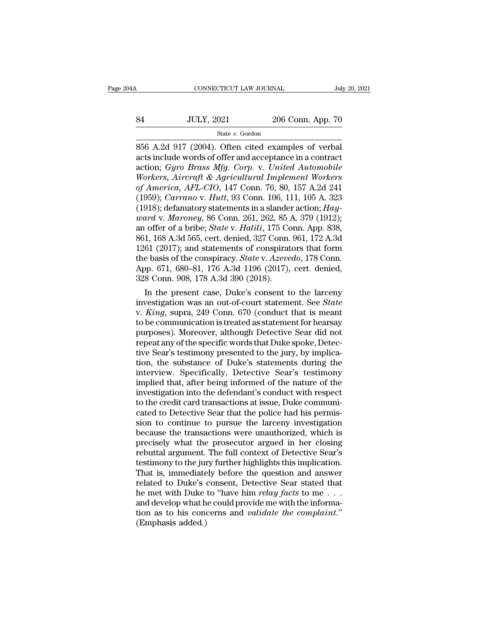# $\begin{tabular}{l l l l} \multicolumn{2}{c| l l} \multicolumn{2}{c| l} \multicolumn{2}{c| l} \multicolumn{2}{c| l} \multicolumn{2}{c| l} \multicolumn{2}{c| l} \multicolumn{2}{c| l} \multicolumn{2}{c| l} \multicolumn{2}{c| l} \multicolumn{2}{c| l} \multicolumn{2}{c| l} \multicolumn{2}{c| l} \multicolumn{2}{c| l} \multicolumn{2}{c| l} \multicolumn{2}{c| l} \multicolumn{2}{c| l} \multicolumn{2}{c| l} \multicolumn{2}{c| l} \multicolumn{2}{c| l$

### State *v.* Gordon

CONNECTICUT LAW JOURNAL July 20, 20<br>
84 JULY, 2021 206 Conn. App. 70<br>
856 A.2d 917 (2004). Often cited examples of verbal<br>
acts include words of offer and acceptance in a contract<br>
action: *Guro Brass Mfg. Corn. y. United* 34 JULY, 2021 206 Conn. App. 70<br>356 A.2d 917 (2004). Often cited examples of verbal<br>356 A.2d 917 (2004). Often cited examples of verbal<br>356 A.2d 917 (2004). Often cited examples of verbal<br>356 A.2d 917 (2004). Often cited e 84 JULY, 2021 206 Conn. App. 70<br>
<sup>State v. Gordon</sup><br>
<sup>State v. Gordon</sup><br>
856 A.2d 917 (2004). Often cited examples of verbal<br>
acts include words of offer and acceptance in a contract<br>
action; *Gyro Brass Mfg. Corp.* v. *Unit SA* JULY, 2021 206 Conn. App. 70<br> *State v. Gordon*<br> *Workers, And 917 (2004).* Often cited examples of verbal<br>
acts include words of offer and acceptance in a contract<br>
action; *Gyro Brass Mfg. Corp. v. United Automobile State v. Gordon*<br> *State v. Gordon*<br> **S56 A.2d 917 (2004). Often cited examples of verbal**<br>
acts include words of offer and acceptance in a contract<br>
action; *Gyro Brass Mfg. Corp.* v. *United Automobile*<br> *Workers, Aircr* State v. Gordon<br>
856 A.2d 917 (2004). Often cited examples of verbal<br>
acts include words of offer and acceptance in a contract<br>
action; *Gyro Brass Mfg. Corp.* v. *United Automobile*<br> *Workers, Aircraft & Agricultural Impl* 856 A.2d 917 (2004). Often cited examples of verbal<br>acts include words of offer and acceptance in a contract<br>action; *Gyro Brass Mfg. Corp.* v. *United Automobile*<br>Workers, *Aircraft & Agricultural Implement Workers*<br>of *A* acts include words of offer and acceptance in a contract<br>action; *Gyro Brass Mfg. Corp. v. United Automobile*<br>*Workers, Aircraft & Agricultural Implement Workers*<br>of *America, AFL-CIO,* 147 Conn. 76, 80, 157 A.2d 241<br>(1959 action; *Gyro Brass Mfg. Corp. v. United Automobile*<br>*Workers, Aircraft & Agricultural Implement Workers*<br>*of America, AFL-CIO, 147 Conn. 76, 80, 157 A.2d 241*<br>(1959); *Carrano v. Hutt, 93 Conn. 106, 111, 105 A. 323*<br>(1918 Workers, Aircraft & Agricultural Implement Workers<br>of America, AFL-CIO, 147 Conn. 76, 80, 157 A.2d 241<br>(1959); Carrano v. Hutt, 93 Conn. 106, 111, 105 A. 323<br>(1918); defamatory statements in a slander action; Hay-<br>ward v. of America, AFL-CIO, 147 Conn. 76, 80, 157 A.2d 241<br>(1959); *Carrano v. Hutt*, 93 Conn. 106, 111, 105 A. 323<br>(1918); defamatory statements in a slander action; *Hay-<br>ward v. Maroney*, 86 Conn. 261, 262, 85 A. 379 (1912);<br> (1959); *Carrano* v. *Hutt*, 93 Conn. 106, 111, 105 A. 323<br>(1918); defamatory statements in a slander action; *Hay-*<br>*ward* v. *Maroney*, 86 Conn. 261, 262, 85 A. 379 (1912);<br>an offer of a bribe; *State* v. *Halili*, 175 C (1918); defamatory statements in a slander action; *Hay-ward v. Maroney*, 86 Conn. 261, 262, 85 A. 379 (1912); an offer of a bribe; *State v. Halili*, 175 Conn. App. 838, 861, 168 A.3d 565, cert. denied, 327 Conn. 961, 17 *ward v. Maroney*, 86 Conn. 261, 262, 85  $\mu$  an offer of a bribe; *State v. Halili*, 175 Cc 861, 168 A.3d 565, cert. denied, 327 Conn. 1261 (2017); and statements of conspirat the basis of the conspiracy. *State v. Azeve* In the present case, Duke's consent to the larceny<br>
In the present case, and statements of conspirators that form<br>
e basis of the conspiracy. State v. Azevedo, 178 Conn.<br>
pp. 671, 680–81, 176 A.3d 1196 (2017), cert. denie 861, 168 A.3d 565, cert. denied, 327 Conn. 961, 172 A.3d<br>1261 (2017); and statements of conspirators that form<br>the basis of the conspiracy. *State* v. *Azevedo*, 178 Conn.<br>App. 671, 680–81, 176 A.3d 1196 (2017), cert. deni

1261 (2017); and statements of conspirators that form<br>the basis of the conspiracy. *State v. Azevedo*, 178 Conn.<br>App. 671, 680–81, 176 A.3d 1196 (2017), cert. denied,<br>328 Conn. 908, 178 A.3d 390 (2018).<br>In the present case the basis of the conspiracy. *State* v. *Azevedo*, 178 Conn.<br>App. 671, 680–81, 176 A.3d 1196 (2017), cert. denied,<br>328 Conn. 908, 178 A.3d 390 (2018).<br>In the present case, Duke's consent to the larceny<br>investigation was an App. 671, 680–81, 176 A.3d 1196 (2017), cert. denied,<br>328 Conn. 908, 178 A.3d 390 (2018).<br>In the present case, Duke's consent to the larceny<br>investigation was an out-of-court statement. See *State*<br>v. *King*, supra, 249 Co 328 Conn. 908, 178 A.3d 390 (2018).<br>
In the present case, Duke's consent to the larceny<br>
investigation was an out-of-court statement. See *State*<br>
v. *King*, supra, 249 Conn. 670 (conduct that is meant<br>
to be communicatio In the present case, Duke's consent to the larceny<br>investigation was an out-of-court statement. See *State*<br>v. *King*, supra, 249 Conn. 670 (conduct that is meant<br>to be communication is treated as statement for hearsay<br>pur investigation was an out-of-court statement. See *State*<br>v. *King*, supra, 249 Conn. 670 (conduct that is meant<br>to be communication is treated as statement for hearsay<br>purposes). Moreover, although Detective Sear did not<br>r v. *King*, supra, 249 Conn. 670 (conduct that is meant<br>to be communication is treated as statement for hearsay<br>purposes). Moreover, although Detective Sear did not<br>repeat any of the specific words that Duke spoke, Detec-<br>t to be communication is treated as statement for hearsay<br>purposes). Moreover, although Detective Sear did not<br>repeat any of the specific words that Duke spoke, Detec-<br>tive Sear's testimony presented to the jury, by implicapurposes). Moreover, although Detective Sear did not<br>repeat any of the specific words that Duke spoke, Detec-<br>tive Sear's testimony presented to the jury, by implica-<br>tion, the substance of Duke's statements during the<br>int repeat any of the specific words that Duke spoke, Detective Sear's testimony presented to the jury, by implication, the substance of Duke's statements during the interview. Specifically, Detective Sear's testimony implied tive Sear's testimony presented to the jury, by implication, the substance of Duke's statements during the interview. Specifically, Detective Sear's testimony implied that, after being informed of the nature of the investi tion, the substance of Duke's statements during the<br>interview. Specifically, Detective Sear's testimony<br>implied that, after being informed of the nature of the<br>investigation into the defendant's conduct with respect<br>to the interview. Specifically, Detective Sear's testimony<br>implied that, after being informed of the nature of the<br>investigation into the defendant's conduct with respect<br>to the credit card transactions at issue, Duke communi-<br>ca implied that, after being informed of the nature of the<br>investigation into the defendant's conduct with respect<br>to the credit card transactions at issue, Duke communi-<br>cated to Detective Sear that the police had his permis investigation into the defendant's conduct with respect<br>to the credit card transactions at issue, Duke communi-<br>cated to Detective Sear that the police had his permis-<br>sion to continue to pursue the larceny investigation<br>b to the credit card transactions at issue, Duke communicated to Detective Sear that the police had his permission to continue to pursue the larceny investigation because the transactions were unauthorized, which is precisel cated to Detective Sear that the police had his permission to continue to pursue the larceny investigation because the transactions were unauthorized, which is precisely what the prosecutor argued in her closing rebuttal a sion to continue to pursue the larceny investigation<br>because the transactions were unauthorized, which is<br>precisely what the prosecutor argued in her closing<br>rebuttal argument. The full context of Detective Sear's<br>testimo because the transactions were unauthorized, which is<br>precisely what the prosecutor argued in her closing<br>rebuttal argument. The full context of Detective Sear's<br>testimony to the jury further highlights this implication.<br>Th precisely what the prosecutor argued in her closing<br>rebuttal argument. The full context of Detective Sear's<br>testimony to the jury further highlights this implication.<br>That is, immediately before the question and answer<br>rel rebuttal argument. The full context of Detective Sear's<br>testimony to the jury further highlights this implication.<br>That is, immediately before the question and answer<br>related to Duke's consent, Detective Sear stated that<br>h testimony to the jurn<br>That is, immediate<br>related to Duke's<br>he met with Duke<br>and develop what h<br>tion as to his cond<br>(Emphasis added.)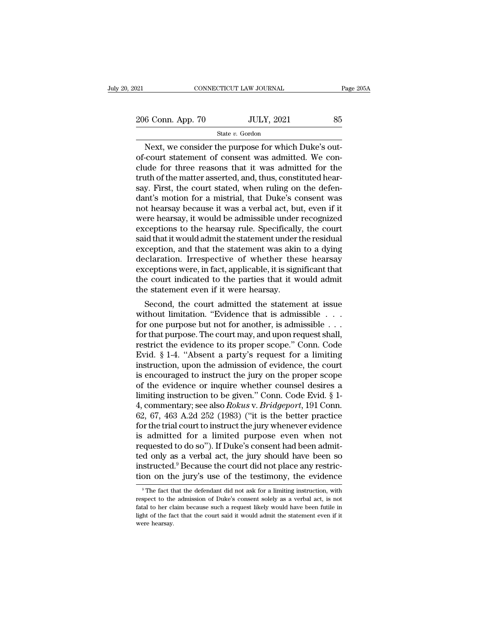21 CONNECTICUT LAW JOURNAL Page 205A<br>
206 Conn. App. 70 JULY, 2021 85<br>
State v. Gordon

### State *v.* Gordon

CONNECTICUT LAW JOURNAL<br>
6 Conn. App. 70 JULY, 2021 85<br>
State v. Gordon<br>
Next, we consider the purpose for which Duke's out-<br>
court statement of consent was admitted. We con- $\frac{206}{200}$  Conn. App. 70 JULY, 2021 85<br>State v. Gordon<br>Next, we consider the purpose for which Duke's out-<br>of-court statement of consent was admitted. We con-<br>clude for three reasons that it was admitted for the<br>truth 206 Conn. App. 70 JULY, 2021 85<br>
State v. Gordon<br>
Next, we consider the purpose for which Duke's out-<br>
of-court statement of consent was admitted. We con-<br>
clude for three reasons that it was admitted for the<br>
truth of th 206 Conn. App. 70 JULY, 2021 85<br>
State v. Gordon<br>
Next, we consider the purpose for which Duke's out-<br>
of-court statement of consent was admitted. We con-<br>
clude for three reasons that it was admitted for the<br>
truth of th State v. Gordon<br>State v. Gordon<br>State v. Gordon<br>State v. Gordon<br>Court statement of consent was admitted. We conclude for three reasons that it was admitted for the<br>truth of the matter asserted, and, thus, constituted hear State v. Gordon<br>
Next, we consider the purpose for which Duke's out-<br>
of-court statement of consent was admitted. We con-<br>
clude for three reasons that it was admitted for the<br>
truth of the matter asserted, and, thus, con Next, we consider the purpose for which Duke's out-<br>of-court statement of consent was admitted. We con-<br>clude for three reasons that it was admitted for the<br>truth of the matter asserted, and, thus, constituted hear-<br>say. F of-court statement of consent was admitted. We conclude for three reasons that it was admitted for the truth of the matter asserted, and, thus, constituted hear-<br>say. First, the court stated, when ruling on the defendant's clude for three reasons that it was admitted for the<br>truth of the matter asserted, and, thus, constituted hear-<br>say. First, the court stated, when ruling on the defen-<br>dant's motion for a mistrial, that Duke's consent was<br> truth of the matter asserted, and, thus, constituted hear-<br>say. First, the court stated, when ruling on the defen-<br>dant's motion for a mistrial, that Duke's consent was<br>not hearsay because it was a verbal act, but, even if say. First, the court stated, when ruling on the defendant's motion for a mistrial, that Duke's consent was not hearsay because it was a verbal act, but, even if it were hearsay, it would be admissible under recognized exc dant's motion for a mistrial, that Duke's consent was<br>not hearsay because it was a verbal act, but, even if it<br>were hearsay, it would be admissible under recognized<br>exceptions to the hearsay rule. Specifically, the court<br>s not hearsay because it was a verbal act, but, even if it<br>were hearsay, it would be admissible under recognized<br>exceptions to the hearsay rule. Specifically, the court<br>said that it would admit the statement under the residu were hearsay, it would be admissible under recognized<br>exceptions to the hearsay rule. Specifically, the court<br>said that it would admit the statement under the residual<br>exception, and that the statement was akin to a dying<br> exceptions to the hearsay rule. Specifically<br>said that it would admit the statement under t<br>exception, and that the statement was akin<br>declaration. Irrespective of whether the<br>exceptions were, in fact, applicable, it is si Reption, and that the statement under the residual<br>ception, and that the statement was akin to a dying<br>cclaration. Irrespective of whether these hearsay<br>ceptions were, in fact, applicable, it is significant that<br>e court in exception, and that the statement was akin to a dying<br>declaration. Irrespective of whether these hearsay<br>exceptions were, in fact, applicable, it is significant that<br>the court indicated to the parties that it would admit<br>t

declaration. Irrespective of whether these hearsay<br>exceptions were, in fact, applicable, it is significant that<br>the court indicated to the parties that it would admit<br>the statement even if it were hearsay.<br>Second, the cour exceptions were, in fact, applicable, it is significant that<br>the court indicated to the parties that it would admit<br>the statement even if it were hearsay.<br>Second, the court admitted the statement at issue<br>without limitati the statement even if it were hearsay.<br>
Second, the court admitted the statement at issue<br>
without limitation. "Evidence that is admissible . . .<br>
for one purpose but not for another, is admissible . . .<br>
for that purpose. the statement even if it were nearsay.<br>
Second, the court admitted the statement at issue<br>
without limitation. "Evidence that is admissible . . .<br>
for one purpose but not for another, is admissible . . .<br>
for that purpose. Second, the court admitted the statement at issue<br>without limitation. "Evidence that is admissible . . .<br>for one purpose but not for another, is admissible . . .<br>for that purpose. The court may, and upon request shall,<br>re without limitation. "Evidence that is admissible . . . for one purpose but not for another, is admissible . . .<br>for that purpose. The court may, and upon request shall,<br>restrict the evidence to its proper scope." Conn. Co for one purpose but not for another, is admissible . . .<br>for that purpose. The court may, and upon request shall,<br>restrict the evidence to its proper scope." Conn. Code<br>Evid. § 1-4. "Absent a party's request for a limitin for that purpose. The court may, and upon request shall,<br>restrict the evidence to its proper scope." Conn. Code<br>Evid. § 1-4. "Absent a party's request for a limiting<br>instruction, upon the admission of evidence, the court<br> restrict the evidence to its proper scope." Conn. Code<br>Evid. § 1-4. "Absent a party's request for a limiting<br>instruction, upon the admission of evidence, the court<br>is encouraged to instruct the jury on the proper scope<br>of Evid. § 1-4. "Absent a party's request for a limiting<br>instruction, upon the admission of evidence, the court<br>is encouraged to instruct the jury on the proper scope<br>of the evidence or inquire whether counsel desires a<br>limi instruction, upon the admission of evidence, the court<br>is encouraged to instruct the jury on the proper scope<br>of the evidence or inquire whether counsel desires a<br>limiting instruction to be given." Conn. Code Evid. § 1-<br>4 is encouraged to instruct the jury on the proper scope<br>of the evidence or inquire whether counsel desires a<br>limiting instruction to be given." Conn. Code Evid. § 1-<br>4, commentary; see also *Rokus* v. *Bridgeport*, 191 Con of the evidence or inquire whether counsel desires a<br>limiting instruction to be given." Conn. Code Evid. § 1-<br>4, commentary; see also *Rokus* v. *Bridgeport*, 191 Conn.<br>62, 67, 463 A.2d 252 (1983) ("it is the better pract limiting instruction to be given." Conn. Code Evid. § 1-<br>4, commentary; see also *Rokus* v. *Bridgeport*, 191 Conn.<br>62, 67, 463 A.2d 252 (1983) ("it is the better practice<br>for the trial court to instruct the jury whenever 4, commentary; see also *Rokus* v. *Bridgeport*, 191 Conn. 62, 67, 463 A.2d 252 (1983) ("it is the better practice for the trial court to instruct the jury whenever evidence is admitted for a limited purpose even when not 62, 67, 463 A.2d 252 (1983) ("it is the better practice<br>for the trial court to instruct the jury whenever evidence<br>is admitted for a limited purpose even when not<br>requested to do so"). If Duke's consent had been admit-<br>te equested to do so"). If Duke's consent had been admit-<br>d only as a verbal act, the jury should have been so<br>sstructed.<sup>9</sup> Because the court did not place any restric-<br>on on the jury's use of the testimony, the evidence<br><sup>9</sup> ted only as a verbal act, the jury should have been so<br>instructed.<sup>9</sup> Because the court did not place any restric-<br>tion on the jury's use of the testimony, the evidence<br><sup>9</sup> The fact that the defendant did not ask for a lim

instructed.<sup>9</sup> Because the court did not place any restriction on the jury's use of the testimony, the evidence <sup>9</sup>The fact that the defendant did not ask for a limiting instruction, with respect to the admission of Duke's tion on the jury's use of the testimony, the evidence  $\frac{1}{\sqrt{2}}$  The fact that the defendant did not ask for a limiting instruction, with respect to the admission of Duke's consent solely as a verbal act, is not fatal t The fact the spect to the fatal to her client<br>fatal to her client of the fatal to her client<br>were hearsay.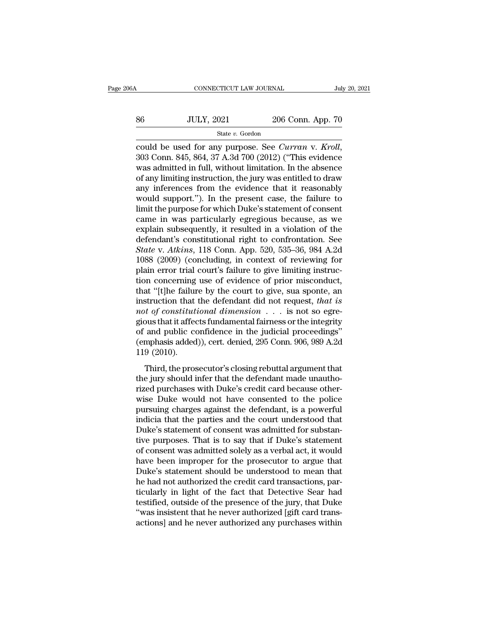# $\begin{tabular}{l l l l} \multicolumn{2}{c| l l} \multicolumn{2}{c| l} \multicolumn{2}{c| l} \multicolumn{2}{c| l} \multicolumn{2}{c| l} \multicolumn{2}{c| l} \multicolumn{2}{c| l} \multicolumn{2}{c| l} \multicolumn{2}{c| l} \multicolumn{2}{c| l} \multicolumn{2}{c| l} \multicolumn{2}{c| l} \multicolumn{2}{c| l} \multicolumn{2}{c| l} \multicolumn{2}{c| l} \multicolumn{2}{c| l} \multicolumn{2}{c| l} \multicolumn{2}{c| l} \multicolumn{2}{c| l$

### State *v.* Gordon

connecticut LAW JOURNAL July 20, 2021<br>
State v. Gordon<br>
Could be used for any purpose. See *Curran* v. *Kroll*, 303 Conn. 845, 864, 37 A.3d 700 (2012) ("This evidence was admitted in full, without limitation. In the absenc  $\noindent\hfill\text{363}\n \text{JULY, } 2021 \quad \text{206 Conn. App. 70}\n \text{State } v. \text{ Gordon}\n \text{could be used for any purpose. See *Curran v. Kroll*, 303 Conn. 845, 864, 37 A.3d 700 (2012) ("This evidence was admitted in full, without limitation. In the absence of any limiting instruction, the jury was entitled to draw any inferences from the evidence that it necessarily.$ Sofe and SULY, 2021 206 Conn. App. 70<br>
State v. Gordon<br>
could be used for any purpose. See *Curran* v. *Kroll*,<br>
303 Conn. 845, 864, 37 A.3d 700 (2012) ("This evidence<br>
was admitted in full, without limitation. In the abs state v. Gordon<br>
could be used for any purpose. See *Curran* v. *Kroll*,<br>
303 Conn. 845, 864, 37 A.3d 700 (2012) ("This evidence<br>
was admitted in full, without limitation. In the absence<br>
of any limiting instruction, the state *v*. Gordon<br>
could be used for any purpose. See *Curran v*. *Kroll*,<br>
303 Conn. 845, 864, 37 A.3d 700 (2012) ("This evidence<br>
was admitted in full, without limitation. In the absence<br>
of any limiting instruction, could be used for any purpose. See *Curran* v. *Kroll*, 303 Conn. 845, 864, 37 A.3d 700 (2012) ("This evidence was admitted in full, without limitation. In the absence of any limiting instruction, the jury was entitled to 303 Conn. 845, 864, 37 A.3d 700 (2012) ("This evidence<br>was admitted in full, without limitation. In the absence<br>of any limiting instruction, the jury was entitled to draw<br>any inferences from the evidence that it reasonably was admitted in full, without limitation. In the absence<br>of any limiting instruction, the jury was entitled to draw<br>any inferences from the evidence that it reasonably<br>would support."). In the present case, the failure to of any limiting instruction, the jury was entitled to draw<br>any inferences from the evidence that it reasonably<br>would support."). In the present case, the failure to<br>limit the purpose for which Duke's statement of consent<br>c any inferences from the evidence that it reasonably<br>would support."). In the present case, the failure to<br>limit the purpose for which Duke's statement of consent<br>came in was particularly egregious because, as we<br>explain su would support."). In the present case, the failure to<br>limit the purpose for which Duke's statement of consent<br>came in was particularly egregious because, as we<br>explain subsequently, it resulted in a violation of the<br>defend limit the purpose for which Duke's statement of consent<br>came in was particularly egregious because, as we<br>explain subsequently, it resulted in a violation of the<br>defendant's constitutional right to confrontation. See<br>*Stat* came in was particularly egregious because, as we<br>explain subsequently, it resulted in a violation of the<br>defendant's constitutional right to confrontation. See<br>State v. Atkins, 118 Conn. App. 520, 535–36, 984 A.2d<br>1088 (2 explain subsequently, it resulted in a violation of the<br>defendant's constitutional right to confrontation. See<br>*State v. Atkins*, 118 Conn. App. 520, 535–36, 984 A.2d<br>1088 (2009) (concluding, in context of reviewing for<br>p defendant's constitutional right to confrontation. See<br>State v. Atkins, 118 Conn. App. 520, 535–36, 984 A.2d<br>1088 (2009) (concluding, in context of reviewing for<br>plain error trial court's failure to give limiting instruc-<br> *State* v. *Atkins*, 118 Conn. App. 520, 535–36, 984 A.2d 1088 (2009) (concluding, in context of reviewing for plain error trial court's failure to give limiting instruction concerning use of evidence of prior misconduct, 1088 (2009) (concluding, in context of reviewing for<br>plain error trial court's failure to give limiting instruc-<br>tion concerning use of evidence of prior misconduct,<br>that "[t]he failure by the court to give, sua sponte, a plain error trial court's failure to give limiting instruction concerning use of evidence of prior misconduct,<br>that "[t]he failure by the court to give, sua sponte, an<br>instruction that the defendant did not request, *that* tion concerning use of evidence of prior misconduct,<br>that "[t]he failure by the court to give, sua sponte, an<br>instruction that the defendant did not request, *that is*<br>not of constitutional dimension  $\ldots$  is not so egrethat "[t]he failur<br>instruction that<br>*not of constitut*<br>gious that it affect<br>of and public co<br>(emphasis added<br>119 (2010).<br>Third, the pros *In the determinate are interesting* that the prosecutor's closing rebuttal fairness or the integrity and public confidence in the judicial proceedings"<br>mphasis added)), cert. denied, 295 Conn. 906, 989 A.2d 9 (2010).<br>Thi the grows that it affects fundamental fairness or the integrity<br>gious that it affects fundamental fairness or the integrity<br>of and public confidence in the judicial proceedings"<br>(emphasis added)), cert. denied, 295 Conn.

read public confidence in the judicial proceedings"<br>(emphasis added)), cert. denied, 295 Conn. 906, 989 A.2d<br>119 (2010).<br>Third, the prosecutor's closing rebuttal argument that<br>the jury should infer that the defendant made (emphasis added)), cert. denied, 295 Conn. 906, 989 A.2d<br>119 (2010).<br>Third, the prosecutor's closing rebuttal argument that<br>the jury should infer that the defendant made unautho-<br>rized purchases with Duke's credit card bec First distribution of the prosecutor's closing rebuttal argument that<br>the jury should infer that the defendant made unautho-<br>rized purchases with Duke's credit card because other-<br>wise Duke would not have consented to the Third, the prosecutor's closing rebuttal argument that<br>the jury should infer that the defendant made unautho-<br>rized purchases with Duke's credit card because other-<br>wise Duke would not have consented to the police<br>pursuing Third, the prosecutor's closing rebuttal argument that<br>the jury should infer that the defendant made unautho-<br>rized purchases with Duke's credit card because other-<br>wise Duke would not have consented to the police<br>pursuing the jury should infer that the defendant made unauthorized purchases with Duke's credit card because otherwise Duke would not have consented to the police pursuing charges against the defendant, is a powerful indicia that rized purchases with Duke's credit card because other-<br>wise Duke would not have consented to the police<br>pursuing charges against the defendant, is a powerful<br>indicia that the parties and the court understood that<br>Duke's st wise Duke would not have consented to the police<br>pursuing charges against the defendant, is a powerful<br>indicia that the parties and the court understood that<br>Duke's statement of consent was admitted for substan-<br>tive purpo pursuing charges against the defendant, is a powerful<br>indicia that the parties and the court understood that<br>Duke's statement of consent was admitted for substan-<br>tive purposes. That is to say that if Duke's statement<br>of c indicia that the parties and the court understood that<br>Duke's statement of consent was admitted for substan-<br>tive purposes. That is to say that if Duke's statement<br>of consent was admitted solely as a verbal act, it would<br>h Duke's statement of consent was admitted for substantive purposes. That is to say that if Duke's statement<br>of consent was admitted solely as a verbal act, it would<br>have been improper for the prosecutor to argue that<br>Duke's tive purposes. That is to say that if Duke's statement<br>of consent was admitted solely as a verbal act, it would<br>have been improper for the prosecutor to argue that<br>Duke's statement should be understood to mean that<br>he had of consent was admitted solely as a verbal act, it would<br>have been improper for the prosecutor to argue that<br>Duke's statement should be understood to mean that<br>he had not authorized the credit card transactions, par-<br>ticul have been improper for the prosecutor to argue that<br>Duke's statement should be understood to mean that<br>he had not authorized the credit card transactions, par-<br>ticularly in light of the fact that Detective Sear had<br>testifi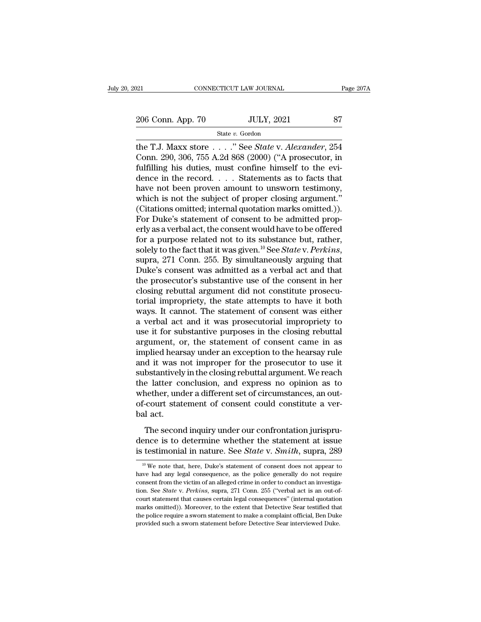21 CONNECTICUT LAW JOURNAL Page 207A<br>
206 Conn. App. 70 JULY, 2021 87<br>
State v. Gordon

State *v.* Gordon

The T.J. Maxx store . . . . " See *State v. Alexander*, 254<br>
The T.J. Maxx store . . . . " See *State v. Alexander*, 254<br>
The T.J. Maxx store . . . . " See *State v. Alexander*, 254<br>
Conn. 290, 306, 755 A.2d 868 (2000) ("A 206 Conn. App. 70 JULY, 2021 87<br>
State v. Gordon<br>
the T.J. Maxx store . . . . " See *State* v. *Alexander*, 254<br>
Conn. 290, 306, 755 A.2d 868 (2000) ("A prosecutor, in<br>
fulfilling his duties, must confine himself to the e 206 Conn. App. 70 JULY, 2021 87<br>
State v. Gordon<br>
the T.J. Maxx store . . . . . " See *State v. Alexander*, 254<br>
Conn. 290, 306, 755 A.2d 868 (2000) ("A prosecutor, in<br>
fulfilling his duties, must confine himself to the e 206 Conn. App. 70 JULY, 2021 87<br>
State v. Gordon<br>
the T.J. Maxx store . . . . " See *State* v. *Alexander*, 254<br>
Conn. 290, 306, 755 A.2d 868 (2000) ("A prosecutor, in<br>
fulfilling his duties, must confine himself to the e State v. Gordon<br>
the T.J. Maxx store . . . . " See *State* v. *Alexander*, 254<br>
Conn. 290, 306, 755 A.2d 868 (2000) ("A prosecutor, in<br>
fulfilling his duties, must confine himself to the evi-<br>
dence in the record. . . . S state v. Gordon<br>the T.J. Maxx store . . . . " See *State* v. *Alexander*, 254<br>Conn. 290, 306, 755 A.2d 868 (2000) ("A prosecutor, in<br>fulfilling his duties, must confine himself to the evi-<br>dence in the record. . . . State the T.J. Maxx store  $\ldots$  " See *State* v. *Alexander*, 254<br>Conn. 290, 306, 755 A.2d 868 (2000) ("A prosecutor, in<br>fulfilling his duties, must confine himself to the evi-<br>dence in the record.  $\ldots$  Statements as to facts Conn. 290, 306, 755 A.2d 868 (2000) ("A prosecutor, in fulfilling his duties, must confine himself to the evidence in the record.  $\ldots$  Statements as to facts that have not been proven amount to unsworn testimony, which i fulfilling his duties, must confine himself to the evidence in the record. . . . Statements as to facts that<br>have not been proven amount to unsworn testimony,<br>which is not the subject of proper closing argument."<br>(Citatio dence in the record. . . . Statements as to facts that<br>have not been proven amount to unsworn testimony,<br>which is not the subject of proper closing argument."<br>(Citations omitted; internal quotation marks omitted.)).<br>For D have not been proven amount to unsworn testimony,<br>which is not the subject of proper closing argument."<br>(Citations omitted; internal quotation marks omitted.)).<br>For Duke's statement of consent to be admitted prop-<br>erly as (Citations omitted; internal quotation marks omitted.)).<br>For Duke's statement of consent to be admitted properly as a verbal act, the consent would have to be offered<br>for a purpose related not to its substance but, rather For Duke's statement of consent to be admitted properly as a verbal act, the consent would have to be offered<br>for a purpose related not to its substance but, rather,<br>solely to the fact that it was given.<sup>10</sup> See *State v.* erly as a verbal act, the consent would have to be offered<br>for a purpose related not to its substance but, rather,<br>solely to the fact that it was given.<sup>10</sup> See *State* v. Perkins,<br>supra, 271 Conn. 255. By simultaneously a for a purpose related not to its substance but, rather,<br>solely to the fact that it was given.<sup>10</sup> See *State* v. *Perkins*,<br>supra, 271 Conn. 255. By simultaneously arguing that<br>Duke's consent was admitted as a verbal act a solely to the fact that it was given.<sup>10</sup> See *State* v. *Perkins*, supra, 271 Conn. 255. By simultaneously arguing that Duke's consent was admitted as a verbal act and that the prosecutor's substantive use of the consent supra, 271 Conn. 255. By simultaneously arguing that<br>Duke's consent was admitted as a verbal act and that<br>the prosecutor's substantive use of the consent in her<br>closing rebuttal argument did not constitute prosecu-<br>torial Duke's consent was admitted as a verbal act and that<br>the prosecutor's substantive use of the consent in her<br>closing rebuttal argument did not constitute prosecu-<br>torial impropriety, the state attempts to have it both<br>ways. the prosecutor's substantive use of the consent in her closing rebuttal argument did not constitute prosecutorial impropriety, the state attempts to have it both ways. It cannot. The statement of consent was either a verba closing rebuttal argument did not constitute prosecutorial impropriety, the state attempts to have it both ways. It cannot. The statement of consent was either a verbal act and it was prosecutorial impropriety to use it fo torial impropriety, the state attempts to have it both<br>ways. It cannot. The statement of consent was either<br>a verbal act and it was prosecutorial impropriety to<br>use it for substantive purposes in the closing rebuttal<br>argum ways. It cannot. The statement of consent was either<br>a verbal act and it was prosecutorial impropriety to<br>use it for substantive purposes in the closing rebuttal<br>argument, or, the statement of consent came in as<br>implied he a verbal act and it was prosecutorial impropriety to<br>use it for substantive purposes in the closing rebuttal<br>argument, or, the statement of consent came in as<br>implied hearsay under an exception to the hearsay rule<br>and it w use it for substantive purposes in the closing rebuttal<br>argument, or, the statement of consent came in as<br>implied hearsay under an exception to the hearsay rule<br>and it was not improper for the prosecutor to use it<br>substant argument, or, the statement of consent came in as<br>implied hearsay under an exception to the hearsay rule<br>and it was not improper for the prosecutor to use it<br>substantively in the closing rebuttal argument. We reach<br>the lat implied hear<br>and it was r<br>substantively<br>the latter co<br>whether, unc<br>of-court stat<br>bal act.<br>The secon The second inquiry under our confrontation jurispru-<br>The second inquiry under a different set of circumstances, an out-<br>court statement of consent could constitute a ver-<br>act.<br>The second inquiry under our confrontation ju dence is to determine whether the statement at issue<br>in the latter conclusion, and express no opinion as to<br>whether, under a different set of circumstances, an out-<br>of-court statement of consent could constitute a ver-<br>bal is the factor conclusion, and enfiness the opinion as to<br>whether, under a different set of circumstances, an out-<br>of-court statement of consent could constitute a ver-<br>bal act.<br>The second inquiry under our confrontation ju

The second inquiry under our confrontation jurispru-<br>ence is to determine whether the statement at issue<br>testimonial in nature. See *State* v. *Smith*, supra, 289<br><sup>10</sup> We note that, here, Duke's statement of consent does The second inquiry under our confrontation jurisprudence is to determine whether the statement at issue<br>is testimonial in nature. See *State* v. *Smith*, supra, 289<br><sup>10</sup> We note that, here, Duke's statement of consent doe

dence is to determine whether the statement at issue<br>is testimonial in nature. See *State* v. *Smith*, supra, 289<br><sup>10</sup> We note that, here, Duke's statement of consent does not appear to<br>have had any legal consequence, as is testimonial in nature. See *State* v. *Smith*, supra, 289<br>
<sup>10</sup> We note that, here, Duke's statement of consent does not appear to have had any legal consequence, as the police generally do not require consent from the <sup>10</sup> We note that, here, Duke's statement of consent does not appear to have had any legal consequence, as the police generally do not require consent from the victim of an alleged crime in order to conduct an investigati <sup>10</sup> We note that, here, Duke's statement of consent does not appear to have had any legal consequence, as the police generally do not require consent from the victim of an alleged crime in order to conduct an investigati have had any legal consequence, as the police generally do not require consent from the victim of an alleged crime in order to conduct an investigation. See *State* v. *Perkins*, supra, 271 Conn. 255 ("verbal act is an out consent from the victim of an alleged crime in order to conduct an investigation. See *State v. Perkins*, supra, 271 Conn. 255 ("verbal act is an out-of-court statement that causes certain legal consequences" (internal qu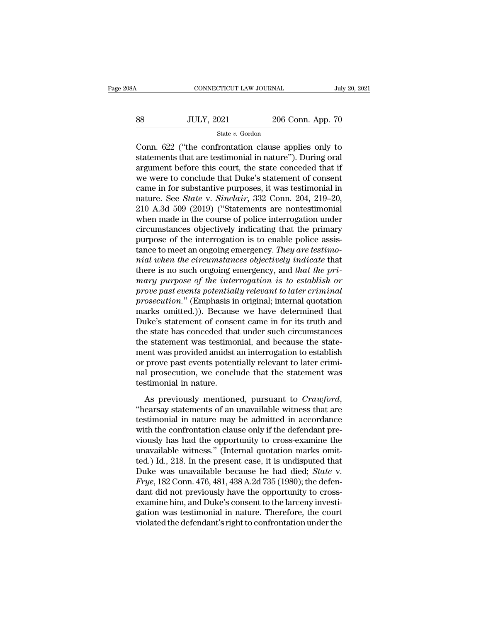# $\begin{tabular}{l l l l} \multicolumn{2}{c}{\text{CONNECTICUT LAW JOURNAL}} & July 20, 2021 \\ \hline & & \multicolumn{2}{c}{\text{July 20, 2021}} \\ & & \multicolumn{2}{c}{\text{S8}} \\ \hline & & \multicolumn{2}{c}{\text{State $v$}. Gordon} \\ \hline \end{tabular}$ State *v.* Gordon

CONNECTICUT LAW JOURNAL July 20, 2021<br>
SAS JULY, 2021 206 Conn. App. 70<br>
State v. Gordon<br>
Conn. 622 ("the confrontation clause applies only to<br>
statements that are testimonial in nature"). During oral<br>
statement before thi  $\noindent\begin{minipage}{0.9\linewidth} \begin{tabular}{ll} \multicolumn{1}{l}{{\textbf{S1}}} & \multicolumn{1}{l}{\textbf{S1}} & \multicolumn{1}{l}{\textbf{S2}} & \multicolumn{1}{l}{\textbf{S2}} & \multicolumn{1}{l}{\textbf{S1}} & \multicolumn{1}{l}{\textbf{S2}} & \multicolumn{1}{l}{\textbf{S2}} & \multicolumn{1}{l}{\textbf{S1}} & \multicolumn{1}{l}{\textbf{S2}} & \multicolumn{1}{l}{\textbf{S2}} & \multicolumn{1}{l}{\textbf{S1}} & \multicolumn{1}{l$ 38 JULY, 2021 206 Conn. App. 70<br>  $\frac{\text{State } v. \text{ Gordon}}{\text{Conten}}$ <br>
Conn. 622 ("the confrontation clause applies only to<br>
statements that are testimonial in nature"). During oral<br>
argument before this court, the state conceded that S8 JULY, 2021 206 Conn. App. 70<br>
State v. Gordon<br>
Conn. 622 ("the confrontation clause applies only to<br>
statements that are testimonial in nature"). During oral<br>
argument before this court, the state conceded that if<br>
we State v. Gordon<br>Conn. 622 ("the confrontation clause applies only to<br>statements that are testimonial in nature"). During oral<br>argument before this court, the state conceded that if<br>we were to conclude that Duke's statemen state *v*. *Gordon*<br>
Conn. 622 ("the confrontation clause applies only to<br>
statements that are testimonial in nature"). During oral<br>
argument before this court, the state conceded that if<br>
we were to conclude that Duke's s Conn. 622 ("the confrontation clause applies only to<br>statements that are testimonial in nature"). During oral<br>argument before this court, the state conceded that if<br>we were to conclude that Duke's statement of consent<br>came statements that are testimonial in nature"). During oral<br>argument before this court, the state conceded that if<br>we were to conclude that Duke's statement of consent<br>came in for substantive purposes, it was testimonial in<br>n argument before this court, the state conceded that if<br>we were to conclude that Duke's statement of consent<br>came in for substantive purposes, it was testimonial in<br>nature. See *State* v. *Sinclair*, 332 Conn. 204, 219–20,<br> we were to conclude that Duke's statement of consent<br>came in for substantive purposes, it was testimonial in<br>nature. See *State* v. *Sinclair*, 332 Conn. 204, 219–20,<br>210 A.3d 509 (2019) ("Statements are nontestimonial<br>whe came in for substantive purposes, it was testimonial in<br>nature. See *State* v. *Sinclair*, 332 Conn. 204, 219–20,<br>210 A.3d 509 (2019) ("Statements are nontestimonial<br>when made in the course of police interrogation under<br>ci nature. See *State* v. *Sinclair*, 332 Conn. 204, 219–20, 210 A.3d 509 (2019) ("Statements are nontestimonial when made in the course of police interrogation under circumstances objectively indicating that the primary purp 210 A.3d 509 (2019) ("Statements are nontestimonial<br>when made in the course of police interrogation under<br>circumstances objectively indicating that the primary<br>purpose of the interrogation is to enable police assis-<br>tance when made in the course of police interrogation under<br>circumstances objectively indicating that the primary<br>purpose of the interrogation is to enable police assis-<br>tance to meet an ongoing emergency. *They are testimo-*<br>*m* circumstances objectively indicating that the primary<br>purpose of the interrogation is to enable police assis-<br>tance to meet an ongoing emergency. *They are testimo-*<br>*nial when the circumstances objectively indicate* that<br> purpose of the interrogation is to enable police assistance to meet an ongoing emergency. *They are testimo-*<br> *nial when the circumstances objectively indicate* that<br>
there is no such ongoing emergency, and *that the pri*tance to meet an ongoing emergency. *They are testimo-<br>nial when the circumstances objectively indicate* that<br>there is no such ongoing emergency, and *that the pri-*<br>mary purpose of the interrogation is to establish or<br>pro mial when the circumstances objectively indicate that<br>there is no such ongoing emergency, and that the pri-<br>mary purpose of the interrogation is to establish or<br>prove past events potentially relevant to later criminal<br>pros there is no such ongoing emergency, and *that the pri-*<br>mary purpose of the interrogation is to establish or<br>prove past events potentially relevant to later criminal<br>prosecution." (Emphasis in original; internal quotation<br> mary purpose of the interrogation is to establish or<br>prove past events potentially relevant to later criminal<br>prosecution." (Emphasis in original; internal quotation<br>marks omitted.)). Because we have determined that<br>Duke's prove past events potentially relevant to later criminal<br>prosecution." (Emphasis in original; internal quotation<br>marks omitted.)). Because we have determined that<br>Duke's statement of consent came in for its truth and<br>the s prosecution." (Emphasis in original; internal quotation marks omitted.)). Because we have determined that Duke's statement of consent came in for its truth and the state has conceded that under such circumstances the state marks omitted.)). Because we have determined that<br>Duke's statement of consent came in for its truth and<br>the state has conceded that under such circumstances<br>the statement was testimonial, and because the state-<br>ment was pr Duke's statement of conse<br>the state has conceded tha<br>the statement was testimo<br>ment was provided amidst<br>or prove past events poten<br>nal prosecution, we conclustimonial in nature.<br>As previously mentione Exament was testimonial, and because the statement was provided amidst an interrogation to establish prove past events potentially relevant to later crimi-<br>I prosecution, we conclude that the statement was stimonial in nat The statement was essimonial, and seculise are state<br>
ment was provided amidst an interrogation to establish<br>
or prove past events potentially relevant to later crimi-<br>
nal prosecution, we conclude that the statement was<br>

them was provided amask an interrogation to establish<br>or prove past events potentially relevant to later crimi-<br>nal prosecution, we conclude that the statement was<br>testimonial in nature.<br>As previously mentioned, pursuant t and prosecution, we conclude that the statement was<br>testimonial in nature.<br>As previously mentioned, pursuant to  $Crawford$ ,<br>"hearsay statements of an unavailable witness that are<br>testimonial in nature may be admitted in accord via prosecution, we conclude that the statement was<br>testimonial in nature.<br>"hearsay statements of an unavailable witness that are<br>testimonial in nature may be admitted in accordance<br>with the confrontation clause only if t As previously mentioned, pursuant to  $Crawford$ ,<br>
"hearsay statements of an unavailable witness that are<br>
testimonial in nature may be admitted in accordance<br>
with the confrontation clause only if the defendant pre-<br>
viously h As previously mentioned, pursuant to *Crawford*,<br>"hearsay statements of an unavailable witness that are<br>testimonial in nature may be admitted in accordance<br>with the confrontation clause only if the defendant pre-<br>viously "hearsay statements of an unavailable witness that are<br>testimonial in nature may be admitted in accordance<br>with the confrontation clause only if the defendant pre-<br>viously has had the opportunity to cross-examine the<br>unava *Free testimonial in nature may be admitted in accordance* with the confrontation clause only if the defendant previously has had the opportunity to cross-examine the unavailable witness." (Internal quotation marks omitted with the confrontation clause only if the defendant previously has had the opportunity to cross-examine the unavailable witness." (Internal quotation marks omitted.) Id., 218. In the present case, it is undisputed that Duk viously has had the opportunity to cross-examine the<br>unavailable witness." (Internal quotation marks omit-<br>ted.) Id., 218. In the present case, it is undisputed that<br>Duke was unavailable because he had died; *State* v.<br>Fry unavailable witness." (Internal quotation marks omit-<br>ted.) Id., 218. In the present case, it is undisputed that<br>Duke was unavailable because he had died; *State* v.<br> $Frye$ , 182 Conn. 476, 481, 438 A.2d 735 (1980); the def ted.) Id., 218. In the present case, it is undisputed that<br>Duke was unavailable because he had died; *State* v.<br>Frye, 182 Conn. 476, 481, 438 A.2d 735 (1980); the defen-<br>dant did not previously have the opportunity to cros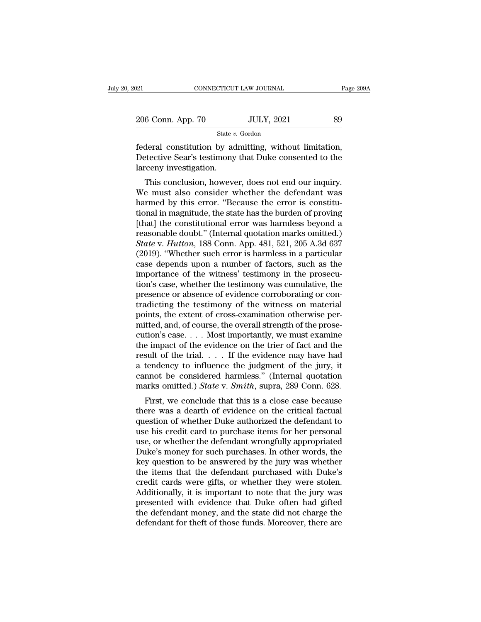| :021              | CONNECTICUT LAW JOURNAL | Page 209A |
|-------------------|-------------------------|-----------|
| 206 Conn. App. 70 | <b>JULY, 2021</b>       | 89        |
|                   | State v. Gordon         |           |

Fage 2006 Conn. App. 70 JULY, 2021 Page 2006 Conn. App. 70 JULY, 2021 89<br>State v. Gordon<br>Federal constitution by admitting, without limitation,<br>Detective Sear's testimony that Duke consented to the 206 Conn. App. 70 JULY, 2021 89<br>State v. Gordon<br>Federal constitution by admitting, without limitation,<br>Detective Sear's testimony that Duke consented to the<br>larceny investigation.  $\begin{tabular}{l} 206 \textbf{Conn. App. 70} \\ \hline \textbf{federal constitution by ac} \\ \hline \textbf{Detective Sear's testimony} \\ \textbf{larceny investigation.} \\ \textbf{This conclusion, however} \end{tabular}$  $\frac{6 \text{ Conn. App. 70}}{\text{State } v. \text{ Gordon}}$ <br>  $\frac{300}{1000}$ <br>  $\frac{1}{2}$ <br>  $\frac{1}{2}$ <br>  $\frac{1}{2}$  constitution by admitting, without limitation,<br>  $\frac{1}{2}$  fective Sear's testimony that Duke consented to the<br>
receny investigation.<br>
This con

State  $v$ . Gordon<br>
State  $v$ . Gordon<br>
State  $v$ . Gordon<br>
Detective Sear's testimony that Duke consented to the<br>
larceny investigation.<br>
This conclusion, however, does not end our inquiry.<br>
We must also consider whether th Federal constitution by admitting, without limitation,<br>Detective Sear's testimony that Duke consented to the<br>larceny investigation.<br>This conclusion, however, does not end our inquiry.<br>We must also consider whether the defe Tederal constitution by admitting, without initiation,<br>Detective Sear's testimony that Duke consented to the<br>larceny investigation.<br>This conclusion, however, does not end our inquiry.<br>We must also consider whether the defe Detective sear's testimony that Duke consented to the<br>larceny investigation.<br>We must also consider whether the defendant was<br>harmed by this error. "Because the error is constitu-<br>tional in magnitude, the state has the burd reasonal must also consider whether the defendant was<br>
harmed by this error. "Because the error is constitu-<br>
tional in magnitude, the state has the burden of proving<br>
[that] the constitutional error was harmless beyond a<br> This conclusion, however, does not end our inquiry.<br>We must also consider whether the defendant was<br>harmed by this error. "Because the error is constitu-<br>tional in magnitude, the state has the burden of proving<br>[that] the We must also consider whether the defendant was<br>harmed by this error. "Because the error is constitu-<br>tional in magnitude, the state has the burden of proving<br>[that] the constitutional error was harmless beyond a<br>reasonabl harmed by this error. "Because the error is constitu-<br>tional in magnitude, the state has the burden of proving<br>[that] the constitutional error was harmless beyond a<br>reasonable doubt." (Internal quotation marks omitted.)<br>St tional in magnitude, the state has the burden of proving<br>[that] the constitutional error was harmless beyond a<br>reasonable doubt." (Internal quotation marks omitted.)<br>State v. Hutton, 188 Conn. App. 481, 521, 205 A.3d 637<br>( [that] the constitutional error was harmless beyond a<br>reasonable doubt." (Internal quotation marks omitted.)<br>State v. Hutton, 188 Conn. App. 481, 521, 205 A.3d 637<br>(2019). "Whether such error is harmless in a particular<br>c reasonable doubt." (Internal quotation marks omitted.)<br>State v. Hutton, 188 Conn. App. 481, 521, 205 A.3d 637<br>(2019). "Whether such error is harmless in a particular<br>case depends upon a number of factors, such as the<br>impor State v. Hutton, 188 Conn. App. 481, 521, 205 A.3d 637 (2019). "Whether such error is harmless in a particular case depends upon a number of factors, such as the importance of the witness' testimony in the prosecution's ca (2019). "Whether such error is harmless in a particular case depends upon a number of factors, such as the importance of the witness' testimony in the prosecution's case, whether the testimony was cumulative, the presence case depends upon a number of factors, such as the<br>importance of the witness' testimony in the prosecu-<br>tion's case, whether the testimony was cumulative, the<br>presence or absence of evidence corroborating or con-<br>tradictin importance of the witness' testimony in the prosecution's case, whether the testimony was cumulative, the presence or absence of evidence corroborating or contradicting the testimony of the witness on material points, the tion's case, whether the testimony was cumulative, the<br>presence or absence of evidence corroborating or con-<br>tradicting the testimony of the witness on material<br>points, the extent of cross-examination otherwise per-<br>mitte presence or absence of evidence corroborating or contradicting the testimony of the witness on material<br>points, the extent of cross-examination otherwise per-<br>mitted, and, of course, the overall strength of the prose-<br>cuti tradicting the testimony of the witness on material<br>points, the extent of cross-examination otherwise per-<br>mitted, and, of course, the overall strength of the prose-<br>cution's case.... Most importantly, we must examine<br>the points, the extent of cross-examination otherwise per-<br>mitted, and, of course, the overall strength of the prose-<br>cution's case.... Most importantly, we must examine<br>the impact of the evidence on the trier of fact and the mitted, and, of course, the overall strength of the prose-<br>cution's case. . . . Most importantly, we must examine<br>the impact of the evidence on the trier of fact and the<br>result of the trial. . . . If the evidence may have First, we conclude that this is a close case was a dearth of the trial.... If the evidence may have had tendency to influence the judgment of the jury, it mnot be considered harmless." (Internal quotation arks omitted.) the impact of the evidence of the theft of fact and the<br>result of the trial.... If the evidence may have had<br>a tendency to influence the judgment of the jury, it<br>cannot be considered harmless." (Internal quotation<br>marks o

result of the trial.  $\ldots$  in the evidence hay have had<br>a tendency to influence the judgment of the jury, it<br>cannot be considered harmless." (Internal quotation<br>marks omitted.) *State* v. *Smith*, supra, 289 Conn. 628.<br>Fi a tendency to inhuence the judgment of the jury, it<br>cannot be considered harmless." (Internal quotation<br>marks omitted.) *State* v. *Smith*, supra, 289 Conn. 628.<br>First, we conclude that this is a close case because<br>there w First, we conclude that this is a close case because<br>there was a dearth of evidence on the critical factual<br>question of whether Duke authorized the defendant to<br>use his credit card to purchase items for her personal<br>use, First, we conclude that this is a close case because<br>there was a dearth of evidence on the critical factual<br>question of whether Duke authorized the defendant to<br>use his credit card to purchase items for her personal<br>use, o First, we conclude that this is a close case because<br>there was a dearth of evidence on the critical factual<br>question of whether Duke authorized the defendant to<br>use his credit card to purchase items for her personal<br>use, o there was a dearth of evidence on the critical factual<br>question of whether Duke authorized the defendant to<br>use his credit card to purchase items for her personal<br>use, or whether the defendant wrongfully appropriated<br>Duke' question of whether Duke authorized the defendant to<br>use his credit card to purchase items for her personal<br>use, or whether the defendant wrongfully appropriated<br>Duke's money for such purchases. In other words, the<br>key que use his credit card to purchase items for her personal<br>use, or whether the defendant wrongfully appropriated<br>Duke's money for such purchases. In other words, the<br>key question to be answered by the jury was whether<br>the item use, or whether the defendant wrongfully appropriated<br>Duke's money for such purchases. In other words, the<br>key question to be answered by the jury was whether<br>the items that the defendant purchased with Duke's<br>credit cards Duke's money for such purchases. In other words, the<br>key question to be answered by the jury was whether<br>the items that the defendant purchased with Duke's<br>credit cards were gifts, or whether they were stolen.<br>Additionally key question to be answered by the jury was whether<br>the items that the defendant purchased with Duke's<br>credit cards were gifts, or whether they were stolen.<br>Additionally, it is important to note that the jury was<br>presented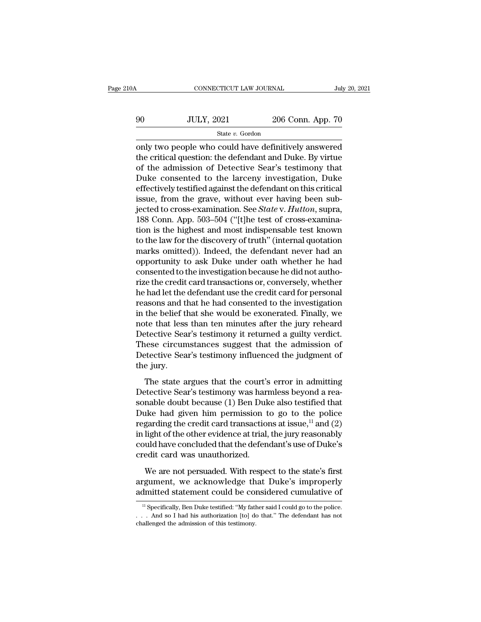| A  | CONNECTICUT LAW JOURNAL |                   | July 20, 2021 |
|----|-------------------------|-------------------|---------------|
| 90 | <b>JULY, 2021</b>       | 206 Conn. App. 70 |               |
|    | State v. Gordon         |                   |               |

CONNECTICUT LAW JOURNAL July 20, 2021<br>
State v. Gordon<br>
State v. Gordon<br>
State v. Gordon<br>
Only two people who could have definitively answered<br>
the critical question: the defendant and Duke. By virtue<br>
of the admission of  $1000$  JULY, 2021 206 Conn. App. 70<br>  $206$  Conn. App. 70<br>
only two people who could have definitively answered<br>
the critical question: the defendant and Duke. By virtue<br>
of the admission of Detective Sear's testimony that 90 JULY, 2021 206 Conn. App. 70<br>
State v. Gordon<br>
only two people who could have definitively answered<br>
the critical question: the defendant and Duke. By virtue<br>
of the admission of Detective Sear's testimony that<br>
Duke c  $300$  ULY, 2021 206 Conn. App. 70<br>  $$ \text{State } v$.$  Gordon<br>
only two people who could have definitively answered<br>
the critical question: the defendant and Duke. By virtue<br>
of the admission of Detective Sear's testimony that<br>
Du State v. Gordon<br>
only two people who could have definitively answered<br>
the critical question: the defendant and Duke. By virtue<br>
of the admission of Detective Sear's testimony that<br>
Duke consented to the larceny investiga siate v. Gordon<br>
only two people who could have definitively answered<br>
the critical question: the defendant and Duke. By virtue<br>
of the admission of Detective Sear's testimony that<br>
Duke consented to the larceny investiga only two people who could have definitively answered<br>the critical question: the defendant and Duke. By virtue<br>of the admission of Detective Sear's testimony that<br>Duke consented to the larceny investigation, Duke<br>effectivel the critical question: the defendant and Duke. By virtue<br>of the admission of Detective Sear's testimony that<br>Duke consented to the larceny investigation, Duke<br>effectively testified against the defendant on this critical<br>is of the admission of Detective Sear's testimony that<br>Duke consented to the larceny investigation, Duke<br>effectively testified against the defendant on this critical<br>issue, from the grave, without ever having been sub-<br>jected Duke consented to the larceny investigation, Duke<br>effectively testified against the defendant on this critical<br>issue, from the grave, without ever having been sub-<br>jected to cross-examination. See *State* v. *Hutton*, supr effectively testified against the defendant on this critical<br>issue, from the grave, without ever having been sub-<br>jected to cross-examination. See *State* v. *Hutton*, supra,<br>188 Conn. App. 503–504 ("[t]he test of cross-ex issue, from the grave, without ever having been sub-<br>jected to cross-examination. See *State* v. *Hutton*, supra,<br>188 Conn. App. 503–504 ("[t]he test of cross-examina-<br>tion is the highest and most indispensable test known<br> jected to cross-examination. See *State* v. *Hutton*, supra, 188 Conn. App. 503–504 ("[t]he test of cross-examination is the highest and most indispensable test known to the law for the discovery of truth" (internal quotat 188 Conn. App. 503–504 ("[t]he test of cross-examination is the highest and most indispensable test known to the law for the discovery of truth" (internal quotation marks omitted)). Indeed, the defendant never had an oppor tion is the highest and most indispensable test known<br>to the law for the discovery of truth" (internal quotation<br>marks omitted)). Indeed, the defendant never had an<br>opportunity to ask Duke under oath whether he had<br>consent to the law for the discovery of truth" (internal quotation<br>marks omitted)). Indeed, the defendant never had an<br>opportunity to ask Duke under oath whether he had<br>consented to the investigation because he did not autho-<br>rize marks omitted)). Indeed, the defendant never had an opportunity to ask Duke under oath whether he had consented to the investigation because he did not authorize the credit card transactions or, conversely, whether he had opportunity to ask Duke under oath whether he had<br>consented to the investigation because he did not autho-<br>rize the credit card transactions or, conversely, whether<br>he had let the defendant use the credit card for personal consented to the investigation because he did not authorize the credit card transactions or, conversely, whether<br>he had let the defendant use the credit card for personal<br>reasons and that he had consented to the investigat rize the credit card transactions or, conversely, whether<br>he had let the defendant use the credit card for personal<br>reasons and that he had consented to the investigation<br>in the belief that she would be exonerated. Finally he had let the defendant use the credit card for personal<br>reasons and that he had consented to the investigation<br>in the belief that she would be exonerated. Finally, we<br>note that less than ten minutes after the jury rehear reasons and t<br>in the belief t<br>note that less<br>Detective Sea<br>These circun<br>Detective Sea<br>the jury.<br>The state a the that less than ten minutes after the jury reheard<br>
etective Sear's testimony it returned a guilty verdict.<br>
hese circumstances suggest that the admission of<br>
etective Sear's testimony influenced the judgment of<br>
e jury Detective Sear's testimony it returned a guilty verdict.<br>These circumstances suggest that the admission of<br>Detective Sear's testimony influenced the judgment of<br>the jury.<br>The state argues that the court's error in admittin

These circumstances suggest that the admission of<br>Detective Sear's testimony influenced the judgment of<br>the jury.<br>The state argues that the court's error in admitting<br>Detective Sear's testimony was harmless beyond a rea-<br> Detective Sear's testimony influenced the judgment of<br>the jury.<br>The state argues that the court's error in admitting<br>Detective Sear's testimony was harmless beyond a rea-<br>sonable doubt because (1) Ben Duke also testified the jury.<br>The state argues that the court's error in admitting<br>Detective Sear's testimony was harmless beyond a reasonable doubt because (1) Ben Duke also testified that<br>Duke had given him permission to go to the police<br>r The state argues that the court's error in admitting<br>Detective Sear's testimony was harmless beyond a reasonable doubt because (1) Ben Duke also testified that<br>Duke had given him permission to go to the police<br>regarding t The state argues that the court's error in admitting<br>Detective Sear's testimony was harmless beyond a rea-<br>sonable doubt because (1) Ben Duke also testified that<br>Duke had given him permission to go to the police<br>regarding Detective Sear's testimony was harmless beyond a reasonable doubt because (1) Ben Duke also testified that Duke had given him permission to go to the police regarding the credit card transactions at issue,<sup>11</sup> and (2) in ike had given him permission to go to the police<br>garding the credit card transactions at issue,<sup>11</sup> and (2)<br>light of the other evidence at trial, the jury reasonably<br>uid have concluded that the defendant's use of Duke's<br>ed regarding the credit card transactions at issue,<sup>11</sup> and (2)<br>in light of the other evidence at trial, the jury reasonably<br>could have concluded that the defendant's use of Duke's<br>credit card was unauthorized.<br>We are not per in light of the other evidence at trial, the jury reasonably<br>could have concluded that the defendant's use of Duke's<br>credit card was unauthorized.<br>We are not persuaded. With respect to the state's first<br>argument, we ackno

We are not persuaded. With respect to the state's first rgument, we acknowledge that Duke's improperly dmitted statement could be considered cumulative of  $\frac{11}{2}$  Specifically, Ben Duke testified: "My father said I coul We are not persuaded. With respect to the state's first argument, we acknowledge that Duke's improperly admitted statement could be considered cumulative of  $\frac{1}{1}$  Specifically, Ben Duke testified: "My father said I co

argument, we acknowledge the admitted statement could be consider the admission of this testimony.<br>The admission of this testimony.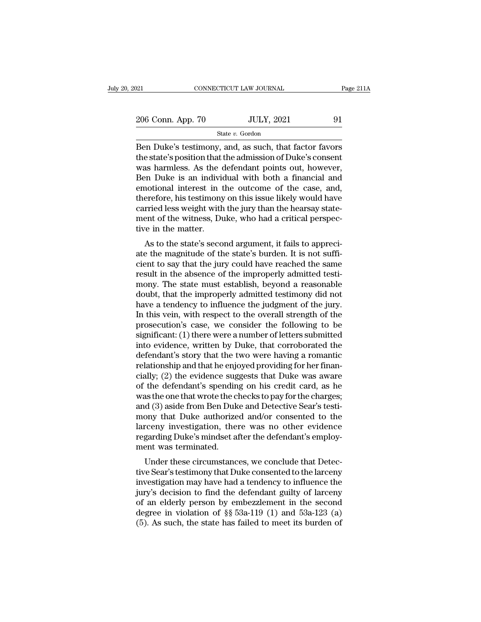| :021              | CONNECTICUT LAW JOURNAL | Page 211A |
|-------------------|-------------------------|-----------|
| 206 Conn. App. 70 | <b>JULY, 2021</b>       | 91        |
|                   | State v. Gordon         |           |

 $\begin{array}{|l|l|} \hline \text{COMRECTICUT LAW JOURNAL} & \text{Page 211A} \ \hline \text{206 Conn. App. 70} & \text{JULY, 2021} & 91 \ \hline \text{State } v. \text{ Gordon} \ \hline \text{Ben Duke's testimony, and, as such, that factor favors the state's position that the admission of Duke's consent was harmless. As the defendant points out, however,$ 206 Conn. App. 70 JULY, 2021 91<br>
State v. Gordon<br>
Ben Duke's testimony, and, as such, that factor favors<br>
the state's position that the admission of Duke's consent<br>
was harmless. As the defendant points out, however,<br>
Bon 206 Conn. App. 70 JULY, 2021 91<br>
State v. Gordon<br>
Ben Duke's testimony, and, as such, that factor favors<br>
the state's position that the admission of Duke's consent<br>
was harmless. As the defendant points out, however,<br>
Ben 206 Conn. App. 70 JULY, 2021 91<br>
State v. Gordon<br>
Ben Duke's testimony, and, as such, that factor favors<br>
the state's position that the admission of Duke's consent<br>
was harmless. As the defendant points out, however,<br>
Ben State v. Gordon<br>
Ben Duke's testimony, and, as such, that factor favors<br>
the state's position that the admission of Duke's consent<br>
was harmless. As the defendant points out, however,<br>
Ben Duke is an individual with both state v. Gordon<br>Ben Duke's testimony, and, as such, that factor favors<br>the state's position that the admission of Duke's consent<br>was harmless. As the defendant points out, however,<br>Ben Duke is an individual with both a fin Ben Duke's testimony, and, as such, that factor favors<br>the state's position that the admission of Duke's consent<br>was harmless. As the defendant points out, however,<br>Ben Duke is an individual with both a financial and<br>emoti the state's position that the admission of Duke's consent was harmless. As the defendant points out, however, Ben Duke is an individual with both a financial and emotional interest in the outcome of the case, and, therefor was harmless. As the comments in the matter of the matter in the therefore, his testimony carried less weight with ment of the witness, Du tive in the matter.<br>As to the state's seconds to the state's seconds in the matter. Fir Duke is an individual whit bout a milancial and<br>notional interest in the outcome of the case, and,<br>erefore, his testimony on this issue likely would have<br>rried less weight with the jury than the hearsay state-<br>ent of t emotional interest in the outcome of the case, and,<br>therefore, his testimony on this issue likely would have<br>carried less weight with the jury than the hearsay state-<br>ment of the witness, Duke, who had a critical perspec-<br>

carried less weight with the jury than the hearsay statement of the witness, Duke, who had a critical perspective in the matter.<br>As to the state's second argument, it fails to appreciate the magnitude of the state's burden carried less weight with the jury than the heatsay statement of the witness, Duke, who had a critical perspective in the matter.<br>As to the state's second argument, it fails to appreciate the magnitude of the state's burden ment of the witness, Duke, who had a critical perspective in the matter.<br>As to the state's second argument, it fails to appreciate the magnitude of the state's burden. It is not sufficient to say that the jury could have r doubt in the inatter.<br>As to the state's second argument, it fails to appreci-<br>ate the magnitude of the state's burden. It is not suffi-<br>cient to say that the jury could have reached the same<br>result in the absence of the im As to the state's second argument, it fails to appreciate the magnitude of the state's burden. It is not sufficient to say that the jury could have reached the same result in the absence of the improperly admitted testimon ate the magnitude of the state's burden. It is not sufficient to say that the jury could have reached the same<br>result in the absence of the improperly admitted testi-<br>mony. The state must establish, beyond a reasonable<br>dou cient to say that the jury could have reached the same<br>result in the absence of the improperly admitted testi-<br>mony. The state must establish, beyond a reasonable<br>doubt, that the improperly admitted testimony did not<br>have result in the absence of the improperly admitted testi-<br>mony. The state must establish, beyond a reasonable<br>doubt, that the improperly admitted testimony did not<br>have a tendency to influence the judgment of the jury.<br>In th mony. The state must establish, beyond a reasonable<br>doubt, that the improperly admitted testimony did not<br>have a tendency to influence the judgment of the jury.<br>In this vein, with respect to the overall strength of the<br>pro doubt, that the improperly admitted testimony did not<br>have a tendency to influence the judgment of the jury.<br>In this vein, with respect to the overall strength of the<br>prosecution's case, we consider the following to be<br>sig have a tendency to influence the judgment of the jury.<br>In this vein, with respect to the overall strength of the<br>prosecution's case, we consider the following to be<br>significant: (1) there were a number of letters submitted In this vein, with respect to the overall strength of the<br>prosecution's case, we consider the following to be<br>significant: (1) there were a number of letters submitted<br>into evidence, written by Duke, that corroborated the<br> prosecution's case, we consider the following to be<br>significant: (1) there were a number of letters submitted<br>into evidence, written by Duke, that corroborated the<br>defendant's story that the two were having a romantic<br>rela significant: (1) there were a number of letters submitted<br>into evidence, written by Duke, that corroborated the<br>defendant's story that the two were having a romantic<br>relationship and that he enjoyed providing for her finan into evidence, written by Duke, that corroborated the<br>defendant's story that the two were having a romantic<br>relationship and that he enjoyed providing for her finan-<br>cially; (2) the evidence suggests that Duke was aware<br>of defendant's story that the two were having a romantic<br>relationship and that he enjoyed providing for her finan-<br>cially; (2) the evidence suggests that Duke was aware<br>of the defendant's spending on his credit card, as he<br>wa relationship and that he enjoyed providing for her finan-<br>cially; (2) the evidence suggests that Duke was aware<br>of the defendant's spending on his credit card, as he<br>was the one that wrote the checks to pay for the charges cially; (2) the evidence suggests that Duke was aware<br>of the defendant's spending on his credit card, as he<br>was the one that wrote the checks to pay for the charges;<br>and (3) aside from Ben Duke and Detective Sear's testi-<br> of the defendant's spendin<br>was the one that wrote the c<br>and (3) aside from Ben Duk<br>mony that Duke authorize<br>larceny investigation, the<br>regarding Duke's mindset a<br>ment was terminated.<br>Under these circumstanc is the one that wrote the checks to pay for the charges,<br>d (3) aside from Ben Duke and Detective Sear's testi-<br>ony that Duke authorized and/or consented to the<br>rceny investigation, there was no other evidence<br>garding Duke' and (5) aside from Ben Duke and Detective Sear's testi-<br>mony that Duke authorized and/or consented to the<br>larceny investigation, there was no other evidence<br>regarding Duke's mindset after the defendant's employ-<br>ment was t

investigation, there was no other evidence<br>regarding Duke's mindset after the defendant's employ-<br>ment was terminated.<br>Under these circumstances, we conclude that Detec-<br>tive Sear's testimony that Duke consented to the lar Franceny investigation, there was no other evidence<br>regarding Duke's mindset after the defendant's employ-<br>ment was terminated.<br>Under these circumstances, we conclude that Detec-<br>tive Sear's testimony that Duke consented regarding Duke's finitiset after the defendant is employ-<br>ment was terminated.<br>Under these circumstances, we conclude that Detec-<br>tive Sear's testimony that Duke consented to the larceny<br>investigation may have had a tende Under these circumstances, we conclude that Detective Sear's testimony that Duke consented to the larceny investigation may have had a tendency to influence the jury's decision to find the defendant guilty of larceny of a Under these circumstances, we conclude that Detective Sear's testimony that Duke consented to the larceny investigation may have had a tendency to influence the jury's decision to find the defendant guilty of larceny of a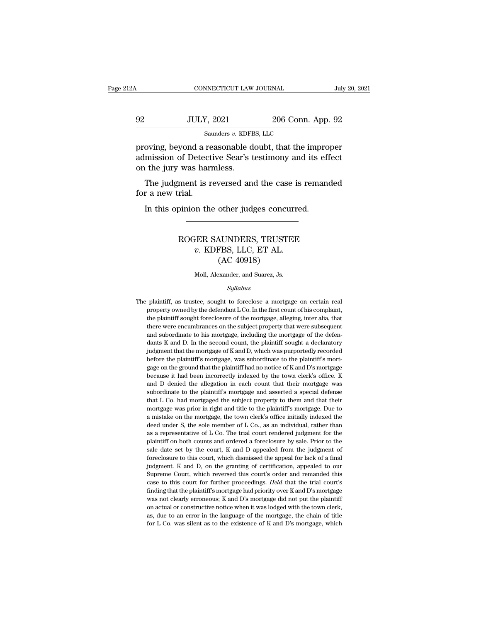## CONNECTICUT LAW JOURNAL July 20, 2021<br>
92 JULY, 2021 206 Conn. App. 92<br>
Saunders v. KDFBS, LLC Saunders *v.* KDFBS, LLC FRO CONNECTICUT LAW JOURNAL July 20, 2021<br>
92 JULY, 2021 206 Conn. App. 92<br>
92 Saunders v. KDFBS, LLC<br>
proving, beyond a reasonable doubt, that the improper<br>
admission of Detective Sear's testimony and its effect<br>
on the i

admission of Detective Sear's testimony and its effect<br>on the jury was harmless.<br>Beyond a reasonable doubt, that the improper<br>admission of Detective Sear's testimony and its effect<br>on the jury was harmless.  $\begin{array}{c} \text{92} & \text{JULY, 2021} \ \text{Sauders } v. \text{ KDFF} \ \text{proving, beyond a reasonable d} \ \text{admission of Detective Sear's t} \ \text{on the jury was harmless.} \ \text{The judgment is reversed an} \end{array}$ JULY, 2021 206 Conn. App. 92<br>
Saunders v. KDFBS, LLC<br>
oving, beyond a reasonable doubt, that the improper<br>
mission of Detective Sear's testimony and its effect<br>
the jury was harmless.<br>
The judgment is reversed and the cas <sup>Sau</sup><br>proving, beyond a re<br>admission of Detect<br>on the jury was hari<br>The judgment is r<br>for a new trial.<br>In this opinion the oving, beyond a reasonable doubt, that the impromission of Detective Sear's testimony and its effective sear's testimony and its effective sear's testimony and its effective search of the judges.<br>The judgment is reversed a

### ment is reversed and the case is remanded<br>rial.<br>pinion the other judges concurred.<br>ROGER SAUNDERS, TRUSTEE<br>v. KDFBS, LLC, ET AL.<br>(AC 40018) *v. B* Feversed and the ease is<br>in the other judges concurred<br>FER SAUNDERS, TRUSTEE<br>*v.* KDFBS, LLC, ET AL. (AC 40918) other judges concu<br>
MUNDERS, TRUSTI<br>
FBS, LLC, ET AL.<br>
(AC 40918)<br>
xxander, and Suarez, Js. ROGER SAUNDERS, TRUSTEE<br> $v$ . KDFBS, LLC, ET AL.<br>(AC 40918)<br>Moll, Alexander, and Suarez, Js.

### *Syllabus*

 $(AC 40918)$ <br>Moll, Alexander, and Suarez, Js.<br>Syllabus<br>The plaintiff, as trustee, sought to foreclose a mortgage on certain real<br>property owned by the defendant LCo. In the first count of his complaint, Moll, Alexander, and Suarez, Js.<br>Syllabus<br>plaintiff, as trustee, sought to foreclose a mortgage on certain real<br>property owned by the defendant L Co. In the first count of his complaint,<br>the plaintiff sought foreclosure of Moll, Alexander, and Suarez, Js.<br>Syllabus<br>plaintiff, as trustee, sought to foreclose a mortgage on certain real<br>property owned by the defendant L Co. In the first count of his complaint,<br>the plaintiff sought foreclosure of Syllabus<br>
Syllabus<br>
plaintiff, as trustee, sought to foreclose a mortgage on certain real<br>
property owned by the defendant L Co. In the first count of his complaint,<br>
the plaintiff sought foreclosure of the mortgage, alleg *Syltabus*<br>plaintiff, as trustee, sought to foreclose a mortgage on certain real<br>property owned by the defendant L Co. In the first count of his complaint,<br>the plaintiff sought foreclosure of the mortgage, alleging, inter plaintiff, as trustee, sought to foreclose a mortgage on certain real<br>property owned by the defendant L Co. In the first count of his complaint,<br>the plaintiff sought foreclosure of the mortgage, alleging, inter alia, that<br> property owned by the defendant L Co. In the first count of his complaint, the plaintiff sought foreclosure of the mortgage, alleging, inter alia, that there were encumbrances on the subject property that were subsequent a proper in sought foreclosure of the mortgage, alleging, inter alia, that<br>the plaintiff sought foreclosure of the mortgage, alleging, inter alia, that<br>there were encumbrances on the subject property that were subsequent<br>and there were encumbrances on the subject property that were subsequent and subordinate to his mortgage, including the mortgage of the defendants K and D. In the second count, the plaintiff sought a declaratory judgment that and subordinate to his mortgage, including the mortgage of the defendants K and D. In the second count, the plaintiff sought a declaratory judgment that the mortgage of K and D, which was purportedly recorded before the pl dants K and D. In the second count, the plaintiff sought a declaratory judgment that the mortgage of K and D, which was purportedly recorded before the plaintiff's mortgage, was subordinate to the plaintiff's mortgage on judgment that the mortgage of K and D, which was purportedly recorded<br>before the plaintiff's mortgage, was subordinate to the plaintiff's mortgage<br>on the ground that the plaintiff had no notice of K and D's mortgage<br>becaus before the plaintiff's mortgage, was subordinate to the plaintiff's mortgage on the ground that the plaintiff had no notice of K and D's mortgage because it had been incorrectly indexed by the town clerk's office. K and D gage on the ground that the plaintiff had no notice of K and D's mortgage because it had been incorrectly indexed by the town clerk's office. K and D denied the allegation in each count that their mortgage was subordinate suse it had been incorrectly indexed by the town clerk's office. K<br>because it had been incorrectly indexed by the town clerk's office. K<br>and D denied the allegation in each count that their mortgage was<br>subordinate to the and D denied the allegation in each count that their mortgage was subordinate to the plaintiff's mortgage and asserted a special defense that L Co. had mortgaged the subject property to them and that their mortgage was pri subordinate to the plaintiff's mortgage and asserted a special defense that L Co. had mortgaged the subject property to them and that their mortgage was prior in right and title to the plaintiff's mortgage. Due to a mista both counts are more intimely the subject property to them and that their mortgage was prior in right and title to the plaintiff's mortgage. Due to a mistake on the mortgage, the town clerk's office initially indexed the sale and such that increases the court, and the tothe plaintiff's mortgage. Due to a mistake on the mortgage, the town clerk's office initially indexed the deed under S, the sole member of L Co., as an individual, rather t for a final multiple in the mortgage, the town clerk's office initially indexed the deed under S, the sole member of L Co., as an individual, rather than as a representative of L Co. The trial court rendered judgment for deed under S, the sole member of L Co., as an individual, rather than as a representative of L Co. The trial court rendered judgment for the plaintiff on both counts and ordered a foreclosure by sale. Prior to the sale dat as a representative of L Co. The trial court rendered judgment for the plaintiff on both counts and ordered a foreclosure by sale. Prior to the sale date set by the court, K and D appealed from the judgment of foreclosure plaintiff on both counts and ordered a foreclosure by sale. Prior to the sale date set by the court, K and D appealed from the judgment of foreclosure to this court, which dismissed the appeal for lack of a final judgment. Finding that the plaintiff's mortgage had priority over K and D's mortgage had priority of the scout, which dismissed the appeal for lack of a final judgment. K and D, on the granting of certification, appealed to our Sup sale date set by the court, K and D appealed from the judgment of foreclosure to this court, which dismissed the appeal for lack of a final judgment. K and D, on the granting of certification, appealed to our Supreme Cour judgment. K and D, on the granting of certification, appealed to our Supreme Court, which reversed this court's order and remanded this case to this court for further proceedings. *Held* that the trial court's finding tha Supreme Court, which reversed this court's order and remanded this case to this court for further proceedings. *Held* that the trial court's finding that the plaintiff's mortgage had priority over K and D's mortgage was n case to this court for further proceedings. Held that the trial court's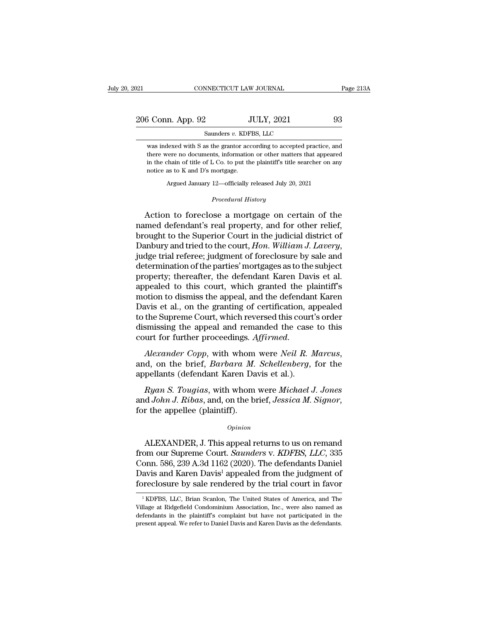206 Conn. App. 92 JULY, 2021 93<br>
206 Conn. App. 92 JULY, 2021 93 NNECTICUT LAW JOURNAL<br>2. JULY, 2021<br>Saunders *v.* KDFBS, LLC<br>as the grantor according to accepted pr

3 Conn. App. 92 JULY, 2021 93<br>
Saunders v. KDFBS, LLC<br>
was indexed with S as the grantor according to accepted practice, and<br>
there were no documents, information or other matters that appeared there were no documents, information or other matters that appeared in the chain of title of L Co. to put the plaintiff's title searcher on any in the chain of title of L Co. to put the plaintiff's title searcher on any notice as to K and D's mortgage. notice as to K and D's mortgage. Example of ELTES, ELECTES, and<br>hexed with S as the grantor according to accepted practice, and<br>ere no documents, information or other matters that appeared<br>chain of title of L Co. to put the plaintiff's title searcher on a there were no documents, information or other matters that appeared<br>in the chain of title of L Co. to put the plaintiff's title searcher on any<br>notice as to K and D's mortgage.<br>Argued January 12—officially released July 20

there were no documents, information or other matters that appeared<br>in the chain of title of L Co. to put the plaintiff's title searcher on any<br>notice as to K and D's mortgage.<br>Argued January 12—officially released July 20 in the chain of title of L Co. to put the plaintiff's title searcher on any<br>notice as to K and D's mortgage.<br>Argued January 12—officially released July 20, 2021<br>*Procedural History*<br>Action to foreclose a mortgage on certai houce as to K and D's mortgage.<br>
Argued January 12—officially released July 20, 2021<br>
Procedural History<br>
Action to foreclose a mortgage on certain of the<br>
named defendant's real property, and for other relief,<br>
brought to Argued January 12—officially released July 20, 2021<br> *Procedural History*<br>
Action to foreclose a mortgage on certain of the<br>
named defendant's real property, and for other relief,<br>
brought to the Superior Court in the judi Action to foreclose a mortgage on certain of the<br>named defendant's real property, and for other relief,<br>brought to the Superior Court in the judicial district of<br>Danbury and tried to the court, *Hon. William J. Lavery*,<br>ju Action to foreclose a mortgage on certain of the<br>named defendant's real property, and for other relief,<br>brought to the Superior Court in the judicial district of<br>Danbury and tried to the court, *Hon. William J. Lavery*,<br>ju named defendant's real property, and for other relief,<br>brought to the Superior Court in the judicial district of<br>Danbury and tried to the court, *Hon. William J. Lavery*,<br>judge trial referee; judgment of foreclosure by sal brought to the Superior Court in the judicial district of<br>Danbury and tried to the court, *Hon. William J. Lavery*,<br>judge trial referee; judgment of foreclosure by sale and<br>determination of the parties' mortgages as to the Danbury and tried to the court, *Hon. William J. Lavery*,<br>judge trial referee; judgment of foreclosure by sale and<br>determination of the parties' mortgages as to the subject<br>property; thereafter, the defendant Karen Davis e judge trial referee; judgment of foreclosure by sale and<br>determination of the parties' mortgages as to the subject<br>property; thereafter, the defendant Karen Davis et al.<br>appealed to this court, which granted the plaintiff' determination of the parties' mortgages as to the subject<br>property; thereafter, the defendant Karen Davis et al.<br>appealed to this court, which granted the plaintiff's<br>motion to dismiss the appeal, and the defendant Karen<br>D property; thereafter, the defendant Karen Davis et al.<br>appealed to this court, which granted the plaintiff's<br>motion to dismiss the appeal, and the defendant Karen<br>Davis et al., on the granting of certification, appealed<br>to Early et al., on the graining of certification, and<br>to the Supreme Court, which reversed this court<br>dismissing the appeal and remanded the case<br>court for further proceedings. Affirmed.<br>Alexander Copp, with whom were Neil R

Franking the appeal and remanded the case to this<br>
urt for further proceedings. *Affirmed.*<br> *Alexander Copp*, with whom were *Neil R. Marcus*,<br> *d*, on the brief, *Barbara M. Schellenberg*, for the<br>
pellants (defendant Ka

court for further proceedings. *Affirmed.*<br> *Alexander Copp*, with whom were *Neil R. Marcus*,<br>
and, on the brief, *Barbara M. Schellenberg*, for the<br>
appellants (defendant Karen Davis et al.).<br> *Ryan S. Tougias*, with who Ryan S. Tougias, with whom were Michael J. Jones<br>
d John J. Ribas, and, on the brief, Jessica M. Signor,<br>
r the appellee (plaintiff).<br>
Opinion<br>
ALEXANDER, J. This appeal returns to us on remand<br>
om our Supreme Court. *Saun* 

### *Opinion*

*Ryan S. Tougias*, with whom were *Michael J. Jones*<br>and *John J. Ribas*, and, on the brief, *Jessica M. Signor*,<br>for the appellee (plaintiff).<br>*Opinion*<br>ALEXANDER, J. This appeal returns to us on remand<br>from our Supreme C and John J. Ribas, and, on the brief, Jessica M. Signor,<br>for the appellee (plaintiff).<br>*Opinion*<br>ALEXANDER, J. This appeal returns to us on remand<br>from our Supreme Court. *Saunders v. KDFBS, LLC*, 335<br>Conn. 586, 239 A.3d 1 opinion<br>
Opinion<br>
Davis and Karen Davis appears to us on remand<br>
from our Supreme Court. *Saunders v. KDFBS, LLC*, 335<br>
Conn. 586, 239 A.3d 1162 (2020). The defendants Daniel<br>
Davis and Karen Davis<sup>1</sup> appealed from the jud Opinion<br>ALEXANDER, J. This appeal returns to us on remand<br>from our Supreme Court. Saunders v. KDFBS, LLC, 335<br>Conn. 586, 239 A.3d 1162 (2020). The defendants Daniel<br>Davis and Karen Davis<sup>1</sup> appealed from the judgment of<br>fo om our Supreme Court. *Saunders v. KDFBS, LLC, 335*<br>onn. 586, 239 A.3d 1162 (2020). The defendants Daniel<br>avis and Karen Davis<sup>1</sup> appealed from the judgment of<br>reclosure by sale rendered by the trial court in favor<br><sup>1</sup>KDFB Conn. 586, 239 A.3d 1162 (2020). The defendants Daniel<br>Davis and Karen Davis<sup>1</sup> appealed from the judgment of<br>foreclosure by sale rendered by the trial court in favor<br><sup>1</sup>KDFBS, LLC, Brian Scanlon, The United States of Amer

Davis and Karen Davis<sup>1</sup> appealed from the judgment of foreclosure by sale rendered by the trial court in favor<br><sup>1</sup> KDFBS, LLC, Brian Scanlon, The United States of America, and The Village at Ridgefield Condominium Associa present appeal. We refer to Davis and The United States of America, and The Village at Ridgefield Condominium Association, Inc., were also named as defendants in the plaintiff's complaint but have not participated in the p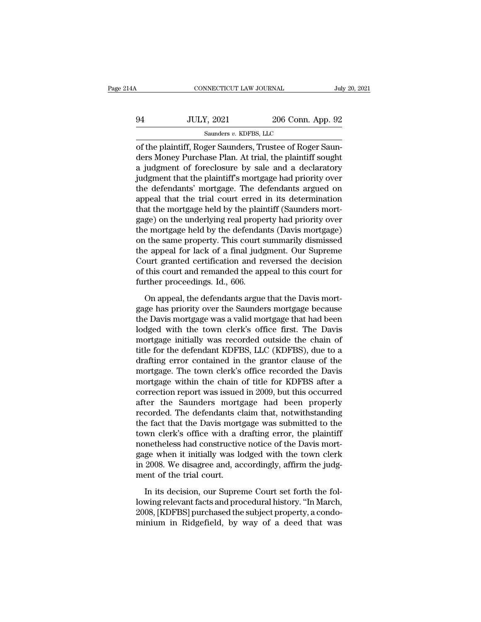| Α  | CONNECTICUT LAW JOURNAL | July 20, 2021                                                                                                                                                               |  |
|----|-------------------------|-----------------------------------------------------------------------------------------------------------------------------------------------------------------------------|--|
| 94 | <b>JULY, 2021</b>       | 206 Conn. App. 92                                                                                                                                                           |  |
|    | Saunders v. KDFBS, LLC  |                                                                                                                                                                             |  |
|    |                         | of the plaintiff, Roger Saunders, Trustee of Roger Saun-<br>ders Money Purchase Plan. At trial, the plaintiff sought<br>a judgmant of foroglogure by gale and a doglaratory |  |

94 JULY, 2021 206 Conn. App. 92<br>
Saunders v. KDFBS, LLC<br>
of the plaintiff, Roger Saunders, Trustee of Roger Saunders Money Purchase Plan. At trial, the plaintiff sought<br>
a judgment of foreclosure by sale and a declaratory<br>  $\frac{94}{\text{Sumber } v. \text{ KDFBS, LLC}}$ <br>  $\frac{\text{Sauders } v. \text{ KDFBS, LLC}}{\text{of the plaintiff, Roger Saunders, Trustee of Roger Saunders Money Purchase Plan. At trial, the plaintiff sought a judgment of foreclosure by sale and a declaratory judgment that the plaintiff's mortgage had priority over the deformators' mortase. The deformators are used on the data.}$  $\frac{94}{\text{Sauders } v. \text{ KDFBS, LLC}}$ <br>
of the plaintiff, Roger Saunders, Trustee of Roger Saunders Money Purchase Plan. At trial, the plaintiff sought<br>
a judgment of foreclosure by sale and a declaratory<br>
judgment that the plaintif Saunders v. KDFBS, LLC<br>
of the plaintiff, Roger Saunders, Trustee of Roger Saun-<br>
ders Money Purchase Plan. At trial, the plaintiff sought<br>
a judgment of foreclosure by sale and a declaratory<br>
judgment that the plaintiff' samders v. KDFBS, LLC<br>of the plaintiff, Roger Saunders, Trustee of Roger Saun-<br>ders Money Purchase Plan. At trial, the plaintiff sought<br>a judgment of foreclosure by sale and a declaratory<br>judgment that the plaintiff's mort of the plaintiff, Roger Saunders, Trustee of Roger Saunders Money Purchase Plan. At trial, the plaintiff sought<br>a judgment of foreclosure by sale and a declaratory<br>judgment that the plaintiff's mortgage had priority over<br>t ders Money Purchase Plan. At trial, the plaintiff sought<br>a judgment of foreclosure by sale and a declaratory<br>judgment that the plaintiff's mortgage had priority over<br>the defendants' mortgage. The defendants argued on<br>appea a judgment of foreclosure by sale and a declaratory<br>judgment that the plaintiff's mortgage had priority over<br>the defendants' mortgage. The defendants argued on<br>appeal that the trial court erred in its determination<br>that th judgment that the plaintiff's mortgage had priority over<br>the defendants' mortgage. The defendants argued on<br>appeal that the trial court erred in its determination<br>that the mortgage held by the plaintiff (Saunders mort-<br>gag the defendants' mortgage. The defendants argued on<br>appeal that the trial court erred in its determination<br>that the mortgage held by the plaintiff (Saunders mort-<br>gage) on the underlying real property had priority over<br>the appeal that the trial court erred in its determination<br>that the mortgage held by the plaintiff (Saunders mortgage)<br>on the underlying real property had priority over<br>the mortgage held by the defendants (Davis mortgage)<br>on t that the mortgage held by the plaintiff (Saunders mortgage) on the underlying real property had priority over the mortgage held by the defendants (Davis mortgage) on the same property. This court summarily dismissed the ap gage) on the underlying real prope<br>the mortgage held by the defendar<br>on the same property. This court s<br>the appeal for lack of a final judg<br>Court granted certification and re<br>of this court and remanded the app<br>further proc The same property. This court summarily dismissed<br>appeal for lack of a final judgment. Our Supreme<br>ourt granted certification and reversed the decision<br>this court and remanded the appeal to this court for<br>ther proceedings. the appeal for lack of a final judgment. Our Supreme<br>Court granted certification and reversed the decision<br>of this court and remanded the appeal to this court for<br>further proceedings. Id., 606.<br>On appeal, the defendants ar

Court granted certification and reversed the decision<br>of this court and remanded the appeal to this court for<br>further proceedings. Id., 606.<br>On appeal, the defendants argue that the Davis mort-<br>gage has priority over the S of this court and remanded the appeal to this court for<br>further proceedings. Id., 606.<br>On appeal, the defendants argue that the Davis mort-<br>gage has priority over the Saunders mortgage because<br>the Davis mortgage was a vali further proceedings. Id., 606.<br>
On appeal, the defendants argue that the Davis mort-<br>
gage has priority over the Saunders mortgage because<br>
the Davis mortgage was a valid mortgage that had been<br>
lodged with the town clerk' On appeal, the defendants argue that the Davis mortgage has priority over the Saunders mortgage because<br>the Davis mortgage was a valid mortgage that had been<br>lodged with the town clerk's office first. The Davis<br>mortgage in On appeal, the defendants argue that the Davis mortgage has priority over the Saunders mortgage because<br>the Davis mortgage was a valid mortgage that had been<br>lodged with the town clerk's office first. The Davis<br>mortgage in gage has priority over the Saunders mortgage because<br>the Davis mortgage was a valid mortgage that had been<br>lodged with the town clerk's office first. The Davis<br>mortgage initially was recorded outside the chain of<br>title for the Davis mortgage was a valid mortgage that had been<br>lodged with the town clerk's office first. The Davis<br>mortgage initially was recorded outside the chain of<br>title for the defendant KDFBS, LLC (KDFBS), due to a<br>drafting lodged with the town clerk's office first. The Davis<br>mortgage initially was recorded outside the chain of<br>title for the defendant KDFBS, LLC (KDFBS), due to a<br>drafting error contained in the grantor clause of the<br>mortgage. mortgage initially was recorded outside the chain of<br>title for the defendant KDFBS, LLC (KDFBS), due to a<br>drafting error contained in the grantor clause of the<br>mortgage. The town clerk's office recorded the Davis<br>mortgage title for the defendant KDFBS, LLC (KDFBS), due to a<br>drafting error contained in the grantor clause of the<br>mortgage. The town clerk's office recorded the Davis<br>mortgage within the chain of title for KDFBS after a<br>correctio drafting error contained in the grantor clause of the<br>mortgage. The town clerk's office recorded the Davis<br>mortgage within the chain of title for KDFBS after a<br>correction report was issued in 2009, but this occurred<br>after mortgage. The town clerk's office recorded the Davis<br>mortgage within the chain of title for KDFBS after a<br>correction report was issued in 2009, but this occurred<br>after the Saunders mortgage had been properly<br>recorded. The mortgage within the chain of title for KDFBS after a<br>correction report was issued in 2009, but this occurred<br>after the Saunders mortgage had been properly<br>recorded. The defendants claim that, notwithstanding<br>the fact that correction report was issued in 2009, but this occurred<br>after the Saunders mortgage had been properly<br>recorded. The defendants claim that, notwithstanding<br>the fact that the Davis mortgage was submitted to the<br>town clerk's after the Saunders mortgage had been properly<br>recorded. The defendants claim that, notwithstanding<br>the fact that the Davis mortgage was submitted to the<br>town clerk's office with a drafting error, the plaintiff<br>nonetheless recorded. The defendants cl<br>the fact that the Davis mort;<br>town clerk's office with a d<br>nonetheless had constructive<br>gage when it initially was lo<br>in 2008. We disagree and, ac<br>ment of the trial court.<br>In its decision, our S Wom clerk's office with a drafting error, the plaintiff<br>metheless had constructive notice of the Davis mort-<br>ge when it initially was lodged with the town clerk<br>2008. We disagree and, accordingly, affirm the judg-<br>ent of t monetheless had constructive notice of the Davis mortgage when it initially was lodged with the town clerk<br>in 2008. We disagree and, accordingly, affirm the judgment of the trial court.<br>In its decision, our Supreme Court s

gage when it initially was lodged with the town clerk<br>in 2008. We disagree and, accordingly, affirm the judg-<br>ment of the trial court.<br>In its decision, our Supreme Court set forth the fol-<br>lowing relevant facts and procedu in 2008. We disagree and, accordingly, affirm the judgment of the trial court.<br>In its decision, our Supreme Court set forth the following relevant facts and procedural history. "In March, 2008, [KDFBS] purchased the subjec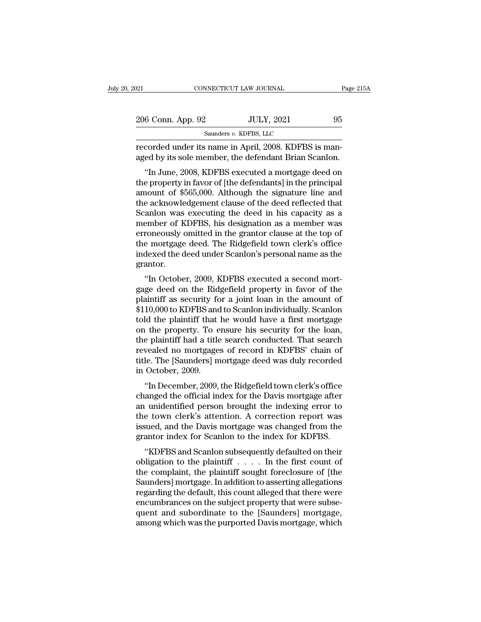| 2021              | CONNECTICUT LAW JOURNAL                                                                                                                                                 | Page 215A |
|-------------------|-------------------------------------------------------------------------------------------------------------------------------------------------------------------------|-----------|
|                   |                                                                                                                                                                         |           |
| 206 Conn. App. 92 | <b>JULY, 2021</b>                                                                                                                                                       | 95        |
|                   | Saunders v. KDFBS, LLC                                                                                                                                                  |           |
|                   | recorded under its name in April, 2008. KDFBS is man-<br>aged by its sole member, the defendant Brian Scanlon.                                                          |           |
|                   | "In June, 2008, KDFBS executed a mortgage deed on<br>the property in favor of [the defendants] in the principal<br>amount of \$565,000. Although the signature line and |           |

206 Conn. App. 92 JULY, 2021 95<br>
Saunders v. KDFBS, LLC<br>
recorded under its name in April, 2008. KDFBS is man-<br>
aged by its sole member, the defendant Brian Scanlon.<br>
"In June, 2008, KDFBS executed a mortgage deed on<br>
the samders  $v$ . KDFBS, LLC<br>recorded under its name in April, 2008. KDFBS is man-<br>aged by its sole member, the defendant Brian Scanlon.<br>"In June, 2008, KDFBS executed a mortgage deed on<br>the property in favor of [the defendant recorded under its name in April, 2008. KDFBS is managed by its sole member, the defendant Brian Scanlon.<br>"In June, 2008, KDFBS executed a mortgage deed on<br>the property in favor of [the defendants] in the principal<br>amount recorded under its name in April, 2006. KDF B5 is man-<br>aged by its sole member, the defendant Brian Scanlon.<br>"In June, 2008, KDFBS executed a mortgage deed on<br>the property in favor of [the defendants] in the principal<br>amou aged by its sole member, the defendant brian scanton.<br>
"In June, 2008, KDFBS executed a mortgage deed on<br>
the property in favor of [the defendants] in the principal<br>
amount of \$565,000. Although the signature line and<br>
the "In June, 2008, KDFBS executed a mortgage deed on<br>the property in favor of [the defendants] in the principal<br>amount of \$565,000. Although the signature line and<br>the acknowledgement clause of the deed reflected that<br>Scanlon the property in favor of [the defendants] in the principal<br>amount of \$565,000. Although the signature line and<br>the acknowledgement clause of the deed reflected that<br>Scanlon was executing the deed in his capacity as a<br>membe amount of \$565,000. Although the signature line and<br>the acknowledgement clause of the deed reflected that<br>Scanlon was executing the deed in his capacity as a<br>member of KDFBS, his designation as a member was<br>erroneously omi grantor. allion was executing the tied in his capacity as a<br>
ember of KDFBS, his designation as a member was<br>
roneously omitted in the grantor clause at the top of<br>
e mortgage deed. The Ridgefield town clerk's office<br>
dexed the dee member of KDFBS, his designation as a member was<br>erroneously omitted in the grantor clause at the top of<br>the mortgage deed. The Ridgefield town clerk's office<br>indexed the deed under Scanlon's personal name as the<br>grantor.<br>

erforeously omitted in the grantor clause at the top of<br>the mortgage deed. The Ridgefield town clerk's office<br>indexed the deed under Scanlon's personal name as the<br>grantor.<br>"In October, 2009, KDFBS executed a second mortga the mortgage deed. The magement town clerk's office<br>indexed the deed under Scanlon's personal name as the<br>grantor.<br>"In October, 2009, KDFBS executed a second mortgage<br>deed on the Ridgefield property in favor of the<br>plainti muexed the deed thider Scanfort's personal name as the<br>grantor.<br>"In October, 2009, KDFBS executed a second mortgage deed on the Ridgefield property in favor of the<br>plaintiff as security for a joint loan in the amount of<br>\$1 "In October, 2009, KDFBS executed a second mort-<br>gage deed on the Ridgefield property in favor of the<br>plaintiff as security for a joint loan in the amount of<br>\$110,000 to KDFBS and to Scanlon individually. Scanlon<br>told the "In October, 2009, KDFBS executed a second mortgage deed on the Ridgefield property in favor of the plaintiff as security for a joint loan in the amount of \$110,000 to KDFBS and to Scanlon individually. Scanlon told the pl gage deed on the Ridgefield property in favor of the<br>plaintiff as security for a joint loan in the amount of<br>\$110,000 to KDFBS and to Scanlon individually. Scanlon<br>told the plaintiff that he would have a first mortgage<br>on plaintiff as security for a joint loan in the amount of \$110,000 to KDFBS and to Scanlon individually. Scanlon told the plaintiff that he would have a first mortgage on the property. To ensure his security for the loan, th \$110,000 to KDFBS and<br>told the plaintiff that<br>on the property. To e<br>the plaintiff had a title<br>revealed no mortgage<br>title. The [Saunders] m<br>in October, 2009.<br>"In December, 2009, It the property. To ensure his security for the loan,<br>
e plaintiff had a title search conducted. That search<br>
vealed no mortgages of record in KDFBS' chain of<br>
le. The [Saunders] mortgage deed was duly recorded<br>
October, 2 on the property. To ensure his security for the loan,<br>the plaintiff had a title search conducted. That search<br>revealed no mortgages of record in KDFBS' chain of<br>title. The [Saunders] mortgage deed was duly recorded<br>in Octo

revealed no mortgages of record in KDFBS' chain of<br>title. The [Saunders] mortgage deed was duly recorded<br>in October, 2009.<br>"In December, 2009, the Ridgefield town clerk's office<br>changed the official index for the Davis mor revealed no mortgages or record in KDFBS chain of<br>title. The [Saunders] mortgage deed was duly recorded<br>in October, 2009.<br>"In December, 2009, the Ridgefield town clerk's office<br>changed the official index for the Davis mort in October, 2009.<br>
"In December, 2009, the Ridgefield town clerk's office<br>
changed the official index for the Davis mortgage after<br>
an unidentified person brought the indexing error to<br>
the town clerk's attention. A correc for the December, 2009, the Ridgefield town clerk's office<br>changed the official index for the Davis mortgage after<br>an unidentified person brought the indexing error to<br>the town clerk's attention. A correction report was<br>is In December, 2009, the Hugerlend townterers some<br>
anged the official index for the Davis mortgage after<br>
unidentified person brought the indexing error to<br>
e town clerk's attention. A correction report was<br>
used, and the D changed the official mdex for the Davis mortgage after<br>an unidentified person brought the indexing error to<br>the town clerk's attention. A correction report was<br>issued, and the Davis mortgage was changed from the<br>grantor in

an underlined person brought the indexing error to<br>the town clerk's attention. A correction report was<br>issued, and the Davis mortgage was changed from the<br>grantor index for Scanlon to the index for KDFBS.<br>"KDFBS and Scanlo the town clerk's attention. A correction report was<br>issued, and the Davis mortgage was changed from the<br>grantor index for Scanlon to the index for KDFBS.<br>"KDFBS and Scanlon subsequently defaulted on their<br>obligation to the regarding to the independent of the default of the same and separator index for Scanlon subsequently defaulted on their obligation to the plaintiff . . . . . In the first count of the complaint, the plaintiff sought forecl grantor index for Scanlon to the index for KDFBS.<br>
"KDFBS and Scanlon subsequently defaulted on their<br>
obligation to the plaintiff  $\ldots$ . In the first count of<br>
the complaint, the plaintiff sought foreclosure of [the<br>
Sau "KDFBS and Scanlon subsequently defaulted on their<br>obligation to the plaintiff  $\ldots$ ... In the first count of<br>the complaint, the plaintiff sought foreclosure of [the<br>Saunders] mortgage. In addition to asserting allegation obligation to the plaintiff . . . . . In the first count of<br>the complaint, the plaintiff sought foreclosure of [the<br>Saunders] mortgage. In addition to asserting allegations<br>regarding the default, this count alleged that th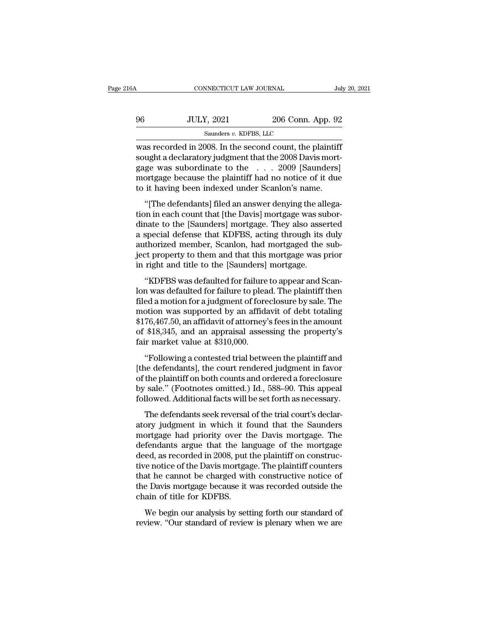| :16A | CONNECTICUT LAW JOURNAL                                 |                   | July 20, 2021 |
|------|---------------------------------------------------------|-------------------|---------------|
| 96   | <b>JULY, 2021</b>                                       | 206 Conn. App. 92 |               |
|      | Saunders v. KDFBS, LLC                                  |                   |               |
|      | was recorded in 2008. In the second count the plaintiff |                   |               |

CONNECTICUT LAW JOURNAL July 20, 202<br>
96 JULY, 2021 206 Conn. App. 92<br>
Saunders v. KDFBS, LLC<br>
was recorded in 2008. In the second count, the plaintiff<br>
sought a declaratory judgment that the 2008 Davis mort-Sounders v. KDFBS, LLC<br>
Saunders v. KDFBS, LLC<br>
Was recorded in 2008. In the second count, the plaintiff<br>
sought a declaratory judgment that the 2008 Davis mort-<br>
gage was subordinate to the ... 2009 [Saunders]<br>
mortgage b gage was subordinate to the ... . 2006 Conn. App. 92<br>was recorded in 2008. In the second count, the plaintiff<br>sought a declaratory judgment that the 2008 Davis mort-<br>gage was subordinate to the ... . 2009 [Saunders]<br>mortga 96 JULY, 2021 206 Conn. App. 92<br>
Saunders v. KDFBS, LLC<br>
was recorded in 2008. In the second count, the plaintiff<br>
sought a declaratory judgment that the 2008 Davis mort-<br>
gage was subordinate to the . . . . 2009 [Saunder Saunders v. KDFBS, LLC<br>was recorded in 2008. In the second count, the plaintiff<br>sought a declaratory judgment that the 2008 Davis mort-<br>gage was subordinate to the  $\ldots$  2009 [Saunders]<br>mortgage because the plaintiff had as recorded in 2008. In the second count, the plaintiff<br>
ught a declaratory judgment that the 2008 Davis mort-<br>
ge was subordinate to the  $\ldots$  2009 [Saunders]<br>
ortgage because the plaintiff had no notice of it due<br>
it ha was recorded in 2000. In the second count, the plantin<br>sought a declaratory judgment that the 2008 Davis mort-<br>gage was subordinate to the . . . . 2009 [Saunders]<br>mortgage because the plaintiff had no notice of it due<br>to i

Bodgin a declaratory judgment that the 2000 Davis mort<br>gage was subordinate to the . . . 2009 [Saunders]<br>mortgage because the plaintiff had no notice of it due<br>to it having been indexed under Scanlon's name.<br>"[The defendan gage was subordinate to the 1.1.2000 [Bathletts]<br>mortgage because the plaintiff had no notice of it due<br>to it having been indexed under Scanlon's name.<br>"[The defendants] filed an answer denying the allega-<br>tion in each cou also the plant and to holes of a date<br>to it having been indexed under Scanlon's name.<br>"[The defendants] filed an answer denying the allega-<br>tion in each count that [the Davis] mortgage was subor-<br>dinate to the [Saunders] m "[The defendants] filed an answer denying the allegation in each count that [the Davis] mortgage was subordinate to the [Saunders] mortgage. They also asserted a special defense that KDFBS, acting through its duly authoriz "[The defendants] filed an answer denying the all<br>tion in each count that [the Davis] mortgage was su<br>dinate to the [Saunders] mortgage. They also asse<br>a special defense that KDFBS, acting through its<br>authorized member, Sc In in cach count that [the *Davis*] inortgage was substrate to the [Saunders] mortgage. They also asserted special defense that KDFBS, acting through its duly thorized member, Scanlon, had mortgaged the subset property to a special defense that KDFBS, acting through its duly<br>authorized member, Scanlon, had mortgaged the sub-<br>ject property to them and that this mortgage was prior<br>in right and title to the [Saunders] mortgage.<br>"KDFBS was defa

a special detense that HDF D5, acting unodget its day<br>authorized member, Scanlon, had mortgaged the sub-<br>ject property to them and that this mortgage was prior<br>in right and title to the [Saunders] mortgage.<br>"KDFBS was defa databorized member, seamon, mad mortgaged are sab-<br>ject property to them and that this mortgage was prior<br>in right and title to the [Saunders] mortgage.<br>"KDFBS was defaulted for failure to appear and Scan-<br>lon was defaulte in right and title to the [Saunders] mortgage was profin right and title to the [Saunders] mortgage.<br>
"KDFBS was defaulted for failure to appear and Scan-<br>
lon was defaulted for failure to plead. The plaintiff then<br>
filed m right and the to the platnities] mortgage.<br>
"KDFBS was defaulted for failure to appear and Scan-<br>
lon was defaulted for failure to plead. The plaintiff then<br>
filed a motion for a judgment of foreclosure by sale. The<br>
mot "KDFBS was defaulted for failure<br>lon was defaulted for failure to plea<br>filed a motion for a judgment of fore<br>motion was supported by an affida<br>\$176,467.50, an affidavit of attorney'<br>of \$18,345, and an appraisal asses<br>fair It was detailed for failing to plead. The plaintiff and<br>ed a motion for a judgment of foreclosure by sale. The<br>otion was supported by an affidavit of debt totaling<br>76,467.50, an affidavit of attorney's fees in the amount<br>\$ med a modof for a judgment of foreclosure by safe. The<br>motion was supported by an affidavit of debt totaling<br>\$176,467.50, an affidavit of attorney's fees in the amount<br>of \$18,345, and an appraisal assessing the property's<br>

 $$176,467.50$ , an affidavit of attorney's fees in the amount<br>of  $$18,345$ , and an appraisal assessing the property's<br>fair market value at  $$310,000$ .<br>"Following a contested trial between the plaintiff and<br>[the defendants] of \$18,345, and an appraisal assessing the property's<br>fair market value at \$310,000.<br>"Following a contested trial between the plaintiff and<br>[the defendants], the court rendered judgment in favor<br>of the plaintiff on both co or  $\psi$ 10,919, and an appraisar assessing the property is<br>fair market value at \$310,000.<br>"Following a contested trial between the plaintiff and<br>[the defendants], the court rendered judgment in favor<br>of the plaintiff on bot "Following a contested trial between the plaintiff and<br>ne defendants], the court rendered judgment in favor<br>the plaintiff on both counts and ordered a foreclosure<br>sale." (Footnotes omitted.) Id., 588–90. This appeal<br>llowed Tolowing a concessed and between the plantificant<br>
[the defendants], the court rendered judgment in favor<br>
of the plaintiff on both counts and ordered a foreclosure<br>
by sale." (Footnotes omitted.) Id., 588–90. This appeal<br>

of the plaintiff on both counts and ordered a foreclosure<br>by sale." (Footnotes omitted.) Id., 588–90. This appeal<br>followed. Additional facts will be set forth as necessary.<br>The defendants seek reversal of the trial court's by sale." (Footnotes omitted.) Id., 588–90. This appeal<br>followed. Additional facts will be set forth as necessary.<br>The defendants seek reversal of the trial court's declar-<br>atory judgment in which it found that the Saunder by sale. (Toolholes officed.) rd., 500-50. This appear followed. Additional facts will be set forth as necessary.<br>The defendants seek reversal of the trial court's declaratory judgment in which it found that the Saunders<br>m The defendants seek reversal of the trial court's declaratory judgment in which it found that the Saunders<br>mortgage had priority over the Davis mortgage. The<br>defendants argue that the language of the mortgage<br>deed, as reco The defendants seek reversal of the trial court's declaratory judgment in which it found that the Saunders<br>mortgage had priority over the Davis mortgage. The<br>defendants argue that the language of the mortgage<br>deed, as reco atory judgment in which it found that the Saunders<br>mortgage had priority over the Davis mortgage. The<br>defendants argue that the language of the mortgage<br>deed, as recorded in 2008, put the plaintiff on construc-<br>tive notice mortgage had priority over the defendants argue that the lare deed, as recorded in 2008, put tive notice of the Davis mortgage that he cannot be charged with the Davis mortgage because it vehain of title for KDFBS.<br>We begi rendance argue and are narguage of are horigageded, as recorded in 2008, put the plaintiff on constructive notice of the Davis mortgage. The plaintiff counters at he cannot be charged with constructive notice of e Davis mo review. The plaintiff of revision of the Davis mortgage. The plaintiff counters that he cannot be charged with constructive notice of the Davis mortgage because it was recorded outside the chain of title for KDFBS.<br>We begi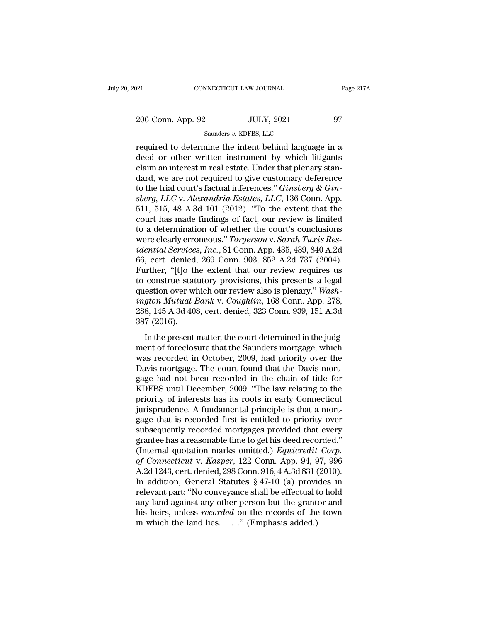| 021               | CONNECTICUT LAW JOURNAL                               | Page 217A |
|-------------------|-------------------------------------------------------|-----------|
| 206 Conn. App. 92 | <b>JULY, 2021</b>                                     | 97        |
|                   | Saunders v. KDFBS, LLC                                |           |
|                   | required to determine the intent behind language in a |           |

required to determine the intent behind language in a<br>deed or other written instrument by which litigants<br>alaim an interest in real estate. Index that please it as  $\frac{206 \text{ Conn. App. 92}}{\text{sounders } v. \text{ KDFBS, LLC}}$ <br>
required to determine the intent behind language in a deed or other written instrument by which litigants claim an interest in real estate. Under that plenary standard we are not requ 206 Conn. App. 92 JULY, 2021 97<br>
Saunders v. KDFBS, LLC<br>
required to determine the intent behind language in a<br>
deed or other written instrument by which litigants<br>
claim an interest in real estate. Under that plenary sta 206 Conn. App. 92 JULY, 2021 97<br>
Saunders v. KDFBS, LLC<br>
required to determine the intent behind language in a<br>
deed or other written instrument by which litigants<br>
claim an interest in real estate. Under that plenary sta Saunders *v*. KDFBS, LLC<br>
required to determine the intent behind language in a<br>
deed or other written instrument by which litigants<br>
claim an interest in real estate. Under that plenary stan-<br>
dard, we are not required to samders v. KDFBS, LLC<br>
required to determine the intent behind language in a<br>
deed or other written instrument by which litigants<br>
claim an interest in real estate. Under that plenary stan-<br>
dard, we are not required to gi required to determine the intent behind language in a<br>deed or other written instrument by which litigants<br>claim an interest in real estate. Under that plenary stan-<br>dard, we are not required to give customary deference<br>to deed or other written instrument by which litigants<br>claim an interest in real estate. Under that plenary stan-<br>dard, we are not required to give customary deference<br>to the trial court's factual inferences." *Ginsberg & Gin* claim an interest in real estate. Under that plenary stan-<br>dard, we are not required to give customary deference<br>to the trial court's factual inferences." *Ginsberg & Gin-*<br>sberg, LLC v. Alexandria Estates, LLC, 136 Conn. dard, we are not required to give customary deference<br>to the trial court's factual inferences." *Ginsberg & Gin-*<br>s*berg, LLC* v. *Alexandria Estates, LLC*, 136 Conn. App.<br>511, 515, 48 A.3d 101 (2012). "To the extent that to the trial court's factual inferences." *Ginsberg & Ginsberg, LLC* v. *Alexandria Estates, LLC*, 136 Conn. App. 511, 515, 48 A.3d 101 (2012). "To the extent that the court has made findings of fact, our review is limited sberg, LLC v. Alexandria Estates, LLC, 136 Conn. App.<br>511, 515, 48 A.3d 101 (2012). "To the extent that the<br>court has made findings of fact, our review is limited<br>to a determination of whether the court's conclusions<br>were 511, 515, 48 A.3d 101 (2012). "To the extent that the<br>court has made findings of fact, our review is limited<br>to a determination of whether the court's conclusions<br>were clearly erroneous." *Torgerson* v. *Sarah Tuxis Res-<br>* court has made findings of fact, our review is limited<br>to a determination of whether the court's conclusions<br>were clearly erroneous." *Torgerson v. Sarah Tuxis Res-<br>idential Services, Inc.*, 81 Conn. App. 435, 439, 840 A.2 to a determination of whether the court's conclusions<br>were clearly erroneous." *Torgerson* v. *Sarah Tuxis Res-<br>idential Services, Inc.*, 81 Conn. App. 435, 439, 840 A.2d<br>66, cert. denied, 269 Conn. 903, 852 A.2d 737 (2004 *were clearly erroneous." Torgerson v. Sarah Tuxis Residential Services, Inc., 81 Conn. App. 435, 439, 840 A.2d*<br>66, cert. denied, 269 Conn. 903, 852 A.2d 737 (2004).<br>Further, "[t]o the extent that our review requires us<br>t idential Services, Inc., 81 Conn. App. 435, 439, 840 A.2d<br>66, cert. denied, 269 Conn. 903, 852 A.2d 737 (2004).<br>Further, "[t]o the extent that our review requires us<br>to construe statutory provisions, this presents a legal<br> 66, cert. denied,<br>Further, "[t]o th<br>to construe stat<br>question over wl<br>ington Mutual 1<br>288, 145 A.3d 408<br>387 (2016).<br>In the present : rance, the catent matter of Force Fequences as<br>construe statutory provisions, this presents a legal<br>estion over which our review also is plenary." Wash-<br>gton Mutual Bank v. Coughlin, 168 Conn. App. 278,<br>8, 145 A.3d 408, ce to construct statutery provisions, and presents a regarduestion over which our review also is plenary." Washington Mutual Bank v. Coughlin, 168 Conn. App. 278, 288, 145 A.3d 408, cert. denied, 323 Conn. 939, 151 A.3d 387 (

ington Mutual Bank v. Coughlin, 168 Conn. App. 278,<br>288, 145 A.3d 408, cert. denied, 323 Conn. 939, 151 A.3d<br>387 (2016).<br>In the present matter, the court determined in the judg-<br>ment of foreclosure that the Saunders mortg 288, 145 A.3d 408, cert. denied, 323 Conn. 939, 151 A.3d<br>387 (2016).<br>In the present matter, the court determined in the judg-<br>ment of foreclosure that the Saunders mortgage, which<br>was recorded in October, 2009, had priorit gage had not been recorded in the chain of title priority of interests has its roots in original priority over the chain of title for the chain of title for the chain of title for the priority over the chain of title for K In the present matter, the court determined in the judgment of foreclosure that the Saunders mortgage, which was recorded in October, 2009, had priority over the Davis mortgage. The court found that the Davis mortgage had In the present matter, the court determined in the judgment of foreclosure that the Saunders mortgage, which<br>was recorded in October, 2009, had priority over the<br>Davis mortgage. The court found that the Davis mort-<br>gage ha ment of foreclosure that the Saunders mortgage, which<br>was recorded in October, 2009, had priority over the<br>Davis mortgage. The court found that the Davis mort-<br>gage had not been recorded in the chain of title for<br>KDFBS unt was recorded in October, 2009, had priority over the Davis mortgage. The court found that the Davis mortgage had not been recorded in the chain of title for KDFBS until December, 2009. "The law relating to the priority of Davis mortgage. The court found that the Davis mortgage had not been recorded in the chain of title for KDFBS until December, 2009. "The law relating to the priority of interests has its roots in early Connecticut jurispru gage had not been recorded in the chain of title for<br>KDFBS until December, 2009. "The law relating to the<br>priority of interests has its roots in early Connecticut<br>jurisprudence. A fundamental principle is that a mort-<br>gage KDFBS until December, 2009. "The law relating to the<br>priority of interests has its roots in early Connecticut<br>jurisprudence. A fundamental principle is that a mort-<br>gage that is recorded first is entitled to priority over<br> priority of interests has its roots in early Connecticut<br>jurisprudence. A fundamental principle is that a mort-<br>gage that is recorded first is entitled to priority over<br>subsequently recorded mortgages provided that every<br>g jurisprudence. A fundamental principle is that a mortgage that is recorded first is entitled to priority over subsequently recorded mortgages provided that every grantee has a reasonable time to get his deed recorded."<br>(In gage that is recorded first is entitled to priority over<br>subsequently recorded mortgages provided that every<br>grantee has a reasonable time to get his deed recorded."<br>(Internal quotation marks omitted.) *Equicredit Corp.*<br>o subsequently recorded mortgages provided that every<br>grantee has a reasonable time to get his deed recorded."<br>(Internal quotation marks omitted.) *Equicredit Corp.*<br>of *Connecticut* v. *Kasper*, 122 Conn. App. 94, 97, 996<br>A grantee has a reasonable time to get his deed recorded."<br>(Internal quotation marks omitted.) *Equicredit Corp.*<br>of *Connecticut* v. *Kasper*, 122 Conn. App. 94, 97, 996<br>A.2d 1243, cert. denied, 298 Conn. 916, 4 A.3d 831 (2 (Internal quotation marks omitted.) *Equicredit Corp.*<br>of *Connecticut* v. *Kasper*, 122 Conn. App. 94, 97, 996<br>A.2d 1243, cert. denied, 298 Conn. 916, 4 A.3d 831 (2010).<br>In addition, General Statutes § 47-10 (a) provides of *Connecticut* v. *Kasper*, 122 Conn. App. 94, 9<br>A.2d 1243, cert. denied, 298 Conn. 916, 4 A.3d 831 (<br>In addition, General Statutes § 47-10 (a) provi<br>relevant part: "No conveyance shall be effectual t<br>any land against an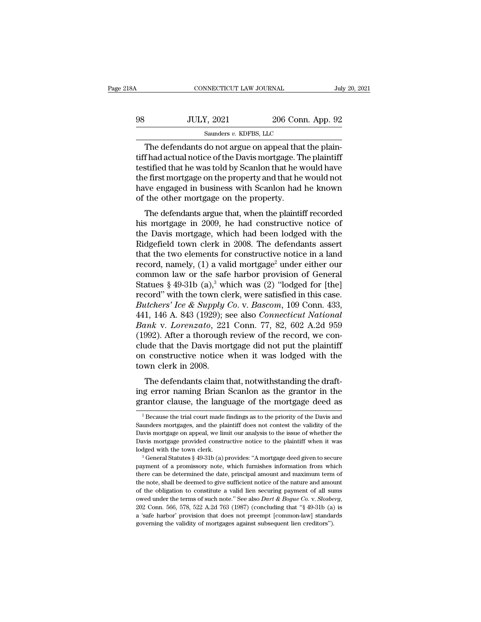| 18A | CONNECTICUT LAW JOURNAL                                                                                                                                                         |                   | July 20, 2021 |
|-----|---------------------------------------------------------------------------------------------------------------------------------------------------------------------------------|-------------------|---------------|
| 98  | <b>JULY, 2021</b>                                                                                                                                                               | 206 Conn. App. 92 |               |
|     | Saunders v. KDFBS, LLC                                                                                                                                                          |                   |               |
|     | The defendants do not argue on appeal that the plain-<br>tiff had actual notice of the Davis mortgage. The plaintiff<br>togtified that he was told by Comlen that he would have |                   |               |

98 JULY, 2021 206 Conn. App. 92<br>
Saunders  $v$ . KDFBS, LLC<br>
The defendants do not argue on appeal that the plaintiff<br>
testified that he was told by Scanlon that he would have<br>
the first mortgage on the property and that he 98 JULY, 2021 206 Conn. App. 92<br>
Saunders  $v$ . KDFBS, LLC<br>
The defendants do not argue on appeal that the plaintiff<br>
testified that he was told by Scanlon that he would have<br>
the first mortgage on the property and that he 98 JULY, 2021 206 Conn. App. 92<br>
Saunders  $v$ . KDFBS, LLC<br>
The defendants do not argue on appeal that the plain-<br>
tiff had actual notice of the Davis mortgage. The plaintiff<br>
testified that he was told by Scanlon that he Saunders v. KDFBS, LLC<br>
The defendants do not argue on appeal that the plain-<br>
tiff had actual notice of the Davis mortgage. The plaintiff<br>
testified that he was told by Scanlon that he would have<br>
the first mortgage on th samders  $v$ . KDFBS, LLC<br>The defendants do not argue on appeal that<br>tiff had actual notice of the Davis mortgage. The<br>stified that he was told by Scanlon that he w<br>the first mortgage on the property and that he<br>have engage The defendants are not afgue on appear that the pain-<br>f had actual notice of the Davis mortgage. The plaintiff<br>stified that he was told by Scanlon that he would have<br>e first mortgage on the property and that he would not<br>w the first mortgage of the Davis hiortgage. The plantified that he was told by Scanlon that he would have<br>the first mortgage on the property and that he would not<br>have engaged in business with Scanlon had he known<br>of the ot

testined that he was told by Scanfort that he would have<br>the first mortgage on the property and that he would not<br>have engaged in business with Scanlon had he known<br>of the other mortgage on the property.<br>The defendants arg the instributgage on the property and that he would not<br>have engaged in business with Scanlon had he known<br>of the other mortgage on the property.<br>The defendants argue that, when the plaintiff recorded<br>his mortgage in 2009, that the other mortgage on the property.<br>
The defendants argue that, when the plaintiff recorded<br>
his mortgage in 2009, he had constructive notice of<br>
the Davis mortgage, which had been lodged with the<br>
Ridgefield town cl The defendants argue that, when the plaintiff recorded<br>his mortgage in 2009, he had constructive notice of<br>the Davis mortgage, which had been lodged with the<br>Ridgefield town clerk in 2008. The defendants assert<br>that the t The defendants argue that, when the plaintiff recorded<br>his mortgage in 2009, he had constructive notice of<br>the Davis mortgage, which had been lodged with the<br>Ridgefield town clerk in 2008. The defendants assert<br>that the t his mortgage in 2009, he had constructive notice of<br>the Davis mortgage, which had been lodged with the<br>Ridgefield town clerk in 2008. The defendants assert<br>that the two elements for constructive notice in a land<br>record, n the Davis mortgage, which had been lodged with the Ridgefield town clerk in 2008. The defendants assert that the two elements for constructive notice in a land record, namely, (1) a valid mortgage<sup>2</sup> under either our comm *Ridgefield town clerk in 2008. The defendants assert*<br>that the two elements for constructive notice in a land<br>record, namely, (1) a valid mortgage<sup>2</sup> under either our<br>common law or the safe harbor provision of General<br>Sta that the two elements for constructive notice in a land<br>record, namely, (1) a valid mortgage<sup>2</sup> under either our<br>common law or the safe harbor provision of General<br>Statues § 49-31b (a),<sup>3</sup> which was (2) "lodged for [the]<br>r record, namely, (1) a valid mortgage<sup>2</sup> under either our<br>
common law or the safe harbor provision of General<br>
Statues § 49-31b (a),<sup>3</sup> which was (2) "lodged for [the]<br>
record" with the town clerk, were satisfied in this ca common law or the safe harbor provision of General Statues § 49-31b (a),<sup>3</sup> which was (2) "lodged for [the] record" with the town clerk, were satisfied in this case. *Butchers' Ice & Supply Co.* v. *Bascom*, 109 Conn. 433 Statues § 49-31b (a),<sup>3</sup> which was (2) "lodged for [the]<br>record" with the town clerk, were satisfied in this case.<br>*Butchers' Ice & Supply Co.* v. *Bascom*, 109 Conn. 433,<br>441, 146 A. 843 (1929); see also *Connecticut Nat* record" with the town clerk, were satisfied in this case.<br>Butchers' Ice & Supply Co. v. Bascom, 109 Conn. 433,<br>441, 146 A. 843 (1929); see also Connecticut National<br>Bank v. Lorenzato, 221 Conn. 77, 82, 602 A.2d 959<br>(1992). Butchers' Ice & Supply (441, 146 A. 843 (1929); s<br>Bank v. Lorenzato, 221<br>(1992). After a thorough<br>clude that the Davis mon<br>on constructive notice<br>town clerk in 2008.<br>The defendants claim t The defendants claim that, notwithstanding the draft-<br>and that the Davis mortgage did not put the plaintiff<br>defendants claim that, notwithstanding the draft-<br>g error naming Brian Scanlon as the grantor in the<br>partor claus Bank v. Lorenzato, 221 Collit.  $11$ , 62, 602 A.2d 353<br>(1992). After a thorough review of the record, we conclude that the Davis mortgage did not put the plaintiff<br>on constructive notice when it was lodged with the<br>town cl (1992). After a thorough review of the record, we conclude that the Davis mortgage did not put the plaintiff on constructive notice when it was lodged with the town clerk in 2008.<br>The defendants claim that, notwithstandin

The defendants claim that, notwithstanding the draft-<br>g error naming Brian Scanlon as the grantor in the<br>antor clause, the language of the mortgage deed as<br><sup>2</sup> Because the trial court made findings as to the priority of th The defendants claim that, notwithstanding the draft-<br>ing error naming Brian Scanlon as the grantor in the<br>grantor clause, the language of the mortgage deed as<br> $\frac{1}{2}$ Because the trial court made findings as to the prio

ing error naming Brian Scanlon as the grantor in the grantor clause, the language of the mortgage deed as  $\frac{1}{2}$ Because the trial court made findings as to the priority of the Davis and Saunders mortgages, and the plain ing error naming Brian Scanlon as the grantor in the grantor clause, the language of the mortgage deed as  $\frac{1}{2}$  Because the trial court made findings as to the priority of the Davis and Saunders mortgages, and the pla allout Clause, the Tanguage of the Hiorigage deed as<br>
<sup>2</sup> Because the trial court made findings as to the priority of the Davis and<br>
Saunders mortgages, and the plaintiff does not contest the validity of the<br>
Davis mortgag Saunders mortgages, and the plaintiff does not contest the validity of the Davis mortgage on appeal, we limit our analysis to the issue of whether the Davis mortgage provided constructive notice to the plaintiff when it w

Davis mortgage on appeal, we limit our analysis to the issue of whether the Davis mortgage provided constructive notice to the plaintiff when it was lodged with the town clerk.<br><sup>3</sup> General Statutes  $\S$  49-31b (a) provides Davis mortgage provided constructive notice to the plaintiff when it was<br>lodged with the town clerk.<br><sup>3</sup> General Statutes § 49-31b (a) provides: "A mortgage deed given to secure<br>payment of a promissory note, which furnishe Lodged with the town clerk.<br>
<sup>3</sup> General Statutes § 49-31b (a) provides: "A mortgage deed given to secure payment of a promissory note, which furnishes information from which there can be determined the date, principal am <sup>3</sup> General Statutes § 49-31b (a) provides: "A mortgage deed given to secure payment of a promissory note, which furnishes information from which there can be determined the date, principal amount and maximum term of the n there can be determined the date, principal amount and maximum term of the note, shall be deemed to give sufficient notice of the nature and amount of the obligation to constitute a valid lien securing payment of all sums the note, shall be deemed to give sufficient notice of the nature and amount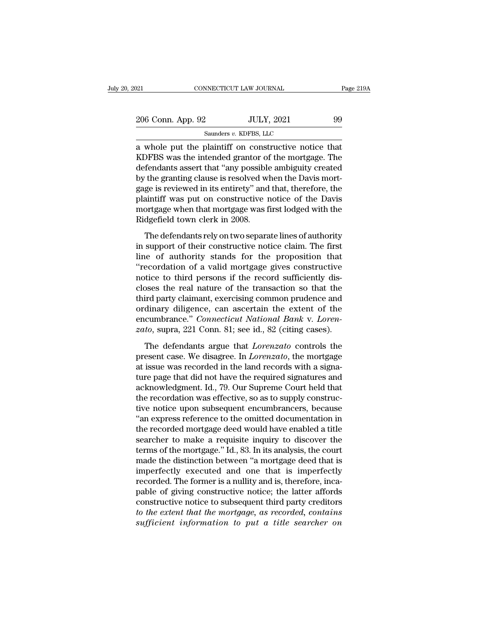| 2021                                                                                                                                                                   | CONNECTICUT LAW JOURNAL | Page 219A |
|------------------------------------------------------------------------------------------------------------------------------------------------------------------------|-------------------------|-----------|
| 206 Conn. App. 92                                                                                                                                                      | <b>JULY, 2021</b>       | 99        |
|                                                                                                                                                                        | Saunders v. KDFBS, LLC  |           |
| a whole put the plaintiff on constructive notice that<br>KDFBS was the intended grantor of the mortgage. The<br>defendants assert that "eny pessible embiguity greated |                         |           |

206 Conn. App. 92 JULY, 2021 99<br>
Saunders v. KDFBS, LLC<br>
a whole put the plaintiff on constructive notice that<br>
KDFBS was the intended grantor of the mortgage. The<br>
defendants assert that "any possible ambiguity created<br> 206 Conn. App. 92 JULY, 2021 99<br>
Saunders v. KDFBS, LLC<br>
a whole put the plaintiff on constructive notice that<br>
KDFBS was the intended grantor of the mortgage. The<br>
defendants assert that "any possible ambiguity created<br>  $\frac{206 \text{ Conn. App. } 92}{\text{Sauders } v. \text{ KDFBS, LLC}}$ <br>
a whole put the plaintiff on constructive notice that<br>
KDFBS was the intended grantor of the mortgage. The<br>
defendants assert that "any possible ambiguity created<br>
by the granting Saunders  $v$ . KDFBS, LLC<br>
a whole put the plaintiff on constructive notice that<br>
KDFBS was the intended grantor of the mortgage. The<br>
defendants assert that "any possible ambiguity created<br>
by the granting clause is resol samders v. KDFBS, ELC<br>
a whole put the plaintiff on constructive notice that<br>
KDFBS was the intended grantor of the mortgage. The<br>
defendants assert that "any possible ambiguity created<br>
by the granting clause is resolved a whole put the plaintiff on constructive notice that<br>KDFBS was the intended grantor of the mortgage. The<br>defendants assert that "any possible ambiguity created<br>by the granting clause is resolved when the Davis mort-<br>gage KDFBS was the intended grantor of<br>defendants assert that "any possible<br>by the granting clause is resolved wl<br>gage is reviewed in its entirety" and<br>plaintiff was put on constructive r<br>mortgage when that mortgage was f<br>Ridge The defendants relative and process analysing viewer<br>the granting clause is resolved when the Davis mort-<br>ge is reviewed in its entirety" and that, therefore, the<br>aintiff was put on constructive notice of the Davis<br>ortgage by the granting chalce is reserved in that, therefore, the plaintiff was put on constructive notice of the Davis<br>mortgage when that mortgage was first lodged with the<br>Ridgefield town clerk in 2008.<br>The defendants rely on t

gage and the authority standard, and the proposition<br>plaintiff was put on constructive notice of the Davis<br>mortgage when that mortgage was first lodged with the<br>Ridgefield town clerk in 2008.<br>The defendants rely on two sep FINITE THE TREFT TREFT TERRET TREFT THE TREFT INTERNATION INTO MORTING MORTING MORTING MORTING MORTING MORTING MORTING THE GET AND SUPPOSE THE GIVEN DETERMINE THE GALLER UP OF a valid mortgage gives constructive notice to mortgage when that mortgage was first lodged with the<br>Ridgefield town clerk in 2008.<br>The defendants rely on two separate lines of authority<br>in support of their constructive notice claim. The first<br>line of authority stands The defendants rely on two separate lines of authority<br>in support of their constructive notice claim. The first<br>line of authority stands for the proposition that<br>"recordation of a valid mortgage gives constructive<br>notice t The defendants rely on two separate lines of authority<br>in support of their constructive notice claim. The first<br>line of authority stands for the proposition that<br>"recordation of a valid mortgage gives constructive<br>notice t in support of their constructive notice claim. The first<br>line of authority stands for the proposition that<br>"recordation of a valid mortgage gives constructive<br>notice to third persons if the record sufficiently dis-<br>closes line of authority stands for the proposition that<br>
"recordation of a valid mortgage gives constructive<br>
notice to third persons if the record sufficiently dis-<br>
closes the real nature of the transaction so that the<br>
third "recordation of a valid mortgage gives constructive<br>notice to third persons if the record sufficiently dis-<br>closes the real nature of the transaction so that the<br>third party claimant, exercising common prudence and<br>ordinar between the real nature of the transaction so that the ird party claimant, exercising common prudence and dinary diligence, can ascertain the extent of the cumbrance." *Connecticut National Bank v. Lorento*, supra, 221 Con third party claimant, exercising common prudence and<br>ordinary diligence, can ascertain the extent of the<br>encumbrance." *Connecticut National Bank v. Loren-<br>zato*, supra, 221 Conn. 81; see id., 82 (citing cases).<br>The defend

ordinary diligence, can ascertain the extent of the<br>encumbrance." *Connecticut National Bank* v. *Loren-*<br>zato, supra, 221 Conn. 81; see id., 82 (citing cases).<br>The defendants argue that *Lorenzato* controls the<br>present ca encumbrance." *Connecticut National Bank v. Loren-<br>zato*, supra, 221 Conn. 81; see id., 82 (citing cases).<br>The defendants argue that *Lorenzato* controls the<br>present case. We disagree. In *Lorenzato*, the mortgage<br>at issue zato, supra, 221 Conn. 81; see id., 82 (citing cases).<br>The defendants argue that *Lorenzato* controls the<br>present case. We disagree. In *Lorenzato*, the mortgage<br>at issue was recorded in the land records with a signa-<br>ture The defendants argue that *Lorenzato* controls the<br>present case. We disagree. In *Lorenzato*, the mortgage<br>at issue was recorded in the land records with a signa-<br>ture page that did not have the required signatures and<br>ack The defendants argue that *Lorenzato* controls the<br>present case. We disagree. In *Lorenzato*, the mortgage<br>at issue was recorded in the land records with a signa-<br>ture page that did not have the required signatures and<br>ack present case. We disagree. In *Lorenzato*, the mortgage<br>at issue was recorded in the land records with a signa-<br>ture page that did not have the required signatures and<br>acknowledgment. Id., 79. Our Supreme Court held that<br>t at issue was recorded in the land records with a signature page that did not have the required signatures and acknowledgment. Id., 79. Our Supreme Court held that the recordation was effective, so as to supply constructive ture page that did not have the required signatures and<br>acknowledgment. Id., 79. Our Supreme Court held that<br>the recordation was effective, so as to supply construc-<br>tive notice upon subsequent encumbrancers, because<br>"an e acknowledgment. Id., 79. Our Supreme Court held that<br>the recordation was effective, so as to supply construc-<br>tive notice upon subsequent encumbrancers, because<br>"an express reference to the omitted documentation in<br>the rec the recordation was effective, so as to supply constructive notice upon subsequent encumbrancers, because "an express reference to the omitted documentation in the recorded mortgage deed would have enabled a title searcher tive notice upon subsequent encumbrancers, because<br>"an express reference to the omitted documentation in<br>the recorded mortgage deed would have enabled a title<br>searcher to make a requisite inquiry to discover the<br>terms of t "an express reference to the omitted documentation in<br>the recorded mortgage deed would have enabled a title<br>searcher to make a requisite inquiry to discover the<br>terms of the mortgage." Id., 83. In its analysis, the court<br>m the recorded mortgage deed would have enabled a title<br>searcher to make a requisite inquiry to discover the<br>terms of the mortgage." Id., 83. In its analysis, the court<br>made the distinction between "a mortgage deed that is<br>i searcher to make a requisite inquiry to discover the<br>terms of the mortgage." Id., 83. In its analysis, the court<br>made the distinction between "a mortgage deed that is<br>imperfectly executed and one that is imperfectly<br>recor terms of the mortgage." Id., 83. In its analysis, the court<br>made the distinction between "a mortgage deed that is<br>imperfectly executed and one that is imperfectly<br>recorded. The former is a nullity and is, therefore, inca-<br> made the distinction between "a mortgage deed that is<br>imperfectly executed and one that is imperfectly<br>recorded. The former is a nullity and is, therefore, inca-<br>pable of giving constructive notice; the latter affords<br>cons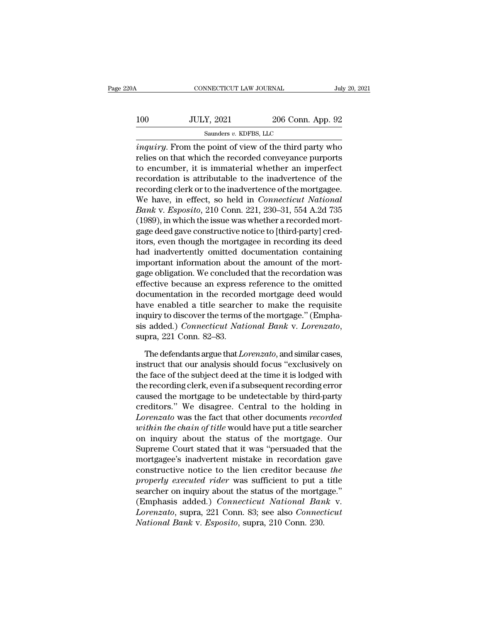| 20A | CONNECTICUT LAW JOURNAL                                      |                   | July 20, 2021 |
|-----|--------------------------------------------------------------|-------------------|---------------|
| 100 | <b>JULY, 2021</b>                                            | 206 Conn. App. 92 |               |
|     | Saunders v. KDFBS, LLC                                       |                   |               |
|     | <i>inquiru</i> From the point of view of the third party who |                   |               |

CONNECTICUT LAW JOURNAL July 20, 2021<br> **ii** JULY, 2021 206 Conn. App. 92<br>
Saunders v. KDFBS, LLC<br> *inquiry*. From the point of view of the third party who<br>
relies on that which the recorded conveyance purports<br>
to anoumb  $r = 100$  JULY, 2021 206 Conn. App. 92<br>Saunders v. KDFBS, LLC<br> $inquiry$ . From the point of view of the third party who<br>relies on that which the recorded conveyance purports<br>to encumber, it is immaterial whether an imperfect<br>re 100 JULY, 2021 206 Conn. App. 92<br>
saunders v. KDFBS, LLC<br>
inquiry. From the point of view of the third party who<br>
relies on that which the recorded conveyance purports<br>
to encumber, it is immaterial whether an imperfect<br> 100 JULY, 2021 206 Conn. App. 92<br>
Saunders v. KDFBS, LLC<br>
inquiry. From the point of view of the third party who<br>
relies on that which the recorded conveyance purports<br>
to encumber, it is immaterial whether an imperfect<br> Saunders v. KDFBS, LLC<br>
inquiry. From the point of view of the third party who<br>
relies on that which the recorded conveyance purports<br>
to encumber, it is immaterial whether an imperfect<br>
recordiation is attributable to th salides *v.* KDFBS, LEC<br>
inquiry. From the point of view of the third party who<br>
relies on that which the recorded conveyance purports<br>
to encumber, it is immaterial whether an imperfect<br>
recordation is attributable to the *inquiry*. From the point of view of the third party who<br>relies on that which the recorded conveyance purports<br>to encumber, it is immaterial whether an imperfect<br>recordation is attributable to the inadvertence of the<br>recor relies on that which the recorded conveyance purports<br>to encumber, it is immaterial whether an imperfect<br>recordation is attributable to the inadvertence of the<br>recording clerk or to the inadvertence of the mortgagee.<br>We ha to encumber, it is immaterial whether an imperfect<br>recordation is attributable to the inadvertence of the<br>recording clerk or to the inadvertence of the mortgagee.<br>We have, in effect, so held in *Connecticut National*<br>Bank recordation is attributable to the inadvertence of the<br>recording clerk or to the inadvertence of the mortgagee.<br>We have, in effect, so held in *Connecticut National*<br>Bank v. Esposito, 210 Conn. 221, 230–31, 554 A.2d 735<br>(1 recording clerk or to the inadvertence of the mortgagee.<br>We have, in effect, so held in *Connecticut National*<br>Bank v. Esposito, 210 Conn. 221, 230–31, 554 A.2d 735<br>(1989), in which the issue was whether a recorded mort-<br>g We have, in effect, so held in *Connecticut National*<br> *Bank* v. *Esposito*, 210 Conn. 221, 230–31, 554 A.2d 735<br>
(1989), in which the issue was whether a recorded mort-<br>
gage deed gave constructive notice to [third-party] Bank v. Esposito, 210 Conn. 221, 230–31, 554 A.2d 735<br>(1989), in which the issue was whether a recorded mort-<br>gage deed gave constructive notice to [third-party] cred-<br>itors, even though the mortgagee in recording its deed (1989), in which the issue was whether a recorded mortgage deed gave constructive notice to [third-party] cred-<br>itors, even though the mortgagee in recording its deed<br>had inadvertently omitted documentation containing<br>impo gage deed gave constructive notice to [third-party] cred-<br>itors, even though the mortgagee in recording its deed<br>had inadvertently omitted documentation containing<br>important information about the amount of the mort-<br>gage o itors, even though the mortgagee in recording its deed<br>had inadvertently omitted documentation containing<br>important information about the amount of the mort-<br>gage obligation. We concluded that the recordation was<br>effective had inadvertently omitted documentation containing<br>important information about the amount of the mort-<br>gage obligation. We concluded that the recordation was<br>effective because an express reference to the omitted<br>documentat important information about the amount of the mortgage obligation. We concluded that the recordation was effective because an express reference to the omitted documentation in the recorded mortgage deed would have enabled ordination in the recorded mortgage deed would<br>we enabled a title searcher to make the requisite<br>quiry to discover the terms of the mortgage." (Empha-<br>is added.) *Connecticut National Bank* v. *Lorenzato*,<br>pra, 221 Conn. 8 have enabled a title searcher to make the requisite<br>inquiry to discover the terms of the mortgage." (Empha-<br>sis added.) *Connecticut National Bank v. Lorenzato*,<br>supra, 221 Conn. 82–83.<br>The defendants argue that *Lorenzato* 

inquiry to discover the terms of the mortgage." (Emphasis added.) *Connecticut National Bank v. Lorenzato*, supra, 221 Conn. 82–83.<br>The defendants argue that *Lorenzato*, and similar cases, instruct that our analysis shoul sis added.) *Connecticut National Bank* v. *Lorenzato*,<br>supra, 221 Conn. 82–83.<br>The defendants argue that *Lorenzato*, and similar cases,<br>instruct that our analysis should focus "exclusively on<br>the face of the subject deed supra, 221 Conn. 82–83.<br>
The defendants argue that *Lorenzato*, and similar cases,<br>
instruct that our analysis should focus "exclusively on<br>
the face of the subject deed at the time it is lodged with<br>
the recording clerk, The defendants argue that *Lorenzato*, and similar cases,<br>instruct that our analysis should focus "exclusively on<br>the face of the subject deed at the time it is lodged with<br>the recording clerk, even if a subsequent recordi The defendants argue that *Lorenzato*, and similar cases,<br>instruct that our analysis should focus "exclusively on<br>the face of the subject deed at the time it is lodged with<br>the recording clerk, even if a subsequent recordi instruct that our analysis should focus "exclusively on<br>the face of the subject deed at the time it is lodged with<br>the recording clerk, even if a subsequent recording error<br>caused the mortgage to be undetectable by third-p the face of the subject deed at the time it is lodged with<br>the recording clerk, even if a subsequent recording error<br>caused the mortgage to be undetectable by third-party<br>creditors." We disagree. Central to the holding in<br> the recording clerk, even if a subsequent recording error<br>caused the mortgage to be undetectable by third-party<br>creditors." We disagree. Central to the holding in<br>*Lorenzato* was the fact that other documents *recorded*<br>wi caused the mortgage to be undetectable by third-party<br>creditors." We disagree. Central to the holding in<br>*Lorenzato* was the fact that other documents *recorded*<br>within the chain of title would have put a title searcher<br>on creditors." We disagree. Central to the holding in<br>*Lorenzato* was the fact that other documents *recorded*<br>*within the chain of title* would have put a title searcher<br>on inquiry about the status of the mortgage. Our<br>Supre *Lorenzato* was the fact that other documents *recorded*<br>*within the chain of title* would have put a title searcher<br>on inquiry about the status of the mortgage. Our<br>Supreme Court stated that it was "persuaded that the<br>mor within the chain of title would have put a title searcher<br>on inquiry about the status of the mortgage. Our<br>Supreme Court stated that it was "persuaded that the<br>mortgagee's inadvertent mistake in recordation gave<br>constructi on inquiry about the status of the mortgage. Our<br>Supreme Court stated that it was "persuaded that the<br>mortgagee's inadvertent mistake in recordation gave<br>constructive notice to the lien creditor because the<br>properly execut Supreme Court stated that it was "persuaded that the<br>mortgagee's inadvertent mistake in recordation gave<br>constructive notice to the lien creditor because *the*<br>properly executed rider was sufficient to put a title<br>searcher mortgagee's inadvertent mistake in recordation<br>constructive notice to the lien creditor because<br>*properly executed rider* was sufficient to put a<br>searcher on inquiry about the status of the mortga<br>(Emphasis added.) *Connec*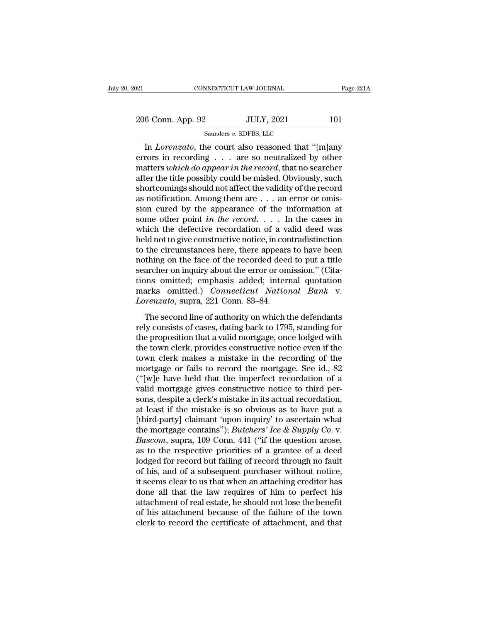| 021               | CONNECTICUT LAW JOURNAL                            | Page 221A |
|-------------------|----------------------------------------------------|-----------|
| 206 Conn. App. 92 | <b>JULY, 2021</b>                                  | 101       |
|                   | Saunders v. KDFBS, LLC                             |           |
|                   | In Lorenzato, the court also reasoned that "Imlany |           |

CONNECTICUT LAW JOURNAL Page 221A<br>
6 Conn. App. 92 JULY, 2021 101<br>
Saunders v. KDFBS, LLC<br>
In *Lorenzato*, the court also reasoned that "[m]any<br>
rors in recording . . . are so neutralized by other<br>
nations which do amogavi 206 Conn. App. 92 JULY, 2021 101<br>
Saunders v. KDFBS, LLC<br>
In *Lorenzato*, the court also reasoned that "[m]any<br>
errors in recording . . . are so neutralized by other<br>
matters which do appear in the record, that no searche 206 Conn. App. 92 JULY, 2021 101<br>
Saunders *v.* KDFBS, LLC<br>
In *Lorenzato*, the court also reasoned that "[m]any<br>
errors in recording . . . are so neutralized by other<br>
matters *which do appear in the record*, that no sear 206 Conn. App. 92 JULY, 2021 101<br>
Saunders v. KDFBS, LLC<br>
In *Lorenzato*, the court also reasoned that "[m]any<br>
errors in recording . . . are so neutralized by other<br>
matters which do appear in the record, that no searche Saunders v. KDFBS, LLC<br>
In *Lorenzato*, the court also reasoned that "[m]any<br>
errors in recording . . . are so neutralized by other<br>
matters which do appear in the record, that no searcher<br>
after the title possibly could In *Lorenzato*, the court also reasoned that "[m]any errors in recording . . . are so neutralized by other matters *which do appear in the record*, that no searcher after the title possibly could be misled. Obviously, suc In *Lorenzato*, the court also reasoned that "[m]any<br>errors in recording . . . are so neutralized by other<br>matters *which do appear in the record*, that no searcher<br>after the title possibly could be misled. Obviously, suc errors in recording . . . are so neutralized by other<br>matters *which do appear in the record*, that no searcher<br>after the title possibly could be misled. Obviously, such<br>shortcomings should not affect the validity of the matters *which do appear in the record*, that no searcher<br>after the title possibly could be misled. Obviously, such<br>shortcomings should not affect the validity of the record<br>as notification. Among them are  $\dots$  an error o after the title possibly could be misled. Obviously, such shortcomings should not affect the validity of the record as notification. Among them are  $\dots$  an error or omission cured by the appearance of the information at s shortcomings should not affect the validity of the record<br>as notification. Among them are  $\dots$  an error or omis-<br>sion cured by the appearance of the information at<br>some other point *in the record*.  $\dots$  In the cases in<br>wh as notification. Among them are  $\dots$  an error or omission cured by the appearance of the information at some other point *in the record*.  $\dots$  In the cases in which the defective recordation of a valid deed was held not t sion cured by the appearance of the information at some other point *in the record.* . . . In the cases in which the defective recordation of a valid deed was held not to give constructive notice, in contradistinction to some other point *in the record.* . . . . In the cases in<br>which the defective recordation of a valid deed was<br>held not to give constructive notice, in contradistinction<br>to the circumstances here, there appears to have bee which the defective recordation of a valid deed was<br>held not to give constructive notice, in contradistinction<br>to the circumstances here, there appears to have been<br>nothing on the face of the recorded deed to put a title<br>s held not to give constructive notice, in cor<br>to the circumstances here, there appears<br>nothing on the face of the recorded deed<br>searcher on inquiry about the error or on<br>tions omitted; emphasis added; intern<br>marks omitted.) thing on the face of the recorded deed to put a title<br>archer on inquiry about the error or omission." (Cita-<br>ons omitted; emphasis added; internal quotation<br>arks omitted.) *Connecticut National Bank* v.<br>*renzato*, supra, 2 relations on the face of the recorded decal to put a three<br>searcher on inquiry about the error or omission." (Cita-<br>tions omitted, emphasis added; internal quotation<br>marks omitted.) *Connecticut National Bank* v.<br>*Lorenzat* 

searched of highly assat are effect of official distributions omitted; emphasis added; internal quotation marks omitted.) *Connecticut National Bank* v.<br> *Lorenzato*, supra, 221 Conn. 83–84.<br>
The second line of authority o towns omitted, emphasis dated, methan quotation<br>marks omitted.) *Connecticut National Bank* v.<br>*Lorenzato*, supra, 221 Conn. 83–84.<br>The second line of authority on which the defendants<br>rely consists of cases, dating back t Lorenzato, supra, 221 Conn. 83–84.<br>
The second line of authority on which the defendants<br>
rely consists of cases, dating back to 1795, standing for<br>
the proposition that a valid mortgage, once lodged with<br>
the town clerk, The second line of authority on which the defendants<br>rely consists of cases, dating back to 1795, standing for<br>the proposition that a valid mortgage, once lodged with<br>the town clerk, provides constructive notice even if t The second line of authority on which the defendants<br>rely consists of cases, dating back to 1795, standing for<br>the proposition that a valid mortgage, once lodged with<br>the town clerk, provides constructive notice even if th rely consists of cases, dating back to 1795, standing for<br>the proposition that a valid mortgage, once lodged with<br>the town clerk, provides constructive notice even if the<br>town clerk makes a mistake in the recording of the<br> the proposition that a valid mortgage, once lodged with<br>the town clerk, provides constructive notice even if the<br>town clerk makes a mistake in the recording of the<br>mortgage or fails to record the mortgage. See id., 82<br>("[w the town clerk, provides constructive notice even if the<br>town clerk makes a mistake in the recording of the<br>mortgage or fails to record the mortgage. See id., 82<br>("[w]e have held that the imperfect recordation of a<br>valid town clerk makes a mistake in the recording of the<br>mortgage or fails to record the mortgage. See id., 82<br>("[w]e have held that the imperfect recordation of a<br>valid mortgage gives constructive notice to third per-<br>sons, de mortgage or fails to record the mortgage. See id., 82 ("[w]e have held that the imperfect recordation of a valid mortgage gives constructive notice to third persons, despite a clerk's mistake in its actual recordation, at ("[w]e have held that the imperfect recordation of a valid mortgage gives constructive notice to third persons, despite a clerk's mistake in its actual recordation, at least if the mistake is so obvious as to have put a [t valid mortgage gives constructive notice to third persons, despite a clerk's mistake in its actual recordation,<br>at least if the mistake is so obvious as to have put a<br>[third-party] claimant 'upon inquiry' to ascertain wha sons, despite a clerk's mistake in its actual recordation,<br>at least if the mistake is so obvious as to have put a<br>[third-party] claimant 'upon inquiry' to ascertain what<br>the mortgage contains''); *Butchers' Ice & Supply C* at least if the mistake is so obvious as to have put a<br>[third-party] claimant 'upon inquiry' to ascertain what<br>the mortgage contains''); *Butchers' Ice & Supply Co.* v.<br>*Bascom*, supra, 109 Conn. 441 ("if the question aros [third-party] claimant 'upon inquiry' to ascertain what<br>the mortgage contains''); *Butchers' Ice & Supply Co.* v.<br>*Bascom*, supra, 109 Conn. 441 ("if the question arose,<br>as to the respective priorities of a grantee of a d the mortgage contains"); *Butchers' Ice & Supply Co.* v.<br> *Bascom*, supra, 109 Conn. 441 ("if the question arose, as to the respective priorities of a grantee of a deed lodged for record but failing of record through no f Bascom, supra, 109 Conn. 441 ("if the question arose, as to the respective priorities of a grantee of a deed lodged for record but failing of record through no fault of his, and of a subsequent purchaser without notice, it as to the respective priorities of a grantee of a deed<br>lodged for record but failing of record through no fault<br>of his, and of a subsequent purchaser without notice,<br>it seems clear to us that when an attaching creditor has lodged for record but failing of record through no fault<br>of his, and of a subsequent purchaser without notice,<br>it seems clear to us that when an attaching creditor has<br>done all that the law requires of him to perfect his<br>a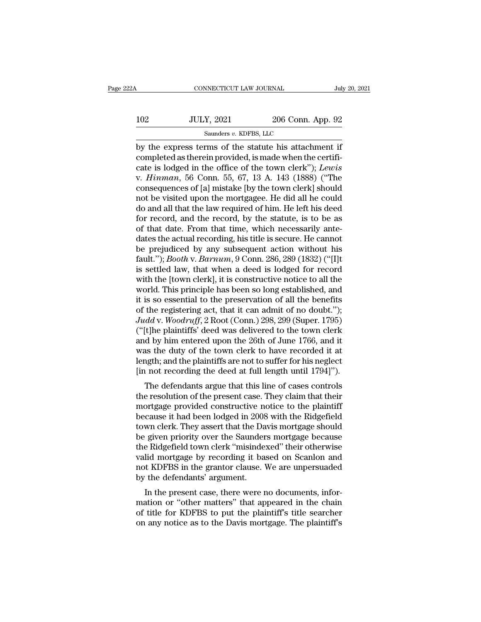|                   |                   | July 20, 2021                                                                                              |
|-------------------|-------------------|------------------------------------------------------------------------------------------------------------|
| <b>JULY, 2021</b> | 206 Conn. App. 92 |                                                                                                            |
|                   |                   |                                                                                                            |
|                   |                   | CONNECTICUT LAW JOURNAL<br>Saunders v. KDFBS, LLC<br>by the express terms of the statute his attachment if |

 $\begin{array}{|l|l|} \hline \text{COMRECTICUT LAW JOURNAL} & \text{July 20, 202} \ \hline \end{array}$ <br>102 JULY, 2021 206 Conn. App. 92<br>Saunders v. KDFBS, LLC<br>by the express terms of the statute his attachment if<br>completed as therein provided, is made when the certifi-<br> 102 JULY, 2021 206 Conn. App. 92<br>
Saunders v. KDFBS, LLC<br>
by the express terms of the statute his attachment if<br>
completed as therein provided, is made when the certifi-<br>
cate is lodged in the office of the town clerk"); L THE 102 JULY, 2021 206 Conn. App. 92<br>
Saunders v. KDFBS, LLC<br>
by the express terms of the statute his attachment if<br>
completed as therein provided, is made when the certificate<br>
cate is lodged in the office of the town cle VOCAL 102 VOCAL 1026 Conn. App. 92<br>
Saunders v. KDFBS, LLC<br>
by the express terms of the statute his attachment if<br>
completed as therein provided, is made when the certifi-<br>
cate is lodged in the office of the town clerk"); Solar, 2011, 2011<br>
Saunders v. KDFBS, LLC<br>
by the express terms of the statute his attachment if<br>
completed as therein provided, is made when the certifi-<br>
cate is lodged in the office of the town clerk"); Lewis<br>
v. Hinma samders v. KDFBS, LLC<br>by the express terms of the statute his attachment if<br>completed as therein provided, is made when the certifi-<br>cate is lodged in the office of the town clerk"); Lewis<br>v. Hinman, 56 Conn. 55, 67, 13 A by the express terms of the statute his attachment if<br>completed as therein provided, is made when the certifi-<br>cate is lodged in the office of the town clerk"); *Lewis*<br>v. *Hinman*, 56 Conn. 55, 67, 13 A. 143 (1888) ("The<br> completed as therein provided, is made when the certificate is lodged in the office of the town clerk"); Lewis<br>v. Hinman, 56 Conn. 55, 67, 13 A. 143 (1888) ("The<br>consequences of [a] mistake [by the town clerk] should<br>not b cate is lodged in the office of the town clerk"); Lewis<br>v.  $Hinman$ , 56 Conn. 55, 67, 13 A. 143 (1888) ("The<br>consequences of [a] mistake [by the town clerk] should<br>not be visited upon the mortgagee. He did all he could<br>do an v. *Hinman*, 56 Conn. 55, 67, 13 A. 143 (1888) ("The consequences of [a] mistake [by the town clerk] should not be visited upon the mortgagee. He did all he could do and all that the law required of him. He left his deed consequences of [a] mistake [by the town clerk] should<br>not be visited upon the mortgagee. He did all he could<br>do and all that the law required of him. He left his deed<br>for record, and the record, by the statute, is to be a not be visited upon the mortgagee. He did all he could<br>do and all that the law required of him. He left his deed<br>for record, and the record, by the statute, is to be as<br>of that date. From that time, which necessarily antedo and all that the law required of him. He left his deed<br>for record, and the record, by the statute, is to be as<br>of that date. From that time, which necessarily ante-<br>dates the actual recording, his title is secure. He ca for record, and the record, by the statute, is to be as<br>of that date. From that time, which necessarily ante-<br>dates the actual recording, his title is secure. He cannot<br>be prejudiced by any subsequent action without his<br>fa of that date. From that time, which necessarily ante-<br>dates the actual recording, his title is secure. He cannot<br>be prejudiced by any subsequent action without his<br>fault."); *Booth* v. *Barnum*, 9 Conn. 286, 289 (1832) ("[ dates the actual recording, his title is secure. He cannot<br>be prejudiced by any subsequent action without his<br>fault.''); *Booth v. Barnum*, 9 Conn. 286, 289 (1832) ("[I]t<br>is settled law, that when a deed is lodged for rec be prejudiced by any subsequent action without his<br>fault."); *Booth v. Barnum*, 9 Conn. 286, 289 (1832) ("[I]t<br>is settled law, that when a deed is lodged for record<br>with the [town clerk], it is constructive notice to all t fault."); *Booth* v. *Barnum*, 9 Conn. 286, 289 (1832) ("[I]t<br>is settled law, that when a deed is lodged for record<br>with the [town clerk], it is constructive notice to all the<br>world. This principle has been so long establi is settled law, that when a deed is lodged for record<br>with the [town clerk], it is constructive notice to all the<br>world. This principle has been so long established, and<br>it is so essential to the preservation of all the be with the [town clerk], it is constructive notice to all the<br>world. This principle has been so long established, and<br>it is so essential to the preservation of all the benefits<br>of the registering act, that it can admit of no world. This principle has been so long established, and<br>it is so essential to the preservation of all the benefits<br>of the registering act, that it can admit of no doubt.");<br> $Judd$  v.  $Woodruff$ ,  $2$  Root (Conn.)  $298$ ,  $299$  (Su it is so essential to the preservation of all the benefits<br>of the registering act, that it can admit of no doubt.");<br>Judd v. Woodruff, 2 Root (Conn.) 298, 299 (Super. 1795)<br>("[t]he plaintiffs' deed was delivered to the tow of the registering act, that it can admit of no doubt.");<br>Judd v. Woodruff, 2 Root (Conn.) 298, 299 (Super. 1795)<br>("[t]he plaintiffs' deed was delivered to the town clerk<br>and by him entered upon the 26th of June 1766, and the plaintiffs' deed was delivered to the town clerk<br>d by him entered upon the 26th of June 1766, and it<br>as the duty of the town clerk to have recorded it at<br>agth; and the plaintiffs are not to suffer for his neglect<br>i no ( $\mu$ ) lie plantins deed was denvered to the town clerk<br>and by him entered upon the 26th of June 1766, and it<br>was the duty of the town clerk to have recorded it at<br>length; and the plaintiffs are not to suffer for his negl

and by film entered upon the 20th of Julie 1700, and it<br>was the duty of the town clerk to have recorded it at<br>length; and the plaintiffs are not to suffer for his neglect<br>[in not recording the deed at full length until 179 was the duty of the town clerk to have recorded it at<br>length; and the plaintiffs are not to suffer for his neglect<br>[in not recording the deed at full length until 1794]").<br>The defendants argue that this line of cases contr tengut, and the plaintins are not to suffer for its hegiect<br>[in not recording the deed at full length until 1794]").<br>The defendants argue that this line of cases controls<br>the resolution of the present case. They claim that In not recording the deed at run length until  $1/94$ ].<br>The defendants argue that this line of cases controls<br>the resolution of the present case. They claim that their<br>mortgage provided constructive notice to the plaintiff The defendants argue that this line of cases controls<br>the resolution of the present case. They claim that their<br>mortgage provided constructive notice to the plaintiff<br>because it had been lodged in 2008 with the Ridgefield<br> the resolution of the present case. They claim that their<br>mortgage provided constructive notice to the plaintiff<br>because it had been lodged in 2008 with the Ridgefield<br>town clerk. They assert that the Davis mortgage should mortgage provided constructive notice to the plaintiff<br>because it had been lodged in 2008 with the Ridgefield<br>town clerk. They assert that the Davis mortgage should<br>be given priority over the Saunders mortgage because<br>the because it had been lodged in 2008<br>town clerk. They assert that the Da<br>be given priority over the Saunder<br>the Ridgefield town clerk "misinde<br>valid mortgage by recording it ba<br>not KDFBS in the grantor clause. <br>by the defend First Present that the Davis inortgage should<br>given priority over the Saunders mortgage because<br>e Ridgefield town clerk "misindexed" their otherwise<br>lid mortgage by recording it based on Scanlon and<br>t KDFBS in the grantor be given priority over the saturders inortgage because<br>the Ridgefield town clerk "misindexed" their otherwise<br>valid mortgage by recording it based on Scanlon and<br>not KDFBS in the grantor clause. We are unpersuaded<br>by the d

of the nugerient town clerk inisintexed then otherwise<br>valid mortgage by recording it based on Scanlon and<br>not KDFBS in the grantor clause. We are unpersuaded<br>by the defendants' argument.<br>In the present case, there were no vand mortgage by recording it based on Scanfor and<br>not KDFBS in the grantor clause. We are unpersuaded<br>by the defendants' argument.<br>In the present case, there were no documents, infor-<br>mation or "other matters" that appear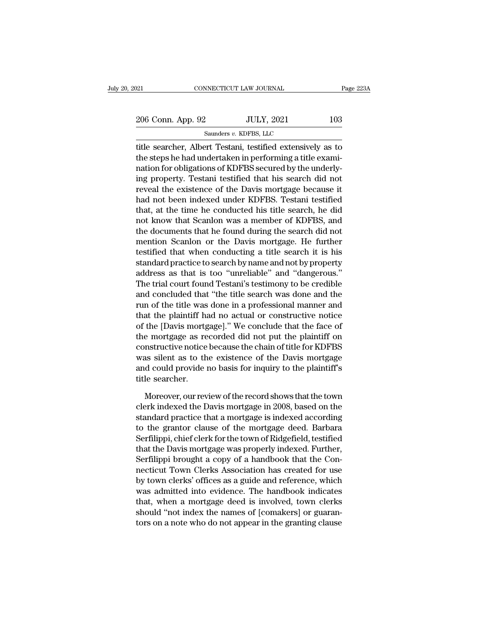| 2021              | CONNECTICUT LAW JOURNAL                                                                                                                                                         | Page 223A |
|-------------------|---------------------------------------------------------------------------------------------------------------------------------------------------------------------------------|-----------|
| 206 Conn. App. 92 | <b>JULY, 2021</b>                                                                                                                                                               | 103       |
|                   | Saunders v. KDFBS, LLC                                                                                                                                                          |           |
|                   | title searcher, Albert Testani, testified extensively as to<br>the steps he had undertaken in performing a title exami-<br>retien fer eligations of VDEDS seewed by the underly |           |

206 Conn. App. 92 JULY, 2021 103<br>
Saunders v. KDFBS, LLC<br>
title searcher, Albert Testani, testified extensively as to<br>
the steps he had undertaken in performing a title exami-<br>
nation for obligations of KDFBS secured by th 206 Conn. App. 92 JULY, 2021 103<br>
Saunders v. KDFBS, LLC<br>
title searcher, Albert Testani, testified extensively as to<br>
the steps he had undertaken in performing a title exami-<br>
nation for obligations of KDFBS secured by t 206 Conn. App. 92 JULY, 2021 103<br>
Saunders v. KDFBS, LLC<br>
title searcher, Albert Testani, testified extensively as to<br>
the steps he had undertaken in performing a title exami-<br>
nation for obligations of KDFBS secured by t  $\begin{tabular}{l} \hline \texttt{sounders } v. \texttt{KDFBS, LLC} \end{tabular} \vspace{-.05in} \begin{tabular}{l} \hline \texttt{suit} & \texttt{searcher, Albert Testani, testified extensively as to} \end{tabular} \end{tabular} \vspace{-.05in} \begin{tabular}{l} \hline \texttt{in} & \texttt{in} & \texttt{preforming a title examination for obligations of KDFBS secured by the underlying property. Testani testified that his search did not reveal the existence of the Davis mortgage because it had not been indexed under KDFBS. Testani testified that at the time be conducted his title search be did.} \end{tabular} \vspace{-.05in} \begin{tabular}{l} \hline \texttt$ samdes v. KDFBS, EEC<br>title searcher, Albert Testani, testified extensively as to<br>the steps he had undertaken in performing a title exami-<br>nation for obligations of KDFBS secured by the underly-<br>ing property. Testani testif title searcher, Albert Testani, testified extensively as to<br>the steps he had undertaken in performing a title exami-<br>nation for obligations of KDFBS secured by the underly-<br>ing property. Testani testified that his search d the steps he had undertaken in performing a title examination for obligations of KDFBS secured by the underly-<br>ing property. Testani testified that his search did not<br>reveal the existence of the Davis mortgage because it<br>h nation for obligations of KDFBS secured by the underly-<br>ing property. Testani testified that his search did not<br>reveal the existence of the Davis mortgage because it<br>had not been indexed under KDFBS. Testani testified<br>that ing property. Testani testified that his search did not<br>reveal the existence of the Davis mortgage because it<br>had not been indexed under KDFBS. Testani testified<br>that, at the time he conducted his title search, he did<br>not reveal the existence of the Davis mortgage because it<br>had not been indexed under KDFBS. Testani testified<br>that, at the time he conducted his title search, he did<br>not know that Scanlon was a member of KDFBS, and<br>the documen had not been indexed under KDFBS. Testani testified<br>that, at the time he conducted his title search, he did<br>not know that Scanlon was a member of KDFBS, and<br>the documents that he found during the search did not<br>mention Sca that, at the time he conducted his title search, he did<br>not know that Scanlon was a member of KDFBS, and<br>the documents that he found during the search did not<br>mention Scanlon or the Davis mortgage. He further<br>testified tha not know that Scanlon was a member of KDFBS, and<br>the documents that he found during the search did not<br>mention Scanlon or the Davis mortgage. He further<br>testified that when conducting a title search it is his<br>standard prac the documents that he found during the search did not<br>mention Scanlon or the Davis mortgage. He further<br>testified that when conducting a title search it is his<br>standard practice to search by name and not by property<br>addres mention Scanlon or the Davis mortgage. He further<br>testified that when conducting a title search it is his<br>standard practice to search by name and not by property<br>address as that is too "unreliable" and "dangerous."<br>The tri testified that when conducting a title search it is his<br>standard practice to search by name and not by property<br>address as that is too "unreliable" and "dangerous."<br>The trial court found Testani's testimony to be credible<br> standard practice to search by name and not by property<br>address as that is too "unreliable" and "dangerous."<br>The trial court found Testani's testimony to be credible<br>and concluded that "the title search was done and the<br>ru address as that is too "unreliable" and "dangerous."<br>The trial court found Testani's testimony to be credible<br>and concluded that "the title search was done and the<br>run of the title was done in a professional manner and<br>tha The trial court found Testam's testimony to be credible<br>and concluded that "the title search was done and the<br>run of the title was done in a professional manner and<br>that the plaintiff had no actual or constructive notice<br>o and concluded that "the title search was done and the<br>run of the title was done in a professional manner and<br>that the plaintiff had no actual or constructive notice<br>of the [Davis mortgage]." We conclude that the face of<br>th run of the title was done in a professional manner and<br>that the plaintiff had no actual or constructive notice<br>of the [Davis mortgage]." We conclude that the face of<br>the mortgage as recorded did not put the plaintiff on<br>co that the plaintiff has<br>of the [Davis mortg<br>the mortgage as re<br>constructive notice<br>was silent as to th<br>and could provide i<br>title searcher.<br>Moreover, our rev e mortgage as recorded did not put the plaintiff on<br>mstructive notice because the chain of title for KDFBS<br>as silent as to the existence of the Davis mortgage<br>d could provide no basis for inquiry to the plaintiff's<br>le sear constructive notice because the chain of title for KDFBS<br>was silent as to the existence of the Davis mortgage<br>and could provide no basis for inquiry to the plaintiff's<br>title searcher.<br>Moreover, our review of the record sho

was silent as to the existence of the Davis mortgage<br>and could provide no basis for inquiry to the plaintiff's<br>title searcher.<br>Moreover, our review of the record shows that the town<br>clerk indexed the Davis mortgage in 2008 and could provide no basis for inquiry to the plaintiff's<br>title searcher.<br>Moreover, our review of the record shows that the town<br>clerk indexed the Davis mortgage in 2008, based on the<br>standard practice that a mortgage is i title searcher.<br>
Moreover, our review of the record shows that the town<br>
clerk indexed the Davis mortgage in 2008, based on the<br>
standard practice that a mortgage is indexed according<br>
to the grantor clause of the mortgage Moreover, our review of the record shows that the town<br>clerk indexed the Davis mortgage in 2008, based on the<br>standard practice that a mortgage is indexed according<br>to the grantor clause of the mortgage deed. Barbara<br>Serfi Moreover, our review of the record shows that the town<br>clerk indexed the Davis mortgage in 2008, based on the<br>standard practice that a mortgage is indexed according<br>to the grantor clause of the mortgage deed. Barbara<br>Serfi clerk indexed the Davis mortgage in 2008, based on the<br>standard practice that a mortgage is indexed according<br>to the grantor clause of the mortgage deed. Barbara<br>Serfilippi, chief clerk for the town of Ridgefield, testifie standard practice that a mortgage is indexed according<br>to the grantor clause of the mortgage deed. Barbara<br>Serfilippi, chief clerk for the town of Ridgefield, testified<br>that the Davis mortgage was properly indexed. Further to the grantor clause of the mortgage deed. Barbara<br>Serfilippi, chief clerk for the town of Ridgefield, testified<br>that the Davis mortgage was properly indexed. Further,<br>Serfilippi brought a copy of a handbook that the Con-Serfilippi, chief clerk for the town of Ridgefield, testified<br>that the Davis mortgage was properly indexed. Further,<br>Serfilippi brought a copy of a handbook that the Con-<br>necticut Town Clerks Association has created for us that the Davis mortgage was properly indexed. Further,<br>Serfilippi brought a copy of a handbook that the Con-<br>necticut Town Clerks Association has created for use<br>by town clerks' offices as a guide and reference, which<br>was Serfilippi brought a copy of a handbook that the Connecticut Town Clerks Association has created for use<br>by town clerks' offices as a guide and reference, which<br>was admitted into evidence. The handbook indicates<br>that, when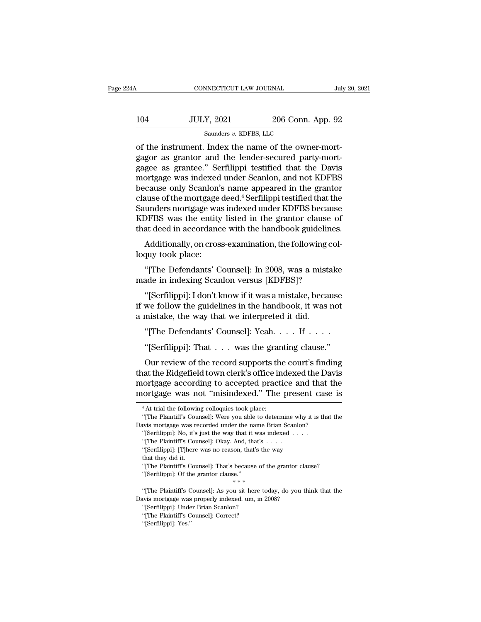| 24A | CONNECTICUT LAW JOURNAL                             |                   | July 20, 2021 |
|-----|-----------------------------------------------------|-------------------|---------------|
| 104 | <b>JULY, 2021</b>                                   | 206 Conn. App. 92 |               |
|     | Saunders v. KDFBS, LLC                              |                   |               |
|     | of the instrument Index the name of the owner-mort- |                   |               |

CONNECTICUT LAW JOURNAL<br>
Jul 104 JULY, 2021 206 Conn. App. 92<br>
Saunders v. KDFBS, LLC<br>
of the instrument. Index the name of the owner-mort-<br>
gagor as grantor and the lender-secured party-mort-104 JULY, 2021 206 Conn. App. 92<br>
Saunders v. KDFBS, LLC<br>
of the instrument. Index the name of the owner-mort-<br>
gagor as grantor and the lender-secured party-mort-<br>
gagee as grantee." Serfilippi testified that the Davis<br>
m  $\frac{JULY, 2021}{\text{Sauders } v. \text{ KDFBS, LLC}}$ <br>
of the instrument. Index the name of the owner-mort-<br>
gagor as grantor and the lender-secured party-mort-<br>
gagee as grantee.'' Serfilippi testified that the Davis<br>
mortgage was indexed 104 JULY, 2021 206 Conn. App. 92<br>
Saunders v. KDFBS, LLC<br>
of the instrument. Index the name of the owner-mort-<br>
gagor as grantor and the lender-secured party-mort-<br>
gagee as grantee." Serfilippi testified that the Davis<br> Saunders v. KDFBS, LLC<br>
of the instrument. Index the name of the owner-mort-<br>
gagor as grantor and the lender-secured party-mort-<br>
gagee as grantee." Serfilippi testified that the Davis<br>
mortgage was indexed under Scanlon saunders v. KDFBS, LLC<br>of the instrument. Index the name of the owner-mort-<br>gagor as grantor and the lender-secured party-mort-<br>gagee as grantee." Serfilippi testified that the Davis<br>mortgage was indexed under Scanlon, and of the instrument. Index the name of the owner-mortgagor as grantor and the lender-secured party-mortgagee as grantee." Serfilippi testified that the Davis<br>mortgage was indexed under Scanlon, and not KDFBS<br>because only Sca gagor as grantor and the lender-secured party-mort-<br>gagee as grantee." Serfilippi testified that the Davis<br>mortgage was indexed under Scanlon, and not KDFBS<br>because only Scanlon's name appeared in the grantor<br>clause of the gagee as grantee." Serfilippi testified that the Davis<br>mortgage was indexed under Scanlon, and not KDFBS<br>because only Scanlon's name appeared in the grantor<br>clause of the mortgage deed.<sup>4</sup> Serfilippi testified that the<br>Sau True only Scandon's name appeared in the grantor<br>cause only Scandon's name appeared in the grantor<br>ause of the mortgage deed.<sup>4</sup> Serfilippi testified that the<br>unders mortgage was indexed under KDFBS because<br>OFBS was the en because only scanton<br>clause of the mortgage<br>Saunders mortgage wa<br>KDFBS was the entity<br>that deed in accordance<br>Additionally, on cros<br>loquy took place:<br>"[The Defendants' C unders mortgage was indexed under KDFBS because<br>
DFBS was the entity listed in the grantor clause of<br>
at deed in accordance with the handbook guidelines.<br>
Additionally, on cross-examination, the following col-<br>
up took pla

KDFBS was the entity listed in the grantor clause of<br>that deed in accordance with the handbook guideline<br>Additionally, on cross-examination, the following co<br>loquy took place:<br>"[The Defendants' Counsel]: In 2008, was a mis

Additionally, on cross-examination, the following col-<br>
"[The Defendants' Counsel]: In 2008, was a mistake<br>
ade in indexing Scanlon versus [KDFBS]?<br>
"[Serfilippi]: I don't know if it was a mistake, because<br>
we follow the g Additionally, on cross-examination, the following colloquy took place:<br>
"[The Defendants' Counsel]: In 2008, was a mistake<br>
made in indexing Scanlon versus [KDFBS]?<br>
"[Serfilippi]: I don't know if it was a mistake, because loquy took place:<br>
"[The Defendants' Counsel]: In 2008, was a mist<br>
made in indexing Scanlon versus [KDFBS]?<br>
"[Serfilippi]: I don't know if it was a mistake, beca<br>
if we follow the guidelines in the handbook, it was<br>
a mi "[The Defendants' Counsel]: In 2008, was a mistake<br>ade in indexing Scanlon versus [KDFBS]?<br>"[Serfilippi]: I don't know if it was a mistake, because<br>we follow the guidelines in the handbook, it was not<br>mistake, the way that "[Serfilippi]: I don't know if it was a mistake, because<br>we follow the guidelines in the handbook, it was not<br>mistake, the way that we interpreted it did.<br>"[The Defendants' Counsel]: Yeah.... If ....<br>"[Serfilippi]: That ..

We follow the guidelines in the handbook, it was not<br>mistake, the way that we interpreted it did.<br>"[The Defendants' Counsel]: Yeah.  $\dots$  If  $\dots$ .<br>"[Serfilippi]: That  $\dots$  was the granting clause."<br>Our review of the record a mistake, the way that we interpreted it did.<br>
"[The Defendants' Counsel]: Yeah.  $\dots$  If  $\dots$  .<br>
"[Serfilippi]: That  $\dots$  was the granting clause."<br>
Our review of the record supports the court's finding<br>
that the Ridgefi "[The Defendants' Counsel]: Yeah.  $\dots$  If  $\dots$  "<br>"[Serfilippi]: That  $\dots$  was the granting clause."<br>Our review of the record supports the court's finding<br>that the Ridgefield town clerk's office indexed the Davis<br>mortgage "[The Defendants' Counsel]: Yeah. . . . If . . . .<br>"[Serfilippi]: That . . . was the granting clause."<br>Our review of the record supports the court's finding<br>that the Ridgefield town clerk's office indexed the Davis<br>mortga Our review of the record supports the court's finding<br>that the Ridgefield town clerk's office indexed the Davis<br>mortgage according to accepted practice and that the<br>mortgage was not "misindexed." The present case is<br> $\frac{4 \$ nat the Ridgefield town clerk's office indexed the Davis<br>
ortgage according to accepted practice and that the<br>
ortgage was not "misindexed." The present case is<br>
"At trial the following colloquies took place:<br>
"[The Plaint mortgage according to accepted practice and that the mortgage was not "misindexed." The present case<br>
<sup>4</sup> At trial the following colloquies took place:<br>
"[The Plaintiff's Counsel]: Were you able to determine why it is that

mortgage was not "misindexed." The present case is<br>
"At trial the following colloquies took place:<br>
"[The Plaintiff's Counsel]: Were you able to determine why it is that the<br>
Davis mortgage was recorded under the name Bria <sup>4</sup> At trial the following colloquies took place:<br>
<sup>4</sup> At trial the following colloquies took place:<br>
"[The Plaintiff's Counsel]: Were you able to determine vivis mortgage was recorded under the name Brian Scan<br>
"[Serfilip <sup>4</sup> At trial the following colloquies took place:<br>
"[The Plaintiff's Counsel]: Were you able to determine why if<br>
wis mortgage was recorded under the name Brian Scanlon?<br>
"[Serfilippi]: No, it's just the way that it was i vis mortgage was recorded under the name Brian Scanlon?<br>
"[Serfilippi]: No, it's just the way that it was indexed . . . .<br>
"[The Plaintiff's Counsel]: Okay. And, that's . . . .<br>
"[Serfilippi]: [T]here was no reason, that's

<sup>&</sup>quot;[The Plaintiff's Counsel]: Okay. And, that's . . . . . "[Serfilippi]: [T]here was no reason, that's the way that they did it. "[The Plaintiff's Counsel]: That's because of the gr"[Serfilippi]: Of the grantor clause."

<sup>&</sup>quot;(Serfilippi]: No, it's just the way that it was in"<br>("Serfilippi]: No, it's just the way that it was in"<br>(The Plaintiff's Counsel]: Okay. And, that's .<br>"(Serfilippi]: [T]here was no reason, that's the that they did it.<br>"( "[Serfilippi]: [T]here was no reason, that's the way<br>that they did it.<br>"[The Plaintiff's Counsel]: That's because of the grantor clause?<br>"[Serfilippi]: Of the grantor clause."<br>\*\*\*<br>"[The Plaintiff's Counsel]: As you sit her parallel it.<br>
"The Plaintiff's Counsel]: That's because of the grantor classe."<br>
"[The Plaintiff's Counsel]: As you sit here today, do you that's mortgage was properly indexed, um, in 2008?<br>
"[Serfilippi]: Under Brian Scan ""The Plaintiff's Counsel]: That's because of<br>"[Serfilippi]: Of the grantor clause."<br>""The Plaintiff's Counsel]: As you sit here the state of the Plaintiff's Counsel]: As you sit here the state of the Scanlon?"<br>"[The Plain "(Serfilippi]: Of the grantor clause."<br>
"[The Plaintiff's Counsel]: As you sit here twis mortgage was properly indexed, um, in<br>
"[Serfilippi]: Under Brian Scanlon?<br>
"[The Plaintiff's Counsel]: Correct?<br>
"[Serfilippi]: Yes. "|The Plaintiff's C<br>
"|The Plaintiff's C<br>
"|Serfilippi]: Unde<br>
"|The Plaintiff's C<br>
"|Serfilippi]: Yes."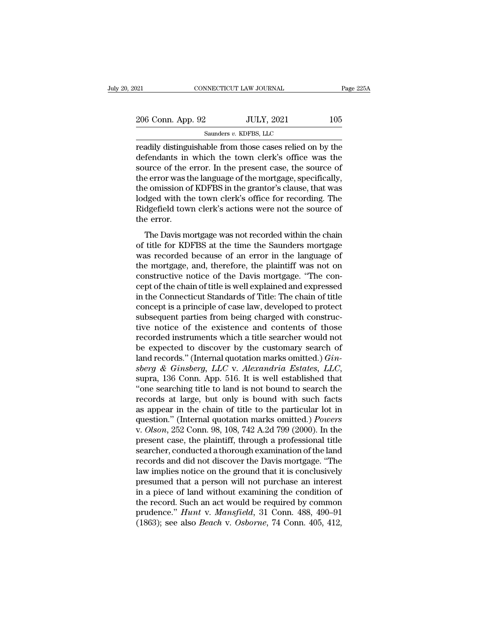| 2021                                                                                                                                                                        | CONNECTICUT LAW JOURNAL | Page 225A |
|-----------------------------------------------------------------------------------------------------------------------------------------------------------------------------|-------------------------|-----------|
| 206 Conn. App. 92                                                                                                                                                           | <b>JULY, 2021</b>       | 105       |
|                                                                                                                                                                             | Saunders v. KDFBS, LLC  |           |
| readily distinguishable from those cases relied on by the<br>defendants in which the town clerk's office was the<br>source of the error. In the present case, the source of |                         |           |

206 Conn. App. 92 JULY, 2021 105<br>
Saunders v. KDFBS, LLC<br>
readily distinguishable from those cases relied on by the<br>
defendants in which the town clerk's office was the<br>
source of the error. In the present case, the sourc 206 Conn. App. 92 JULY, 2021 105<br>
Saunders v. KDFBS, LLC<br>
readily distinguishable from those cases relied on by the<br>
defendants in which the town clerk's office was the<br>
source of the error. In the present case, the sourc 206 Conn. App. 92 JULY, 2021 105<br>
Saunders v. KDFBS, LLC<br>
readily distinguishable from those cases relied on by the<br>
defendants in which the town clerk's office was the<br>
source of the error. In the present case, the sourc Saunders v. KDFBS, LLC<br>
readily distinguishable from those cases relied on by the<br>
defendants in which the town clerk's office was the<br>
source of the error. In the present case, the source of<br>
the error was the language of samders v. KDFBS, LLC<br>readily distinguishable from those cases relied on by the<br>defendants in which the town clerk's office was the<br>source of the error. In the present case, the source of<br>the error was the language of the readily distinguishable from those cases relied on by the<br>defendants in which the town clerk's office was the<br>source of the error. In the present case, the source of<br>the error was the language of the mortgage, specifically defendants in which the town clerk's office was the<br>source of the error. In the present case, the source of<br>the error was the language of the mortgage, specifically,<br>the omission of KDFBS in the grantor's clause, that was<br> ance of the crisi. In the present case, the source of<br>e error was the language of the mortgage, specifically,<br>e omission of KDFBS in the grantor's clause, that was<br>dged with the town clerk's office for recording. The<br>dgefi are crist was are anguage of are mortgage, specificarly,<br>the omission of KDFBS in the grantor's clause, that was<br>lodged with the town clerk's office for recording. The<br>Ridgefield town clerk's actions were not the source of

are omission of HDT BS in the grantof S clause, that was<br>lodged with the town clerk's office for recording. The<br>Ridgefield town clerk's actions were not the source of<br>the error.<br>The Davis mortgage was not recorded within t todged with the town elern's office tor recording. The<br>Ridgefield town clerk's actions were not the source of<br>the error.<br>The Davis mortgage was not recorded within the chain<br>of title for KDFBS at the time the Saunders mort ringenera commercients accross were not are source of<br>the error.<br>The Davis mortgage was not recorded within the chain<br>of title for KDFBS at the time the Saunders mortgage<br>was recorded because of an error in the language of The Davis mortgage was not recorded within the chain<br>of title for KDFBS at the time the Saunders mortgage<br>was recorded because of an error in the language of<br>the mortgage, and, therefore, the plaintiff was not on<br>construct The Davis mortgage was not recorded within the chain<br>of title for KDFBS at the time the Saunders mortgage<br>was recorded because of an error in the language of<br>the mortgage, and, therefore, the plaintiff was not on<br>construct of title for KDFBS at the time the Saunders mortgage<br>was recorded because of an error in the language of<br>the mortgage, and, therefore, the plaintiff was not on<br>constructive notice of the Davis mortgage. "The con-<br>cept of t was recorded because of an error in the language of<br>the mortgage, and, therefore, the plaintiff was not on<br>constructive notice of the Davis mortgage. "The con-<br>cept of the chain of title is well explained and expressed<br>in the mortgage, and, therefore, the plaintiff was not on<br>constructive notice of the Davis mortgage. "The con-<br>cept of the chain of title is well explained and expressed<br>in the Connecticut Standards of Title: The chain of tit constructive notice of the Davis mortgage. "The concept of the chain of title is well explained and expressed<br>in the Connecticut Standards of Title: The chain of title<br>concept is a principle of case law, developed to prote cept of the chain of title is well explained and expressed<br>in the Connecticut Standards of Title: The chain of title<br>concept is a principle of case law, developed to protect<br>subsequent parties from being charged with cons in the Connecticut Standards of Title: The chain of title<br>concept is a principle of case law, developed to protect<br>subsequent parties from being charged with construc-<br>tive notice of the existence and contents of those<br>rec concept is a principle of case law, developed to protect<br>subsequent parties from being charged with construc-<br>tive notice of the existence and contents of those<br>recorded instruments which a title searcher would not<br>be expe tive notice of the existence and contents of those<br>
recorded instruments which a title searcher would not<br>
be expected to discover by the customary search of<br>
land records." (Internal quotation marks omitted.) *Gin-*<br>
sber recorded instruments which a title searcher would not<br>be expected to discover by the customary search of<br>land records." (Internal quotation marks omitted.)  $Gin-$ <br>sberg & Ginsberg, LLC v. Alexandria Estates, LLC,<br>supra, 13 be expected to discover by the customary search of<br>land records." (Internal quotation marks omitted.)  $Gin-sberg \& Ginsberg, LLC$  v. Alexandria Estates,  $LLC$ ,<br>supra, 136 Conn. App. 516. It is well established that<br>"one searching tit land records." (Internal quotation marks omitted.) *Gin-*<br>sberg & Ginsberg, LLC v. Alexandria Estates, LLC,<br>supra, 136 Conn. App. 516. It is well established that<br>"one searching title to land is not bound to search the<br>rec sberg & Ginsberg, LLC v. Alexandria Estates, LLC,<br>supra, 136 Conn. App. 516. It is well established that<br>"one searching title to land is not bound to search the<br>records at large, but only is bound with such facts<br>as appear supra, 136 Conn. App. 516. It is well established that<br>"one searching title to land is not bound to search the<br>records at large, but only is bound with such facts<br>as appear in the chain of title to the particular lot in<br>qu "one searching title to land is not bound to search the records at large, but only is bound with such facts as appear in the chain of title to the particular lot in question." (Internal quotation marks omitted.) *Powers* records at large, but only is bound with such facts<br>as appear in the chain of title to the particular lot in<br>question." (Internal quotation marks omitted.) *Powers*<br>v. *Olson*, 252 Conn. 98, 108, 742 A.2d 799 (2000). In th as appear in the chain of title to the particular lot in<br>question." (Internal quotation marks omitted.) *Powers*<br>v. *Olson*, 252 Conn. 98, 108, 742 A.2d 799 (2000). In the<br>present case, the plaintiff, through a professiona question." (Internal quotation marks omitted.) *Powers*<br>v. *Olson*, 252 Conn. 98, 108, 742 A.2d 799 (2000). In the<br>present case, the plaintiff, through a professional title<br>searcher, conducted a thorough examination of the v. *Olson*, 252 Conn. 98, 108, 742 A.2d 799 (2000). In the present case, the plaintiff, through a professional title searcher, conducted a thorough examination of the land records and did not discover the Davis mortgage. present case, the plaintiff, through a professional title<br>searcher, conducted a thorough examination of the land<br>records and did not discover the Davis mortgage. "The<br>law implies notice on the ground that it is conclusivel searcher, conducted a thorough examination of the land<br>records and did not discover the Davis mortgage. "The<br>law implies notice on the ground that it is conclusively<br>presumed that a person will not purchase an interest<br>in records and did not discover the Davis mortgage. "The law implies notice on the ground that it is conclusively presumed that a person will not purchase an interest in a piece of land without examining the condition of the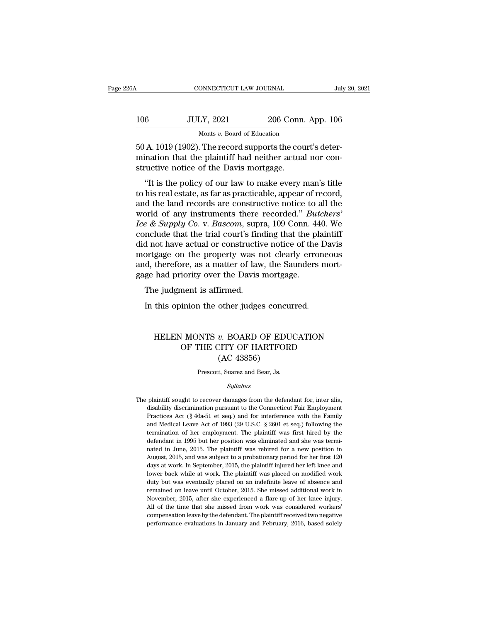| 6A   | CONNECTICUT LAW JOURNAL                             |                    | July 20, 2021 |
|------|-----------------------------------------------------|--------------------|---------------|
| 106  | <b>JULY, 2021</b>                                   | 206 Conn. App. 106 |               |
|      | Monts v. Board of Education                         |                    |               |
| 50 A | $1019(1902)$ The record supports the court's deter- |                    |               |

CONNECTICUT LAW JOURNAL<br>
106 JULY, 2021 206 Conn. App. 106<br>
105 Monts v. Board of Education<br>
50 A. 1019 (1902). The record supports the court's deter-<br>
mination that the plaintiff had neither actual nor constructive notice 106 JULY, 2021 206 Conn. App. 106<br>Monts v. Board of Education<br>50 A. 1019 (1902). The record supports the court's deter-<br>mination that the plaintiff had neither actual nor con-<br>structive notice of the Davis mortgage. 106 JULY, 2021 206 Conn<br>
Monts v. Board of Education<br>
50 A. 1019 (1902). The record supports the courtination that the plaintiff had neither actual<br>
structive notice of the Davis mortgage.<br>
"It is the policy of our law to  $100K$ ,  $2021$   $206$  Conn. App.  $106$ <br>
Monts v. Board of Education<br>
A.  $1019$  (1902). The record supports the court's determination that the plaintiff had neither actual nor con-<br>
vertice notice of the Davis mortgage.<br>
"I

Monts  $v$ . Board of Education<br>50 A. 1019 (1902). The record supports the court's deter-<br>mination that the plaintiff had neither actual nor con-<br>structive notice of the Davis mortgage.<br>"It is the policy of our law to make 50 A. 1019 (1902). The record supports the court's deter-<br>mination that the plaintiff had neither actual nor constructive notice of the Davis mortgage.<br>"It is the policy of our law to make every man's title<br>to his real es bo A. 1015 (1502). The record supports the court's deter-<br>mination that the plaintiff had neither actual nor con-<br>structive notice of the Davis mortgage.<br>"It is the policy of our law to make every man's title<br>to his real e *Icharation that the plantin had nemier actuar nor constructive notice of the Davis mortgage.*<br>
"It is the policy of our law to make every man's title to his real estate, as far as practicable, appear of record, and the la "It is the policy of our law to make every man's title<br>to his real estate, as far as practicable, appear of record,<br>and the land records are constructive notice to all the<br>world of any instruments there recorded." *Butche* "It is the policy of our law to make every man's title<br>to his real estate, as far as practicable, appear of record,<br>and the land records are constructive notice to all the<br>world of any instruments there recorded." *Butche* to his real estate, as far as practicable, appear of record,<br>and the land records are constructive notice to all the<br>world of any instruments there recorded." *Butchers'*<br>*Ice & Supply Co.* v. *Bascom*, supra, 109 Conn. 44 and the land records are constructive notice to all the world of any instruments there recorded." *Butchers' Ice & Supply Co.* v. *Bascom*, supra, 109 Conn. 440. We conclude that the trial court's finding that the plain world of any instruments there recorded." *But Ice* & *Supply Co.* v. *Bascom*, supra, 109 Conn. 44 conclude that the trial court's finding that the pl did not have actual or constructive notice of the mortgage on the p  $\epsilon$   $\alpha$  *Supply*  $\epsilon$ 00.  $\nu$ . *Dascom*, supported that the trial court's find not have actual or constructiventy or the property was not, therefore, as a matter of law ge had priority over the Davis. The judgment is af In this opinion the other judges concurred.<br>In this ortgage on the property was not clearly errone<br>d, therefore, as a matter of law, the Saunders m<br>ge had priority over the Davis mortgage.<br>The judgment is affirmed.<br>In this

### had priority over the Davis mortgage.<br>
e judgment is affirmed.<br>
this opinion the other judges concurred.<br>
HELEN MONTS *v.* BOARD OF EDUCATION<br>
OF THE CITY OF HARTFORD<br>
(AC 42856) ment is affirmed.<br>
inion the other judges concurred.<br>
OF THE CITY OF HARTFORD<br>
(AC 43856) other judges concu<br>
W. BOARD OF EDU<br>
W. BOARD OF EDU<br>
(AC 43856)<br>
(AC 43856)<br>
t, Suarez and Bear, Js. HELEN MONTS  $v$ . BOARD OF EDUCATION<br>OF THE CITY OF HARTFORD<br>(AC 43856)<br>Prescott, Suarez and Bear, Js.

### *Syllabus*

 $\left( \text{AC } 43856 \right)$ <br>  $\text{Present, S.}$ <br>  $\text{Syllabus}$ <br>
The plaintiff sought to recover damages from the defendant for, inter alia,<br>
disability discrimination pursuant to the Connecticut Fair Employment Prescott, Suarez and Bear, Js.<br>Syllabus<br>plaintiff sought to recover damages from the defendant for, inter alia,<br>disability discrimination pursuant to the Connecticut Fair Employment<br>Practices Act (§ 46a-51 et seq.) and for Prescott, Suarez and Bear, Js.<br>
Syllabus<br>
plaintiff sought to recover damages from the defendant for, inter alia,<br>
disability discrimination pursuant to the Connecticut Fair Employment<br>
Practices Act (§ 46a-51 et seq.) and *Syllabus*<br>
plaintiff sought to recover damages from the defendant for, inter alia,<br>
disability discrimination pursuant to the Connecticut Fair Employment<br>
Practices Act (§ 46a-51 et seq.) and for interference with the Fa sylabors<br>plaintiff sought to recover damages from the defendant for, inter alia,<br>disability discrimination pursuant to the Connecticut Fair Employment<br>Practices Act (§ 46a-51 et seq.) and for interference with the Family<br>a The plaintiff sought to recover damages from the defendant for, inter alia, disability discrimination pursuant to the Connecticut Fair Employment Practices Act (§ 46a-51 et seq.) and for interference with the Family and M disability discrimination pursuant to the Connecticut Fair Employment<br>Practices Act (§ 46a-51 et seq.) and for interference with the Family<br>and Medical Leave Act of 1993 (29 U.S.C. § 2601 et seq.) following the<br>termination Practices Act (§ 46a-51 et seq.) and for interference with the Family and Medical Leave Act of 1993 (29 U.S.C. § 2601 et seq.) following the termination of her employment. The plaintiff was first hired by the defendant in and Medical Leave Act of 1993 (29 U.S.C. § 2601 et seq.) following the termination of her employment. The plaintiff was first hired by the defendant in 1995 but her position was eliminated and she was terminated in June, 2 termination of her employment. The plaintiff was first hired by the defendant in 1995 but her position was eliminated and she was terminated in June, 2015. The plaintiff was rehired for a new position in August, 2015, and defendant in 1995 but her position was eliminated and she was terminated in June, 2015. The plaintiff was rehired for a new position in August, 2015, and was subject to a probationary period for her first 120 days at work. nated in June, 2015. The plaintiff was rehired for a new position in August, 2015, and was subject to a probationary period for her first 120 days at work. In September, 2015, the plaintiff injured her left knee and lower August, 2015, and was subject to a probationary period for her first 120 days at work. In September, 2015, the plaintiff injured her left knee and lower back while at work. The plaintiff was placed on modified work duty bu days at work. In September, 2015, the plaintiff injured her left knee and lower back while at work. The plaintiff was placed on modified work duty but was eventually placed on an indefinite leave of absence and remained on lower back while at work. The plaintiff was placed on modified work<br>duty but was eventually placed on an indefinite leave of absence and<br>remained on leave until October, 2015. She missed additional work in<br>November, 2015, lower back while at work. The plaintiff was placed on modified work<br>duty but was eventually placed on an indefinite leave of absence and<br>remained on leave until October, 2015. She missed additional work in<br>November, 2015,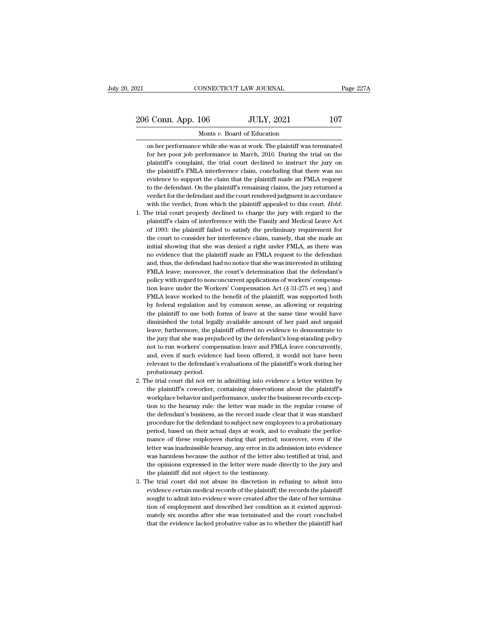on her performance while she was at work. The plaintiff was terminated for her poor job performance in March, 2016. During the trial on the For her poor job performance while she was at work. The plaintiff was terminated<br>on her performance while she was at work. The plaintiff was terminated<br>for her poor job performance in March, 2016. During the trial on the<br>  $\frac{3 \text{ Conn. App. 106}}{\text{Monts } v. \text{ Board of Education}}$ <br>
on her performance while she was at work. The plaintiff was terminated<br>
for her poor job performance in March, 2016. During the trial on the<br>
plaintiff's complaint, the trial court decli Monts v. Board of Education<br>on her performance while she was at work. The plaintiff was terminated<br>for her poor job performance in March, 2016. During the trial on the<br>plaintiff's complaint, the trial court declined to ins for her poor job performance in March, 2016. During the trial on the plaintiff's complaint, the trial court declined to instruct the jury on the plaintiff's FMLA interference claim, concluding that there was no evidence to on her performance while she was at work. The plaintiff was terminated<br>for her poor job performance in March, 2016. During the trial on the<br>plaintiff's complaint, the trial court declined to instruct the jury on<br>the plaint for her poor job performance in March, 2016. During the trial on the plaintiff's complaint, the trial court declined to instruct the jury on the plaintiff's FMLA interference claim, concluding that there was no evidence to plaintiff's complaint, the trial court declined to instruct the jury on the plaintiff's FMLA interference claim, concluding that there was no evidence to support the claim that the plaintiff made an FMLA request to the def evidence to support the claim that the plaintiff made an FMLA request<br>to the defendant. On the plaintiff's remaining claims, the jury returned a<br>verdict for the defendant and the court rendered judgment in accordance<br>with

- to the defendant. On the plaintiff's remaining claims, the jury returned a verdict for the defendant and the court rendered judgment in accordance with the verdict, from which the plaintiff appealed to this court. *Held*: verdict for the defendant and the court rendered judgment in accordance<br>with the verdict, from which the plaintiff appealed to this court. Held:<br>he trial court properly declined to charge the jury with regard to the<br>plaint with the verdict, from which the plaintiff appealed to this court. *Held*:<br>he trial court properly declined to charge the jury with regard to the<br>plaintiff's claim of interference with the Family and Medical Leave Act<br>of 1 he trial court properly declined to charge the jury with regard to the plaintiff's claim of interference with the Family and Medical Leave Act of 1993: the plaintiff failed to satisfy the preliminary requirement for the co plaintiff's claim of interference with the Family and Medical Leave Act<br>of 1993: the plaintiff failed to satisfy the preliminary requirement for<br>the court to consider her interference claim, namely, that she made an<br>initia of 1993: the plaintiff failed to satisfy the preliminary requirement for the court to consider her interference claim, namely, that she made an initial showing that she was denied a right under FMLA, as there was no eviden the court to consider her interference claim, namely, that she made an initial showing that she was denied a right under FMLA, as there was no evidence that the plaintiff made an FMLA request to the defendant and, thus, t initial showing that she was denied a right under FMLA, as there was<br>no evidence that the plaintiff made an FMLA request to the defendant<br>and, thus, the defendant had no notice that she was interested in utilizing<br>FMLA lea no evidence that the plaintiff made an FMLA request to the defendant<br>and, thus, the defendant had no notice that she was interested in utilizing<br>FMLA leave; moreover, the court's determination that the defendant's<br>policy w and, thus, the defendant had no notice that she was interested in utilizing FMLA leave; moreover, the court's determination that the defendant's policy with regard to nonconcurrent applications of workers' compensation lea FMLA leave; moreover, the court's determination that the defendant's policy with regard to nonconcurrent applications of workers' compensation leave under the Workers' Compensation Act (§ 31-275 et seq.) and FMLA leave wor policy with regard to nonconcurrent applications of workers' compensation leave under the Workers' Compensation Act (§ 31-275 et seq.) and FMLA leave worked to the benefit of the plaintiff, was supported both by federal re ion leave under the Workers' Compensation Act  $(\S 31-275$  et seq.) and FMLA leave worked to the benefit of the plaintiff, was supported both by federal regulation and by common sense, as allowing or requiring the plaintif FMLA leave worked to the benefit of the plaintiff, was supported both<br>by federal regulation and by common sense, as allowing or requiring<br>the plaintiff to use both forms of leave at the same time would have<br>diminished the by federal regulation and by common sense, as allowing or requiring<br>the plaintiff to use both forms of leave at the same time would have<br>diminished the total legally available amount of her paid and unpaid<br>leave; furthermo the plaintiff to use both forms of leave at the same time would have diminished the total legally available amount of her paid and unpaid leave; furthermore, the plaintiff offered no evidence to demonstrate to the jury tha diminished the total legally available amount of her paid and unpaid<br>leave; furthermore, the plaintiff offered no evidence to demonstrate to<br>the jury that she was prejudiced by the defendant's long-standing policy<br>not to r diminished the total legally available amount of her paid and unpaid<br>leave; furthermore, the plaintiff offered no evidence to demonstrate to<br>the jury that she was prejudiced by the defendant's long-standing policy<br>not to r the jury that she was prejudiced by the defendant's long-standing policy<br>not to run workers' compensation leave and FMLA leave concurrently,<br>and, even if such evidence had been offered, it would not have been<br>relevant to t not to run workers' compensation leave and FMLA leave concurrently,<br>and, even if such evidence had been offered, it would not have been<br>relevant to the defendant's evaluations of the plaintiff's work during her<br>probationar
- and, even if such evidence had been offered, it would not have been<br>relevant to the defendant's evaluations of the plaintiff's work during her<br>probationary period.<br>he trial court did not err in admitting into evidence a le relevant to the defendant's evaluations of the plaintiff's work during her probationary period.<br>
he trial court did not err in admitting into evidence a letter written by<br>
the plaintiff's coworker, containing observations probationary period.<br>
he trial court did not err in admitting into evidence a letter written by<br>
the plaintiff's coworker, containing observations about the plaintiff's<br>
workplace behavior and performance, under the busine he trial court did not err in admitting into evidence a letter written by the plaintiff's coworker, containing observations about the plaintiff's workplace behavior and performance, under the business records exception to the plaintiff's coworker, containing observations about the plaintiff's workplace behavior and performance, under the business records exception to the hearsay rule: the letter was made in the regular course of the defenda workplace behavior and performance, under the business records exception to the hearsay rule: the letter was made in the regular course of the defendant's business, as the record made clear that it was standard procedure f tion to the hearsay rule: the letter was made in the regular course of the defendant's business, as the record made clear that it was standard procedure for the defendant to subject new employees to a probationary period, the defendant's business, as the record made clear that it was standard<br>procedure for the defendant to subject new employees to a probationary<br>period, based on their actual days at work, and to evaluate the perfor-<br>mance o procedure for the defendant to subject new employees to a probationary<br>period, based on their actual days at work, and to evaluate the perfor-<br>mance of these employees during that period; moreover, even if the<br>letter was i procedure for the defendant to subject new employees to a probationary<br>period, based on their actual days at work, and to evaluate the perfor-<br>mance of these employees during that period; moreover, even if the<br>letter was i mance of these employees during that period; moreover, even if the letter was inadmissible hearsay, any error in its admission into evidence was harmless because the author of the letter also testified at trial, and the op letter was inadmissible hearsay, any error in its admission into evidence was harmless because the author of the letter also testified at trial, and the opinions expressed in the letter were made directly to the jury and t
- was harmless because the author of the letter also testified at trial, and<br>the opinions expressed in the letter were made directly to the jury and<br>the plaintiff did not object to the testimony.<br>The trial court did not abus the opinions expressed in the letter were made directly to the jury and<br>the plaintiff did not object to the testimony.<br>The trial court did not abuse its discretion in refusing to admit into<br>evidence certain medical records the plaintiff did not object to the testimony.<br>The trial court did not abuse its discretion in refusing to admit into<br>evidence certain medical records of the plaintiff; the records the plaintiff<br>sought to admit into eviden The trial court did not abuse its discretion in refusing to admit into evidence certain medical records of the plaintiff; the records the plaintiff sought to admit into evidence were created after the date of her terminati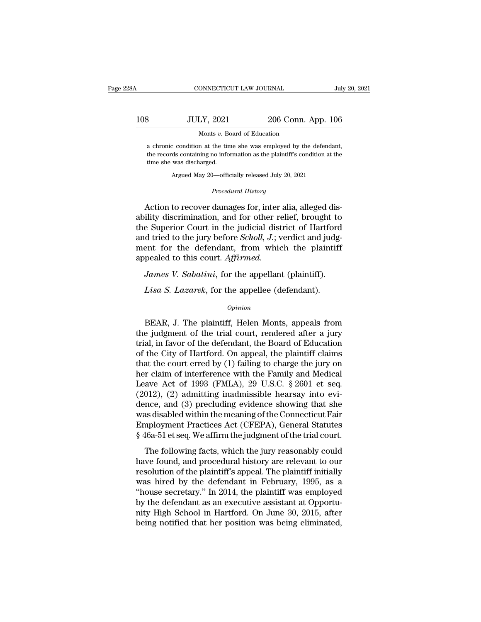## CONNECTICUT LAW JOURNAL July 20, 2021<br>108 JULY, 2021 206 Conn. App. 106<br>Monts v. Board of Education ONNECTICUT LAW JOURNAL<br>LY, 2021 206 Conn.<br>Monts *v*. Board of Education<br>n at the time she was employed by the 3<br> **a** chronic condition at the time she was employed by the defendant,<br>
the records condition at the time she was employed by the defendant,<br>
the records containing no information as the plaintiff's condition at the

THE RECORD SET AND SET AND SET AND MONES WE BOAT A CHOON A CHORE A chronic condition at the time she was employed by the defendant, the records containing no information as the plaintiff's condition at the time she was dis 3<br>
Monts *v*. Box<br>
Monts *v*. Box<br>
a chronic condition at the tim<br>
the records containing no inform<br>
time she was discharged.<br>
Argued May 20—offic Monts  $v$ . Board of Education<br>  $\alpha$  condition at the time she was employed by the defendared ds containing no information as the plaintiff's condition at the was discharged.<br>
Argued May 20—officially released July 20, 202 the records containing no information as the plaintiff's condition at the<br>time she was discharged.<br>Argued May 20—officially released July 20, 2021<br>*Procedural History*<br>Action to recover damages for, inter alia, alleged dis

a chronic condition at the time she was employed by the defendant,<br>the records containing no information as the plaintiff's condition at the<br>time she was discharged.<br>Argued May 20—officially released July 20, 2021<br>*Procedu* the records containing no information as the plaintiff's condition at the<br>time she was discharged.<br>Argued May 20—officially released July 20, 2021<br>*Procedural History*<br>**Action to recover damages for, inter alia, alleged di** the Superior Court in the judicial district of Hartford<br>
the Superior Court in the judicial district of Hartford<br>
and tried to the jury before *Scholl*, *J*.; verdict and judg-<br>
mont for the defendant from which the plaint Argued May 20—officially released July 20, 2021<br> *Procedural History*<br>
Action to recover damages for, inter alia, alleged dis-<br>
ability discrimination, and for other relief, brought to<br>
the Superior Court in the judicial d Procedural History<br>Action to recover damages for, inter alia, alleged dis-<br>ability discrimination, and for other relief, brought to<br>the Superior Court in the judicial district of Hartford<br>and tried to the jury before *Scho* Action to recover damages for, inter a<br>ability discrimination, and for other re<br>the Superior Court in the judicial distand tried to the jury before *Scholl*, *J*.; we<br>ment for the defendant, from whic<br>appealed to this cour *James V. Sabatini*, for the appellant (plaintiff).<br>*James V. Sabatini*, for the publical district of Hartford<br>d tried to the jury before *Scholl*, *J*.; verdict and judg-<br>ent for the defendant, from which the plaintiff<br>pe Exercise Superior Court in the judicial district of Hartford direct direct divided to the jury before *Scholl*, *J*.; verdict and judgent for the defendant, from which the plaintiff pealed to this court. *Affirmed.*<br>*James* 

### *Opinion*

Frames V. Sabatini, for the appellant (plaintiff).<br>
Lisa S. Lazarek, for the appellee (defendant).<br>
Opinion<br>
BEAR, J. The plaintiff, Helen Monts, appeals from<br>
e judgment of the trial court, rendered after a jury<br>
al in fa James V. Sabatini, for the appellant (plaintiff).<br>
Lisa S. Lazarek, for the appellee (defendant).<br>
opinion<br>
BEAR, J. The plaintiff, Helen Monts, appeals from<br>
the judgment of the trial court, rendered after a jury<br>
trial, Lisa S. Lazarek, for the appellee (defendant).<br>
Opinion<br>
BEAR, J. The plaintiff, Helen Monts, appeals from<br>
the judgment of the trial court, rendered after a jury<br>
trial, in favor of the defendant, the Board of Education<br> Lisa S. Lazarek, for the appellee (defendant).<br>
opinion<br>
BEAR, J. The plaintiff, Helen Monts, appeals from<br>
the judgment of the trial court, rendered after a jury<br>
trial, in favor of the defendant, the Board of Education<br> **EXAMPLE COURTER CONTROLLED CONTROLLED SET CONTROVIDED SET A SURFERING SET A SURFERING SURFERING SURFERING SURFERING SURFERING SURFERING SURFERING SURFERING TO A SURFERING TO A SURFERING TO A SURFERING TO A SURFERING TO A** BEAR, J. The plaintiff, Helen Monts, appeals from<br>the judgment of the trial court, rendered after a jury<br>trial, in favor of the defendant, the Board of Education<br>of the City of Hartford. On appeal, the plaintiff claims<br>th BEAR, J. The plaintiff, Helen Monts, appeals from<br>the judgment of the trial court, rendered after a jury<br>trial, in favor of the defendant, the Board of Education<br>of the City of Hartford. On appeal, the plaintiff claims<br>th the judgment of the trial court, rendered after a jury<br>trial, in favor of the defendant, the Board of Education<br>of the City of Hartford. On appeal, the plaintiff claims<br>that the court erred by (1) failing to charge the jur trial, in favor of the defendant, the Board of Education<br>of the City of Hartford. On appeal, the plaintiff claims<br>that the court erred by (1) failing to charge the jury on<br>her claim of interference with the Family and Med of the City of Hartford. On appeal, the plaintiff claims<br>that the court erred by (1) failing to charge the jury on<br>her claim of interference with the Family and Medical<br>Leave Act of 1993 (FMLA), 29 U.S.C. § 2601 et seq.<br>(2 that the court erred by (1) failing to charge the jury on<br>her claim of interference with the Family and Medical<br>Leave Act of 1993 (FMLA), 29 U.S.C. § 2601 et seq.<br>(2012), (2) admitting inadmissible hearsay into evi-<br>dence, her claim of interference with the Family and Medical<br>Leave Act of 1993 (FMLA), 29 U.S.C. § 2601 et seq.<br>(2012), (2) admitting inadmissible hearsay into evi-<br>dence, and (3) precluding evidence showing that she<br>was disabled (1 mm), 28 0.3.0.  $\frac{1}{2}$  2001 of seq.<br>
012), (2) admitting inadmissible hearsay into evi-<br>
nce, and (3) precluding evidence showing that she<br>
as disabled within the meaning of the Connecticut Fair<br>
mployment Practices (2012), (2) admining maanhoode realisty fluorewiddence, and (3) precluding evidence showing that she was disabled within the meaning of the Connecticut Fair Employment Practices Act (CFEPA), General Statutes § 46a-51 et s

resolution of the meaning of the Connecticut Fair<br>
Employment Practices Act (CFEPA), General Statutes<br>
§ 46a-51 et seq. We affirm the judgment of the trial court.<br>
The following facts, which the jury reasonably could<br>
have was disabled whall the hielannig of the connectical run<br>Employment Practices Act (CFEPA), General Statutes<br>§ 46a-51 et seq. We affirm the judgment of the trial court.<br>The following facts, which the jury reasonably could<br>ha  $\frac{1}{2}$  46a-51 et seq. We affirm the judgment of the trial court.<br>
The following facts, which the jury reasonably could<br>
have found, and procedural history are relevant to our<br>
resolution of the plaintiff's appeal. The The following facts, which the jury reasonably could<br>have found, and procedural history are relevant to our<br>resolution of the plaintiff's appeal. The plaintiff initially<br>was hired by the defendant in February, 1995, as a<br>" The following facts, which the jury reasonably could<br>have found, and procedural history are relevant to our<br>resolution of the plaintiff's appeal. The plaintiff initially<br>was hired by the defendant in February, 1995, as a<br>" have found, and procedural history are relevant to our resolution of the plaintiff's appeal. The plaintiff initially was hired by the defendant in February, 1995, as a "house secretary." In 2014, the plaintiff was employed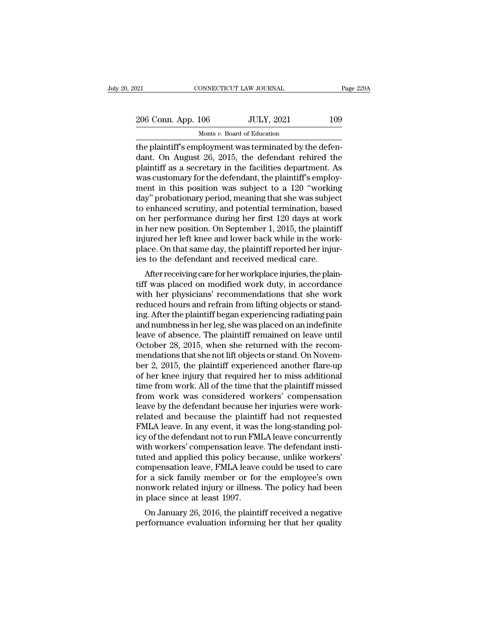| 206 Conn. App. 106<br><b>JULY, 2021</b> |           |
|-----------------------------------------|-----------|
|                                         |           |
| 021<br>CONNECTICUT LAW JOURNAL          | Page 229A |

The plaintiff's employment was terminated by the defendant. On August 26, 2015, the defendant rehired the plaintiff's englority in the fecilities department As 206 Conn. App. 106 JULY, 2021 109<br>Monts v. Board of Education<br>the plaintiff's employment was terminated by the defendant. On August 26, 2015, the defendant rehired the<br>plaintiff as a secretary in the facilities department. 206 Conn. App.  $106$  JULY,  $2021$  109<br>
Monts v. Board of Education<br>
the plaintiff's employment was terminated by the defen-<br>
dant. On August 26, 2015, the defendant rehired the<br>
plaintiff as a secretary in the facilities 206 Conn. App.  $106$  JULY,  $2021$  109<br>
Monts v. Board of Education<br>
the plaintiff's employment was terminated by the defendant. On August 26, 2015, the defendant rehired the<br>
plaintiff as a secretary in the facilities dep Monts v. Board of Education<br>the plaintiff's employment was terminated by the defen-<br>dant. On August 26, 2015, the defendant rehired the<br>plaintiff as a secretary in the facilities department. As<br>was customary for the defen Monts v. Board of Education<br>the plaintiff's employment was terminated by the defen-<br>dant. On August 26, 2015, the defendant rehired the<br>plaintiff as a secretary in the facilities department. As<br>was customary for the defen the plaintiff's employment was terminated by the defendant. On August 26, 2015, the defendant rehired the plaintiff as a secretary in the facilities department. As was customary for the defendant, the plaintiff's employmen dant. On August 26, 2015, the defendant rehired the<br>plaintiff as a secretary in the facilities department. As<br>was customary for the defendant, the plaintiff's employ-<br>ment in this position was subject to a 120 "working<br>day plaintiff as a secretary in the facilities department. As<br>was customary for the defendant, the plaintiff's employ-<br>ment in this position was subject to a 120 "working<br>day" probationary period, meaning that she was subject<br> was customary for the defendant, the plaintiff's employment in this position was subject to a 120 "working day" probationary period, meaning that she was subject to enhanced scrutiny, and potential termination, based on he ment in this position was subject to a 120 "working<br>day" probationary period, meaning that she was subject<br>to enhanced scrutiny, and potential termination, based<br>on her performance during her first 120 days at work<br>in her day" probationary period, meaning that she was subjecto enhanced scrutiny, and potential termination, base<br>on her performance during her first 120 days at wor<br>in her new position. On September 1, 2015, the plainti<br>injured Financed scrutny, and potential termination, based<br>Thereformance during her first 120 days at work<br>her new position. On September 1, 2015, the plaintiff<br>jured her left knee and lower back while in the work-<br>ace. On that sa on her performance during her first 120 days at work<br>in her new position. On September 1, 2015, the plaintiff<br>injured her left knee and lower back while in the work-<br>place. On that same day, the plaintiff reported her inju

In her new position. On september 1, 2015, the plaintin<br>injured her left knee and lower back while in the work-<br>place. On that same day, the plaintiff reported her injur-<br>ies to the defendant and received medical care.<br>Aft reduced hours and refrain from lifting objects or stand-<br>place. On that same day, the plaintiff reported her injur-<br>ies to the defendant and received medical care.<br>After receiving care for her workplace injuries, the plain place. On that same day, the plaintiff reported her injur-<br>ies to the defendant and received medical care.<br>After receiving care for her workplace injuries, the plain-<br>tiff was placed on modified work duty, in accordance<br>wi res to the defendant and received medical care.<br>
After receiving care for her workplace injuries, the plain-<br>
tiff was placed on modified work duty, in accordance<br>
with her physicians' recommendations that she work<br>
reduce After receiving care for her workplace injuries, the plaintiff was placed on modified work duty, in accordance<br>with her physicians' recommendations that she work<br>reduced hours and refrain from lifting objects or stand-<br>ing tiff was placed on modified work duty, in accordance<br>with her physicians' recommendations that she work<br>reduced hours and refrain from lifting objects or stand-<br>ing. After the plaintiff began experiencing radiating pain<br>an with her physicians' recommendations that she work<br>reduced hours and refrain from lifting objects or stand-<br>ing. After the plaintiff began experiencing radiating pain<br>and numbness in her leg, she was placed on an indefinit reduced hours and refrain from lifting objects or standing. After the plaintiff began experiencing radiating pain<br>and numbness in her leg, she was placed on an indefinite<br>leave of absence. The plaintiff remained on leave u ing. After the plaintiff began experiencing radiating pain<br>and numbness in her leg, she was placed on an indefinite<br>leave of absence. The plaintiff remained on leave until<br>October 28, 2015, when she returned with the recom and numbness in her leg, she was placed on an indefinite<br>leave of absence. The plaintiff remained on leave until<br>October 28, 2015, when she returned with the recom-<br>mendations that she not lift objects or stand. On Novem-<br> leave of absence. The plaintiff remained on leave until<br>October 28, 2015, when she returned with the recom-<br>mendations that she not lift objects or stand. On Novem-<br>ber 2, 2015, the plaintiff experienced another flare-up<br>o October 28, 2015, when she returned with the recommendations that she not lift objects or stand. On November 2, 2015, the plaintiff experienced another flare-up of her knee injury that required her to miss additional time mendations that she not lift objects or stand. On November 2, 2015, the plaintiff experienced another flare-up<br>of her knee injury that required her to miss additional<br>time from work. All of the time that the plaintiff miss ber 2, 2015, the plaintiff experienced another flare-up<br>of her knee injury that required her to miss additional<br>time from work. All of the time that the plaintiff missed<br>from work was considered workers' compensation<br>leave of her knee injury that required her to miss additional<br>time from work. All of the time that the plaintiff missed<br>from work was considered workers' compensation<br>leave by the defendant because her injuries were work-<br>relate time from work. All of the time that the plaintiff missed<br>from work was considered workers' compensation<br>leave by the defendant because her injuries were work-<br>related and because the plaintiff had not requested<br>FMLA leave from work was considered workers' compensation<br>leave by the defendant because her injuries were work-<br>related and because the plaintiff had not requested<br>FMLA leave. In any event, it was the long-standing pol-<br>icy of the d leave by the defendant because her injuries were work-<br>related and because the plaintiff had not requested<br>FMLA leave. In any event, it was the long-standing pol-<br>icy of the defendant not to run FMLA leave concurrently<br>wit related and because the plaintiff had not requested<br>FMLA leave. In any event, it was the long-standing pol-<br>icy of the defendant not to run FMLA leave concurrently<br>with workers' compensation leave. The defendant insti-<br>tut FMLA leave. In any event, it was the long-standing policy of the defendant not to run FMLA leave concurrently with workers' compensation leave. The defendant instituted and applied this policy because, unlike workers' comp icy of the defendant not to run FM<br>with workers' compensation leave<br>tuted and applied this policy bec<br>compensation leave, FMLA leave<br>for a sick family member or for<br>nonwork related injury or illness<br>in place since at least In workers compensation leave. The defendant instricted and applied this policy because, unlike workers' mpensation leave, FMLA leave could be used to care r a sick family member or for the employee's own nwork related inj rated and applied this policy because, thinke workers<br>compensation leave, FMLA leave could be used to care<br>for a sick family member or for the employee's own<br>nonwork related injury or illness. The policy had been<br>in place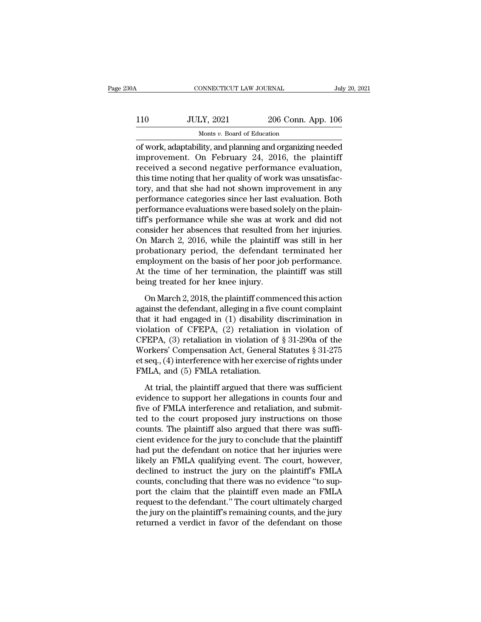# CONNECTICUT LAW JOURNAL July 20, 2021<br>110 JULY, 2021 206 Conn. App. 106<br>Monts v. Board of Education onnecticut LAW JOURNAL<br>LY, 2021 206 Conn.<br>Monts *v.* Board of Education<br>lity and planning and organizin

CONNECTICUT LAW JOURNAL July 20, 2021<br>
JULY, 2021 206 Conn. App. 106<br>
Monts v. Board of Education<br>
of work, adaptability, and planning and organizing needed<br>
improvement. On February 24, 2016, the plaintiff IIO JULY, 2021 206 Conn. App. 106<br>
Monts v. Board of Education<br>
of work, adaptability, and planning and organizing needed<br>
improvement. On February 24, 2016, the plaintiff<br>
received a second negative performance evaluation 110 JULY, 2021 206 Conn. App. 106<br>
Monts v. Board of Education<br>
of work, adaptability, and planning and organizing needed<br>
improvement. On February 24, 2016, the plaintiff<br>
received a second negative performance evaluatio  $110$  JULY, 2021 206 Conn. App. 106<br>Monts v. Board of Education<br>of work, adaptability, and planning and organizing needed<br>improvement. On February 24, 2016, the plaintiff<br>received a second negative performance evaluation, Monts v. Board of Education<br>
of work, adaptability, and planning and organizing needed<br>
improvement. On February 24, 2016, the plaintiff<br>
received a second negative performance evaluation,<br>
this time noting that her qualit monts  $v$ . Board of Education<br>
of work, adaptability, and planning and organizing needed<br>
improvement. On February 24, 2016, the plaintiff<br>
received a second negative performance evaluation,<br>
this time noting that her qua of work, adaptability, and planning and organizing needed<br>improvement. On February 24, 2016, the plaintiff<br>received a second negative performance evaluation,<br>this time noting that her quality of work was unsatisfac-<br>tory, improvement. On February 24, 2016, the plaintiff<br>
received a second negative performance evaluation,<br>
this time noting that her quality of work was unsatisfac-<br>
tory, and that she had not shown improvement in any<br>
performa received a second negative performance evaluation,<br>this time noting that her quality of work was unsatisfac-<br>tory, and that she had not shown improvement in any<br>performance categories since her last evaluation. Both<br>perfor this time noting that her quality of work was unsatisfactory, and that she had not shown improvement in any performance categories since her last evaluation. Both performance evaluations were based solely on the plaintiff' tory, and that she had not shown improvement in any<br>performance categories since her last evaluation. Both<br>performance evaluations were based solely on the plain-<br>tiff's performance while she was at work and did not<br>consid performance categories since her last evaluation. Both<br>performance evaluations were based solely on the plain-<br>tiff's performance while she was at work and did not<br>consider her absences that resulted from her injuries.<br>On performance evaluations were based solely on the plaintiff's performance while she was at work and did not consider her absences that resulted from her injuries.<br>On March 2, 2016, while the plaintiff was still in her proba tiff's performance while she was at we<br>consider her absences that resulted fre<br>On March 2, 2016, while the plaintiff<br>probationary period, the defendant<br>employment on the basis of her poor jc<br>At the time of her termination, In March 2, 2016, while the plaintiff was still in her obationary period, the defendant terminated her apployment on the basis of her poor job performance.<br>
the time of her termination, the plaintiff was still ing treated probationary period, the defendant terminated her<br>employment on the basis of her poor job performance.<br>At the time of her termination, the plaintiff was still<br>being treated for her knee injury.<br>On March 2, 2018, the plaint

employment on the basis of her poor job performance.<br>At the time of her termination, the plaintiff was still<br>being treated for her knee injury.<br>On March 2, 2018, the plaintiff commenced this action<br>against the defendant, At the time of her termination, the plaintiff was still<br>being treated for her knee injury.<br>On March 2, 2018, the plaintiff commenced this action<br>against the defendant, alleging in a five count complaint<br>that it had engage being treated for her knee injury.<br>
On March 2, 2018, the plaintiff commenced this action<br>
against the defendant, alleging in a five count complaint<br>
that it had engaged in (1) disability discrimination in<br>
violation of C On March 2, 2018, the plaintiff commenced this action<br>against the defendant, alleging in a five count complaint<br>that it had engaged in (1) disability discrimination in<br>violation of CFEPA, (2) retaliation in violation of<br>C On March 2, 2018, the plaintiff commenced this action<br>against the defendant, alleging in a five count complaint<br>that it had engaged in (1) disability discrimination in<br>violation of CFEPA, (2) retaliation in violation of<br>C against the defendant, alleging in a five<br>that it had engaged in (1) disability c<br>violation of CFEPA, (2) retaliation<br>CFEPA, (3) retaliation in violation of<br>Workers' Compensation Act, General {<br>et seq., (4) interference wi blation of CFEPA, (2) retaliation in violation of<br>
FEPA, (3) retaliation in violation of § 31-290a of the<br>
orkers' Compensation Act, General Statutes § 31-275<br>
seq., (4) interference with her exercise of rights under<br>
MLA CFEPA, (3) retaliation in violation of § 31-290a of the<br>Workers' Compensation Act, General Statutes § 31-275<br>et seq., (4) interference with her exercise of rights under<br>FMLA, and (5) FMLA retaliation.<br>At trial, the plaint

Workers' Compensation Act, General Statutes  $\S 31-275$ <br>et seq., (4) interference with her exercise of rights under<br>FMLA, and (5) FMLA retaliation.<br>At trial, the plaintiff argued that there was sufficient<br>evidence to suppo et seq., (4) interference with her exercise of rights under<br>FMLA, and (5) FMLA retaliation.<br>At trial, the plaintiff argued that there was sufficient<br>evidence to support her allegations in counts four and<br>five of FMLA inter FMLA, and (5) FMLA retaliation.<br>At trial, the plaintiff argued that there was sufficient<br>evidence to support her allegations in counts four and<br>five of FMLA interference and retaliation, and submit-<br>ted to the court propo At trial, the plaintiff argued that there was sufficient<br>evidence to support her allegations in counts four and<br>five of FMLA interference and retaliation, and submit-<br>ted to the court proposed jury instructions on those<br>c At trial, the plaintiff argued that there was sufficient<br>evidence to support her allegations in counts four and<br>five of FMLA interference and retaliation, and submit-<br>ted to the court proposed jury instructions on those<br>co evidence to support her allegations in counts four and<br>five of FMLA interference and retaliation, and submit-<br>ted to the court proposed jury instructions on those<br>counts. The plaintiff also argued that there was suffi-<br>cie five of FMLA interference and retaliation, and submit-<br>ted to the court proposed jury instructions on those<br>counts. The plaintiff also argued that there was suffi-<br>cient evidence for the jury to conclude that the plaintiff ted to the court proposed jury instructions on those<br>counts. The plaintiff also argued that there was suffi-<br>cient evidence for the jury to conclude that the plaintiff<br>had put the defendant on notice that her injuries were counts. The plaintiff also argued that there was suffi-<br>cient evidence for the jury to conclude that the plaintiff<br>had put the defendant on notice that her injuries were<br>likely an FMLA qualifying event. The court, however, cient evidence for the jury to conclude that the plaintiff<br>had put the defendant on notice that her injuries were<br>likely an FMLA qualifying event. The court, however,<br>declined to instruct the jury on the plaintiff's FMLA<br>c had put the defendant on notice that her injuries were<br>likely an FMLA qualifying event. The court, however,<br>declined to instruct the jury on the plaintiff's FMLA<br>counts, concluding that there was no evidence "to sup-<br>port likely an FMLA qualifying event. The court, however, declined to instruct the jury on the plaintiff's FMLA counts, concluding that there was no evidence "to support the claim that the plaintiff even made an FMLA request to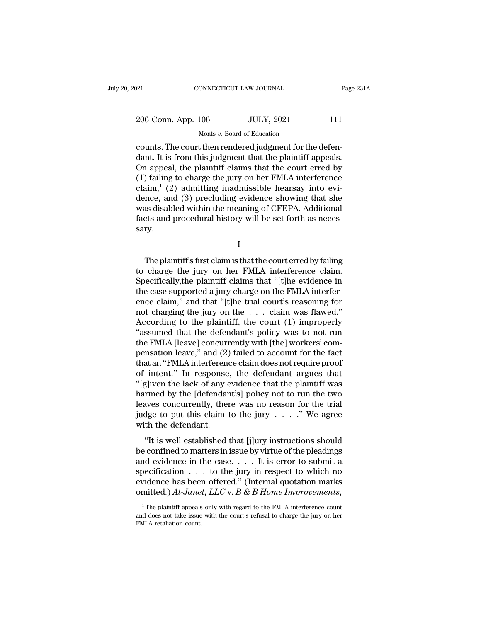| 121                | CONNECTICUT LAW JOURNAL     |                                                         | Page 231A |
|--------------------|-----------------------------|---------------------------------------------------------|-----------|
|                    |                             |                                                         |           |
| 206 Conn. App. 106 |                             | <b>JULY, 2021</b>                                       | 111       |
|                    | Monts v. Board of Education |                                                         |           |
|                    |                             | counts. The court then rendered indoment for the defen- |           |

connectricut LAW JOURNAL<br>
206 Conn. App. 106 JULY, 2021 111<br>
Monts v. Board of Education<br>
counts. The court then rendered judgment for the defen-<br>
dant. It is from this judgment that the plaintiff appeals.<br>
On appeal, the 206 Conn. App. 106 JULY, 2021 111<br>Monts v. Board of Education<br>Counts. The court then rendered judgment for the defen-<br>dant. It is from this judgment that the plaintiff appeals.<br>On appeal, the plaintiff claims that the cour 206 Conn. App. 106 JULY, 2021 111<br>
Monts v. Board of Education<br>
counts. The court then rendered judgment for the defen-<br>
dant. It is from this judgment that the plaintiff appeals.<br>
On appeal, the plaintiff claims that the 206 Conn. App. 106 JULY, 2021 111<br>
Monts v. Board of Education<br>
counts. The court then rendered judgment for the defen-<br>
dant. It is from this judgment that the plaintiff appeals.<br>
On appeal, the plaintiff claims that the Monts v. Board of Education<br>
counts. The court then rendered judgment for the defen-<br>
dant. It is from this judgment that the plaintiff appeals.<br>
On appeal, the plaintiff claims that the court erred by<br>
(1) failing to cha Monts v. Board of Education<br>
counts. The court then rendered judgment for the defen-<br>
dant. It is from this judgment that the plaintiff appeals.<br>
On appeal, the plaintiff claims that the court erred by<br>
(1) failing to cha counts. The court then rendered judgment for the defen-<br>dant. It is from this judgment that the plaintiff appeals.<br>On appeal, the plaintiff claims that the court erred by<br>(1) failing to charge the jury on her FMLA interfer dant. It is from this judgment that the plaintiff appeals.<br>On appeal, the plaintiff claims that the court erred by<br>(1) failing to charge the jury on her FMLA interference<br>claim,<sup>1</sup> (2) admitting inadmissible hearsay into sary. nce, and (3) precluding evidence showing that she<br>as disabled within the meaning of CFEPA. Additional<br>cts and procedural history will be set forth as neces-<br>ry.<br>I<br>The plaintiff's first claim is that the court erred by fail

I

was disabled within the meaning of CFEPA. Additional<br>facts and procedural history will be set forth as necessary.<br>I<br>The plaintiff's first claim is that the court erred by failing<br>to charge the jury on her FMLA interference facts and procedural history will be set forth as necessary.<br>
I<br>
The plaintiff's first claim is that the court erred by failing<br>
to charge the jury on her FMLA interference claim.<br>
Specifically,the plaintiff claims that "[ I<br>I<br>The plaintiff's first claim is that the court erred by failing<br>to charge the jury on her FMLA interference claim.<br>Specifically,the plaintiff claims that "[t]he evidence in<br>the case supported a jury charge on the FMLA i I<br>
I<br>
The plaintiff's first claim is that the court erred by failing<br>
to charge the jury on her FMLA interference claim.<br>
Specifically,the plaintiff claims that "[t]he evidence in<br>
the case supported a jury charge on the The plaintiff's first claim is that the court erred by failing<br>to charge the jury on her FMLA interference claim.<br>Specifically,the plaintiff claims that "[t]he evidence in<br>the case supported a jury charge on the FMLA inte The plaintiff's first claim is that the court erred by failing<br>to charge the jury on her FMLA interference claim.<br>Specifically,the plaintiff claims that "[t]he evidence in<br>the case supported a jury charge on the FMLA inte to charge the jury on her FMLA interference claim.<br>
Specifically, the plaintiff claims that "[t]he evidence in<br>
the case supported a jury charge on the FMLA interfer-<br>
ence claim," and that "[t]he trial court's reasoning Specifically,the plaintiff claims that "[t]he evidence in<br>the case supported a jury charge on the FMLA interfer-<br>ence claim," and that "[t]he trial court's reasoning for<br>not charging the jury on the . . . claim was flawed. the case supported a jury charge on the FMLA interference claim," and that "[t]he trial court's reasoning for not charging the jury on the . . . claim was flawed."<br>According to the plaintiff, the court (1) improperly "assu ence claim," and that "[t]he trial court's reasoning for<br>not charging the jury on the  $\ldots$  claim was flawed."<br>According to the plaintiff, the court (1) improperly<br>"assumed that the defendant's policy was to not run<br>the F not charging the jury on the . . . claim was flawed."<br>According to the plaintiff, the court (1) improperly<br>"assumed that the defendant's policy was to not run<br>the FMLA [leave] concurrently with [the] workers' com-<br>pensatio According to the plaintiff, the court (1) improperly<br>"assumed that the defendant's policy was to not run<br>the FMLA [leave] concurrently with [the] workers' com-<br>pensation leave," and (2) failed to account for the fact<br>that "assumed that the defendant's policy was to not run<br>the FMLA [leave] concurrently with [the] workers' com-<br>pensation leave," and (2) failed to account for the fact<br>that an "FMLA interference claim does not require proof<br>o the FMLA [leave] concurrently with [the] workers' compensation leave," and (2) failed to account for the fact<br>that an "FMLA interference claim does not require proof<br>of intent." In response, the defendant argues that<br>"[g] pensation leave," and (2) failed to account for the fact<br>that an "FMLA interference claim does not require proof<br>of intent." In response, the defendant argues that<br>"[gliven the lack of any evidence that the plaintiff was<br>h that an "FMLA interference claim does not require proof<br>of intent." In response, the defendant argues that<br>"[g]iven the lack of any evidence that the plaintiff was<br>harmed by the [defendant's] policy not to run the two<br>lea "It is well established that  $[j]$ ury instructions should confined to matters in issue by virtue of the plaatings of existence that the defendant.<br>"It is well established that  $[j]$ ury  $\ldots$ ." We agree the the defendant.<br>"I be confined by the [defendant's] policy not to run the two<br>leaves concurrently, there was no reason for the trial<br>judge to put this claim to the jury  $\ldots$ ." We agree<br>with the defendant.<br>"It is well established that [j]ur

Fracture is the procedure in the case. . . . . " We agree<br>is verified to put this claim to the jury  $\ldots$  . " We agree<br>with the defendant.<br>"It is well established that [j]ury instructions should<br>be confined to matters in judge to put this claim to the jury  $\ldots$ ." We agree<br>with the defendant.<br>"It is well established that [j]ury instructions should<br>be confined to matters in issue by virtue of the pleadings<br>and evidence in the case.... It i with the defendant.<br>
"It is well established that [j]ury instructions should<br>
be confined to matters in issue by virtue of the pleadings<br>
and evidence in the case.... It is error to submit a<br>
specification ... to the jury "It is well established that [j]ury instructions should<br>be confined to matters in issue by virtue of the pleadings<br>and evidence in the case. . . . It is error to submit a<br>specification . . . to the jury in respect to whic 1 The plaintiff appeals only with regard to the FMLA interference count of does not take issue with the court's refusal to charge the jury on her does not take issue with the court's refusal to charge the jury on her  $\frac{$ specification . . . to the jury in respect to which no<br>evidence has been offered." (Internal quotation marks<br>omitted.)  $Al\text{-}Janet$ ,  $LLC$  v.  $B$  &  $B$  Home Improvements,<br> $\frac{1}{1}$ The plaintiff appeals only with regard to th

evidence has been<br>omitted.)  $Al\text{-}Jane$ <br> $\frac{1}{1}$  The plaintiff appeals<br>and does not take issue<br>FMLA retaliation count.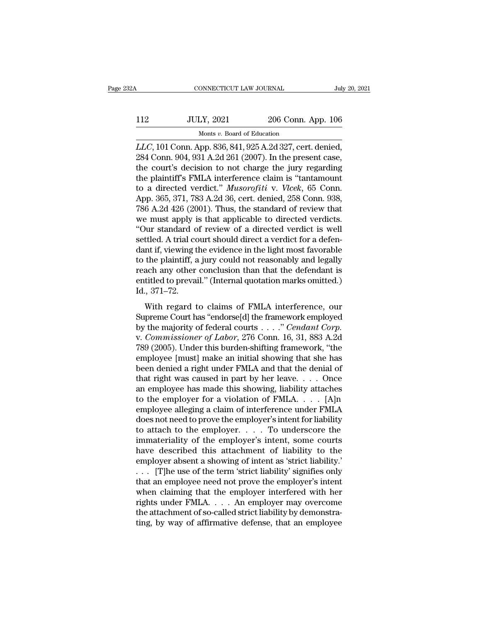# CONNECTICUT LAW JOURNAL July 20, 2021<br>112 JULY, 2021 206 Conn. App. 106<br>Monts v. Board of Education 0NNECTICUT LAW JOURNAL<br>LY, 2021 206 Conn.<br>Monts *v.* Board of Education<br>np. 836 841 925 A 2d 327 cert.

CONNECTICUT LAW JOURNAL July 20, 2<br>
112 JULY, 2021 206 Conn. App. 106<br>
Monts *v*. Board of Education<br> *LLC*, 101 Conn. App. 836, 841, 925 A.2d 327, cert. denied,<br>
284 Conn. 904, 931 A.2d 261 (2007). In the present case,<br>
t 206 Conn. App. 106<br>
206 Conn. App. 106<br>
284 Conn. App. 836, 841, 925 A.2d 327, cert. denied,<br>
284 Conn. 904, 931 A.2d 261 (2007). In the present case,<br>
the court's decision to not charge the jury regarding<br>
the plaintiff's 112 JULY, 2021 206 Conn. App. 106<br>Monts v. Board of Education<br>*LLC*, 101 Conn. App. 836, 841, 925 A.2d 327, cert. denied,<br>284 Conn. 904, 931 A.2d 261 (2007). In the present case,<br>the court's decision to not charge the jur 112 JULY, 2021 206 Conn. App. 106<br>Monts v. Board of Education<br>LLC, 101 Conn. App. 836, 841, 925 A.2d 327, cert. denied,<br>284 Conn. 904, 931 A.2d 261 (2007). In the present case,<br>the court's decision to not charge the jury r Monts *v.* Board of Education<br>LLC, 101 Conn. App. 836, 841, 925 A.2d 327, cert. denied,<br>284 Conn. 904, 931 A.2d 261 (2007). In the present case,<br>the court's decision to not charge the jury regarding<br>the plaintiff's FMLA in Monts v. Board of Education<br> *LLC*, 101 Conn. App. 836, 841, 925 A.2d 327, cert. denied,<br>
284 Conn. 904, 931 A.2d 261 (2007). In the present case,<br>
the court's decision to not charge the jury regarding<br>
the plaintiff's FML *LLC*, 101 Conn. App. 836, 841, 925 A.2d 327, cert. denied, 284 Conn. 904, 931 A.2d 261 (2007). In the present case, the court's decision to not charge the jury regarding the plaintiff's FMLA interference claim is "tantam 284 Conn. 904, 931 A.2d 261 (2007). In the present case,<br>the court's decision to not charge the jury regarding<br>the plaintiff's FMLA interference claim is "tantamount<br>to a directed verdict." *Musorofiti* v. *Vlcek*, 65 Conn the court's decision to not charge the jury regarding<br>
the plaintiff's FMLA interference claim is "tantamount<br>
to a directed verdict." *Musorofiti* v. *Vlcek*, 65 Conn.<br>
App. 365, 371, 783 A.2d 36, cert. denied, 258 Conn. the plaintiff's FMLA interference claim is "tantamount<br>to a directed verdict." *Musorofiti* v. *Vlcek*, 65 Conn.<br>App. 365, 371, 783 A.2d 36, cert. denied, 258 Conn. 938,<br>786 A.2d 426 (2001). Thus, the standard of review th to a directed verdict." *Musorofiti* v. *Vlcek*, 65 Conn.<br>App. 365, 371, 783 A.2d 36, cert. denied, 258 Conn. 938,<br>786 A.2d 426 (2001). Thus, the standard of review that<br>we must apply is that applicable to directed verdict App. 365, 371, 783 A.2d 36, cert. denied, 258 Conn. 938, 786 A.2d 426 (2001). Thus, the standard of review that we must apply is that applicable to directed verdicts. "Our standard of review of a directed verdict is well s 786 A.2d 426 (2001). Thus, the standard of review that<br>we must apply is that applicable to directed verdicts.<br>"Our standard of review of a directed verdict is well<br>settled. A trial court should direct a verdict for a defe we must apply is that applicable to directed verdicts.<br>"Our standard of review of a directed verdict is well<br>settled. A trial court should direct a verdict for a defen-<br>dant if, viewing the evidence in the light most favor "Our standard of<br>settled. A trial codant if, viewing t<br>to the plaintiff, a<br>reach any other<br>entitled to prevaind, 371–72.<br>With regard t Ministeria: Transformation and contract and contract for a determined in the distribution of the plaintiff, a jury could not reasonably and legally ach any other conclusion than that the defendant is titled to prevail." (I to the plaintiff, a jury could not reasonably and legally<br>reach any other conclusion than that the defendant is<br>entitled to prevail." (Internal quotation marks omitted.)<br>Id., 371–72.<br>With regard to claims of FMLA interfer

by the majority of federal courts and the defendant is<br>entitled to prevail." (Internal quotation marks omitted.)<br>Id., 371–72.<br>With regard to claims of FMLA interference, our<br>Supreme Court has "endorse[d] the framework empl reach any office conclusion than that the decentral is<br>entitled to prevail." (Internal quotation marks omitted.)<br>Id., 371–72.<br>With regard to claims of FMLA interference, our<br>Supreme Court has "endorse[d] the framework empl 1d., 371–72.<br>
With regard to claims of FMLA interference, our<br>
Supreme Court has "endorse[d] the framework employed<br>
by the majority of federal courts  $\ldots$ ." Cendant Corp.<br>
v. Commissioner of Labor, 276 Conn. 16, 31, 883 With regard to claims of FMLA interference, our<br>Supreme Court has "endorse[d] the framework employed<br>by the majority of federal courts . . . . " Cendant Corp.<br>v. Commissioner of Labor, 276 Conn. 16, 31, 883 A.2d<br>789 (2005 With regard to claims of FMLA interference, our<br>Supreme Court has "endorse[d] the framework employed<br>by the majority of federal courts . . . ." *Cendant Corp.*<br>v. *Commissioner of Labor*, 276 Conn. 16, 31, 883 A.2d<br>789 (2 Supreme Court has "endorse[d] the framework employed<br>by the majority of federal courts . . . . " *Cendant Corp.*<br>v. *Commissioner of Labor*, 276 Conn. 16, 31, 883 A.2d<br>789 (2005). Under this burden-shifting framework, "th by the majority of federal courts . . . ." *Cendant Corp.*<br>v. *Commissioner of Labor*, 276 Conn. 16, 31, 883 A.2d<br>789 (2005). Under this burden-shifting framework, "the<br>employee [must] make an initial showing that she has v. *Commissioner of Labor*, 276 Conn. 16, 31, 883 A.2d<br>789 (2005). Under this burden-shifting framework, "the<br>employee [must] make an initial showing that she has<br>been denied a right under FMLA and that the denial of<br>that 789 (2005). Under this burden-shifting framework, "the<br>employee [must] make an initial showing that she has<br>been denied a right under FMLA and that the denial of<br>that right was caused in part by her leave.... Once<br>an empl employee [must] make an initial showing that she has<br>been denied a right under FMLA and that the denial of<br>that right was caused in part by her leave. . . . Once<br>an employee has made this showing, liability attaches<br>to th been denied a right under FMLA and that the denial of<br>that right was caused in part by her leave.... Once<br>an employee has made this showing, liability attaches<br>to the employer for a violation of FMLA.... [A]n<br>employee all that right was caused in part by her leave. . . . Once<br>an employee has made this showing, liability attaches<br>to the employer for a violation of FMLA. . . . . [A]n<br>employee alleging a claim of interference under FMLA<br>does an employee has made this showing, liability attaches<br>to the employer for a violation of FMLA. . . . . [A]n<br>employee alleging a claim of interference under FMLA<br>does not need to prove the employer's intent for liability<br>t to the employer for a violation of FMLA. . . . . [A]n<br>employee alleging a claim of interference under FMLA<br>does not need to prove the employer's intent for liability<br>to attach to the employer. . . . . To underscore the<br>im employee alleging a claim of interference under FMLA<br>does not need to prove the employer's intent for liability<br>to attach to the employer. . . . . To underscore the<br>immateriality of the employer's intent, some courts<br>have does not need to prove the employer's intent for liability<br>to attach to the employer. . . . . To underscore the<br>immateriality of the employer's intent, some courts<br>have described this attachment of liability to the<br>employ to attach to the employer.  $\dots$  To underscore the<br>immateriality of the employer's intent, some courts<br>have described this attachment of liability to the<br>employer absent a showing of intent as 'strict liability.'<br> $\dots$  [T]h immateriality of the employer's intent, some courts<br>have described this attachment of liability to the<br>employer absent a showing of intent as 'strict liability.'<br>. . . . [T]he use of the term 'strict liability' signifies have described this attachment of liability to the employer absent a showing of intent as 'strict liability.'<br>  $\ldots$  [T]he use of the term 'strict liability' signifies only<br>
that an employee need not prove the employer's employer absent a showing of intent as 'strict liability.'<br>  $\ldots$  [T]he use of the term 'strict liability' signifies only<br>
that an employee need not prove the employer's intent<br>
when claiming that the employer interfered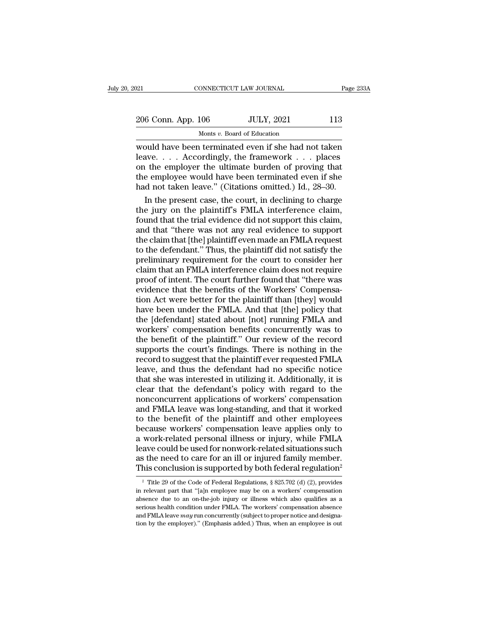| 206 Conn. App. 106 | <b>JULY, 2021</b>       | 113       |
|--------------------|-------------------------|-----------|
|                    |                         |           |
| 021                | CONNECTICUT LAW JOURNAL | Page 233A |

Page 233A<br>
206 Conn. App. 106 JULY, 2021 113<br>
Monts v. Board of Education<br>
would have been terminated even if she had not taken<br>
leave.... Accordingly, the framework ... places<br>
on the employer the ultimate burden of provi 206 Conn. App. 106 JULY, 2021 113<br>Monts v. Board of Education<br>Would have been terminated even if she had not taken<br>leave.... Accordingly, the framework ... places<br>on the employer the ultimate burden of proving that<br>the emp 206 Conn. App. 106 JULY, 2021 113<br>
Monts v. Board of Education<br>
would have been terminated even if she had not taken<br>
leave.... Accordingly, the framework ... places<br>
on the employer the ultimate burden of proving that<br>
t 206 Conn. App.  $106$  JULY,  $2021$  113<br>
Monts v. Board of Education<br>
would have been terminated even if she had not taken<br>
leave.... Accordingly, the framework ... places<br>
on the employer the ultimate burden of proving tha Monts *v*. Board of Education<br>
Would have been terminated even if she had not taken<br>
leave.... Accordingly, the framework ... places<br>
on the employer the ultimate burden of proving that<br>
the employee would have been termin In the present case, the court, in declining to charge of that the employer the ultimate burden of proving that is employee would have been terminated even if she d not taken leave." (Citations omitted.) Id., 28–30. In th would have been terminated even if she had not taken<br>leave. . . . Accordingly, the framework . . . places<br>on the employer the ultimate burden of proving that<br>the employee would have been terminated even if she<br>had not tak

feave. . . . Accordingly, the framework . . . places<br>on the employer the ultimate burden of proving that<br>the employee would have been terminated even if she<br>had not taken leave." (Citations omitted.) Id., 28–30.<br>In the pr on the employer the ultimate burden of proving that<br>the employee would have been terminated even if she<br>had not taken leave." (Citations omitted.) Id., 28–30.<br>In the present case, the court, in declining to charge<br>the jury the employee would have been terminated even if she<br>had not taken leave." (Citations omitted.) Id., 28–30.<br>In the present case, the court, in declining to charge<br>the jury on the plaintiff's FMLA interference claim,<br>found t had not taken leave." (Citations omitted.) Id., 28–30.<br>
In the present case, the court, in declining to charge<br>
the jury on the plaintiff's FMLA interference claim,<br>
found that the trial evidence did not support this claim In the present case, the court, in declining to charge<br>the jury on the plaintiff's FMLA interference claim,<br>found that the trial evidence did not support this claim,<br>and that "there was not any real evidence to support<br>the the jury on the plaintiff's FMLA interference claim,<br>found that the trial evidence did not support this claim,<br>and that "there was not any real evidence to support<br>the claim that [the] plaintiff even made an FMLA request<br>t found that the trial evidence did not support this claim,<br>and that "there was not any real evidence to support<br>the claim that [the] plaintiff even made an FMLA request<br>to the defendant." Thus, the plaintiff did not satisfy and that "there was not any real evidence to support<br>the claim that [the] plaintiff even made an FMLA request<br>to the defendant." Thus, the plaintiff did not satisfy the<br>preliminary requirement for the court to consider her the claim that [the] plaintiff even made an FMLA request<br>to the defendant." Thus, the plaintiff did not satisfy the<br>preliminary requirement for the court to consider her<br>claim that an FMLA interference claim does not requi to the defendant." Thus, the plaintiff did not satisfy the preliminary requirement for the court to consider her claim that an FMLA interference claim does not require proof of intent. The court further found that "there w preliminary requirement for the court to consider her<br>claim that an FMLA interference claim does not require<br>proof of intent. The court further found that "there was<br>evidence that the benefits of the Workers' Compensa-<br>tio claim that an FMLA interference claim does not require<br>proof of intent. The court further found that "there was<br>evidence that the benefits of the Workers' Compensa-<br>tion Act were better for the plaintiff than [they] would<br> proof of intent. The court further found that "there was<br>evidence that the benefits of the Workers' Compensa-<br>tion Act were better for the plaintiff than [they] would<br>have been under the FMLA. And that [the] policy that<br>th evidence that the benefits of the Workers' Compensation Act were better for the plaintiff than [they] would have been under the FMLA. And that [the] policy that the [defendant] stated about [not] running FMLA and workers' tion Act were better for the plaintiff than [they] would<br>have been under the FMLA. And that [the] policy that<br>the [defendant] stated about [not] running FMLA and<br>workers' compensation benefits concurrently was to<br>the benef have been under the FMLA. And that [the] policy that<br>the [defendant] stated about [not] running FMLA and<br>workers' compensation benefits concurrently was to<br>the benefit of the plaintiff." Our review of the record<br>supports t the [defendant] stated about [not] running FMLA and<br>workers' compensation benefits concurrently was to<br>the benefit of the plaintiff." Our review of the record<br>supports the court's findings. There is nothing in the<br>record t workers' compensation benefits concurrently was to<br>the benefit of the plaintiff." Our review of the record<br>supports the court's findings. There is nothing in the<br>record to suggest that the plaintiff ever requested FMLA<br>lea the benefit of the plaintiff." Our review of the record<br>supports the court's findings. There is nothing in the<br>record to suggest that the plaintiff ever requested FMLA<br>leave, and thus the defendant had no specific notice<br>t supports the court's findings. There is nothing in the<br>record to suggest that the plaintiff ever requested FMLA<br>leave, and thus the defendant had no specific notice<br>that she was interested in utilizing it. Additionally, it record to suggest that the plaintiff ever requested FMLA<br>leave, and thus the defendant had no specific notice<br>that she was interested in utilizing it. Additionally, it is<br>clear that the defendant's policy with regard to th leave, and thus the defendant had no specific notice<br>that she was interested in utilizing it. Additionally, it is<br>clear that the defendant's policy with regard to the<br>nonconcurrent applications of workers' compensation<br>and that she was interested in utilizing it. Additionally, it is<br>clear that the defendant's policy with regard to the<br>nonconcurrent applications of workers' compensation<br>and FMLA leave was long-standing, and that it worked<br>to clear that the defendant's policy with regard to the<br>nonconcurrent applications of workers' compensation<br>and FMLA leave was long-standing, and that it worked<br>to the benefit of the plaintiff and other employees<br>because work nonconcurrent applications of workers' compensation<br>and FMLA leave was long-standing, and that it worked<br>to the benefit of the plaintiff and other employees<br>because workers' compensation leave applies only to<br>a work-relate and FMLA leave was long-standing, and that it worked<br>to the benefit of the plaintiff and other employees<br>because workers' compensation leave applies only to<br>a work-related personal illness or injury, while FMLA<br>leave coul work-related personal illness or injury, while FMLA<br>ave could be used for nonwork-related situations such<br>s the need to care for an ill or injured family member.<br>his conclusion is supported by both federal regulation<sup>2</sup><br><sup></sup> leave could be used for nonwork-related situations such<br>as the need to care for an ill or injured family member.<br>This conclusion is supported by both federal regulation<sup>2</sup><br><sup>2</sup> Title 29 of the Code of Federal Regulations,

as the need to care for an ill or injured family member.<br>This conclusion is supported by both federal regulation<sup>2</sup><br><sup>2</sup> Title 29 of the Code of Federal Regulations, § 825.702 (d) (2), provides<br>in relevant part that "[a]n This conclusion is supported by both federal regulation<sup>2</sup><br><sup>2</sup> Title 29 of the Code of Federal Regulations, § 825.702 (d) (2), provides<br>in relevant part that "[a]n employee may be on a workers' compensation<br>absence due to <sup>2</sup> Title 29 of the Code of Federal Regulations, § 825.702 (d) (2), provides in relevant part that "[a]n employee may be on a workers' compensation absence due to an on-the-job injury or illness which also qualifies as a <sup>2</sup> Title 29 of the Code of Federal Regulations, § 825.702 (d) (2), provides in relevant part that "[a]n employee may be on a workers' compensation absence due to an on-the-job injury or illness which also qualifies as a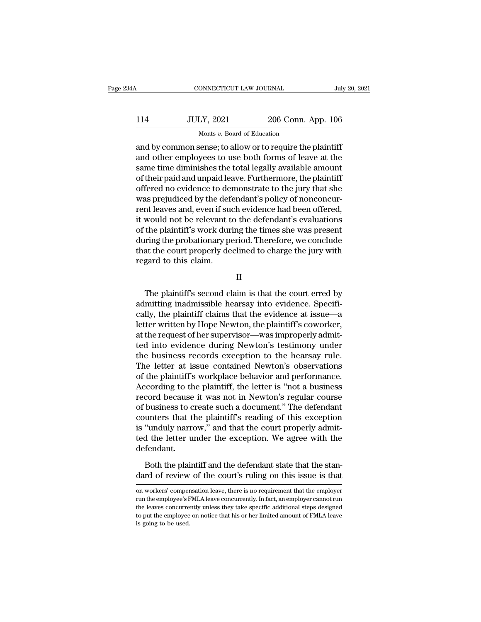# CONNECTICUT LAW JOURNAL July 20, 2021<br>114 JULY, 2021 206 Conn. App. 106<br>Monts v. Board of Education ONNECTICUT LAW JOURNAL<br>LY, 2021 206 Conn.<br>Monts *v.* Board of Education<br>sense: to allow or to require the

 $\begin{array}{l|l} \hline \text{COMRECTICUT LAW JOURNAL} & \text{July 20, 202} \\[2mm] \hline & \text{JULY, 2021} & \text{206 Conn. App. 106} \\[2mm] & \text{Monts $v$. Board of Education} \\[2mm] \hline & \text{And by common sense; to allow or to require the plaintiff} \\[2mm] \hline & \text{and other employees to use both forms of leave at the} \\[2mm] & \text{some time diminished the total locally available amount} \end{array}$ 114 JULY, 2021 206 Conn. App. 106<br>Monts v. Board of Education<br>and by common sense; to allow or to require the plaintiff<br>and other employees to use both forms of leave at the<br>same time diminishes the total legally available  $\frac{3.114}{1.14}$  JULY, 2021 206 Conn. App. 106<br>Monts v. Board of Education<br>and by common sense; to allow or to require the plaintiff<br>and other employees to use both forms of leave at the<br>same time diminishes the total leg  $\frac{JULY, 2021}{Monts v. Board of Education}$ <br>
Monts v. Board of Education<br>
and by common sense; to allow or to require the plaintiff<br>
and other employees to use both forms of leave at the<br>
same time diminishes the total legally available amo Monts v. Board of Education<br>
and by common sense; to allow or to require the plaintiff<br>
and other employees to use both forms of leave at the<br>
same time diminishes the total legally available amount<br>
of their paid and unp words *v*. Board of Education<br>and by common sense; to allow or to require the plaintiff<br>and other employees to use both forms of leave at the<br>same time diminishes the total legally available amount<br>of their paid and unpaid and by common sense; to allow or to require the plaintiff<br>and other employees to use both forms of leave at the<br>same time diminishes the total legally available amount<br>of their paid and unpaid leave. Furthermore, the plain and other employees to use both forms of leave at the<br>same time diminishes the total legally available amount<br>of their paid and unpaid leave. Furthermore, the plaintiff<br>offered no evidence to demonstrate to the jury that s same time diminishes the total legally available amount<br>of their paid and unpaid leave. Furthermore, the plaintiff<br>offered no evidence to demonstrate to the jury that she<br>was prejudiced by the defendant's policy of nonconc of their paid and unpaid leave. Furthermore, the plaintiff<br>offered no evidence to demonstrate to the jury that she<br>was prejudiced by the defendant's policy of nonconcur-<br>rent leaves and, even if such evidence had been offe offered no evidence to demonstrate to the jury that she<br>was prejudiced by the defendant's policy of nonconcur-<br>rent leaves and, even if such evidence had been offered,<br>it would not be relevant to the defendant's evaluation was prejudiced by the def<br>rent leaves and, even if sue<br>it would not be relevant to<br>f the plaintiff's work duri<br>during the probationary pe<br>that the court properly de<br>regard to this claim. the plaintiff's work during the times she was present<br>
iring the probationary period. Therefore, we conclude<br>
at the court properly declined to charge the jury with<br>
gard to this claim.<br>
II<br>
The plaintiff's second claim is

II

during the probationary period. Therefore, we conclude<br>that the court properly declined to charge the jury with<br>regard to this claim.<br>II<br>The plaintiff's second claim is that the court erred by<br>admitting inadmissible hearsa that the court properly declined to charge the jury with<br>regard to this claim.<br>II<br>The plaintiff's second claim is that the court erred by<br>admitting inadmissible hearsay into evidence. Specifi-<br>cally, the plaintiff claims t II<br>II<br>II<br>The plaintiff's second claim is that the court erred by<br>admitting inadmissible hearsay into evidence. Specifi-<br>cally, the plaintiff claims that the evidence at issue—a<br>letter written by Hope Newton, the plaintiff' II<br>
The plaintiff's second claim is that the court erred by<br>
admitting inadmissible hearsay into evidence. Specifi-<br>
cally, the plaintiff claims that the evidence at issue—a<br>
letter written by Hope Newton, the plaintiff's The plaintiff's second claim is that the court erred by<br>admitting inadmissible hearsay into evidence. Specifi-<br>cally, the plaintiff claims that the evidence at issue—a<br>letter written by Hope Newton, the plaintiff's coworke The plaintiff's second claim is that the court erred by<br>admitting inadmissible hearsay into evidence. Specifi-<br>cally, the plaintiff claims that the evidence at issue—a<br>letter written by Hope Newton, the plaintiff's coworke admitting inadmissible hearsay into evidence. Specifically, the plaintiff claims that the evidence at issue—a<br>letter written by Hope Newton, the plaintiff's coworker,<br>at the request of her supervisor—was improperly admit-<br> cally, the plaintiff claims that the evidence at issue—a<br>letter written by Hope Newton, the plaintiff's coworker,<br>at the request of her supervisor—was improperly admit-<br>ted into evidence during Newton's testimony under<br>the letter written by Hope Newton, the plaintiff's coworker,<br>at the request of her supervisor—was improperly admit-<br>ted into evidence during Newton's testimony under<br>the business records exception to the hearsay rule.<br>The lett at the request of her supervisor—was improperly admitted into evidence during Newton's testimony under<br>the business records exception to the hearsay rule.<br>The letter at issue contained Newton's observations<br>of the plaintif ted into evidence during Newton's testimony under<br>the business records exception to the hearsay rule.<br>The letter at issue contained Newton's observations<br>of the plaintiff's workplace behavior and performance.<br>According to the business records exception to the hearsay rule.<br>The letter at issue contained Newton's observations<br>of the plaintiff's workplace behavior and performance.<br>According to the plaintiff, the letter is "not a business<br>recor The letter at issue contained Newton's observations<br>of the plaintiff's workplace behavior and performance.<br>According to the plaintiff, the letter is "not a business<br>record because it was not in Newton's regular course<br>of b of the plaintiff's workplace behavior and performance.<br>According to the plaintiff, the letter is "not a business<br>record because it was not in Newton's regular course<br>of business to create such a document." The defendant<br>co defendant. business to create such a document." The defendant<br>unters that the plaintiff's reading of this exception<br>"unduly narrow," and that the court properly admit-<br>d the letter under the exception. We agree with the<br>fendant.<br>Both counters that the plaintiff's reading of this exception<br>is "unduly narrow," and that the court properly admit-<br>ted the letter under the exception. We agree with the<br>defendant.<br>Both the plaintiff and the defendant state tha

defendant.<br>Both the plaintiff and the defendant state that the standard of review of the court's ruling on this issue is that<br>on workers' compensation leave, there is no requirement that the employer<br>run the employee's FML Both the plaintiff and the defendant state that the standard of review of the court's ruling on this issue is that<br>on workers' compensation leave, there is no requirement that the employer<br>run the employee's FMLA leave con Both the plaintiff and the defendant state that the stan-<br>dard of review of the court's ruling on this issue is that<br>on workers' compensation leave, there is no requirement that the employer<br>run the employee's FMLA leave c dard of review of the court's ruling on this issue is that<br>on workers' compensation leave, there is no requirement that the employer<br>run the employee's FMLA leave concurrently. In fact, an employer cannot run<br>the leaves co on workers' compensation leave, there is no requirement that the employer run the employee's FMLA leave concurrently. In fact, an employer cannot run the leaves concurrently unless they take specific additional steps desig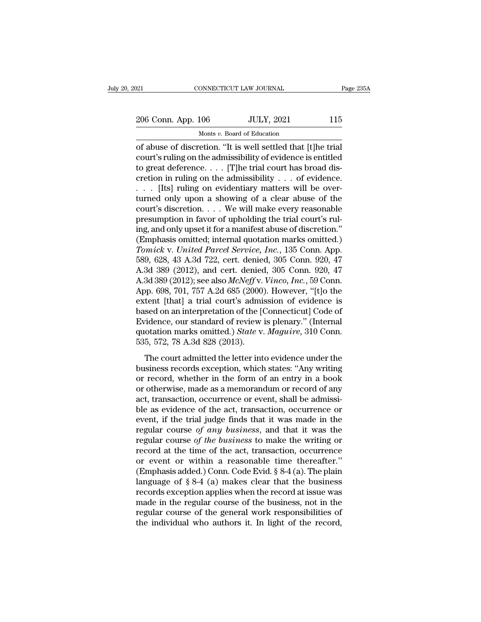# 206 Conn. App. 106 JULY, 2021 115<br>
206 Conn. App. 106 JULY, 2021 115 MONNECTICUT LAW JOURNAL<br>106 JULY, 2021<br>Monts *v.* Board of Education<br>retion "It is well settled that It

Fage 23<br>
206 Conn. App. 106 JULY, 2021 115<br>
Monts v. Board of Education<br>
of abuse of discretion. "It is well settled that [t]he trial<br>
court's ruling on the admissibility of evidence is entitled<br>
to speak defension. [T]he 206 Conn. App. 106 JULY, 2021 115<br>Monts v. Board of Education<br>of abuse of discretion. "It is well settled that [t]he trial<br>court's ruling on the admissibility of evidence is entitled<br>to great deference.... [T]he trial cour 206 Conn. App. 106 JULY, 2021 115<br>
Monts v. Board of Education<br>
of abuse of discretion. "It is well settled that [t]he trial<br>
court's ruling on the admissibility of evidence is entitled<br>
to great deference. . . . [T]he tr 206 Conn. App. 106 JULY, 2021 115<br>
Monts v. Board of Education<br>
of abuse of discretion. "It is well settled that [t]he trial<br>
court's ruling on the admissibility of evidence is entitled<br>
to great deference.... [T]he trial Monts *v*. Board of Education<br>
of abuse of discretion. "It is well settled that [t]he trial<br>
court's ruling on the admissibility of evidence is entitled<br>
to great deference. . . . [T]he trial court has broad dis-<br>
cretion Monts v. Board of Education<br>
of abuse of discretion. "It is well settled that [t]he trial<br>
court's ruling on the admissibility of evidence is entitled<br>
to great deference.... [T]he trial court has broad dis-<br>
cretion in r of abuse of discretion. "It is well settled that [t]he trial<br>court's ruling on the admissibility of evidence is entitled<br>to great deference. . . . [T]he trial court has broad dis-<br>cretion in ruling on the admissibility . court's ruling on the admissibility of evidence is entitled<br>to great deference. . . . [T]he trial court has broad dis-<br>cretion in ruling on the admissibility . . . of evidence.<br>. . . [Its] ruling on evidentiary matters wi to great deference. . . . [T]he trial court has broad discretion in ruling on the admissibility . . . of evidence.<br>. . . . [Its] ruling on evidentiary matters will be over-<br>turned only upon a showing of a clear abuse of t cretion in ruling on the admissibility . . . of evidence.<br>
. . . [Its] ruling on evidentiary matters will be over-<br>
turned only upon a showing of a clear abuse of the<br>
court's discretion. . . . We will make every reasonab *Tomick 1 Tomic in the United Service, Inc.*<br> *Tomic in the court's discretion.* . . . We will make every reasonable presumption in favor of upholding the trial court's ruling, and only upset it for a manifest abuse of d turned only upon a showing of a clear abuse of the<br>court's discretion. . . . We will make every reasonable<br>presumption in favor of upholding the trial court's rul-<br>ing, and only upset it for a manifest abuse of discretion court's discretion. . . . We will make every reasonable<br>presumption in favor of upholding the trial court's rul-<br>ing, and only upset it for a manifest abuse of discretion."<br>(Emphasis omitted, internal quotation marks omit presumption in favor of upholding the trial court's rul-<br>ing, and only upset it for a manifest abuse of discretion."<br>(Emphasis omitted; internal quotation marks omitted.)<br>*Tomick v. United Parcel Service, Inc.*, 135 Conn. ing, and only upset it for a manifest abuse of discretion."<br>
(Emphasis omitted; internal quotation marks omitted.)<br> *Tomick v. United Parcel Service, Inc.*, 135 Conn. App.<br>
589, 628, 43 A.3d 722, cert. denied, 305 Conn. 92 (Emphasis omitted; internal quotation marks omitted.)<br> *Tomick v. United Parcel Service, Inc.*, 135 Conn. App.<br>
589, 628, 43 A.3d 722, cert. denied, 305 Conn. 920, 47<br>
A.3d 389 (2012); see also  $McNeff$  v. *Vinco*, *Inc.*, 5 Tomick v. United Parcel Service, Inc., 135 Conn. App.<br>589, 628, 43 A.3d 722, cert. denied, 305 Conn. 920, 47<br>A.3d 389 (2012), and cert. denied, 305 Conn. 920, 47<br>A.3d 389 (2012); see also McNeff v. Vinco, Inc., 59 Conn.<br>Ap 589, 628, 43 A.3d 722, cert. denied, 305 Conn. 920, 47<br>A.3d 389 (2012), and cert. denied, 305 Conn. 920, 47<br>A.3d 389 (2012); see also  $McNeff$  v. Vinco, Inc., 59 Conn.<br>App. 698, 701, 757 A.2d 685 (2000). However, "[t]o the<br>e A.3d 389 (2012), and cert. denied, 305 Conn. 920, 47<br>A.3d 389 (2012); see also *McNeff* v. *Vinco*, *Inc.*, 59 Conn.<br>App. 698, 701, 757 A.2d 685 (2000). However, "[t]o the<br>extent [that] a trial court's admission of evidenc A.3d 389 (2012); see also  $McNeff$  v.<br>App. 698, 701, 757 A.2d 685 (2000)<br>extent [that] a trial court's admissed on an interpretation of the [(<br>Evidence, our standard of review<br>quotation marks omitted.) *State* v.<br>535, 572, 7 The court admitted the letter into evidence under the same section, the court's admission of evidence is sed on an interpretation of the [Connecticut] Code of vidence, our standard of review is plenary." (Internal otation based on an interpretation of the [Connecticut] Code of<br>Evidence, our standard of review is plenary." (Internal<br>quotation marks omitted.) State v. Maguire, 310 Conn.<br>535, 572, 78 A.3d 828 (2013).<br>The court admitted the le

Evidence, our standard of review is plenary." (Internal<br>quotation marks omitted.) State v. Maguire, 310 Conn.<br>535, 572, 78 A.3d 828 (2013).<br>The court admitted the letter into evidence under the<br>business records exception, Evidence, our standard of Fevicin is pictury. (International dividends and dividends and providence under the business records exception, which states: "Any writing or record, whether in the form of an entry in a book or o factuation makes of the act, between the solution,  $535, 572, 78$  A.3d 828 (2013).<br>The court admitted the letter into evidence under the business records exception, which states: "Any writing or record, whether in the for The court admitted the letter into evidence under the business records exception, which states: "Any writing or record, whether in the form of an entry in a book or otherwise, made as a memorandum or record of any act, tr The court admitted the letter into evidence under the<br>business records exception, which states: "Any writing<br>or record, whether in the form of an entry in a book<br>or otherwise, made as a memorandum or record of any<br>act, tra business records exception, which states: "Any writing<br>or record, whether in the form of an entry in a book<br>or otherwise, made as a memorandum or record of any<br>act, transaction, occurrence or event, shall be admissi-<br>ble a or record, whether in the form of an entry in a book<br>or otherwise, made as a memorandum or record of any<br>act, transaction, occurrence or event, shall be admissi-<br>ble as evidence of the act, transaction, occurrence or<br>event or otherwise, made as a memorandum or record of any<br>act, transaction, occurrence or event, shall be admissi-<br>ble as evidence of the act, transaction, occurrence or<br>event, if the trial judge finds that it was made in the<br>r act, transaction, occurrence or event, shall be admissible as evidence of the act, transaction, occurrence or event, if the trial judge finds that it was made in the regular course of any business, and that it was the reg ble as evidence of the act, transaction, occurrence or<br>event, if the trial judge finds that it was made in the<br>regular course of any business, and that it was the<br>regular course of the business to make the writing or<br>reco event, if the trial judge finds that it was made in the<br>regular course of any business, and that it was the<br>regular course of the business to make the writing or<br>record at the time of the act, transaction, occurrence<br>or e regular course of any business, and that it was the<br>regular course of the business to make the writing or<br>record at the time of the act, transaction, occurrence<br>or event or within a reasonable time thereafter."<br>(Emphasis regular course of the business to make the writing or<br>record at the time of the act, transaction, occurrence<br>or event or within a reasonable time thereafter."<br>(Emphasis added.) Conn. Code Evid. § 8-4 (a). The plain<br>langua record at the time of the act, transaction, occurrence<br>or event or within a reasonable time thereafter."<br>(Emphasis added.) Conn. Code Evid. § 8-4 (a). The plain<br>language of § 8-4 (a) makes clear that the business<br>records e or event or within a reasonable time thereafter."<br>(Emphasis added.) Conn. Code Evid.  $\S 8-4$  (a). The plain<br>language of  $\S 8-4$  (a) makes clear that the business<br>records exception applies when the record at issue was<br>made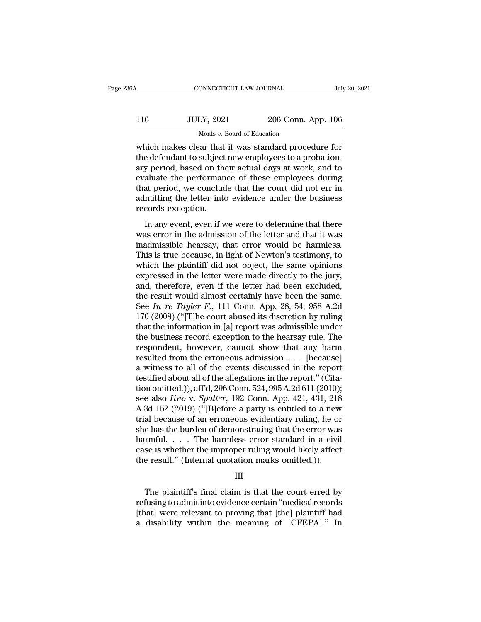| 36A | CONNECTICUT LAW JOURNAL                                                                                                                                                  |                    | July 20, 2021 |
|-----|--------------------------------------------------------------------------------------------------------------------------------------------------------------------------|--------------------|---------------|
| 116 | <b>JULY, 2021</b>                                                                                                                                                        | 206 Conn. App. 106 |               |
|     | Monts v. Board of Education                                                                                                                                              |                    |               |
|     | which makes clear that it was standard procedure for<br>the defendant to subject new employees to a probation-<br>ary period, based on their actual days at work, and to |                    |               |

116 JULY, 2021 206 Conn. App. 106<br>Monts v. Board of Education<br>which makes clear that it was standard procedure for<br>the defendant to subject new employees to a probation-<br>ary period, based on their actual days at work, and  $\frac{JULY, 2021}{Monts v. Board of Education}$ <br>
Monts v. Board of Education<br>
which makes clear that it was standard procedure for<br>
the defendant to subject new employees to a probation-<br>
ary period, based on their actual days at work, and to<br> 116 JULY, 2021 206 Conn. App. 106<br>Monts  $v$ . Board of Education<br>which makes clear that it was standard procedure for<br>the defendant to subject new employees to a probation-<br>ary period, based on their actual days at work, a Monts v. Board of Education<br>
which makes clear that it was standard procedure for<br>
the defendant to subject new employees to a probation-<br>
ary period, based on their actual days at work, and to<br>
evaluate the performance o Monts  $v$ . Board of Education<br>which makes clear that it was standard procedure for<br>the defendant to subject new employees to a probation-<br>ary period, based on their actual days at work, and to<br>evaluate the performance of which makes clear that<br>the defendant to subject<br>ary period, based on the<br>evaluate the performan<br>that period, we conclud<br>admitting the letter into<br>records exception.<br>In any event, even if w In any event, even if we were to determine that it was<br>aluate the performance of these employees during<br>at period, we conclude that the court did not err in<br>mitting the letter into evidence under the business<br>cords excepti ary period, based on their actual days at work, and to<br>evaluate the performance of these employees during<br>that period, we conclude that the court did not err in<br>admitting the letter into evidence under the business<br>records

Evaluate the performance of these employees during<br>that period, we conclude that the court did not err in<br>admitting the letter into evidence under the business<br>records exception.<br>In any event, even if we were to determine admitting the letter into evidence under the business<br>records exception.<br>In any event, even if we were to determine that there<br>was error in the admission of the letter and that it was<br>inadmissible hearsay, that error would records exception.<br>
In any event, even if we were to determine that there<br>
was error in the admission of the letter and that it was<br>
inadmissible hearsay, that error would be harmless.<br>
This is true because, in light of Ne In any event, even if we were to determine that there<br>was error in the admission of the letter and that it was<br>inadmissible hearsay, that error would be harmless.<br>This is true because, in light of Newton's testimony, to<br>wh In any event, even if we were to determine that there<br>was error in the admission of the letter and that it was<br>inadmissible hearsay, that error would be harmless.<br>This is true because, in light of Newton's testimony, to<br>w was error in the admission of the letter and that it was<br>inadmissible hearsay, that error would be harmless.<br>This is true because, in light of Newton's testimony, to<br>which the plaintiff did not object, the same opinions<br>e inadmissible hearsay, that error would be harmless.<br>This is true because, in light of Newton's testimony, to<br>which the plaintiff did not object, the same opinions<br>expressed in the letter were made directly to the jury,<br>and This is true because, in light of Newton's testimony, to<br>which the plaintiff did not object, the same opinions<br>expressed in the letter were made directly to the jury,<br>and, therefore, even if the letter had been excluded,<br> which the plaintiff did not object, the same opinions<br>expressed in the letter were made directly to the jury,<br>and, therefore, even if the letter had been excluded,<br>the result would almost certainly have been the same.<br>See expressed in the letter were made directly to the jury,<br>and, therefore, even if the letter had been excluded,<br>the result would almost certainly have been the same.<br>See In re Tayler F., 111 Conn. App. 28, 54, 958 A.2d<br>170 and, therefore, even if the letter had been excluded,<br>the result would almost certainly have been the same.<br>See In re Tayler F., 111 Conn. App. 28, 54, 958 A.2d<br>170 (2008) ("[T]he court abused its discretion by ruling<br>tha the result would almost certainly have been the same.<br>See In re Tayler F., 111 Conn. App. 28, 54, 958 A.2d<br>170 (2008) ("[T]he court abused its discretion by ruling<br>that the information in [a] report was admissible under<br>t See *In re Tayler F.*, 111 Conn. App. 28, 54, 958 A.2d<br>170 (2008) ("[T]he court abused its discretion by ruling<br>that the information in [a] report was admissible under<br>the business record exception to the hearsay rule. Th 170 (2008) ("[T]he court abused its discretion by ruling<br>that the information in [a] report was admissible under<br>the business record exception to the hearsay rule. The<br>respondent, however, cannot show that any harm<br>result that the information in [a] report was admissible under<br>the business record exception to the hearsay rule. The<br>respondent, however, cannot show that any harm<br>resulted from the erroneous admission . . . [because]<br>a witness the business record exception to the hearsay rule. The<br>respondent, however, cannot show that any harm<br>resulted from the erroneous admission . . . [because]<br>a witness to all of the events discussed in the report<br>testified a respondent, however, cannot show that any harm<br>resulted from the erroneous admission . . . [because]<br>a witness to all of the events discussed in the report."<br>(Cita-<br>tion omitted.)), aff'd, 296 Conn. 524, 995 A.2d 611 (201 resulted from the erroneous admission . . . [because]<br>a witness to all of the events discussed in the report<br>testified about all of the allegations in the report." (Cita-<br>tion omitted.)), aff'd, 296 Conn. 524, 995 A.2d 61 a witness to all of the events discussed in the report<br>testified about all of the allegations in the report." (Cita-<br>tion omitted.)), aff'd, 296 Conn. 524, 995 A.2d 611 (2010);<br>see also *Iino* v. *Spalter*, 192 Conn. App. testified about all of the allegations in the report." (Citation omitted.)), aff'd, 296 Conn. 524, 995 A.2d 611 (2010);<br>see also *Iino* v. *Spalter*, 192 Conn. App. 421, 431, 218<br>A.3d 152 (2019) ("[B]efore a party is enti tion omitted.)), aff'd, 296 Conn. 524, 995 A.2d 611 (2010);<br>see also *Iino* v. *Spalter*, 192 Conn. App. 421, 431, 218<br>A.3d 152 (2019) ("[B]efore a party is entitled to a new<br>trial because of an erroneous evidentiary ruli see also *Iino* v. *Spalter*, 192 Conn. App. 421, 431, 218<br>A.3d 152 (2019) ("[B]efore a party is entitled to a new<br>trial because of an erroneous evidentiary ruling, he or<br>she has the burden of demonstrating that the error e has the burden of demonstrating that the error was<br>
rmful. . . . The harmless error standard in a civil<br>
se is whether the improper ruling would likely affect<br>
e result." (Internal quotation marks omitted.)).<br>
III<br>
The p

### III

harmful. . . . . The harmless error standard in a civil<br>case is whether the improper ruling would likely affect<br>the result." (Internal quotation marks omitted.)).<br> $III$ <br>The plaintiff's final claim is that the court erred by case is whether the improper ruling would likely affect<br>the result." (Internal quotation marks omitted.)).<br>III<br>The plaintiff's final claim is that the court erred by<br>refusing to admit into evidence certain "medical records the result." (Internal quotation marks omitted.)).<br>III<br>The plaintiff's final claim is that the court erred by<br>refusing to admit into evidence certain "medical records<br>[that] were relevant to proving that [the] plaintiff ha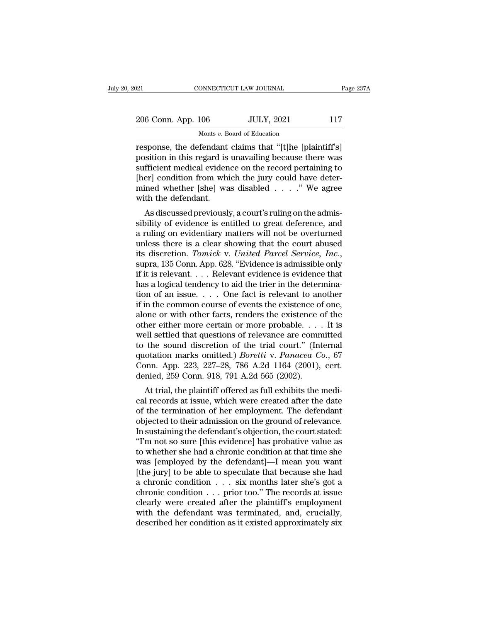# 21 CONNECTICUT LAW JOURNAL Page 237A<br>
206 Conn. App. 106 JULY, 2021 117<br>
Monts v. Board of Education MONNECTICUT LAW JOURNAL<br>106 JULY, 2021<br>Monts *v.* Board of Education<br>fendant claims that "[tlhe [n]

response, the defendant claims that "[t]he [plaintiff's]<br>position in this regard is unavailing because there was<br>expression in this regard is unavailing because there was<br>experient modical evidence on the record pertaining 206 Conn. App. 106 JULY, 2021 117<br>
Monts v. Board of Education<br>
response, the defendant claims that "[t]he [plaintiff's]<br>
position in this regard is unavailing because there was<br>
sufficient medical evidence on the record p 206 Conn. App. 106 JULY, 2021 117<br>
Monts v. Board of Education<br>
response, the defendant claims that "[t]he [plaintiff's]<br>
position in this regard is unavailing because there was<br>
sufficient medical evidence on the record 206 Conn. App. 106 JULY, 2021 117<br>
Monts v. Board of Education<br>
response, the defendant claims that "[t]he [plaintiff"s]<br>
position in this regard is unavailing because there was<br>
sufficient medical evidence on the record Monts v. Board of Education<br>
response, the defendant claims that "[t]he [plaintiff's]<br>
position in this regard is unavailing because there was<br>
sufficient medical evidence on the record pertaining to<br>
[her] condition from  $\begin{array}{c} \text{Most } v. \text{ B} \\ \text{response, the defendant} \\ \text{position in this regard is sufficient medical evidence} \\ \text{[her] condition from which} \\ \text{mined whether [she] was with the defendant. \\ \text{As discussed previously} \end{array}$ sponse, the defendant claims that [t]he [plaintin s]<br>sition in this regard is unavailing because there was<br>fficient medical evidence on the record pertaining to<br>er] condition from which the jury could have deter-<br>ined whet position in this regard is unavailing because there was<br>sufficient medical evidence on the record pertaining to<br>[her] condition from which the jury could have deter-<br>mined whether [she] was disabled . . . . " We agree<br>with

sumclear meads evidence on the record pertaining to<br>
[her] condition from which the jury could have deter-<br>
mined whether [she] was disabled  $\ldots$  ." We agree<br>
with the defendant.<br>
As discussed previously, a court's rulin [Her] Condition Hoff which the jury could have deter-<br>mined whether [she] was disabled  $\ldots$ ." We agree<br>with the defendant.<br>As discussed previously, a court's ruling on the admis-<br>sibility of evidence is entitled to great its discussed previously, a court's ruling on the admissibility of evidence is entitled to great deference, and a ruling on evidentiary matters will not be overturned unless there is a clear showing that the court abused i As discussed previously, a court's ruling on the admissibility of evidence is entitled to great deference, and<br>a ruling on evidentiary matters will not be overturned<br>unless there is a clear showing that the court abused<br>i sibility of evidence is entitled to great deference, and<br>a ruling on evidentiary matters will not be overturned<br>unless there is a clear showing that the court abused<br>its discretion. Tomick v. United Parcel Service, Inc.,<br> a ruling on evidentiary matters will not be overturned<br>unless there is a clear showing that the court abused<br>its discretion. Tomick v. United Parcel Service, Inc.,<br>supra, 135 Conn. App. 628. "Evidence is admissible only<br>i unless there is a clear showing that the court abused<br>its discretion. *Tomick* v. *United Parcel Service*, *Inc.*,<br>supra, 135 Conn. App. 628. "Evidence is admissible only<br>if it is relevant.... Relevant evidence is evidenc its discretion. *Tomick* v. *United Parcel Service*, *Inc.*, supra, 135 Conn. App. 628. "Evidence is admissible only if it is relevant.... Relevant evidence is evidence that has a logical tendency to aid the trier in the supra, 135 Conn. App. 628. "Evidence is admissible only<br>if it is relevant. . . . Relevant evidence is evidence that<br>has a logical tendency to aid the trier in the determina-<br>tion of an issue. . . . One fact is relevant to if it is relevant.... Relevant evidence is evidence that<br>has a logical tendency to aid the trier in the determina-<br>tion of an issue.... One fact is relevant to another<br>if in the common course of events the existence of on has a logical tendency to aid the trier in the determination of an issue.... One fact is relevant to another<br>if in the common course of events the existence of one,<br>alone or with other facts, renders the existence of the<br> tion of an issue. . . . One fact is relevant to another<br>if in the common course of events the existence of one,<br>alone or with other facts, renders the existence of the<br>other either more certain or more probable. . . . It if in the common course of events the existence of one,<br>alone or with other facts, renders the existence of the<br>other either more certain or more probable.... It is<br>well settled that questions of relevance are committed<br>t alone or with other facts, renders the existence of<br>other either more certain or more probable...<br>well settled that questions of relevance are comm<br>to the sound discretion of the trial court." (Int<br>quotation marks omitted The entire intertual of intertion of the probable.  $\ldots$  it is<br>all settled that questions of relevance are committed<br>the sound discretion of the trial court." (Internal<br>otation marks omitted.) *Boretti* v. *Panacea Co.*, wen settled that questions of relevance are committed<br>to the sound discretion of the trial court." (Internal<br>quotation marks omitted.) *Boretti* v. *Panacea Co.*, 67<br>Conn. App. 223, 227–28, 786 A.2d 1164 (2001), cert.<br>deni

to the sound uscretion of the trial court. (Internation<br>quotation marks omitted.) *Boretti* v. *Panacea Co.*, 67<br>Conn. App. 223, 227–28, 786 A.2d 1164 (2001), cert.<br>denied, 259 Conn. 918, 791 A.2d 565 (2002).<br>At trial, the quotation marks omitted.) *Borettt v. 1 andced Co.*, or<br>Conn. App. 223, 227–28, 786 A.2d 1164 (2001), cert.<br>denied, 259 Conn. 918, 791 A.2d 565 (2002).<br>At trial, the plaintiff offered as full exhibits the medi-<br>cal records Confi. App. 225, 227–26, 760 A.2d 1104 (2001), Cert.<br>
denied, 259 Conn. 918, 791 A.2d 565 (2002).<br>
At trial, the plaintiff offered as full exhibits the medical records at issue, which were created after the date<br>
of the t defined, 259 Collit. 918, 791 A.2d 309 (2002).<br>
At trial, the plaintiff offered as full exhibits the medical records at issue, which were created after the date<br>
of the termination of her employment. The defendant<br>
objecte At trial, the plaintiff offered as full exhibits the medical records at issue, which were created after the date<br>of the termination of her employment. The defendant<br>objected to their admission on the ground of relevance.<br>I cal records at issue, which were created after the date<br>of the termination of her employment. The defendant<br>objected to their admission on the ground of relevance.<br>In sustaining the defendant's objection, the court stated: of the termination of her employment. The defendant<br>objected to their admission on the ground of relevance.<br>In sustaining the defendant's objection, the court stated:<br>"I'm not so sure [this evidence] has probative value as objected to their admission on the ground of relevance.<br>In sustaining the defendant's objection, the court stated:<br>"I'm not so sure [this evidence] has probative value as<br>to whether she had a chronic condition at that time In sustaining the defendant's objection, the court stated:<br>"I'm not so sure [this evidence] has probative value as<br>to whether she had a chronic condition at that time she<br>was [employed by the defendant]—I mean you want<br>[t "I'm not so sure [this evidence] has probative value as<br>to whether she had a chronic condition at that time she<br>was [employed by the defendant]—I mean you want<br>[the jury] to be able to speculate that because she had<br>a chr to whether she had a chronic condition at that time she<br>was [employed by the defendant]—I mean you want<br>[the jury] to be able to speculate that because she had<br>a chronic condition . . . six months later she's got a<br>chronic was [employed by the defendant]—I mean you want<br>[the jury] to be able to speculate that because she had<br>a chronic condition  $\dots$  six months later she's got a<br>chronic condition  $\dots$  prior too." The records at issue<br>clearly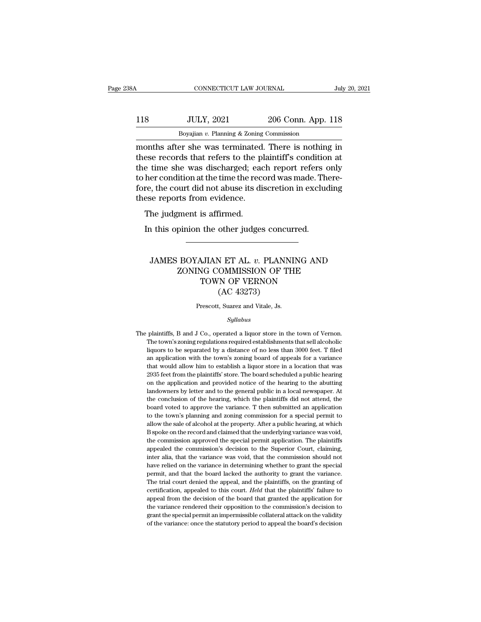### 118 CONNECTICUT LAW JOURNAL July 20, 2021<br>118 JULY, 2021 206 Conn. App. 118<br>Boyajian v. Planning & Zoning Commission CONNECTICUT LAW JOURNAL<br>JULY, 2021 206 Conn. App.<br>Boyajian *v.* Planning & Zoning Commission<br>Pr she was terminated There is nothing CONNECTICUT LAW JOURNAL July 20, 2021<br>
118 JULY, 2021 206 Conn. App. 118<br>
Boyajian v. Planning & Zoning Commission<br>
months after she was terminated. There is nothing in<br>
these records that refers to the plaintiff's conditi

118 JULY, 2021 206 Conn. App. 118<br>Boyajian v. Planning & Zoning Commission<br>months after she was terminated. There is nothing in<br>these records that refers to the plaintiff's condition at<br>the time she was discharged; each re 118 JULY, 2021 206 Conn. App. 118<br>Boyajian v. Planning & Zoning Commission<br>months after she was terminated. There is nothing in<br>these records that refers to the plaintiff's condition at<br>the time she was discharged; each r 118 JULY, 2021 206 Conn. App. 118<br>Boyajian v. Planning & Zoning Commission<br>months after she was terminated. There is nothing in<br>these records that refers to the plaintiff's condition at<br>the time she was discharged; each re Boyajian v. Planning & Zoning Commission<br>
months after she was terminated. There is nothing in<br>
these records that refers to the plaintiff's condition at<br>
the time she was discharged; each report refers only<br>
to her condi  $\frac{\text{Box} \times \text{Planning} \times \text{Zonmg}}{\text{months after she was terminated.}}$ <br>these records that refers to the pl<br>the time she was discharged; eac<br>to her condition at the time the recorder.<br>fore, the court did not abuse its discharge reports from evidence.<br>The ju The vast criminated<br>ese records that refers to the p<br>e time she was discharged; eacher condition at the time the rec<br>re, the court did not abuse its di<br>ese reports from evidence.<br>The judgment is affirmed.<br>In this opinion t In the she was discharged; each report refers of the condition at the time the record was made. The ree, the court did not abuse its discretion in exclude reports from evidence.<br>The judgment is affirmed.<br>In this opinion th

### Se reports from evidence.<br>
he judgment is affirmed.<br>
htis opinion the other judges concurred.<br>
<br>
JAMES BOYAJIAN ET AL. *v.* PLANNING AND<br>
ZONING COMMISSION OF THE<br>
TOWN OF VERNON Framerical Summary<br>
Framerical Summary Communist<br>
CONING COMMISSION OF THE<br>
TOWN OF VERNON<br>
COMMISSION OF THE<br>
COMMISSION OF THE<br>
COMMISSION OF THE The other judges concurred.<br>
THE SCHOTT COMMISSION OF THE TOWN OF VERNON<br>
TOWN OF VERNON (AC 43273) other judges concu<br>
V ET AL. v. PLANN<br>
OMMISSION OF T<br>
TN OF VERNON<br>
(AC 43273)<br>
t, Suarez and Vitale, Js. JAMES BOYAJIAN ET AL.  $v$ . PLANNING AND<br>
ZONING COMMISSION OF THE<br>
TOWN OF VERNON<br>
(AC 43273)<br>
Prescott, Suarez and Vitale, Js.

### *Syllabus*

The plaintiffs, B and J Co., operated a liquor store in the town of Vernon.<br>The town's zoning regulations required establishments that sell alcoholic Prescott, Suarez and Vitale, Js.<br>Syllabus<br>plaintiffs, B and J Co., operated a liquor store in the town of Vernon.<br>The town's zoning regulations required establishments that sell alcoholic<br>liquors to be separated by a dista Prescott, Suarez and Vitale, Js.<br>
Syllabus<br>
plaintiffs, B and J Co., operated a liquor store in the town of Vernon.<br>
The town's zoning regulations required establishments that sell alcoholic<br>
liquors to be separated by a d  $Syllabus$ <br>plaintiffs, B and J Co., operated a liquor store in the town of Vernon.<br>The town's zoning regulations required establishments that sell alcoholic<br>liquors to be separated by a distance of no less than 3000 feet. T fi sytabus<br>plaintiffs, B and J Co., operated a liquor store in the town of Vernon.<br>The town's zoning regulations required establishments that sell alcoholic<br>liquors to be separated by a distance of no less than 3000 feet. T f plaintiffs, B and J Co., operated a liquor store in the town of Vernon.<br>The town's zoning regulations required establishments that sell alcoholic<br>liquors to be separated by a distance of no less than 3000 feet. T filed<br>an The town's zoning regulations required establishments that sell alcoholic liquors to be separated by a distance of no less than 3000 feet. T filed an application with the town's zoning board of appeals for a variance that liquors to be separated by a distance of no less than 3000 feet. T filed<br>an application with the town's zoning board of appeals for a variance<br>that would allow him to establish a liquor store in a location that was<br>2935 fe an application with the town's zoning board of appeals for a variance that would allow him to establish a liquor store in a location that was 2935 feet from the plaintiffs' store. The board scheduled a public hearing on th that would allow him to establish a liquor store in a location that was 2935 feet from the plaintiffs' store. The board scheduled a public hearing on the application and provided notice of the hearing to the abutting lando 2935 feet from the plaintiffs' store. The board scheduled a public hearing on the application and provided notice of the hearing to the abutting landowners by letter and to the general public in a local newspaper. At the c on the application and provided notice of the hearing to the abutting landowners by letter and to the general public in a local newspaper. At the conclusion of the hearing, which the plaintiffs did not attend, the board vo landowners by letter and to the general public in a local newspaper. At the conclusion of the hearing, which the plaintiffs did not attend, the board voted to approve the variance. T then submitted an application to the to the conclusion of the hearing, which the plaintiffs did not attend, the board voted to approve the variance. T then submitted an application to the town's planning and zoning commission for a special permit to allow the sa board voted to approve the variance. T then submitted an application to the town's planning and zoning commission for a special permit to allow the sale of alcohol at the property. After a public hearing, at which B spoke to the town's planning and zoning commission for a special permit to allow the sale of alcohol at the property. After a public hearing, at which B spoke on the record and claimed that the underlying variance was void, the allow the sale of alcohol at the property. After a public hearing, at which B spoke on the record and claimed that the underlying variance was void, the commission approved the special permit application. The plaintiffs ap B spoke on the record and claimed that the underlying variance was void, the commission approved the special permit application. The plaintiffs appealed the commission's decision to the Superior Court, claiming, inter alia the commission approved the special permit application. The plaintiffs appealed the commission's decision to the Superior Court, claiming, inter alia, that the variance was void, that the commission should not have relied appealed the commission's decision to the Superior Court, claiming,<br>inter alia, that the variance was void, that the commission should not<br>have relied on the variance in determining whether to grant the special<br>permit, and inter alia, that the variance was void, that the commission should not have relied on the variance in determining whether to grant the special permit, and that the board lacked the authority to grant the variance. The tria have relied on the variance in determining whether to grant the special permit, and that the board lacked the authority to grant the variance. The trial court denied the appeal, and the plaintiffs, on the granting of certi permit, and that the board lacked the authority to grant the variance.<br>The trial court denied the appeal, and the plaintiffs, on the granting of<br>certification, appealed to this court. *Held* that the plaintiffs' failure to permit, and that the board lacked the authority to grant the variance. The trial court denied the appeal, and the plaintiffs, on the granting of certification, appealed to this court. *Held* that the plaintiffs' failure to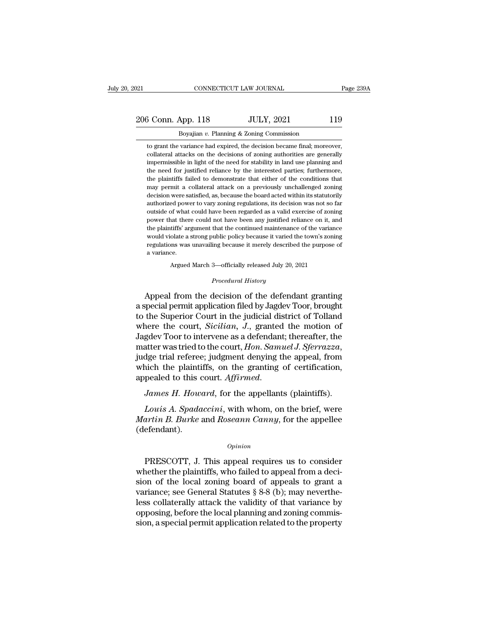# 206 Conn. App. 118 JULY, 2021 119<br>
206 Conn. App. 118 JULY, 2021 119<br>
206 Boyajian v. Planning & Zoning Commission EXECUTE DEAL THE REV. THE CONNECTICUT LAW JOURNAL TO PROPENSION TO BOYAJIAN *v.* Planning & Zoning Commission<br>Boyajian *v.* Planning & Zoning Commission<br>to grant the variance had expired, the decision became final; moreove

3 Conn. App. 118 JULY, 2021 119<br>Boyajian v. Planning & Zoning Commission<br>to grant the variance had expired, the decision became final; moreover,<br>collateral attacks on the decisions of zoning authorities are generally collateral attacks on the decision of zoning commission<br>to grant the variance had expired, the decision became final; moreover,<br>collateral attacks on the decisions of zoning authorities are generally<br>impermissible in ligh  $\frac{3 \text{ Conn. App. 118}}{3 \text{ Boyajian } v.$  Planning & Zoning Commission<br>to grant the variance had expired, the decision became final; moreover,<br>collateral attacks on the decisions of zoning authorities are generally<br>impermissible in l Boyajian v. Planning & Zoning Commission<br>to grant the variance had expired, the decision became final; moreover,<br>collateral attacks on the decisions of zoning authorities are generally<br>impermissible in light of the need fo Boyajian v. Planning & Zoning Commission<br>to grant the variance had expired, the decision became final; moreover,<br>collateral attacks on the decisions of zoning authorities are generally<br>impermissible in light of the need fo to grant the variance had expired, the decision became final; moreover, collateral attacks on the decisions of zoning authorities are generally impermissible in light of the need for stability in land use planning and the collateral attacks on the decisions of zoning authorities are generally impermissible in light of the need for stability in land use planning and the need for justified reliance by the interested parties; furthermore, the impermissible in light of the need for stability in land use planning and<br>the need for justified reliance by the interested parties; furthermore,<br>the plaintiffs failed to demonstrate that either of the conditions that<br>may me prediction is the mediator of the interested parties; furthermore, the plaintiffs failed to demonstrate that either of the conditions that may permit a collateral attack on a previously unchallenged zoning decision were the plaintiffs failed to demonstrate that either of the conditions that may permit a collateral attack on a previously unchallenged zoning decision were satisfied, as, because the board acted within its statutorily authori may permit a collateral attack on a previously unchallenged zoning<br>decision were satisfied, as, because the board acted within its statutorily<br>authorized power to vary zoning regulations, its decision was not so far<br>outsid decision were satisfied, as, because the board acted within its statutorily authorized power to vary zoning regulations, its decision was not so far outside of what could have been regarded as a valid exercise of zoning po authorized power to vary zoning regulations, its decision was not so far outside of what could have been regarded as a valid exercise of zoning power that there could not have been any justified reliance on it, and the pla authorized power to vary zoning regulations, its decision was not so far<br>outside of what could have been regarded as a valid exercise of zoning<br>power that there could not have been any justified reliance on it, and<br>the pl the plaintiffs' argument that the continued maintenance of the variance<br>would violate a strong public policy because it varied the town's zoning<br>regulations was unavailing because it merely described the purpose of<br>a vari regulations was unavailing because it merely described the purpose of<br>a variance.<br>Argued March 3—officially released July 20, 2021<br>*Procedural History*<br>Appeal from the decision of the defendant granting would violate a strong public policy because it varied the town's zoning<br>regulations was unavailing because it merely described the purpose of<br>a variance.<br>Argued March 3—officially released July 20, 2021<br>*Procedural Histor* 

regulations was unavailing because it merely described the purpose of<br>a variance.<br>Argued March 3—officially released July 20, 2021<br>*Procedural History*<br>Appeal from the decision of the defendant granting<br>a special permit ap a variance.<br>
Argued March 3—officially released July 20, 2021<br>
Procedural History<br>
Appeal from the decision of the defendant granting<br>
a special permit application filed by Jagdev Toor, brought<br>
to the Superior Court in th Argued March 3—officially released July 20, 2021<br> *Procedural History*<br> **Appeal from the decision of the defendant granting**<br> **a special permit application filed by Jagdev Toor, brought<br>
to the Superior Court in the judici** *Procedural History*<br>Appeal from the decision of the defendant granting<br>a special permit application filed by Jagdev Toor, brought<br>to the Superior Court in the judicial district of Tolland<br>where the court, *Sicilian*, J., matter was tried to the defendant granting<br>a special permit application filed by Jagdev Toor, brought<br>to the Superior Court in the judicial district of Tolland<br>where the court, *Sicilian*, J., granted the motion of<br>Jagdev a special permit application filed by Jagdev Toor, brought<br>to the Superior Court in the judicial district of Tolland<br>where the court, *Sicilian*, J., granted the motion of<br>Jagdev Toor to intervene as a defendant; thereafte to the Superior Court in the judicial district of Tolland<br>where the court, *Sicilian*, *J.*, granted the motion of<br>Jagdev Toor to intervene as a defendant; thereafter, the<br>matter was tried to the court, *Hon. Samuel J. Sfe* atter was tried to the court, *Hon. Samuel J. Sferrazza*,<br>dge trial referee; judgment denying the appeal, from<br>nich the plaintiffs, on the granting of certification,<br>pealed to this court. *Affirmed.*<br>James H. Howard, for t *Martin B. Burkers and Arrow in the plaintiffs, on the granting of certification, appealed to this court. Affirmed.<br>
<i>James H. Howard, for the appellants (plaintiffs).*<br> *Louis A. Spadaccini, with whom, on the brief, were* 

(defendant). Louis A. Spadaccini, with whom, on the brief, were<br>artin B. Burke and Roseann Canny, for the appellee<br>efendant).<br>Opinion<br>PRESCOTT, J. This appeal requires us to consider<br>nether the plaintiffs, who failed to appeal from a d

### *Opinion*

Louis A. Spadaccini, with whom, on the brief, were<br> *Martin B. Burke* and *Roseann Canny*, for the appellee<br>
(defendant).<br> *Opinion*<br>
PRESCOTT, J. This appeal requires us to consider<br>
whether the plaintiffs, who failed to Martin B. Burke and Roseann Canny, for the appellee<br>
(defendant).<br>  $\begin{array}{c} \text{Option} \\ \text{PRESCOTT, J. This appeal requires us to consider} \\ \text{whether the plaintiffs, who failed to appeal from a decision of the local zoning board of appeal to grant a variance; see General Statistics § 8-8 (b); may nevertheless collectively attack the validity of that variance by the message. \end{array}$ (defendant).<br>  $\qquad$ <br>  $\qquad$   $\qquad$   $\qquad$   $\qquad$   $\qquad$   $\qquad$   $\qquad$   $\qquad$   $\qquad$   $\qquad$   $\qquad$   $\qquad$   $\qquad$   $\qquad$   $\qquad$   $\qquad$   $\qquad$   $\qquad$   $\qquad$   $\qquad$   $\qquad$   $\qquad$   $\qquad$   $\qquad$   $\qquad$   $\qquad$   $\qquad$   $\qquad$   $\qquad$   $\qquad$   $\qquad$   $\qquad$   $\qquad$   $\$ *Opinion*<br>
PRESCOTT, J. This appeal requires us to consider<br>
whether the plaintiffs, who failed to appeal from a deci-<br>
sion of the local zoning board of appeals to grant a<br>
variance; see General Statutes § 8-8 (b); may ne PRESCOTT, J. This appeal requires us to consider<br>whether the plaintiffs, who failed to appeal from a deci-<br>sion of the local zoning board of appeals to grant a<br>variance; see General Statutes  $\S 8-8$  (b); may neverthe-<br>les PRESCOTT, J. This appeal requires us to consider<br>whether the plaintiffs, who failed to appeal from a deci-<br>sion of the local zoning board of appeals to grant a<br>variance; see General Statutes § 8-8 (b); may neverthe-<br>less c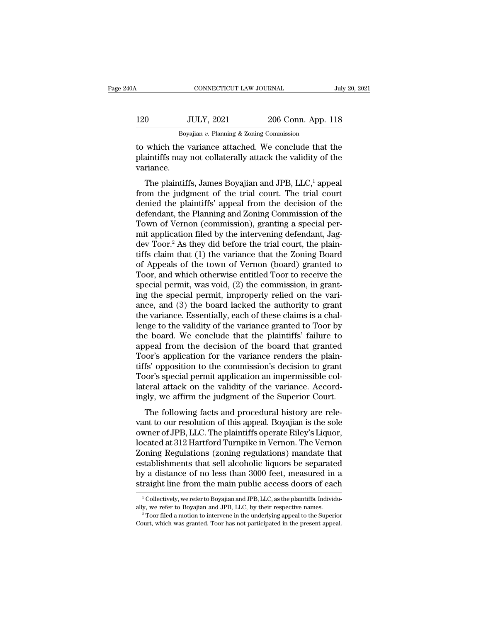| 40A                  | CONNECTICUT LAW JOURNAL                                                                                            |                    | July 20, 2021 |
|----------------------|--------------------------------------------------------------------------------------------------------------------|--------------------|---------------|
| 120                  | <b>JULY, 2021</b>                                                                                                  | 206 Conn. App. 118 |               |
|                      | Boyajian $v$ . Planning & Zoning Commission                                                                        |                    |               |
| $\mathbf{v}$ orionao | to which the variance attached. We conclude that the<br>plaintiffs may not collaterally attack the validity of the |                    |               |

120 JULY, 2021 206 Conn. App. 118<br>Boyajian v. Planning & Zoning Commission<br>to which the variance attached. We conclude that the<br>plaintiffs may not collaterally attack the validity of the<br>variance. variance.  $\frac{JULY, 2021}{Boyajian v. Planning & Zoning Commission}$ <br>
which the variance attached. We conclude that the aintiffs may not collaterally attack the validity of the riance.<br>
The plaintiffs, James Boyajian and JPB, LLC,<sup>1</sup> appeal pm the judgment of

Boyajian v. Planning & Zoning Commission<br>to which the variance attached. We conclude that the<br>plaintiffs may not collaterally attack the validity of the<br>variance.<br>The plaintiffs, James Boyajian and JPB, LLC,<sup>1</sup> appeal<br>fro to which the variance attached. We conclude that the plaintiffs may not collaterally attack the validity of the variance.<br>The plaintiffs, James Boyajian and JPB,  $LLC$ ,<sup>1</sup> appeal from the judgment of the trial court. The t definition the variance attached. We conclude that the plaintiffs may not collaterally attack the validity of the variance.<br>The plaintiffs, James Boyajian and JPB,  $LLC$ <sup>1</sup>, appeal from the judgment of the trial court. The plaintins hay not conaterally attack the vandity of the<br>variance.<br>The plaintiffs, James Boyajian and JPB, LLC,<sup>1</sup> appeal<br>from the judgment of the trial court. The trial court<br>denied the plaintiffs' appeal from the decision The plaintiffs, James Boyajian and JPB, LLC,<sup>1</sup> appeal<br>from the judgment of the trial court. The trial court<br>denied the plaintiffs' appeal from the decision of the<br>defendant, the Planning and Zoning Commission of the<br>Town The plaintiffs, James Boyajian and JPB, LLC,<sup>1</sup> appeal<br>from the judgment of the trial court. The trial court<br>denied the plaintiffs' appeal from the decision of the<br>defendant, the Planning and Zoning Commission of the<br>Town from the judgment of the trial court. The trial court<br>denied the plaintiffs' appeal from the decision of the<br>defendant, the Planning and Zoning Commission of the<br>Town of Vernon (commission), granting a special per-<br>mit app denied the plaintiffs' appeal from the decision of the<br>defendant, the Planning and Zoning Commission of the<br>Town of Vernon (commission), granting a special per-<br>mit application filed by the intervening defendant, Jag-<br>dev defendant, the Planning and Zoning Commission of the<br>Town of Vernon (commission), granting a special per-<br>mit application filed by the intervening defendant, Jag-<br>dev Toor.<sup>2</sup> As they did before the trial court, the plain-Town of Vernon (commission), granting a special permit application filed by the intervening defendant, Jag-<br>dev Toor.<sup>2</sup> As they did before the trial court, the plain-<br>tiffs claim that (1) the variance that the Zoning Boa mit application filed by the intervening defendant, Jag-<br>dev Toor.<sup>2</sup> As they did before the trial court, the plain-<br>tiffs claim that (1) the variance that the Zoning Board<br>of Appeals of the town of Vernon (board) granted dev Toor.<sup>2</sup> As they did before the trial court, the plain-<br>tiffs claim that (1) the variance that the Zoning Board<br>of Appeals of the town of Vernon (board) granted to<br>Toor, and which otherwise entitled Toor to receive the tiffs claim that (1) the variance that the Zoning Board<br>of Appeals of the town of Vernon (board) granted to<br>Toor, and which otherwise entitled Toor to receive the<br>special permit, was void, (2) the commission, in grant-<br>ing of Appeals of the town of Vernon (board) granted to<br>Toor, and which otherwise entitled Toor to receive the<br>special permit, was void, (2) the commission, in grant-<br>ing the special permit, improperly relied on the vari-<br>ance Toor, and which otherwise entitled Toor to receive the<br>special permit, was void, (2) the commission, in grant-<br>ing the special permit, improperly relied on the vari-<br>ance, and (3) the board lacked the authority to grant<br>th special permit, was void, (2) the commission, in grant-<br>ing the special permit, improperly relied on the vari-<br>ance, and (3) the board lacked the authority to grant<br>the variance. Essentially, each of these claims is a chal ing the special permit, improperly relied on the variance, and (3) the board lacked the authority to grant<br>the variance. Essentially, each of these claims is a chal-<br>lenge to the validity of the variance granted to Toor by ance, and (3) the board lacked the authority to grant<br>the variance. Essentially, each of these claims is a chal-<br>lenge to the validity of the variance granted to Toor by<br>the board. We conclude that the plaintiffs' failure the variance. Essentially, each of these claims is a challenge to the validity of the variance granted to Toor by the board. We conclude that the plaintiffs' failure to appeal from the decision of the board that granted To lenge to the validity of the variance granted to Toor by<br>the board. We conclude that the plaintiffs' failure to<br>appeal from the decision of the board that granted<br>Toor's application for the variance renders the plain-<br>tiff the board. We conclude that the plaintiffs' failure to<br>appeal from the decision of the board that granted<br>Toor's application for the variance renders the plain-<br>tiffs' opposition to the commission's decision to grant<br>Toor' Followis application for the board that granted<br>fs' opposition for the variance renders the plain-<br>fs' opposition to the commission's decision to grant<br>por's special permit application an impermissible col-<br>reral attack on Foor's application for the variance renders the plantiffs' opposition to the commission's decision to grant<br>Toor's special permit application an impermissible collateral attack on the validity of the variance. Accordingly,

ans opposition to the commission's accision to grant<br>Toor's special permit application an impermissible collateral attack on the validity of the variance. Accord-<br>ingly, we affirm the judgment of the Superior Court.<br>The fo Foor's special permit approation an impermissible conditional different attack on the validity of the variance. Accordingly, we affirm the judgment of the Superior Court.<br>The following facts and procedural history are rele rateral attack off the Vandaty of the Vandatee. Accordingly, we affirm the judgment of the Superior Court.<br>The following facts and procedural history are relevant to our resolution of this appeal. Boyajian is the sole<br>owne restand that sell alcoholic selling that sell alcoholic liquors are interested at 312 Hartford Turnpike in Vernon. The Vernon located at 312 Hartford Turnpike in Vernon. The Vernon Zoning Regulations (zoning regulations) m The following facts and procedural history are relevant to our resolution of this appeal. Boyajian is the sole owner of JPB, LLC. The plaintiffs operate Riley's Liquor, located at 312 Hartford Turnpike in Vernon. The Verno vant to our resolution of this appeal. Boyajian is the sole<br>owner of JPB, LLC. The plaintiffs operate Riley's Liquor,<br>located at 312 Hartford Turnpike in Vernon. The Vernon<br>Zoning Regulations (zoning regulations) mandate t boning Regulations (zoning regulations) mandate that<br>stablishments that sell alcoholic liquors be separated<br>y a distance of no less than 3000 feet, measured in a<br>raight line from the main public access doors of each<br><sup>1</sup>Col establishments that sell alcoholic liquors be separated<br>by a distance of no less than 3000 feet, measured in a<br>straight line from the main public access doors of each<br><sup>1</sup>Collectively, we refer to Boyajian and JPB, LLC, by

Straight line from the main public access doors of each<br>
<sup>1</sup>Collectively, we refer to Boyajian and JPB, LLC, as the plaintiffs. Individually, we refer to Boyajian and JPB, LLC, by their respective names.<br>
<sup>2</sup> Toor filed a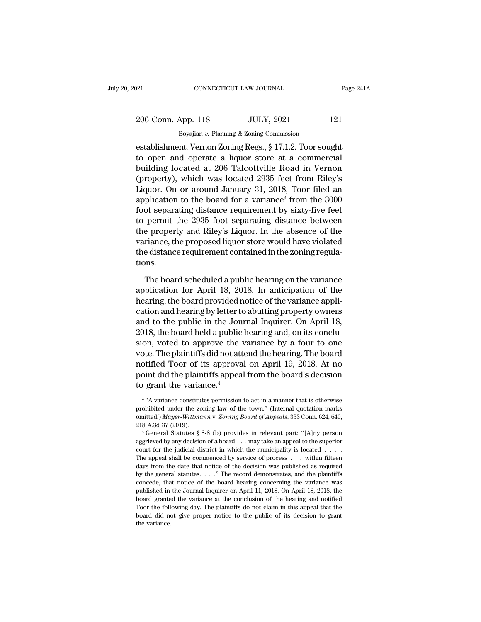| 021                | CONNECTICUT LAW JOURNAL                               | Page 241A |
|--------------------|-------------------------------------------------------|-----------|
| 206 Conn. App. 118 | <b>JULY, 2021</b>                                     | 121       |
|                    | Boyajian $v$ . Planning & Zoning Commission           |           |
|                    | establishment Vernon Zoning Regs 8.17.1.2 Toor sought |           |

establishment. Vernon Zoning Regs., § 17.1.2. Toor sought to open and operate a liquor store at a commercial<br>building located at 206 Telectiville Regs in Vernon absolution of the sought of persons of the sought of the soug 206 Conn. App. 118 JULY, 2021 121<br>Boyajian v. Planning & Zoning Commission<br>establishment. Vernon Zoning Regs., § 17.1.2. Toor sought<br>to open and operate a liquor store at a commercial<br>building located at 206 Talcottville R 206 Conn. App. 118 JULY, 2021 121<br>
Boyajian v. Planning & Zoning Commission<br>
establishment. Vernon Zoning Regs., § 17.1.2. Toor sought<br>
to open and operate a liquor store at a commercial<br>
building located at 206 Talcottvi 206 Conn. App. 118 JULY, 2021 121<br>
Boyajian v. Planning & Zoning Commission<br>
establishment. Vernon Zoning Regs., § 17.1.2. Toor sought<br>
to open and operate a liquor store at a commercial<br>
building located at 206 Talcottvil Boyajian v. Planning & Zoning Commission<br>
establishment. Vernon Zoning Regs., § 17.1.2. Toor sought<br>
to open and operate a liquor store at a commercial<br>
building located at 206 Talcottville Road in Vernon<br>
(property), whi boyalian *b*. Flaming & *zoling* Collinssion<br>establishment. Vernon Zoning Regs., § 17.1.2. Toor sought<br>to open and operate a liquor store at a commercial<br>building located at 206 Talcottville Road in Vernon<br>(property), whi establishment. Vernon Zoning Regs., § 17.1.2. Toor sought<br>to open and operate a liquor store at a commercial<br>building located at 206 Talcottville Road in Vernon<br>(property), which was located 2935 feet from Riley's<br>Liquor. to open and operate a liquor store at a commercial<br>building located at 206 Talcottville Road in Vernon<br>(property), which was located 2935 feet from Riley's<br>Liquor. On or around January 31, 2018, Toor filed an<br>application t building located at 206 Talcottville Road in Vernon<br>(property), which was located 2935 feet from Riley's<br>Liquor. On or around January 31, 2018, Toor filed an<br>application to the board for a variance<sup>3</sup> from the 3000<br>foot se (property), which was located 2935 feet from Riley's<br>Liquor. On or around January 31, 2018, Toor filed an<br>application to the board for a variance<sup>3</sup> from the 3000<br>foot separating distance requirement by sixty-five feet<br>to Liquor. On or around January 31, 2018, Toor filed an application to the board for a variance<sup>3</sup> from the 3000 foot separating distance requirement by sixty-five feet to permit the 2935 foot separating distance between the tions. permit the 2935 foot separating distance between<br>e property and Riley's Liquor. In the absence of the<br>riance, the proposed liquor store would have violated<br>e distance requirement contained in the zoning regula-<br>nns.<br>The bo the property and Riley's Liquor. In the absence of the variance, the proposed liquor store would have violated<br>the distance requirement contained in the zoning regula-<br>tions.<br>The board scheduled a public hearing on the var

variance, the proposed liquor store would have violated<br>the distance requirement contained in the zoning regula-<br>tions.<br>The board scheduled a public hearing on the variance<br>application for April 18, 2018. In anticipation o the distance requirement contained in the zoning regulations.<br>The board scheduled a public hearing on the variance<br>application for April 18, 2018. In anticipation of the<br>hearing, the board provided notice of the variance a tions.<br>The board scheduled a public hearing on the variance<br>application for April 18, 2018. In anticipation of the<br>hearing, the board provided notice of the variance appli-<br>cation and hearing by letter to abutting property The board scheduled a public hearing on the variance<br>application for April 18, 2018. In anticipation of the<br>hearing, the board provided notice of the variance appli-<br>cation and hearing by letter to abutting property owners The board scheduled a public hearing on the variance<br>application for April 18, 2018. In anticipation of the<br>hearing, the board provided notice of the variance appli-<br>cation and hearing by letter to abutting property owner application for April 18, 2018. In anticipation of the<br>hearing, the board provided notice of the variance appli-<br>cation and hearing by letter to abutting property owners<br>and to the public in the Journal Inquirer. On April hearing, the board provided notice of the variance application and hearing by letter to abutting property owners<br>and to the public in the Journal Inquirer. On April 18,<br>2018, the board held a public hearing and, on its con cation and hearing by letter to abutting property owners<br>and to the public in the Journal Inquirer. On April 18,<br>2018, the board held a public hearing and, on its conclu-<br>sion, voted to approve the variance by a four to on and to the public in the Jou:<br>2018, the board held a public<br>sion, voted to approve the<br>vote. The plaintiffs did not att<br>notified Toor of its approva<br>point did the plaintiffs appea<br>to grant the variance.<sup>4</sup> vote. The plaintiffs did not attend the hearing. The board<br>notified Toor of its approval on April 19, 2018. At no<br>point did the plaintiffs appeal from the board's decision<br>to grant the variance.<sup>4</sup><br> $\frac{3}{4}$  wavariance co proval on April 19, 2018. At no<br>point did the plaintiffs appeal from the board's decision<br>to grant the variance.<sup>4</sup><br> $^{3}$  "A variance constitutes permission to act in a manner that is otherwise<br>prohibited under the zoning

<sup>&</sup>lt;sup>3</sup> "A variance constitutes permission to act in a manner that is otherwise point did the plaintiffs appeal from the board's decision<br>to grant the variance.<sup>4</sup><br><sup>3</sup> "A variance constitutes permission to act in a manner that is otherwise<br>prohibited under the zoning law of the town." (Internal quotat 2218 A.3d 37 (2019).<br>
<sup>3</sup> "A variance constitutes permission to act in a manner that is otherwise<br>
prohibited under the zoning law of the town." (Internal quotation marks<br>
omitted.) *Mayer-Wittmann v. Zoning Board of Appe* <sup>3</sup> "A variance constitutes permission to act in a manner that is otherwise<br>prohibited under the zoning law of the town." (Internal quotation marks<br>omitted.) *Mayer-Wittmann v. Zoning Board of Appeals*, 333 Conn. 624, 640

prohibited under the zoning law of the town." (Internal quotation marks omitted.) *Mayer-Wittmann v. Zoning Board of Appeals*, 333 Conn. 624, 640, 218 A.3d 37 (2019).<br>
<sup>4</sup> General Statutes § 8-8 (b) provides in relevant p committed.) Mayer-Wittmann v. Zoning Board of Appeals, 333 Conn. 624, 640, 218 A.3d 37 (2019).<br>
<sup>4</sup> General Statutes § 8-8 (b) provides in relevant part: "[A]ny person aggrieved by any decision of a board . . . may take a 218 A.3d 37 (2019).<br>
<sup>4</sup> General Statutes § 8-8 (b) provides in relevant part: "[A]ny person<br>
aggrieved by any decision of a board . . . may take an appeal to the superior<br>
court for the judicial district in which the mun <sup>4</sup> General Statutes § 8-8 (b) provides in relevant part: "[A]ny person aggrieved by any decision of a board . . . may take an appeal to the superior court for the judicial district in which the municipality is located . aggrieved by any decision of a board  $\dots$  may take an appeal to the superior court for the judicial district in which the municipality is located  $\dots$ . The appeal shall be commenced by service of process  $\dots$  within fifte expected in the judicial district in which the municipality is located  $\ldots$ .<br>The appeal shall be commenced by service of process  $\ldots$  within fifteen<br>days from the date that notice of the decision was published as requir The appeal shall be commenced by service of process  $\ldots$  within fifteen days from the date that notice of the decision was published as required by the general statutes.  $\ldots$  " The record demonstrates, and the plaintiff The following day. The record demonstrates, and the plaintiffs by the general statutes. . . ." The record demonstrates, and the plaintiffs concede, that notice of the board hearing concerning the variance was published in days from the date that notice of the decision was published as required by the general statutes.  $\ldots$  " The record demonstrates, and the plaintiffs concede, that notice of the board hearing concerning the variance was p concede, that notice of the board hearing concerning the variance was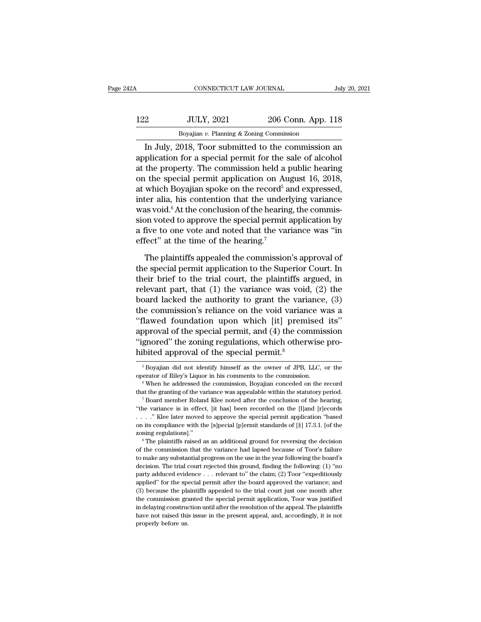| 42A | CONNECTICUT LAW JOURNAL                          |                    | July 20, 2021 |
|-----|--------------------------------------------------|--------------------|---------------|
| 122 | <b>JULY, 2021</b>                                | 206 Conn. App. 118 |               |
|     | Boyajian $v$ . Planning & Zoning Commission      |                    |               |
|     | In July 2018 Toor submitted to the commission an |                    |               |

CONNECTICUT LAW JOURNAL July 20, 2021<br>
206 Conn. App. 118<br>
Boyajian v. Planning & Zoning Commission<br>
In July, 2018, Toor submitted to the commission an<br>
plication for a special permit for the sale of alcohol<br>
the property. 122 JULY, 2021 206 Conn. App. 118<br>Boyajian v. Planning & Zoning Commission<br>In July, 2018, Toor submitted to the commission an<br>application for a special permit for the sale of alcohol<br>at the property. The commission held a 122 JULY, 2021 206 Conn. App. 118<br>Boyajian v. Planning & Zoning Commission<br>In July, 2018, Toor submitted to the commission an<br>application for a special permit for the sale of alcohol<br>at the property. The commission held a 122 JULY, 2021 206 Conn. App. 118<br>Boyajian v. Planning & Zoning Commission<br>In July, 2018, Toor submitted to the commission an<br>application for a special permit for the sale of alcohol<br>at the property. The commission held a Boyajian v. Planning & Zoning Commission<br>
In July, 2018, Toor submitted to the commission an<br>
application for a special permit for the sale of alcohol<br>
at the property. The commission held a public hearing<br>
on the special Example all and the commission<br>
In July, 2018, Toor submitted to the commission<br>
application for a special permit for the sale of alcohol<br>
at the property. The commission held a public hearing<br>
on the special permit appli In July, 2018, Toor submitted to the commission an application for a special permit for the sale of alcohol<br>at the property. The commission held a public hearing<br>on the special permit application on August 16, 2018,<br>at wh application for a special permit for the sale of alcohol<br>at the property. The commission held a public hearing<br>on the special permit application on August 16, 2018,<br>at which Boyajian spoke on the record<sup>5</sup> and expressed,<br> at the property. The commission held a public hearing<br>on the special permit application on August 16, 2018,<br>at which Boyajian spoke on the record<sup>5</sup> and expressed,<br>inter alia, his contention that the underlying variance<br>w on the special permit application on Au<br>at which Boyajian spoke on the record<sup>5</sup> a<br>inter alia, his contention that the underl<br>was void.<sup>6</sup> At the conclusion of the hearing<br>sion voted to approve the special permit :<br>a five ter alia, his contention that the underlying variance<br>as void.<sup>6</sup> At the conclusion of the hearing, the commis-<br>on voted to approve the special permit application by<br>five to one vote and noted that the variance was "in<br>fec was void.<sup>6</sup> At the conclusion of the hearing, the commission voted to approve the special permit application by<br>a five to one vote and noted that the variance was "in<br>effect" at the time of the hearing.<sup>7</sup><br>The plaintiffs

sion voted to approve the special permit application by<br>a five to one vote and noted that the variance was "in<br>effect" at the time of the hearing.<sup>7</sup><br>The plaintiffs appealed the commission's approval of<br>the special permit a five to one vote and noted that the variance was "in<br>effect" at the time of the hearing.<sup>7</sup><br>The plaintiffs appealed the commission's approval of<br>the special permit application to the Superior Court. In<br>their brief to the effect" at the time of the hearing.<sup>7</sup><br>The plaintiffs appealed the commission's approval of<br>the special permit application to the Superior Court. In<br>their brief to the trial court, the plaintiffs argued, in<br>relevant part, The plaintiffs appealed the commission's approval of<br>the special permit application to the Superior Court. In<br>their brief to the trial court, the plaintiffs argued, in<br>relevant part, that (1) the variance was void, (2) th The plaintiffs appealed the commission's approval of<br>the special permit application to the Superior Court. In<br>their brief to the trial court, the plaintiffs argued, in<br>relevant part, that (1) the variance was void, (2) th the special permit application to the Superior Court. In<br>their brief to the trial court, the plaintiffs argued, in<br>relevant part, that (1) the variance was void, (2) the<br>board lacked the authority to grant the variance, ( their brief to the trial court, the plaintiffs argued, in relevant part, that (1) the variance was void, (2) the board lacked the authority to grant the variance, (3) the commission's reliance on the void variance was a "f relevant part, that (1) the variance was voice<br>board lacked the authority to grant the vari<br>the commission's reliance on the void varian<br>"flawed foundation upon which [it] prem<br>approval of the special permit, and (4) the c Frame is a proval of the special permit, and (4) the commission<br>gnored" the zoning regulations, which otherwise pro-<br>bited approval of the special permit.<sup>8</sup><br> $\frac{5}{5}$  Boyajian did not identify himself as the owner of JPB approval of the special permit, and (4) the commission<br>"ignored" the zoning regulations, which otherwise pro-<br>hibited approval of the special permit.<sup>8</sup><br><sup>5</sup> Boyajian did not identify himself as the owner of JPB, LLC, or th

that the granting of the special permit.<sup>8</sup><br>
<sup>5</sup> Boyajian did not identify himself as the owner of JPB, LLC, or the operator of Riley's Liquor in his comments to the commission.<br>
<sup>6</sup> When he addressed the commission, Boya <sup>5</sup> Boyajian did not identify himself as the owner of JPB, LLC, or the operator of Riley's Liquor in his comments to the commission.<br><sup>6</sup> When he addressed the commission, Boyajian conceded on the record that the granting operator of Riley's Liquor in his comments to the commission.<br>
<sup>6</sup> When he addressed the commission, Boyajian conceded on the record that the granting of the variance was appealable within the statutory period.<br>
<sup>7</sup> Board <sup>6</sup> When he addressed the commission, Boyajian conceded on the record that the granting of the variance was appealable within the statutory period.<br><sup>7</sup> Board member Roland Klee noted after the conclusion of the hearing, " that the granting of the variance was appealable within the statutory period.<br>
<sup>7</sup> Board member Roland Klee noted after the conclusion of the hearing,<br>
"the variance is in effect, [it has] been recorded on the [I]and [r]e "He variance is in effect, [it has] been recorded on the [l]and [r]ecords . . . ." Klee later moved to approve the special permit application "based on its compliance with the [s]pecial [p]ermit standards of [§] 17.3.1. [

The make any substantial progress on the use in the price of Too's and the use in the sompliance with the [s]pecial [p]ermit standards of [§] 17.3.1. [of the zoning regulations]."<br>
<sup>8</sup> The plaintiffs raised as an addition on its compliance with the [s]pecial [p]ermit standards of [§] 17.3.1. [of the zoning regulations]."<br><sup>8</sup> The plaintiffs raised as an additional ground for reversing the decision<br>of the commission that the variance had lap party adduced evidence ... relevant to "the claim; (2) Toor ''expeditions).<br>
Soming regulations]."<br>
Soming regulations that the variance had lapsed because of Toor's failure<br>
to make any substantial progress on the use in <sup>21</sup> The plaintiffs raised as an additional ground for reversing the decision of the commission that the variance had lapsed because of Toor's failure to make any substantial progress on the use in the year following the The commission that the variance had lapsed because of Toor's failure<br>to make any substantial progress on the use in the year following the board's<br>decision. The trial court rejected this ground, finding the following: (1 to make any substantial progress on the use in the year following the board's decision. The trial court rejected this ground, finding the following: (1) "no party adduced evidence  $\ldots$  relevant to" the claim; (2) Toor "e decision. The trial court rejected this ground, finding the following: (1) "no party adduced evidence . . . relevant to" the claim; (2) Toor "expeditiously applied" for the special permit after the board approved the vari party adduced evidence  $\ldots$  relevant to" the claim; (2) Toor "expeditiously applied" for the special permit after the board approved the variance; and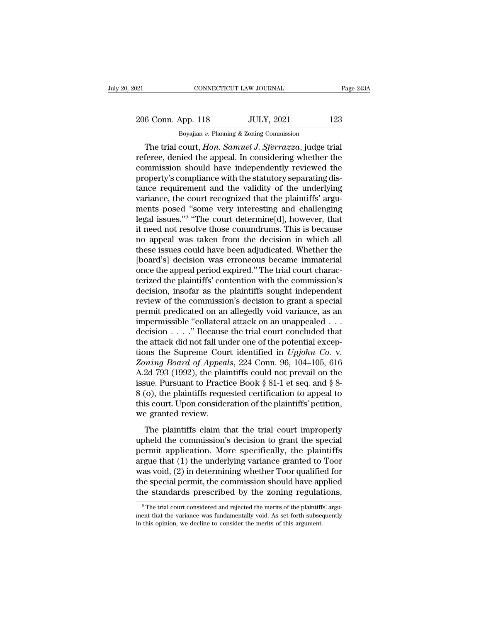# 206 Conn. App. 118 JULY, 2021 123<br>
206 Conn. App. 118 JULY, 2021 123 CONNECTICUT LAW JOURNAL<br>Boyajian *v.* Planning & Zoning Commission<br>Court Hon. Samuel J. Sferrazza, judge to

CONNECTICUT LAW JOURNAL Page 24:<br>
6 Conn. App. 118 JULY, 2021 123<br>
Boyajian v. Planning & Zoning Commission<br>
The trial court, *Hon. Samuel J. Sferrazza*, judge trial<br>
feree, denied the appeal. In considering whether the<br>
m 206 Conn. App. 118 JULY, 2021 123<br>Boyajian v. Planning & Zoning Commission<br>The trial court, *Hon. Samuel J. Sferrazza*, judge trial<br>referee, denied the appeal. In considering whether the<br>commission should have independentl 206 Conn. App. 118 JULY, 2021 123<br>Boyajian v. Planning & Zoning Commission<br>The trial court, *Hon. Samuel J. Sferrazza*, judge trial<br>referee, denied the appeal. In considering whether the<br>commission should have independent 206 Conn. App. 118 JULY, 2021 123<br>
Boyajian v. Planning & Zoning Commission<br>
The trial court, *Hon. Samuel J. Sferrazza*, judge trial<br>
referee, denied the appeal. In considering whether the<br>
commission should have indepen Boyajian v. Planning & Zoning Commission<br>The trial court, *Hon. Samuel J. Sferrazza*, judge trial<br>referee, denied the appeal. In considering whether the<br>commission should have independently reviewed the<br>property's complia Boyanan v. Planning & Zoning Commission<br>
The trial court, *Hon. Samuel J. Sferrazza*, judge trial<br>
referee, denied the appeal. In considering whether the<br>
commission should have independently reviewed the<br>
property's comp The trial court, *Hon. Samuel J. Sferrazza*, judge trial<br>referee, denied the appeal. In considering whether the<br>commission should have independently reviewed the<br>property's compliance with the statutory separating dis-<br>ta referee, denied the a<br>commission should<br>property's compliane<br>tance requirement a<br>variance, the court i<br>ments posed "some<br>legal issues."<sup>9</sup> "The<br>it need not resolve t I the appeal. In considering whether the<br>
nould have independently reviewed the<br>
pliance with the statutory separating dis-<br>
nent and the validity of the underlying<br>
ourt recognized that the plaintiffs' argu-<br>
'some very i commission should have independently reviewed the<br>property's compliance with the statutory separating dis-<br>tance requirement and the validity of the underlying<br>variance, the court recognized that the plaintiffs' argu-<br>ment property's compliance with the statutory separating distance requirement and the validity of the underlying<br>variance, the court recognized that the plaintiffs' argu-<br>ments posed "some very interesting and challenging<br>legal tance requirement and the validity of the underlying<br>variance, the court recognized that the plaintiffs' argu-<br>ments posed "some very interesting and challenging<br>legal issues."<sup>9</sup> "The court determine[d], however, that<br>it variance, the court recognized that the plaintiffs' arguments posed "some very interesting and challenging<br>legal issues."<sup>9</sup> "The court determine[d], however, that<br>it need not resolve those conundrums. This is because<br>no a ments posed "some very interesting and challenging<br>legal issues."<sup>9</sup> "The court determine[d], however, that<br>it need not resolve those conundrums. This is because<br>no appeal was taken from the decision in which all<br>these iss legal issues."<sup>9</sup> "The court determine[d], however, that<br>it need not resolve those conundrums. This is because<br>no appeal was taken from the decision in which all<br>these issues could have been adjudicated. Whether the<br>[board it need not resolve those conundrums. This is because<br>no appeal was taken from the decision in which all<br>these issues could have been adjudicated. Whether the<br>[board's] decision was erroneous became immaterial<br>once the app review of the decision in which all<br>these issues could have been adjudicated. Whether the<br>[board's] decision was erroneous became immaterial<br>once the appeal period expired." The trial court charac-<br>terized the plaintiffs' these issues could have been adjudicated. Whether the<br>[board's] decision was erroneous became immaterial<br>once the appeal period expired." The trial court charac-<br>terized the plaintiffs' contention with the commission's<br>dec [board's] decision was erroneous became immaterial<br>once the appeal period expired." The trial court charac-<br>terized the plaintiffs' contention with the commission's<br>decision, insofar as the plaintiffs sought independent<br>r once the appeal period expired." The trial court characterized the plaintiffs' contention with the commission's decision, insofar as the plaintiffs sought independent review of the commission's decision to grant a special terized the plaintiffs' contention with the commission's<br>decision, insofar as the plaintiffs sought independent<br>review of the commission's decision to grant a special<br>permit predicated on an allegedly void variance, as an decision, insofar as the plaintiffs sought independent<br>review of the commission's decision to grant a special<br>permit predicated on an allegedly void variance, as an<br>impermissible "collateral attack on an unappealed . . .<br>d *Zoning Board of Appeals*, 224 Conn. 96, 104–105, 81<br> *Zoning Board of Appeals*, 224 Conn. 96, 104–105, 816<br> *Zoning Board of Appeals*, 224 Conn. 96, 104–105, 616<br> *A.2d 793* (1992), the plaintiffs could not prevail on the permit predicated on an allegedly void variance, as an impermissible "collateral attack on an unappealed . . .<br>decision . . . ." Because the trial court concluded that<br>the attack did not fall under one of the potential ex impermissible "collateral attack on an unappealed . . . decision . . . . " Because the trial court concluded that<br>the attack did not fall under one of the potential excep-<br>tions the Supreme Court identified in  $Upjohn Co. v.$ <br>Z decision . . . ." Because the trial court concluded that<br>the attack did not fall under one of the potential excep-<br>tions the Supreme Court identified in *Upjohn Co.* v.<br>Zoning Board of Appeals, 224 Conn. 96, 104–105, 616<br> the attack did not fall under one of the potential exceptions the Supreme Court identified in *Upjohn Co.* v. Zoning Board of Appeals, 224 Conn. 96, 104–105, 616 A.2d 793 (1992), the plaintiffs could not prevail on the is tions the Supreme Cours<br> *Zoning Board of Appeal*<br>
A.2d 793 (1992), the plai<br>
issue. Pursuant to Practi<br>
8 (o), the plaintiffs reque<br>
this court. Upon consider<br>
we granted review.<br>
The plaintiffs claim the 2d 793 (1992), the plaintiffs could not prevail on the<br>sue. Pursuant to Practice Book § 81-1 et seq. and § 8-<br>(o), the plaintiffs requested certification to appeal to<br>is court. Upon consideration of the plaintiffs' petiti Example 1.1.2 and the commission of the commission of the plaintiffs' petition,<br>issue. Pursuant to Practice Book § 81-1 et seq. and § 8-<br>8 (o), the plaintiffs requested certification to appeal to<br>this court. Upon consider

permit application of the plaintiffs is equested certification to appeal to<br>this court. Upon consideration of the plaintiffs' petition,<br>we granted review.<br>The plaintiffs claim that the trial court improperly<br>upheld the co be (c), the plantins requested erroritation to appear to<br>this court. Upon consideration of the plaintiffs' petition,<br>we granted review.<br>The plaintiffs claim that the trial court improperly<br>upheld the commission's decision The plaintiffs claim that the trial court improperly<br>upheld the commission's decision to grant the special<br>permit application. More specifically, the plaintiffs<br>argue that (1) the underlying variance granted to Toor<br>was vo The plaintiffs claim that the trial court improperly<br>upheld the commission's decision to grant the special<br>permit application. More specifically, the plaintiffs<br>argue that (1) the underlying variance granted to Toor<br>was vo The plaintiffs claim that the trial court improperly<br>upheld the commission's decision to grant the special<br>permit application. More specifically, the plaintiffs<br>argue that (1) the underlying variance granted to Toor<br>was v gue that (1) the underlying variance granted to Toor<br>as void, (2) in determining whether Toor qualified for<br>ne special permit, the commission should have applied<br>e standards prescribed by the zoning regulations,<br> $\frac{1}{2}$ was void, (2) in determining whether Toor qualified for<br>the special permit, the commission should have applied<br>the standards prescribed by the zoning regulations,<br> $^{\circ}$ The trial court considered and rejected the merits o

the special permit, the commission should have appear the standards prescribed by the zoning regulat  $\degree$ The trial court considered and rejected the merits of the plaintifficient that the variance was fundamentally void. A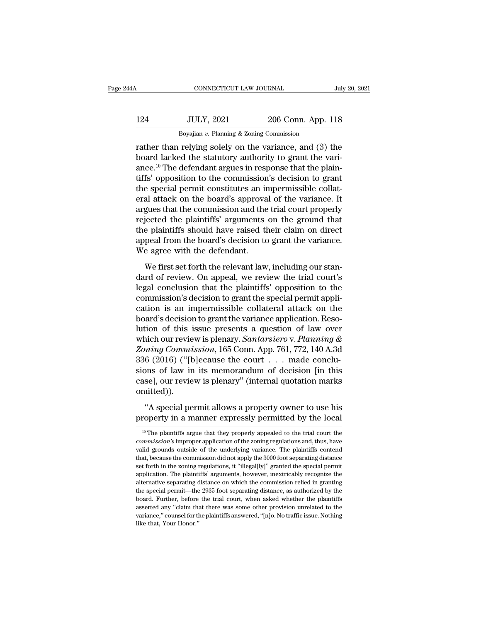| 14A | CONNECTICUT LAW JOURNAL                                  |                    | July 20, 2021 |
|-----|----------------------------------------------------------|--------------------|---------------|
| 124 | <b>JULY, 2021</b>                                        | 206 Conn. App. 118 |               |
|     | Boyajian $v$ . Planning & Zoning Commission              |                    |               |
|     | rather than relying solely on the variance and $(3)$ the |                    |               |

CONNECTICUT LAW JOURNAL July 20, 2021<br>124 JULY, 2021 206 Conn. App. 118<br>Boyajian v. Planning & Zoning Commission<br>Trather than relying solely on the variance, and (3) the<br>board lacked the statutory authority to grant the va 124 JULY, 2021 206 Conn. App. 118<br>Boyajian v. Planning & Zoning Commission<br>Trather than relying solely on the variance, and (3) the<br>board lacked the statutory authority to grant the vari-<br>ance.<sup>10</sup> The defendant argues in 124 JULY, 2021 206 Conn. App. 118<br>Boyajian v. Planning & Zoning Commission<br>Trather than relying solely on the variance, and (3) the<br>board lacked the statutory authority to grant the vari-<br>ance.<sup>10</sup> The defendant argues in 124 JULY, 2021 206 Conn. App. 118<br>Boyajian v. Planning & Zoning Commission<br>Trather than relying solely on the variance, and (3) the<br>board lacked the statutory authority to grant the vari-<br>ance.<sup>10</sup> The defendant argues in Boyajian v. Planning & Zoning Commission<br>
Trather than relying solely on the variance, and (3) the<br>
board lacked the statutory authority to grant the vari-<br>
ance.<sup>10</sup> The defendant argues in response that the plain-<br>
tiff Boyajian v. Planning & Zoning Continuession<br>
rather than relying solely on the variance, and (3) the<br>
board lacked the statutory authority to grant the vari-<br>
ance.<sup>10</sup> The defendant argues in response that the plain-<br>
ti rather than relying solely on the variance, and (3) the<br>board lacked the statutory authority to grant the vari-<br>ance.<sup>10</sup> The defendant argues in response that the plain-<br>tiffs' opposition to the commission's decision to g board lacked the statutory authority to grant the variance.<sup>10</sup> The defendant argues in response that the plaintiffs' opposition to the commission's decision to grant the special permit constitutes an impermissible collate ance.<sup>10</sup> The defendant argues in response that the plaintiffs' opposition to the commission's decision to grant the special permit constitutes an impermissible collateral attack on the board's approval of the variance. It tiffs' opposition to the commission's decision to grant<br>the special permit constitutes an impermissible collat-<br>eral attack on the board's approval of the variance. It<br>argues that the commission and the trial court properl the special permit constitutes an in<br>eral attack on the board's approva<br>argues that the commission and the<br>rejected the plaintiffs' arguments<br>the plaintiffs should have raised th<br>appeal from the board's decision to<br>We agre measure of the bounds upper and the relationship<br>gues that the commission and the trial court properly<br>jected the plaintiffs' arguments on the ground that<br>e plaintiffs should have raised their claim on direct<br>peal from the rejected the plaintiffs' arguments on the ground that<br>the plaintiffs should have raised their claim on direct<br>appeal from the board's decision to grant the variance.<br>We agree with the defendant.<br>We first set forth the rele

Legal conclusion to get a matrice the plaintiffs should have raised their claim on direct<br>appeal from the board's decision to grant the variance.<br>We first set forth the relevant law, including our stan-<br>dard of review. On Example and the board's decision to grant the variance.<br>We agree with the defendant.<br>We first set forth the relevant law, including our stan-<br>dard of review. On appeal, we review the trial court's<br>legal conclusion that the We agree with the defendant.<br>We first set forth the relevant law, including our stan-<br>dard of review. On appeal, we review the trial court's<br>legal conclusion that the plaintiffs' opposition to the<br>commission's decision to We first set forth the relevant law, including our standard of review. On appeal, we review the trial court's legal conclusion that the plaintiffs' opposition to the commission's decision to grant the special permit applic We first set forth the relevant law, including our stan-<br>dard of review. On appeal, we review the trial court's<br>legal conclusion that the plaintiffs' opposition to the<br>commission's decision to grant the special permit app dard of review. On appeal, we review the trial court's<br>legal conclusion that the plaintiffs' opposition to the<br>commission's decision to grant the special permit appli-<br>cation is an impermissible collateral attack on the<br>bo *Zonimiesion in the plaintiffs'* opposition to the commission's decision to grant the special permit application is an impermissible collateral attack on the board's decision to grant the variance application. Resolution o commission's decision to grant the special permit application is an impermissible collateral attack on the board's decision to grant the variance application. Resolution of this issue presents a question of law over which cation is an impermissible collateral attack on the<br>board's decision to grant the variance application. Reso-<br>lution of this issue presents a question of law over<br>which our review is plenary. *Santarsiero* v. Planning &<br>Z board's decision to grant the variance application. Resolution of this issue presents a question of law over which our review is plenary. *Santarsiero* v. Planning & Zoning Commission, 165 Conn. App. 761, 772, 140 A.3d 33 omitted)).  $\begin{align*} \textit{ming Commission, 165 Conn. App. 761, 772, 140 A.3d} \\ \text{6 (2016) ("Ib} \text{[ecause the court . . . made conclusions of law in its memorandum of decision [in this se], our review is planary" (internal quotation marks nitted)). \end{align*} % \begin{align*} \textit{sumd} \text{[t} \text{[t} \text{[t]} \text{[t]} \text{[t]} \text{[t]} \text{[t]} \text{[t]} \text{[t]} \text{[t]} \text{[t]} \text{[t]} \text{[t]} \text{[t]} \text{[t]} \text{[t]} \text{[t]} \text{[$ 336 (2016) ("[b]ecause the court . . . made conclusions of law in its memorandum of decision [in this case], our review is plenary" (internal quotation marks omitted)).<br>"A special permit allows a property owner to use his

<sup>&</sup>quot; (A special permit allows a property owner to use his<br>
"A special permit allows a property owner to use his<br>
"The plaintiffs argue that they properly appealed to the trial court the<br>
""The plaintiffs argue that they prop "A special permit allows a property owner to use his<br>property in a manner expressly permitted by the local<br> $\frac{10 \text{ T}}{10 \text{ T}}$  The plaintiffs argue that they properly appealed to the trial court the<br>*commission's* improp "A special permit allows a property owner to use his<br>property in a manner expressly permitted by the local<br> $\frac{10 \text{ T}}{10 \text{ T}}$  The plaintiffs argue that they properly appealed to the trial court the<br>*commission*'s improp property in a manner expressly permitted by the local<br>
<sup>10</sup> The plaintiffs argue that they properly appealed to the trial court the<br> *commission's* improper application of the zoning regulations and, thus, have<br>
valid gro <sup>10</sup> The plaintiffs argue that they properly appealed to the trial court the *commission*'s improper application of the zoning regulations and, thus, have valid grounds outside of the underlying variance. The plaintiffs c <sup>10</sup> The plaintiffs argue that they properly appealed to the trial court the *commission*'s improper application of the zoning regulations and, thus, have valid grounds outside of the underlying variance. The plaintiffs c commission's improper application of the zoning regulations and, thus, have valid grounds outside of the underlying variance. The plaintiffs contend that, because the commission did not apply the 3000 foot separating dista valid grounds outside of the underlying variance. The plaintiffs contend that, because the commission did not apply the 3000 foot separating distance set forth in the zoning regulations, it "illegal[ly]" granted the speci that, because the commission did not apply the 3000 foot separating distance set forth in the zoning regulations, it "illegal[ly]" granted the special permit application. The plaintiffs' arguments, however, inextricably r assert forth in the zoning regulations, it "illegal[ly]" granted the special permit application. The plaintiffs' arguments, however, inextricably recognize the alternative separating distance on which the commission relied supplication. The plaintiffs' arguments, however, inextricably recognize the alternative separating distance on which the commission relied in granting the special permit—the 2935 foot separating distance, as authorized by the special permit—the 2935 foot separating distance, as authorized by the board. Further, before the trial court, when asked whether the plaintiffs asserted any "claim that there was some other provision unrelated to the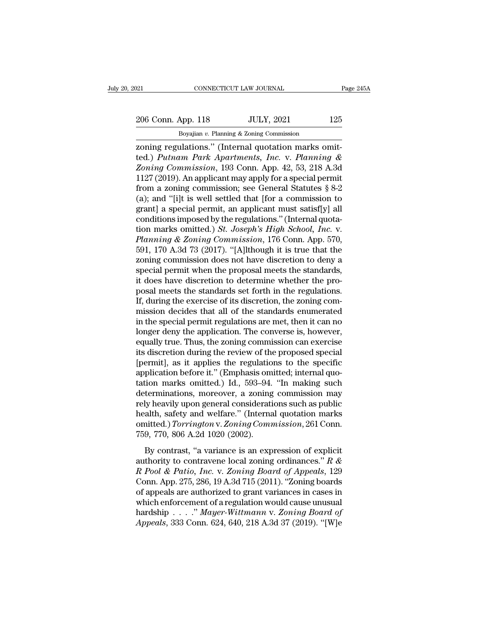206 Conn. App. 118 JULY, 2021 125<br>Boyajian v. Planning & Zoning Commission

CONNECTICUT LAW JOURNAL<br>Boyajian *v.* Planning & Zoning Commission<br>Boyajian *v.* Planning & Zoning Commission<br>Ulations '' (Internal quotation marks on EXECUTE DE TO CONNECTICUT LAW JOURNAL<br>
206 Conn. App. 118 JULY, 2021 125<br>
2011 Boyajian v. Planning & Zoning Commission<br>
2011 Explorer park Apartments, Inc. v. Planning &<br>
2021 Connected.) Putnam Park Apartments, Inc. v. P 206 Conn. App. 118 JULY, 2021 125<br>
Boyajian v. Planning & Zoning Commission<br> **Putnam Park Apartments, Inc. v. Planning & Zoning Commission**, 193 Conn. App. 42, 53, 218 A.3d<br>
1127 (2010) Apapplicant may apply for a goodshop 206 Conn. App. 118 JULY, 2021 125<br> *Boyajian v. Planning & Zoning Commission*<br>
zoning regulations." (Internal quotation marks omit-<br>
ted.) *Putnam Park Apartments, Inc.* v. *Planning &<br>
Zoning Commission*, 193 Conn. App. 4 206 Conn. App. 118 JULY, 2021 125<br>
Boyajian v. Planning & Zoning Commission<br>
zoning regulations." (Internal quotation marks omit-<br>
ted.) *Putnam Park Apartments, Inc.* v. *Planning &<br>
Zoning Commission*, 193 Conn. App. 42, Boyajian v. Planning & Zoning Commission<br>
zoning regulations." (Internal quotation marks omit-<br>
ted.) Putnam Park Apartments, Inc. v. Planning &<br>
Zoning Commission, 193 Conn. App. 42, 53, 218 A.3d<br>
1127 (2019). An applica Boyalian v. Planning & Zoning Commission<br>
zoning regulations." (Internal quotation marks omit-<br>
ted.) *Putnam Park Apartments, Inc.* v. *Planning &*<br> *Zoning Commission*, 193 Conn. App. 42, 53, 218 A.3d<br>
1127 (2019). An a zoning regulations." (Internal quotation marks omit-<br>ted.) *Putnam Park Apartments, Inc.* v. *Planning &*<br>*Zoning Commission*, 193 Conn. App. 42, 53, 218 A.3d<br>1127 (2019). An applicant may apply for a special permit<br>from ted.) Putnam Park Apartments, Inc. v. Planning &<br>Zoning Commission, 193 Conn. App. 42, 53, 218 A.3d<br>1127 (2019). An applicant may apply for a special permit<br>from a zoning commission; see General Statutes § 8-2<br>(a); and "[ Zoning Commission, 193 Conn. App. 42, 53, 218 A.3d<br>1127 (2019). An applicant may apply for a special permit<br>from a zoning commission; see General Statutes § 8-2<br>(a); and "[i]t is well settled that [for a commission to<br>gran 1127 (2019). An applicant may apply for a special permit<br>from a zoning commission; see General Statutes § 8-2<br>(a); and "[i]t is well settled that [for a commission to<br>grant] a special permit, an applicant must satisf[y] a from a zoning commission; see General Statutes  $\S 8-2$ <br>(a); and "[i]t is well settled that [for a commission to<br>grant] a special permit, an applicant must satisf[y] all<br>conditions imposed by the regulations." (Internal qu (a); and "[i]t is well settled that [for a commission to grant] a special permit, an applicant must satisf[y] all conditions imposed by the regulations." (Internal quotation marks omitted.) *St. Joseph's High School, Inc.* grant] a special permit, an applicant must satisf[y] all<br>conditions imposed by the regulations." (Internal quota-<br>tion marks omitted.) *St. Joseph's High School, Inc.* v.<br>*Planning & Zoning Commission*, 176 Conn. App. 570, conditions imposed by the regulations." (Internal quotation marks omitted.) *St. Joseph's High School, Inc.* v. *Planning & Zoning Commission*, 176 Conn. App. 570, 591, 170 A.3d 73 (2017). "[A]lthough it is true that the tion marks omitted.) *St. Joseph's High School, Inc.* v.<br>*Planning & Zoning Commission*, 176 Conn. App. 570,<br>591, 170 A.3d 73 (2017). "[A]lthough it is true that the<br>zoning commission does not have discretion to deny a<br>spe Planning & Zoning Commission, 176 Conn. App. 570, 591, 170 A.3d 73 (2017). "[A]lthough it is true that the zoning commission does not have discretion to deny a special permit when the proposal meets the standards, it does 591, 170 A.3d 73 (2017). "[A]lthough it is true that the zoning commission does not have discretion to deny a special permit when the proposal meets the standards, it does have discretion to determine whether the proposal zoning commission does not have discretion to deny a<br>special permit when the proposal meets the standards,<br>it does have discretion to determine whether the pro-<br>posal meets the standards set forth in the regulations.<br>If, d special permit when the proposal meets the standards,<br>it does have discretion to determine whether the pro-<br>posal meets the standards set forth in the regulations.<br>If, during the exercise of its discretion, the zoning comit does have discretion to determine whether the proposal meets the standards set forth in the regulations.<br>If, during the exercise of its discretion, the zoning commission decides that all of the standards enumerated<br>in t posal meets the standards set forth in the regulations.<br>If, during the exercise of its discretion, the zoning commission decides that all of the standards enumerated<br>in the special permit regulations are met, then it can n If, during the exercise of its discretion, the zoning commission decides that all of the standards enumerated<br>in the special permit regulations are met, then it can no<br>longer deny the application. The converse is, however mission decides that all of the standards enumerated<br>in the special permit regulations are met, then it can no<br>longer deny the application. The converse is, however,<br>equally true. Thus, the zoning commission can exercise<br>i in the special permit regulations are met, then it can no<br>longer deny the application. The converse is, however,<br>equally true. Thus, the zoning commission can exercise<br>its discretion during the review of the proposed speci longer deny the application. The converse is, however,<br>equally true. Thus, the zoning commission can exercise<br>its discretion during the review of the proposed special<br>[permit], as it applies the regulations to the specific equally true. Thus, the zoning commission can exercise<br>its discretion during the review of the proposed special<br>[permit], as it applies the regulations to the specific<br>application before it." (Emphasis omitted; internal qu its discretion during the review of the proposed special<br>[permit], as it applies the regulations to the specific<br>application before it." (Emphasis omitted; internal quo-<br>tation marks omitted.) Id., 593–94. "In making such<br> [permit], as it applies the regulations to the specific<br>application before it." (Emphasis omitted; internal quo-<br>tation marks omitted.) Id., 593–94. "In making such<br>determinations, moreover, a zoning commission may<br>rely he application before it." (Emphasis om<br>tation marks omitted.) Id., 593–94.<br>determinations, moreover, a zoning<br>rely heavily upon general considerati<br>health, safety and welfare." (Interna<br>omitted.) Torrington v. Zoning Com<br>759 terminations, moreover, a zoning commission may<br>terminations, moreover, a zoning commission may<br>ly heavily upon general considerations such as public<br>alth, safety and welfare." (Internal quotation marks<br>initted.) Torringt rely heavily upon general considerations such as public<br>health, safety and welfare." (Internal quotation marks<br>omitted.) *Torrington* v. Zoning Commission, 261 Conn.<br>759, 770, 806 A.2d 1020 (2002).<br>By contrast, "a variance

*Realth, safety and welfare."* (Internal quotation marks omitted.) *Torrington v. Zoning Commission*, 261 Conn.<br>759, 770, 806 A.2d 1020 (2002).<br>By contrast, "a variance is an expression of explicit authority to contravene connitted.) Torrington v. Zoning Commission, 261 Conn.<br>
759, 770, 806 A.2d 1020 (2002).<br>
By contrast, "a variance is an expression of explicit<br>
authority to contravene local zoning ordinances." R &<br>
R Pool & Patio, Inc. v 759, 770, 806 A.2d 1020 (2002).<br>By contrast, "a variance is an expression of explicit<br>authority to contravene local zoning ordinances."  $R \& R \; Pool \& Patio, Inc. v. Zoning \; Board \; of \; Appeals, 129$ <br>Conn. App. 275, 286, 19 A.3d 715 (2011). "Zoning By contrast, "a variance is an expression of explicit<br>authority to contravene local zoning ordinances."  $R \& R \; Pool \& Patio, Inc. v. Zoning \; Board \; of \; Appendix 129$ <br>Conn. App. 275, 286, 19 A.3d 715 (2011). "Zoning boards<br>of appeals are authorized t By contrast, "a variance is an expression of explicit<br>authority to contravene local zoning ordinances." *R &*<br>*R Pool & Patio, Inc.* v. *Zoning Board of Appeals*, 129<br>Conn. App. 275, 286, 19 A.3d 715 (2011). "Zoning boards authority to contravene local zoning ordinances." *R &*<br>*R Pool & Patio, Inc.* v. *Zoning Board of Appeals*, 129<br>Conn. App. 275, 286, 19 A.3d 715 (2011). "Zoning boards<br>of appeals are authorized to grant variances in cases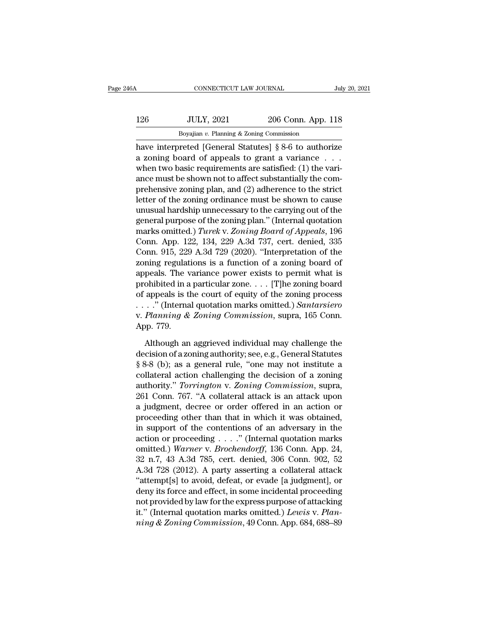| 6А  | CONNECTICUT LAW JOURNAL                                |                    | July 20, 2021 |
|-----|--------------------------------------------------------|--------------------|---------------|
| 126 | <b>JULY, 2021</b>                                      | 206 Conn. App. 118 |               |
|     | Boyajian $v$ . Planning $\&$ Zoning Commission         |                    |               |
|     | have interpreted [General Statutes] 8.8-6 to authorize |                    |               |

CONNECTICUT LAW JOURNAL July 20, 2021<br>
126 JULY, 2021 206 Conn. App. 118<br>
Boyajian v. Planning & Zoning Commission<br>
have interpreted [General Statutes] § 8-6 to authorize<br>
a zoning board of appeals to grant a variance ... 126 JULY, 2021 206 Conn. App. 118<br>Boyajian v. Planning & Zoning Commission<br>have interpreted [General Statutes]  $\S 8{\text -}6$  to authorize<br>a zoning board of appeals to grant a variance . . .<br>when two basic requirements are sa 126 JULY, 2021 206 Conn. App. 118<br>Boyajian v. Planning & Zoning Commission<br>have interpreted [General Statutes] § 8-6 to authorize<br>a zoning board of appeals to grant a variance ...<br>when two basic requirements are satisfied 126 JULY, 2021 206 Conn. App. 118<br>Boyajian v. Planning & Zoning Commission<br>have interpreted [General Statutes] § 8-6 to authorize<br>a zoning board of appeals to grant a variance . . . .<br>when two basic requirements are satis Boyajian v. Planning & Zoning Commission<br>
have interpreted [General Statutes] § 8-6 to authorize<br>
a zoning board of appeals to grant a variance . . .<br>
when two basic requirements are satisfied: (1) the vari-<br>
ance must be Letter of the zoning ordinance must be shown to cause the control of the state of the zoning beam and  $\ell$ . The variance must be shown not to affect substantially the comprehensive zoning plan, and (2) adherence to the st have interpreted [General Statutes] § 8-6 to authorize<br>a zoning board of appeals to grant a variance  $\dots$ <br>when two basic requirements are satisfied: (1) the vari-<br>ance must be shown not to affect substantially the com-<br>pr a zoning board of appeals to grant a variance . . .<br>when two basic requirements are satisfied: (1) the vari-<br>ance must be shown not to affect substantially the com-<br>prehensive zoning plan, and (2) adherence to the strict<br> when two basic requirements are satisfied: (1) the variance must be shown not to affect substantially the comprehensive zoning plan, and (2) adherence to the strict letter of the zoning ordinance must be shown to cause unu ance must be shown not to affect substantially the comprehensive zoning plan, and (2) adherence to the strict<br>letter of the zoning ordinance must be shown to cause<br>unusual hardship unnecessary to the carrying out of the<br>ge prehensive zoning plan, and (2) adherence to the strict<br>letter of the zoning ordinance must be shown to cause<br>unusual hardship unnecessary to the carrying out of the<br>general purpose of the zoning plan." (Internal quotation letter of the zoning ordinance must be shown to cause<br>unusual hardship unnecessary to the carrying out of the<br>general purpose of the zoning plan." (Internal quotation<br>marks omitted.) Turek v. Zoning Board of Appeals, 196<br>C unusual hardship unnecessary to the carrying out of the<br>general purpose of the zoning plan." (Internal quotation<br>marks omitted.) *Turek* v. Zoning Board of Appeals, 196<br>Conn. App. 122, 134, 229 A.3d 737, cert. denied, 335 general purpose of the zoning plan." (Internal quotation<br>marks omitted.) *Turek* v. Zoning Board of Appeals, 196<br>Conn. App. 122, 134, 229 A.3d 737, cert. denied, 335<br>Conn. 915, 229 A.3d 729 (2020). "Interpretation of the<br> marks omitted.) Turek v. Zoning Board of Appeals, 196<br>Conn. App. 122, 134, 229 A.3d 737, cert. denied, 335<br>Conn. 915, 229 A.3d 729 (2020). "Interpretation of the<br>zoning regulations is a function of a zoning board of<br>appea Conn. App. 122, 134, 229 A.3d 737, cert. denied, 335<br>Conn. 915, 229 A.3d 729 (2020). "Interpretation of the<br>zoning regulations is a function of a zoning board of<br>appeals. The variance power exists to permit what is<br>prohibi Conn. 915, 229 A.3d 729 (2020). "Interpretation of the zoning regulations is a function of a zoning board of appeals. The variance power exists to permit what is prohibited in a particular zone. . . . [T]he zoning board of zoning regulat<br>appeals. The v<br>prohibited in a<br>of appeals is tl<br>. . . . . . " (Interna<br>v. *Planning &*<br>App. 779.<br>Although an by only in a particular zone. . . . [T] he zoning board<br>appeals is the court of equity of the zoning process<br>. ." (Internal quotation marks omitted.) Santarsiero<br> $Planning \& Zoning \, \textit{Commission}$ , supra, 165 Conn.<br>pp. 779.<br>Although an a of appeals is the court of equity of the zoning process<br>
....." (Internal quotation marks omitted.) Santarsiero<br>
v. Planning & Zoning Commission, supra, 165 Conn.<br>
App. 779.<br>
Although an aggrieved individual may challenge

• Planning & Zoning Commission, supra, 165 Conn.<br>
App. 779.<br>
Although an aggrieved individual may challenge the<br>
decision of a zoning authority; see, e.g., General Statutes<br>
§ 8-8 (b); as a general rule, "one may not insti v. *Planning & Zoning Commission*, supra, 165 Conn.<br>App. 779.<br>Although an aggrieved individual may challenge the<br>decision of a zoning authority; see, e.g., General Statutes<br>§ 8-8 (b); as a general rule, "one may not instit App. 779.<br>
Although an aggrieved individual may challenge the<br>
decision of a zoning authority; see, e.g., General Statutes<br>
§ 8-8 (b); as a general rule, "one may not institute a<br>
collateral action challenging the decision Although an aggrieved individual may challenge the<br>decision of a zoning authority; see, e.g., General Statutes<br>§ 8-8 (b); as a general rule, "one may not institute a<br>collateral action challenging the decision of a zoning<br>a Although an aggrieved individual may challenge the<br>decision of a zoning authority; see, e.g., General Statutes<br> $\S 8-8$  (b); as a general rule, "one may not institute a<br>collateral action challenging the decision of a zonin decision of a zoning authority; see, e.g., General Statutes<br>
§ 8-8 (b); as a general rule, "one may not institute a<br>
collateral action challenging the decision of a zoning<br>
authority." *Torrington* v. Zoning Commission, su § 8-8 (b); as a general rule, "one may not institute a<br>collateral action challenging the decision of a zoning<br>authority." *Torrington* v. Zoning Commission, supra,<br>261 Conn. 767. "A collateral attack is an attack upon<br>a j collateral action challenging the decision of a zoning<br>authority." *Torrington* v. Zoning Commission, supra,<br>261 Conn. 767. "A collateral attack is an attack upon<br>a judgment, decree or order offered in an action or<br>procee authority." *Torrington* v. *Zoning Commission*, supra,<br>261 Conn. 767. "A collateral attack is an attack upon<br>a judgment, decree or order offered in an action or<br>proceeding other than that in which it was obtained,<br>in supp 261 Conn. 767. "A collateral attack is an attack upon<br>a judgment, decree or order offered in an action or<br>proceeding other than that in which it was obtained,<br>in support of the contentions of an adversary in the<br>action or a judgment, decree or order offered in an action or<br>proceeding other than that in which it was obtained,<br>in support of the contentions of an adversary in the<br>action or proceeding . . . ." (Internal quotation marks<br>omitted proceeding other than that in which it was obtained,<br>in support of the contentions of an adversary in the<br>action or proceeding . . . ." (Internal quotation marks<br>omitted.) Warner v. Brochendorff, 136 Conn. App. 24,<br> $32$  n in support of the contentions of an adversary in the<br>action or proceeding . . . ." (Internal quotation marks<br>omitted.) Warner v. Brochendorff, 136 Conn. App. 24,<br>32 n.7, 43 A.3d 785, cert. denied, 306 Conn. 902, 52<br>A.3d 7 action or proceeding . . . . . " (Internal quotation marks<br>omitted.) Warner v. Brochendorff, 136 Conn. App. 24,<br>32 n.7, 43 A.3d 785, cert. denied, 306 Conn. 902, 52<br>A.3d 728 (2012). A party asserting a collateral attack<br>" omitted.) *Warner v. Brochendorff*, 136 Conn. App. 24, 32 n.7, 43 A.3d 785, cert. denied, 306 Conn. 902, 52 A.3d 728 (2012). A party asserting a collateral attack "attempt[s] to avoid, defeat, or evade [a judgment], or den 32 n.7, 43 A.3d 785, cert. denied, 306 Conn. 902, 52<br>A.3d 728 (2012). A party asserting a collateral attack<br>"attempt[s] to avoid, defeat, or evade [a judgment], or<br>deny its force and effect, in some incidental proceeding<br>n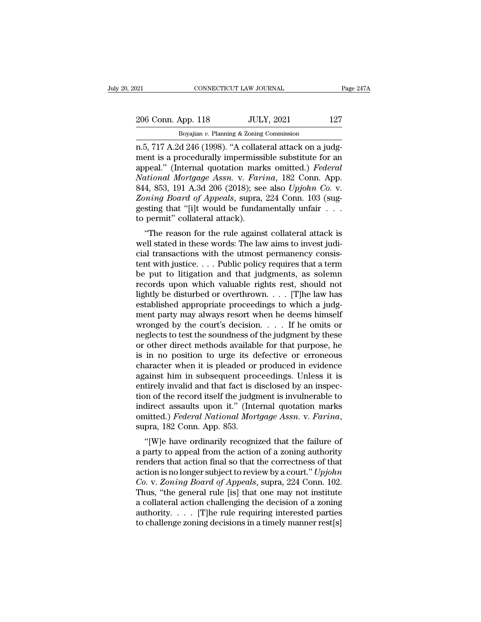| 021                | CONNECTICUT LAW JOURNAL                                               | Page 247A |
|--------------------|-----------------------------------------------------------------------|-----------|
| 206 Conn. App. 118 | <b>JULY, 2021</b>                                                     | 127       |
|                    | Boyajian $v$ . Planning & Zoning Commission                           |           |
|                    | $n 5$ , $717$ A $2d$ $246$ $(1998)$ , "A collateral attack on a judg- |           |

n.<br>
206 Conn. App. 118 JULY, 2021 127<br>
206 Conn. App. 118 JULY, 2021 127<br>
207 Boyajian v. Planning & Zoning Commission<br>
207 Boyajian v. Planning & Zoning Commission<br>
2015 The Collateral attack on a judg-<br>
2016 The Collater 206 Conn. App. 118 JULY, 2021 127<br>Boyajian v. Planning & Zoning Commission<br>n.5, 717 A.2d 246 (1998). "A collateral attack on a judgment is a procedurally impermissible substitute for an<br>appeal." (Internal quotation marks o 206 Conn. App. 118 JULY, 2021 127<br>
Boyajian v. Planning & Zoning Commission<br>
n.5, 717 A.2d 246 (1998). "A collateral attack on a judg-<br>
ment is a procedurally impermissible substitute for an<br>
appeal." (Internal quotation m *NATHER 118 NATHER 127*<br> *Boyajian v. Planning & Zoning Commission*<br> *N.5, 717 A.2d 246 (1998).* "A collateral attack on a judgment is a procedurally impermissible substitute for an<br>
appeal." (Internal quotation marks om Boyajian v. Planning & Zoning Commission<br>
1.5, 717 A.2d 246 (1998). "A collateral attack on a judg-<br>
ment is a procedurally impermissible substitute for an<br>
appeal." (Internal quotation marks omitted.) *Federal*<br>
National *Boyajian v. Planning & Zoning Commission*<br> *n.5, 717 A.2d 246 (1998).* "A collateral attack on a judg-<br>
ment is a procedurally impermissible substitute for an<br>
appeal." (Internal quotation marks omitted.) *Federal*<br> *Nati* n.5, 717 A.2d 246 (1998). "A collateral attack on a judgment is a procedurally impermissible substitute for an appeal." (Internal quotation marks omitted.) *Federal National Mortgage Assn.* v. *Farina*, 182 Conn. App. 844, ment is a procedurally impermissi<br>appeal." (Internal quotation mark<br>*National Mortgage Assn.* v. *Fari*<br>844, 853, 191 A.3d 206 (2018); see<br>*Zoning Board of Appeals*, supra,<br>gesting that "[i]t would be fundant<br>to permit" co pear. (Internal quotation marks omitted.) *Federal*<br> *thional Mortgage Assn.* v. *Farina*, 182 Conn. App.<br>
4, 853, 191 A.3d 206 (2018); see also *Upjohn Co.* v.<br> *ming Board of Appeals*, supra, 224 Conn. 103 (sug-<br>
sting t Wational mortgage Assn. v. Fartna, 182 Conn. App.<br>844, 853, 191 A.3d 206 (2018); see also Upjohn Co. v.<br>Zoning Board of Appeals, supra, 224 Conn. 103 (sug-<br>gesting that "[i]t would be fundamentally unfair  $\ldots$ <br>to permit"

cial transactions with the utmost permanentally unfair  $\ldots$  is *Zoning Board of Appeals*, supra, 224 Conn. 103 (suggesting that "[i]t would be fundamentally unfair  $\ldots$  to permit" collateral attack).<br>"The reason for the Example board of Appears, supra, 224 Colui. 105 (sugnessting that "[i]t would be fundamentally unfair . . .<br>to permit" collateral attack).<br>"The reason for the rule against collateral attack is<br>well stated in these words: be put to lightly would be fundamentally dinamated attack is<br>to permit" collateral attack).<br>"The reason for the rule against collateral attack is<br>well stated in these words: The law aims to invest judi-<br>cial transactions w The reason for the rule against collateral attack is<br>well stated in these words: The law aims to invest judi-<br>cial transactions with the utmost permanency consis-<br>tent with justice.... Public policy requires that a term<br>b "The reason for the rule against collateral attack is<br>well stated in these words: The law aims to invest judi-<br>cial transactions with the utmost permanency consis-<br>tent with justice. . . . Public policy requires that a te well stated in these words: The law aims to invest judicial transactions with the utmost permanency consistent with justice. . . . Public policy requires that a term be put to litigation and that judgments, as solemn reco cial transactions with the utmost permanency consistent with justice.... Public policy requires that a term<br>be put to litigation and that judgments, as solemn<br>records upon which valuable rights rest, should not<br>lightly be tent with justice.... Public policy requires that a term<br>be put to litigation and that judgments, as solemn<br>records upon which valuable rights rest, should not<br>lightly be disturbed or overthrown.... [T]he law has<br>establish be put to litigation and that judgments, as solemn<br>records upon which valuable rights rest, should not<br>lightly be disturbed or overthrown. . . . . [T]he law has<br>established appropriate proceedings to which a judg-<br>ment pa records upon which valuable rights rest, should not<br>lightly be disturbed or overthrown. . . . [T]he law has<br>established appropriate proceedings to which a judg-<br>ment party may always resort when he deems himself<br>wronged b lightly be disturbed or overthrown. . . . [T]he law has<br>established appropriate proceedings to which a judg-<br>ment party may always resort when he deems himself<br>wronged by the court's decision. . . . If he omits or<br>neglect established appropriate proceedings to which a judgment party may always resort when he deems himself<br>wronged by the court's decision.  $\dots$  If he omits or<br>neglects to test the soundness of the judgment by these<br>or other d ment party may always resort when he deems himself<br>wronged by the court's decision. . . . . If he omits or<br>neglects to test the soundness of the judgment by these<br>or other direct methods available for that purpose, he<br>is wronged by the court's decision.  $\ldots$  . If he omits or neglects to test the soundness of the judgment by these or other direct methods available for that purpose, he is in no position to urge its defective or erroneous c neglects to test the soundness of the judgment by these<br>or other direct methods available for that purpose, he<br>is in no position to urge its defective or erroneous<br>character when it is pleaded or produced in evidence<br>again or other direct methods available for that purpose, he<br>is in no position to urge its defective or erroneous<br>character when it is pleaded or produced in evidence<br>against him in subsequent proceedings. Unless it is<br>entirely is in no position to urge its defective or erroneous<br>character when it is pleaded or produced in evidence<br>against him in subsequent proceedings. Unless it is<br>entirely invalid and that fact is disclosed by an inspec-<br>tion o anst film in subsequent proceedings. Unless it is<br>tirely invalid and that fact is disclosed by an inspec-<br>on of the record itself the judgment is invulnerable to<br>direct assaults upon it." (Internal quotation marks<br>intted.) entifiery invand and that fact is disclosed by an inspection of the record itself the judgment is invulnerable to indirect assaults upon it." (Internal quotation marks omitted.) *Federal National Mortgage Assn. v. Farina*,

from the record itself the Judgment is invulnerable to<br>indirect assaults upon it." (Internal quotation marks<br>omitted.) *Federal National Mortgage Assn.* v. *Farina*,<br>supra, 182 Conn. App. 853.<br>"[W]e have ordinarily recogn munect assaults upon it. (internal quotation marks<br>omitted.) *Federal National Mortgage Assn.* v. *Farina*,<br>supra, 182 Conn. App. 853.<br>"[W]e have ordinarily recognized that the failure of<br>a party to appeal from the action *Co. Teaeral National Mortgage Assn. v. Fartha,*<br>
supra, 182 Conn. App. 853.<br>
"[W]e have ordinarily recognized that the failure of<br>
a party to appeal from the action of a zoning authority<br>
renders that action final so that supra, 162 Colui. App. 655.<br>
"[W]e have ordinarily recognized that the failure of<br>
a party to appeal from the action of a zoning authority<br>
renders that action final so that the correctness of that<br>
action is no longer su "[W]e have ordinarily recognized that the failure of<br>a party to appeal from the action of a zoning authority<br>renders that action final so that the correctness of that<br>action is no longer subject to review by a court." *Up* a party to appeal from the action of a zoning authority<br>renders that action final so that the correctness of that<br>action is no longer subject to review by a court." *Upjohn*<br>*Co.* v. *Zoning Board of Appeals*, supra, 224 renders that action final so that the correctness of that action is no longer subject to review by a court." Upjohn Co. v. Zoning Board of Appeals, supra, 224 Conn. 102. Thus, "the general rule [is] that one may not insti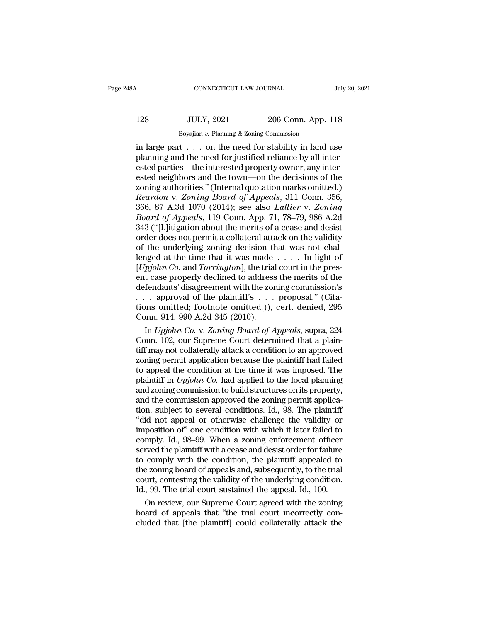# 128 JULY, 2021 206 Conn. App. 118<br>Boyajian v. Planning & Zoning Commission CONNECTICUT LAW JOURNAL<br>
JULY, 2021 206 Conn. App.<br>
Boyajian *v.* Planning & Zoning Commission<br>
ton the need for stability in land 1

CONNECTICUT LAW JOURNAL July 20, 2021<br>
128 JULY, 2021 206 Conn. App. 118<br>
Boyajian v. Planning & Zoning Commission<br>
in large part . . . on the need for stability in land use<br>
planning and the need for justified reliance by 128 JULY, 2021 206 Conn. App. 118<br>Boyajian v. Planning & Zoning Commission<br>in large part . . . on the need for stability in land use<br>planning and the need for justified reliance by all inter-<br>ested parties—the interested p 128 JULY, 2021 206 Conn. App. 118<br>Boyajian v. Planning & Zoning Commission<br>in large part . . . . on the need for stability in land use<br>planning and the need for justified reliance by all inter-<br>ested parties—the intereste 128 JULY, 2021 206 Conn. App. 118<br>
Boyajian v. Planning & Zoning Commission<br>
in large part . . . on the need for stability in land use<br>
planning and the need for justified reliance by all inter-<br>
ested parties—the interes Boyajian v. Planning & Zoning Commission<br>
in large part . . . . on the need for stability in land use<br>
planning and the need for justified reliance by all inter-<br>
ested parties—the interested property owner, any inter-<br>
e *Boyajian v. Planning & Zoning Commission*<br>
in large part . . . on the need for stability in land use<br>
planning and the need for justified reliance by all inter-<br>
ested parties—the interested property owner, any inter-<br>
es in large part . . . on the need for stability in land use<br>planning and the need for justified reliance by all inter-<br>ested parties—the interested property owner, any inter-<br>ested neighbors and the town—on the decisions of planning and the need for justified reliance by all interested parties—the interested property owner, any interested neighbors and the town—on the decisions of the zoning authorities." (Internal quotation marks omitted.)<br> ested parties—the interested property owner, any interested neighbors and the town—on the decisions of the zoning authorities." (Internal quotation marks omitted.) Reardon v. Zoning Board of Appeals, 311 Conn. 356, 366, 87 ested neighbors and the town—on the decisions of the<br>zoning authorities." (Internal quotation marks omitted.)<br>*Reardon v. Zoning Board of Appeals*, 311 Conn. 356,<br>366, 87 A.3d 1070 (2014); see also *Lallier v. Zoning*<br>*Boa* zoning authorities." (Internal quotation marks omitted.)<br> *Reardon v. Zoning Board of Appeals*, 311 Conn. 356,<br>
366, 87 A.3d 1070 (2014); see also *Lallier v. Zoning*<br> *Board of Appeals*, 119 Conn. App. 71, 78–79, 986 A.2 Reardon v. Zoning Board of Appeals, 311 Conn. 356,<br>366, 87 A.3d 1070 (2014); see also Lallier v. Zoning<br>Board of Appeals, 119 Conn. App. 71, 78–79, 986 A.2d<br>343 ("[L]itigation about the merits of a cease and desist<br>order d 366, 87 A.3d 1070 (2014); see also *Lallier* v. *Zoning*<br>*Board of Appeals*, 119 Conn. App. 71, 78–79, 986 A.2d<br>343 ("[L]itigation about the merits of a cease and desist<br>order does not permit a collateral attack on the val Board of Appeals, 119 Conn. App. 71, 78–79, 986 A.2d<br>343 ("[L]itigation about the merits of a cease and desist<br>order does not permit a collateral attack on the validity<br>of the underlying zoning decision that was not chal-343 ("[L]itigation about the merits of a cease and desist<br>order does not permit a collateral attack on the validity<br>of the underlying zoning decision that was not chal-<br>lenged at the time that it was made . . . . In light order does not permit a collateral attack on the validity<br>of the underlying zoning decision that was not chal-<br>lenged at the time that it was made . . . . In light of<br> $[Upjohn Co.$  and  $Torrington]$ , the trial court in the pres-<br>ent of the underlying zoning decision that was not chal-<br>lenged at the time that it was made . . . . In light of<br>[*Upjohn Co*. and *Torrington*], the trial court in the pres-<br>ent case properly declined to address the merits o lenged at the time that it was made [*Upjohn Co.* and *Torrington*], the trial ent case properly declined to address defendants' disagreement with the zor . . . approval of the plaintiff's . . . . tions omitted; footnote In *Phin Co.* and *Torrington*], the trial court in the pres-<br>
t case properly declined to address the merits of the<br>
fendants' disagreement with the zoning commission's<br>
. approval of the plaintiff's . . . proposal." (Cit ent case properly declined to address the merits of the<br>defendants' disagreement with the zoning commission's<br> $\ldots$  approval of the plaintiff's  $\ldots$  proposal." (Cita-<br>tions omitted; footnote omitted.)), cert. denied, 295

defendants' disagreement with the zoning commission's<br>
... approval of the plaintiff's ... proposal." (Cita-<br>
tions omitted; footnote omitted.)), cert. denied, 295<br>
Conn. 914, 990 A.2d 345 (2010).<br>
In *Upjohn Co.* v. *Zon* ... approval of the plaintiff's ... proposal." (Citations omitted; footnote omitted.)), cert. denied, 295<br>Conn. 914, 990 A.2d 345 (2010).<br>In *Upjohn Co.* v. Zoning Board of Appeals, supra, 224<br>Conn. 102, our Supreme Court tions omitted; footnote omitted.)), cert. denied, 295<br>Conn. 914, 990 A.2d 345 (2010).<br>In *Upjohn Co.* v. Zoning Board of Appeals, supra, 224<br>Conn. 102, our Supreme Court determined that a plain-<br>tiff may not collaterally Conn. 914, 990 A.2d 345 (2010).<br>
In *Upjohn Co.* v. Zoning Board of Appeals, supra, 224<br>
Conn. 102, our Supreme Court determined that a plain-<br>
tiff may not collaterally attack a condition to an approved<br>
zoning permit app In *Upjohn Co.* v. Zoning Board of Appeals, supra, 224<br>Conn. 102, our Supreme Court determined that a plain-<br>tiff may not collaterally attack a condition to an approved<br>zoning permit application because the plaintiff had Conn. 102, our Supreme Court determined that a plain-<br>tiff may not collaterally attack a condition to an approved<br>zoning permit application because the plaintiff had failed<br>to appeal the condition at the time it was impos tiff may not collaterally attack a condition to an approved<br>zoning permit application because the plaintiff had failed<br>to appeal the condition at the time it was imposed. The<br>plaintiff in *Upjohn Co*. had applied to the lo zoning permit application because the plaintiff had failed<br>to appeal the condition at the time it was imposed. The<br>plaintiff in  $Upjohn Co.$  had applied to the local planning<br>and zoning commission to build structures on its p to appeal the condition at the time it was imposed. The plaintiff in *Upjohn Co*. had applied to the local planning and zoning commission to build structures on its property, and the commission approved the zoning permit a plaintiff in *Upjohn Co*. had applied to the local planning<br>and zoning commission to build structures on its property,<br>and the commission approved the zoning permit applica-<br>tion, subject to several conditions. Id., 98. Th and zoning commission to build structures on its property,<br>and the commission approved the zoning permit applica-<br>tion, subject to several conditions. Id., 98. The plaintiff<br>"did not appeal or otherwise challenge the valid and the commission approved the zoning permit application, subject to several conditions. Id., 98. The plaintiff "did not appeal or otherwise challenge the validity or imposition of" one condition with which it later faile tion, subject to several conditions. Id., 98. The plaintiff<br>
"did not appeal or otherwise challenge the validity or<br>
imposition of" one condition with which it later failed to<br>
comply. Id., 98–99. When a zoning enforcement "did not appeal or otherwise challenge the validity or imposition of" one condition with which it later failed to comply. Id., 98–99. When a zoning enforcement officer served the plaintiff with a cease and desist order for imposition of" one condition with which it later failed to comply. Id., 98–99. When a zoning enforcement officer served the plaintiff with a cease and desist order for failure to comply with the condition, the plaintiff ap mply. Id., 98–99. When a zoning enforcement officer<br>rved the plaintiff with a cease and desist order for failure<br>comply with the condition, the plaintiff appealed to<br>zoning board of appeals and, subsequently, to the trial<br> served the plaintiff with a cease and desist order for failure<br>to comply with the condition, the plaintiff appealed to<br>the zoning board of appeals and, subsequently, to the trial<br>court, contesting the validity of the under to comply with the condition, the plaintiff appealed to<br>the zoning board of appeals and, subsequently, to the trial<br>court, contesting the validity of the underlying condition.<br>Id., 99. The trial court sustained the appeal.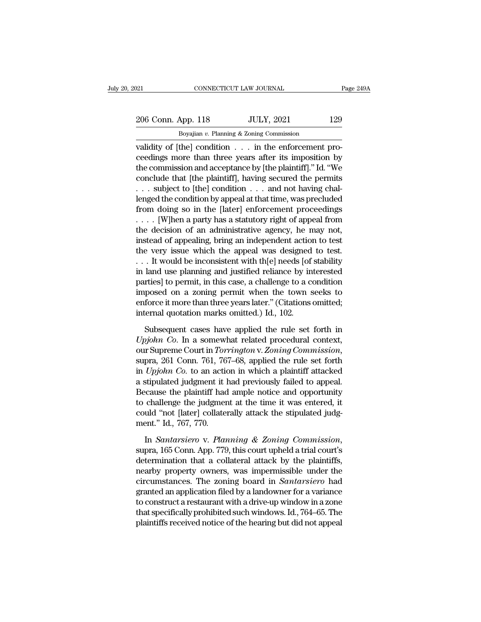# 206 Conn. App. 118 JULY, 2021 129<br>
206 Conn. App. 118 JULY, 2021 129<br>
206 Boyajian v. Planning & Zoning Commission CONNECTICUT LAW JOURNAL<br>Boyajian *v.* Planning & Zoning Commission<br>Boyajian *v.* Planning & Zoning Commission<br>thel condition in the enforcement r

validity of [the] connecticut LAW JOURNAL<br>
validity of [the] condition . . . in the enforcement pro-<br>
ceedings more than three years after its imposition by<br>
the commission and accontance by [the plaintiff]" Id "Wo 206 Conn. App. 118 JULY, 2021 129<br>Boyajian v. Planning & Zoning Commission<br>validity of [the] condition . . . in the enforcement pro-<br>ceedings more than three years after its imposition by<br>the commission and acceptance by [ 206 Conn. App. 118 JULY, 2021 129<br>
Boyajian v. Planning & Zoning Commission<br>
validity of [the] condition . . . in the enforcement pro-<br>
ceedings more than three years after its imposition by<br>
the commission and acceptance 206 Conn. App. 118 JULY, 2021 129<br>Boyajian v. Planning & Zoning Commission<br>validity of [the] condition . . . in the enforcement pro-<br>ceedings more than three years after its imposition by<br>the commission and acceptance by Boyajian v. Planning & Zoning Commission<br>
validity of [the] condition . . . in the enforcement pro-<br>
ceedings more than three years after its imposition by<br>
the commission and acceptance by [the plaintiff]." Id. "We<br>
conc Boyajian v. Planning & Zoning Commission<br>
validity of [the] condition  $\ldots$  in the enforcement pro-<br>
ceedings more than three years after its imposition by<br>
the commission and acceptance by [the plaintiff]." Id. "We<br>
conc validity of [the] condition . . . in the enforcement proceedings more than three years after its imposition by<br>the commission and acceptance by [the plaintiff]." Id. "We<br>conclude that [the plaintiff], having secured the p ceedings more than three years after its imposition by<br>the commission and acceptance by [the plaintiff]." Id. "We<br>conclude that [the plaintiff], having secured the permits<br>... subject to [the] condition ... and not having the commission and acceptance by [the plaintiff]." Id. "We conclude that [the plaintiff], having secured the permits . . . subject to [the] condition . . . and not having challenged the condition by appeal at that time, w conclude that [the plaintiff], having secured the permits<br>  $\ldots$  subject to [the] condition  $\ldots$  and not having chal-<br>
lenged the condition by appeal at that time, was precluded<br>
from doing so in the [later] enforcement ... subject to [the] condition ... and not having challenged the condition by appeal at that time, was precluded from doing so in the [later] enforcement proceedings .... [W]hen a party has a statutory right of appeal fro lenged the condition by appeal at that time, was precluded<br>from doing so in the [later] enforcement proceedings<br>.... [W]hen a party has a statutory right of appeal from<br>the decision of an administrative agency, he may not from doing so in the [later] enforcement proceedings<br>
.... [W]hen a party has a statutory right of appeal from<br>
the decision of an administrative agency, he may not,<br>
instead of appealing, bring an independent action to t particles in the decision of an administrative agency, he may not,<br>the decision of an administrative agency, he may not,<br>instead of appealing, bring an independent action to test<br>the very issue which the appeal was design the decision of an administrative agency, he may not,<br>instead of appealing, bring an independent action to test<br>the very issue which the appeal was designed to test.<br>... It would be inconsistent with th[e] needs [of stabi instead of appealing, bring an independent action to test<br>the very issue which the appeal was designed to test.<br>... It would be inconsistent with th[e] needs [of stability<br>in land use planning and justified reliance by in the very issue which the appeal was designed<br>... It would be inconsistent with th[e] needs [of<br>in land use planning and justified reliance by in<br>parties] to permit, in this case, a challenge to a co<br>imposed on a zoning per land use planning and justified reliance by interested<br>rties] to permit, in this case, a challenge to a condition<br>posed on a zoning permit when the town seeks to<br>force it more than three years later." (Citations omitted;<br> *UP strive is provided* provided procedural condition<br>parties] to permit, in this case, a challenge to a condition<br>imposed on a zoning permit when the town seeks to<br>enforce it more than three years later." (Citations omitt

imposed on a zoning permit when the town seeks to<br>enforce it more than three years later." (Citations omitted;<br>internal quotation marks omitted.) Id., 102.<br>Subsequent cases have applied the rule set forth in<br>*Upjohn Co*. I internal quotation marks omitted.) Id., 102.<br>
Subsequent cases have applied the rule set forth in<br> *Upjohn Co.* In a somewhat related procedural context,<br>
our Supreme Court in *Torrington v. Zoning Commission*,<br>
supra, 261 Subsequent cases have applied the rule set forth in *Upjohn Co*. In a somewhat related procedural context, our Supreme Court in *Torrington* v. Zoning Commission, supra, 261 Conn. 761, 767–68, applied the rule set forth in Subsequent cases have applied the rule set forth in  $Upjohn$  Co. In a somewhat related procedural context, our Supreme Court in *Torrington* v. Zoning Commission, supra, 261 Conn. 761, 767–68, applied the rule set forth in Upjohn Co. In a somewhat related procedural context,<br>our Supreme Court in Torrington v. Zoning Commission,<br>supra, 261 Conn. 761, 767–68, applied the rule set forth<br>in Upjohn Co. to an action in which a plaintiff attacked<br> our Supreme Court in *Torrington* v. Zoning Commission, supra, 261 Conn. 761, 767–68, applied the rule set forth in *Upjohn Co.* to an action in which a plaintiff attacked a stipulated judgment it had previously failed to supra, 261 Conn. 761, 76<br>in *Upjohn Co*. to an action<br>a stipulated judgment it l<br>Because the plaintiff had<br>to challenge the judgmen<br>could "not [later] collaten<br>ment." Id., 767, 770.<br>In *Santarsiero* v. Plan In *Santarsiero* v. *Planning & Zoning Commission*, suppose the plaintiff had ample notice and opportunity to challenge the judgment at the time it was entered, it could "not [later] collaterally attack the stipulated judg

to challenge the judgment at the time it was entered, it could "not [later] collaterally attack the stipulated judgment." Id., 767, 770.<br>In *Santarsiero* v. *Planning & Zoning Commission*, supra, 165 Conn. App. 779, this could "not [later] collaterally attack the stipulated judgment." Id., 767, 770.<br>In *Santarsiero* v. *Planning* & *Zoning Commission*,<br>supra, 165 Conn. App. 779, this court upheld a trial court's<br>determination that a colla ment." Id., 767, 770.<br>
In *Santarsiero* v. *Planning & Zoning Commission*,<br>
supra, 165 Conn. App. 779, this court upheld a trial court's<br>
determination that a collateral attack by the plaintiffs,<br>
nearby property owners, w In *Santarsiero* v. *Planning* & *Zoning Commission*,<br>supra, 165 Conn. App. 779, this court upheld a trial court's<br>determination that a collateral attack by the plaintiffs,<br>nearby property owners, was impermissible under In *Santarsiero* v. *Planning* & *Zoning Commission*,<br>supra, 165 Conn. App. 779, this court upheld a trial court's<br>determination that a collateral attack by the plaintiffs,<br>nearby property owners, was impermissible under t supra, 165 Conn. App. 779, this court upheld a trial court's<br>determination that a collateral attack by the plaintiffs,<br>nearby property owners, was impermissible under the<br>circumstances. The zoning board in *Santarsiero* ha determination that a collateral attack by the plaintiffs,<br>nearby property owners, was impermissible under the<br>circumstances. The zoning board in *Santarsiero* had<br>granted an application filed by a landowner for a variance<br>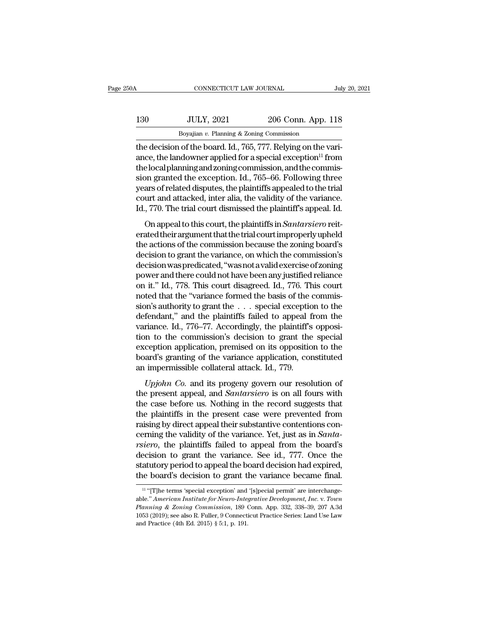| 50A | CONNECTICUT LAW JOURNAL                                   |                    | July 20, 2021 |
|-----|-----------------------------------------------------------|--------------------|---------------|
| 130 | <b>JULY, 2021</b>                                         | 206 Conn. App. 118 |               |
|     | Boyajian $v$ . Planning & Zoning Commission               |                    |               |
|     | the decision of the board Id 765 777 Relying on the vari- |                    |               |

CONNECTICUT LAW JOURNAL<br>
130 JULY, 2021 206 Conn. App. 118<br>
Boyajian v. Planning & Zoning Commission<br>
the decision of the board. Id., 765, 777. Relying on the vari-<br>
ance, the landowner applied for a special exception<sup>11</sup> 130 JULY, 2021 206 Conn. App. 118<br>Boyajian v. Planning & Zoning Commission<br>the decision of the board. Id., 765, 777. Relying on the vari-<br>ance, the landowner applied for a special exception<sup>11</sup> from<br>the local planning and the local planning and zoning commission, and the commis-130 JULY, 2021 206 Conn. App. 118<br>Boyajian v. Planning & Zoning Commission<br>the decision of the board. Id., 765, 777. Relying on the vari-<br>ance, the landowner applied for a special exception<sup>11</sup> from<br>the local planning and Boyajian v. Planning & Zoning Commission<br>the decision of the board. Id., 765, 777. Relying on the vari-<br>ance, the landowner applied for a special exception<sup>11</sup> from<br>the local planning and zoning commission, and the commis Boyayan v. Planning & Zoning Commission<br>the decision of the board. Id., 765, 777. Relying on the vari-<br>ance, the landowner applied for a special exception<sup>11</sup> from<br>the local planning and zoning commission, and the commisthe decision of the board. Id., 765, 777. Relying on the variance, the landowner applied for a special exception<sup>11</sup> from the local planning and zoning commission, and the commission granted the exception. Id., 765–66. Fol elocal planning and zoning commission, and the commis-<br>on granted the exception. Id., 765–66. Following three<br>ars of related disputes, the plaintiffs appealed to the trial<br>urt and attacked, inter alia, the validity of the

erated their argument that the trial court improperly upheld board granted the exception. Tal., 109-00. I only wing three<br>years of related disputes, the plaintiffs appealed to the trial<br>court and attacked, inter alia, the validity of the variance.<br>Id., 770. The trial court dismissed decision to grant the variance of the variance.<br>Id., 770. The trial court dismissed the plaintiff's appeal. Id.<br>On appeal to this court, the plaintiffs in *Santarsiero* reiterated their argument that the trial court improp decisionwaspredicated,''wasnotavalidexerciseofzoning power and there could not have been any justified reliance<br>on appeal to this court, the plaintiffs in *Santarsiero* reiterated their argument that the trial court improperly upheld<br>the actions of the commission because the On appeal to this court, the plaintiffs in *Santarsiero* reiterated their argument that the trial court improperly upheld the actions of the commission because the zoning board's decision to grant the variance, on which th erated their argument that the trial court improperly upheld<br>the actions of the commission because the zoning board's<br>decision to grant the variance, on which the commission's<br>decision was predicated, "was not a valid exer the actions of the commission because the zoning board's<br>decision to grant the variance, on which the commission's<br>decision was predicated, "was not a valid exercise of zoning<br>power and there could not have been any justi decision to grant the variance, on which the commission's<br>decision was predicated, "was not a valid exercise of zoning<br>power and there could not have been any justified reliance<br>on it." Id., 778. This court disagreed. Id., decision was predicated, "was not a valid exercise of zoning<br>power and there could not have been any justified reliance<br>on it." Id., 778. This court disagreed. Id., 776. This court<br>noted that the "variance formed the basis power and there could not have been any justified reliance<br>on it." Id., 778. This court disagreed. Id., 776. This court<br>noted that the "variance formed the basis of the commis-<br>sion's authority to grant the . . . special e on it." Id., 778. This court disagreed. Id., 776. This court<br>noted that the "variance formed the basis of the commis-<br>sion's authority to grant the  $\ldots$  special exception to the<br>defendant," and the plaintiffs failed to a noted that the "variance formed the basis of the commission's authority to grant the  $\ldots$  special exception to the defendant," and the plaintiffs failed to appeal from the variance. Id., 776–77. Accordingly, the plaintif sion's authority to grant the  $\ldots$  special exception defendant," and the plaintiffs failed to appeal f variance. Id., 776–77. Accordingly, the plaintiff's tion to the commission's decision to grant the exception applicat *Upjohn Co.* and its progency govern our resolution of the commission's decision to grant the special ception application, premised on its opposition to the ard's granting of the variance application, constituted impermiss variance. Ta., 110 11: Accordingly, the plantin is opposition to the commission's decision to grant the special exception application, premised on its opposition to the board's granting of the variance application, constit

the case before and its opposition to the board's granting of the variance application, constituted<br>an impermissible collateral attack. Id., 779.<br>*Upjohn Co.* and its progeny govern our resolution of<br>the present appeal, an Exception application, premised on as opposition to the<br>board's granting of the variance application, constituted<br>an impermissible collateral attack. Id., 779.<br>*Upjohn Co.* and its progeny govern our resolution of<br>the pres *Upjohn Co.* and its progeny govern our resolution of<br>the present appeal, and *Santarsiero* is on all fours with<br>the case before us. Nothing in the record suggests that<br>the plaintiffs in the present case were prevented fro *Upjohn Co.* and its progeny govern our resolution of the present appeal, and *Santarsiero* is on all fours with the case before us. Nothing in the record suggests that the plaintiffs in the present case were prevented fro *Upjohn Co.* and its progeny govern our resolution of<br>the present appeal, and *Santarsiero* is on all fours with<br>the case before us. Nothing in the record suggests that<br>the plaintiffs in the present case were prevented fro the present appeal, and *Santarsiero* is on all fours with<br>the case before us. Nothing in the record suggests that<br>the plaintiffs in the present case were prevented from<br>raising by direct appeal their substantive contentio the case before us. Nothing in the record suggests that<br>the plaintiffs in the present case were prevented from<br>raising by direct appeal their substantive contentions con-<br>cerning the validity of the variance. Yet, just as the plaintiffs in the present case were prevented from raising by direct appeal their substantive contentions concerning the validity of the variance. Yet, just as in *Santarsiero*, the plaintiffs failed to appeal from th Fraction to grant the variance. See id., 777. Once the attutory period to appeal the board decision had expired, all attutory period to appeal the board decision had expired, the board's decision to grant the variance beca decision to grant the variance. See id., 777. Once the statutory period to appeal the board decision had expired, the board's decision to grant the variance became final.<br>
<sup>11</sup> "[T]he terms 'special exception' and '[s]peci

**Statutory period to appeal the board decision had expired,**<br>the board's decision to grant the variance became final.<br><sup>14</sup> "[T]he terms 'special exception' and '[s]pecial permit' are interchange-<br>able." *American Institute* the board's decision to grant the variance became final.<br>
<sup>11</sup> "[T]he terms 'special exception' and '[s]pecial permit' are interchange-<br>
able." *American Institute for Neuro-Integrative Development, Inc. v. Town*<br> *Planni* <sup>11</sup> "[T]he terms 'special exception' and '[s]pecial permit' are interchangeable." *American Institute for Neuro-Integrative Development, Inc. v. Town Planning & Zoning Commission, 189 Conn. App. 332, 338–39, 207 A.3d 105*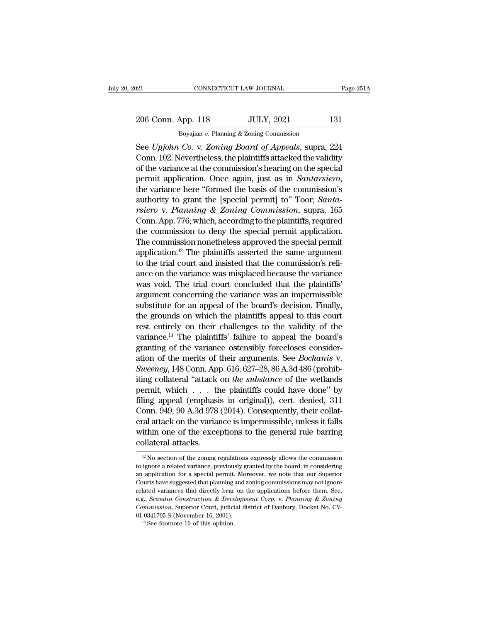# 206 Conn. App. 118 JULY, 2021 131<br>
206 Conn. App. 118 JULY, 2021 131<br>
<sup>206</sup> Boyajian v. Planning & Zoning Commission CONNECTICUT LAW JOURNAL<br>Boyajian *v.* Planning & Zoning Commission<br>Co v. *Zoning Rogard, of Amerils* supra

Fage 251A<br>
See *Upjohn Co.* v. *Zoning & Zoning Commission*<br>
See *Upjohn Co.* v. *Zoning Board of Appeals*, supra, 224<br>
Conn. 102. Nevertheless, the plaintiffs attacked the validity<br>
of the variance at the commission's beg 206 Conn. App. 118 JULY, 2021 131<br>Boyajian v. Planning & Zoning Commission<br>See Upjohn Co. v. Zoning Board of Appeals, supra, 224<br>Conn. 102. Nevertheless, the plaintiffs attacked the validity<br>of the variance at the commiss 206 Conn. App. 118 JULY, 2021 131<br>Boyajian v. Planning & Zoning Commission<br>See Upjohn Co. v. Zoning Board of Appeals, supra, 224<br>Conn. 102. Nevertheless, the plaintiffs attacked the validity<br>of the variance at the commiss 206 Conn. App. 118 JULY, 2021 131<br>
Boyajian v. Planning & Zoning Commission<br>
See Upjohn Co. v. Zoning Board of Appeals, supra, 224<br>
Conn. 102. Nevertheless, the plaintiffs attacked the validity<br>
of the variance at the comm Boyajian *v.* Fianting & Zoning Continuission<br>See Upjohn Co. v. Zoning Board of Appeals, supra, 224<br>Conn. 102. Nevertheless, the plaintiffs attacked the validity<br>of the variance at the commission's hearing on the special<br>p See Upjohn Co. v. *Zoning Board of Appeals*, supra, 224<br>Conn. 102. Nevertheless, the plaintiffs attacked the validity<br>of the variance at the commission's hearing on the special<br>permit application. Once again, just as in *S* Conn. 102. Nevertheless, the plaintiffs attacked the validity<br>of the variance at the commission's hearing on the special<br>permit application. Once again, just as in *Santarsiero*,<br>the variance here "formed the basis of the of the variance at the commission's hearing on the special<br>permit application. Once again, just as in *Santarsiero*,<br>the variance here "formed the basis of the commission's<br>authority to grant the [special permit] to" Toor; permit application. Once again, just as in *Santarsiero*,<br>the variance here "formed the basis of the commission's<br>authority to grant the [special permit] to" Toor; *Santa-<br>rsiero* v. *Planning & Zoning Commission*, supra, the variance here "formed the basis of the commission's<br>authority to grant the [special permit] to" Toor; *Santa-<br>rsiero* v. *Planning & Zoning Commission*, supra, 165<br>Conn. App. 776; which, according to the plaintiffs, r authority to grant the [special permit] to" Toor; *Santa-*<br>rsiero v. Planning & Zoning Commission, supra, 165<br>Conn. App. 776; which, according to the plaintiffs, required<br>the commission to deny the special permit applicat *rsiero* v. *Planning* & *Zoning Commission*, supra, 165<br>Conn. App. 776; which, according to the plaintiffs, required<br>the commission to deny the special permit application.<br>The commission nonetheless approved the special Conn. App.  $776$ ; which, according to the plaintiffs, required<br>the commission to deny the special permit application.<br>The commission nonetheless approved the special permit<br>application.<sup>12</sup> The plaintiffs asserted the sam the commission to deny the special permit application.<br>The commission nonetheless approved the special permit<br>application.<sup>12</sup> The plaintiffs asserted the same argument<br>to the trial court and insisted that the commission's The commission nonetheless approved the special permit<br>application.<sup>12</sup> The plaintiffs asserted the same argument<br>to the trial court and insisted that the commission's reli-<br>ance on the variance was misplaced because the v application.<sup>12</sup> The plaintiffs asserted the same argument<br>to the trial court and insisted that the commission's reli-<br>ance on the variance was misplaced because the variance<br>was void. The trial court concluded that the pl to the trial court and insisted that the commission's reli-<br>ance on the variance was misplaced because the variance<br>was void. The trial court concluded that the plaintiffs'<br>argument concerning the variance was an impermiss ance on the variance was misplaced because the variance<br>was void. The trial court concluded that the plaintiffs'<br>argument concerning the variance was an impermissible<br>substitute for an appeal of the board's decision. Final was void. The trial court concluded that the plaintiffs'<br>argument concerning the variance was an impermissible<br>substitute for an appeal of the board's decision. Finally,<br>the grounds on which the plaintiffs appeal to this argument concerning the variance was an impermissible<br>substitute for an appeal of the board's decision. Finally,<br>the grounds on which the plaintiffs appeal to this court<br>rest entirely on their challenges to the validity of substitute for an appeal of the board's decision. Finally, the grounds on which the plaintiffs appeal to this court rest entirely on their challenges to the validity of the variance.<sup>13</sup> The plaintiffs' failure to appeal t the grounds on which the plaintiffs appeal to this court<br>rest entirely on their challenges to the validity of the<br>variance.<sup>13</sup> The plaintiffs' failure to appeal the board's<br>granting of the variance ostensibly forecloses c rest entirely on their challenges to the validity of the<br>variance.<sup>13</sup> The plaintiffs' failure to appeal the board's<br>granting of the variance ostensibly forecloses consider-<br>ation of the merits of their arguments. See *Bo* variance.<sup>13</sup> The plaintiffs' failure to appeal the board's<br>granting of the variance ostensibly forecloses consider-<br>ation of the merits of their arguments. See *Bochanis* v.<br>Sweeney, 148 Conn. App. 616, 627–28, 86 A.3d 48 granting of the variance ostensibly forecloses consider-<br>ation of the merits of their arguments. See *Bochanis* v.<br>Sweeney, 148 Conn. App. 616, 627–28, 86 A.3d 486 (prohib-<br>iting collateral "attack on *the substance* of th ation of the merits of their arguments. See *Bochants* v.<br>
Sweeney, 148 Conn. App. 616, 627–28, 86 A.3d 486 (prohib-<br>
iting collateral "attack on *the substance* of the wetlands<br>
permit, which . . . the plaintiffs could ha Sweeney, 148 Conn. App. 616, 627–28, 86 A.3d 486 (prohibiting collateral "attack on *the substance* of the wetlands permit, which  $\ldots$  the plaintiffs could have done" by filing appeal (emphasis in original)), cert. denie iting collateral "attack"<br>permit, which  $\dots$  the filing appeal (emphasis<br>Conn. 949, 90 A.3d 978<br>eral attack on the varian<br>within one of the exce<br>collateral attacks. of the variance is impermissible, unless it falls<br>
ithin one of the exceptions to the general rule barring<br>
illateral attacks.<br>
<sup>12</sup> No section of the zoning regulations expressly allows the commission<br>
ignore a related v eral attack on the variance is impermissible, unless it falls<br>within one of the exceptions to the general rule barring<br>collateral attacks.<br> $\frac{12 \text{ No section of the zoning regulations expressly allows the commission}}{10 \text{ to ignore a related variance, previously granted by the board, in considering}}$ <br>an application for a special permit.

within one of the exceptions to the general rule barring<br>collateral attacks.<br> $\frac{12 \text{ No section of the zoning regulations expressly allows the commission}}{10 \text{ in connection of a special permit. Moreover, we note that our Superior}$ <br>Courts have suggested that planning and zoning commissions may not ignore Collateral attacks.<br>
<sup>12</sup> No section of the zoning regulations expressly allows the commission<br>
to ignore a related variance, previously granted by the board, in considering<br>
an application for a special permit. Moreover, **EXECUTE 20** No section of the zoning regulations expressly allows the commission to ignore a related variance, previously granted by the board, in considering an application for a special permit. Moreover, we note that o <sup>12</sup> No section of the zoning regulations expressly allows the commission to ignore a related variance, previously granted by the board, in considering an application for a special permit. Moreover, we note that our Super to ignore a related variance, previously granted by the board, in considering an application for a special permit. Moreover, we note that our Superior Courts have suggested that planning and zoning commissions may not ign an application for a special permit. Mo<br>courts have suggested that planning and :<br>related variances that directly bear on<br>e.g., *Scandia Construction & Developm*<br>*Commission*, Superior Court, judicial d<br>01-0341705-S (Novem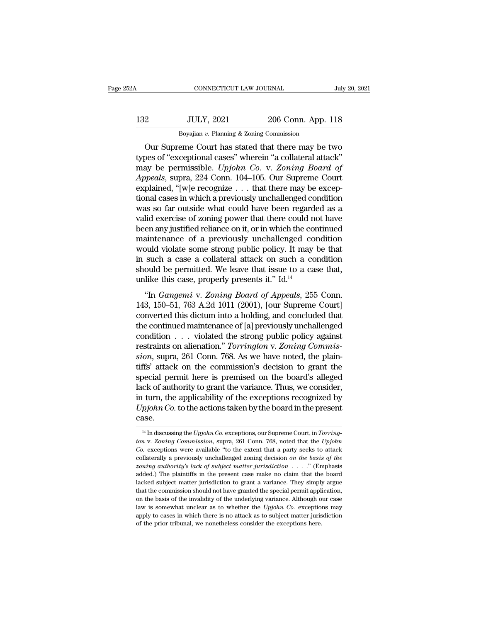| 52A | CONNECTICUT LAW JOURNAL                            |                    | July 20, 2021 |
|-----|----------------------------------------------------|--------------------|---------------|
| 132 | <b>JULY, 2021</b>                                  | 206 Conn. App. 118 |               |
|     | Boyajian $v$ . Planning & Zoning Commission        |                    |               |
|     | Our Supreme Court has stated that there may be two |                    |               |

CONNECTICUT LAW JOURNAL July 20, 2021<br>
206 Conn. App. 118<br>
Boyajian v. Planning & Zoning Commission<br>
Our Supreme Court has stated that there may be two<br>
206 Our Supreme Court has stated that there may be two<br>
208 of "excep 132 JULY, 2021 206 Conn. App. 118<br>Boyajian v. Planning & Zoning Commission<br>Our Supreme Court has stated that there may be two<br>types of "exceptional cases" wherein "a collateral attack"<br>may be permissible. Upjohn Co. v. Zon 132 JULY, 2021 206 Conn. App. 118<br>Boyajian v. Planning & Zoning Commission<br>Our Supreme Court has stated that there may be two<br>types of "exceptional cases" wherein "a collateral attack"<br>may be permissible. *Upjohn Co.* v. *App.* 118<br> *App.* 118<br> *Appeals in .* Planning & Zoning Commission<br> *Appeals*, our Supreme Court has stated that there may be two<br> *Appeals*, supra, 224 Conn. 104–105. Our Supreme Court<br>
explained, "[w]e recognize . . . t Boyajian v. Planning & Zoning Commission<br>
Our Supreme Court has stated that there may be two<br>
types of "exceptional cases" wherein "a collateral attack"<br>
may be permissible. Upjohn Co. v. Zoning Board of<br>
Appeals, supra, Boyalian v. Planning & Zoning Commission<br>
Our Supreme Court has stated that there may be two<br>
types of "exceptional cases" wherein "a collateral attack"<br>
may be permissible. Upjohn Co. v. Zoning Board of<br>
Appeals, supra, Our Supreme Court has stated that there may be two<br>types of "exceptional cases" wherein "a collateral attack"<br>may be permissible. *Upjohn Co.* v. Zoning Board of<br>Appeals, supra, 224 Conn. 104–105. Our Supreme Court<br>explai types of "exceptional cases" wherein "a collateral attack"<br>may be permissible. Upjohn Co. v. Zoning Board of<br>Appeals, supra, 224 Conn. 104–105. Our Supreme Court<br>explained, "[w]e recognize . . . that there may be excep-<br>ti may be permissible. *Upjohn Co.* v. *Zoning Board of*<br>Appeals, supra, 224 Conn. 104–105. Our Supreme Court<br>explained, "[w]e recognize . . . that there may be excep-<br>tional cases in which a previously unchallenged conditio Appeals, supra, 224 Conn. 104–105. Our Supreme Court<br>explained, "[w]e recognize  $\ldots$  that there may be excep-<br>tional cases in which a previously unchallenged condition<br>was so far outside what could have been regarded as explained, "[w]e recognize  $\ldots$  that there may be exceptional cases in which a previously unchallenged condition<br>was so far outside what could have been regarded as a<br>valid exercise of zoning power that there could not h tional cases in which a previously unchallenged condition<br>was so far outside what could have been regarded as a<br>valid exercise of zoning power that there could not have<br>been any justified reliance on it, or in which the co was so far outside what could have been regarded as a valid exercise of zoning power that there could not have been any justified reliance on it, or in which the continued maintenance of a previously unchallenged conditio valid exercise of zoning power that there could n<br>been any justified reliance on it, or in which the com<br>aintenance of a previously unchallenged co<br>would violate some strong public policy. It may<br>in such a case a collater en any justined renance of *n*, or in which the condition<br>aintenance of a previously unchallenged condition<br>ould violate some strong public policy. It may be that<br>such a case a collateral attack on such a condition<br>ould be manuchance of a previously unchancinged condition<br>would violate some strong public policy. It may be that<br>in such a case a collateral attack on such a condition<br>should be permitted. We leave that issue to a case that,<br>unl

would violate some strong public policy. It has be that<br>in such a case a collateral attack on such a condition<br>should be permitted. We leave that issue to a case that,<br>unlike this case, properly presents it." Id.<sup>14</sup><br>"In In sach a case a conateral attack on sach a condition<br>should be permitted. We leave that issue to a case that,<br>unlike this case, properly presents it."  $Id.^{14}$ <br>"In *Gangemi* v. *Zoning Board of Appeals*, 255 Conn.<br>143, 1 unlike this case, properly presents it."  $Id^{14}$ <br>
"In *Gangemi* v. *Zoning Board of Appeals*, 255 Conn.<br>
143, 150–51, 763 A.2d 1011 (2001), [our Supreme Court]<br>
converted this dictum into a holding, and concluded that<br>
th "In *Gangemi* v. *Zoning Board of Appeals*, 255 Conn.<br>143, 150–51, 763 A.2d 1011 (2001), [our Supreme Court]<br>converted this dictum into a holding, and concluded that<br>the continued maintenance of [a] previously unchallenged "In *Gangemi* v. *Zoning Board of Appeals*, 255 Conn.<br>143, 150–51, 763 A.2d 1011 (2001), [our Supreme Court]<br>converted this dictum into a holding, and concluded that<br>the continued maintenance of [a] previously unchallenged 143, 150–51, 763 A.2d 1011 (2001), [our Supreme Court]<br>converted this dictum into a holding, and concluded that<br>the continued maintenance of [a] previously unchallenged<br>condition  $\ldots$  violated the strong public policy ag converted this dictum into a holding, and concluded that<br>the continued maintenance of [a] previously unchallenged<br>condition  $\ldots$  violated the strong public policy against<br>restraints on alienation." *Torrington* v. Zoning the continued maintenance of [a] previously unchallenged<br>
condition  $\ldots$  violated the strong public policy against<br>
restraints on alienation." *Torrington* v. Zoning Commis-<br>
sion, supra, 261 Conn. 768. As we have noted, condition . . . violated the strong public policy against<br>restraints on alienation." *Torrington* v. Zoning Commis-<br>sion, supra, 261 Conn. 768. As we have noted, the plain-<br>tiffs' attack on the commission's decision to gra restraints on alienation." *Torrington* v. Zoning Commission, supra, 261 Conn. 768. As we have noted, the plaintiffs' attack on the commission's decision to grant the special permit here is premised on the board's alleged case. ck of authority to grant the variance. Thus, we consider,<br>
turn, the applicability of the exceptions recognized by<br> *pjohn Co.* to the actions taken by the board in the present<br>
ase.<br>
<sup>14</sup> In discussing the *Upjohn Co.* ex in turn, the applicability of the exceptions recognized by  $Upjohn\ Co$ . to the actions taken by the board in the present case.<br>  $\frac{14 \text{ In discussing the } Upjohn\ Co}$ . exceptions, our Supreme Court, in *Torring-*<br> *ton* v. *Zoning Commission* 

*Co.* to the actions taken by the board in the present case.<br>  $\frac{14 \text{ In discussing the } Upjohn Co.}$  exceptions, our Supreme Court, in *Torring-ton v. Zoning Commission*, supra, 261 Conn. 768, noted that the *Upjohn Co.* exceptions were a case.<br>
<sup>14</sup> In discussing the *Upjohn Co.* exceptions, our Supreme Court, in *Torring-*<br> *ton v. Zoning Commission*, supra, 261 Conn. 768, noted that the *Upjohn*<br> *Co.* exceptions were available "to the extent that a part *zoning authority's lack of subject matter in Torring-ton v. Zoning Commission, supra, 261 Conn. 768, noted that the Upjohn Co. exceptions were available "to the extent that a party seeks to attack collaterally a previousl* <sup>14</sup> In discussing the *Upjohn Co.* exceptions, our Supreme Court, in *Torring*-<br>ton v. Zoning Commission, supra, 261 Conn. 768, noted that the *Upjohn*<br>Co. exceptions were available "to the extent that a party seeks to a for v. Zoning Commission, supra, 261 Conn. 768, noted that the Upjohn Co. exceptions were available "to the extent that a party seeks to attack collaterally a previously unchallenged zoning decision on the basis of the zo ton v. Zoning Commission, supra, 261 Conn. 768, noted that the Upjohn Co. exceptions were available "to the extent that a party seeks to attack collaterally a previously unchallenged zoning decision on the basis of the zo collaterally a previously unchallenged zoning decision on the basis of the zoning authority's lack of subject matter jurisdiction  $\ldots$ ." (Emphasis added.) The plaintiffs in the present case make no claim that the board l conately a previously disturbed contriguously disturbed control of scenaring authority's lack of subject matter jurisdiction  $\ldots$ . " (Emphasis added.) The plaintiffs in the present case make no claim that the board lacke added.) The plaintiffs in the present case make no claim that the board lacked subject matter jurisdiction to grant a variance. They simply argue that the commission should not have granted the special permit application, lacked subject matter jurisdiction to grant a variance. They simply argue that the commission should not have granted the special permit application, on the basis of the invalidity of the underlying variance. Although our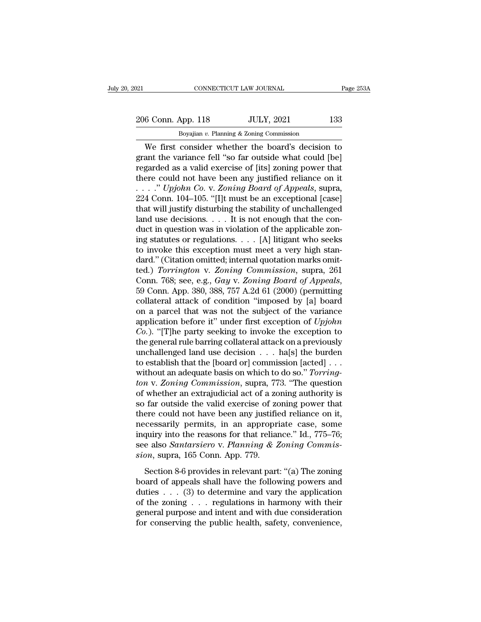# 206 Conn. App. 118 JULY, 2021 133<br>Boyajian v. Planning & Zoning Commission CONNECTICUT LAW JOURNAL<br>Boyajian *v.* Planning & Zoning Commission<br>Consider whether the board's decision

CONNECTICUT LAW JOURNAL Page 253A<br>
6 Conn. App. 118 JULY, 2021 133<br>
Boyajian v. Planning & Zoning Commission<br>
We first consider whether the board's decision to<br>
ant the variance fell "so far outside what could [be] 206 Conn. App. 118 JULY, 2021 133<br>Boyajian v. Planning & Zoning Commission<br>We first consider whether the board's decision to<br>grant the variance fell "so far outside what could [be]<br>regarded as a valid exercise of [its] zon 206 Conn. App. 118 JULY, 2021 133<br>Boyajian v. Planning & Zoning Commission<br>We first consider whether the board's decision to<br>grant the variance fell "so far outside what could [be]<br>regarded as a valid exercise of [its] zo 206 Conn. App. 118 JULY, 2021 133<br>
Boyajian v. Planning & Zoning Commission<br>
We first consider whether the board's decision to<br>
grant the variance fell "so far outside what could [be]<br>
regarded as a valid exercise of [its Boyajian v. Planning & Zoning Commission<br>
We first consider whether the board's decision to<br>
grant the variance fell "so far outside what could [be]<br>
regarded as a valid exercise of [its] zoning power that<br>
there could not Boyajian v. Planning & Zoning Commission<br>
We first consider whether the board's decision to<br>
grant the variance fell "so far outside what could [be]<br>
regarded as a valid exercise of [its] zoning power that<br>
there could no We first consider whether the board's decision to<br>grant the variance fell "so far outside what could [be]<br>regarded as a valid exercise of [its] zoning power that<br>there could not have been any justified reliance on it<br> $\ldots$ grant the variance fell "so far outside what could [be]<br>regarded as a valid exercise of [its] zoning power that<br>there could not have been any justified reliance on it<br> $\ldots$ ." Upjohn Co. v. Zoning Board of Appeals, supra,<br> regarded as a valid exercise of [its] zoning power that<br>there could not have been any justified reliance on it<br> $\ldots$  " Upjohn Co. v. Zoning Board of Appeals, supra,<br>224 Conn. 104–105. "[I]t must be an exceptional [case]<br>t there could not have been any justified reliance on it<br>
. . . . " Upjohn Co. v. Zoning Board of Appeals, supra,<br>
224 Conn. 104–105. "[I]t must be an exceptional [case]<br>
that will justify disturbing the stability of unchal ...." Upjohn Co. v. Zoning Board of Appeals, supra,<br>224 Conn. 104–105. "[I]t must be an exceptional [case]<br>that will justify disturbing the stability of unchallenged<br>land use decisions.... It is not enough that the con-<br>d 224 Conn. 104–105. "[I]t must be an exceptional [case]<br>that will justify disturbing the stability of unchallenged<br>land use decisions. . . . It is not enough that the con-<br>duct in question was in violation of the applicabl that will justify disturbing the stability of unchallenged<br>land use decisions. . . . It is not enough that the con-<br>duct in question was in violation of the applicable zon-<br>ing statutes or regulations. . . . [A] litigant land use decisions. . . . It is not enough that the conduct in question was in violation of the applicable zoning statutes or regulations. . . . [A] litigant who seeks to invoke this exception must meet a very high standar ing statutes or regulations. . . . [A] litigant who seeks<br>to invoke this exception must meet a very high stan-<br>dard." (Citation omitted; internal quotation marks omit-<br>ted.) *Torrington v. Zoning Commission*, supra, 261<br>C to invoke this exception must meet a very high stan-<br>dard." (Citation omitted; internal quotation marks omit-<br>ted.) *Torrington* v. *Zoning Commission*, supra, 261<br>Conn. 768; see, e.g., *Gay* v. *Zoning Board of Appeals*, dard." (Citation omitted; internal quotation marks omit-<br>ted.) *Torrington v. Zoning Commission*, supra, 261<br>Conn. 768; see, e.g., *Gay v. Zoning Board of Appeals*,<br>59 Conn. App. 380, 388, 757 A.2d 61 (2000) (permitting<br>co red.) *Torrington v. Zoning Commission*, supra, 261<br>
Conn. 768; see, e.g., *Gay v. Zoning Board of Appeals*,<br>
59 Conn. App. 380, 388, 757 A.2d 61 (2000) (permitting<br>
collateral attack of condition "imposed by [a] board<br>
on Conn. 768; see, e.g., *Gay v. Zoning Board of Appeals*,<br>59 Conn. App. 380, 388, 757 A.2d 61 (2000) (permitting<br>collateral attack of condition "imposed by [a] board<br>on a parcel that was not the subject of the variance<br>appl 59 Conn. App. 380, 388, 757 A.2d 61 (2000) (permitting<br>collateral attack of condition "imposed by [a] board<br>on a parcel that was not the subject of the variance<br>application before it" under first exception of  $Upjohn$ <br> $Co$ ). collateral attack of condition "imposed by [a] board<br>on a parcel that was not the subject of the variance<br>application before it" under first exception of  $Upjohn$ <br> $Co$ ). "[T]he party seeking to invoke the exception to<br>the gen on a parcel that was not the subject of the variance<br>application before it" under first exception of *Upjohn*<br>*Co.*). "[T]he party seeking to invoke the exception to<br>the general rule barring collateral attack on a previous application before it" under first exception of *Upjohn*<br>*Co*.). "[T]he party seeking to invoke the exception to<br>the general rule barring collateral attack on a previously<br>unchallenged land use decision . . . ha[s] the bur *Co.*). "[T]he party seeking to invoke the exception to<br>the general rule barring collateral attack on a previously<br>unchallenged land use decision  $\ldots$  ha[s] the burden<br>to establish that the [board or] commission [acted] the general rule barring collateral attack on a previously<br>unchallenged land use decision  $\ldots$  ha[s] the burden<br>to establish that the [board or] commission [acted]  $\ldots$ <br>without an adequate basis on which to do so." *Tor* unchallenged land use decision . . . ha[s] the burden<br>to establish that the [board or] commission [acted] . . .<br>without an adequate basis on which to do so." *Torring-*<br>*ton* v. *Zoning Commission*, supra, 773. "The quest to establish that the [board or] commission [acted] . . .<br>without an adequate basis on which to do so." *Torring-*<br>*ton v. Zoning Commission*, supra, 773. "The question<br>of whether an extrajudicial act of a zoning authorit without an adequate basis on which to do so." *Torring-*<br>ton v. Zoning Commission, supra, 773. "The question<br>of whether an extrajudicial act of a zoning authority is<br>so far outside the valid exercise of zoning power that<br>t ton v. *Zoning Commission*, supra, 773. "The question<br>of whether an extrajudicial act of a zoning authority is<br>so far outside the valid exercise of zoning power that<br>there could not have been any justified reliance on it,<br> of whether an extrajudicial act of a zo<br>so far outside the valid exercise of zo<br>there could not have been any justific<br>necessarily permits, in an appropri<br>inquiry into the reasons for that relian<br>see also *Santarsiero* v. For example and entriests of Esting power and<br>ere could not have been any justified reliance on it,<br>cessarily permits, in an appropriate case, some<br>quiry into the reasons for that reliance." Id., 775–76;<br>e also *Santarsier* mecessarily permits, in an appropriate case, some<br>inquiry into the reasons for that reliance." Id., 775–76;<br>see also *Santarsiero* v. *Planning & Zoning Commis-<br>sion*, supra, 165 Conn. App. 779.<br>Section 8-6 provides in re

duties the reasons for that reliance." Id., 775–76;<br>see also *Santarsiero* v. *Planning & Zoning Commis-<br>sion*, supra, 165 Conn. App. 779.<br>Section 8-6 provides in relevant part: "(a) The zoning<br>board of appeals shall have see also *Santarsiero* v. *Planning & Zoning Commission*, supra, 165 Conn. App. 779.<br>Section 8-6 provides in relevant part: "(a) The zoning board of appeals shall have the following powers and duties . . . (3) to determin sion, supra, 165 Conn. App. 779.<br>Section 8-6 provides in relevant part: "(a) The zoning<br>board of appeals shall have the following powers and<br>duties . . . (3) to determine and vary the application<br>of the zoning . . . regul Section 8-6 provides in relevant part: "(a) The zoning<br>board of appeals shall have the following powers and<br>duties . . . (3) to determine and vary the application<br>of the zoning . . . regulations in harmony with their<br>gene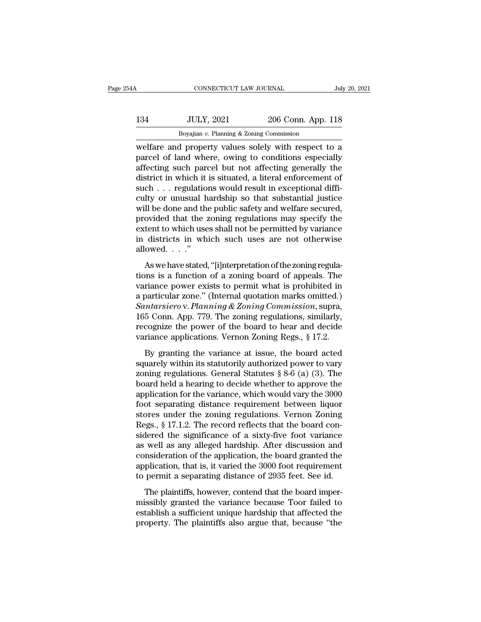| ŀΑ  | CONNECTICUT LAW JOURNAL                              |                    | July 20, 2021 |
|-----|------------------------------------------------------|--------------------|---------------|
| 134 | <b>JULY, 2021</b>                                    | 206 Conn. App. 118 |               |
|     | Boyajian $v$ . Planning & Zoning Commission          |                    |               |
|     | welfare and property values solely with respect to a |                    |               |

CONNECTICUT LAW JOURNAL July 20, 2021<br>
134 JULY, 2021 206 Conn. App. 118<br>
Boyajian v. Planning & Zoning Commission<br>
welfare and property values solely with respect to a<br>
parcel of land where, owing to conditions especially 134 JULY, 2021 206 Conn. App. 118<br>
Boyajian v. Planning & Zoning Commission<br>
welfare and property values solely with respect to a<br>
parcel of land where, owing to conditions especially<br>
affecting such parcel but not affecti 134 JULY, 2021 206 Conn. App. 118<br>Boyajian v. Planning & Zoning Commission<br>welfare and property values solely with respect to a<br>parcel of land where, owing to conditions especially<br>affecting such parcel but not affecting  $\frac{134}{\text{Boyajian } v. \text{ Planning & Zoning Commission}}$ <br>
welfare and property values solely with respect to a<br>
parcel of land where, owing to conditions especially<br>
affecting such parcel but not affecting generally the<br>
district in which it is si  $\begin{tabular}{ c c c c} \multicolumn{1}{c}{{\textbf{34}}} & {\textbf{JULY, 2021}} & {\textbf{206 Conn. App. 118}} \\ \hline \hline \textbf{Boyajian } v. \textbf{ Planning & \textbf{Zoning Commission}} \\ \hline \multicolumn{1}{c}{{\textbf{w}}{\textbf{e}t} {\textbf{a}}} & {\textbf{m} \textbf{e} {\textbf{a}}} & {\textbf{m} \textbf{e} {\textbf{a}}} \\ \hline \multicolumn{1}{c}{{\textbf{w}}{\textbf{e}t} {\textbf{a}}} & {\textbf{m} \textbf{e} {\textbf{a}}} & {\textbf$ Boyayan v. Planning & Zoning Commission<br>welfare and property values solely with respect to a<br>parcel of land where, owing to conditions especially<br>affecting such parcel but not affecting generally the<br>district in which it welfare and property values solely with respect to a<br>parcel of land where, owing to conditions especially<br>affecting such parcel but not affecting generally the<br>district in which it is situated, a literal enforcement of<br>suc parcel of land where, owing to conditions especially<br>affecting such parcel but not affecting generally the<br>district in which it is situated, a literal enforcement of<br>such  $\ldots$  regulations would result in exceptional diff affecting such parcel but not affecting generally the<br>district in which it is situated, a literal enforcement of<br>such . . . regulations would result in exceptional diffi-<br>culty or unusual hardship so that substantial justi district in which it is situated, a literal enforcement of<br>such . . . regulations would result in exceptional diffi-<br>culty or unusual hardship so that substantial justice<br>will be done and the public safety and welfare secu such . . . regulatio<br>culty or unusual h<br>will be done and th<br>provided that the :<br>extent to which use<br>in districts in wh<br>allowed. . . ."<br>As we have stated As we have stated, "[i]nterpretation of the zoning regula-<br>
and the public safety and welfare secured,<br>
ovided that the zoning regulations may specify the<br>
tent to which uses shall not be permitted by variance<br>
districts with se done and the plastic safety and wental secured,<br>provided that the zoning regulations may specify the<br>extent to which uses shall not be permitted by variance<br>in districts in which such uses are not otherwise<br>allowe

extent to which uses shall not be permitted by variance<br>in districts in which such uses are not otherwise<br>allowed...."<br>As we have stated, "[i]nterpretation of the zoning regula-<br>tions is a function of a zoning board of ap in districts in which such uses are not otherwise<br>allowed...."<br>As we have stated, "[i]nterpretation of the zoning regula-<br>tions is a function of a zoning board of appeals. The<br>variance power exists to permit what is prohi *Santaries in which such uses are not officially*<br>*Santare size of a zoning board of appeals. The*<br>variance power exists to permit what is prohibited in<br>a particular zone." (Internal quotation marks omitted.)<br>*Santarsiero* As we have stated, "[i]nterpretation of the zoning regulations is a function of a zoning board of appeals. The variance power exists to permit what is prohibited in a particular zone." (Internal quotation marks omitted.) As we have stated, "[i]nterpretation of the zoning regulations is a function of a zoning board of appeals. The variance power exists to permit what is prohibited in a particular zone." (Internal quotation marks omitted.) tions is a function of a zoning board of appeals. The variance power exists to permit what is prohibited in a particular zone." (Internal quotation marks omitted.) Santarsiero v. Planning & Zoning Commission, supra, 165 C particular zone." (Internal quotation marks omitted.)<br> *ntarsiero* v. *Planning & Zoning Commission*, supra,<br>
5 Conn. App. 779. The zoning regulations, similarly,<br>
cognize the power of the board to hear and decide<br>
riance Santarsiero v. Planning & Zoning Commission, supra,<br>165 Conn. App. 779. The zoning regulations, similarly,<br>recognize the power of the board to hear and decide<br>variance applications. Vernon Zoning Regs., § 17.2.<br>By grantin

Example 1: Family & Eching commission, sipple,<br>165 Conn. App. 779. The zoning regulations, similarly,<br>recognize the power of the board to hear and decide<br>variance applications. Vernon Zoning Regs., § 17.2.<br>By granting the For Solid Hyp. The Board to hear and decide<br>variance applications. Vernon Zoning Regs., § 17.2.<br>By granting the variance at issue, the board acted<br>squarely within its statutorily authorized power to vary<br>zoning regulations Free power of the board to field and decree<br>variance applications. Vernon Zoning Regs., § 17.2.<br>By granting the variance at issue, the board acted<br>squarely within its statutorily authorized power to vary<br>zoning regulation For separations. Vertical about  $\mu$  separations,  $\mu$  is the separation of separations of separations are proved to vary alternal statute  $\$  8-6 (a) (3). The board held a hearing to decide whether to approve the applica By granting the variance at issue, the board acted<br>squarely within its statutorily authorized power to vary<br>zoning regulations. General Statutes § 8-6 (a) (3). The<br>board held a hearing to decide whether to approve the<br>appl squarely within its statutorily authorized power to vary<br>zoning regulations. General Statutes  $\S 8{\text -}6$  (a) (3). The<br>board held a hearing to decide whether to approve the<br>application for the variance, which would vary th zoning regulations. General Statutes  $\S 8-6$  (a) (3). The<br>board held a hearing to decide whether to approve the<br>application for the variance, which would vary the 3000<br>foot separating distance requirement between liquor<br>s board held a hearing to decide whether to approve the<br>application for the variance, which would vary the 3000<br>foot separating distance requirement between liquor<br>stores under the zoning regulations. Vernon Zoning<br>Regs., § application for the variance, which would vary the 3000<br>foot separating distance requirement between liquor<br>stores under the zoning regulations. Vernon Zoning<br>Regs., § 17.1.2. The record reflects that the board con-<br>sidere foot separating distance requirement between liquor<br>stores under the zoning regulations. Vernon Zoning<br>Regs., § 17.1.2. The record reflects that the board con-<br>sidered the significance of a sixty-five foot variance<br>as well stores under the zoning regulations. Vernon Zoning<br>Regs., § 17.1.2. The record reflects that the board con-<br>sidered the significance of a sixty-five foot variance<br>as well as any alleged hardship. After discussion and<br>consi Example 12. The record reflects and the board contractor, seeds the significance of a sixty-five foot variance well as any alleged hardship. After discussion and msideration of the application, the board granted the plicat siacred are significance of a sing five foot variance<br>as well as any alleged hardship. After discussion and<br>consideration of the application, the board granted the<br>application, that is, it varied the 3000 foot requirement<br>

as were as any anaged naturally. Their diseassion and consideration of the application, the board granted the application, that is, it varied the 3000 foot requirement to permit a separating distance of 2935 feet. See id.<br> application, that is, it varied the 3000 foot requirement<br>application, that is, it varied the 3000 foot requirement<br>to permit a separating distance of 2935 feet. See id.<br>The plaintiffs, however, contend that the board impe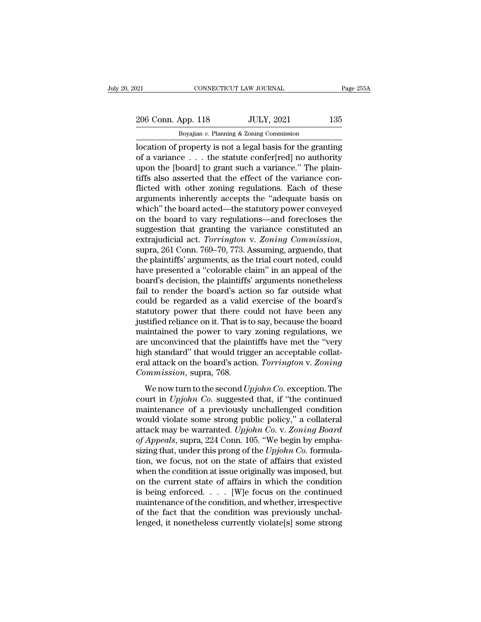# 206 Conn. App. 118 JULY, 2021 135<br>Boyajian v. Planning & Zoning Commission CONNECTICUT LAW JOURNAL<br>Boyajian *v.* Planning & Zoning Commission<br>Boyajian *v.* Planning & Zoning Commission<br>DECONDERTY IS not a legal basis for the grant

CONNECTICUT LAW JOURNAL Page 255A<br>
206 Conn. App. 118 JULY, 2021 135<br>
Boyajian v. Planning & Zoning Commission<br>
location of property is not a legal basis for the granting<br>
of a variance ... the statute confer[red] no autho 206 Conn. App. 118 JULY, 2021 135<br>Boyajian v. Planning & Zoning Commission<br>Docation of property is not a legal basis for the granting<br>of a variance . . . the statute confer[red] no authority<br>upon the [board] to grant such 206 Conn. App. 118 JULY, 2021 135<br>
Boyajian v. Planning & Zoning Commission<br>
location of property is not a legal basis for the granting<br>
of a variance... the statute confer[red] no authority<br>
upon the [board] to grant suc 206 Conn. App. 118 JULY, 2021 135<br>Boyajian v. Planning & Zoning Commission<br>Docation of property is not a legal basis for the granting<br>of a variance . . . the statute confer[red] no authority<br>upon the [board] to grant such Boyajian v. Planning & Zoning Commission<br>
location of property is not a legal basis for the granting<br>
of a variance . . . the statute confer[red] no authority<br>
upon the [board] to grant such a variance." The plain-<br>
tiffs Boyajian v. Planning & Zoning Commission<br>location of property is not a legal basis for the granting<br>of a variance  $\ldots$  the statute confer[red] no authority<br>upon the [board] to grant such a variance." The plain-<br>tiffs als location of property is not a legal basis for the granting<br>of a variance . . . the statute confer[red] no authority<br>upon the [board] to grant such a variance." The plain-<br>tiffs also asserted that the effect of the variance of a variance . . . the statute confer[red] no authority<br>upon the [board] to grant such a variance." The plain-<br>tiffs also asserted that the effect of the variance con-<br>flicted with other zoning regulations. Each of these<br> upon the [board] to grant such a variance." The plain-<br>tiffs also asserted that the effect of the variance con-<br>flicted with other zoning regulations. Each of these<br>arguments inherently accepts the "adequate basis on<br>which tiffs also asserted that the effect of the variance con-<br>flicted with other zoning regulations. Each of these<br>arguments inherently accepts the "adequate basis on<br>which" the board acted—the statutory power conveyed<br>on the b arguments inherently accepts the "adequate basis on<br>which" the board acted—the statutory power conveyed<br>on the board to vary regulations—and forecloses the<br>suggestion that granting the variance constituted an<br>extrajudicial which" the board acted—the statutory power conveyed<br>on the board to vary regulations—and forecloses the<br>suggestion that granting the variance constituted an<br>extrajudicial act. *Torrington* v. *Zoning Commission*,<br>supra, 26 on the board to vary regulations—and forecloses the<br>suggestion that granting the variance constituted an<br>extrajudicial act. *Torrington* v. *Zoning Commission*,<br>supra, 261 Conn. 769–70, 773. Assuming, arguendo, that<br>the pl suggestion that granting the variance constituted an extrajudicial act. *Torrington* v. *Zoning Commission*, supra, 261 Conn. 769–70, 773. Assuming, arguendo, that the plaintiffs' arguments, as the trial court noted, could extrajudicial act. *Torrington* v. *Zoning Commission*,<br>supra, 261 Conn. 769–70, 773. Assuming, arguendo, that<br>the plaintiffs' arguments, as the trial court noted, could<br>have presented a "colorable claim" in an appeal of t supra, 261 Conn. 769–70, 773. Assuming, arguendo, that<br>the plaintiffs' arguments, as the trial court noted, could<br>have presented a "colorable claim" in an appeal of the<br>board's decision, the plaintiffs' arguments nonethele the plaintiffs' arguments, as the trial court noted, could<br>have presented a "colorable claim" in an appeal of the<br>board's decision, the plaintiffs' arguments nonetheless<br>fail to render the board's action so far outside wha have presented a "colorable claim" in an appeal of the<br>board's decision, the plaintiffs' arguments nonetheless<br>fail to render the board's action so far outside what<br>could be regarded as a valid exercise of the board's<br>stat board's decision, the plaintiffs' arguments nonetheless<br>fail to render the board's action so far outside what<br>could be regarded as a valid exercise of the board's<br>statutory power that there could not have been any<br>justifie fail to render the board's action so far outside what<br>could be regarded as a valid exercise of the board's<br>statutory power that there could not have been any<br>justified reliance on it. That is to say, because the board<br>main could be regarded as a valid exercise of the board's<br>statutory power that there could not have been any<br>justified reliance on it. That is to say, because the board<br>maintained the power to vary zoning regulations, we<br>are un statutory power that there constants in the sequency is the maintained the power to vary are unconvinced that the plair high standard" that would triggeral attack on the board's actic *Commission*, supra, 768. We now turn intrained the power to vary zoning regulations, we<br>aintained the power to vary zoning regulations, we<br>e unconvinced that the plaintiffs have met the "very<br>gh standard" that would trigger an acceptable collat-<br>al attack on manualities are power to vary zoning regalations, we<br>are unconvinced that the plaintiffs have met the "very<br>high standard" that would trigger an acceptable collat-<br>eral attack on the board's action. *Torrington* v. Zoning<br>

maintenance of a previously unchallenged conditional<br>maintanance of a property of a property of a property of a property of a previously unchallenged condition<br>would violate some strong public policy," a collateral<br>mainten Figure standard via would argger an acceptable condition<br>eral attack on the board's action. Torrington v. Zoning<br>Commission, supra, 768.<br>We now turn to the second Upjohn Co. exception. The<br>court in Upjohn Co. suggested th Commission, supra, 768.<br>
We now turn to the second *Upjohn Co.* exception. The<br>
court in *Upjohn Co.* suggested that, if "the continued<br>
maintenance of a previously unchallenged condition<br>
would violate some strong public *We now turn to the second Upjohn Co. exception. The* court in *Upjohn Co. suggested that, if "the continued maintenance of a previously unchallenged condition would violate some strong public policy," a collateral attack* We now turn to the second *Upjohn Co*. exception. The court in *Upjohn Co*. suggested that, if "the continued maintenance of a previously unchallenged condition would violate some strong public policy," a collateral attack court in *Upjohn Co*. suggested that, if "the continued<br>maintenance of a previously unchallenged condition<br>would violate some strong public policy," a collateral<br>attack may be warranted. *Upjohn Co*. v. Zoning Board<br>of App maintenance of a previously unchallenged condition<br>would violate some strong public policy," a collateral<br>attack may be warranted. Upjohn Co. v. Zoning Board<br>of Appeals, supra, 224 Conn. 105. "We begin by empha-<br>sizing th would violate some strong public policy," a collateral<br>attack may be warranted. Upjohn Co. v. Zoning Board<br>of Appeals, supra, 224 Conn. 105. "We begin by empha-<br>sizing that, under this prong of the Upjohn Co. formula-<br>tio attack may be warranted. *Upjohn Co.* v. Zoning Board<br>of Appeals, supra, 224 Conn. 105. "We begin by empha-<br>sizing that, under this prong of the *Upjohn Co*. formula-<br>tion, we focus, not on the state of affairs that exist of Appeals, supra, 224 Conn. 105. "We begin by emphasizing that, under this prong of the *Upjohn Co*. formulation, we focus, not on the state of affairs that existed when the condition at issue originally was imposed, but sizing that, under this prong of the *Upjohn Co*. formulation, we focus, not on the state of affairs that existed when the condition at issue originally was imposed, but on the current state of affairs in which the condit tion, we focus, not on the state of affairs that existed<br>when the condition at issue originally was imposed, but<br>on the current state of affairs in which the condition<br>is being enforced.  $\dots$  [W]e focus on the continued<br>m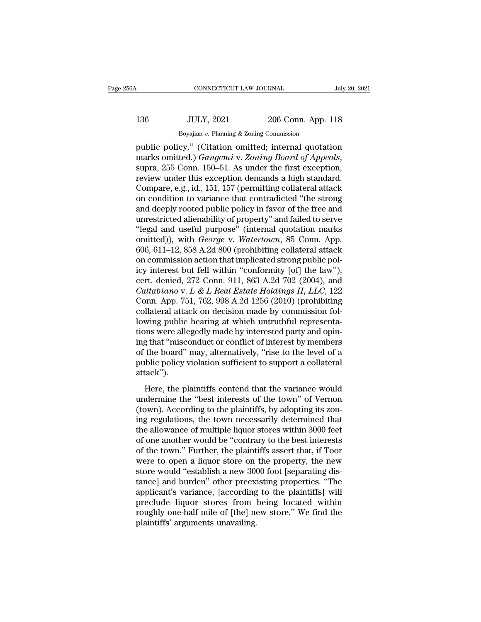# 136 CONNECTICUT LAW JOURNAL July 20, 2021<br>136 JULY, 2021 206 Conn. App. 118<br>136 Boyajian v. Planning & Zoning Commission CONNECTICUT LAW JOURNAL<br>JULY, 2021 206 Conn. App. :<br>Boyajian *v.* Planning & Zoning Commission<br>CV " (Citation omitted: internal quotati

cONNECTICUT LAW JOURNAL July 20, 2021<br>
136 JULY, 2021 206 Conn. App. 118<br>
Boyajian v. Planning & Zoning Commission<br>
public policy.'' (Citation omitted; internal quotation<br>
marks omitted.) *Gangemi* v. *Zoning Board of Appe* marks omitted.) *Gangemi* v. *Zoning & Zoning Commission*<br>
Boyajian v. Planning & Zoning Commission<br>
public policy." (Citation omitted; internal quotation<br>
marks omitted.) *Gangemi* v. *Zoning Board of Appeals*,<br>
supra, 2 136 JULY, 2021 206 Conn. App. 118<br>Boyajian v. Planning & Zoning Commission<br>public policy." (Citation omitted; internal quotation<br>marks omitted.) *Gangemi* v. Zoning Board of Appeals,<br>supra, 255 Conn. 150–51. As under the f Boyajian v. Planning & Zoning Commission<br>
public policy." (Citation omitted; internal quotation<br>
marks omitted.) *Gangemi* v. *Zoning Board of Appeals*,<br>
supra, 255 Conn. 150–51. As under the first exception,<br>
review unde Boyayan v. Planning & Zoning Commission<br>public policy." (Citation omitted; internal quotation<br>marks omitted.) *Gangemi* v. Zoning Board of Appeals,<br>supra, 255 Conn. 150–51. As under the first exception,<br>review under this public policy." (Citation omitted; internal quotation<br>marks omitted.) *Gangemi* v. *Zoning Board of Appeals*,<br>supra, 255 Conn. 150–51. As under the first exception,<br>review under this exception demands a high standard.<br>Comp marks omitted.) *Gangemi* v. *Zoning Board of Appeals*,<br>supra, 255 Conn. 150–51. As under the first exception,<br>review under this exception demands a high standard.<br>Compare, e.g., id., 151, 157 (permitting collateral attack supra, 255 Conn. 150–51. As under the first exception,<br>review under this exception demands a high standard.<br>Compare, e.g., id., 151, 157 (permitting collateral attack<br>on condition to variance that contradicted "the strong<br> review under this exception demands a high standard.<br>Compare, e.g., id., 151, 157 (permitting collateral attack<br>on condition to variance that contradicted "the strong<br>and deeply rooted public policy in favor of the free an Compare, e.g., id., 151, 157 (permitting collateral attack<br>on condition to variance that contradicted "the strong<br>and deeply rooted public policy in favor of the free and<br>unrestricted alienability of property" and failed t on condition to variance that contradicted "the strong and deeply rooted public policy in favor of the free and unrestricted alienability of property" and failed to serve "legal and useful purpose" (internal quotation mar and deeply rooted public policy in favor of the free and<br>unrestricted alienability of property" and failed to serve<br>"legal and useful purpose" (internal quotation marks<br>omitted)), with *George* v. *Watertown*, 85 Conn. Ap unrestricted alienability of property" and failed to serve<br>
"legal and useful purpose" (internal quotation marks<br>
omitted)), with *George* v. *Watertown*, 85 Conn. App.<br>
606, 611–12, 858 A.2d 800 (prohibiting collateral a "legal and useful purpose" (internal quotation marks<br>omitted)), with *George* v. *Watertown*, 85 Conn. App.<br>606, 611–12, 858 A.2d 800 (prohibiting collateral attack<br>on commission action that implicated strong public pol-<br>i omitted)), with *George* v. *Watertown*, 85 Conn. App.<br>606, 611–12, 858 A.2d 800 (prohibiting collateral attack<br>on commission action that implicated strong public pol-<br>icy interest but fell within "conformity [of] the law" 606, 611–12, 858 A.2d 800 (prohibiting collateral attack<br>on commission action that implicated strong public pol-<br>icy interest but fell within "conformity [of] the law"),<br>cert. denied, 272 Conn. 911, 863 A.2d 702 (2004), a on commission action that implicated strong public policy interest but fell within "conformity [of] the law"), cert. denied, 272 Conn. 911, 863 A.2d 702 (2004), and *Caltabiano* v.  $L \& L \t{Real} \t{Estate} \t{Holdings} \t{II}, LLC$ , 122 Con icy interest but fell within "conformity [of] the law"),<br>cert. denied, 272 Conn. 911, 863 A.2d 702 (2004), and<br>*Caltabiano* v. *L & L Real Estate Holdings II, LLC*, 122<br>Conn. App. 751, 762, 998 A.2d 1256 (2010) (prohibiti cert. denied, 272 Conn. 911, 863 A.2d 702 (2004), and<br> *Caltabiano* v. *L & L Real Estate Holdings II, LLC*, 122<br>
Conn. App. 751, 762, 998 A.2d 1256 (2010) (prohibiting<br>
collateral attack on decision made by commission fo Caltabiano v. L & L Real Estate Holdings II, LLC, 122<br>Conn. App. 751, 762, 998 A.2d 1256 (2010) (prohibiting<br>collateral attack on decision made by commission fol-<br>lowing public hearing at which untruthful representa-<br>tion Conn. App. 751, 762, 998 A.2d 1256 (2010) (prohibiting<br>collateral attack on decision made by commission fol-<br>lowing public hearing at which untruthful representa-<br>tions were allegedly made by interested party and opin-<br>ing attack''). may pashe hearing at which did addud representations<br>were allegedly made by interested party and opin-<br>g that "misconduct or conflict of interest by members<br>the board" may, alternatively, "rise to the level of a<br>blic polic ing that "misconduct or conflict of interested party and optically interest interests of the board" may, alternatively, "rise to the level of a public policy violation sufficient to support a collateral attack").<br>
Here, th

(the board" may, alternatively, "rise to the level of a<br>public policy violation sufficient to support a collateral<br>attack").<br>Here, the plaintiffs contend that the variance would<br>undermine the "best interests of the town" o of are board may, are matterly, the to are forced of a<br>public policy violation sufficient to support a collateral<br>attack").<br>Here, the plaintiffs contend that the variance would<br>undermine the "best interests of the town" of plant policy violation sumeries to support a conaterial<br>attack").<br>Here, the plaintiffs contend that the variance would<br>undermine the "best interests of the town" of Vernon<br>(town). According to the plaintiffs, by adopting i Here, the plaintiffs contend that the variance would<br>undermine the "best interests of the town" of Vernon<br>(town). According to the plaintiffs, by adopting its zon-<br>ing regulations, the town necessarily determined that<br>the Here, the plaintiffs contend that the variance would<br>undermine the "best interests of the town" of Vernon<br>(town). According to the plaintiffs, by adopting its zon-<br>ing regulations, the town necessarily determined that<br>the undermine the "best interests of the town" of Vernon<br>(town). According to the plaintiffs, by adopting its zon-<br>ing regulations, the town necessarily determined that<br>the allowance of multiple liquor stores within 3000 feet<br> (town). According to the plaintiffs, by adopting its zoning regulations, the town necessarily determined that<br>the allowance of multiple liquor stores within 3000 feet<br>of one another would be "contrary to the best interests ing regulations, the town necessarily determined that<br>the allowance of multiple liquor stores within 3000 feet<br>of one another would be "contrary to the best interests<br>of the town." Further, the plaintiffs assert that, if T the allowance of multiple liquor stores within 3000 feet<br>of one another would be "contrary to the best interests<br>of the town." Further, the plaintiffs assert that, if Toor<br>were to open a liquor store on the property, the n of one another would be "contrary to the best interests<br>of the town." Further, the plaintiffs assert that, if Toor<br>were to open a liquor store on the property, the new<br>store would "establish a new 3000 foot [separating dis of the town." Further, the plaintiffs assert that, if Toor<br>were to open a liquor store on the property, the new<br>store would "establish a new 3000 foot [separating dis-<br>tance] and burden" other preexisting properties. "The<br> were to open a liquor store on the property, the new<br>store would "establish a new 3000 foot [separating dis-<br>tance] and burden" other preexisting properties. "The<br>applicant's variance, [according to the plaintiffs] will<br>pr